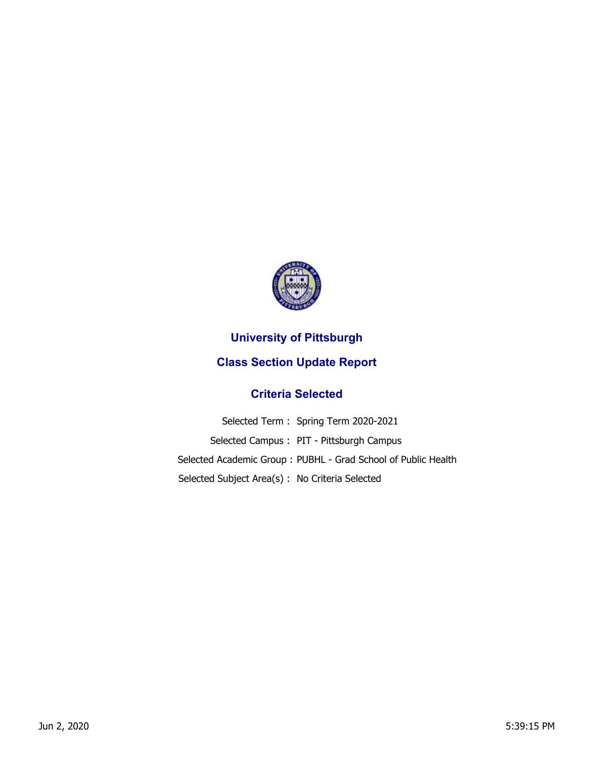

## **University of Pittsburgh**

## **Class Section Update Report**

## **Criteria Selected**

|                                                | Selected Term: Spring Term 2020-2021                          |
|------------------------------------------------|---------------------------------------------------------------|
|                                                | Selected Campus: PIT - Pittsburgh Campus                      |
|                                                | Selected Academic Group: PUBHL - Grad School of Public Health |
| Selected Subject Area(s): No Criteria Selected |                                                               |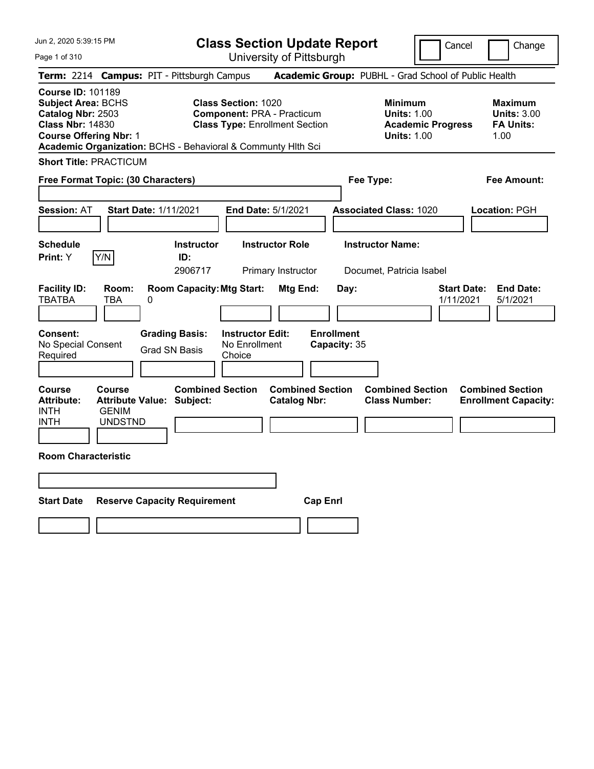Page 1 of 310

**Class Section Update Report** University of Pittsburgh

Cancel **Change** 

|                                                                                                                                                                                                        |                                                 |                                                                                                   |                                                                                                          | UNIVUOILY ULI RODULYN                          |                                           |                                                                                        |                                                                  |
|--------------------------------------------------------------------------------------------------------------------------------------------------------------------------------------------------------|-------------------------------------------------|---------------------------------------------------------------------------------------------------|----------------------------------------------------------------------------------------------------------|------------------------------------------------|-------------------------------------------|----------------------------------------------------------------------------------------|------------------------------------------------------------------|
|                                                                                                                                                                                                        |                                                 | Term: 2214 Campus: PIT - Pittsburgh Campus                                                        |                                                                                                          |                                                |                                           | Academic Group: PUBHL - Grad School of Public Health                                   |                                                                  |
| <b>Course ID: 101189</b><br><b>Subject Area: BCHS</b><br>Catalog Nbr: 2503<br><b>Class Nbr: 14830</b><br><b>Course Offering Nbr: 1</b><br>Academic Organization: BCHS - Behavioral & Communty Hith Sci |                                                 |                                                                                                   | <b>Class Section: 1020</b><br><b>Component: PRA - Practicum</b><br><b>Class Type: Enrollment Section</b> |                                                |                                           | <b>Minimum</b><br><b>Units: 1.00</b><br><b>Academic Progress</b><br><b>Units: 1.00</b> | <b>Maximum</b><br><b>Units: 3.00</b><br><b>FA Units:</b><br>1.00 |
| <b>Short Title: PRACTICUM</b>                                                                                                                                                                          |                                                 |                                                                                                   |                                                                                                          |                                                |                                           |                                                                                        |                                                                  |
| Free Format Topic: (30 Characters)                                                                                                                                                                     |                                                 |                                                                                                   |                                                                                                          |                                                | Fee Type:                                 |                                                                                        | Fee Amount:                                                      |
| <b>Session: AT</b>                                                                                                                                                                                     |                                                 | <b>Start Date: 1/11/2021</b>                                                                      | End Date: 5/1/2021                                                                                       |                                                |                                           | <b>Associated Class: 1020</b>                                                          | Location: PGH                                                    |
| <b>Schedule</b><br><b>Print:</b> Y                                                                                                                                                                     | Y/N                                             | <b>Instructor</b><br>ID:                                                                          |                                                                                                          | <b>Instructor Role</b>                         |                                           | <b>Instructor Name:</b>                                                                |                                                                  |
| <b>Facility ID:</b><br><b>TBATBA</b><br>Consent:<br>No Special Consent<br>Required                                                                                                                     | Room:<br><b>TBA</b>                             | 2906717<br><b>Room Capacity: Mtg Start:</b><br>0<br><b>Grading Basis:</b><br><b>Grad SN Basis</b> | <b>Instructor Edit:</b><br>No Enrollment<br>Choice                                                       | Primary Instructor<br>Mtg End:                 | Day:<br><b>Enrollment</b><br>Capacity: 35 | Documet, Patricia Isabel                                                               | <b>End Date:</b><br><b>Start Date:</b><br>1/11/2021<br>5/1/2021  |
| <b>Course</b><br><b>Attribute:</b><br><b>INTH</b><br><b>INTH</b><br><b>Room Characteristic</b>                                                                                                         | <b>Course</b><br><b>GENIM</b><br><b>UNDSTND</b> | <b>Combined Section</b><br><b>Attribute Value: Subject:</b>                                       |                                                                                                          | <b>Combined Section</b><br><b>Catalog Nbr:</b> |                                           | <b>Combined Section</b><br><b>Class Number:</b>                                        | <b>Combined Section</b><br><b>Enrollment Capacity:</b>           |
| <b>Start Date</b>                                                                                                                                                                                      |                                                 | <b>Reserve Capacity Requirement</b>                                                               |                                                                                                          | <b>Cap Enrl</b>                                |                                           |                                                                                        |                                                                  |
|                                                                                                                                                                                                        |                                                 |                                                                                                   |                                                                                                          |                                                |                                           |                                                                                        |                                                                  |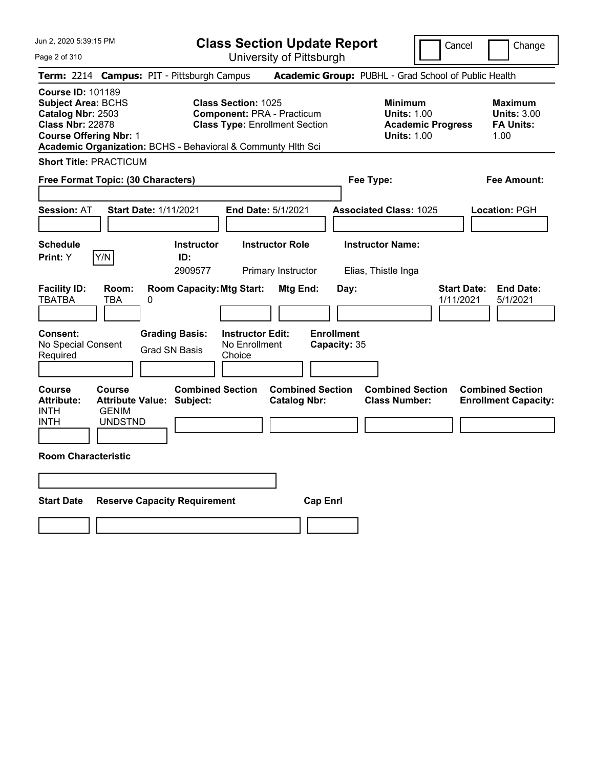Page 2 of 310

**Class Section Update Report**

Cancel **Change** 

|                                                                                                                                        |                                                 |                                                                                                                                                                          |                                                    | UNIVUOILY ULI RODULYN                          |                                           |                                                      |                                                           |                                                        |  |
|----------------------------------------------------------------------------------------------------------------------------------------|-------------------------------------------------|--------------------------------------------------------------------------------------------------------------------------------------------------------------------------|----------------------------------------------------|------------------------------------------------|-------------------------------------------|------------------------------------------------------|-----------------------------------------------------------|--------------------------------------------------------|--|
|                                                                                                                                        |                                                 | Term: 2214 Campus: PIT - Pittsburgh Campus                                                                                                                               |                                                    |                                                |                                           | Academic Group: PUBHL - Grad School of Public Health |                                                           |                                                        |  |
| <b>Course ID: 101189</b><br><b>Subject Area: BCHS</b><br>Catalog Nbr: 2503<br><b>Class Nbr: 22878</b><br><b>Course Offering Nbr: 1</b> |                                                 | <b>Class Section: 1025</b><br><b>Component: PRA - Practicum</b><br><b>Class Type: Enrollment Section</b><br>Academic Organization: BCHS - Behavioral & Communty Hlth Sci |                                                    |                                                |                                           | <b>Academic Progress</b>                             | Maximum<br><b>Units: 3.00</b><br><b>FA Units:</b><br>1.00 |                                                        |  |
| <b>Short Title: PRACTICUM</b>                                                                                                          |                                                 |                                                                                                                                                                          |                                                    |                                                |                                           |                                                      |                                                           |                                                        |  |
| Free Format Topic: (30 Characters)<br>Fee Type:<br>Fee Amount:                                                                         |                                                 |                                                                                                                                                                          |                                                    |                                                |                                           |                                                      |                                                           |                                                        |  |
| Session: AT                                                                                                                            |                                                 | <b>Start Date: 1/11/2021</b>                                                                                                                                             |                                                    | End Date: 5/1/2021                             |                                           | <b>Associated Class: 1025</b>                        |                                                           | Location: PGH                                          |  |
| <b>Schedule</b><br>Print: Y                                                                                                            | Y/N                                             | <b>Instructor</b><br>ID:<br>2909577                                                                                                                                      |                                                    | <b>Instructor Role</b><br>Primary Instructor   |                                           | <b>Instructor Name:</b><br>Elias, Thistle Inga       |                                                           |                                                        |  |
| <b>Facility ID:</b><br><b>TBATBA</b><br><b>Consent:</b><br>No Special Consent<br>Required                                              | Room:<br>TBA                                    | <b>Room Capacity: Mtg Start:</b><br>0<br><b>Grading Basis:</b><br><b>Grad SN Basis</b>                                                                                   | <b>Instructor Edit:</b><br>No Enrollment<br>Choice | Mtg End:                                       | Day:<br><b>Enrollment</b><br>Capacity: 35 |                                                      | <b>Start Date:</b><br>1/11/2021                           | <b>End Date:</b><br>5/1/2021                           |  |
| <b>Course</b><br><b>Attribute:</b><br><b>INTH</b><br><b>INTH</b>                                                                       | <b>Course</b><br><b>GENIM</b><br><b>UNDSTND</b> | <b>Combined Section</b><br><b>Attribute Value: Subject:</b>                                                                                                              |                                                    | <b>Combined Section</b><br><b>Catalog Nbr:</b> |                                           | <b>Combined Section</b><br><b>Class Number:</b>      |                                                           | <b>Combined Section</b><br><b>Enrollment Capacity:</b> |  |
| <b>Room Characteristic</b>                                                                                                             |                                                 |                                                                                                                                                                          |                                                    |                                                |                                           |                                                      |                                                           |                                                        |  |
| <b>Start Date</b>                                                                                                                      |                                                 | <b>Reserve Capacity Requirement</b>                                                                                                                                      |                                                    | <b>Cap Enrl</b>                                |                                           |                                                      |                                                           |                                                        |  |
|                                                                                                                                        |                                                 |                                                                                                                                                                          |                                                    |                                                |                                           |                                                      |                                                           |                                                        |  |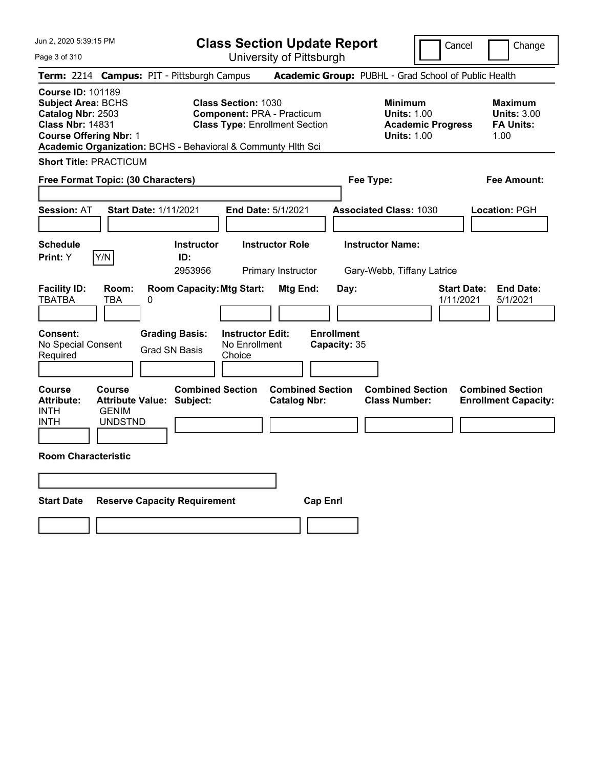**Class Section Update Report**

Cancel | Change

Page 3 of 310 University of Pittsburgh **Term:** 2214 **Campus:** PIT - Pittsburgh Campus **Academic Group:** PUBHL - Grad School of Public Health **Course ID:** 101189 **Subject Area:** BCHS **Class Section:** 1030 **Minimum Maximum Catalog Nbr:** 2503 **Component:** PRA - Practicum **Units:** 1.00 **Units:** 3.00 **Class Nbr:** 14831 **Class Type:** Enrollment Section **Academic Progress FA Units: Course Offering Nbr: 1 1.00 1.00 1.00 1.00 1.00 1.00 1.00 1.00 1.00 1.00 Academic Organization:** BCHS - Behavioral & Communty Hlth Sci **Short Title:** PRACTICUM **Free Format Topic: (30 Characters) Fee Type: Fee Amount: Session:** AT **Start Date:** 1/11/2021 **End Date:** 5/1/2021 **Associated Class:** 1030 **Location:** PGH **Schedule Instructor Instructor Role Instructor Name: Print:**  $Y$   $|Y/N|$  **ID:** 2953956 Primary Instructor Gary-Webb, Tiffany Latrice **Facility ID: Room: Room Capacity:Mtg Start: Mtg End: Day: Start Date: End Date:** TBATBA TBA 0 1/11/2021 5/1/2021 **Consent: Grading Basis: Instructor Edit: Enrollment** No Special Consent Grad SN Basis No Enrollment<br>Required Grad SN Basis Choice Choice **Capacity:** 35 **Course Course Combined Section Combined Section Combined Section Combined Section**  Attribute: Attribute Value: Subject: Catalog Nbr: Class Number: Enrollment Capacity: INTH GENIM INTH UNDSTND **Room Characteristic Start Date Reserve Capacity Requirement Cap Enrl**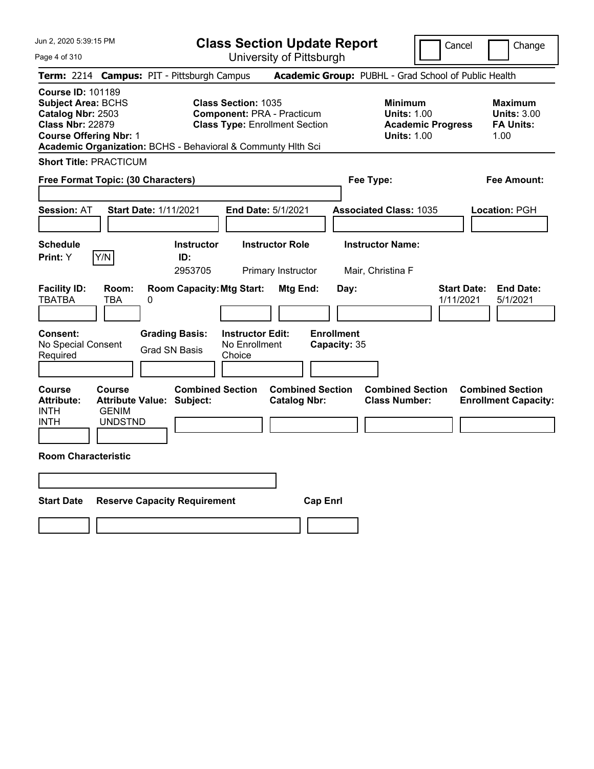Page 4 of 310

**Class Section Update Report**

Cancel **Change** 

| Term: 2214 Campus: PIT - Pittsburgh Campus                                                                                                                                                                                                                                                                                                          |                                                                                     |                              |                                                           |                                                    |                                                |                                                                                        |                                           | Academic Group: PUBHL - Grad School of Public Health |                                                                  |  |                                                        |
|-----------------------------------------------------------------------------------------------------------------------------------------------------------------------------------------------------------------------------------------------------------------------------------------------------------------------------------------------------|-------------------------------------------------------------------------------------|------------------------------|-----------------------------------------------------------|----------------------------------------------------|------------------------------------------------|----------------------------------------------------------------------------------------|-------------------------------------------|------------------------------------------------------|------------------------------------------------------------------|--|--------------------------------------------------------|
| <b>Course ID: 101189</b><br><b>Class Section: 1035</b><br><b>Subject Area: BCHS</b><br><b>Component: PRA - Practicum</b><br>Catalog Nbr: 2503<br><b>Class Nbr: 22879</b><br><b>Class Type: Enrollment Section</b><br><b>Course Offering Nbr: 1</b><br>Academic Organization: BCHS - Behavioral & Communty Hith Sci<br><b>Short Title: PRACTICUM</b> |                                                                                     |                              |                                                           |                                                    |                                                | <b>Minimum</b><br><b>Units: 1.00</b><br><b>Academic Progress</b><br><b>Units: 1.00</b> |                                           |                                                      | <b>Maximum</b><br><b>Units: 3.00</b><br><b>FA Units:</b><br>1.00 |  |                                                        |
|                                                                                                                                                                                                                                                                                                                                                     |                                                                                     |                              |                                                           |                                                    |                                                |                                                                                        |                                           |                                                      |                                                                  |  |                                                        |
| Free Format Topic: (30 Characters)                                                                                                                                                                                                                                                                                                                  |                                                                                     |                              |                                                           |                                                    |                                                |                                                                                        | Fee Type:                                 |                                                      |                                                                  |  | Fee Amount:                                            |
| <b>Session: AT</b>                                                                                                                                                                                                                                                                                                                                  |                                                                                     | <b>Start Date: 1/11/2021</b> |                                                           | End Date: 5/1/2021                                 |                                                |                                                                                        |                                           | <b>Associated Class: 1035</b>                        |                                                                  |  | Location: PGH                                          |
| <b>Schedule</b><br><b>Print:</b> Y                                                                                                                                                                                                                                                                                                                  | Y/N                                                                                 |                              | <b>Instructor</b><br>ID:<br>2953705                       |                                                    | <b>Instructor Role</b><br>Primary Instructor   |                                                                                        |                                           | <b>Instructor Name:</b><br>Mair, Christina F         |                                                                  |  |                                                        |
| <b>Facility ID:</b><br><b>TBATBA</b><br>Consent:<br>No Special Consent<br>Required                                                                                                                                                                                                                                                                  | Room:<br>TBA                                                                        | 0<br><b>Grad SN Basis</b>    | <b>Room Capacity: Mtg Start:</b><br><b>Grading Basis:</b> | <b>Instructor Edit:</b><br>No Enrollment<br>Choice | Mtg End:                                       |                                                                                        | Day:<br><b>Enrollment</b><br>Capacity: 35 |                                                      | <b>Start Date:</b><br>1/11/2021                                  |  | <b>End Date:</b><br>5/1/2021                           |
| <b>Course</b><br><b>Attribute:</b><br><b>INTH</b><br><b>INTH</b>                                                                                                                                                                                                                                                                                    | <b>Course</b><br><b>Attribute Value: Subject:</b><br><b>GENIM</b><br><b>UNDSTND</b> |                              | <b>Combined Section</b>                                   |                                                    | <b>Combined Section</b><br><b>Catalog Nbr:</b> |                                                                                        |                                           | <b>Combined Section</b><br><b>Class Number:</b>      |                                                                  |  | <b>Combined Section</b><br><b>Enrollment Capacity:</b> |
| <b>Room Characteristic</b>                                                                                                                                                                                                                                                                                                                          |                                                                                     |                              |                                                           |                                                    |                                                |                                                                                        |                                           |                                                      |                                                                  |  |                                                        |
| <b>Start Date</b>                                                                                                                                                                                                                                                                                                                                   |                                                                                     |                              | <b>Reserve Capacity Requirement</b>                       |                                                    |                                                | <b>Cap Enrl</b>                                                                        |                                           |                                                      |                                                                  |  |                                                        |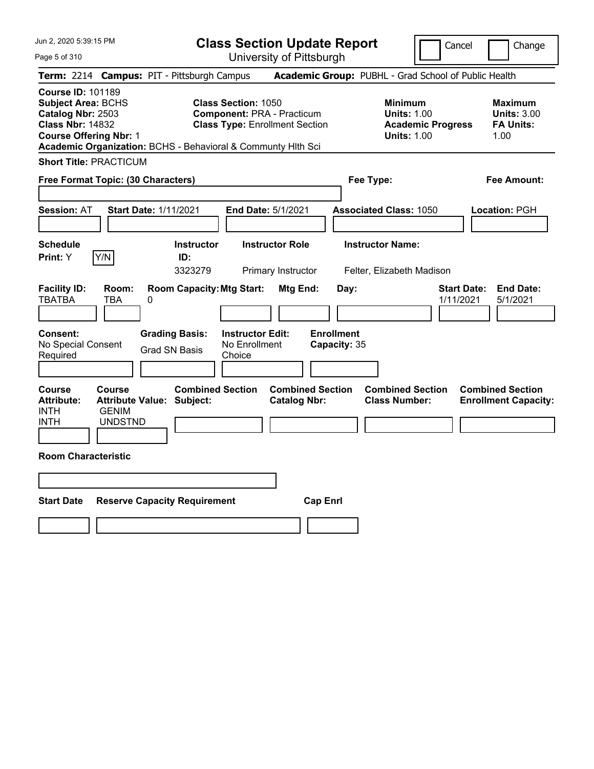**Class Section Update Report** University of Pittsburgh

Cancel Change

Page 5 of 310

| <b>Term: 2214 Campus: PIT - Pittsburgh Campus</b>                                                                                                                        | <b>Academic Group: PUBHL - Grad School of Public Health</b>                            |                                                                                                              |
|--------------------------------------------------------------------------------------------------------------------------------------------------------------------------|----------------------------------------------------------------------------------------|--------------------------------------------------------------------------------------------------------------|
| <b>Class Section: 1050</b><br><b>Component: PRA - Practicum</b><br><b>Class Type: Enrollment Section</b><br>Academic Organization: BCHS - Behavioral & Communty Hith Sci | <b>Minimum</b><br><b>Units: 1.00</b><br><b>Academic Progress</b><br><b>Units: 1.00</b> | Maximum<br><b>Units: 3.00</b><br><b>FA Units:</b><br>1.00                                                    |
|                                                                                                                                                                          |                                                                                        |                                                                                                              |
|                                                                                                                                                                          | Fee Type:                                                                              | <b>Fee Amount:</b>                                                                                           |
| End Date: 5/1/2021                                                                                                                                                       | <b>Associated Class: 1050</b>                                                          | Location: PGH                                                                                                |
| <b>Instructor</b><br><b>Instructor Role</b>                                                                                                                              | <b>Instructor Name:</b>                                                                |                                                                                                              |
| <b>Room Capacity: Mtg Start:</b><br>Mtg End:                                                                                                                             | <b>Start Date:</b><br>Day:<br>1/11/2021                                                | <b>End Date:</b><br>5/1/2021                                                                                 |
| <b>Grading Basis:</b><br><b>Instructor Edit:</b><br>No Enrollment<br><b>Grad SN Basis</b><br>Choice                                                                      |                                                                                        |                                                                                                              |
| <b>Combined Section</b><br>Subject:<br><b>Catalog Nbr:</b>                                                                                                               | <b>Combined Section</b><br><b>Class Number:</b>                                        | <b>Combined Section</b><br><b>Enrollment Capacity:</b>                                                       |
|                                                                                                                                                                          |                                                                                        |                                                                                                              |
|                                                                                                                                                                          |                                                                                        |                                                                                                              |
| <b>Reserve Capacity Requirement</b>                                                                                                                                      |                                                                                        |                                                                                                              |
|                                                                                                                                                                          | 3323279<br>Primary Instructor                                                          | Felter, Elizabeth Madison<br><b>Enrollment</b><br>Capacity: 35<br><b>Combined Section</b><br><b>Cap Enrl</b> |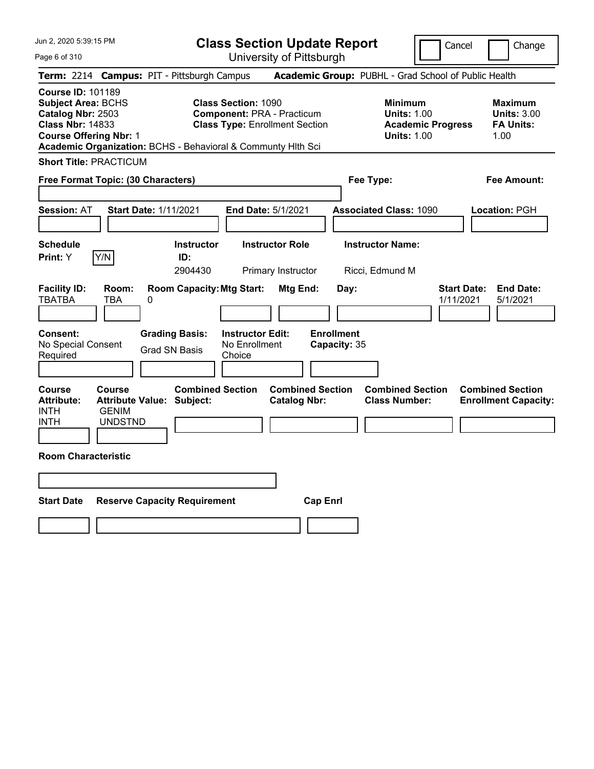Page 6 of 310

**Class Section Update Report**

University of Pittsburgh

Cancel | Change

**Term:** 2214 **Campus:** PIT - Pittsburgh Campus **Academic Group:** PUBHL - Grad School of Public Health **Course ID:** 101189 **Subject Area:** BCHS **Class Section:** 1090 **Minimum Maximum Catalog Nbr:** 2503 **Component:** PRA - Practicum **Units:** 1.00 **Units:** 3.00 **Class Nbr:** 14833 **Class Type:** Enrollment Section **Academic Progress FA Units: Course Offering Nbr: 1 1.00 1.00 1.00 1.00 1.00 1.00 1.00 1.00 1.00 1.00 Academic Organization:** BCHS - Behavioral & Communty Hlth Sci **Short Title:** PRACTICUM **Free Format Topic: (30 Characters) Fee Type: Fee Amount: Session:** AT **Start Date:** 1/11/2021 **End Date:** 5/1/2021 **Associated Class:** 1090 **Location:** PGH **Schedule Instructor Instructor Role Instructor Name: Print:**  $Y$   $|Y/N|$  **ID:** 2904430 Primary Instructor Ricci, Edmund M **Facility ID: Room: Room Capacity:Mtg Start: Mtg End: Day: Start Date: End Date:** TBATBA TBA 0 1/11/2021 5/1/2021 **Consent: Grading Basis: Instructor Edit: Enrollment** No Special Consent Grad SN Basis No Enrollment<br>Required Grad SN Basis Choice Choice **Capacity:** 35 **Course Course Combined Section Combined Section Combined Section Combined Section**  Attribute: Attribute Value: Subject: Catalog Nbr: Class Number: Enrollment Capacity: INTH GENIM INTH UNDSTND **Room Characteristic Start Date Reserve Capacity Requirement Cap Enrl**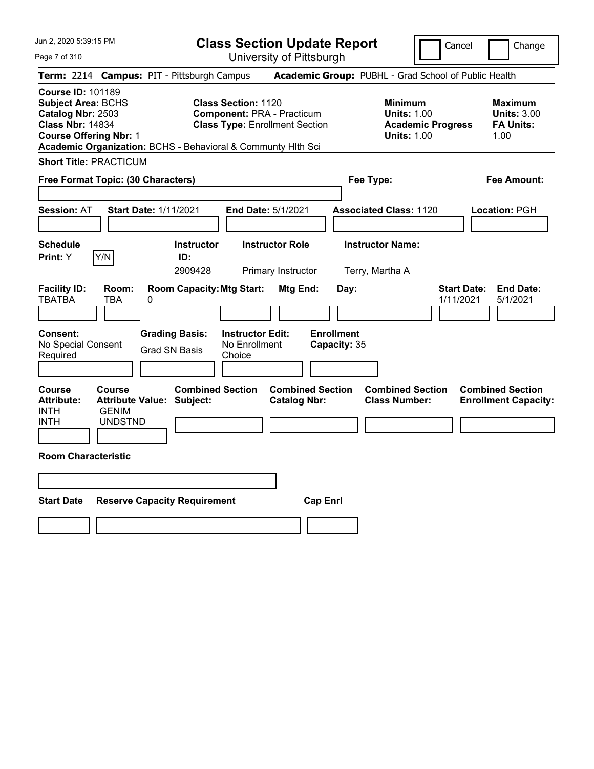**Class Section Update Report** University of Pittsburgh

Cancel Change

Page 7 of 310

| <b>Term: 2214 Campus: PIT - Pittsburgh Campus</b>                |                                                                                                                                                                                                                                                                                                                                                     |                      |                                     |                                                    |                                                |                 |                                                                                        | <b>Academic Group: PUBHL - Grad School of Public Health</b> |                                 |                                                        |
|------------------------------------------------------------------|-----------------------------------------------------------------------------------------------------------------------------------------------------------------------------------------------------------------------------------------------------------------------------------------------------------------------------------------------------|----------------------|-------------------------------------|----------------------------------------------------|------------------------------------------------|-----------------|----------------------------------------------------------------------------------------|-------------------------------------------------------------|---------------------------------|--------------------------------------------------------|
|                                                                  | <b>Course ID: 101189</b><br><b>Subject Area: BCHS</b><br><b>Class Section: 1120</b><br>Catalog Nbr: 2503<br><b>Component: PRA - Practicum</b><br><b>Class Nbr: 14834</b><br><b>Class Type: Enrollment Section</b><br><b>Course Offering Nbr: 1</b><br>Academic Organization: BCHS - Behavioral & Communty Hith Sci<br><b>Short Title: PRACTICUM</b> |                      |                                     |                                                    |                                                |                 | <b>Minimum</b><br><b>Units: 1.00</b><br><b>Academic Progress</b><br><b>Units: 1.00</b> | Maximum<br><b>Units: 3.00</b><br><b>FA Units:</b><br>1.00   |                                 |                                                        |
|                                                                  |                                                                                                                                                                                                                                                                                                                                                     |                      |                                     |                                                    |                                                |                 |                                                                                        |                                                             |                                 |                                                        |
| Free Format Topic: (30 Characters)                               |                                                                                                                                                                                                                                                                                                                                                     |                      |                                     |                                                    |                                                |                 |                                                                                        | Fee Type:                                                   |                                 | Fee Amount:                                            |
| <b>Session: AT</b>                                               | <b>Start Date: 1/11/2021</b>                                                                                                                                                                                                                                                                                                                        |                      |                                     |                                                    | End Date: 5/1/2021                             |                 |                                                                                        | <b>Associated Class: 1120</b>                               |                                 | Location: PGH                                          |
| <b>Schedule</b><br>Print: Y                                      | Y/N                                                                                                                                                                                                                                                                                                                                                 |                      | Instructor<br>ID:<br>2909428        |                                                    | <b>Instructor Role</b><br>Primary Instructor   |                 |                                                                                        | <b>Instructor Name:</b><br>Terry, Martha A                  |                                 |                                                        |
| <b>Facility ID:</b><br><b>TBATBA</b>                             | Room:<br>TBA                                                                                                                                                                                                                                                                                                                                        | 0                    |                                     | <b>Room Capacity: Mtg Start:</b>                   | Mtg End:                                       |                 | Day:                                                                                   |                                                             | <b>Start Date:</b><br>1/11/2021 | <b>End Date:</b><br>5/1/2021                           |
| Consent:<br>No Special Consent<br>Required                       |                                                                                                                                                                                                                                                                                                                                                     | <b>Grad SN Basis</b> | <b>Grading Basis:</b>               | <b>Instructor Edit:</b><br>No Enrollment<br>Choice |                                                |                 | <b>Enrollment</b><br>Capacity: 35                                                      |                                                             |                                 |                                                        |
| <b>Course</b><br><b>Attribute:</b><br><b>INTH</b><br><b>INTH</b> | Course<br><b>Attribute Value: Subject:</b><br><b>GENIM</b><br><b>UNDSTND</b>                                                                                                                                                                                                                                                                        |                      | <b>Combined Section</b>             |                                                    | <b>Combined Section</b><br><b>Catalog Nbr:</b> |                 |                                                                                        | <b>Combined Section</b><br><b>Class Number:</b>             |                                 | <b>Combined Section</b><br><b>Enrollment Capacity:</b> |
| <b>Room Characteristic</b>                                       |                                                                                                                                                                                                                                                                                                                                                     |                      |                                     |                                                    |                                                |                 |                                                                                        |                                                             |                                 |                                                        |
|                                                                  |                                                                                                                                                                                                                                                                                                                                                     |                      |                                     |                                                    |                                                |                 |                                                                                        |                                                             |                                 |                                                        |
| <b>Start Date</b>                                                |                                                                                                                                                                                                                                                                                                                                                     |                      | <b>Reserve Capacity Requirement</b> |                                                    |                                                | <b>Cap Enrl</b> |                                                                                        |                                                             |                                 |                                                        |
|                                                                  |                                                                                                                                                                                                                                                                                                                                                     |                      |                                     |                                                    |                                                |                 |                                                                                        |                                                             |                                 |                                                        |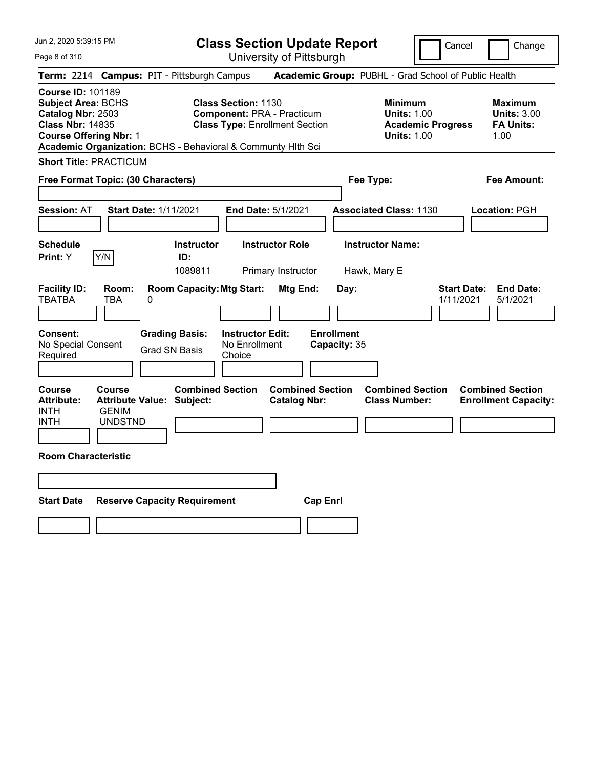**Class Section Update Report** University of Pittsburgh

Cancel Change

Page 8 of 310

|                                                                                                                                        | Term: 2214 Campus: PIT - Pittsburgh Campus                  |                                                                                                                                                                          | Academic Group: PUBHL - Grad School of Public Health                                   |                                                                  |
|----------------------------------------------------------------------------------------------------------------------------------------|-------------------------------------------------------------|--------------------------------------------------------------------------------------------------------------------------------------------------------------------------|----------------------------------------------------------------------------------------|------------------------------------------------------------------|
| <b>Course ID: 101189</b><br><b>Subject Area: BCHS</b><br>Catalog Nbr: 2503<br><b>Class Nbr: 14835</b><br><b>Course Offering Nbr: 1</b> |                                                             | <b>Class Section: 1130</b><br><b>Component: PRA - Practicum</b><br><b>Class Type: Enrollment Section</b><br>Academic Organization: BCHS - Behavioral & Communty Hlth Sci | <b>Minimum</b><br><b>Units: 1.00</b><br><b>Academic Progress</b><br><b>Units: 1.00</b> | <b>Maximum</b><br><b>Units: 3.00</b><br><b>FA Units:</b><br>1.00 |
| <b>Short Title: PRACTICUM</b>                                                                                                          |                                                             |                                                                                                                                                                          |                                                                                        |                                                                  |
| Free Format Topic: (30 Characters)                                                                                                     |                                                             |                                                                                                                                                                          | Fee Type:                                                                              | <b>Fee Amount:</b>                                               |
| <b>Session: AT</b>                                                                                                                     | Start Date: 1/11/2021                                       | <b>End Date: 5/1/2021</b>                                                                                                                                                | <b>Associated Class: 1130</b>                                                          | Location: PGH                                                    |
| <b>Schedule</b><br>Y/N<br>Print: Y                                                                                                     | <b>Instructor</b><br>ID:<br>1089811                         | <b>Instructor Role</b><br>Primary Instructor                                                                                                                             | <b>Instructor Name:</b><br>Hawk, Mary E                                                |                                                                  |
| <b>Facility ID:</b><br>Room:<br><b>TBATBA</b><br>TBA                                                                                   | <b>Room Capacity: Mtg Start:</b><br>0                       | Mtg End:                                                                                                                                                                 | <b>Start Date:</b><br>Day:<br>1/11/2021                                                | <b>End Date:</b><br>5/1/2021                                     |
| Consent:<br>No Special Consent<br>Required                                                                                             | <b>Grading Basis:</b><br><b>Grad SN Basis</b>               | <b>Instructor Edit:</b><br>No Enrollment<br>Choice                                                                                                                       | <b>Enrollment</b><br>Capacity: 35                                                      |                                                                  |
| Course<br>Course<br><b>Attribute:</b><br><b>GENIM</b><br><b>INTH</b><br><b>INTH</b><br><b>UNDSTND</b>                                  | <b>Combined Section</b><br><b>Attribute Value: Subject:</b> | <b>Combined Section</b><br><b>Catalog Nbr:</b>                                                                                                                           | <b>Combined Section</b><br><b>Class Number:</b>                                        | <b>Combined Section</b><br><b>Enrollment Capacity:</b>           |
| <b>Room Characteristic</b>                                                                                                             |                                                             |                                                                                                                                                                          |                                                                                        |                                                                  |
|                                                                                                                                        |                                                             |                                                                                                                                                                          |                                                                                        |                                                                  |
| <b>Start Date</b>                                                                                                                      | <b>Reserve Capacity Requirement</b>                         | <b>Cap Enrl</b>                                                                                                                                                          |                                                                                        |                                                                  |
|                                                                                                                                        |                                                             |                                                                                                                                                                          |                                                                                        |                                                                  |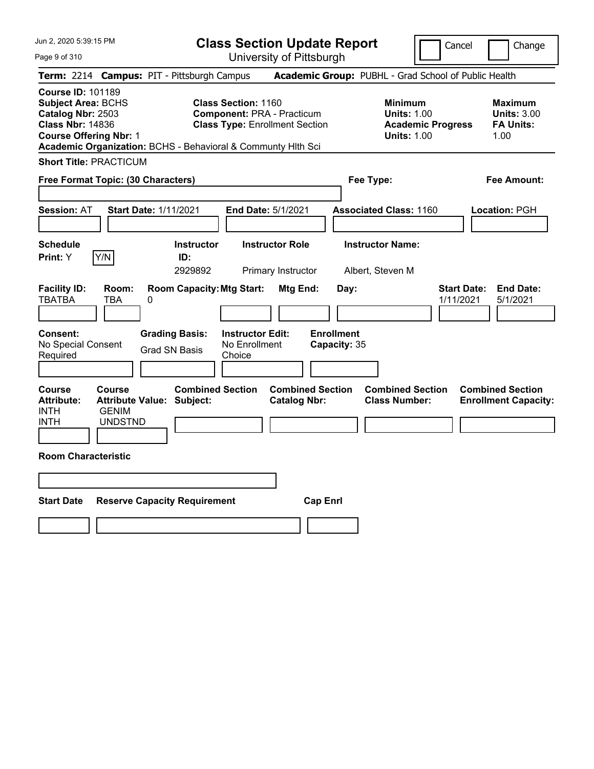Page 9 of 310

**Class Section Update Report**

Cancel **Change** 

|                                                                                                                                                                                                        |                                                 |                                                                                        |                                                                                                          | UNIVUUTIY UN NIUDUNIYN                         |                                           |                                                                                        |                                 |                                                           |
|--------------------------------------------------------------------------------------------------------------------------------------------------------------------------------------------------------|-------------------------------------------------|----------------------------------------------------------------------------------------|----------------------------------------------------------------------------------------------------------|------------------------------------------------|-------------------------------------------|----------------------------------------------------------------------------------------|---------------------------------|-----------------------------------------------------------|
|                                                                                                                                                                                                        |                                                 | Term: 2214 Campus: PIT - Pittsburgh Campus                                             |                                                                                                          |                                                |                                           | Academic Group: PUBHL - Grad School of Public Health                                   |                                 |                                                           |
| <b>Course ID: 101189</b><br><b>Subject Area: BCHS</b><br>Catalog Nbr: 2503<br><b>Class Nbr: 14836</b><br><b>Course Offering Nbr: 1</b><br>Academic Organization: BCHS - Behavioral & Communty Hlth Sci |                                                 |                                                                                        | <b>Class Section: 1160</b><br><b>Component: PRA - Practicum</b><br><b>Class Type: Enrollment Section</b> |                                                |                                           | <b>Minimum</b><br><b>Units: 1.00</b><br><b>Academic Progress</b><br><b>Units: 1.00</b> |                                 | Maximum<br><b>Units: 3.00</b><br><b>FA Units:</b><br>1.00 |
| <b>Short Title: PRACTICUM</b>                                                                                                                                                                          |                                                 |                                                                                        |                                                                                                          |                                                |                                           |                                                                                        |                                 |                                                           |
| Free Format Topic: (30 Characters)                                                                                                                                                                     |                                                 |                                                                                        |                                                                                                          |                                                | Fee Type:                                 |                                                                                        |                                 | Fee Amount:                                               |
| <b>Session:</b> AT                                                                                                                                                                                     |                                                 | <b>Start Date: 1/11/2021</b>                                                           |                                                                                                          | End Date: 5/1/2021                             |                                           | <b>Associated Class: 1160</b>                                                          |                                 | Location: PGH                                             |
| <b>Schedule</b><br>Print: Y                                                                                                                                                                            | Y/N                                             | <b>Instructor</b><br>ID:<br>2929892                                                    |                                                                                                          | <b>Instructor Role</b><br>Primary Instructor   |                                           | <b>Instructor Name:</b><br>Albert, Steven M                                            |                                 |                                                           |
| <b>Facility ID:</b><br><b>TBATBA</b><br><b>Consent:</b><br>No Special Consent<br>Required                                                                                                              | Room:<br>TBA                                    | <b>Room Capacity: Mtg Start:</b><br>0<br><b>Grading Basis:</b><br><b>Grad SN Basis</b> | <b>Instructor Edit:</b><br>No Enrollment<br>Choice                                                       | Mtg End:                                       | Day:<br><b>Enrollment</b><br>Capacity: 35 |                                                                                        | <b>Start Date:</b><br>1/11/2021 | <b>End Date:</b><br>5/1/2021                              |
| <b>Course</b><br><b>Attribute:</b><br><b>INTH</b><br><b>INTH</b>                                                                                                                                       | <b>Course</b><br><b>GENIM</b><br><b>UNDSTND</b> | <b>Combined Section</b><br><b>Attribute Value: Subject:</b>                            |                                                                                                          | <b>Combined Section</b><br><b>Catalog Nbr:</b> |                                           | <b>Combined Section</b><br><b>Class Number:</b>                                        |                                 | <b>Combined Section</b><br><b>Enrollment Capacity:</b>    |
| <b>Room Characteristic</b>                                                                                                                                                                             |                                                 |                                                                                        |                                                                                                          |                                                |                                           |                                                                                        |                                 |                                                           |
|                                                                                                                                                                                                        |                                                 |                                                                                        |                                                                                                          |                                                |                                           |                                                                                        |                                 |                                                           |
| <b>Start Date</b>                                                                                                                                                                                      |                                                 | <b>Reserve Capacity Requirement</b>                                                    |                                                                                                          | <b>Cap Enrl</b>                                |                                           |                                                                                        |                                 |                                                           |
|                                                                                                                                                                                                        |                                                 |                                                                                        |                                                                                                          |                                                |                                           |                                                                                        |                                 |                                                           |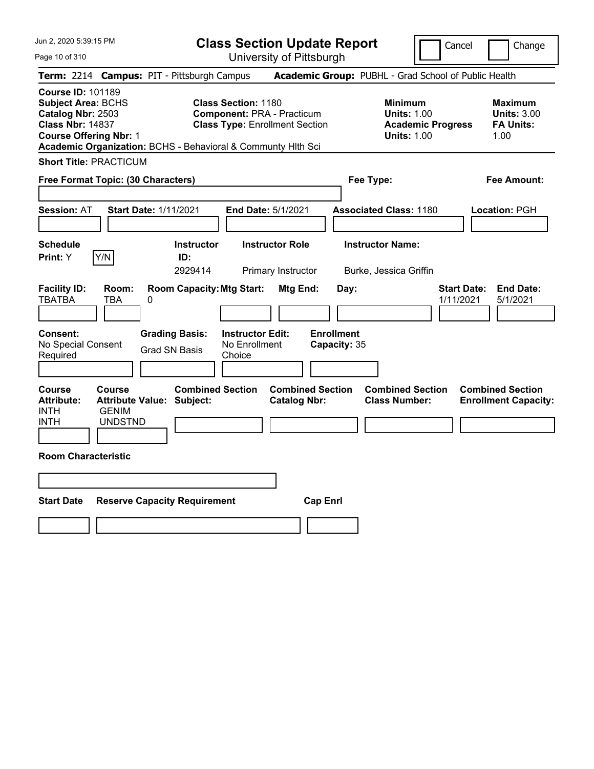**Class Section Update Report** University of Pittsburgh

Cancel Change

Page 10 of 310

|                                                                                                                                        | <b>Term: 2214 Campus: PIT - Pittsburgh Campus</b>                                                                                                                        | <b>Academic Group: PUBHL - Grad School of Public Health</b>                                       |                                                                 |
|----------------------------------------------------------------------------------------------------------------------------------------|--------------------------------------------------------------------------------------------------------------------------------------------------------------------------|---------------------------------------------------------------------------------------------------|-----------------------------------------------------------------|
| <b>Course ID: 101189</b><br><b>Subject Area: BCHS</b><br>Catalog Nbr: 2503<br><b>Class Nbr: 14837</b><br><b>Course Offering Nbr: 1</b> | <b>Class Section: 1180</b><br><b>Component: PRA - Practicum</b><br><b>Class Type: Enrollment Section</b><br>Academic Organization: BCHS - Behavioral & Communty Hith Sci | <b>Minimum</b><br><b>Units: 1.00</b><br><b>Academic Progress</b><br><b>Units: 1.00</b>            | Maximum<br><b>Units: 3.00</b><br><b>FA Units:</b><br>1.00       |
| <b>Short Title: PRACTICUM</b>                                                                                                          |                                                                                                                                                                          |                                                                                                   |                                                                 |
| Free Format Topic: (30 Characters)                                                                                                     |                                                                                                                                                                          | Fee Type:                                                                                         | <b>Fee Amount:</b>                                              |
| Session: AT                                                                                                                            | Start Date: 1/11/2021<br>End Date: 5/1/2021                                                                                                                              | <b>Associated Class: 1180</b>                                                                     | Location: PGH                                                   |
| <b>Schedule</b><br>Y/N<br>Print: Y                                                                                                     | <b>Instructor Role</b><br><b>Instructor</b><br>ID:<br>2929414<br>Primary Instructor                                                                                      | <b>Instructor Name:</b><br>Burke, Jessica Griffin                                                 |                                                                 |
| <b>Facility ID:</b><br>Room:<br><b>TBATBA</b><br>TBA                                                                                   | <b>Room Capacity: Mtg Start:</b><br>0                                                                                                                                    | Mtg End:<br>Day:                                                                                  | <b>Start Date:</b><br><b>End Date:</b><br>1/11/2021<br>5/1/2021 |
| <b>Consent:</b><br>No Special Consent<br>Required                                                                                      | <b>Grading Basis:</b><br><b>Instructor Edit:</b><br>No Enrollment<br><b>Grad SN Basis</b><br>Choice                                                                      | <b>Enrollment</b><br>Capacity: 35                                                                 |                                                                 |
| <b>Course</b><br><b>Course</b><br><b>Attribute:</b><br><b>INTH</b><br><b>GENIM</b><br><b>INTH</b><br><b>UNDSTND</b>                    | <b>Combined Section</b><br><b>Attribute Value: Subject:</b>                                                                                                              | <b>Combined Section</b><br><b>Combined Section</b><br><b>Class Number:</b><br><b>Catalog Nbr:</b> | <b>Combined Section</b><br><b>Enrollment Capacity:</b>          |
| <b>Room Characteristic</b>                                                                                                             |                                                                                                                                                                          |                                                                                                   |                                                                 |
|                                                                                                                                        |                                                                                                                                                                          |                                                                                                   |                                                                 |
| <b>Start Date</b>                                                                                                                      | <b>Reserve Capacity Requirement</b>                                                                                                                                      | <b>Cap Enrl</b>                                                                                   |                                                                 |
|                                                                                                                                        |                                                                                                                                                                          |                                                                                                   |                                                                 |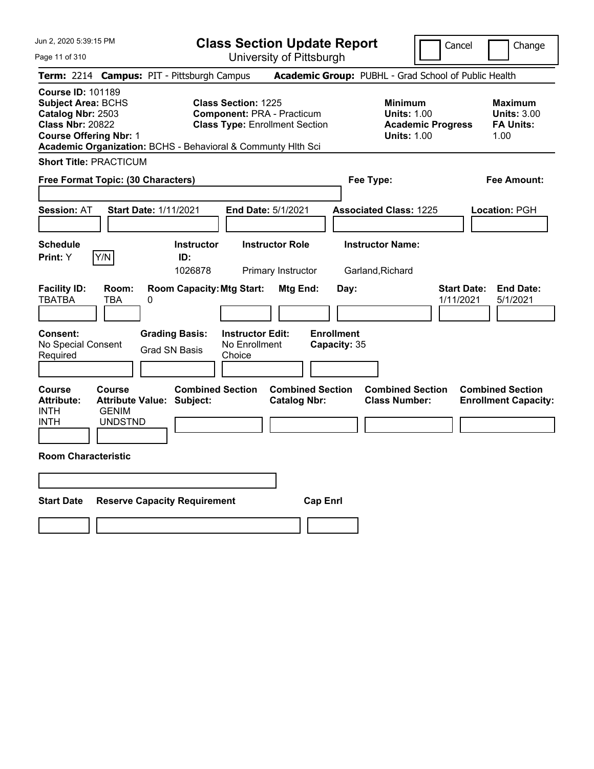**Class Section Update Report** University of Pittsburgh

Cancel Change

Page 11 of 310

| <b>Term: 2214 Campus: PIT - Pittsburgh Campus</b>                                                                                                                                                      |                                                 |                                               |                            |                                                    |                                                                            |                 |                                   |                                             |                                                                                        |                                 | <b>Academic Group: PUBHL - Grad School of Public Health</b> |
|--------------------------------------------------------------------------------------------------------------------------------------------------------------------------------------------------------|-------------------------------------------------|-----------------------------------------------|----------------------------|----------------------------------------------------|----------------------------------------------------------------------------|-----------------|-----------------------------------|---------------------------------------------|----------------------------------------------------------------------------------------|---------------------------------|-------------------------------------------------------------|
| <b>Course ID: 101189</b><br><b>Subject Area: BCHS</b><br>Catalog Nbr: 2503<br><b>Class Nbr: 20822</b><br><b>Course Offering Nbr: 1</b><br>Academic Organization: BCHS - Behavioral & Communty Hlth Sci |                                                 |                                               | <b>Class Section: 1225</b> |                                                    | <b>Component: PRA - Practicum</b><br><b>Class Type: Enrollment Section</b> |                 |                                   |                                             | <b>Minimum</b><br><b>Units: 1.00</b><br><b>Academic Progress</b><br><b>Units: 1.00</b> |                                 | Maximum<br><b>Units: 3.00</b><br><b>FA Units:</b><br>1.00   |
| <b>Short Title: PRACTICUM</b>                                                                                                                                                                          |                                                 |                                               |                            |                                                    |                                                                            |                 |                                   |                                             |                                                                                        |                                 |                                                             |
| Free Format Topic: (30 Characters)                                                                                                                                                                     |                                                 |                                               |                            |                                                    |                                                                            |                 |                                   | Fee Type:                                   |                                                                                        |                                 | <b>Fee Amount:</b>                                          |
| <b>Session: AT</b>                                                                                                                                                                                     |                                                 | <b>Start Date: 1/11/2021</b>                  |                            |                                                    | End Date: 5/1/2021                                                         |                 |                                   |                                             | <b>Associated Class: 1225</b>                                                          |                                 | Location: PGH                                               |
| <b>Schedule</b><br> Y/N <br>Print: Y                                                                                                                                                                   |                                                 | <b>Instructor</b><br>ID:<br>1026878           |                            |                                                    | <b>Instructor Role</b><br>Primary Instructor                               |                 |                                   | <b>Instructor Name:</b><br>Garland, Richard |                                                                                        |                                 |                                                             |
| <b>Facility ID:</b><br><b>TBATBA</b>                                                                                                                                                                   | Room:<br><b>TBA</b>                             | <b>Room Capacity: Mtg Start:</b><br>0         |                            |                                                    | Mtg End:                                                                   |                 | Day:                              |                                             |                                                                                        | <b>Start Date:</b><br>1/11/2021 | <b>End Date:</b><br>5/1/2021                                |
| Consent:<br>No Special Consent<br>Required                                                                                                                                                             |                                                 | <b>Grading Basis:</b><br><b>Grad SN Basis</b> |                            | <b>Instructor Edit:</b><br>No Enrollment<br>Choice |                                                                            |                 | <b>Enrollment</b><br>Capacity: 35 |                                             |                                                                                        |                                 |                                                             |
| <b>Course</b><br><b>Attribute:</b><br><b>INTH</b><br>INTH                                                                                                                                              | <b>Course</b><br><b>GENIM</b><br><b>UNDSTND</b> | <b>Attribute Value: Subject:</b>              | <b>Combined Section</b>    |                                                    | <b>Combined Section</b><br><b>Catalog Nbr:</b>                             |                 |                                   |                                             | <b>Combined Section</b><br><b>Class Number:</b>                                        |                                 | <b>Combined Section</b><br><b>Enrollment Capacity:</b>      |
| <b>Room Characteristic</b>                                                                                                                                                                             |                                                 |                                               |                            |                                                    |                                                                            |                 |                                   |                                             |                                                                                        |                                 |                                                             |
|                                                                                                                                                                                                        |                                                 |                                               |                            |                                                    |                                                                            |                 |                                   |                                             |                                                                                        |                                 |                                                             |
| <b>Start Date</b>                                                                                                                                                                                      |                                                 | <b>Reserve Capacity Requirement</b>           |                            |                                                    |                                                                            | <b>Cap Enrl</b> |                                   |                                             |                                                                                        |                                 |                                                             |
|                                                                                                                                                                                                        |                                                 |                                               |                            |                                                    |                                                                            |                 |                                   |                                             |                                                                                        |                                 |                                                             |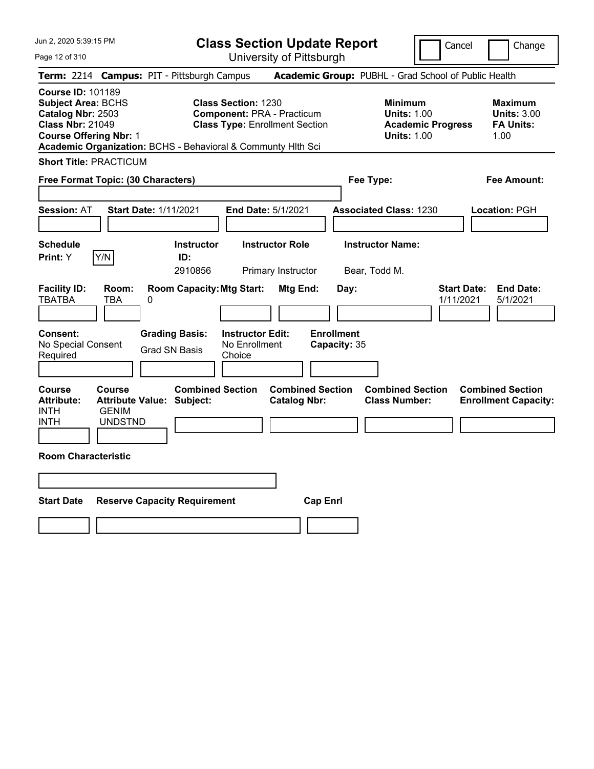**Class Section Update Report** University of Pittsburgh

Cancel Change

Page 12 of 310

|                                                                                                                                        | <b>Term: 2214 Campus: PIT - Pittsburgh Campus</b>                                                                                                                        | <b>Academic Group: PUBHL - Grad School of Public Health</b>                            |                                                           |
|----------------------------------------------------------------------------------------------------------------------------------------|--------------------------------------------------------------------------------------------------------------------------------------------------------------------------|----------------------------------------------------------------------------------------|-----------------------------------------------------------|
| <b>Course ID: 101189</b><br><b>Subject Area: BCHS</b><br>Catalog Nbr: 2503<br><b>Class Nbr: 21049</b><br><b>Course Offering Nbr: 1</b> | <b>Class Section: 1230</b><br><b>Component: PRA - Practicum</b><br><b>Class Type: Enrollment Section</b><br>Academic Organization: BCHS - Behavioral & Communty Hlth Sci | <b>Minimum</b><br><b>Units: 1.00</b><br><b>Academic Progress</b><br><b>Units: 1.00</b> | Maximum<br><b>Units: 3.00</b><br><b>FA Units:</b><br>1.00 |
| <b>Short Title: PRACTICUM</b>                                                                                                          |                                                                                                                                                                          |                                                                                        |                                                           |
| Free Format Topic: (30 Characters)                                                                                                     |                                                                                                                                                                          | Fee Type:                                                                              | <b>Fee Amount:</b>                                        |
| Session: AT                                                                                                                            | Start Date: 1/11/2021<br>End Date: 5/1/2021                                                                                                                              | <b>Associated Class: 1230</b>                                                          | Location: PGH                                             |
| <b>Schedule</b><br>Y/N<br>Print: Y                                                                                                     | <b>Instructor Role</b><br><b>Instructor</b><br>ID:<br>2910856<br>Primary Instructor                                                                                      | <b>Instructor Name:</b><br>Bear, Todd M.                                               |                                                           |
| <b>Facility ID:</b><br>Room:<br><b>TBATBA</b><br>TBA                                                                                   | <b>Room Capacity: Mtg Start:</b><br>Mtg End:<br>0                                                                                                                        | <b>Start Date:</b><br>Day:<br>1/11/2021                                                | <b>End Date:</b><br>5/1/2021                              |
| Consent:<br>No Special Consent<br>Required                                                                                             | <b>Grading Basis:</b><br><b>Instructor Edit:</b><br>No Enrollment<br><b>Grad SN Basis</b><br>Choice                                                                      | <b>Enrollment</b><br>Capacity: 35                                                      |                                                           |
| <b>Course</b><br>Course<br><b>Attribute:</b><br><b>GENIM</b><br><b>INTH</b><br><b>INTH</b><br><b>UNDSTND</b>                           | <b>Combined Section</b><br><b>Attribute Value: Subject:</b><br><b>Catalog Nbr:</b>                                                                                       | <b>Combined Section</b><br><b>Combined Section</b><br><b>Class Number:</b>             | <b>Combined Section</b><br><b>Enrollment Capacity:</b>    |
| <b>Room Characteristic</b>                                                                                                             |                                                                                                                                                                          |                                                                                        |                                                           |
|                                                                                                                                        |                                                                                                                                                                          |                                                                                        |                                                           |
| <b>Start Date</b>                                                                                                                      | <b>Reserve Capacity Requirement</b>                                                                                                                                      | <b>Cap Enrl</b>                                                                        |                                                           |
|                                                                                                                                        |                                                                                                                                                                          |                                                                                        |                                                           |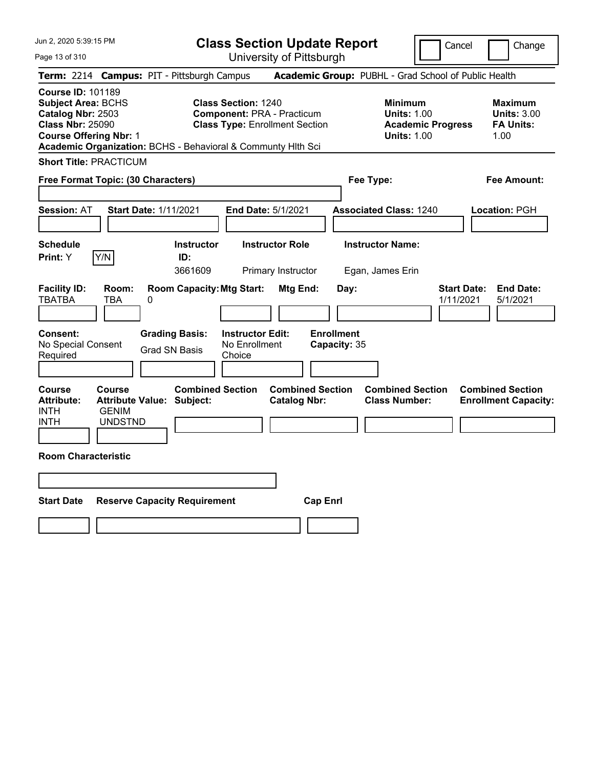**Class Section Update Report** University of Pittsburgh

Cancel Change

Page 13 of 310

|                                                                  |                                                                                                                                                                                                                                                                                                                                                     | Term: 2214 Campus: PIT - Pittsburgh Campus                  |                                                    |                                                |                                   | Academic Group: PUBHL - Grad School of Public Health                                                                                                       |                                 |                                                        |
|------------------------------------------------------------------|-----------------------------------------------------------------------------------------------------------------------------------------------------------------------------------------------------------------------------------------------------------------------------------------------------------------------------------------------------|-------------------------------------------------------------|----------------------------------------------------|------------------------------------------------|-----------------------------------|------------------------------------------------------------------------------------------------------------------------------------------------------------|---------------------------------|--------------------------------------------------------|
|                                                                  | <b>Course ID: 101189</b><br><b>Subject Area: BCHS</b><br><b>Class Section: 1240</b><br>Catalog Nbr: 2503<br><b>Component: PRA - Practicum</b><br><b>Class Nbr: 25090</b><br><b>Class Type: Enrollment Section</b><br><b>Course Offering Nbr: 1</b><br>Academic Organization: BCHS - Behavioral & Communty Hith Sci<br><b>Short Title: PRACTICUM</b> |                                                             |                                                    |                                                |                                   | <b>Minimum</b><br><b>Maximum</b><br><b>Units: 3.00</b><br><b>Units: 1.00</b><br><b>FA Units:</b><br><b>Academic Progress</b><br><b>Units: 1.00</b><br>1.00 |                                 |                                                        |
|                                                                  |                                                                                                                                                                                                                                                                                                                                                     |                                                             |                                                    |                                                |                                   |                                                                                                                                                            |                                 |                                                        |
|                                                                  |                                                                                                                                                                                                                                                                                                                                                     | Free Format Topic: (30 Characters)                          |                                                    |                                                | Fee Type:                         |                                                                                                                                                            |                                 | <b>Fee Amount:</b>                                     |
| Session: AT                                                      |                                                                                                                                                                                                                                                                                                                                                     | <b>Start Date: 1/11/2021</b>                                | End Date: 5/1/2021                                 |                                                |                                   | <b>Associated Class: 1240</b>                                                                                                                              |                                 | Location: PGH                                          |
| Schedule<br>Print: Y                                             | Y/N                                                                                                                                                                                                                                                                                                                                                 | <b>Instructor</b><br>ID:<br>3661609                         |                                                    | <b>Instructor Role</b><br>Primary Instructor   |                                   | <b>Instructor Name:</b><br>Egan, James Erin                                                                                                                |                                 |                                                        |
| <b>Facility ID:</b><br><b>TBATBA</b>                             | Room:<br><b>TBA</b>                                                                                                                                                                                                                                                                                                                                 | <b>Room Capacity: Mtg Start:</b><br>0                       |                                                    | Mtg End:                                       | Day:                              |                                                                                                                                                            | <b>Start Date:</b><br>1/11/2021 | <b>End Date:</b><br>5/1/2021                           |
| Consent:<br>No Special Consent<br>Required                       |                                                                                                                                                                                                                                                                                                                                                     | <b>Grading Basis:</b><br><b>Grad SN Basis</b>               | <b>Instructor Edit:</b><br>No Enrollment<br>Choice |                                                | <b>Enrollment</b><br>Capacity: 35 |                                                                                                                                                            |                                 |                                                        |
| <b>Course</b><br><b>Attribute:</b><br><b>INTH</b><br><b>INTH</b> | Course<br><b>GENIM</b><br><b>UNDSTND</b>                                                                                                                                                                                                                                                                                                            | <b>Combined Section</b><br><b>Attribute Value: Subject:</b> |                                                    | <b>Combined Section</b><br><b>Catalog Nbr:</b> |                                   | <b>Combined Section</b><br><b>Class Number:</b>                                                                                                            |                                 | <b>Combined Section</b><br><b>Enrollment Capacity:</b> |
| <b>Room Characteristic</b>                                       |                                                                                                                                                                                                                                                                                                                                                     |                                                             |                                                    |                                                |                                   |                                                                                                                                                            |                                 |                                                        |
| <b>Start Date</b>                                                |                                                                                                                                                                                                                                                                                                                                                     | <b>Reserve Capacity Requirement</b>                         |                                                    | <b>Cap Enrl</b>                                |                                   |                                                                                                                                                            |                                 |                                                        |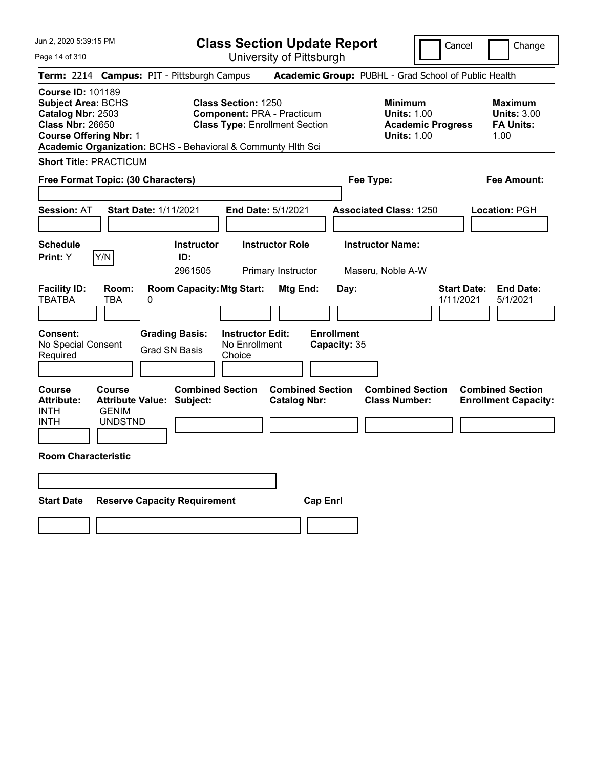**Class Section Update Report** University of Pittsburgh

Cancel Change

Page 14 of 310

| <b>Term: 2214 Campus: PIT - Pittsburgh Campus</b>                                                                                                                                                      |                                          |                                               |                                     |                                                                                                          |                                                |                 |                                   |                                                 |                                                                      |                                 | <b>Academic Group: PUBHL - Grad School of Public Health</b> |
|--------------------------------------------------------------------------------------------------------------------------------------------------------------------------------------------------------|------------------------------------------|-----------------------------------------------|-------------------------------------|----------------------------------------------------------------------------------------------------------|------------------------------------------------|-----------------|-----------------------------------|-------------------------------------------------|----------------------------------------------------------------------|---------------------------------|-------------------------------------------------------------|
| <b>Course ID: 101189</b><br><b>Subject Area: BCHS</b><br>Catalog Nbr: 2503<br><b>Class Nbr: 26650</b><br><b>Course Offering Nbr: 1</b><br>Academic Organization: BCHS - Behavioral & Communty Hith Sci |                                          |                                               |                                     | <b>Class Section: 1250</b><br><b>Component: PRA - Practicum</b><br><b>Class Type: Enrollment Section</b> |                                                |                 |                                   | <b>Minimum</b>                                  | <b>Units: 1.00</b><br><b>Academic Progress</b><br><b>Units: 1.00</b> |                                 | Maximum<br><b>Units: 3.00</b><br><b>FA Units:</b><br>1.00   |
| <b>Short Title: PRACTICUM</b>                                                                                                                                                                          |                                          |                                               |                                     |                                                                                                          |                                                |                 |                                   |                                                 |                                                                      |                                 |                                                             |
| Free Format Topic: (30 Characters)                                                                                                                                                                     |                                          |                                               |                                     |                                                                                                          |                                                |                 |                                   | Fee Type:                                       |                                                                      |                                 | Fee Amount:                                                 |
| <b>Session: AT</b>                                                                                                                                                                                     |                                          | <b>Start Date: 1/11/2021</b>                  |                                     | End Date: 5/1/2021                                                                                       |                                                |                 |                                   | <b>Associated Class: 1250</b>                   |                                                                      |                                 | Location: PGH                                               |
| <b>Schedule</b><br> Y/N <br>Print: Y                                                                                                                                                                   |                                          |                                               | Instructor<br>ID:<br>2961505        |                                                                                                          | <b>Instructor Role</b><br>Primary Instructor   |                 |                                   | <b>Instructor Name:</b><br>Maseru, Noble A-W    |                                                                      |                                 |                                                             |
| <b>Facility ID:</b><br><b>TBATBA</b>                                                                                                                                                                   | Room:<br>TBA                             | 0                                             |                                     | <b>Room Capacity: Mtg Start:</b>                                                                         | Mtg End:                                       |                 | Day:                              |                                                 |                                                                      | <b>Start Date:</b><br>1/11/2021 | <b>End Date:</b><br>5/1/2021                                |
| Consent:<br>No Special Consent<br>Required                                                                                                                                                             |                                          | <b>Grading Basis:</b><br><b>Grad SN Basis</b> |                                     | <b>Instructor Edit:</b><br>No Enrollment<br>Choice                                                       |                                                |                 | <b>Enrollment</b><br>Capacity: 35 |                                                 |                                                                      |                                 |                                                             |
| <b>Course</b><br><b>Attribute:</b><br><b>INTH</b><br><b>INTH</b>                                                                                                                                       | Course<br><b>GENIM</b><br><b>UNDSTND</b> | <b>Attribute Value: Subject:</b>              | <b>Combined Section</b>             |                                                                                                          | <b>Combined Section</b><br><b>Catalog Nbr:</b> |                 |                                   | <b>Combined Section</b><br><b>Class Number:</b> |                                                                      |                                 | <b>Combined Section</b><br><b>Enrollment Capacity:</b>      |
| <b>Room Characteristic</b>                                                                                                                                                                             |                                          |                                               |                                     |                                                                                                          |                                                |                 |                                   |                                                 |                                                                      |                                 |                                                             |
|                                                                                                                                                                                                        |                                          |                                               |                                     |                                                                                                          |                                                |                 |                                   |                                                 |                                                                      |                                 |                                                             |
| <b>Start Date</b>                                                                                                                                                                                      |                                          |                                               | <b>Reserve Capacity Requirement</b> |                                                                                                          |                                                | <b>Cap Enrl</b> |                                   |                                                 |                                                                      |                                 |                                                             |
|                                                                                                                                                                                                        |                                          |                                               |                                     |                                                                                                          |                                                |                 |                                   |                                                 |                                                                      |                                 |                                                             |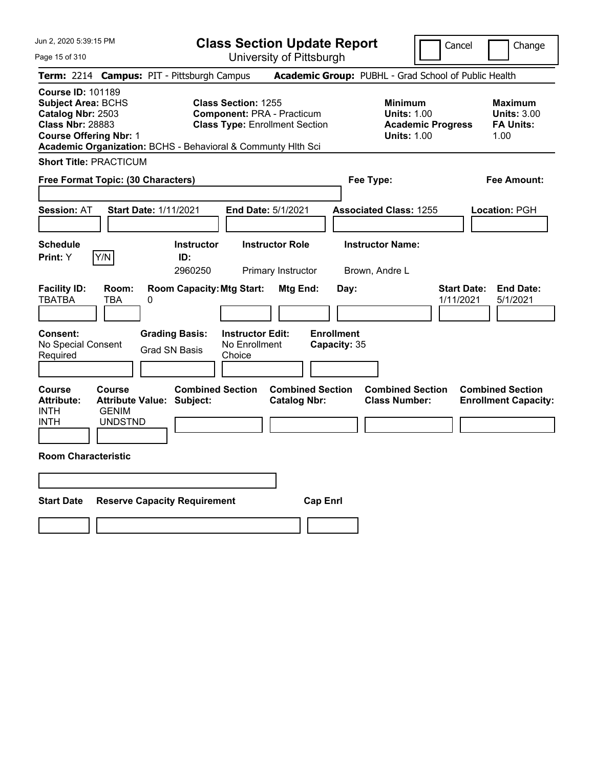**Class Section Update Report** University of Pittsburgh

Cancel Change

Page 15 of 310

| Term: 2214 Campus: PIT - Pittsburgh Campus                                                                                                                                                             |                                                                              |                              |                                               |                                                    |                                                                            |                                   |           | Academic Group: PUBHL - Grad School of Public Health                                   |                                 |                                                                  |
|--------------------------------------------------------------------------------------------------------------------------------------------------------------------------------------------------------|------------------------------------------------------------------------------|------------------------------|-----------------------------------------------|----------------------------------------------------|----------------------------------------------------------------------------|-----------------------------------|-----------|----------------------------------------------------------------------------------------|---------------------------------|------------------------------------------------------------------|
| <b>Course ID: 101189</b><br><b>Subject Area: BCHS</b><br>Catalog Nbr: 2503<br><b>Class Nbr: 28883</b><br><b>Course Offering Nbr: 1</b><br>Academic Organization: BCHS - Behavioral & Communty Hlth Sci |                                                                              |                              |                                               | <b>Class Section: 1255</b>                         | <b>Component: PRA - Practicum</b><br><b>Class Type: Enrollment Section</b> |                                   |           | <b>Minimum</b><br><b>Units: 1.00</b><br><b>Academic Progress</b><br><b>Units: 1.00</b> |                                 | <b>Maximum</b><br><b>Units: 3.00</b><br><b>FA Units:</b><br>1.00 |
| <b>Short Title: PRACTICUM</b>                                                                                                                                                                          |                                                                              |                              |                                               |                                                    |                                                                            |                                   |           |                                                                                        |                                 |                                                                  |
| Free Format Topic: (30 Characters)                                                                                                                                                                     |                                                                              |                              |                                               |                                                    |                                                                            |                                   | Fee Type: |                                                                                        |                                 | <b>Fee Amount:</b>                                               |
| <b>Session: AT</b>                                                                                                                                                                                     |                                                                              | <b>Start Date: 1/11/2021</b> |                                               |                                                    | End Date: 5/1/2021                                                         |                                   |           | <b>Associated Class: 1255</b>                                                          |                                 | Location: PGH                                                    |
| <b>Schedule</b><br>Print: Y                                                                                                                                                                            | Y/N                                                                          |                              | Instructor<br>ID:<br>2960250                  |                                                    | <b>Instructor Role</b><br>Primary Instructor                               |                                   |           | <b>Instructor Name:</b><br>Brown, Andre L                                              |                                 |                                                                  |
| <b>Facility ID:</b><br><b>TBATBA</b>                                                                                                                                                                   | Room:<br><b>TBA</b>                                                          | 0                            | <b>Room Capacity: Mtg Start:</b>              |                                                    | Mtg End:                                                                   |                                   | Day:      |                                                                                        | <b>Start Date:</b><br>1/11/2021 | <b>End Date:</b><br>5/1/2021                                     |
| <b>Consent:</b><br>No Special Consent<br>Required                                                                                                                                                      |                                                                              |                              | <b>Grading Basis:</b><br><b>Grad SN Basis</b> | <b>Instructor Edit:</b><br>No Enrollment<br>Choice |                                                                            | <b>Enrollment</b><br>Capacity: 35 |           |                                                                                        |                                 |                                                                  |
| <b>Course</b><br><b>Attribute:</b><br><b>INTH</b><br><b>INTH</b>                                                                                                                                       | Course<br><b>Attribute Value: Subject:</b><br><b>GENIM</b><br><b>UNDSTND</b> |                              | <b>Combined Section</b>                       |                                                    | <b>Combined Section</b><br><b>Catalog Nbr:</b>                             |                                   |           | <b>Combined Section</b><br><b>Class Number:</b>                                        |                                 | <b>Combined Section</b><br><b>Enrollment Capacity:</b>           |
| <b>Room Characteristic</b>                                                                                                                                                                             |                                                                              |                              |                                               |                                                    |                                                                            |                                   |           |                                                                                        |                                 |                                                                  |
|                                                                                                                                                                                                        |                                                                              |                              |                                               |                                                    |                                                                            |                                   |           |                                                                                        |                                 |                                                                  |
| <b>Start Date</b>                                                                                                                                                                                      |                                                                              |                              | <b>Reserve Capacity Requirement</b>           |                                                    |                                                                            | <b>Cap Enrl</b>                   |           |                                                                                        |                                 |                                                                  |
|                                                                                                                                                                                                        |                                                                              |                              |                                               |                                                    |                                                                            |                                   |           |                                                                                        |                                 |                                                                  |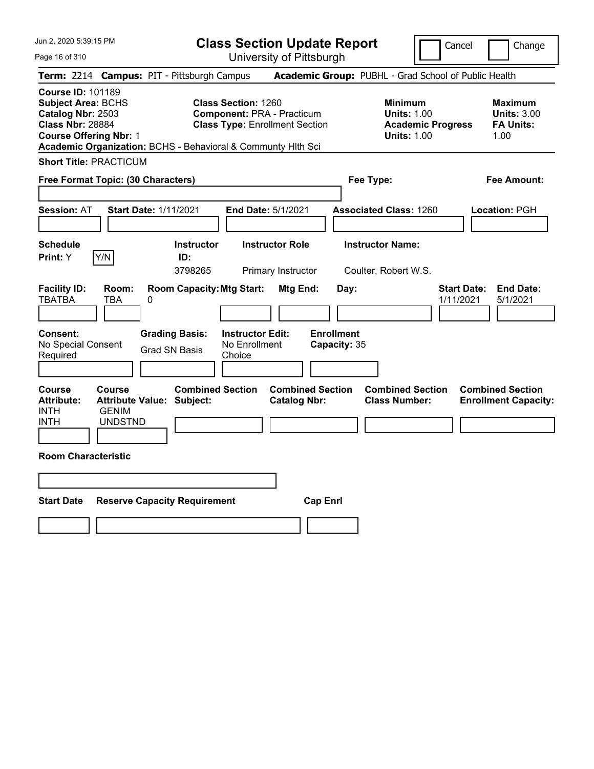Page 16 of 310

**Class Section Update Report**

Cancel Change

| Term: 2214 Campus: PIT - Pittsburgh Campus                                                                                                                                                             |                                                                              |                                                                |                              |                                                                                                          |                                                |                 |                           |                         | Academic Group: PUBHL - Grad School of Public Health                                   |                                 |  |                                                                  |
|--------------------------------------------------------------------------------------------------------------------------------------------------------------------------------------------------------|------------------------------------------------------------------------------|----------------------------------------------------------------|------------------------------|----------------------------------------------------------------------------------------------------------|------------------------------------------------|-----------------|---------------------------|-------------------------|----------------------------------------------------------------------------------------|---------------------------------|--|------------------------------------------------------------------|
| <b>Course ID: 101189</b><br><b>Subject Area: BCHS</b><br>Catalog Nbr: 2503<br><b>Class Nbr: 28884</b><br><b>Course Offering Nbr: 1</b><br>Academic Organization: BCHS - Behavioral & Communty Hlth Sci |                                                                              |                                                                |                              | <b>Class Section: 1260</b><br><b>Component: PRA - Practicum</b><br><b>Class Type: Enrollment Section</b> |                                                |                 |                           |                         | <b>Minimum</b><br><b>Units: 1.00</b><br><b>Academic Progress</b><br><b>Units: 1.00</b> |                                 |  | <b>Maximum</b><br><b>Units: 3.00</b><br><b>FA Units:</b><br>1.00 |
| <b>Short Title: PRACTICUM</b>                                                                                                                                                                          |                                                                              |                                                                |                              |                                                                                                          |                                                |                 |                           |                         |                                                                                        |                                 |  |                                                                  |
| Free Format Topic: (30 Characters)                                                                                                                                                                     |                                                                              |                                                                |                              |                                                                                                          | <b>Fee Amount:</b><br>Fee Type:                |                 |                           |                         |                                                                                        |                                 |  |                                                                  |
| <b>Session: AT</b>                                                                                                                                                                                     |                                                                              | <b>Start Date: 1/11/2021</b>                                   |                              | End Date: 5/1/2021                                                                                       |                                                |                 |                           |                         | <b>Associated Class: 1260</b>                                                          |                                 |  | Location: PGH                                                    |
| <b>Schedule</b><br><b>Print:</b> Y                                                                                                                                                                     | Y/N                                                                          | ID:                                                            | <b>Instructor</b><br>3798265 |                                                                                                          | <b>Instructor Role</b><br>Primary Instructor   |                 |                           | <b>Instructor Name:</b> | Coulter, Robert W.S.                                                                   |                                 |  |                                                                  |
| <b>Facility ID:</b><br><b>TBATBA</b><br>Consent:                                                                                                                                                       | Room:<br><b>TBA</b>                                                          | <b>Room Capacity: Mtg Start:</b><br>0<br><b>Grading Basis:</b> |                              | <b>Instructor Edit:</b>                                                                                  | Mtg End:                                       |                 | Day:<br><b>Enrollment</b> |                         |                                                                                        | <b>Start Date:</b><br>1/11/2021 |  | <b>End Date:</b><br>5/1/2021                                     |
| No Special Consent<br>Required                                                                                                                                                                         |                                                                              | <b>Grad SN Basis</b>                                           |                              | No Enrollment<br>Choice                                                                                  |                                                |                 | Capacity: 35              |                         |                                                                                        |                                 |  |                                                                  |
| Course<br><b>Attribute:</b><br><b>INTH</b><br><b>INTH</b>                                                                                                                                              | Course<br><b>Attribute Value: Subject:</b><br><b>GENIM</b><br><b>UNDSTND</b> |                                                                | <b>Combined Section</b>      |                                                                                                          | <b>Combined Section</b><br><b>Catalog Nbr:</b> |                 |                           |                         | <b>Combined Section</b><br><b>Class Number:</b>                                        |                                 |  | <b>Combined Section</b><br><b>Enrollment Capacity:</b>           |
| <b>Room Characteristic</b>                                                                                                                                                                             |                                                                              |                                                                |                              |                                                                                                          |                                                |                 |                           |                         |                                                                                        |                                 |  |                                                                  |
| <b>Start Date</b>                                                                                                                                                                                      | <b>Reserve Capacity Requirement</b>                                          |                                                                |                              |                                                                                                          |                                                | <b>Cap Enrl</b> |                           |                         |                                                                                        |                                 |  |                                                                  |
|                                                                                                                                                                                                        |                                                                              |                                                                |                              |                                                                                                          |                                                |                 |                           |                         |                                                                                        |                                 |  |                                                                  |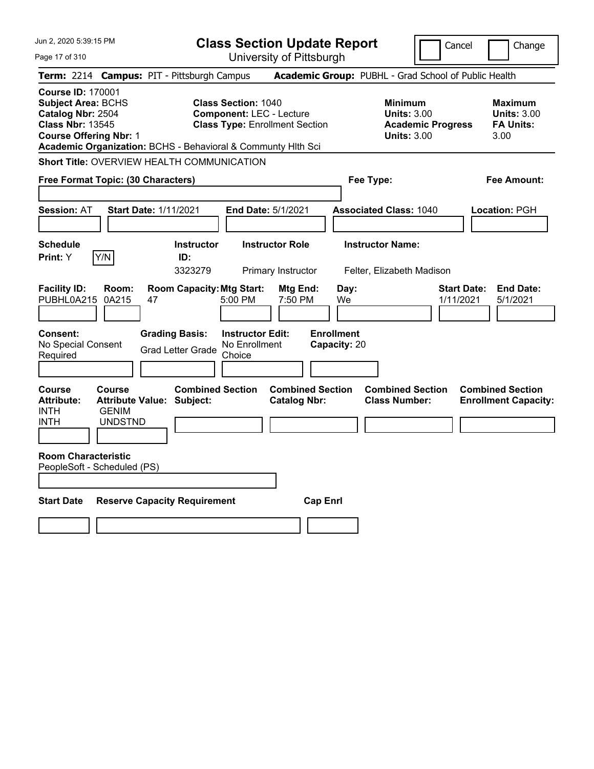| Jun 2, 2020 5:39:15 PM                                                                                                                 |                                          |                                                              | <b>Class Section Update Report</b><br>Cancel<br>Change                                                 |                                                |                                   |                                                            |                          |                                                                  |  |
|----------------------------------------------------------------------------------------------------------------------------------------|------------------------------------------|--------------------------------------------------------------|--------------------------------------------------------------------------------------------------------|------------------------------------------------|-----------------------------------|------------------------------------------------------------|--------------------------|------------------------------------------------------------------|--|
| Page 17 of 310                                                                                                                         |                                          |                                                              |                                                                                                        | University of Pittsburgh                       |                                   |                                                            |                          |                                                                  |  |
|                                                                                                                                        |                                          | Term: 2214 Campus: PIT - Pittsburgh Campus                   |                                                                                                        |                                                |                                   |                                                            |                          | Academic Group: PUBHL - Grad School of Public Health             |  |
| <b>Course ID: 170001</b><br><b>Subject Area: BCHS</b><br>Catalog Nbr: 2504<br><b>Class Nbr: 13545</b><br><b>Course Offering Nbr: 1</b> |                                          | Academic Organization: BCHS - Behavioral & Communty Hith Sci | <b>Class Section: 1040</b><br><b>Component: LEC - Lecture</b><br><b>Class Type: Enrollment Section</b> |                                                |                                   | <b>Minimum</b><br><b>Units: 3.00</b><br><b>Units: 3.00</b> | <b>Academic Progress</b> | <b>Maximum</b><br><b>Units: 3.00</b><br><b>FA Units:</b><br>3.00 |  |
|                                                                                                                                        |                                          | Short Title: OVERVIEW HEALTH COMMUNICATION                   |                                                                                                        |                                                |                                   |                                                            |                          |                                                                  |  |
| Free Format Topic: (30 Characters)                                                                                                     |                                          |                                                              |                                                                                                        |                                                | Fee Type:                         |                                                            |                          | Fee Amount:                                                      |  |
|                                                                                                                                        |                                          |                                                              |                                                                                                        |                                                |                                   |                                                            |                          |                                                                  |  |
| <b>Session: AT</b>                                                                                                                     |                                          | <b>Start Date: 1/11/2021</b>                                 | End Date: 5/1/2021                                                                                     |                                                | <b>Associated Class: 1040</b>     |                                                            |                          | Location: PGH                                                    |  |
|                                                                                                                                        |                                          |                                                              |                                                                                                        |                                                |                                   |                                                            |                          |                                                                  |  |
| <b>Schedule</b><br>Y/N<br>Print: Y                                                                                                     |                                          | <b>Instructor</b><br>ID:                                     | <b>Instructor Role</b>                                                                                 |                                                |                                   | <b>Instructor Name:</b>                                    |                          |                                                                  |  |
|                                                                                                                                        |                                          | 3323279                                                      |                                                                                                        | Primary Instructor                             |                                   | Felter, Elizabeth Madison                                  |                          |                                                                  |  |
| <b>Facility ID:</b><br>PUBHL0A215                                                                                                      | Room:<br>0A215                           | <b>Room Capacity: Mtg Start:</b><br>47                       | 5:00 PM                                                                                                | Mtg End:<br>7:50 PM                            | Day:<br>We                        |                                                            | 1/11/2021                | <b>Start Date:</b><br><b>End Date:</b><br>5/1/2021               |  |
| <b>Consent:</b><br>No Special Consent<br>Required                                                                                      |                                          | <b>Grading Basis:</b><br><b>Grad Letter Grade</b>            | <b>Instructor Edit:</b><br>No Enrollment<br>Choice                                                     |                                                | <b>Enrollment</b><br>Capacity: 20 |                                                            |                          |                                                                  |  |
| Course<br><b>Attribute:</b><br><b>INTH</b><br><b>INTH</b>                                                                              | Course<br><b>GENIM</b><br><b>UNDSTND</b> | <b>Combined Section</b><br><b>Attribute Value: Subject:</b>  |                                                                                                        | <b>Combined Section</b><br><b>Catalog Nbr:</b> |                                   | <b>Combined Section</b><br><b>Class Number:</b>            |                          | <b>Combined Section</b><br><b>Enrollment Capacity:</b>           |  |
| <b>Room Characteristic</b><br>PeopleSoft - Scheduled (PS)                                                                              |                                          |                                                              |                                                                                                        |                                                |                                   |                                                            |                          |                                                                  |  |
| <b>Start Date</b>                                                                                                                      |                                          | <b>Reserve Capacity Requirement</b>                          |                                                                                                        | <b>Cap Enrl</b>                                |                                   |                                                            |                          |                                                                  |  |
|                                                                                                                                        |                                          |                                                              |                                                                                                        |                                                |                                   |                                                            |                          |                                                                  |  |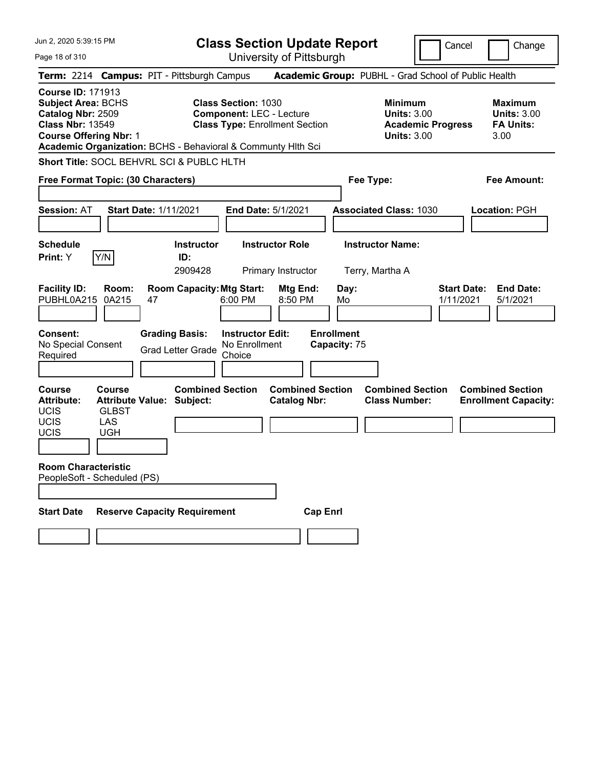| Jun 2, 2020 5:39:15 PM                                                                                                                 |                                                    |                                                              | <b>Class Section Update Report</b>                                                                     |                                                |                                                            | Cancel                          | Change                                                           |
|----------------------------------------------------------------------------------------------------------------------------------------|----------------------------------------------------|--------------------------------------------------------------|--------------------------------------------------------------------------------------------------------|------------------------------------------------|------------------------------------------------------------|---------------------------------|------------------------------------------------------------------|
| Page 18 of 310                                                                                                                         |                                                    |                                                              | University of Pittsburgh                                                                               |                                                |                                                            |                                 |                                                                  |
|                                                                                                                                        |                                                    | Term: 2214 Campus: PIT - Pittsburgh Campus                   |                                                                                                        |                                                | Academic Group: PUBHL - Grad School of Public Health       |                                 |                                                                  |
| <b>Course ID: 171913</b><br><b>Subject Area: BCHS</b><br>Catalog Nbr: 2509<br><b>Class Nbr: 13549</b><br><b>Course Offering Nbr: 1</b> |                                                    | Academic Organization: BCHS - Behavioral & Communty Hith Sci | <b>Class Section: 1030</b><br><b>Component: LEC - Lecture</b><br><b>Class Type: Enrollment Section</b> |                                                | <b>Minimum</b><br><b>Units: 3.00</b><br><b>Units: 3.00</b> | <b>Academic Progress</b>        | <b>Maximum</b><br><b>Units: 3.00</b><br><b>FA Units:</b><br>3.00 |
|                                                                                                                                        |                                                    | Short Title: SOCL BEHVRL SCI & PUBLC HLTH                    |                                                                                                        |                                                |                                                            |                                 |                                                                  |
|                                                                                                                                        | Free Format Topic: (30 Characters)                 |                                                              |                                                                                                        |                                                | Fee Type:                                                  |                                 | <b>Fee Amount:</b>                                               |
| <b>Session: AT</b>                                                                                                                     |                                                    | <b>Start Date: 1/11/2021</b>                                 | End Date: 5/1/2021                                                                                     |                                                | <b>Associated Class: 1030</b>                              |                                 | <b>Location: PGH</b>                                             |
| <b>Schedule</b>                                                                                                                        |                                                    | <b>Instructor</b>                                            | <b>Instructor Role</b>                                                                                 |                                                | <b>Instructor Name:</b>                                    |                                 |                                                                  |
| Print: Y                                                                                                                               | Y/N                                                | ID:                                                          |                                                                                                        |                                                |                                                            |                                 |                                                                  |
|                                                                                                                                        |                                                    | 2909428                                                      | Primary Instructor                                                                                     |                                                | Terry, Martha A                                            |                                 |                                                                  |
| <b>Facility ID:</b><br>PUBHL0A215                                                                                                      | Room:<br>0A215                                     | <b>Room Capacity: Mtg Start:</b><br>47                       | 6:00 PM<br>8:50 PM                                                                                     | Mtg End:<br>Day:<br>Mo                         |                                                            | <b>Start Date:</b><br>1/11/2021 | <b>End Date:</b><br>5/1/2021                                     |
| <b>Consent:</b><br>No Special Consent<br>Required                                                                                      |                                                    | <b>Grading Basis:</b><br><b>Grad Letter Grade</b>            | <b>Instructor Edit:</b><br>No Enrollment<br>Choice                                                     | <b>Enrollment</b><br>Capacity: 75              |                                                            |                                 |                                                                  |
| <b>Course</b><br><b>Attribute:</b><br><b>UCIS</b><br>UCIS<br>UCIS                                                                      | <b>Course</b><br><b>GLBST</b><br>LAS<br><b>UGH</b> | <b>Combined Section</b><br><b>Attribute Value: Subject:</b>  |                                                                                                        | <b>Combined Section</b><br><b>Catalog Nbr:</b> | <b>Combined Section</b><br><b>Class Number:</b>            |                                 | <b>Combined Section</b><br><b>Enrollment Capacity:</b>           |
|                                                                                                                                        |                                                    |                                                              |                                                                                                        |                                                |                                                            |                                 |                                                                  |
| <b>Room Characteristic</b>                                                                                                             | PeopleSoft - Scheduled (PS)                        |                                                              |                                                                                                        |                                                |                                                            |                                 |                                                                  |
|                                                                                                                                        |                                                    |                                                              |                                                                                                        |                                                |                                                            |                                 |                                                                  |
| <b>Start Date</b>                                                                                                                      |                                                    | <b>Reserve Capacity Requirement</b>                          |                                                                                                        | <b>Cap Enrl</b>                                |                                                            |                                 |                                                                  |
|                                                                                                                                        |                                                    |                                                              |                                                                                                        |                                                |                                                            |                                 |                                                                  |
|                                                                                                                                        |                                                    |                                                              |                                                                                                        |                                                |                                                            |                                 |                                                                  |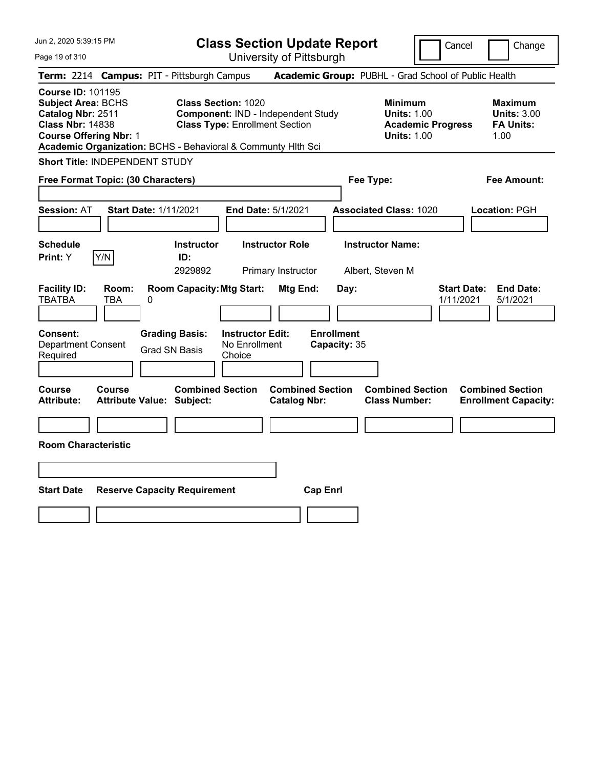| Jun 2, 2020 5:39:15 PM<br>Page 19 of 310                                                                                                                                                               | <b>Class Section Update Report</b><br>University of Pittsburgh                                            | Cancel<br>Change                                                                                                                                           |
|--------------------------------------------------------------------------------------------------------------------------------------------------------------------------------------------------------|-----------------------------------------------------------------------------------------------------------|------------------------------------------------------------------------------------------------------------------------------------------------------------|
| Term: 2214 Campus: PIT - Pittsburgh Campus                                                                                                                                                             |                                                                                                           | Academic Group: PUBHL - Grad School of Public Health                                                                                                       |
| <b>Course ID: 101195</b><br><b>Subject Area: BCHS</b><br>Catalog Nbr: 2511<br><b>Class Nbr: 14838</b><br><b>Course Offering Nbr: 1</b><br>Academic Organization: BCHS - Behavioral & Communty Hith Sci | <b>Class Section: 1020</b><br>Component: IND - Independent Study<br><b>Class Type: Enrollment Section</b> | <b>Minimum</b><br><b>Maximum</b><br><b>Units: 1.00</b><br><b>Units: 3.00</b><br><b>Academic Progress</b><br><b>FA Units:</b><br><b>Units: 1.00</b><br>1.00 |
| Short Title: INDEPENDENT STUDY                                                                                                                                                                         |                                                                                                           |                                                                                                                                                            |
| Free Format Topic: (30 Characters)                                                                                                                                                                     | Fee Type:                                                                                                 | <b>Fee Amount:</b>                                                                                                                                         |
| <b>Session: AT</b><br><b>Start Date: 1/11/2021</b>                                                                                                                                                     | End Date: 5/1/2021                                                                                        | <b>Associated Class: 1020</b><br>Location: PGH                                                                                                             |
| <b>Schedule</b><br>Y/N<br>Print: Y                                                                                                                                                                     | <b>Instructor</b><br><b>Instructor Role</b><br>ID:<br>2929892<br>Primary Instructor                       | <b>Instructor Name:</b><br>Albert, Steven M                                                                                                                |
| <b>Facility ID:</b><br>Room:<br><b>TBATBA</b><br>TBA<br>0                                                                                                                                              | <b>Room Capacity: Mtg Start:</b><br>Mtg End:<br>Day:                                                      | <b>Start Date:</b><br><b>End Date:</b><br>5/1/2021<br>1/11/2021                                                                                            |
| <b>Grading Basis:</b><br><b>Consent:</b><br><b>Department Consent</b><br><b>Grad SN Basis</b><br>Required                                                                                              | <b>Enrollment</b><br><b>Instructor Edit:</b><br>No Enrollment<br>Capacity: 35<br>Choice                   |                                                                                                                                                            |
| Course<br>Course<br><b>Attribute:</b><br><b>Attribute Value: Subject:</b>                                                                                                                              | <b>Combined Section</b><br><b>Combined Section</b><br><b>Catalog Nbr:</b>                                 | <b>Combined Section</b><br><b>Combined Section</b><br><b>Class Number:</b><br><b>Enrollment Capacity:</b>                                                  |
| <b>Room Characteristic</b>                                                                                                                                                                             |                                                                                                           |                                                                                                                                                            |
|                                                                                                                                                                                                        |                                                                                                           |                                                                                                                                                            |
|                                                                                                                                                                                                        |                                                                                                           |                                                                                                                                                            |
| <b>Start Date</b><br><b>Reserve Capacity Requirement</b>                                                                                                                                               | <b>Cap Enrl</b>                                                                                           |                                                                                                                                                            |
|                                                                                                                                                                                                        |                                                                                                           |                                                                                                                                                            |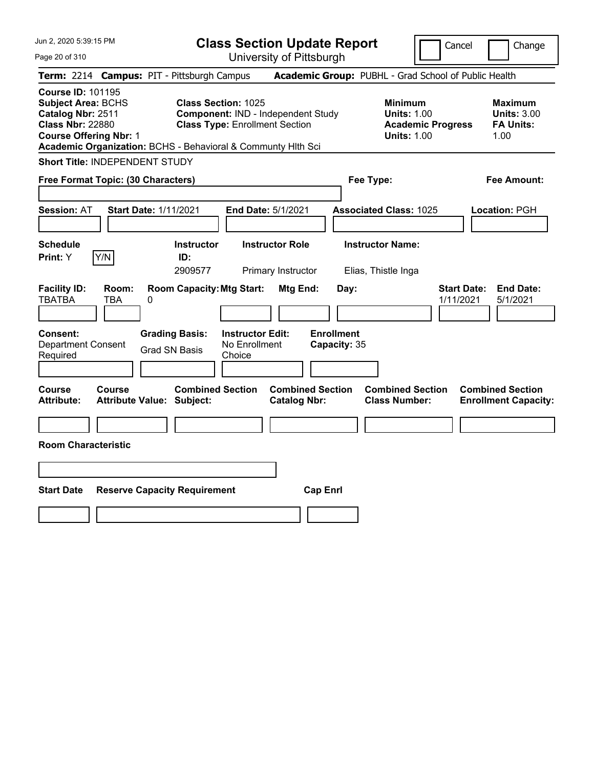| Jun 2, 2020 5:39:15 PM<br>Page 20 of 310                                                                                               | <b>Class Section Update Report</b><br>University of Pittsburgh                                                                                                            | Cancel<br>Change                                                                                                                                           |
|----------------------------------------------------------------------------------------------------------------------------------------|---------------------------------------------------------------------------------------------------------------------------------------------------------------------------|------------------------------------------------------------------------------------------------------------------------------------------------------------|
| Term: 2214 Campus: PIT - Pittsburgh Campus                                                                                             |                                                                                                                                                                           | Academic Group: PUBHL - Grad School of Public Health                                                                                                       |
| <b>Course ID: 101195</b><br><b>Subject Area: BCHS</b><br>Catalog Nbr: 2511<br><b>Class Nbr: 22880</b><br><b>Course Offering Nbr: 1</b> | <b>Class Section: 1025</b><br>Component: IND - Independent Study<br><b>Class Type: Enrollment Section</b><br>Academic Organization: BCHS - Behavioral & Communty Hith Sci | <b>Minimum</b><br><b>Maximum</b><br><b>Units: 1.00</b><br><b>Units: 3.00</b><br><b>Academic Progress</b><br><b>FA Units:</b><br><b>Units: 1.00</b><br>1.00 |
| <b>Short Title: INDEPENDENT STUDY</b>                                                                                                  |                                                                                                                                                                           |                                                                                                                                                            |
| Free Format Topic: (30 Characters)                                                                                                     |                                                                                                                                                                           | <b>Fee Amount:</b><br>Fee Type:                                                                                                                            |
| <b>Start Date: 1/11/2021</b><br><b>Session: AT</b>                                                                                     | End Date: 5/1/2021                                                                                                                                                        | <b>Associated Class: 1025</b><br>Location: PGH                                                                                                             |
| <b>Schedule</b><br>Y/N<br>Print: Y                                                                                                     | <b>Instructor Role</b><br><b>Instructor</b><br>ID:<br>2909577<br>Primary Instructor                                                                                       | <b>Instructor Name:</b><br>Elias, Thistle Inga                                                                                                             |
| <b>Facility ID:</b><br>Room:<br><b>TBATBA</b><br>TBA<br>0                                                                              | <b>Room Capacity: Mtg Start:</b><br>Mtg End:<br>Day:                                                                                                                      | <b>Start Date:</b><br><b>End Date:</b><br>1/11/2021<br>5/1/2021                                                                                            |
| <b>Grading Basis:</b><br><b>Consent:</b><br><b>Department Consent</b><br><b>Grad SN Basis</b><br>Required                              | <b>Instructor Edit:</b><br><b>Enrollment</b><br>No Enrollment<br>Capacity: 35<br>Choice                                                                                   |                                                                                                                                                            |
| <b>Course</b><br><b>Course</b><br><b>Attribute:</b><br><b>Attribute Value: Subject:</b>                                                | <b>Combined Section</b><br><b>Combined Section</b><br><b>Catalog Nbr:</b>                                                                                                 | <b>Combined Section</b><br><b>Combined Section</b><br><b>Class Number:</b><br><b>Enrollment Capacity:</b>                                                  |
| <b>Room Characteristic</b>                                                                                                             |                                                                                                                                                                           |                                                                                                                                                            |
|                                                                                                                                        |                                                                                                                                                                           |                                                                                                                                                            |
|                                                                                                                                        |                                                                                                                                                                           |                                                                                                                                                            |
| <b>Start Date</b><br><b>Reserve Capacity Requirement</b>                                                                               | <b>Cap Enrl</b>                                                                                                                                                           |                                                                                                                                                            |
|                                                                                                                                        |                                                                                                                                                                           |                                                                                                                                                            |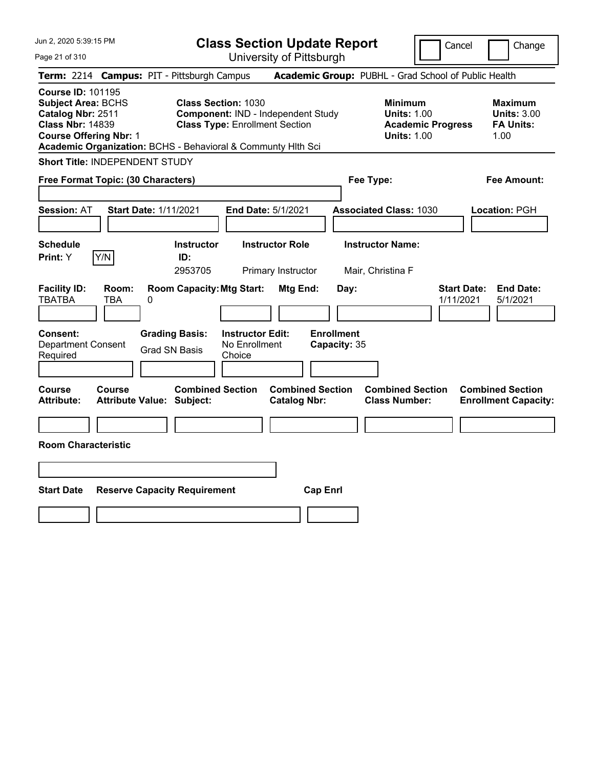| Jun 2, 2020 5:39:15 PM<br>Page 21 of 310                                                                                                                                                               | <b>Class Section Update Report</b><br>Cancel<br>University of Pittsburgh |                                               |                                                                                                           |                                                |                                   |      | Change                                                                                 |                                 |  |                                                                  |
|--------------------------------------------------------------------------------------------------------------------------------------------------------------------------------------------------------|--------------------------------------------------------------------------|-----------------------------------------------|-----------------------------------------------------------------------------------------------------------|------------------------------------------------|-----------------------------------|------|----------------------------------------------------------------------------------------|---------------------------------|--|------------------------------------------------------------------|
| Term: 2214 Campus: PIT - Pittsburgh Campus                                                                                                                                                             |                                                                          |                                               |                                                                                                           |                                                |                                   |      | Academic Group: PUBHL - Grad School of Public Health                                   |                                 |  |                                                                  |
| <b>Course ID: 101195</b><br><b>Subject Area: BCHS</b><br>Catalog Nbr: 2511<br><b>Class Nbr: 14839</b><br><b>Course Offering Nbr: 1</b><br>Academic Organization: BCHS - Behavioral & Communty Hlth Sci |                                                                          |                                               | <b>Class Section: 1030</b><br>Component: IND - Independent Study<br><b>Class Type: Enrollment Section</b> |                                                |                                   |      | <b>Minimum</b><br><b>Units: 1.00</b><br><b>Academic Progress</b><br><b>Units: 1.00</b> |                                 |  | <b>Maximum</b><br><b>Units: 3.00</b><br><b>FA Units:</b><br>1.00 |
| Short Title: INDEPENDENT STUDY                                                                                                                                                                         |                                                                          |                                               |                                                                                                           |                                                |                                   |      |                                                                                        |                                 |  |                                                                  |
| Free Format Topic: (30 Characters)                                                                                                                                                                     |                                                                          |                                               |                                                                                                           |                                                |                                   |      | Fee Type:                                                                              |                                 |  | Fee Amount:                                                      |
| <b>Session: AT</b>                                                                                                                                                                                     | <b>Start Date: 1/11/2021</b>                                             |                                               | End Date: 5/1/2021                                                                                        |                                                |                                   |      | <b>Associated Class: 1030</b>                                                          |                                 |  | Location: PGH                                                    |
| <b>Schedule</b><br>Y/N<br>Print: Y                                                                                                                                                                     |                                                                          | <b>Instructor</b><br>ID:<br>2953705           |                                                                                                           | <b>Instructor Role</b><br>Primary Instructor   |                                   |      | <b>Instructor Name:</b><br>Mair, Christina F                                           |                                 |  |                                                                  |
| <b>Facility ID:</b><br><b>TBATBA</b><br>TBA                                                                                                                                                            | Room:<br>0                                                               | <b>Room Capacity: Mtg Start:</b>              |                                                                                                           | Mtg End:                                       |                                   | Day: |                                                                                        | <b>Start Date:</b><br>1/11/2021 |  | <b>End Date:</b><br>5/1/2021                                     |
| <b>Consent:</b><br><b>Department Consent</b><br>Required                                                                                                                                               |                                                                          | <b>Grading Basis:</b><br><b>Grad SN Basis</b> | <b>Instructor Edit:</b><br>No Enrollment<br>Choice                                                        |                                                | <b>Enrollment</b><br>Capacity: 35 |      |                                                                                        |                                 |  |                                                                  |
| <b>Course</b><br>Course<br><b>Attribute:</b>                                                                                                                                                           | <b>Attribute Value: Subject:</b>                                         | <b>Combined Section</b>                       |                                                                                                           | <b>Combined Section</b><br><b>Catalog Nbr:</b> |                                   |      | <b>Combined Section</b><br><b>Class Number:</b>                                        |                                 |  | <b>Combined Section</b><br><b>Enrollment Capacity:</b>           |
| <b>Room Characteristic</b>                                                                                                                                                                             |                                                                          |                                               |                                                                                                           |                                                |                                   |      |                                                                                        |                                 |  |                                                                  |
|                                                                                                                                                                                                        |                                                                          |                                               |                                                                                                           |                                                |                                   |      |                                                                                        |                                 |  |                                                                  |
| <b>Start Date</b>                                                                                                                                                                                      |                                                                          | <b>Reserve Capacity Requirement</b>           |                                                                                                           |                                                | <b>Cap Enrl</b>                   |      |                                                                                        |                                 |  |                                                                  |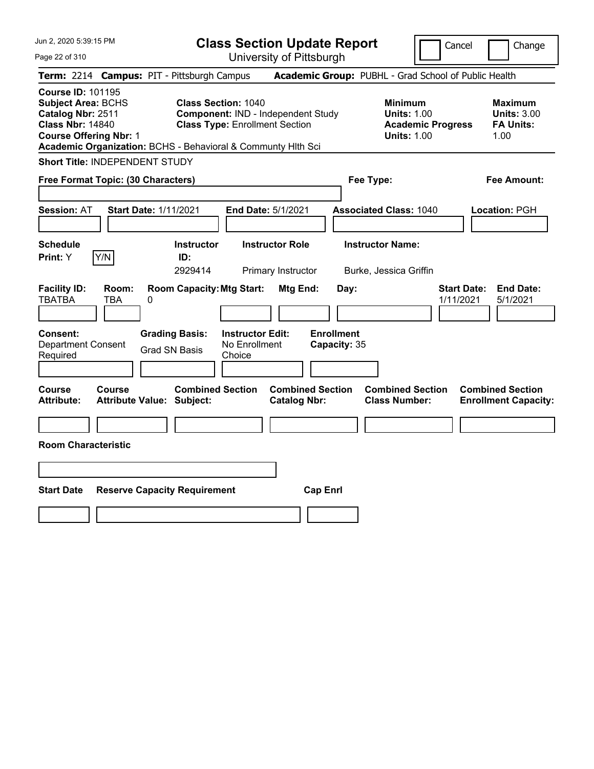**Class Section Update Report**

Cancel **Change** 

| Page 22 of 310                                                                                                                                                                                                                                                                                                             |                                                                | University of Pittsburgh                       |                               |                                                                                        |                                                                  |
|----------------------------------------------------------------------------------------------------------------------------------------------------------------------------------------------------------------------------------------------------------------------------------------------------------------------------|----------------------------------------------------------------|------------------------------------------------|-------------------------------|----------------------------------------------------------------------------------------|------------------------------------------------------------------|
| Term: 2214 Campus: PIT - Pittsburgh Campus                                                                                                                                                                                                                                                                                 |                                                                |                                                |                               | Academic Group: PUBHL - Grad School of Public Health                                   |                                                                  |
| <b>Course ID: 101195</b><br><b>Subject Area: BCHS</b><br><b>Class Section: 1040</b><br>Catalog Nbr: 2511<br><b>Component: IND - Independent Study</b><br><b>Class Nbr: 14840</b><br><b>Class Type: Enrollment Section</b><br><b>Course Offering Nbr: 1</b><br>Academic Organization: BCHS - Behavioral & Communty Hlth Sci |                                                                |                                                |                               | <b>Minimum</b><br><b>Units: 1.00</b><br><b>Academic Progress</b><br><b>Units: 1.00</b> | <b>Maximum</b><br><b>Units: 3.00</b><br><b>FA Units:</b><br>1.00 |
| Short Title: INDEPENDENT STUDY                                                                                                                                                                                                                                                                                             |                                                                |                                                |                               |                                                                                        |                                                                  |
| Free Format Topic: (30 Characters)                                                                                                                                                                                                                                                                                         |                                                                |                                                | Fee Type:                     |                                                                                        | <b>Fee Amount:</b>                                               |
| <b>Session: AT</b>                                                                                                                                                                                                                                                                                                         | <b>Start Date: 1/11/2021</b>                                   | End Date: 5/1/2021                             | <b>Associated Class: 1040</b> |                                                                                        | Location: PGH                                                    |
| <b>Schedule</b>                                                                                                                                                                                                                                                                                                            | <b>Instructor</b>                                              | <b>Instructor Role</b>                         | <b>Instructor Name:</b>       |                                                                                        |                                                                  |
| Print: Y<br>Y/N                                                                                                                                                                                                                                                                                                            | ID:<br>2929414                                                 | Primary Instructor                             | Burke, Jessica Griffin        |                                                                                        |                                                                  |
| <b>Facility ID:</b><br>Room:<br><b>TBATBA</b><br>TBA<br>Consent:                                                                                                                                                                                                                                                           | <b>Room Capacity: Mtg Start:</b><br>0<br><b>Grading Basis:</b> | Mtg End:<br><b>Instructor Edit:</b>            | Day:<br><b>Enrollment</b>     | <b>Start Date:</b><br>1/11/2021                                                        | <b>End Date:</b><br>5/1/2021                                     |
| Department Consent<br>Required                                                                                                                                                                                                                                                                                             | <b>Grad SN Basis</b><br>Choice                                 | No Enrollment                                  | Capacity: 35                  |                                                                                        |                                                                  |
|                                                                                                                                                                                                                                                                                                                            |                                                                |                                                |                               |                                                                                        |                                                                  |
| <b>Course</b><br>Course<br><b>Attribute:</b><br><b>Room Characteristic</b>                                                                                                                                                                                                                                                 | <b>Combined Section</b><br><b>Attribute Value: Subject:</b>    | <b>Combined Section</b><br><b>Catalog Nbr:</b> |                               | <b>Combined Section</b><br><b>Class Number:</b>                                        | <b>Combined Section</b><br><b>Enrollment Capacity:</b>           |
|                                                                                                                                                                                                                                                                                                                            |                                                                |                                                |                               |                                                                                        |                                                                  |
| <b>Start Date</b>                                                                                                                                                                                                                                                                                                          | <b>Reserve Capacity Requirement</b>                            | <b>Cap Enri</b>                                |                               |                                                                                        |                                                                  |
|                                                                                                                                                                                                                                                                                                                            |                                                                |                                                |                               |                                                                                        |                                                                  |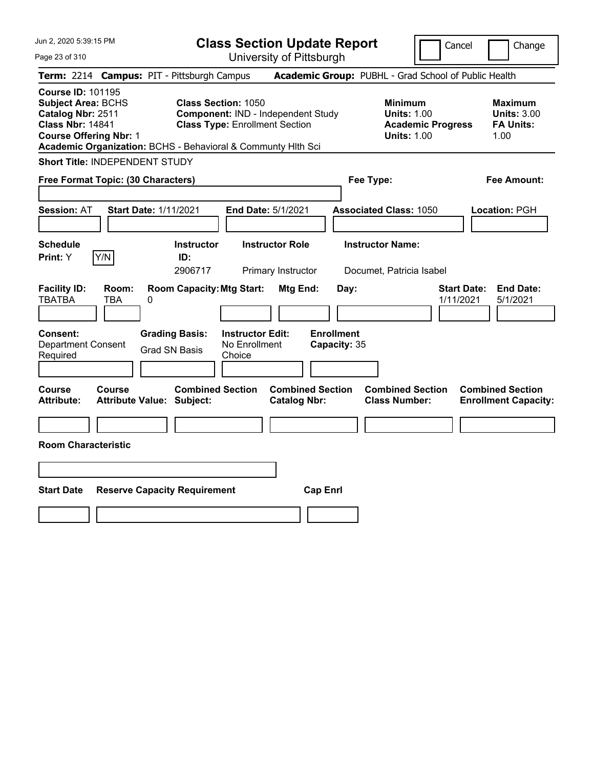Jun 2, 2020 5:39:15 PM Page 23 of 310 **Class Section Update Report** University of Pittsburgh Cancel | Change **Term:** 2214 **Campus:** PIT - Pittsburgh Campus **Academic Group:** PUBHL - Grad School of Public Health **Course ID:** 101195 **Subject Area: BCHS Class Section: 1050 Minimum 1050 Minimum 1050 Minimum 1050 Maximum Catalog Nbr: 2511 Component:** IND - Independent Study **Units: 1.00 Units: 3.00 Catalog Nbr: 2511 Component: IND - Independent Study <b>Units: 1.00 Units: 3.00 Class Nbr: 14841 Class Type: Enrollment Section Class Academic Progress FA Units: Class Type: Enrollment Section <b>Academic Progress FA Units: Course Offering Nbr: 1 1.00 1.00 1.00 1.00 1.00 1.00 1.00 1.00 1.00 1.00 Academic Organization:** BCHS - Behavioral & Communty Hlth Sci **Short Title:** INDEPENDENT STUDY **Free Format Topic: (30 Characters) Fee Type: Fee Amount: Session:** AT **Start Date:** 1/11/2021 **End Date:** 5/1/2021 **Associated Class:** 1050 **Location:** PGH **Schedule Instructor Instructor Role Instructor Name: Print:**  $Y$   $|Y/N|$  **ID:** 2906717 Primary Instructor Documet, Patricia Isabel **Facility ID: Room: Room Capacity:Mtg Start: Mtg End: Day: Start Date: End Date:** TBATBA TBA 0 1/11/2021 5/1/2021 **Consent: Grading Basis: Instructor Edit: Enrollment** Department Consent Required Grad SN Basis No Enrollment Choice **Capacity:** 35 **Course Course Combined Section Combined Section Combined Section Combined Section Attribute: Attribute Value: Subject: Catalog Nbr: Class Number: Enrollment Capacity:** 

**Room Characteristic**

| <b>Start Date Reserve Capacity Requirement</b> | <b>Cap Enri</b> |
|------------------------------------------------|-----------------|
|                                                |                 |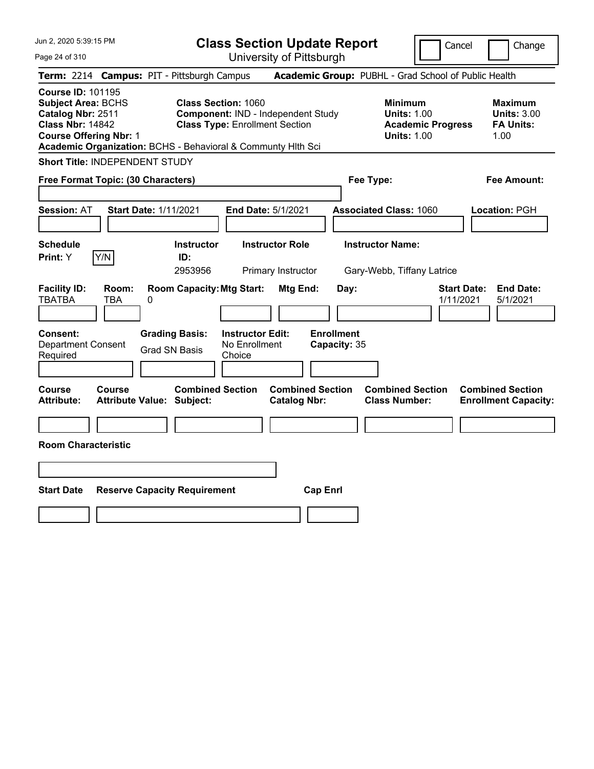**Class Section Update Report** University of Pittsburgh

Cancel Change

Page 24 of 310

|                                                                                                                                        |                              | Term: 2214 Campus: PIT - Pittsburgh Campus                                                                                          |                                                      | Academic Group: PUBHL - Grad School of Public Health                                   |                                                                  |
|----------------------------------------------------------------------------------------------------------------------------------------|------------------------------|-------------------------------------------------------------------------------------------------------------------------------------|------------------------------------------------------|----------------------------------------------------------------------------------------|------------------------------------------------------------------|
| <b>Course ID: 101195</b><br><b>Subject Area: BCHS</b><br>Catalog Nbr: 2511<br><b>Class Nbr: 14842</b><br><b>Course Offering Nbr: 1</b> |                              | <b>Class Section: 1060</b><br><b>Class Type: Enrollment Section</b><br>Academic Organization: BCHS - Behavioral & Communty Hith Sci | <b>Component: IND - Independent Study</b>            | <b>Minimum</b><br><b>Units: 1.00</b><br><b>Academic Progress</b><br><b>Units: 1.00</b> | <b>Maximum</b><br><b>Units: 3.00</b><br><b>FA Units:</b><br>1.00 |
| <b>Short Title: INDEPENDENT STUDY</b>                                                                                                  |                              |                                                                                                                                     |                                                      |                                                                                        |                                                                  |
| Free Format Topic: (30 Characters)                                                                                                     |                              |                                                                                                                                     |                                                      | Fee Type:                                                                              | <b>Fee Amount:</b>                                               |
| <b>Session: AT</b>                                                                                                                     | <b>Start Date: 1/11/2021</b> |                                                                                                                                     | <b>End Date: 5/1/2021</b>                            | <b>Associated Class: 1060</b>                                                          | Location: PGH                                                    |
| <b>Schedule</b><br>Print: Y                                                                                                            | Y/N                          | <b>Instructor</b><br>ID:<br>2953956                                                                                                 | <b>Instructor Role</b><br>Primary Instructor         | <b>Instructor Name:</b><br>Gary-Webb, Tiffany Latrice                                  |                                                                  |
| <b>Facility ID:</b><br><b>TBATBA</b><br>Consent:<br><b>Department Consent</b><br>Required                                              | Room:<br><b>TBA</b><br>0     | <b>Room Capacity: Mtg Start:</b><br><b>Grading Basis:</b><br><b>Grad SN Basis</b><br>Choice                                         | Mtg End:<br><b>Instructor Edit:</b><br>No Enrollment | Day:<br><b>Enrollment</b><br>Capacity: 35                                              | <b>Start Date:</b><br><b>End Date:</b><br>1/11/2021<br>5/1/2021  |
| Course<br><b>Attribute:</b>                                                                                                            | Course                       | <b>Combined Section</b><br><b>Attribute Value: Subject:</b>                                                                         | <b>Combined Section</b><br><b>Catalog Nbr:</b>       | <b>Combined Section</b><br><b>Class Number:</b>                                        | <b>Combined Section</b><br><b>Enrollment Capacity:</b>           |
|                                                                                                                                        |                              |                                                                                                                                     |                                                      |                                                                                        |                                                                  |
| <b>Room Characteristic</b>                                                                                                             |                              |                                                                                                                                     |                                                      |                                                                                        |                                                                  |
|                                                                                                                                        |                              |                                                                                                                                     |                                                      |                                                                                        |                                                                  |
| <b>Start Date</b>                                                                                                                      |                              | <b>Reserve Capacity Requirement</b>                                                                                                 | <b>Cap Enrl</b>                                      |                                                                                        |                                                                  |
|                                                                                                                                        |                              |                                                                                                                                     |                                                      |                                                                                        |                                                                  |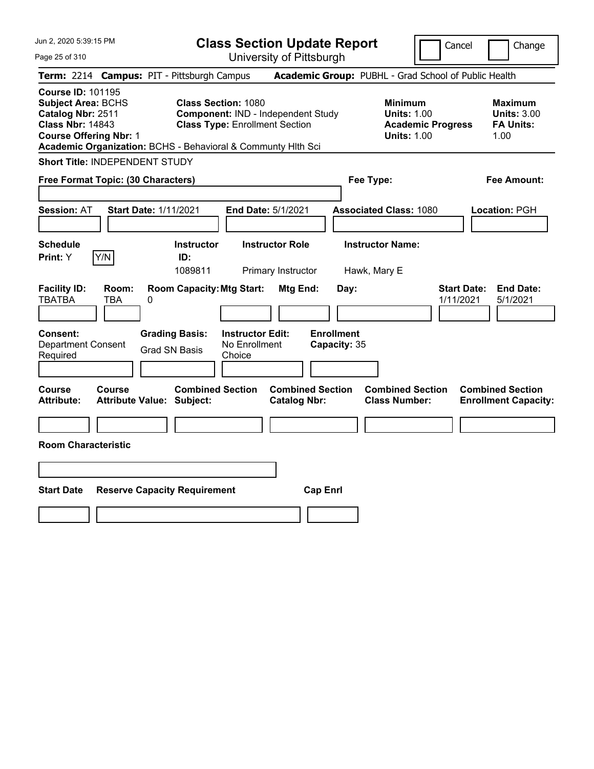| Jun 2, 2020 5:39:15 PM<br>Page 25 of 310                                                                                                                                                               |                                                   |                            |                                                                                                           | <b>Class Section Update Report</b> | University of Pittsburgh                       |                   |      |                                                            | Cancel                          | Change                                                           |
|--------------------------------------------------------------------------------------------------------------------------------------------------------------------------------------------------------|---------------------------------------------------|----------------------------|-----------------------------------------------------------------------------------------------------------|------------------------------------|------------------------------------------------|-------------------|------|------------------------------------------------------------|---------------------------------|------------------------------------------------------------------|
| Term: 2214 Campus: PIT - Pittsburgh Campus                                                                                                                                                             |                                                   |                            |                                                                                                           |                                    |                                                |                   |      | Academic Group: PUBHL - Grad School of Public Health       |                                 |                                                                  |
| <b>Course ID: 101195</b><br><b>Subject Area: BCHS</b><br>Catalog Nbr: 2511<br><b>Class Nbr: 14843</b><br><b>Course Offering Nbr: 1</b><br>Academic Organization: BCHS - Behavioral & Communty Hlth Sci |                                                   |                            | <b>Class Section: 1080</b><br>Component: IND - Independent Study<br><b>Class Type: Enrollment Section</b> |                                    |                                                |                   |      | <b>Minimum</b><br><b>Units: 1.00</b><br><b>Units: 1.00</b> | <b>Academic Progress</b>        | <b>Maximum</b><br><b>Units: 3.00</b><br><b>FA Units:</b><br>1.00 |
| <b>Short Title: INDEPENDENT STUDY</b>                                                                                                                                                                  |                                                   |                            |                                                                                                           |                                    |                                                |                   |      |                                                            |                                 |                                                                  |
| Free Format Topic: (30 Characters)                                                                                                                                                                     |                                                   |                            |                                                                                                           |                                    |                                                |                   |      | Fee Type:                                                  |                                 | <b>Fee Amount:</b>                                               |
| <b>Session: AT</b>                                                                                                                                                                                     | <b>Start Date: 1/11/2021</b>                      |                            |                                                                                                           | <b>End Date: 5/1/2021</b>          |                                                |                   |      | <b>Associated Class: 1080</b>                              |                                 | <b>Location: PGH</b>                                             |
| <b>Schedule</b>                                                                                                                                                                                        |                                                   |                            | <b>Instructor</b>                                                                                         |                                    | <b>Instructor Role</b>                         |                   |      | <b>Instructor Name:</b>                                    |                                 |                                                                  |
| Print: Y                                                                                                                                                                                               | Y/N                                               |                            | ID:<br>1089811                                                                                            |                                    | Primary Instructor                             |                   |      | Hawk, Mary E                                               |                                 |                                                                  |
| <b>Facility ID:</b><br><b>TBATBA</b><br><b>Consent:</b>                                                                                                                                                | Room:<br>TBA                                      | 0<br><b>Grading Basis:</b> | <b>Room Capacity: Mtg Start:</b>                                                                          | <b>Instructor Edit:</b>            | Mtg End:                                       | <b>Enrollment</b> | Day: |                                                            | <b>Start Date:</b><br>1/11/2021 | <b>End Date:</b><br>5/1/2021                                     |
| <b>Department Consent</b><br>Required                                                                                                                                                                  |                                                   | <b>Grad SN Basis</b>       |                                                                                                           | No Enrollment<br>Choice            |                                                | Capacity: 35      |      |                                                            |                                 |                                                                  |
| <b>Course</b><br><b>Attribute:</b>                                                                                                                                                                     | <b>Course</b><br><b>Attribute Value: Subject:</b> |                            | <b>Combined Section</b>                                                                                   |                                    | <b>Combined Section</b><br><b>Catalog Nbr:</b> |                   |      | <b>Combined Section</b><br><b>Class Number:</b>            |                                 | <b>Combined Section</b><br><b>Enrollment Capacity:</b>           |
|                                                                                                                                                                                                        |                                                   |                            |                                                                                                           |                                    |                                                |                   |      |                                                            |                                 |                                                                  |
| <b>Room Characteristic</b>                                                                                                                                                                             |                                                   |                            |                                                                                                           |                                    |                                                |                   |      |                                                            |                                 |                                                                  |
|                                                                                                                                                                                                        |                                                   |                            |                                                                                                           |                                    |                                                |                   |      |                                                            |                                 |                                                                  |
|                                                                                                                                                                                                        |                                                   |                            |                                                                                                           |                                    |                                                |                   |      |                                                            |                                 |                                                                  |
| <b>Start Date</b>                                                                                                                                                                                      |                                                   |                            | <b>Reserve Capacity Requirement</b>                                                                       |                                    |                                                | <b>Cap Enrl</b>   |      |                                                            |                                 |                                                                  |
|                                                                                                                                                                                                        |                                                   |                            |                                                                                                           |                                    |                                                |                   |      |                                                            |                                 |                                                                  |
|                                                                                                                                                                                                        |                                                   |                            |                                                                                                           |                                    |                                                |                   |      |                                                            |                                 |                                                                  |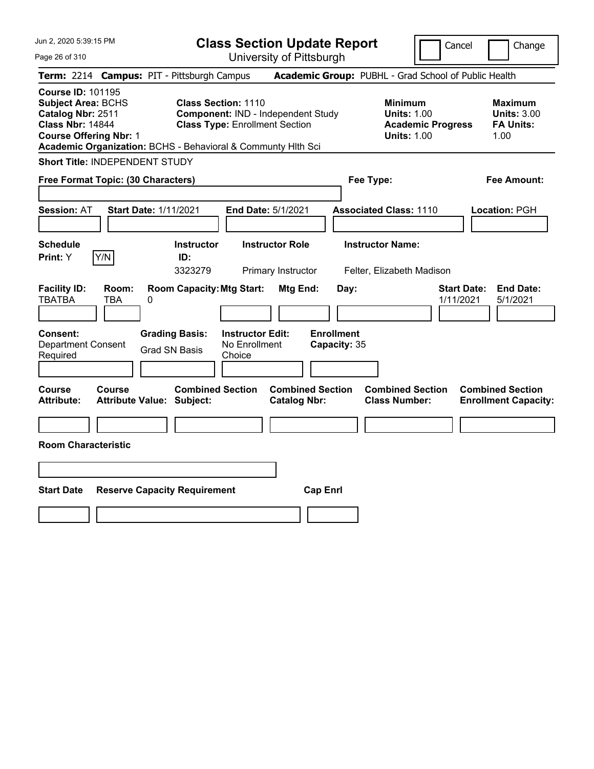| Jun 2, 2020 5:39:15 PM |  |
|------------------------|--|
|------------------------|--|

**Class Section Update Report**

Cancel Change

Page 26 of 310

| Term: 2214 Campus: PIT - Pittsburgh Campus                                                                                                                                                             |                     |                              |                                                             |                                                                     |                                                |                                   | Academic Group: PUBHL - Grad School of Public Health                                   |                                 |                                                                  |
|--------------------------------------------------------------------------------------------------------------------------------------------------------------------------------------------------------|---------------------|------------------------------|-------------------------------------------------------------|---------------------------------------------------------------------|------------------------------------------------|-----------------------------------|----------------------------------------------------------------------------------------|---------------------------------|------------------------------------------------------------------|
| <b>Course ID: 101195</b><br><b>Subject Area: BCHS</b><br>Catalog Nbr: 2511<br><b>Class Nbr: 14844</b><br><b>Course Offering Nbr: 1</b><br>Academic Organization: BCHS - Behavioral & Communty Hlth Sci |                     |                              |                                                             | <b>Class Section: 1110</b><br><b>Class Type: Enrollment Section</b> | Component: IND - Independent Study             |                                   | <b>Minimum</b><br><b>Units: 1.00</b><br><b>Academic Progress</b><br><b>Units: 1.00</b> |                                 | <b>Maximum</b><br><b>Units: 3.00</b><br><b>FA Units:</b><br>1.00 |
| Short Title: INDEPENDENT STUDY                                                                                                                                                                         |                     |                              |                                                             |                                                                     |                                                |                                   |                                                                                        |                                 |                                                                  |
| Free Format Topic: (30 Characters)                                                                                                                                                                     |                     |                              |                                                             |                                                                     |                                                | Fee Type:                         |                                                                                        |                                 | <b>Fee Amount:</b>                                               |
| <b>Session: AT</b>                                                                                                                                                                                     |                     | <b>Start Date: 1/11/2021</b> |                                                             | <b>End Date: 5/1/2021</b>                                           |                                                |                                   | <b>Associated Class: 1110</b>                                                          |                                 | Location: PGH                                                    |
| <b>Schedule</b><br>Print: Y                                                                                                                                                                            | Y/N                 |                              | <b>Instructor</b><br>ID:<br>3323279                         |                                                                     | <b>Instructor Role</b><br>Primary Instructor   |                                   | <b>Instructor Name:</b><br>Felter, Elizabeth Madison                                   |                                 |                                                                  |
| <b>Facility ID:</b><br><b>TBATBA</b>                                                                                                                                                                   | Room:<br><b>TBA</b> | 0                            | <b>Room Capacity: Mtg Start:</b>                            |                                                                     | Mtg End:                                       | Day:                              |                                                                                        | <b>Start Date:</b><br>1/11/2021 | <b>End Date:</b><br>5/1/2021                                     |
| Consent:<br><b>Department Consent</b><br>Required                                                                                                                                                      |                     |                              | <b>Grading Basis:</b><br><b>Grad SN Basis</b>               | <b>Instructor Edit:</b><br>No Enrollment<br>Choice                  |                                                | <b>Enrollment</b><br>Capacity: 35 |                                                                                        |                                 |                                                                  |
| Course<br><b>Attribute:</b>                                                                                                                                                                            | Course              |                              | <b>Combined Section</b><br><b>Attribute Value: Subject:</b> |                                                                     | <b>Combined Section</b><br><b>Catalog Nbr:</b> |                                   | <b>Combined Section</b><br><b>Class Number:</b>                                        |                                 | <b>Combined Section</b><br><b>Enrollment Capacity:</b>           |
|                                                                                                                                                                                                        |                     |                              |                                                             |                                                                     |                                                |                                   |                                                                                        |                                 |                                                                  |
| <b>Room Characteristic</b>                                                                                                                                                                             |                     |                              |                                                             |                                                                     |                                                |                                   |                                                                                        |                                 |                                                                  |
|                                                                                                                                                                                                        |                     |                              |                                                             |                                                                     |                                                |                                   |                                                                                        |                                 |                                                                  |
| <b>Start Date</b>                                                                                                                                                                                      |                     |                              | <b>Reserve Capacity Requirement</b>                         |                                                                     | <b>Cap Enrl</b>                                |                                   |                                                                                        |                                 |                                                                  |
|                                                                                                                                                                                                        |                     |                              |                                                             |                                                                     |                                                |                                   |                                                                                        |                                 |                                                                  |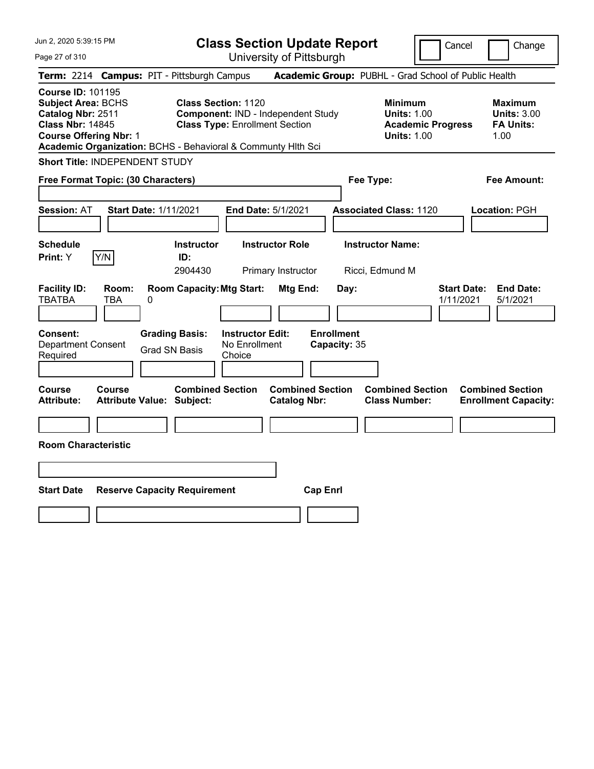| Jun 2, 2020 5:39:15 PM<br>Page 27 of 310                                                                                                                                                               | <b>Class Section Update Report</b><br>University of Pittsburgh                                            |                                                      | Cancel                                                                                 | Change                                                           |
|--------------------------------------------------------------------------------------------------------------------------------------------------------------------------------------------------------|-----------------------------------------------------------------------------------------------------------|------------------------------------------------------|----------------------------------------------------------------------------------------|------------------------------------------------------------------|
| Term: 2214 Campus: PIT - Pittsburgh Campus                                                                                                                                                             |                                                                                                           | Academic Group: PUBHL - Grad School of Public Health |                                                                                        |                                                                  |
| <b>Course ID: 101195</b><br><b>Subject Area: BCHS</b><br>Catalog Nbr: 2511<br><b>Class Nbr: 14845</b><br><b>Course Offering Nbr: 1</b><br>Academic Organization: BCHS - Behavioral & Communty Hith Sci | <b>Class Section: 1120</b><br>Component: IND - Independent Study<br><b>Class Type: Enrollment Section</b> |                                                      | <b>Minimum</b><br><b>Units: 1.00</b><br><b>Academic Progress</b><br><b>Units: 1.00</b> | <b>Maximum</b><br><b>Units: 3.00</b><br><b>FA Units:</b><br>1.00 |
| <b>Short Title: INDEPENDENT STUDY</b>                                                                                                                                                                  |                                                                                                           |                                                      |                                                                                        |                                                                  |
| Free Format Topic: (30 Characters)                                                                                                                                                                     |                                                                                                           | Fee Type:                                            |                                                                                        | Fee Amount:                                                      |
| <b>Session: AT</b><br><b>Start Date: 1/11/2021</b>                                                                                                                                                     | End Date: 5/1/2021                                                                                        | <b>Associated Class: 1120</b>                        |                                                                                        | Location: PGH                                                    |
| <b>Schedule</b><br>Y/N<br>Print: Y                                                                                                                                                                     | <b>Instructor Role</b><br><b>Instructor</b><br>ID:<br>2904430<br>Primary Instructor                       | <b>Instructor Name:</b><br>Ricci, Edmund M           |                                                                                        |                                                                  |
| <b>Facility ID:</b><br>Room:<br><b>TBATBA</b><br>TBA<br>0                                                                                                                                              | <b>Room Capacity: Mtg Start:</b><br>Mtg End:                                                              | Day:                                                 | <b>Start Date:</b><br>1/11/2021                                                        | <b>End Date:</b><br>5/1/2021                                     |
| <b>Consent:</b><br><b>Department Consent</b><br><b>Grad SN Basis</b><br>Required                                                                                                                       | <b>Grading Basis:</b><br><b>Instructor Edit:</b><br>No Enrollment<br>Choice                               | <b>Enrollment</b><br>Capacity: 35                    |                                                                                        |                                                                  |
| Course<br><b>Course</b><br><b>Attribute:</b><br><b>Attribute Value: Subject:</b>                                                                                                                       | <b>Combined Section</b><br><b>Catalog Nbr:</b>                                                            | <b>Combined Section</b>                              | <b>Combined Section</b><br><b>Class Number:</b>                                        | <b>Combined Section</b><br><b>Enrollment Capacity:</b>           |
| <b>Room Characteristic</b>                                                                                                                                                                             |                                                                                                           |                                                      |                                                                                        |                                                                  |
|                                                                                                                                                                                                        |                                                                                                           |                                                      |                                                                                        |                                                                  |
| <b>Start Date</b><br><b>Reserve Capacity Requirement</b>                                                                                                                                               |                                                                                                           | <b>Cap Enrl</b>                                      |                                                                                        |                                                                  |
|                                                                                                                                                                                                        |                                                                                                           |                                                      |                                                                                        |                                                                  |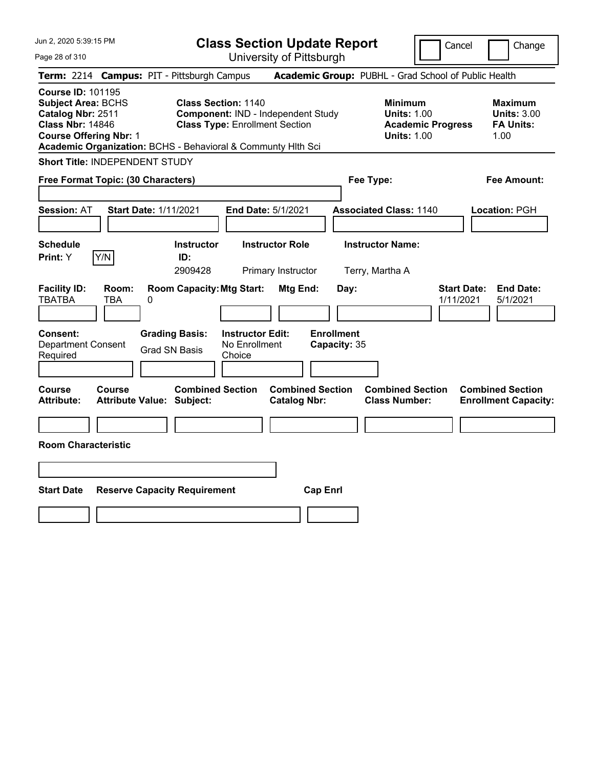Jun 2, 2020 5:39:15 PM Page 28 of 310 **Class Section Update Report** University of Pittsburgh Cancel | Change **Term:** 2214 **Campus:** PIT - Pittsburgh Campus **Academic Group:** PUBHL - Grad School of Public Health **Course ID:** 101195 **Subject Area: BCHS Class Section: 1140 Minimum 1998 Minimum 1998 Component:** IND - Independent Study **Contains: 1.00 Component: IND - Independent Study 100 Units: 1.00 Units: 3.00 Component:** IND - Independent Study **Units: 1.00 <b>Units: 3.00 Class Nbr:** 14846 **Class Type:** Enrollment Section **Academic Progress FA Units: Course Offering Nbr: 1 1.00 1.00 1.00 1.00 1.00 1.00 1.00 1.00 1.00 1.00 Academic Organization:** BCHS - Behavioral & Communty Hlth Sci **Short Title:** INDEPENDENT STUDY **Free Format Topic: (30 Characters) Fee Type: Fee Amount: Session:** AT **Start Date:** 1/11/2021 **End Date:** 5/1/2021 **Associated Class:** 1140 **Location:** PGH **Schedule Instructor Instructor Role Instructor Name: Print:**  $Y$   $|Y/N|$  **ID:** 2909428 Primary Instructor Terry, Martha A **Facility ID: Room: Room Capacity:Mtg Start: Mtg End: Day: Start Date: End Date:** TBATBA TBA 0 1/11/2021 5/1/2021 **Consent: Grading Basis: Instructor Edit: Enrollment** Department Consent Required Grad SN Basis No Enrollment Choice **Capacity:** 35 **Course Course Combined Section Combined Section Combined Section Combined Section Attribute: Attribute Value: Subject: Catalog Nbr: Class Number: Enrollment Capacity: Room Characteristic**

**Start Date Reserve Capacity Requirement Cap Enrl**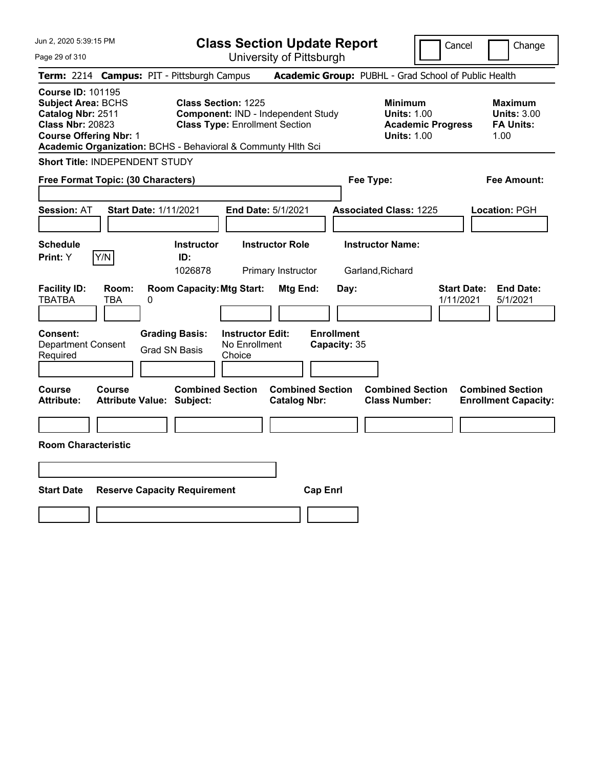| Jun 2, 2020 5:39:15 PM<br>Page 29 of 310                                                                                                                                                               | <b>Class Section Update Report</b><br>University of Pittsburgh                                            |                                                            | Cancel                          | Change                                                    |
|--------------------------------------------------------------------------------------------------------------------------------------------------------------------------------------------------------|-----------------------------------------------------------------------------------------------------------|------------------------------------------------------------|---------------------------------|-----------------------------------------------------------|
| Term: 2214 Campus: PIT - Pittsburgh Campus                                                                                                                                                             |                                                                                                           | Academic Group: PUBHL - Grad School of Public Health       |                                 |                                                           |
| <b>Course ID: 101195</b><br><b>Subject Area: BCHS</b><br>Catalog Nbr: 2511<br><b>Class Nbr: 20823</b><br><b>Course Offering Nbr: 1</b><br>Academic Organization: BCHS - Behavioral & Communty Hith Sci | <b>Class Section: 1225</b><br>Component: IND - Independent Study<br><b>Class Type: Enrollment Section</b> | <b>Minimum</b><br><b>Units: 1.00</b><br><b>Units: 1.00</b> | <b>Academic Progress</b>        | Maximum<br><b>Units: 3.00</b><br><b>FA Units:</b><br>1.00 |
| <b>Short Title: INDEPENDENT STUDY</b>                                                                                                                                                                  |                                                                                                           |                                                            |                                 |                                                           |
| Free Format Topic: (30 Characters)                                                                                                                                                                     |                                                                                                           | Fee Type:                                                  |                                 | <b>Fee Amount:</b>                                        |
| <b>Session: AT</b><br><b>Start Date: 1/11/2021</b>                                                                                                                                                     | End Date: 5/1/2021                                                                                        | <b>Associated Class: 1225</b>                              |                                 | Location: PGH                                             |
| Schedule                                                                                                                                                                                               | <b>Instructor Role</b><br><b>Instructor</b>                                                               | <b>Instructor Name:</b>                                    |                                 |                                                           |
| Y/N<br>Print: Y                                                                                                                                                                                        | ID:<br>1026878<br>Primary Instructor                                                                      | Garland, Richard                                           |                                 |                                                           |
| <b>Facility ID:</b><br>Room:<br>TBATBA<br>TBA<br>0                                                                                                                                                     | <b>Room Capacity: Mtg Start:</b><br>Mtg End:                                                              | Day:                                                       | <b>Start Date:</b><br>1/11/2021 | <b>End Date:</b><br>5/1/2021                              |
| Consent:<br><b>Grading Basis:</b><br><b>Department Consent</b><br><b>Grad SN Basis</b><br>Required                                                                                                     | <b>Instructor Edit:</b><br>No Enrollment<br>Choice                                                        | <b>Enrollment</b><br>Capacity: 35                          |                                 |                                                           |
| <b>Course</b><br><b>Course</b><br><b>Attribute:</b><br><b>Attribute Value: Subject:</b>                                                                                                                | <b>Combined Section</b><br><b>Combined Section</b><br><b>Catalog Nbr:</b>                                 | <b>Combined Section</b><br><b>Class Number:</b>            |                                 | <b>Combined Section</b><br><b>Enrollment Capacity:</b>    |
|                                                                                                                                                                                                        |                                                                                                           |                                                            |                                 |                                                           |
| <b>Room Characteristic</b>                                                                                                                                                                             |                                                                                                           |                                                            |                                 |                                                           |
|                                                                                                                                                                                                        |                                                                                                           |                                                            |                                 |                                                           |
| <b>Start Date</b><br><b>Reserve Capacity Requirement</b>                                                                                                                                               |                                                                                                           | <b>Cap Enrl</b>                                            |                                 |                                                           |
|                                                                                                                                                                                                        |                                                                                                           |                                                            |                                 |                                                           |
|                                                                                                                                                                                                        |                                                                                                           |                                                            |                                 |                                                           |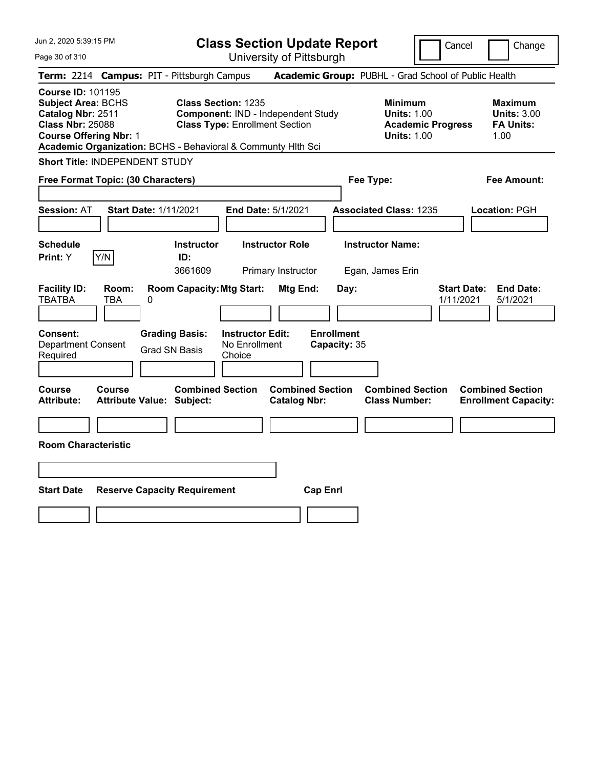| Jun 2, 2020 5:39:15 PM<br>Page 30 of 310                                                                                               | <b>Class Section Update Report</b><br>University of Pittsburgh                                                                                                            |                                                                                        | Cancel<br>Change                                                 |
|----------------------------------------------------------------------------------------------------------------------------------------|---------------------------------------------------------------------------------------------------------------------------------------------------------------------------|----------------------------------------------------------------------------------------|------------------------------------------------------------------|
| Term: 2214 Campus: PIT - Pittsburgh Campus                                                                                             |                                                                                                                                                                           | Academic Group: PUBHL - Grad School of Public Health                                   |                                                                  |
| <b>Course ID: 101195</b><br><b>Subject Area: BCHS</b><br>Catalog Nbr: 2511<br><b>Class Nbr: 25088</b><br><b>Course Offering Nbr: 1</b> | <b>Class Section: 1235</b><br>Component: IND - Independent Study<br><b>Class Type: Enrollment Section</b><br>Academic Organization: BCHS - Behavioral & Communty Hlth Sci | <b>Minimum</b><br><b>Units: 1.00</b><br><b>Academic Progress</b><br><b>Units: 1.00</b> | <b>Maximum</b><br><b>Units: 3.00</b><br><b>FA Units:</b><br>1.00 |
| Short Title: INDEPENDENT STUDY                                                                                                         |                                                                                                                                                                           |                                                                                        |                                                                  |
| Free Format Topic: (30 Characters)                                                                                                     |                                                                                                                                                                           | Fee Type:                                                                              | Fee Amount:                                                      |
| <b>Session: AT</b><br><b>Start Date: 1/11/2021</b>                                                                                     | End Date: 5/1/2021                                                                                                                                                        | <b>Associated Class: 1235</b>                                                          | Location: PGH                                                    |
| <b>Schedule</b><br>Y/N<br>Print: Y                                                                                                     | <b>Instructor Role</b><br><b>Instructor</b><br>ID:<br>3661609<br>Primary Instructor                                                                                       | <b>Instructor Name:</b><br>Egan, James Erin                                            |                                                                  |
| <b>Facility ID:</b><br>Room:<br><b>TBATBA</b><br>TBA<br>0                                                                              | <b>Room Capacity: Mtg Start:</b><br>Mtg End:                                                                                                                              | Day:                                                                                   | <b>Start Date:</b><br><b>End Date:</b><br>1/11/2021<br>5/1/2021  |
| <b>Grading Basis:</b><br><b>Consent:</b><br><b>Department Consent</b><br><b>Grad SN Basis</b><br>Required                              | <b>Instructor Edit:</b><br>No Enrollment<br>Choice                                                                                                                        | <b>Enrollment</b><br>Capacity: 35                                                      |                                                                  |
| <b>Course</b><br>Course<br><b>Attribute:</b><br><b>Attribute Value: Subject:</b>                                                       | <b>Combined Section</b><br><b>Combined Section</b><br><b>Catalog Nbr:</b>                                                                                                 | <b>Combined Section</b><br><b>Class Number:</b>                                        | <b>Combined Section</b><br><b>Enrollment Capacity:</b>           |
|                                                                                                                                        |                                                                                                                                                                           |                                                                                        |                                                                  |
| <b>Room Characteristic</b>                                                                                                             |                                                                                                                                                                           |                                                                                        |                                                                  |
|                                                                                                                                        |                                                                                                                                                                           |                                                                                        |                                                                  |
| <b>Start Date</b><br><b>Reserve Capacity Requirement</b>                                                                               |                                                                                                                                                                           | <b>Cap Enrl</b>                                                                        |                                                                  |
|                                                                                                                                        |                                                                                                                                                                           |                                                                                        |                                                                  |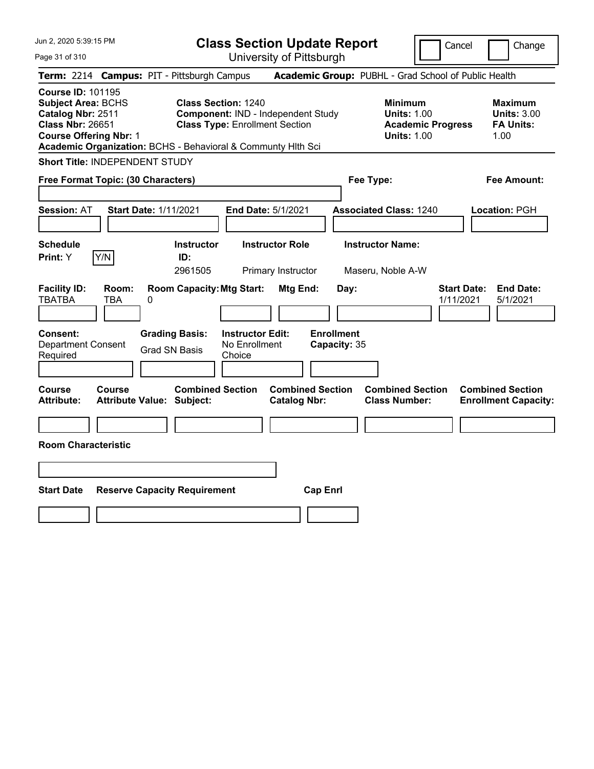| Jun 2, 2020 5:39:15 PM<br>Page 31 of 310                                                                                               | <b>Class Section Update Report</b><br>University of Pittsburgh                                                                                                            | Cancel                                                                                 | Change                                                           |
|----------------------------------------------------------------------------------------------------------------------------------------|---------------------------------------------------------------------------------------------------------------------------------------------------------------------------|----------------------------------------------------------------------------------------|------------------------------------------------------------------|
| Term: 2214 Campus: PIT - Pittsburgh Campus                                                                                             |                                                                                                                                                                           | Academic Group: PUBHL - Grad School of Public Health                                   |                                                                  |
| <b>Course ID: 101195</b><br><b>Subject Area: BCHS</b><br>Catalog Nbr: 2511<br><b>Class Nbr: 26651</b><br><b>Course Offering Nbr: 1</b> | <b>Class Section: 1240</b><br>Component: IND - Independent Study<br><b>Class Type: Enrollment Section</b><br>Academic Organization: BCHS - Behavioral & Communty Hith Sci | <b>Minimum</b><br><b>Units: 1.00</b><br><b>Academic Progress</b><br><b>Units: 1.00</b> | <b>Maximum</b><br><b>Units: 3.00</b><br><b>FA Units:</b><br>1.00 |
| <b>Short Title: INDEPENDENT STUDY</b>                                                                                                  |                                                                                                                                                                           |                                                                                        |                                                                  |
| Free Format Topic: (30 Characters)                                                                                                     |                                                                                                                                                                           | Fee Type:                                                                              | <b>Fee Amount:</b>                                               |
| <b>Start Date: 1/11/2021</b><br><b>Session: AT</b>                                                                                     | End Date: 5/1/2021                                                                                                                                                        | <b>Associated Class: 1240</b>                                                          | Location: PGH                                                    |
| Schedule<br>Y/N<br>Print: Y                                                                                                            | <b>Instructor Role</b><br><b>Instructor</b><br>ID:<br>2961505<br>Primary Instructor                                                                                       | <b>Instructor Name:</b><br>Maseru, Noble A-W                                           |                                                                  |
| <b>Facility ID:</b><br>Room:<br><b>TBATBA</b><br>TBA<br>0                                                                              | <b>Room Capacity: Mtg Start:</b><br>Mtg End:<br>Day:                                                                                                                      | <b>Start Date:</b><br>1/11/2021                                                        | <b>End Date:</b><br>5/1/2021                                     |
| <b>Grading Basis:</b><br><b>Consent:</b><br><b>Department Consent</b><br><b>Grad SN Basis</b><br>Required                              | <b>Instructor Edit:</b><br><b>Enrollment</b><br>No Enrollment<br>Capacity: 35<br>Choice                                                                                   |                                                                                        |                                                                  |
| <b>Course</b><br><b>Course</b><br><b>Attribute:</b><br><b>Attribute Value: Subject:</b>                                                | <b>Combined Section</b><br><b>Combined Section</b><br><b>Catalog Nbr:</b>                                                                                                 | <b>Combined Section</b><br><b>Class Number:</b>                                        | <b>Combined Section</b><br><b>Enrollment Capacity:</b>           |
| <b>Room Characteristic</b>                                                                                                             |                                                                                                                                                                           |                                                                                        |                                                                  |
|                                                                                                                                        |                                                                                                                                                                           |                                                                                        |                                                                  |
|                                                                                                                                        |                                                                                                                                                                           |                                                                                        |                                                                  |
| <b>Start Date</b><br><b>Reserve Capacity Requirement</b>                                                                               | <b>Cap Enrl</b>                                                                                                                                                           |                                                                                        |                                                                  |
|                                                                                                                                        |                                                                                                                                                                           |                                                                                        |                                                                  |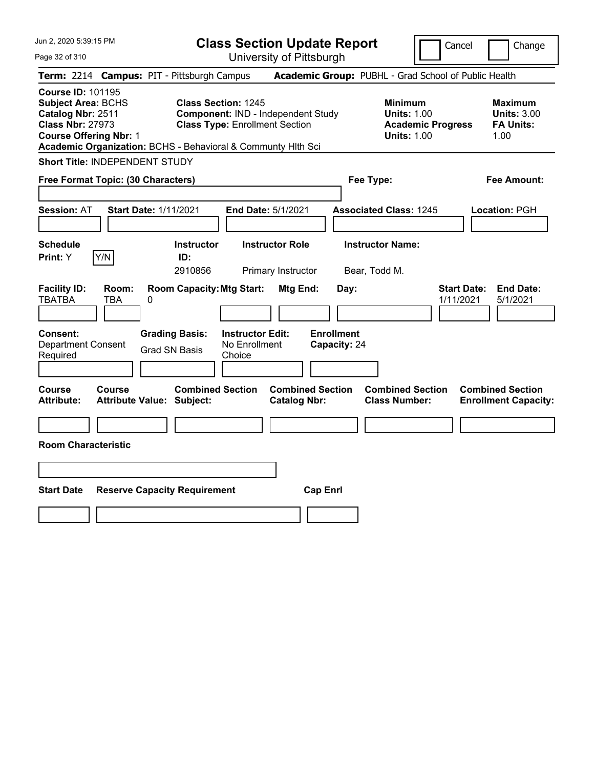| Jun 2, 2020 5:39:15 PM<br>Page 32 of 310                                                                                               | <b>Class Section Update Report</b><br>University of Pittsburgh                                                                                                            | Cancel<br>Change                                                                                                                                           |
|----------------------------------------------------------------------------------------------------------------------------------------|---------------------------------------------------------------------------------------------------------------------------------------------------------------------------|------------------------------------------------------------------------------------------------------------------------------------------------------------|
| Term: 2214 Campus: PIT - Pittsburgh Campus                                                                                             |                                                                                                                                                                           | Academic Group: PUBHL - Grad School of Public Health                                                                                                       |
| <b>Course ID: 101195</b><br><b>Subject Area: BCHS</b><br>Catalog Nbr: 2511<br><b>Class Nbr: 27973</b><br><b>Course Offering Nbr: 1</b> | <b>Class Section: 1245</b><br>Component: IND - Independent Study<br><b>Class Type: Enrollment Section</b><br>Academic Organization: BCHS - Behavioral & Communty Hith Sci | <b>Minimum</b><br><b>Maximum</b><br><b>Units: 1.00</b><br><b>Units: 3.00</b><br><b>Academic Progress</b><br><b>FA Units:</b><br><b>Units: 1.00</b><br>1.00 |
| <b>Short Title: INDEPENDENT STUDY</b>                                                                                                  |                                                                                                                                                                           |                                                                                                                                                            |
| Free Format Topic: (30 Characters)                                                                                                     | Fee Type:                                                                                                                                                                 | <b>Fee Amount:</b>                                                                                                                                         |
| Session: AT<br><b>Start Date: 1/11/2021</b>                                                                                            | End Date: 5/1/2021                                                                                                                                                        | <b>Associated Class: 1245</b><br>Location: PGH                                                                                                             |
| <b>Schedule</b><br>Y/N<br>Print: Y                                                                                                     | <b>Instructor Role</b><br><b>Instructor</b><br>ID:<br>2910856<br>Bear, Todd M.<br>Primary Instructor                                                                      | <b>Instructor Name:</b>                                                                                                                                    |
| <b>Facility ID:</b><br>Room:<br><b>TBATBA</b><br>TBA<br>0                                                                              | <b>Room Capacity: Mtg Start:</b><br>Mtg End:<br>Day:                                                                                                                      | <b>Start Date:</b><br><b>End Date:</b><br>1/11/2021<br>5/1/2021                                                                                            |
| <b>Grading Basis:</b><br><b>Consent:</b><br><b>Department Consent</b><br><b>Grad SN Basis</b><br>Required                              | <b>Instructor Edit:</b><br><b>Enrollment</b><br>No Enrollment<br>Capacity: 24<br>Choice                                                                                   |                                                                                                                                                            |
| <b>Course</b><br><b>Course</b><br><b>Attribute:</b><br><b>Attribute Value: Subject:</b>                                                | <b>Combined Section</b><br><b>Combined Section</b><br><b>Catalog Nbr:</b>                                                                                                 | <b>Combined Section</b><br><b>Combined Section</b><br><b>Class Number:</b><br><b>Enrollment Capacity:</b>                                                  |
| <b>Room Characteristic</b>                                                                                                             |                                                                                                                                                                           |                                                                                                                                                            |
|                                                                                                                                        |                                                                                                                                                                           |                                                                                                                                                            |
|                                                                                                                                        |                                                                                                                                                                           |                                                                                                                                                            |
| <b>Start Date</b><br><b>Reserve Capacity Requirement</b>                                                                               | <b>Cap Enrl</b>                                                                                                                                                           |                                                                                                                                                            |
|                                                                                                                                        |                                                                                                                                                                           |                                                                                                                                                            |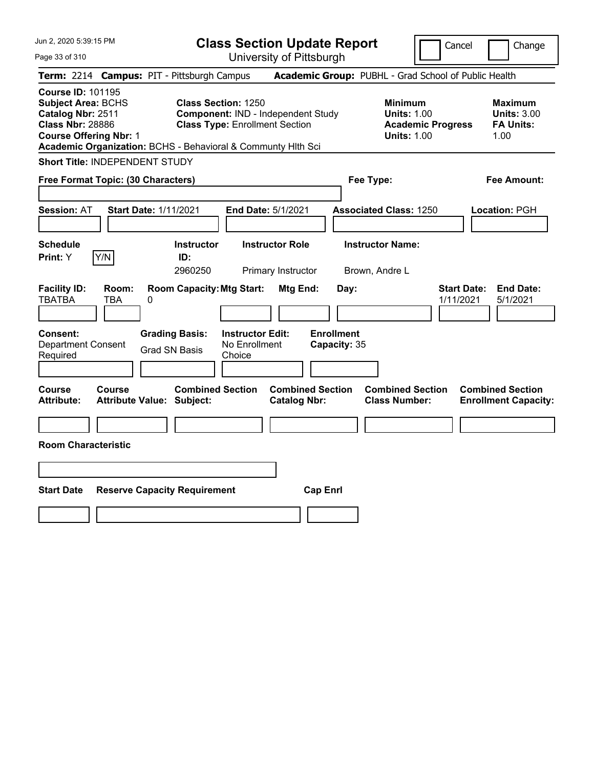| Jun 2, 2020 5:39:15 PM<br>Page 33 of 310                                                                                                                                                               | <b>Class Section Update Report</b><br>University of Pittsburgh                                            | Cancel<br>Change                                                                                                                                           |
|--------------------------------------------------------------------------------------------------------------------------------------------------------------------------------------------------------|-----------------------------------------------------------------------------------------------------------|------------------------------------------------------------------------------------------------------------------------------------------------------------|
| Term: 2214 Campus: PIT - Pittsburgh Campus                                                                                                                                                             |                                                                                                           | Academic Group: PUBHL - Grad School of Public Health                                                                                                       |
| <b>Course ID: 101195</b><br><b>Subject Area: BCHS</b><br>Catalog Nbr: 2511<br><b>Class Nbr: 28886</b><br><b>Course Offering Nbr: 1</b><br>Academic Organization: BCHS - Behavioral & Communty Hlth Sci | <b>Class Section: 1250</b><br>Component: IND - Independent Study<br><b>Class Type: Enrollment Section</b> | <b>Minimum</b><br><b>Maximum</b><br><b>Units: 1.00</b><br><b>Units: 3.00</b><br><b>Academic Progress</b><br><b>FA Units:</b><br><b>Units: 1.00</b><br>1.00 |
| <b>Short Title: INDEPENDENT STUDY</b>                                                                                                                                                                  |                                                                                                           |                                                                                                                                                            |
| Free Format Topic: (30 Characters)                                                                                                                                                                     | Fee Type:                                                                                                 | Fee Amount:                                                                                                                                                |
| <b>Session: AT</b><br><b>Start Date: 1/11/2021</b>                                                                                                                                                     | End Date: 5/1/2021                                                                                        | <b>Associated Class: 1250</b><br>Location: PGH                                                                                                             |
| <b>Schedule</b><br>Y/N<br>Print: Y                                                                                                                                                                     | <b>Instructor Role</b><br><b>Instructor</b><br>ID:<br>2960250<br>Primary Instructor<br>Brown, Andre L     | <b>Instructor Name:</b>                                                                                                                                    |
| <b>Facility ID:</b><br>Room:<br><b>TBATBA</b><br>TBA<br>0                                                                                                                                              | <b>Room Capacity: Mtg Start:</b><br>Mtg End:<br>Day:                                                      | <b>Start Date:</b><br><b>End Date:</b><br>5/1/2021<br>1/11/2021                                                                                            |
| Consent:<br><b>Grading Basis:</b><br><b>Department Consent</b><br><b>Grad SN Basis</b><br>Required                                                                                                     | <b>Enrollment</b><br><b>Instructor Edit:</b><br>No Enrollment<br>Capacity: 35<br>Choice                   |                                                                                                                                                            |
| <b>Course</b><br><b>Course</b><br>Attribute Value: Subject:<br><b>Attribute:</b>                                                                                                                       | <b>Combined Section</b><br><b>Combined Section</b><br><b>Catalog Nbr:</b>                                 | <b>Combined Section</b><br><b>Combined Section</b><br><b>Class Number:</b><br><b>Enrollment Capacity:</b>                                                  |
| <b>Room Characteristic</b>                                                                                                                                                                             |                                                                                                           |                                                                                                                                                            |
|                                                                                                                                                                                                        |                                                                                                           |                                                                                                                                                            |
|                                                                                                                                                                                                        |                                                                                                           |                                                                                                                                                            |
| <b>Start Date</b><br><b>Reserve Capacity Requirement</b>                                                                                                                                               | <b>Cap Enrl</b>                                                                                           |                                                                                                                                                            |
|                                                                                                                                                                                                        |                                                                                                           |                                                                                                                                                            |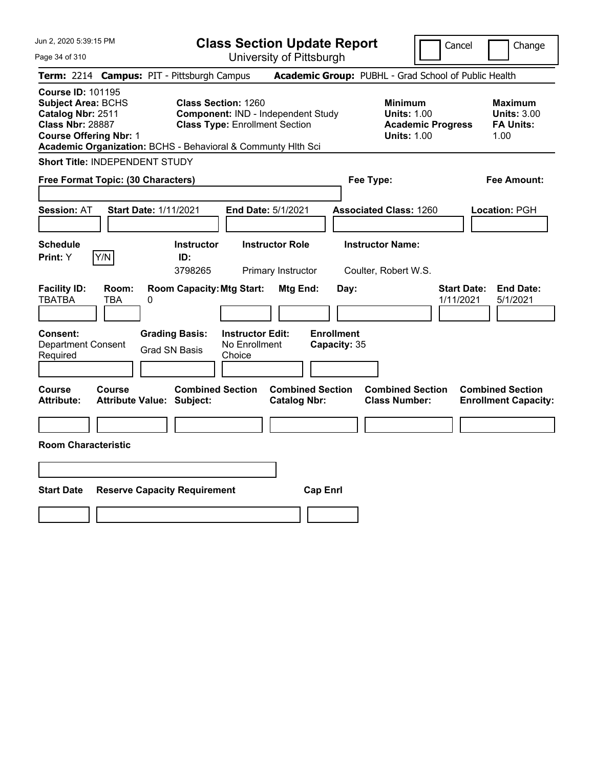| Jun 2, 2020 5:39:15 PM<br>Page 34 of 310                                                                                                                                                               | <b>Class Section Update Report</b><br>University of Pittsburgh                                            | Cancel                                                                                 | Change                                                           |
|--------------------------------------------------------------------------------------------------------------------------------------------------------------------------------------------------------|-----------------------------------------------------------------------------------------------------------|----------------------------------------------------------------------------------------|------------------------------------------------------------------|
| Term: 2214 Campus: PIT - Pittsburgh Campus                                                                                                                                                             |                                                                                                           | Academic Group: PUBHL - Grad School of Public Health                                   |                                                                  |
| <b>Course ID: 101195</b><br><b>Subject Area: BCHS</b><br>Catalog Nbr: 2511<br><b>Class Nbr: 28887</b><br><b>Course Offering Nbr: 1</b><br>Academic Organization: BCHS - Behavioral & Communty Hith Sci | <b>Class Section: 1260</b><br>Component: IND - Independent Study<br><b>Class Type: Enrollment Section</b> | <b>Minimum</b><br><b>Units: 1.00</b><br><b>Academic Progress</b><br><b>Units: 1.00</b> | <b>Maximum</b><br><b>Units: 3.00</b><br><b>FA Units:</b><br>1.00 |
| <b>Short Title: INDEPENDENT STUDY</b>                                                                                                                                                                  |                                                                                                           |                                                                                        |                                                                  |
| Free Format Topic: (30 Characters)                                                                                                                                                                     |                                                                                                           | Fee Type:                                                                              | <b>Fee Amount:</b>                                               |
| <b>Start Date: 1/11/2021</b><br><b>Session: AT</b>                                                                                                                                                     | End Date: 5/1/2021                                                                                        | <b>Associated Class: 1260</b>                                                          | Location: PGH                                                    |
| Schedule<br>Y/N<br>Print: Y                                                                                                                                                                            | <b>Instructor Role</b><br><b>Instructor</b><br>ID:<br>3798265<br>Primary Instructor                       | <b>Instructor Name:</b><br>Coulter, Robert W.S.                                        |                                                                  |
| <b>Facility ID:</b><br>Room:<br><b>TBATBA</b><br>TBA<br>0                                                                                                                                              | <b>Room Capacity: Mtg Start:</b><br>Mtg End:<br>Day:                                                      | <b>Start Date:</b><br>1/11/2021                                                        | <b>End Date:</b><br>5/1/2021                                     |
| <b>Grading Basis:</b><br><b>Consent:</b><br><b>Department Consent</b><br><b>Grad SN Basis</b><br>Required                                                                                              | <b>Instructor Edit:</b><br><b>Enrollment</b><br>No Enrollment<br>Capacity: 35<br>Choice                   |                                                                                        |                                                                  |
| <b>Course</b><br><b>Course</b><br><b>Attribute:</b><br><b>Attribute Value: Subject:</b>                                                                                                                | <b>Combined Section</b><br><b>Combined Section</b><br><b>Catalog Nbr:</b>                                 | <b>Combined Section</b><br><b>Class Number:</b>                                        | <b>Combined Section</b><br><b>Enrollment Capacity:</b>           |
| <b>Room Characteristic</b>                                                                                                                                                                             |                                                                                                           |                                                                                        |                                                                  |
|                                                                                                                                                                                                        |                                                                                                           |                                                                                        |                                                                  |
|                                                                                                                                                                                                        |                                                                                                           |                                                                                        |                                                                  |
| <b>Start Date</b><br><b>Reserve Capacity Requirement</b>                                                                                                                                               | <b>Cap Enrl</b>                                                                                           |                                                                                        |                                                                  |
|                                                                                                                                                                                                        |                                                                                                           |                                                                                        |                                                                  |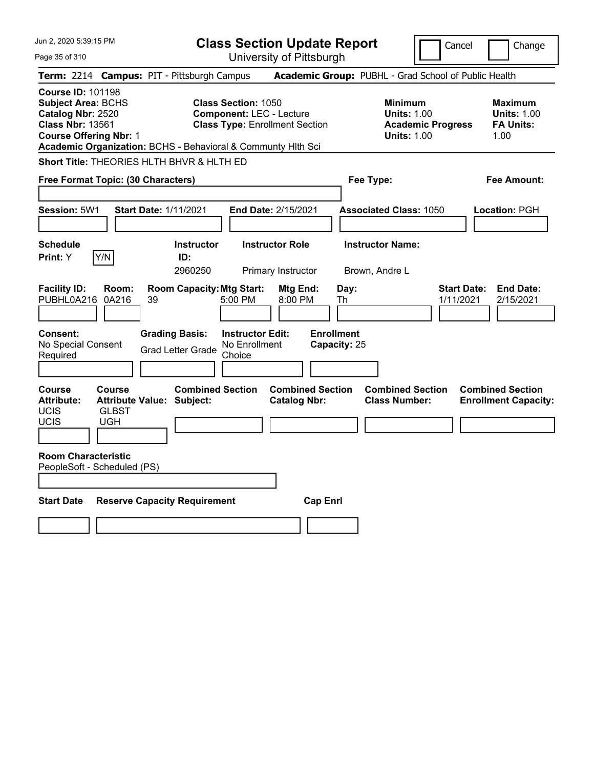| Jun 2, 2020 5:39:15 PM                                                                                                                 |                                      |                                                              |                                                               | <b>Class Section Update Report</b>             |                                                      | Cancel                                                                                 | Change                                                           |
|----------------------------------------------------------------------------------------------------------------------------------------|--------------------------------------|--------------------------------------------------------------|---------------------------------------------------------------|------------------------------------------------|------------------------------------------------------|----------------------------------------------------------------------------------------|------------------------------------------------------------------|
| Page 35 of 310                                                                                                                         |                                      |                                                              |                                                               | University of Pittsburgh                       |                                                      |                                                                                        |                                                                  |
|                                                                                                                                        |                                      | Term: 2214 Campus: PIT - Pittsburgh Campus                   |                                                               |                                                | Academic Group: PUBHL - Grad School of Public Health |                                                                                        |                                                                  |
| <b>Course ID: 101198</b><br><b>Subject Area: BCHS</b><br>Catalog Nbr: 2520<br><b>Class Nbr: 13561</b><br><b>Course Offering Nbr: 1</b> |                                      | Academic Organization: BCHS - Behavioral & Communty Hith Sci | <b>Class Section: 1050</b><br><b>Component: LEC - Lecture</b> | <b>Class Type: Enrollment Section</b>          |                                                      | <b>Minimum</b><br><b>Units: 1.00</b><br><b>Academic Progress</b><br><b>Units: 1.00</b> | <b>Maximum</b><br><b>Units: 1.00</b><br><b>FA Units:</b><br>1.00 |
|                                                                                                                                        |                                      | <b>Short Title: THEORIES HLTH BHVR &amp; HLTH ED</b>         |                                                               |                                                |                                                      |                                                                                        |                                                                  |
| Free Format Topic: (30 Characters)                                                                                                     |                                      |                                                              |                                                               |                                                | Fee Type:                                            |                                                                                        | Fee Amount:                                                      |
|                                                                                                                                        |                                      |                                                              |                                                               |                                                |                                                      |                                                                                        |                                                                  |
| Session: 5W1                                                                                                                           |                                      | <b>Start Date: 1/11/2021</b>                                 |                                                               | End Date: 2/15/2021                            | <b>Associated Class: 1050</b>                        |                                                                                        | <b>Location: PGH</b>                                             |
|                                                                                                                                        |                                      |                                                              |                                                               |                                                |                                                      |                                                                                        |                                                                  |
| <b>Schedule</b>                                                                                                                        | Y/N                                  | <b>Instructor</b>                                            |                                                               | <b>Instructor Role</b>                         | <b>Instructor Name:</b>                              |                                                                                        |                                                                  |
| Print: Y                                                                                                                               |                                      | ID:<br>2960250                                               |                                                               | Primary Instructor                             | Brown, Andre L                                       |                                                                                        |                                                                  |
| <b>Facility ID:</b><br>PUBHL0A216                                                                                                      | Room:<br>0A216                       | <b>Room Capacity: Mtg Start:</b><br>39                       | 5:00 PM                                                       | Mtg End:<br>8:00 PM                            | Day:<br>Th                                           | 1/11/2021                                                                              | <b>Start Date:</b><br><b>End Date:</b><br>2/15/2021              |
| <b>Consent:</b><br>No Special Consent<br>Required                                                                                      |                                      | <b>Grading Basis:</b><br><b>Grad Letter Grade</b>            | <b>Instructor Edit:</b><br>No Enrollment<br>Choice            |                                                | <b>Enrollment</b><br>Capacity: 25                    |                                                                                        |                                                                  |
| Course<br><b>Attribute:</b><br>UCIS<br>UCIS                                                                                            | Course<br><b>GLBST</b><br><b>UGH</b> | <b>Combined Section</b><br><b>Attribute Value: Subject:</b>  |                                                               | <b>Combined Section</b><br><b>Catalog Nbr:</b> |                                                      | <b>Combined Section</b><br><b>Class Number:</b>                                        | <b>Combined Section</b><br><b>Enrollment Capacity:</b>           |
| <b>Room Characteristic</b><br>PeopleSoft - Scheduled (PS)                                                                              |                                      |                                                              |                                                               |                                                |                                                      |                                                                                        |                                                                  |
| <b>Start Date</b>                                                                                                                      |                                      | <b>Reserve Capacity Requirement</b>                          |                                                               | <b>Cap Enrl</b>                                |                                                      |                                                                                        |                                                                  |
|                                                                                                                                        |                                      |                                                              |                                                               |                                                |                                                      |                                                                                        |                                                                  |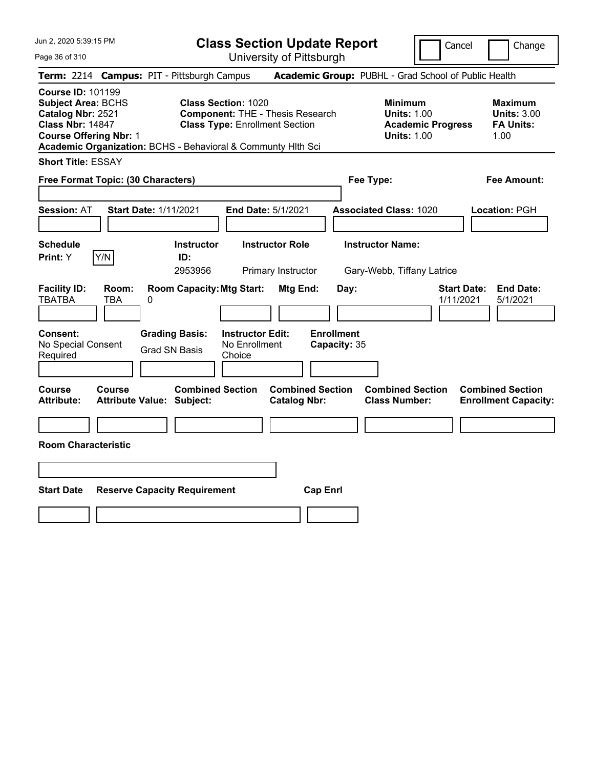Page 36 of 310

**Class Section Update Report**

Cancel **Change** 

| Term: 2214 Campus: PIT - Pittsburgh Campus                                                                                                                                                             |                                                                                                                | Academic Group: PUBHL - Grad School of Public Health                                   |                                                                  |
|--------------------------------------------------------------------------------------------------------------------------------------------------------------------------------------------------------|----------------------------------------------------------------------------------------------------------------|----------------------------------------------------------------------------------------|------------------------------------------------------------------|
| <b>Course ID: 101199</b><br><b>Subject Area: BCHS</b><br>Catalog Nbr: 2521<br><b>Class Nbr: 14847</b><br><b>Course Offering Nbr: 1</b><br>Academic Organization: BCHS - Behavioral & Communty Hlth Sci | <b>Class Section: 1020</b><br><b>Component: THE - Thesis Research</b><br><b>Class Type: Enrollment Section</b> | <b>Minimum</b><br><b>Units: 1.00</b><br><b>Academic Progress</b><br><b>Units: 1.00</b> | <b>Maximum</b><br><b>Units: 3.00</b><br><b>FA Units:</b><br>1.00 |
| <b>Short Title: ESSAY</b>                                                                                                                                                                              |                                                                                                                |                                                                                        |                                                                  |
| Free Format Topic: (30 Characters)                                                                                                                                                                     |                                                                                                                | Fee Type:                                                                              | <b>Fee Amount:</b>                                               |
|                                                                                                                                                                                                        |                                                                                                                |                                                                                        |                                                                  |
| <b>Session: AT</b><br><b>Start Date: 1/11/2021</b>                                                                                                                                                     | End Date: 5/1/2021                                                                                             | <b>Associated Class: 1020</b>                                                          | Location: PGH                                                    |
|                                                                                                                                                                                                        |                                                                                                                |                                                                                        |                                                                  |
| <b>Schedule</b><br>Y/N<br>Print: Y                                                                                                                                                                     | <b>Instructor</b><br><b>Instructor Role</b><br>ID:<br>2953956<br>Primary Instructor                            | <b>Instructor Name:</b><br>Gary-Webb, Tiffany Latrice                                  |                                                                  |
| <b>Facility ID:</b><br>Room:<br><b>TBATBA</b><br><b>TBA</b><br>0                                                                                                                                       | <b>Room Capacity: Mtg Start:</b><br>Mtg End:                                                                   | <b>Start Date:</b><br>Day:<br>1/11/2021                                                | <b>End Date:</b><br>5/1/2021                                     |
| <b>Grading Basis:</b><br>Consent:<br>No Special Consent<br><b>Grad SN Basis</b><br>Required                                                                                                            | <b>Enrollment</b><br><b>Instructor Edit:</b><br>No Enrollment<br>Capacity: 35<br>Choice                        |                                                                                        |                                                                  |
| Course<br>Course<br><b>Attribute:</b><br><b>Attribute Value: Subject:</b>                                                                                                                              | <b>Combined Section</b><br><b>Combined Section</b><br><b>Catalog Nbr:</b>                                      | <b>Combined Section</b><br><b>Class Number:</b>                                        | <b>Combined Section</b><br><b>Enrollment Capacity:</b>           |
|                                                                                                                                                                                                        |                                                                                                                |                                                                                        |                                                                  |
| <b>Room Characteristic</b>                                                                                                                                                                             |                                                                                                                |                                                                                        |                                                                  |
|                                                                                                                                                                                                        |                                                                                                                |                                                                                        |                                                                  |
| <b>Start Date</b><br><b>Reserve Capacity Requirement</b>                                                                                                                                               | <b>Cap Enrl</b>                                                                                                |                                                                                        |                                                                  |
|                                                                                                                                                                                                        |                                                                                                                |                                                                                        |                                                                  |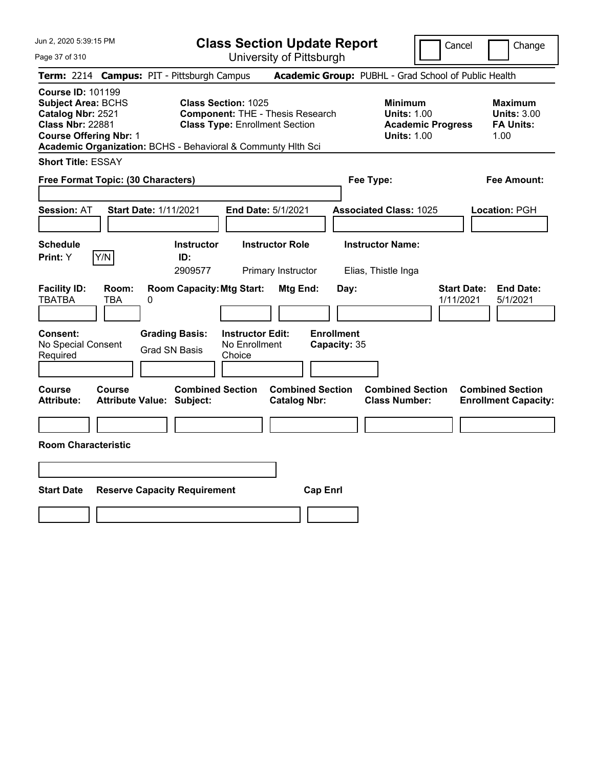**Class Section Update Report**

Cancel **Change** 

| Page 37 of 310                                                                                                                              | University of Pittsburgh                                                                                                                                                                                    |                                                                                                         |                                                                                        |                                                                                                              |
|---------------------------------------------------------------------------------------------------------------------------------------------|-------------------------------------------------------------------------------------------------------------------------------------------------------------------------------------------------------------|---------------------------------------------------------------------------------------------------------|----------------------------------------------------------------------------------------|--------------------------------------------------------------------------------------------------------------|
|                                                                                                                                             | Term: 2214 Campus: PIT - Pittsburgh Campus                                                                                                                                                                  |                                                                                                         | Academic Group: PUBHL - Grad School of Public Health                                   |                                                                                                              |
| <b>Course ID: 101199</b><br><b>Subject Area: BCHS</b><br>Catalog Nbr: 2521<br><b>Class Nbr: 22881</b><br><b>Course Offering Nbr: 1</b>      | <b>Class Section: 1025</b><br><b>Component: THE - Thesis Research</b><br><b>Class Type: Enrollment Section</b><br>Academic Organization: BCHS - Behavioral & Communty Hlth Sci                              |                                                                                                         | <b>Minimum</b><br><b>Units: 1.00</b><br><b>Academic Progress</b><br><b>Units: 1.00</b> | <b>Maximum</b><br><b>Units: 3.00</b><br><b>FA Units:</b><br>1.00                                             |
| <b>Short Title: ESSAY</b>                                                                                                                   |                                                                                                                                                                                                             |                                                                                                         |                                                                                        |                                                                                                              |
| Free Format Topic: (30 Characters)                                                                                                          |                                                                                                                                                                                                             |                                                                                                         | Fee Type:                                                                              | <b>Fee Amount:</b>                                                                                           |
| <b>Session: AT</b>                                                                                                                          | <b>Start Date: 1/11/2021</b><br>End Date: 5/1/2021                                                                                                                                                          |                                                                                                         | <b>Associated Class: 1025</b>                                                          | Location: PGH                                                                                                |
| <b>Schedule</b>                                                                                                                             | <b>Instructor Role</b><br><b>Instructor</b>                                                                                                                                                                 |                                                                                                         | <b>Instructor Name:</b>                                                                |                                                                                                              |
| Y/N<br>Print: Y                                                                                                                             | ID:<br>2909577<br>Primary Instructor                                                                                                                                                                        |                                                                                                         | Elias, Thistle Inga                                                                    |                                                                                                              |
| <b>Facility ID:</b><br>Room:<br><b>TBATBA</b><br>TBA<br>Consent:<br>No Special Consent<br>Required<br>Course<br>Course<br><b>Attribute:</b> | <b>Room Capacity: Mtg Start:</b><br>0<br><b>Instructor Edit:</b><br><b>Grading Basis:</b><br>No Enrollment<br><b>Grad SN Basis</b><br>Choice<br><b>Combined Section</b><br><b>Attribute Value: Subject:</b> | Mtg End:<br>Day:<br><b>Enrollment</b><br>Capacity: 35<br><b>Combined Section</b><br><b>Catalog Nbr:</b> | 1/11/2021<br><b>Combined Section</b><br><b>Class Number:</b>                           | <b>End Date:</b><br><b>Start Date:</b><br>5/1/2021<br><b>Combined Section</b><br><b>Enrollment Capacity:</b> |
|                                                                                                                                             |                                                                                                                                                                                                             |                                                                                                         |                                                                                        |                                                                                                              |
| <b>Room Characteristic</b>                                                                                                                  |                                                                                                                                                                                                             |                                                                                                         |                                                                                        |                                                                                                              |
|                                                                                                                                             |                                                                                                                                                                                                             |                                                                                                         |                                                                                        |                                                                                                              |
| <b>Start Date</b>                                                                                                                           | <b>Reserve Capacity Requirement</b>                                                                                                                                                                         | <b>Cap Enrl</b>                                                                                         |                                                                                        |                                                                                                              |
|                                                                                                                                             |                                                                                                                                                                                                             |                                                                                                         |                                                                                        |                                                                                                              |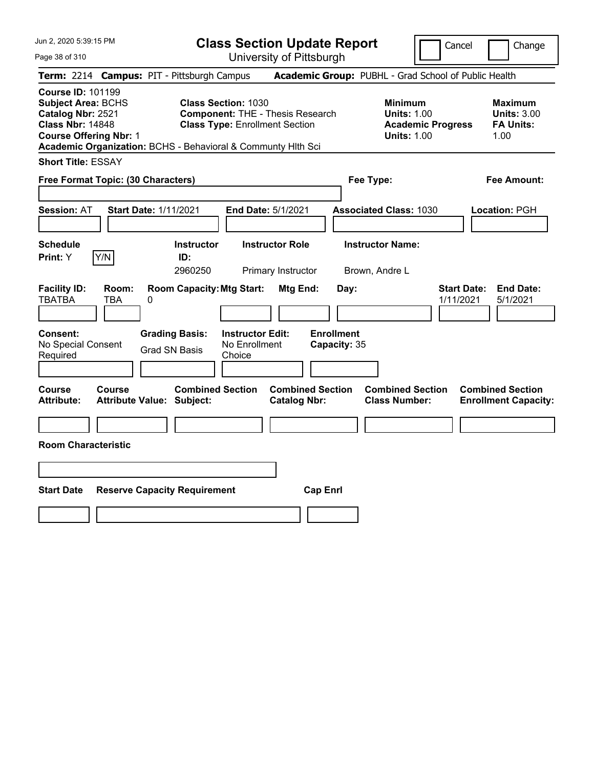Page 38 of 310

**Class Section Update Report**

Cancel Change

| Term: 2214 Campus: PIT - Pittsburgh Campus                                                                                                                                                             |                                            |   |                                               |                                                                                                                |                                                |                 |                                   | Academic Group: PUBHL - Grad School of Public Health       |                          |                                 |                                                                  |
|--------------------------------------------------------------------------------------------------------------------------------------------------------------------------------------------------------|--------------------------------------------|---|-----------------------------------------------|----------------------------------------------------------------------------------------------------------------|------------------------------------------------|-----------------|-----------------------------------|------------------------------------------------------------|--------------------------|---------------------------------|------------------------------------------------------------------|
| <b>Course ID: 101199</b><br><b>Subject Area: BCHS</b><br>Catalog Nbr: 2521<br><b>Class Nbr: 14848</b><br><b>Course Offering Nbr: 1</b><br>Academic Organization: BCHS - Behavioral & Communty Hlth Sci |                                            |   |                                               | <b>Class Section: 1030</b><br><b>Component: THE - Thesis Research</b><br><b>Class Type: Enrollment Section</b> |                                                |                 |                                   | <b>Minimum</b><br><b>Units: 1.00</b><br><b>Units: 1.00</b> | <b>Academic Progress</b> |                                 | <b>Maximum</b><br><b>Units: 3.00</b><br><b>FA Units:</b><br>1.00 |
| <b>Short Title: ESSAY</b>                                                                                                                                                                              |                                            |   |                                               |                                                                                                                |                                                |                 |                                   |                                                            |                          |                                 |                                                                  |
| Free Format Topic: (30 Characters)                                                                                                                                                                     |                                            |   |                                               |                                                                                                                |                                                |                 |                                   | Fee Type:                                                  |                          |                                 | <b>Fee Amount:</b>                                               |
| <b>Session: AT</b>                                                                                                                                                                                     | <b>Start Date: 1/11/2021</b>               |   |                                               | End Date: 5/1/2021                                                                                             |                                                |                 |                                   | <b>Associated Class: 1030</b>                              |                          |                                 | Location: PGH                                                    |
| <b>Schedule</b><br>Print: Y                                                                                                                                                                            | Y/N                                        |   | <b>Instructor</b><br>ID:<br>2960250           |                                                                                                                | <b>Instructor Role</b><br>Primary Instructor   |                 |                                   | <b>Instructor Name:</b><br>Brown, Andre L                  |                          |                                 |                                                                  |
| <b>Facility ID:</b><br><b>TBATBA</b>                                                                                                                                                                   | Room:<br><b>TBA</b>                        | 0 | <b>Room Capacity: Mtg Start:</b>              |                                                                                                                | Mtg End:                                       |                 | Day:                              |                                                            |                          | <b>Start Date:</b><br>1/11/2021 | <b>End Date:</b><br>5/1/2021                                     |
| Consent:<br>No Special Consent<br>Required                                                                                                                                                             |                                            |   | <b>Grading Basis:</b><br><b>Grad SN Basis</b> | <b>Instructor Edit:</b><br>No Enrollment<br>Choice                                                             |                                                |                 | <b>Enrollment</b><br>Capacity: 35 |                                                            |                          |                                 |                                                                  |
| Course<br><b>Attribute:</b>                                                                                                                                                                            | Course<br><b>Attribute Value: Subject:</b> |   | <b>Combined Section</b>                       |                                                                                                                | <b>Combined Section</b><br><b>Catalog Nbr:</b> |                 |                                   | <b>Combined Section</b><br><b>Class Number:</b>            |                          |                                 | <b>Combined Section</b><br><b>Enrollment Capacity:</b>           |
| <b>Room Characteristic</b>                                                                                                                                                                             |                                            |   |                                               |                                                                                                                |                                                |                 |                                   |                                                            |                          |                                 |                                                                  |
|                                                                                                                                                                                                        |                                            |   |                                               |                                                                                                                |                                                |                 |                                   |                                                            |                          |                                 |                                                                  |
| <b>Start Date</b>                                                                                                                                                                                      |                                            |   | <b>Reserve Capacity Requirement</b>           |                                                                                                                |                                                | <b>Cap Enrl</b> |                                   |                                                            |                          |                                 |                                                                  |
|                                                                                                                                                                                                        |                                            |   |                                               |                                                                                                                |                                                |                 |                                   |                                                            |                          |                                 |                                                                  |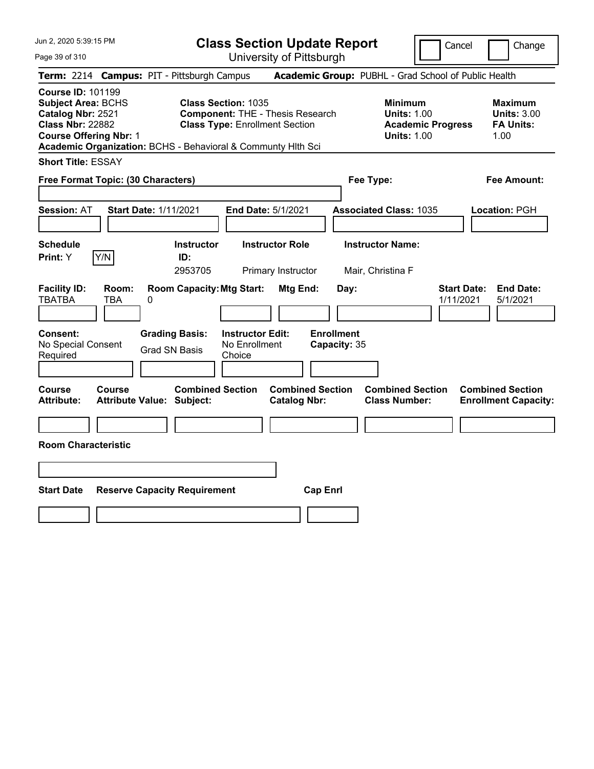**Class Section Update Report**

Cancel **Change** 

| Page 39 of 310                                                                                                                              | University of Pittsburgh                                                                                                                                                                                    |                                                                                                         |                                                                                        |                                                                                        |
|---------------------------------------------------------------------------------------------------------------------------------------------|-------------------------------------------------------------------------------------------------------------------------------------------------------------------------------------------------------------|---------------------------------------------------------------------------------------------------------|----------------------------------------------------------------------------------------|----------------------------------------------------------------------------------------|
|                                                                                                                                             | Term: 2214 Campus: PIT - Pittsburgh Campus                                                                                                                                                                  |                                                                                                         | Academic Group: PUBHL - Grad School of Public Health                                   |                                                                                        |
| <b>Course ID: 101199</b><br><b>Subject Area: BCHS</b><br>Catalog Nbr: 2521<br><b>Class Nbr: 22882</b><br><b>Course Offering Nbr: 1</b>      | <b>Class Section: 1035</b><br><b>Component: THE - Thesis Research</b><br><b>Class Type: Enrollment Section</b><br>Academic Organization: BCHS - Behavioral & Communty Hlth Sci                              |                                                                                                         | <b>Minimum</b><br><b>Units: 1.00</b><br><b>Academic Progress</b><br><b>Units: 1.00</b> | <b>Maximum</b><br><b>Units: 3.00</b><br><b>FA Units:</b><br>1.00                       |
| <b>Short Title: ESSAY</b>                                                                                                                   |                                                                                                                                                                                                             |                                                                                                         |                                                                                        |                                                                                        |
| Free Format Topic: (30 Characters)                                                                                                          |                                                                                                                                                                                                             | Fee Type:                                                                                               |                                                                                        | <b>Fee Amount:</b>                                                                     |
| <b>Session: AT</b>                                                                                                                          | <b>Start Date: 1/11/2021</b><br>End Date: 5/1/2021                                                                                                                                                          |                                                                                                         | <b>Associated Class: 1035</b>                                                          | Location: PGH                                                                          |
| <b>Schedule</b>                                                                                                                             | <b>Instructor Role</b><br><b>Instructor</b>                                                                                                                                                                 |                                                                                                         | <b>Instructor Name:</b>                                                                |                                                                                        |
| Y/N<br>Print: Y                                                                                                                             | ID:<br>2953705<br>Primary Instructor                                                                                                                                                                        | Mair, Christina F                                                                                       |                                                                                        |                                                                                        |
| <b>Facility ID:</b><br>Room:<br><b>TBATBA</b><br>TBA<br>Consent:<br>No Special Consent<br>Required<br>Course<br>Course<br><b>Attribute:</b> | <b>Room Capacity: Mtg Start:</b><br>0<br><b>Instructor Edit:</b><br><b>Grading Basis:</b><br>No Enrollment<br><b>Grad SN Basis</b><br>Choice<br><b>Combined Section</b><br><b>Attribute Value: Subject:</b> | Mtg End:<br>Day:<br><b>Enrollment</b><br>Capacity: 35<br><b>Combined Section</b><br><b>Catalog Nbr:</b> | <b>Start Date:</b><br>1/11/2021<br><b>Combined Section</b><br><b>Class Number:</b>     | <b>End Date:</b><br>5/1/2021<br><b>Combined Section</b><br><b>Enrollment Capacity:</b> |
|                                                                                                                                             |                                                                                                                                                                                                             |                                                                                                         |                                                                                        |                                                                                        |
| <b>Room Characteristic</b>                                                                                                                  |                                                                                                                                                                                                             |                                                                                                         |                                                                                        |                                                                                        |
|                                                                                                                                             |                                                                                                                                                                                                             |                                                                                                         |                                                                                        |                                                                                        |
| <b>Start Date</b>                                                                                                                           | <b>Reserve Capacity Requirement</b>                                                                                                                                                                         | <b>Cap Enrl</b>                                                                                         |                                                                                        |                                                                                        |
|                                                                                                                                             |                                                                                                                                                                                                             |                                                                                                         |                                                                                        |                                                                                        |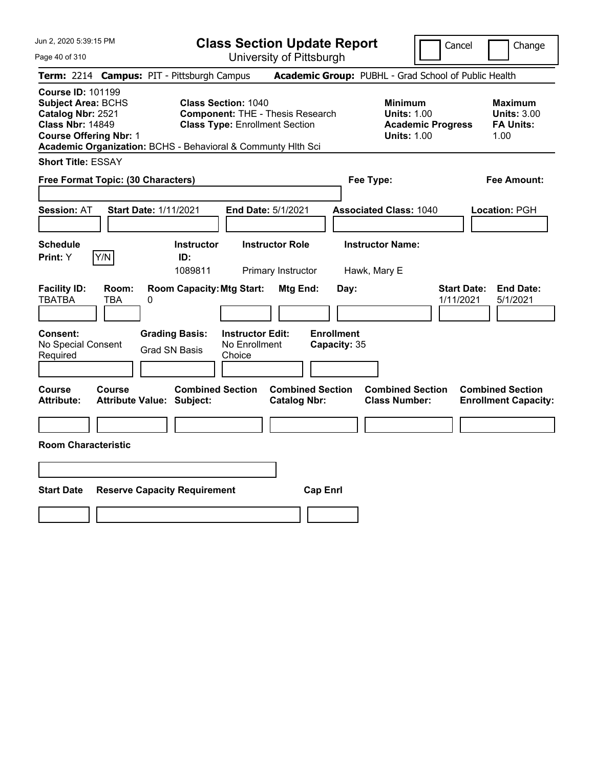Page 40 of 310

**Class Section Update Report**

Cancel **Change** 

|                                                                                                                                                                                                                                                                                                                          |              |                                                             |                                                    | UNIVUOILY ULI RODULYN                          |                                                                                        |                                                                  |                                                                 |
|--------------------------------------------------------------------------------------------------------------------------------------------------------------------------------------------------------------------------------------------------------------------------------------------------------------------------|--------------|-------------------------------------------------------------|----------------------------------------------------|------------------------------------------------|----------------------------------------------------------------------------------------|------------------------------------------------------------------|-----------------------------------------------------------------|
|                                                                                                                                                                                                                                                                                                                          |              | Term: 2214 Campus: PIT - Pittsburgh Campus                  |                                                    |                                                |                                                                                        | Academic Group: PUBHL - Grad School of Public Health             |                                                                 |
| <b>Course ID: 101199</b><br><b>Subject Area: BCHS</b><br><b>Class Section: 1040</b><br>Catalog Nbr: 2521<br><b>Component: THE - Thesis Research</b><br><b>Class Nbr: 14849</b><br><b>Class Type: Enrollment Section</b><br><b>Course Offering Nbr: 1</b><br>Academic Organization: BCHS - Behavioral & Communty Hith Sci |              |                                                             |                                                    |                                                | <b>Minimum</b><br><b>Units: 1.00</b><br><b>Academic Progress</b><br><b>Units: 1.00</b> | <b>Maximum</b><br><b>Units: 3.00</b><br><b>FA Units:</b><br>1.00 |                                                                 |
| <b>Short Title: ESSAY</b>                                                                                                                                                                                                                                                                                                |              |                                                             |                                                    |                                                |                                                                                        |                                                                  |                                                                 |
| Free Format Topic: (30 Characters)                                                                                                                                                                                                                                                                                       |              |                                                             |                                                    |                                                |                                                                                        | Fee Type:                                                        | Fee Amount:                                                     |
| <b>Session: AT</b>                                                                                                                                                                                                                                                                                                       |              | <b>Start Date: 1/11/2021</b>                                | End Date: 5/1/2021                                 |                                                |                                                                                        | <b>Associated Class: 1040</b>                                    | Location: PGH                                                   |
| <b>Schedule</b><br>Print: Y                                                                                                                                                                                                                                                                                              | Y/N          | <b>Instructor</b><br>ID:<br>1089811                         |                                                    | <b>Instructor Role</b><br>Primary Instructor   |                                                                                        | <b>Instructor Name:</b><br>Hawk, Mary E                          |                                                                 |
| <b>Facility ID:</b><br><b>TBATBA</b>                                                                                                                                                                                                                                                                                     | Room:<br>TBA | <b>Room Capacity: Mtg Start:</b><br>0                       |                                                    | Mtg End:                                       | Day:                                                                                   |                                                                  | <b>Start Date:</b><br><b>End Date:</b><br>1/11/2021<br>5/1/2021 |
| <b>Consent:</b><br>No Special Consent<br>Required                                                                                                                                                                                                                                                                        |              | <b>Grading Basis:</b><br><b>Grad SN Basis</b>               | <b>Instructor Edit:</b><br>No Enrollment<br>Choice |                                                | <b>Enrollment</b><br>Capacity: 35                                                      |                                                                  |                                                                 |
| Course<br><b>Attribute:</b>                                                                                                                                                                                                                                                                                              | Course       | <b>Combined Section</b><br><b>Attribute Value: Subject:</b> |                                                    | <b>Combined Section</b><br><b>Catalog Nbr:</b> |                                                                                        | <b>Combined Section</b><br><b>Class Number:</b>                  | <b>Combined Section</b><br><b>Enrollment Capacity:</b>          |
| <b>Room Characteristic</b>                                                                                                                                                                                                                                                                                               |              |                                                             |                                                    |                                                |                                                                                        |                                                                  |                                                                 |
|                                                                                                                                                                                                                                                                                                                          |              |                                                             |                                                    |                                                |                                                                                        |                                                                  |                                                                 |
| <b>Start Date</b>                                                                                                                                                                                                                                                                                                        |              | <b>Reserve Capacity Requirement</b>                         |                                                    | <b>Cap Enrl</b>                                |                                                                                        |                                                                  |                                                                 |
|                                                                                                                                                                                                                                                                                                                          |              |                                                             |                                                    |                                                |                                                                                        |                                                                  |                                                                 |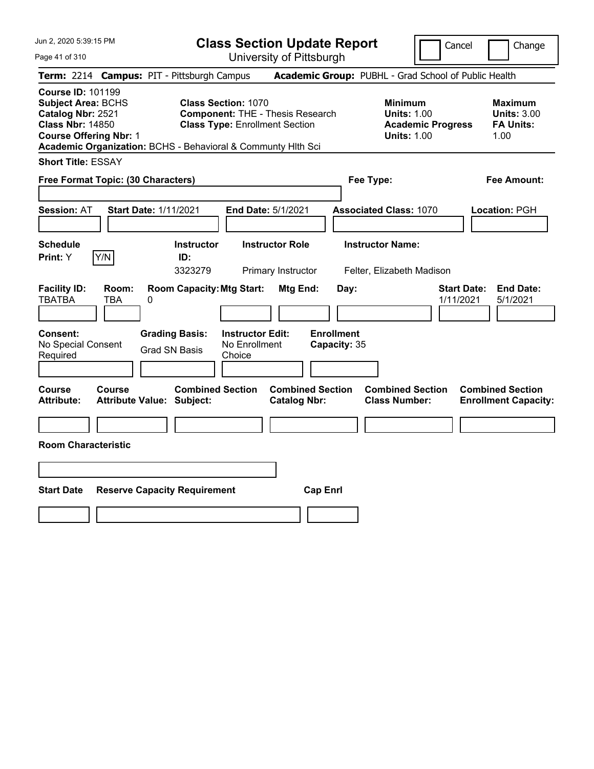Page 41 of 310

**Class Section Update Report**

Cancel Change

| Term: 2214 Campus: PIT - Pittsburgh Campus                                                                                                                                                             |                                                                                                                | Academic Group: PUBHL - Grad School of Public Health                            |                                                           |
|--------------------------------------------------------------------------------------------------------------------------------------------------------------------------------------------------------|----------------------------------------------------------------------------------------------------------------|---------------------------------------------------------------------------------|-----------------------------------------------------------|
| <b>Course ID: 101199</b><br><b>Subject Area: BCHS</b><br>Catalog Nbr: 2521<br><b>Class Nbr: 14850</b><br><b>Course Offering Nbr: 1</b><br>Academic Organization: BCHS - Behavioral & Communty Hlth Sci | <b>Class Section: 1070</b><br><b>Component: THE - Thesis Research</b><br><b>Class Type: Enrollment Section</b> | Minimum<br><b>Units: 1.00</b><br><b>Academic Progress</b><br><b>Units: 1.00</b> | Maximum<br><b>Units: 3.00</b><br><b>FA Units:</b><br>1.00 |
| <b>Short Title: ESSAY</b>                                                                                                                                                                              |                                                                                                                |                                                                                 |                                                           |
| Free Format Topic: (30 Characters)                                                                                                                                                                     |                                                                                                                | Fee Type:                                                                       | <b>Fee Amount:</b>                                        |
| <b>Session: AT</b><br><b>Start Date: 1/11/2021</b>                                                                                                                                                     | <b>End Date: 5/1/2021</b>                                                                                      | <b>Associated Class: 1070</b>                                                   | Location: PGH                                             |
| <b>Schedule</b><br><b>Instructor</b><br>Y/N<br>Print: Y<br>ID:<br>3323279                                                                                                                              | <b>Instructor Role</b><br>Primary Instructor                                                                   | <b>Instructor Name:</b><br>Felter, Elizabeth Madison                            |                                                           |
| <b>Facility ID:</b><br>Room:<br><b>TBATBA</b><br><b>TBA</b><br>0                                                                                                                                       | <b>Room Capacity: Mtg Start:</b><br>Mtg End:                                                                   | <b>Start Date:</b><br>Day:<br>1/11/2021                                         | <b>End Date:</b><br>5/1/2021                              |
| Consent:<br><b>Grading Basis:</b><br>No Special Consent<br><b>Grad SN Basis</b><br>Required                                                                                                            | <b>Enrollment</b><br><b>Instructor Edit:</b><br>No Enrollment<br>Capacity: 35<br>Choice                        |                                                                                 |                                                           |
| Course<br>Course<br><b>Attribute:</b><br><b>Attribute Value: Subject:</b>                                                                                                                              | <b>Combined Section</b><br><b>Combined Section</b><br><b>Catalog Nbr:</b>                                      | <b>Combined Section</b><br><b>Class Number:</b>                                 | <b>Combined Section</b><br><b>Enrollment Capacity:</b>    |
| <b>Room Characteristic</b>                                                                                                                                                                             |                                                                                                                |                                                                                 |                                                           |
|                                                                                                                                                                                                        |                                                                                                                |                                                                                 |                                                           |
| <b>Start Date</b><br><b>Reserve Capacity Requirement</b>                                                                                                                                               | <b>Cap Enrl</b>                                                                                                |                                                                                 |                                                           |
|                                                                                                                                                                                                        |                                                                                                                |                                                                                 |                                                           |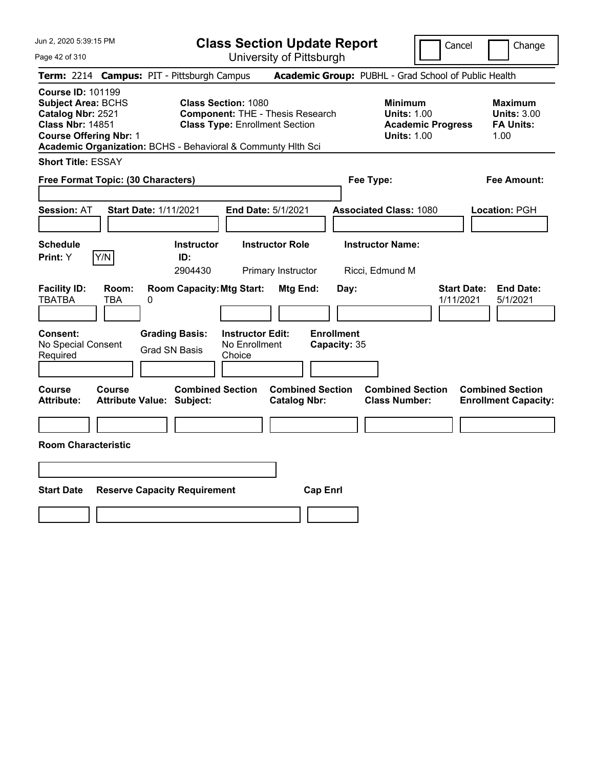Page 42 of 310

**Class Section Update Report**

Cancel **Change** 

|                                                                                                                                                                                                                                                                                                                          |                     |                                                             |                                                    | UNIVUOILY ULI ILLUUUI YN                       |                                                                                        |                                                      |                                                                  |                                                        |
|--------------------------------------------------------------------------------------------------------------------------------------------------------------------------------------------------------------------------------------------------------------------------------------------------------------------------|---------------------|-------------------------------------------------------------|----------------------------------------------------|------------------------------------------------|----------------------------------------------------------------------------------------|------------------------------------------------------|------------------------------------------------------------------|--------------------------------------------------------|
|                                                                                                                                                                                                                                                                                                                          |                     | Term: 2214 Campus: PIT - Pittsburgh Campus                  |                                                    |                                                |                                                                                        | Academic Group: PUBHL - Grad School of Public Health |                                                                  |                                                        |
| <b>Course ID: 101199</b><br><b>Subject Area: BCHS</b><br><b>Class Section: 1080</b><br>Catalog Nbr: 2521<br><b>Component: THE - Thesis Research</b><br><b>Class Nbr: 14851</b><br><b>Class Type: Enrollment Section</b><br><b>Course Offering Nbr: 1</b><br>Academic Organization: BCHS - Behavioral & Communty Hith Sci |                     |                                                             |                                                    |                                                | <b>Minimum</b><br><b>Units: 1.00</b><br><b>Academic Progress</b><br><b>Units: 1.00</b> |                                                      | <b>Maximum</b><br><b>Units: 3.00</b><br><b>FA Units:</b><br>1.00 |                                                        |
| <b>Short Title: ESSAY</b>                                                                                                                                                                                                                                                                                                |                     |                                                             |                                                    |                                                |                                                                                        |                                                      |                                                                  |                                                        |
| Free Format Topic: (30 Characters)                                                                                                                                                                                                                                                                                       |                     |                                                             |                                                    |                                                |                                                                                        | Fee Type:                                            |                                                                  | <b>Fee Amount:</b>                                     |
| <b>Session: AT</b>                                                                                                                                                                                                                                                                                                       |                     | Start Date: 1/11/2021                                       | End Date: 5/1/2021                                 |                                                |                                                                                        | <b>Associated Class: 1080</b>                        |                                                                  | Location: PGH                                          |
| <b>Schedule</b><br>Print: Y                                                                                                                                                                                                                                                                                              | Y/N                 | Instructor<br>ID:<br>2904430                                |                                                    | <b>Instructor Role</b><br>Primary Instructor   |                                                                                        | <b>Instructor Name:</b><br>Ricci, Edmund M           |                                                                  |                                                        |
| <b>Facility ID:</b><br><b>TBATBA</b>                                                                                                                                                                                                                                                                                     | Room:<br><b>TBA</b> | <b>Room Capacity: Mtg Start:</b><br>0                       |                                                    | Mtg End:                                       | Day:                                                                                   |                                                      | <b>Start Date:</b><br>1/11/2021                                  | <b>End Date:</b><br>5/1/2021                           |
| <b>Consent:</b><br>No Special Consent<br>Required                                                                                                                                                                                                                                                                        |                     | <b>Grading Basis:</b><br><b>Grad SN Basis</b>               | <b>Instructor Edit:</b><br>No Enrollment<br>Choice |                                                | <b>Enrollment</b><br>Capacity: 35                                                      |                                                      |                                                                  |                                                        |
| <b>Course</b><br><b>Attribute:</b>                                                                                                                                                                                                                                                                                       | Course              | <b>Combined Section</b><br><b>Attribute Value: Subject:</b> |                                                    | <b>Combined Section</b><br><b>Catalog Nbr:</b> |                                                                                        | <b>Combined Section</b><br><b>Class Number:</b>      |                                                                  | <b>Combined Section</b><br><b>Enrollment Capacity:</b> |
| <b>Room Characteristic</b>                                                                                                                                                                                                                                                                                               |                     |                                                             |                                                    |                                                |                                                                                        |                                                      |                                                                  |                                                        |
|                                                                                                                                                                                                                                                                                                                          |                     |                                                             |                                                    |                                                |                                                                                        |                                                      |                                                                  |                                                        |
| <b>Start Date</b>                                                                                                                                                                                                                                                                                                        |                     | <b>Reserve Capacity Requirement</b>                         |                                                    | <b>Cap Enrl</b>                                |                                                                                        |                                                      |                                                                  |                                                        |
|                                                                                                                                                                                                                                                                                                                          |                     |                                                             |                                                    |                                                |                                                                                        |                                                      |                                                                  |                                                        |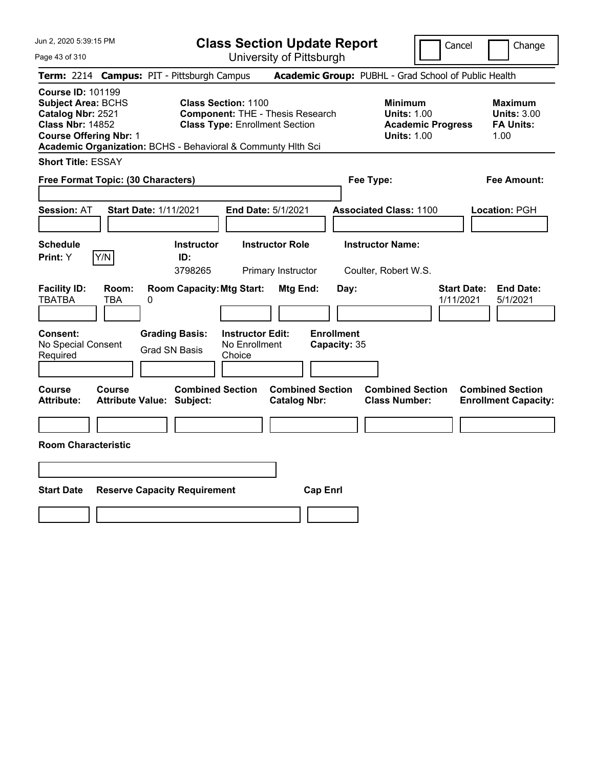Page 43 of 310

**Class Section Update Report**

Cancel Change

|                                                                                                                                        |                     | Term: 2214 Campus: PIT - Pittsburgh Campus                   |                                                                     |                                                |                                   | Academic Group: PUBHL - Grad School of Public Health                                   |                                 |                                                                  |
|----------------------------------------------------------------------------------------------------------------------------------------|---------------------|--------------------------------------------------------------|---------------------------------------------------------------------|------------------------------------------------|-----------------------------------|----------------------------------------------------------------------------------------|---------------------------------|------------------------------------------------------------------|
| <b>Course ID: 101199</b><br><b>Subject Area: BCHS</b><br>Catalog Nbr: 2521<br><b>Class Nbr: 14852</b><br><b>Course Offering Nbr: 1</b> |                     | Academic Organization: BCHS - Behavioral & Communty Hlth Sci | <b>Class Section: 1100</b><br><b>Class Type: Enrollment Section</b> | <b>Component: THE - Thesis Research</b>        |                                   | <b>Minimum</b><br><b>Units: 1.00</b><br><b>Academic Progress</b><br><b>Units: 1.00</b> |                                 | <b>Maximum</b><br><b>Units: 3.00</b><br><b>FA Units:</b><br>1.00 |
| <b>Short Title: ESSAY</b>                                                                                                              |                     |                                                              |                                                                     |                                                |                                   |                                                                                        |                                 |                                                                  |
| Free Format Topic: (30 Characters)                                                                                                     |                     |                                                              |                                                                     |                                                | Fee Type:                         |                                                                                        |                                 | <b>Fee Amount:</b>                                               |
| Session: AT                                                                                                                            |                     | <b>Start Date: 1/11/2021</b>                                 | End Date: 5/1/2021                                                  |                                                |                                   | <b>Associated Class: 1100</b>                                                          |                                 | Location: PGH                                                    |
| <b>Schedule</b><br>Print: Y                                                                                                            | Y/N                 | <b>Instructor</b><br>ID:<br>3798265                          |                                                                     | <b>Instructor Role</b><br>Primary Instructor   |                                   | <b>Instructor Name:</b><br>Coulter, Robert W.S.                                        |                                 |                                                                  |
| <b>Facility ID:</b><br><b>TBATBA</b>                                                                                                   | Room:<br><b>TBA</b> | <b>Room Capacity: Mtg Start:</b><br>0                        |                                                                     | Mtg End:                                       | Day:                              |                                                                                        | <b>Start Date:</b><br>1/11/2021 | <b>End Date:</b><br>5/1/2021                                     |
| <b>Consent:</b><br>No Special Consent<br>Required                                                                                      |                     | <b>Grading Basis:</b><br><b>Grad SN Basis</b>                | <b>Instructor Edit:</b><br>No Enrollment<br>Choice                  |                                                | <b>Enrollment</b><br>Capacity: 35 |                                                                                        |                                 |                                                                  |
| Course<br>Attribute:                                                                                                                   | Course              | <b>Combined Section</b><br><b>Attribute Value: Subject:</b>  |                                                                     | <b>Combined Section</b><br><b>Catalog Nbr:</b> |                                   | <b>Combined Section</b><br><b>Class Number:</b>                                        |                                 | <b>Combined Section</b><br><b>Enrollment Capacity:</b>           |
| <b>Room Characteristic</b>                                                                                                             |                     |                                                              |                                                                     |                                                |                                   |                                                                                        |                                 |                                                                  |
|                                                                                                                                        |                     |                                                              |                                                                     |                                                |                                   |                                                                                        |                                 |                                                                  |
| <b>Start Date</b>                                                                                                                      |                     | <b>Reserve Capacity Requirement</b>                          |                                                                     | <b>Cap Enrl</b>                                |                                   |                                                                                        |                                 |                                                                  |
|                                                                                                                                        |                     |                                                              |                                                                     |                                                |                                   |                                                                                        |                                 |                                                                  |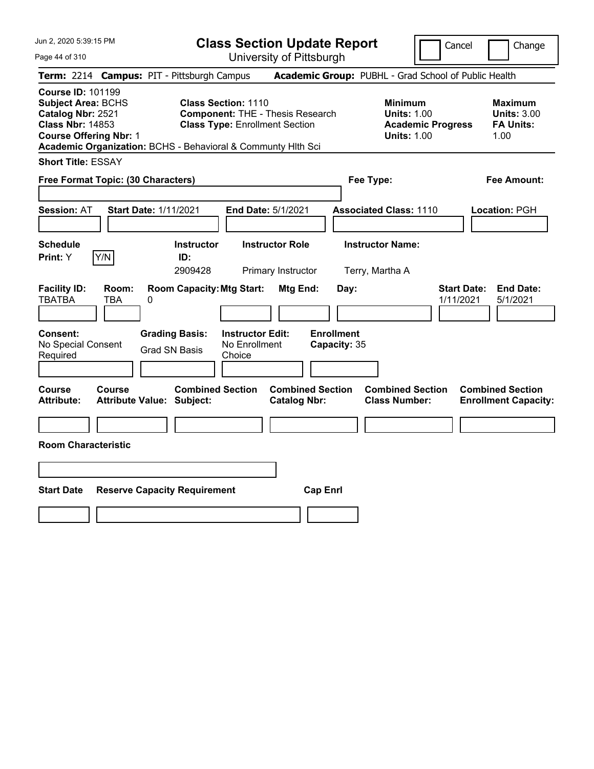Page 44 of 310

**Class Section Update Report**

Cancel Change

|                                                                                                                                        |              | Term: 2214 Campus: PIT - Pittsburgh Campus                   |                                                                     |                                                |                                   | Academic Group: PUBHL - Grad School of Public Health                                   |                                                                  |  |
|----------------------------------------------------------------------------------------------------------------------------------------|--------------|--------------------------------------------------------------|---------------------------------------------------------------------|------------------------------------------------|-----------------------------------|----------------------------------------------------------------------------------------|------------------------------------------------------------------|--|
| <b>Course ID: 101199</b><br><b>Subject Area: BCHS</b><br>Catalog Nbr: 2521<br><b>Class Nbr: 14853</b><br><b>Course Offering Nbr: 1</b> |              | Academic Organization: BCHS - Behavioral & Communty Hith Sci | <b>Class Section: 1110</b><br><b>Class Type: Enrollment Section</b> | <b>Component: THE - Thesis Research</b>        |                                   | <b>Minimum</b><br><b>Units: 1.00</b><br><b>Academic Progress</b><br><b>Units: 1.00</b> | <b>Maximum</b><br><b>Units: 3.00</b><br><b>FA Units:</b><br>1.00 |  |
| <b>Short Title: ESSAY</b>                                                                                                              |              |                                                              |                                                                     |                                                |                                   |                                                                                        |                                                                  |  |
| Free Format Topic: (30 Characters)                                                                                                     |              |                                                              |                                                                     |                                                |                                   | Fee Type:                                                                              | Fee Amount:                                                      |  |
| <b>Session: AT</b>                                                                                                                     |              | <b>Start Date: 1/11/2021</b>                                 |                                                                     | <b>End Date: 5/1/2021</b>                      |                                   | <b>Associated Class: 1110</b>                                                          | Location: PGH                                                    |  |
| <b>Schedule</b><br><b>Print:</b> Y                                                                                                     | Y/N          | <b>Instructor</b><br>ID:<br>2909428                          |                                                                     | <b>Instructor Role</b><br>Primary Instructor   |                                   | <b>Instructor Name:</b><br>Terry, Martha A                                             |                                                                  |  |
| <b>Facility ID:</b><br><b>TBATBA</b>                                                                                                   | Room:<br>TBA | <b>Room Capacity: Mtg Start:</b><br>0                        |                                                                     | Mtg End:                                       | Day:                              |                                                                                        | <b>Start Date:</b><br><b>End Date:</b><br>1/11/2021<br>5/1/2021  |  |
| Consent:<br>No Special Consent<br>Required                                                                                             |              | <b>Grading Basis:</b><br><b>Grad SN Basis</b>                | <b>Instructor Edit:</b><br>No Enrollment<br>Choice                  |                                                | <b>Enrollment</b><br>Capacity: 35 |                                                                                        |                                                                  |  |
| Course<br><b>Attribute:</b>                                                                                                            | Course       | <b>Attribute Value: Subject:</b>                             | <b>Combined Section</b>                                             | <b>Combined Section</b><br><b>Catalog Nbr:</b> |                                   | <b>Combined Section</b><br><b>Class Number:</b>                                        | <b>Combined Section</b><br><b>Enrollment Capacity:</b>           |  |
| <b>Room Characteristic</b>                                                                                                             |              |                                                              |                                                                     |                                                |                                   |                                                                                        |                                                                  |  |
|                                                                                                                                        |              |                                                              |                                                                     |                                                |                                   |                                                                                        |                                                                  |  |
| <b>Start Date</b>                                                                                                                      |              | <b>Reserve Capacity Requirement</b>                          |                                                                     | <b>Cap Enrl</b>                                |                                   |                                                                                        |                                                                  |  |
|                                                                                                                                        |              |                                                              |                                                                     |                                                |                                   |                                                                                        |                                                                  |  |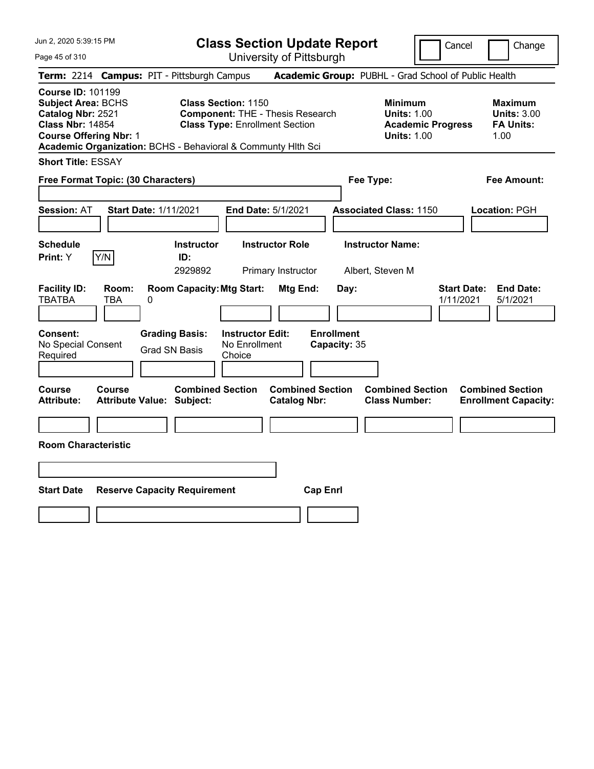Page 45 of 310

**Class Section Update Report**

Cancel Change

|                                                                                                                                        |              | Term: 2214 Campus: PIT - Pittsburgh Campus                   |                                                                                                                |                                              |                                   | Academic Group: PUBHL - Grad School of Public Health                                   |                                 |                                                                  |
|----------------------------------------------------------------------------------------------------------------------------------------|--------------|--------------------------------------------------------------|----------------------------------------------------------------------------------------------------------------|----------------------------------------------|-----------------------------------|----------------------------------------------------------------------------------------|---------------------------------|------------------------------------------------------------------|
| <b>Course ID: 101199</b><br><b>Subject Area: BCHS</b><br>Catalog Nbr: 2521<br><b>Class Nbr: 14854</b><br><b>Course Offering Nbr: 1</b> |              | Academic Organization: BCHS - Behavioral & Communty Hith Sci | <b>Class Section: 1150</b><br><b>Component: THE - Thesis Research</b><br><b>Class Type: Enrollment Section</b> |                                              |                                   | <b>Minimum</b><br><b>Units: 1.00</b><br><b>Academic Progress</b><br><b>Units: 1.00</b> |                                 | <b>Maximum</b><br><b>Units: 3.00</b><br><b>FA Units:</b><br>1.00 |
| <b>Short Title: ESSAY</b>                                                                                                              |              |                                                              |                                                                                                                |                                              |                                   |                                                                                        |                                 |                                                                  |
| Free Format Topic: (30 Characters)                                                                                                     |              |                                                              |                                                                                                                |                                              |                                   | Fee Type:                                                                              |                                 | <b>Fee Amount:</b>                                               |
| <b>Session: AT</b>                                                                                                                     |              | <b>Start Date: 1/11/2021</b>                                 | End Date: 5/1/2021                                                                                             |                                              |                                   | <b>Associated Class: 1150</b>                                                          |                                 | Location: PGH                                                    |
| <b>Schedule</b><br>Print: Y                                                                                                            | Y/N          | <b>Instructor</b><br>ID:<br>2929892                          |                                                                                                                | <b>Instructor Role</b><br>Primary Instructor |                                   | <b>Instructor Name:</b><br>Albert, Steven M                                            |                                 |                                                                  |
| <b>Facility ID:</b><br><b>TBATBA</b>                                                                                                   | Room:<br>TBA | <b>Room Capacity: Mtg Start:</b><br>0                        |                                                                                                                | Mtg End:                                     | Day:                              |                                                                                        | <b>Start Date:</b><br>1/11/2021 | <b>End Date:</b><br>5/1/2021                                     |
| Consent:<br>No Special Consent<br>Required                                                                                             |              | <b>Grading Basis:</b><br><b>Grad SN Basis</b>                | <b>Instructor Edit:</b><br>No Enrollment<br>Choice                                                             |                                              | <b>Enrollment</b><br>Capacity: 35 |                                                                                        |                                 |                                                                  |
| <b>Course</b><br><b>Attribute:</b>                                                                                                     | Course       | <b>Combined Section</b><br><b>Attribute Value: Subject:</b>  |                                                                                                                | <b>Catalog Nbr:</b>                          | <b>Combined Section</b>           | <b>Combined Section</b><br><b>Class Number:</b>                                        |                                 | <b>Combined Section</b><br><b>Enrollment Capacity:</b>           |
| <b>Room Characteristic</b>                                                                                                             |              |                                                              |                                                                                                                |                                              |                                   |                                                                                        |                                 |                                                                  |
|                                                                                                                                        |              |                                                              |                                                                                                                |                                              |                                   |                                                                                        |                                 |                                                                  |
| Start Date                                                                                                                             |              | <b>Reserve Capacity Requirement</b>                          |                                                                                                                |                                              | <b>Cap Enrl</b>                   |                                                                                        |                                 |                                                                  |
|                                                                                                                                        |              |                                                              |                                                                                                                |                                              |                                   |                                                                                        |                                 |                                                                  |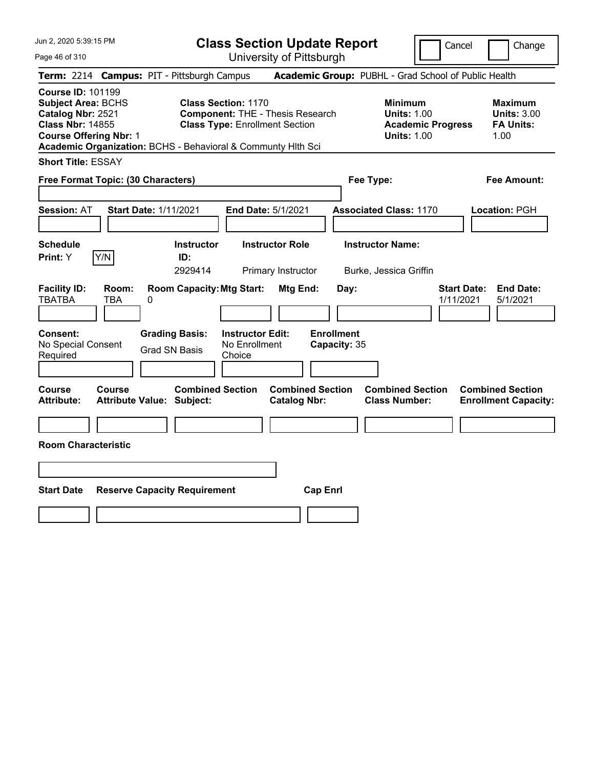Page 46 of 310

**Class Section Update Report**

Cancel Change

|                                                                                                                                        |              | Term: 2214 Campus: PIT - Pittsburgh Campus                                             |                                                                     |                                                |                                           | Academic Group: PUBHL - Grad School of Public Health                                   |                                 |                                                                  |
|----------------------------------------------------------------------------------------------------------------------------------------|--------------|----------------------------------------------------------------------------------------|---------------------------------------------------------------------|------------------------------------------------|-------------------------------------------|----------------------------------------------------------------------------------------|---------------------------------|------------------------------------------------------------------|
| <b>Course ID: 101199</b><br><b>Subject Area: BCHS</b><br>Catalog Nbr: 2521<br><b>Class Nbr: 14855</b><br><b>Course Offering Nbr: 1</b> |              | Academic Organization: BCHS - Behavioral & Communty Hlth Sci                           | <b>Class Section: 1170</b><br><b>Class Type: Enrollment Section</b> | <b>Component: THE - Thesis Research</b>        |                                           | <b>Minimum</b><br><b>Units: 1.00</b><br><b>Academic Progress</b><br><b>Units: 1.00</b> |                                 | <b>Maximum</b><br><b>Units: 3.00</b><br><b>FA Units:</b><br>1.00 |
| <b>Short Title: ESSAY</b>                                                                                                              |              |                                                                                        |                                                                     |                                                |                                           |                                                                                        |                                 |                                                                  |
| Free Format Topic: (30 Characters)                                                                                                     |              |                                                                                        |                                                                     |                                                |                                           | Fee Type:                                                                              |                                 | <b>Fee Amount:</b>                                               |
| <b>Session: AT</b>                                                                                                                     |              | <b>Start Date: 1/11/2021</b>                                                           | End Date: 5/1/2021                                                  |                                                |                                           | <b>Associated Class: 1170</b>                                                          |                                 | Location: PGH                                                    |
| <b>Schedule</b><br>Print: Y                                                                                                            | Y/N          | <b>Instructor</b><br>ID:<br>2929414                                                    |                                                                     | <b>Instructor Role</b><br>Primary Instructor   |                                           | <b>Instructor Name:</b><br>Burke, Jessica Griffin                                      |                                 |                                                                  |
| <b>Facility ID:</b><br><b>TBATBA</b><br>Consent:<br>No Special Consent<br>Required                                                     | Room:<br>TBA | <b>Room Capacity: Mtg Start:</b><br>0<br><b>Grading Basis:</b><br><b>Grad SN Basis</b> | <b>Instructor Edit:</b><br>No Enrollment<br>Choice                  | Mtg End:                                       | Day:<br><b>Enrollment</b><br>Capacity: 35 |                                                                                        | <b>Start Date:</b><br>1/11/2021 | <b>End Date:</b><br>5/1/2021                                     |
| Course<br><b>Attribute:</b>                                                                                                            | Course       | <b>Combined Section</b><br><b>Attribute Value: Subject:</b>                            |                                                                     | <b>Combined Section</b><br><b>Catalog Nbr:</b> |                                           | <b>Combined Section</b><br><b>Class Number:</b>                                        |                                 | <b>Combined Section</b><br><b>Enrollment Capacity:</b>           |
| <b>Room Characteristic</b>                                                                                                             |              |                                                                                        |                                                                     |                                                |                                           |                                                                                        |                                 |                                                                  |
|                                                                                                                                        |              |                                                                                        |                                                                     |                                                |                                           |                                                                                        |                                 |                                                                  |
| <b>Start Date</b>                                                                                                                      |              | <b>Reserve Capacity Requirement</b>                                                    |                                                                     | <b>Cap Enrl</b>                                |                                           |                                                                                        |                                 |                                                                  |
|                                                                                                                                        |              |                                                                                        |                                                                     |                                                |                                           |                                                                                        |                                 |                                                                  |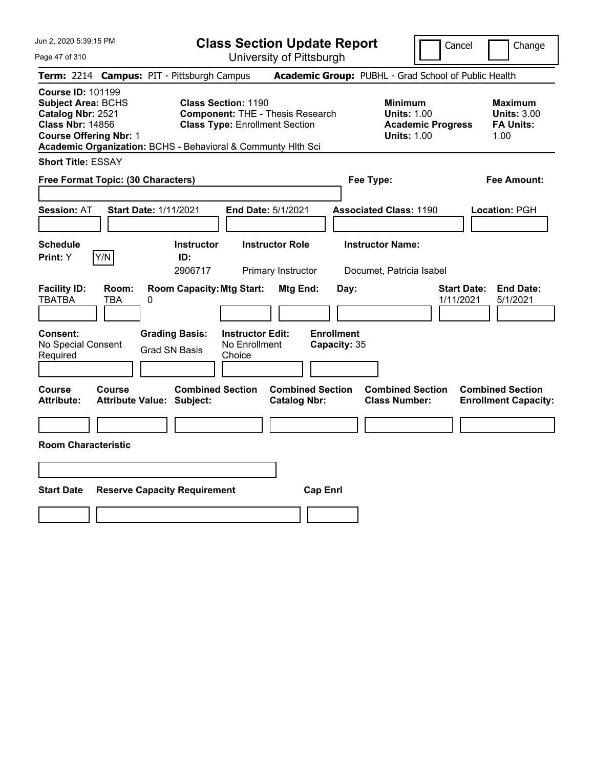**Class Section Update Report** University of Pittsburgh

Cancel | Change

Page 47 of 310

**Term:** 2214 **Campus:** PIT - Pittsburgh Campus **Academic Group:** PUBHL - Grad School of Public Health **Course ID:** 101199 **Subject Area: BCHS Class Section: 1190 Minimum 1190 <b>Minimum Catalog Nbr: 2521 Component:** THE - Thesis Research **Component Catalog Nbr: 2521 Component:** THE - Thesis Research **Component Catalog Nbr: 2521 Catalog Nbr: 2521 Component: THE - Thesis Research Units: 1.00 Units: 3.00 Class Nbr: 14856 Class Type: Enrollment Section <b>Academic Progress** FA Units: **Class Type:** Enrollment Section **Academic Progress FA Units: Course Offering Nbr: 1 1.00 1.00 1.00 1.00 1.00 1.00 1.00 1.00 1.00 1.00 Academic Organization:** BCHS - Behavioral & Communty Hlth Sci **Short Title:** ESSAY **Free Format Topic: (30 Characters) Fee Type: Fee Amount: Session:** AT **Start Date:** 1/11/2021 **End Date:** 5/1/2021 **Associated Class:** 1190 **Location:** PGH **Schedule Instructor Instructor Role Instructor Name: Print:**  $Y$   $|Y/N|$  **ID:** 2906717 Primary Instructor Documet, Patricia Isabel **Facility ID: Room: Room Capacity:Mtg Start: Mtg End: Day: Start Date: End Date:** TBATBA TBA 0 1/11/2021 5/1/2021 **Consent: Grading Basis: Instructor Edit: Enrollment** No Special Consent Grad SN Basis No Enrollment<br>Required Grad SN Basis Choice Choice **Capacity:** 35 **Course Course Combined Section Combined Section Combined Section Combined Section Attribute: Attribute Value: Subject: Catalog Nbr: Class Number: Enrollment Capacity: Room Characteristic Start Date Reserve Capacity Requirement Cap Enrl**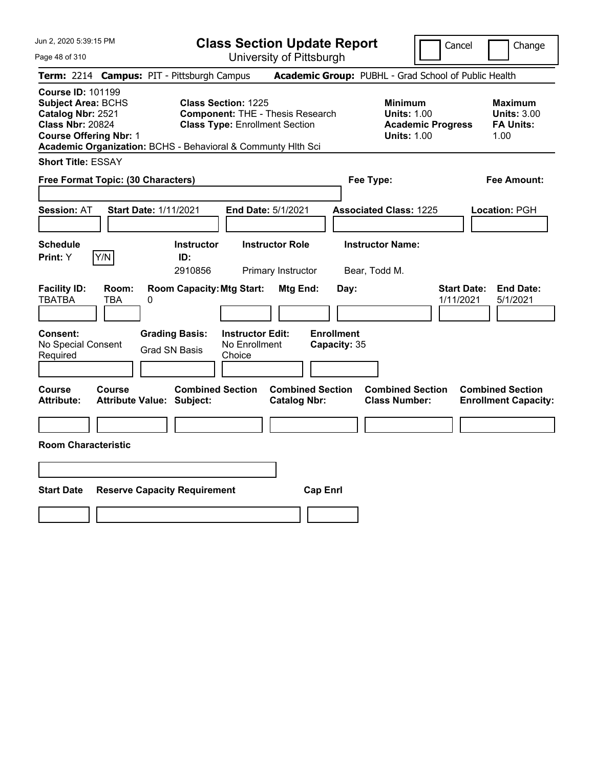Page 48 of 310

**Class Section Update Report**

Cancel Change

|                                                                                                                                        |                     | Term: 2214 Campus: PIT - Pittsburgh Campus                   |                                                                                                                |                                                |                                   | Academic Group: PUBHL - Grad School of Public Health                            |                                 |                                                                  |
|----------------------------------------------------------------------------------------------------------------------------------------|---------------------|--------------------------------------------------------------|----------------------------------------------------------------------------------------------------------------|------------------------------------------------|-----------------------------------|---------------------------------------------------------------------------------|---------------------------------|------------------------------------------------------------------|
| <b>Course ID: 101199</b><br><b>Subject Area: BCHS</b><br>Catalog Nbr: 2521<br><b>Class Nbr: 20824</b><br><b>Course Offering Nbr: 1</b> |                     | Academic Organization: BCHS - Behavioral & Communty Hlth Sci | <b>Class Section: 1225</b><br><b>Component: THE - Thesis Research</b><br><b>Class Type: Enrollment Section</b> |                                                |                                   | Minimum<br><b>Units: 1.00</b><br><b>Academic Progress</b><br><b>Units: 1.00</b> |                                 | <b>Maximum</b><br><b>Units: 3.00</b><br><b>FA Units:</b><br>1.00 |
| <b>Short Title: ESSAY</b>                                                                                                              |                     |                                                              |                                                                                                                |                                                |                                   |                                                                                 |                                 |                                                                  |
| Free Format Topic: (30 Characters)                                                                                                     |                     |                                                              |                                                                                                                |                                                |                                   | Fee Type:                                                                       |                                 | <b>Fee Amount:</b>                                               |
| <b>Session: AT</b>                                                                                                                     |                     | <b>Start Date: 1/11/2021</b>                                 | <b>End Date: 5/1/2021</b>                                                                                      |                                                |                                   | <b>Associated Class: 1225</b>                                                   |                                 | Location: PGH                                                    |
| <b>Schedule</b><br>Print: Y                                                                                                            | Y/N                 | <b>Instructor</b><br>ID:<br>2910856                          |                                                                                                                | <b>Instructor Role</b><br>Primary Instructor   |                                   | <b>Instructor Name:</b><br>Bear, Todd M.                                        |                                 |                                                                  |
| <b>Facility ID:</b><br><b>TBATBA</b>                                                                                                   | Room:<br><b>TBA</b> | <b>Room Capacity: Mtg Start:</b><br>0                        |                                                                                                                | Mtg End:                                       | Day:                              |                                                                                 | <b>Start Date:</b><br>1/11/2021 | <b>End Date:</b><br>5/1/2021                                     |
| <b>Consent:</b><br>No Special Consent<br>Required                                                                                      |                     | <b>Grading Basis:</b><br><b>Grad SN Basis</b>                | <b>Instructor Edit:</b><br>No Enrollment<br>Choice                                                             |                                                | <b>Enrollment</b><br>Capacity: 35 |                                                                                 |                                 |                                                                  |
| Course<br><b>Attribute:</b>                                                                                                            | Course              | <b>Combined Section</b><br><b>Attribute Value: Subject:</b>  |                                                                                                                | <b>Combined Section</b><br><b>Catalog Nbr:</b> |                                   | <b>Combined Section</b><br><b>Class Number:</b>                                 |                                 | <b>Combined Section</b><br><b>Enrollment Capacity:</b>           |
| <b>Room Characteristic</b>                                                                                                             |                     |                                                              |                                                                                                                |                                                |                                   |                                                                                 |                                 |                                                                  |
|                                                                                                                                        |                     |                                                              |                                                                                                                |                                                |                                   |                                                                                 |                                 |                                                                  |
| <b>Start Date</b>                                                                                                                      |                     | <b>Reserve Capacity Requirement</b>                          |                                                                                                                |                                                | <b>Cap Enrl</b>                   |                                                                                 |                                 |                                                                  |
|                                                                                                                                        |                     |                                                              |                                                                                                                |                                                |                                   |                                                                                 |                                 |                                                                  |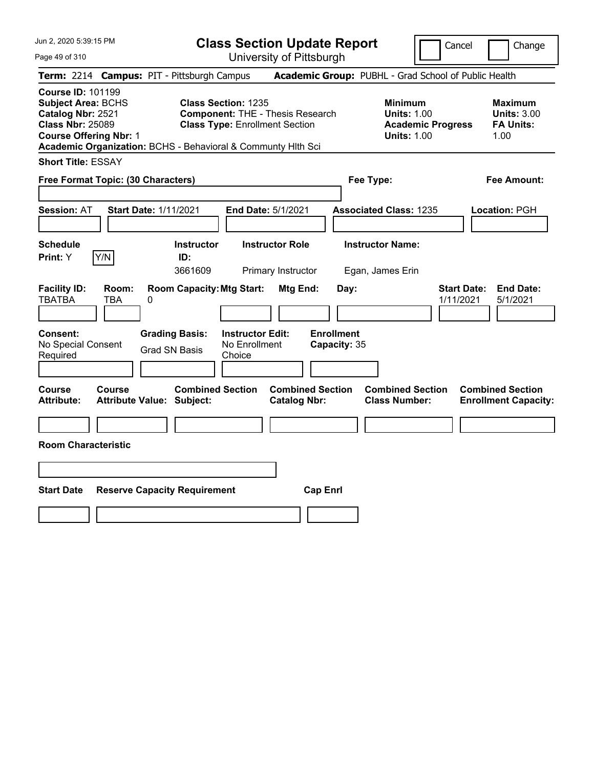Page 49 of 310

**Class Section Update Report**

Cancel Change

|                                                                                                                                        |              | Term: 2214 Campus: PIT - Pittsburgh Campus                   |                                                                                                                |                                                |                   |              | Academic Group: PUBHL - Grad School of Public Health                                   |                                 |                                                                  |
|----------------------------------------------------------------------------------------------------------------------------------------|--------------|--------------------------------------------------------------|----------------------------------------------------------------------------------------------------------------|------------------------------------------------|-------------------|--------------|----------------------------------------------------------------------------------------|---------------------------------|------------------------------------------------------------------|
| <b>Course ID: 101199</b><br><b>Subject Area: BCHS</b><br>Catalog Nbr: 2521<br><b>Class Nbr: 25089</b><br><b>Course Offering Nbr: 1</b> |              | Academic Organization: BCHS - Behavioral & Communty Hlth Sci | <b>Class Section: 1235</b><br><b>Component: THE - Thesis Research</b><br><b>Class Type: Enrollment Section</b> |                                                |                   |              | <b>Minimum</b><br><b>Units: 1.00</b><br><b>Academic Progress</b><br><b>Units: 1.00</b> |                                 | <b>Maximum</b><br><b>Units: 3.00</b><br><b>FA Units:</b><br>1.00 |
| <b>Short Title: ESSAY</b>                                                                                                              |              |                                                              |                                                                                                                |                                                |                   |              |                                                                                        |                                 |                                                                  |
| Free Format Topic: (30 Characters)                                                                                                     |              |                                                              |                                                                                                                |                                                |                   |              | Fee Type:                                                                              |                                 | <b>Fee Amount:</b>                                               |
| <b>Session: AT</b>                                                                                                                     |              | <b>Start Date: 1/11/2021</b>                                 | End Date: 5/1/2021                                                                                             |                                                |                   |              | <b>Associated Class: 1235</b>                                                          |                                 | Location: PGH                                                    |
| <b>Schedule</b><br>Print: Y                                                                                                            | Y/N          | Instructor<br>ID:<br>3661609                                 |                                                                                                                | <b>Instructor Role</b><br>Primary Instructor   |                   |              | <b>Instructor Name:</b><br>Egan, James Erin                                            |                                 |                                                                  |
| <b>Facility ID:</b><br><b>TBATBA</b>                                                                                                   | Room:<br>TBA | <b>Room Capacity: Mtg Start:</b><br>0                        |                                                                                                                | Mtg End:                                       |                   | Day:         |                                                                                        | <b>Start Date:</b><br>1/11/2021 | <b>End Date:</b><br>5/1/2021                                     |
| Consent:<br>No Special Consent<br>Required                                                                                             |              | <b>Grading Basis:</b><br><b>Grad SN Basis</b>                | <b>Instructor Edit:</b><br>No Enrollment<br>Choice                                                             |                                                | <b>Enrollment</b> | Capacity: 35 |                                                                                        |                                 |                                                                  |
| Course<br><b>Attribute:</b>                                                                                                            | Course       | <b>Combined Section</b><br><b>Attribute Value: Subject:</b>  |                                                                                                                | <b>Combined Section</b><br><b>Catalog Nbr:</b> |                   |              | <b>Combined Section</b><br><b>Class Number:</b>                                        |                                 | <b>Combined Section</b><br><b>Enrollment Capacity:</b>           |
| <b>Room Characteristic</b>                                                                                                             |              |                                                              |                                                                                                                |                                                |                   |              |                                                                                        |                                 |                                                                  |
|                                                                                                                                        |              |                                                              |                                                                                                                |                                                |                   |              |                                                                                        |                                 |                                                                  |
| <b>Start Date</b>                                                                                                                      |              | <b>Reserve Capacity Requirement</b>                          |                                                                                                                |                                                | <b>Cap Enrl</b>   |              |                                                                                        |                                 |                                                                  |
|                                                                                                                                        |              |                                                              |                                                                                                                |                                                |                   |              |                                                                                        |                                 |                                                                  |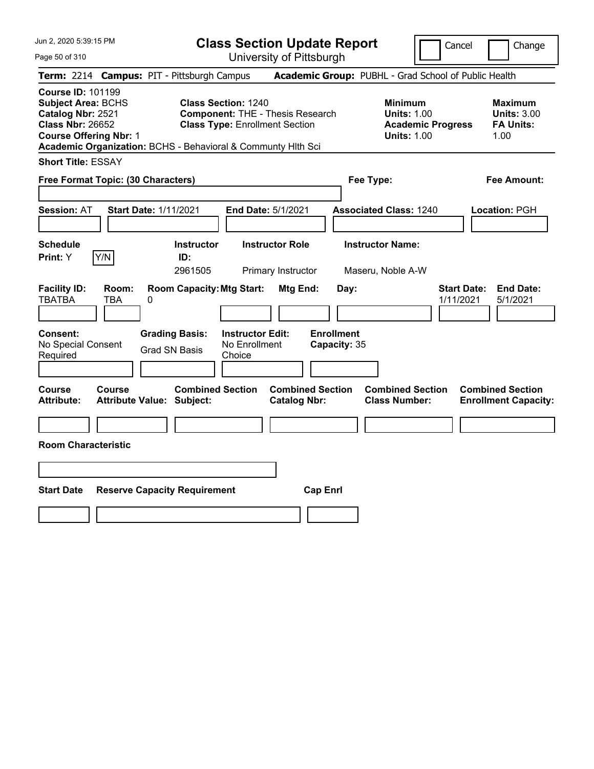Page 50 of 310

**Class Section Update Report**

Cancel Change

|                                                                                                                                        |              | Term: 2214 Campus: PIT - Pittsburgh Campus                   |                                                                     |                                                |                                   | Academic Group: PUBHL - Grad School of Public Health                                   |                                 |                                                                  |
|----------------------------------------------------------------------------------------------------------------------------------------|--------------|--------------------------------------------------------------|---------------------------------------------------------------------|------------------------------------------------|-----------------------------------|----------------------------------------------------------------------------------------|---------------------------------|------------------------------------------------------------------|
| <b>Course ID: 101199</b><br><b>Subject Area: BCHS</b><br>Catalog Nbr: 2521<br><b>Class Nbr: 26652</b><br><b>Course Offering Nbr: 1</b> |              | Academic Organization: BCHS - Behavioral & Communty Hlth Sci | <b>Class Section: 1240</b><br><b>Class Type: Enrollment Section</b> | <b>Component: THE - Thesis Research</b>        |                                   | <b>Minimum</b><br><b>Units: 1.00</b><br><b>Academic Progress</b><br><b>Units: 1.00</b> |                                 | <b>Maximum</b><br><b>Units: 3.00</b><br><b>FA Units:</b><br>1.00 |
| <b>Short Title: ESSAY</b>                                                                                                              |              |                                                              |                                                                     |                                                |                                   |                                                                                        |                                 |                                                                  |
| Free Format Topic: (30 Characters)                                                                                                     |              |                                                              |                                                                     |                                                | Fee Type:                         |                                                                                        |                                 | <b>Fee Amount:</b>                                               |
| <b>Session: AT</b>                                                                                                                     |              | <b>Start Date: 1/11/2021</b>                                 | End Date: 5/1/2021                                                  |                                                |                                   | <b>Associated Class: 1240</b>                                                          |                                 | Location: PGH                                                    |
| <b>Schedule</b><br>Y/N<br>Print: Y                                                                                                     |              | <b>Instructor</b><br>ID:<br>2961505                          |                                                                     | <b>Instructor Role</b><br>Primary Instructor   |                                   | <b>Instructor Name:</b><br>Maseru, Noble A-W                                           |                                 |                                                                  |
| <b>Facility ID:</b><br><b>TBATBA</b>                                                                                                   | Room:<br>TBA | <b>Room Capacity: Mtg Start:</b><br>0                        |                                                                     | Mtg End:                                       | Day:                              |                                                                                        | <b>Start Date:</b><br>1/11/2021 | <b>End Date:</b><br>5/1/2021                                     |
| Consent:<br>No Special Consent<br>Required                                                                                             |              | <b>Grading Basis:</b><br><b>Grad SN Basis</b>                | <b>Instructor Edit:</b><br>No Enrollment<br>Choice                  |                                                | <b>Enrollment</b><br>Capacity: 35 |                                                                                        |                                 |                                                                  |
| <b>Course</b><br><b>Attribute:</b>                                                                                                     | Course       | <b>Combined Section</b><br><b>Attribute Value: Subject:</b>  |                                                                     | <b>Combined Section</b><br><b>Catalog Nbr:</b> |                                   | <b>Combined Section</b><br><b>Class Number:</b>                                        |                                 | <b>Combined Section</b><br><b>Enrollment Capacity:</b>           |
| <b>Room Characteristic</b>                                                                                                             |              |                                                              |                                                                     |                                                |                                   |                                                                                        |                                 |                                                                  |
|                                                                                                                                        |              |                                                              |                                                                     |                                                |                                   |                                                                                        |                                 |                                                                  |
| <b>Start Date</b>                                                                                                                      |              | <b>Reserve Capacity Requirement</b>                          |                                                                     | <b>Cap Enrl</b>                                |                                   |                                                                                        |                                 |                                                                  |
|                                                                                                                                        |              |                                                              |                                                                     |                                                |                                   |                                                                                        |                                 |                                                                  |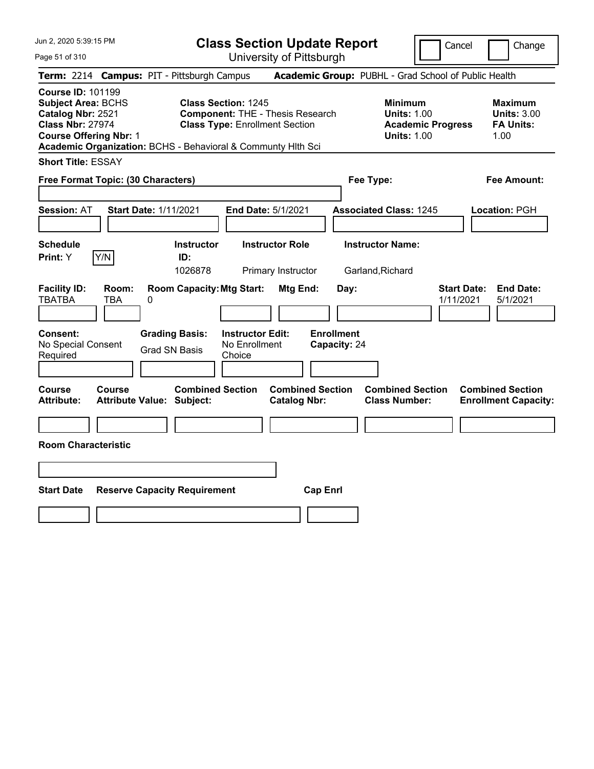**Class Section Update Report** University of Pittsburgh

Cancel Change

Page 51 of 310

|                                                                                                                                        |              | Term: 2214 Campus: PIT - Pittsburgh Campus                  |                                                                                                                                                                                |                                                | Academic Group: PUBHL - Grad School of Public Health                                   |                                 |                                                                  |
|----------------------------------------------------------------------------------------------------------------------------------------|--------------|-------------------------------------------------------------|--------------------------------------------------------------------------------------------------------------------------------------------------------------------------------|------------------------------------------------|----------------------------------------------------------------------------------------|---------------------------------|------------------------------------------------------------------|
| <b>Course ID: 101199</b><br><b>Subject Area: BCHS</b><br>Catalog Nbr: 2521<br><b>Class Nbr: 27974</b><br><b>Course Offering Nbr: 1</b> |              |                                                             | <b>Class Section: 1245</b><br><b>Component: THE - Thesis Research</b><br><b>Class Type: Enrollment Section</b><br>Academic Organization: BCHS - Behavioral & Communty Hlth Sci |                                                | <b>Minimum</b><br><b>Units: 1.00</b><br><b>Academic Progress</b><br><b>Units: 1.00</b> |                                 | <b>Maximum</b><br><b>Units: 3.00</b><br><b>FA Units:</b><br>1.00 |
| <b>Short Title: ESSAY</b>                                                                                                              |              |                                                             |                                                                                                                                                                                |                                                |                                                                                        |                                 |                                                                  |
| Free Format Topic: (30 Characters)                                                                                                     |              |                                                             |                                                                                                                                                                                | Fee Type:                                      |                                                                                        | <b>Fee Amount:</b>              |                                                                  |
| <b>Session: AT</b>                                                                                                                     |              | <b>Start Date: 1/11/2021</b>                                | End Date: 5/1/2021                                                                                                                                                             |                                                | <b>Associated Class: 1245</b>                                                          |                                 | Location: PGH                                                    |
| <b>Schedule</b><br>Print: Y                                                                                                            | Y/N          | <b>Instructor</b><br>ID:<br>1026878                         | <b>Instructor Role</b><br>Primary Instructor                                                                                                                                   |                                                | <b>Instructor Name:</b><br>Garland, Richard                                            |                                 |                                                                  |
| <b>Facility ID:</b><br><b>TBATBA</b>                                                                                                   | Room:<br>TBA | <b>Room Capacity: Mtg Start:</b><br>0                       |                                                                                                                                                                                | Mtg End:<br>Day:                               |                                                                                        | <b>Start Date:</b><br>1/11/2021 | <b>End Date:</b><br>5/1/2021                                     |
| <b>Consent:</b><br>No Special Consent<br>Required                                                                                      |              | <b>Grading Basis:</b><br><b>Grad SN Basis</b>               | <b>Instructor Edit:</b><br>No Enrollment<br>Choice                                                                                                                             | <b>Enrollment</b><br>Capacity: 24              |                                                                                        |                                 |                                                                  |
| <b>Course</b><br><b>Attribute:</b>                                                                                                     | Course       | <b>Combined Section</b><br><b>Attribute Value: Subject:</b> |                                                                                                                                                                                | <b>Combined Section</b><br><b>Catalog Nbr:</b> | <b>Combined Section</b><br><b>Class Number:</b>                                        |                                 | <b>Combined Section</b><br><b>Enrollment Capacity:</b>           |
| <b>Room Characteristic</b>                                                                                                             |              |                                                             |                                                                                                                                                                                |                                                |                                                                                        |                                 |                                                                  |
|                                                                                                                                        |              |                                                             |                                                                                                                                                                                |                                                |                                                                                        |                                 |                                                                  |
| <b>Start Date</b>                                                                                                                      |              | <b>Reserve Capacity Requirement</b>                         |                                                                                                                                                                                | <b>Cap Enrl</b>                                |                                                                                        |                                 |                                                                  |
|                                                                                                                                        |              |                                                             |                                                                                                                                                                                |                                                |                                                                                        |                                 |                                                                  |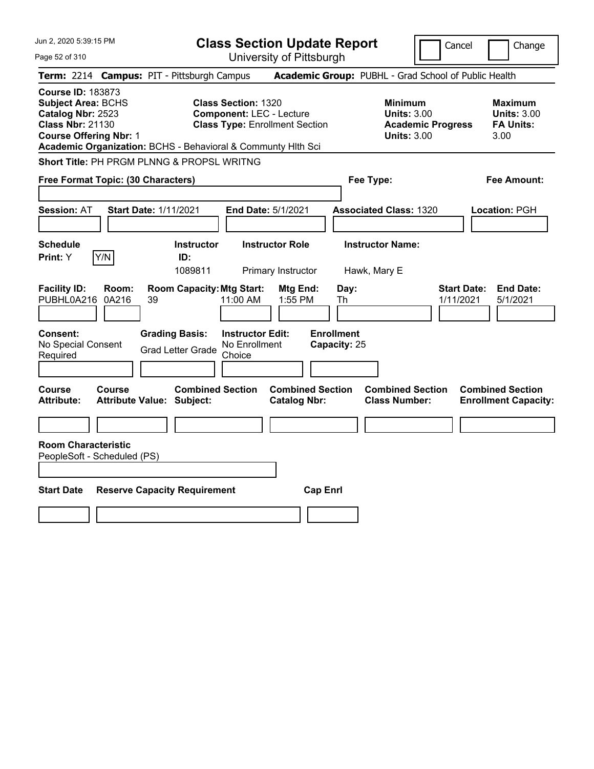| Jun 2, 2020 5:39:15 PM                                                                                                                                                                                 |                              |                                                             |                                                               | <b>Class Section Update Report</b>             |                                   |                                                            |                          | Cancel                          | Change                                                           |
|--------------------------------------------------------------------------------------------------------------------------------------------------------------------------------------------------------|------------------------------|-------------------------------------------------------------|---------------------------------------------------------------|------------------------------------------------|-----------------------------------|------------------------------------------------------------|--------------------------|---------------------------------|------------------------------------------------------------------|
| Page 52 of 310                                                                                                                                                                                         |                              |                                                             |                                                               | University of Pittsburgh                       |                                   |                                                            |                          |                                 |                                                                  |
| Term: 2214 Campus: PIT - Pittsburgh Campus                                                                                                                                                             |                              |                                                             |                                                               |                                                |                                   | Academic Group: PUBHL - Grad School of Public Health       |                          |                                 |                                                                  |
| <b>Course ID: 183873</b><br><b>Subject Area: BCHS</b><br>Catalog Nbr: 2523<br><b>Class Nbr: 21130</b><br><b>Course Offering Nbr: 1</b><br>Academic Organization: BCHS - Behavioral & Communty Hith Sci |                              |                                                             | <b>Class Section: 1320</b><br><b>Component: LEC - Lecture</b> | <b>Class Type: Enrollment Section</b>          |                                   | <b>Minimum</b><br><b>Units: 3.00</b><br><b>Units: 3.00</b> | <b>Academic Progress</b> |                                 | <b>Maximum</b><br><b>Units: 3.00</b><br><b>FA Units:</b><br>3.00 |
| Short Title: PH PRGM PLNNG & PROPSL WRITNG                                                                                                                                                             |                              |                                                             |                                                               |                                                |                                   |                                                            |                          |                                 |                                                                  |
| Free Format Topic: (30 Characters)                                                                                                                                                                     |                              |                                                             |                                                               |                                                |                                   | Fee Type:                                                  |                          |                                 | Fee Amount:                                                      |
| <b>Session: AT</b>                                                                                                                                                                                     | <b>Start Date: 1/11/2021</b> |                                                             |                                                               | End Date: 5/1/2021                             |                                   | <b>Associated Class: 1320</b>                              |                          |                                 | Location: PGH                                                    |
| <b>Schedule</b><br>Y/N<br>Print: Y                                                                                                                                                                     |                              | <b>Instructor</b><br>ID:<br>1089811                         |                                                               | <b>Instructor Role</b><br>Primary Instructor   |                                   | <b>Instructor Name:</b><br>Hawk, Mary E                    |                          |                                 |                                                                  |
| <b>Facility ID:</b><br>PUBHL0A216                                                                                                                                                                      | Room:<br>0A216<br>39         | <b>Room Capacity: Mtg Start:</b>                            | 11:00 AM                                                      | Mtg End:<br>1:55 PM                            | Day:<br>Th                        |                                                            |                          | <b>Start Date:</b><br>1/11/2021 | <b>End Date:</b><br>5/1/2021                                     |
| Consent:<br>No Special Consent<br>Required                                                                                                                                                             |                              | <b>Grading Basis:</b><br><b>Grad Letter Grade</b>           | <b>Instructor Edit:</b><br>No Enrollment<br>Choice            |                                                | <b>Enrollment</b><br>Capacity: 25 |                                                            |                          |                                 |                                                                  |
| Course<br>Attribute:                                                                                                                                                                                   | Course                       | <b>Combined Section</b><br><b>Attribute Value: Subject:</b> |                                                               | <b>Combined Section</b><br><b>Catalog Nbr:</b> |                                   | <b>Combined Section</b><br><b>Class Number:</b>            |                          |                                 | <b>Combined Section</b><br><b>Enrollment Capacity:</b>           |
| <b>Room Characteristic</b><br>PeopleSoft - Scheduled (PS)                                                                                                                                              |                              |                                                             |                                                               |                                                |                                   |                                                            |                          |                                 |                                                                  |
| <b>Start Date</b>                                                                                                                                                                                      |                              | <b>Reserve Capacity Requirement</b>                         |                                                               | <b>Cap Enrl</b>                                |                                   |                                                            |                          |                                 |                                                                  |
|                                                                                                                                                                                                        |                              |                                                             |                                                               |                                                |                                   |                                                            |                          |                                 |                                                                  |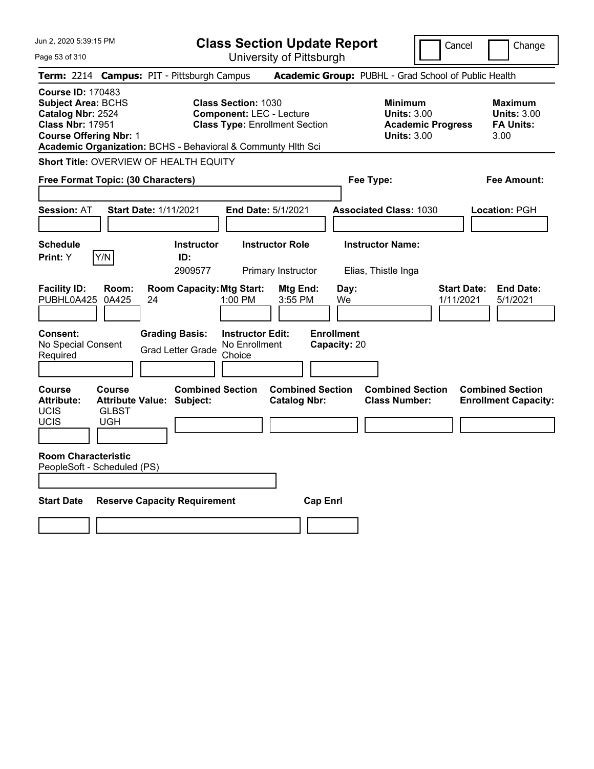| Jun 2, 2020 5:39:15 PM                                                                                                                     |                                                                                                                        | <b>Class Section Update Report</b>                                                                     |                                                | Cancel<br>Change                                |                                                                                        |                                                                                            |  |  |  |
|--------------------------------------------------------------------------------------------------------------------------------------------|------------------------------------------------------------------------------------------------------------------------|--------------------------------------------------------------------------------------------------------|------------------------------------------------|-------------------------------------------------|----------------------------------------------------------------------------------------|--------------------------------------------------------------------------------------------|--|--|--|
| Page 53 of 310                                                                                                                             |                                                                                                                        | University of Pittsburgh                                                                               |                                                |                                                 |                                                                                        |                                                                                            |  |  |  |
|                                                                                                                                            | Term: 2214 Campus: PIT - Pittsburgh Campus                                                                             |                                                                                                        |                                                |                                                 |                                                                                        | Academic Group: PUBHL - Grad School of Public Health                                       |  |  |  |
| <b>Course ID: 170483</b><br><b>Subject Area: BCHS</b><br>Catalog Nbr: 2524<br><b>Class Nbr: 17951</b><br><b>Course Offering Nbr: 1</b>     | Academic Organization: BCHS - Behavioral & Communty Hlth Sci                                                           | <b>Class Section: 1030</b><br><b>Component: LEC - Lecture</b><br><b>Class Type: Enrollment Section</b> |                                                |                                                 | <b>Minimum</b><br><b>Units: 3.00</b><br><b>Academic Progress</b><br><b>Units: 3.00</b> | <b>Maximum</b><br><b>Units: 3.00</b><br><b>FA Units:</b><br>3.00                           |  |  |  |
|                                                                                                                                            | Short Title: OVERVIEW OF HEALTH EQUITY                                                                                 |                                                                                                        |                                                |                                                 |                                                                                        |                                                                                            |  |  |  |
| Free Format Topic: (30 Characters)                                                                                                         |                                                                                                                        |                                                                                                        |                                                | Fee Amount:<br>Fee Type:                        |                                                                                        |                                                                                            |  |  |  |
|                                                                                                                                            |                                                                                                                        |                                                                                                        |                                                |                                                 |                                                                                        |                                                                                            |  |  |  |
| <b>Session: AT</b>                                                                                                                         | <b>Start Date: 1/11/2021</b>                                                                                           | <b>End Date: 5/1/2021</b>                                                                              |                                                | <b>Associated Class: 1030</b>                   |                                                                                        | Location: PGH                                                                              |  |  |  |
|                                                                                                                                            |                                                                                                                        |                                                                                                        |                                                |                                                 |                                                                                        |                                                                                            |  |  |  |
| <b>Schedule</b>                                                                                                                            | <b>Instructor</b>                                                                                                      | <b>Instructor Role</b>                                                                                 |                                                | <b>Instructor Name:</b>                         |                                                                                        |                                                                                            |  |  |  |
| Y/N<br><b>Print:</b> Y                                                                                                                     | ID:<br>2909577                                                                                                         | Primary Instructor                                                                                     |                                                | Elias, Thistle Inga                             |                                                                                        |                                                                                            |  |  |  |
| <b>Facility ID:</b><br>Room:<br>PUBHL0A425<br>0A425<br><b>Consent:</b><br>No Special Consent<br>Required<br><b>Course</b><br><b>Course</b> | <b>Room Capacity: Mtg Start:</b><br>24<br><b>Grading Basis:</b><br><b>Grad Letter Grade</b><br><b>Combined Section</b> | 1:00 PM<br><b>Instructor Edit:</b><br>No Enrollment<br>Choice                                          | Mtg End:<br>3:55 PM<br><b>Combined Section</b> | Day:<br>We<br><b>Enrollment</b><br>Capacity: 20 | <b>Combined Section</b>                                                                | <b>End Date:</b><br><b>Start Date:</b><br>1/11/2021<br>5/1/2021<br><b>Combined Section</b> |  |  |  |
| <b>Attribute:</b><br>UCIS<br><b>GLBST</b>                                                                                                  | <b>Attribute Value: Subject:</b>                                                                                       |                                                                                                        | <b>Catalog Nbr:</b>                            |                                                 | <b>Class Number:</b>                                                                   | <b>Enrollment Capacity:</b>                                                                |  |  |  |
| UCIS<br><b>UGH</b>                                                                                                                         |                                                                                                                        |                                                                                                        |                                                |                                                 |                                                                                        |                                                                                            |  |  |  |
| <b>Room Characteristic</b><br>PeopleSoft - Scheduled (PS)                                                                                  |                                                                                                                        |                                                                                                        |                                                |                                                 |                                                                                        |                                                                                            |  |  |  |
| <b>Start Date</b>                                                                                                                          | <b>Reserve Capacity Requirement</b>                                                                                    |                                                                                                        | <b>Cap Enrl</b>                                |                                                 |                                                                                        |                                                                                            |  |  |  |
|                                                                                                                                            |                                                                                                                        |                                                                                                        |                                                |                                                 |                                                                                        |                                                                                            |  |  |  |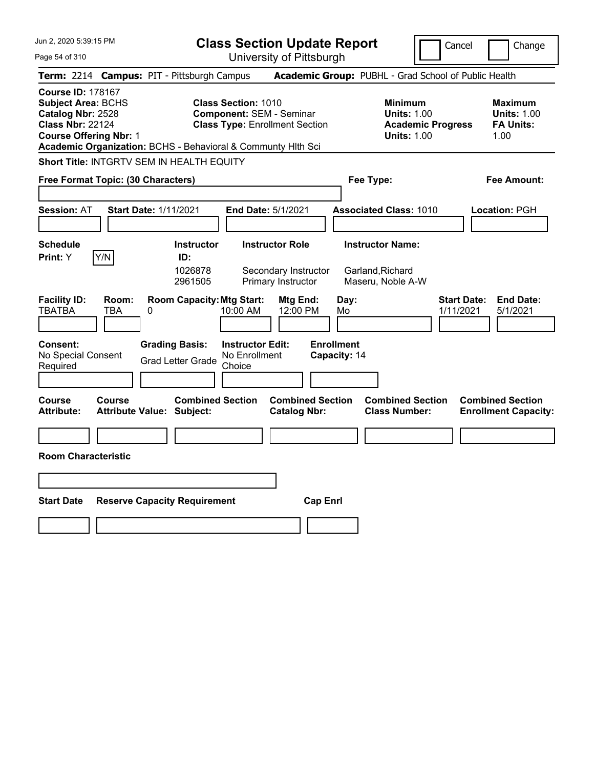| Jun 2, 2020 5:39:15 PM                                                                                                                 | <b>Class Section Update Report</b>                                                                                                                                     |                                                                                                   | Cancel                          | Change                                                           |
|----------------------------------------------------------------------------------------------------------------------------------------|------------------------------------------------------------------------------------------------------------------------------------------------------------------------|---------------------------------------------------------------------------------------------------|---------------------------------|------------------------------------------------------------------|
| Page 54 of 310                                                                                                                         | University of Pittsburgh                                                                                                                                               |                                                                                                   |                                 |                                                                  |
| Term: 2214 Campus: PIT - Pittsburgh Campus                                                                                             |                                                                                                                                                                        | Academic Group: PUBHL - Grad School of Public Health                                              |                                 |                                                                  |
| <b>Course ID: 178167</b><br><b>Subject Area: BCHS</b><br>Catalog Nbr: 2528<br><b>Class Nbr: 22124</b><br><b>Course Offering Nbr: 1</b> | <b>Class Section: 1010</b><br><b>Component: SEM - Seminar</b><br><b>Class Type: Enrollment Section</b><br>Academic Organization: BCHS - Behavioral & Communty Hlth Sci | <b>Minimum</b><br><b>Units: 1.00</b><br><b>Units: 1.00</b>                                        | <b>Academic Progress</b>        | <b>Maximum</b><br><b>Units: 1.00</b><br><b>FA Units:</b><br>1.00 |
| <b>Short Title: INTGRTV SEM IN HEALTH EQUITY</b>                                                                                       |                                                                                                                                                                        |                                                                                                   |                                 |                                                                  |
| Free Format Topic: (30 Characters)                                                                                                     |                                                                                                                                                                        | Fee Type:                                                                                         |                                 | Fee Amount:                                                      |
| <b>Session: AT</b><br><b>Start Date: 1/11/2021</b>                                                                                     | <b>End Date: 5/1/2021</b>                                                                                                                                              | <b>Associated Class: 1010</b>                                                                     |                                 | Location: PGH                                                    |
| <b>Schedule</b><br>Y/N<br>Print: Y                                                                                                     | <b>Instructor Role</b><br><b>Instructor</b><br>ID:<br>1026878<br>Secondary Instructor<br>2961505<br>Primary Instructor                                                 | <b>Instructor Name:</b><br>Garland, Richard<br>Maseru, Noble A-W                                  |                                 |                                                                  |
| <b>Facility ID:</b><br>Room:<br><b>TBATBA</b><br>TBA<br>0                                                                              | <b>Room Capacity: Mtg Start:</b><br>10:00 AM                                                                                                                           | Mtg End:<br>Day:<br>12:00 PM<br>Mo                                                                | <b>Start Date:</b><br>1/11/2021 | <b>End Date:</b><br>5/1/2021                                     |
| <b>Consent:</b><br>No Special Consent<br>Required                                                                                      | <b>Instructor Edit:</b><br><b>Grading Basis:</b><br>No Enrollment<br><b>Grad Letter Grade</b><br>Choice                                                                | <b>Enrollment</b><br>Capacity: 14                                                                 |                                 |                                                                  |
| Course<br>Course<br><b>Attribute:</b><br><b>Attribute Value: Subject:</b>                                                              | <b>Combined Section</b>                                                                                                                                                | <b>Combined Section</b><br><b>Combined Section</b><br><b>Class Number:</b><br><b>Catalog Nbr:</b> |                                 | <b>Combined Section</b><br><b>Enrollment Capacity:</b>           |
|                                                                                                                                        |                                                                                                                                                                        |                                                                                                   |                                 |                                                                  |
| <b>Room Characteristic</b>                                                                                                             |                                                                                                                                                                        |                                                                                                   |                                 |                                                                  |
|                                                                                                                                        |                                                                                                                                                                        |                                                                                                   |                                 |                                                                  |
| <b>Start Date</b><br><b>Reserve Capacity Requirement</b>                                                                               |                                                                                                                                                                        | <b>Cap Enrl</b>                                                                                   |                                 |                                                                  |
|                                                                                                                                        |                                                                                                                                                                        |                                                                                                   |                                 |                                                                  |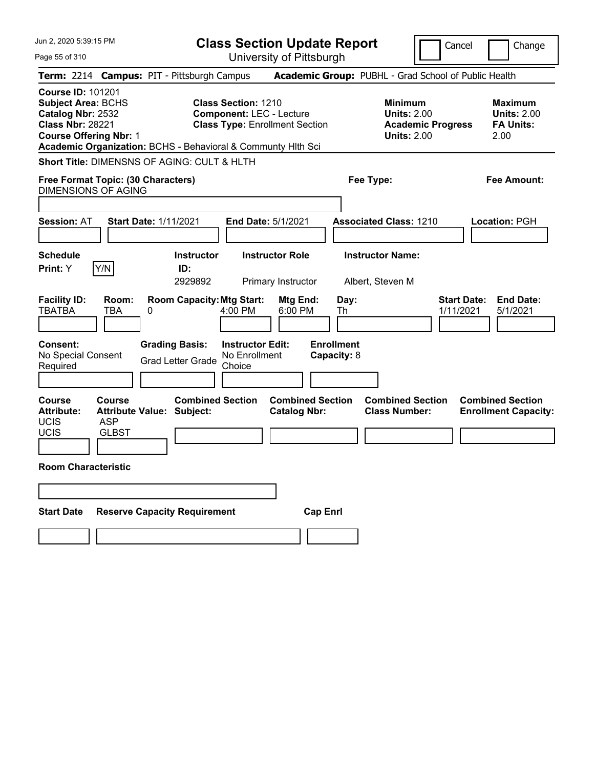| Jun 2, 2020 5:39:15 PM                                                                                                                 |                                                              | <b>Class Section Update Report</b>                                                                     |                                                |                                                                                        | Cancel                          | Change                                                           |
|----------------------------------------------------------------------------------------------------------------------------------------|--------------------------------------------------------------|--------------------------------------------------------------------------------------------------------|------------------------------------------------|----------------------------------------------------------------------------------------|---------------------------------|------------------------------------------------------------------|
| Page 55 of 310                                                                                                                         |                                                              | University of Pittsburgh                                                                               |                                                |                                                                                        |                                 |                                                                  |
|                                                                                                                                        | Term: 2214 Campus: PIT - Pittsburgh Campus                   |                                                                                                        |                                                | Academic Group: PUBHL - Grad School of Public Health                                   |                                 |                                                                  |
| <b>Course ID: 101201</b><br><b>Subject Area: BCHS</b><br>Catalog Nbr: 2532<br><b>Class Nbr: 28221</b><br><b>Course Offering Nbr: 1</b> | Academic Organization: BCHS - Behavioral & Communty Hith Sci | <b>Class Section: 1210</b><br><b>Component: LEC - Lecture</b><br><b>Class Type: Enrollment Section</b> |                                                | <b>Minimum</b><br><b>Units: 2.00</b><br><b>Academic Progress</b><br><b>Units: 2.00</b> |                                 | <b>Maximum</b><br><b>Units: 2.00</b><br><b>FA Units:</b><br>2.00 |
|                                                                                                                                        | Short Title: DIMENSNS OF AGING: CULT & HLTH                  |                                                                                                        |                                                |                                                                                        |                                 |                                                                  |
| Free Format Topic: (30 Characters)<br><b>DIMENSIONS OF AGING</b>                                                                       |                                                              |                                                                                                        |                                                | Fee Type:                                                                              |                                 | <b>Fee Amount:</b>                                               |
| <b>Session: AT</b>                                                                                                                     | <b>Start Date: 1/11/2021</b>                                 | <b>End Date: 5/1/2021</b>                                                                              |                                                | <b>Associated Class: 1210</b>                                                          |                                 | <b>Location: PGH</b>                                             |
| <b>Schedule</b><br>Y/N<br>Print: Y                                                                                                     | <b>Instructor</b><br>ID:<br>2929892                          | <b>Instructor Role</b><br>Primary Instructor                                                           |                                                | <b>Instructor Name:</b><br>Albert, Steven M                                            |                                 |                                                                  |
| <b>Facility ID:</b><br>Room:<br><b>TBATBA</b><br>TBA                                                                                   | <b>Room Capacity: Mtg Start:</b><br>0                        | $4:00$ PM                                                                                              | Mtg End:<br>Day:<br>6:00 PM<br>Th              |                                                                                        | <b>Start Date:</b><br>1/11/2021 | <b>End Date:</b><br>5/1/2021                                     |
| <b>Consent:</b><br>No Special Consent<br>Required                                                                                      | <b>Grading Basis:</b><br><b>Grad Letter Grade</b>            | <b>Instructor Edit:</b><br>No Enrollment<br>Choice                                                     | <b>Enrollment</b><br>Capacity: 8               |                                                                                        |                                 |                                                                  |
| <b>Course</b><br>Course<br><b>Attribute:</b><br><b>UCIS</b><br><b>ASP</b><br><b>UCIS</b><br><b>GLBST</b>                               | <b>Attribute Value: Subject:</b>                             | <b>Combined Section</b>                                                                                | <b>Combined Section</b><br><b>Catalog Nbr:</b> | <b>Combined Section</b><br><b>Class Number:</b>                                        |                                 | <b>Combined Section</b><br><b>Enrollment Capacity:</b>           |
| <b>Room Characteristic</b>                                                                                                             |                                                              |                                                                                                        |                                                |                                                                                        |                                 |                                                                  |
|                                                                                                                                        |                                                              |                                                                                                        |                                                |                                                                                        |                                 |                                                                  |
| <b>Start Date</b>                                                                                                                      | <b>Reserve Capacity Requirement</b>                          |                                                                                                        | <b>Cap Enrl</b>                                |                                                                                        |                                 |                                                                  |
|                                                                                                                                        |                                                              |                                                                                                        |                                                |                                                                                        |                                 |                                                                  |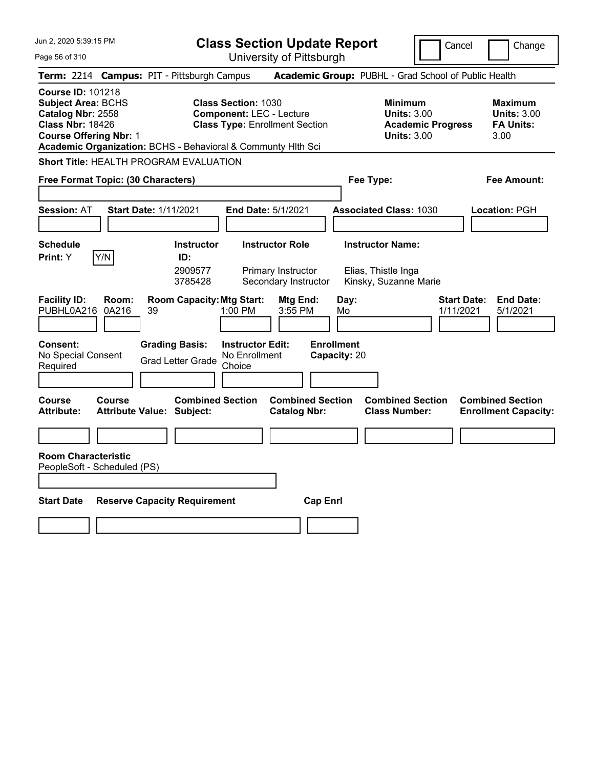| Jun 2, 2020 5:39:15 PM                                                                                                                 | <b>Class Section Update Report</b>                                                                                                                                     | Change<br>Cancel                                                                |                                                                  |  |  |  |
|----------------------------------------------------------------------------------------------------------------------------------------|------------------------------------------------------------------------------------------------------------------------------------------------------------------------|---------------------------------------------------------------------------------|------------------------------------------------------------------|--|--|--|
| Page 56 of 310                                                                                                                         | University of Pittsburgh                                                                                                                                               |                                                                                 |                                                                  |  |  |  |
| Term: 2214 Campus: PIT - Pittsburgh Campus                                                                                             |                                                                                                                                                                        | Academic Group: PUBHL - Grad School of Public Health                            |                                                                  |  |  |  |
| <b>Course ID: 101218</b><br><b>Subject Area: BCHS</b><br>Catalog Nbr: 2558<br><b>Class Nbr: 18426</b><br><b>Course Offering Nbr: 1</b> | <b>Class Section: 1030</b><br><b>Component: LEC - Lecture</b><br><b>Class Type: Enrollment Section</b><br>Academic Organization: BCHS - Behavioral & Communty Hlth Sci | Minimum<br><b>Units: 3.00</b><br><b>Academic Progress</b><br><b>Units: 3.00</b> | <b>Maximum</b><br><b>Units: 3.00</b><br><b>FA Units:</b><br>3.00 |  |  |  |
| <b>Short Title: HEALTH PROGRAM EVALUATION</b>                                                                                          |                                                                                                                                                                        |                                                                                 |                                                                  |  |  |  |
| Free Format Topic: (30 Characters)                                                                                                     |                                                                                                                                                                        | Fee Type:                                                                       | Fee Amount:                                                      |  |  |  |
| <b>Session: AT</b><br><b>Start Date: 1/11/2021</b>                                                                                     | <b>End Date: 5/1/2021</b>                                                                                                                                              | <b>Associated Class: 1030</b>                                                   | Location: PGH                                                    |  |  |  |
| <b>Schedule</b><br>Y/N<br><b>Print: Y</b>                                                                                              | <b>Instructor Role</b><br><b>Instructor</b><br>ID:<br>2909577<br>Primary Instructor<br>Secondary Instructor<br>3785428                                                 | <b>Instructor Name:</b><br>Elias, Thistle Inga<br>Kinsky, Suzanne Marie         |                                                                  |  |  |  |
| <b>Facility ID:</b><br>Room:<br>PUBHL0A216<br>0A216<br>39                                                                              | <b>Room Capacity: Mtg Start:</b><br>Mtg End:<br>$1:00$ PM<br>3:55 PM                                                                                                   | Day:<br>Mo                                                                      | <b>Start Date:</b><br><b>End Date:</b><br>1/11/2021<br>5/1/2021  |  |  |  |
| <b>Consent:</b><br><b>Grading Basis:</b><br>No Special Consent<br>Required                                                             | <b>Instructor Edit:</b><br>No Enrollment<br><b>Grad Letter Grade</b><br>Choice                                                                                         | <b>Enrollment</b><br>Capacity: 20                                               |                                                                  |  |  |  |
| Course<br>Course<br><b>Attribute:</b><br><b>Attribute Value: Subject:</b>                                                              | <b>Combined Section</b><br><b>Combined Section</b><br><b>Catalog Nbr:</b>                                                                                              | <b>Combined Section</b><br><b>Class Number:</b>                                 | <b>Combined Section</b><br><b>Enrollment Capacity:</b>           |  |  |  |
|                                                                                                                                        |                                                                                                                                                                        |                                                                                 |                                                                  |  |  |  |
| <b>Room Characteristic</b><br>PeopleSoft - Scheduled (PS)                                                                              |                                                                                                                                                                        |                                                                                 |                                                                  |  |  |  |
| <b>Start Date</b><br><b>Reserve Capacity Requirement</b>                                                                               | <b>Cap Enri</b>                                                                                                                                                        |                                                                                 |                                                                  |  |  |  |
|                                                                                                                                        |                                                                                                                                                                        |                                                                                 |                                                                  |  |  |  |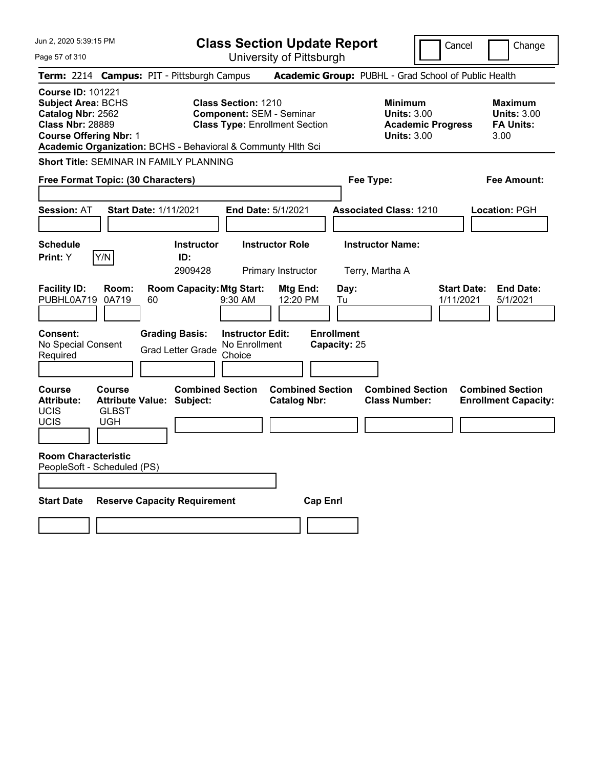| Jun 2, 2020 5:39:15 PM                                                                                                                                                                                 |                                                             | <b>Class Section Update Report</b>                                                              |                                                      | Cancel<br>Change                                                                |                                                                  |  |  |  |  |
|--------------------------------------------------------------------------------------------------------------------------------------------------------------------------------------------------------|-------------------------------------------------------------|-------------------------------------------------------------------------------------------------|------------------------------------------------------|---------------------------------------------------------------------------------|------------------------------------------------------------------|--|--|--|--|
| Page 57 of 310                                                                                                                                                                                         |                                                             | University of Pittsburgh                                                                        |                                                      |                                                                                 |                                                                  |  |  |  |  |
| Term: 2214 Campus: PIT - Pittsburgh Campus                                                                                                                                                             |                                                             |                                                                                                 | Academic Group: PUBHL - Grad School of Public Health |                                                                                 |                                                                  |  |  |  |  |
| <b>Course ID: 101221</b><br><b>Subject Area: BCHS</b><br>Catalog Nbr: 2562<br><b>Class Nbr: 28889</b><br><b>Course Offering Nbr: 1</b><br>Academic Organization: BCHS - Behavioral & Communty Hith Sci |                                                             | Class Section: 1210<br><b>Component: SEM - Seminar</b><br><b>Class Type: Enrollment Section</b> |                                                      | Minimum<br><b>Units: 3.00</b><br><b>Academic Progress</b><br><b>Units: 3.00</b> | <b>Maximum</b><br><b>Units: 3.00</b><br><b>FA Units:</b><br>3.00 |  |  |  |  |
| <b>Short Title: SEMINAR IN FAMILY PLANNING</b>                                                                                                                                                         |                                                             |                                                                                                 |                                                      |                                                                                 |                                                                  |  |  |  |  |
| Free Format Topic: (30 Characters)                                                                                                                                                                     |                                                             |                                                                                                 | Fee Type:                                            |                                                                                 | Fee Amount:                                                      |  |  |  |  |
| <b>Session: AT</b>                                                                                                                                                                                     | <b>Start Date: 1/11/2021</b>                                | <b>End Date: 5/1/2021</b>                                                                       |                                                      | <b>Associated Class: 1210</b>                                                   | Location: PGH                                                    |  |  |  |  |
| <b>Schedule</b><br>Y/N<br><b>Print:</b> Y                                                                                                                                                              | <b>Instructor</b><br>ID:<br>2909428                         | <b>Instructor Role</b><br>Primary Instructor                                                    | Terry, Martha A                                      | <b>Instructor Name:</b>                                                         |                                                                  |  |  |  |  |
| <b>Facility ID:</b><br>Room:<br>PUBHL0A719<br>0A719                                                                                                                                                    | <b>Room Capacity: Mtg Start:</b><br>60                      | Mtg End:<br>9:30 AM<br>12:20 PM                                                                 | Day:<br>Tu                                           |                                                                                 | <b>End Date:</b><br><b>Start Date:</b><br>1/11/2021<br>5/1/2021  |  |  |  |  |
| <b>Consent:</b><br>No Special Consent<br>Required                                                                                                                                                      | <b>Grading Basis:</b><br><b>Grad Letter Grade</b>           | <b>Instructor Edit:</b><br>No Enrollment<br>Choice                                              | <b>Enrollment</b><br>Capacity: 25                    |                                                                                 |                                                                  |  |  |  |  |
| Course<br>Course<br><b>Attribute:</b><br>UCIS<br><b>GLBST</b><br>UCIS<br><b>UGH</b>                                                                                                                    | <b>Combined Section</b><br><b>Attribute Value: Subject:</b> | <b>Catalog Nbr:</b>                                                                             | <b>Combined Section</b>                              | <b>Combined Section</b><br><b>Class Number:</b>                                 | <b>Combined Section</b><br><b>Enrollment Capacity:</b>           |  |  |  |  |
| <b>Room Characteristic</b><br>PeopleSoft - Scheduled (PS)                                                                                                                                              |                                                             |                                                                                                 |                                                      |                                                                                 |                                                                  |  |  |  |  |
| <b>Start Date</b>                                                                                                                                                                                      | <b>Reserve Capacity Requirement</b>                         |                                                                                                 | <b>Cap Enrl</b>                                      |                                                                                 |                                                                  |  |  |  |  |
|                                                                                                                                                                                                        |                                                             |                                                                                                 |                                                      |                                                                                 |                                                                  |  |  |  |  |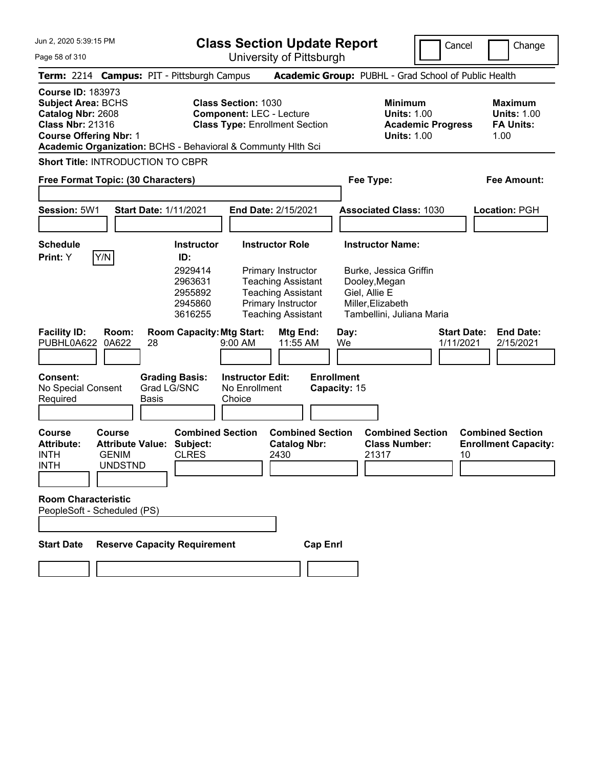**Class Section Update Report** University of Pittsburgh

Cancel **Change** 

Page 58 of 310

|                                                                                 |                                                                                                                                         |                                   | Term: 2214 Campus: PIT - Pittsburgh Campus                                      |                                                                                                        |                                                                                                                                                                  |                 |                                                 | Academic Group: PUBHL - Grad School of Public Health                                                                                  |                                 |                                                                  |
|---------------------------------------------------------------------------------|-----------------------------------------------------------------------------------------------------------------------------------------|-----------------------------------|---------------------------------------------------------------------------------|--------------------------------------------------------------------------------------------------------|------------------------------------------------------------------------------------------------------------------------------------------------------------------|-----------------|-------------------------------------------------|---------------------------------------------------------------------------------------------------------------------------------------|---------------------------------|------------------------------------------------------------------|
| <b>Course ID: 183973</b><br>Catalog Nbr: 2608<br><b>Class Nbr: 21316</b>        | <b>Subject Area: BCHS</b><br><b>Course Offering Nbr: 1</b>                                                                              |                                   | Academic Organization: BCHS - Behavioral & Communty Hith Sci                    | <b>Class Section: 1030</b><br><b>Component: LEC - Lecture</b><br><b>Class Type: Enrollment Section</b> |                                                                                                                                                                  |                 |                                                 | <b>Minimum</b><br><b>Units: 1.00</b><br><b>Academic Progress</b><br><b>Units: 1.00</b>                                                |                                 | <b>Maximum</b><br><b>Units: 1.00</b><br><b>FA Units:</b><br>1.00 |
|                                                                                 | Short Title: INTRODUCTION TO CBPR                                                                                                       |                                   |                                                                                 |                                                                                                        |                                                                                                                                                                  |                 |                                                 |                                                                                                                                       |                                 |                                                                  |
|                                                                                 | Free Format Topic: (30 Characters)                                                                                                      |                                   |                                                                                 |                                                                                                        |                                                                                                                                                                  |                 |                                                 | Fee Type:                                                                                                                             |                                 | Fee Amount:                                                      |
| Session: 5W1                                                                    |                                                                                                                                         |                                   | <b>Start Date: 1/11/2021</b>                                                    |                                                                                                        | End Date: 2/15/2021                                                                                                                                              |                 |                                                 | <b>Associated Class: 1030</b>                                                                                                         |                                 | Location: PGH                                                    |
| <b>Schedule</b><br>Print: Y                                                     | Y/N                                                                                                                                     |                                   | <b>Instructor</b><br>ID:<br>2929414<br>2963631<br>2955892<br>2945860<br>3616255 |                                                                                                        | <b>Instructor Role</b><br><b>Primary Instructor</b><br><b>Teaching Assistant</b><br><b>Teaching Assistant</b><br>Primary Instructor<br><b>Teaching Assistant</b> |                 |                                                 | <b>Instructor Name:</b><br>Burke, Jessica Griffin<br>Dooley, Megan<br>Giel, Allie E<br>Miller, Elizabeth<br>Tambellini, Juliana Maria |                                 |                                                                  |
| <b>Facility ID:</b><br>PUBHL0A622<br>Consent:<br>No Special Consent<br>Required | Room:<br>0A622                                                                                                                          | 28<br>Grad LG/SNC<br><b>Basis</b> | <b>Room Capacity: Mtg Start:</b><br><b>Grading Basis:</b>                       | $9:00$ AM<br><b>Instructor Edit:</b><br>No Enrollment<br>Choice                                        | Mtg End:<br>11:55 AM                                                                                                                                             |                 | Day:<br>We<br><b>Enrollment</b><br>Capacity: 15 |                                                                                                                                       | <b>Start Date:</b><br>1/11/2021 | <b>End Date:</b><br>2/15/2021                                    |
| <b>Course</b><br><b>Attribute:</b><br><b>INTH</b><br><b>INTH</b>                | <b>Course</b><br><b>Attribute Value:</b><br><b>GENIM</b><br><b>UNDSTND</b><br><b>Room Characteristic</b><br>PeopleSoft - Scheduled (PS) |                                   | <b>Combined Section</b><br>Subject:<br><b>CLRES</b>                             |                                                                                                        | <b>Combined Section</b><br><b>Catalog Nbr:</b><br>2430                                                                                                           |                 |                                                 | <b>Combined Section</b><br><b>Class Number:</b><br>21317                                                                              | 10                              | <b>Combined Section</b><br><b>Enrollment Capacity:</b>           |
| <b>Start Date</b>                                                               |                                                                                                                                         |                                   | <b>Reserve Capacity Requirement</b>                                             |                                                                                                        |                                                                                                                                                                  | <b>Cap Enrl</b> |                                                 |                                                                                                                                       |                                 |                                                                  |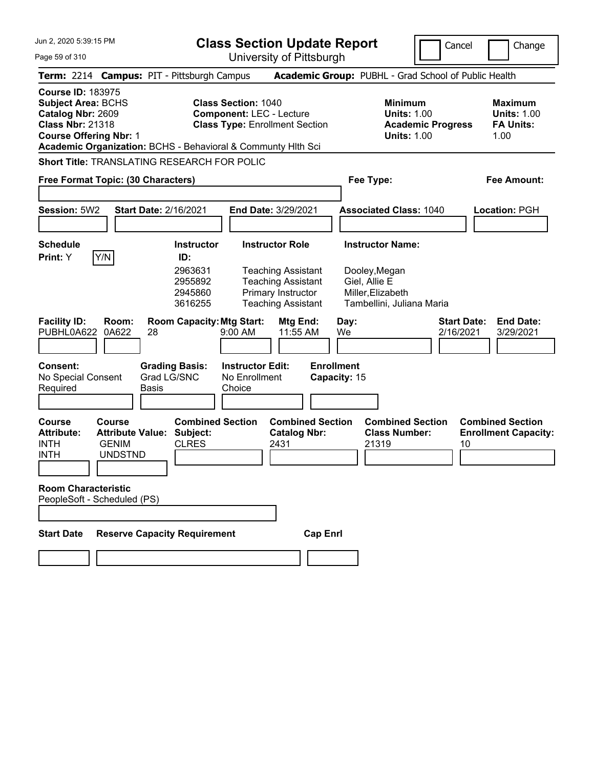Page 59 of 310

**Class Section Update Report**

Cancel Change

|                                                                                                                                        |                                                                            | Term: 2214 Campus: PIT - Pittsburgh Campus                               |                                                                                                                                                                        | Academic Group: PUBHL - Grad School of Public Health                                                        |                                                                  |
|----------------------------------------------------------------------------------------------------------------------------------------|----------------------------------------------------------------------------|--------------------------------------------------------------------------|------------------------------------------------------------------------------------------------------------------------------------------------------------------------|-------------------------------------------------------------------------------------------------------------|------------------------------------------------------------------|
| <b>Course ID: 183975</b><br><b>Subject Area: BCHS</b><br>Catalog Nbr: 2609<br><b>Class Nbr: 21318</b><br><b>Course Offering Nbr: 1</b> |                                                                            |                                                                          | <b>Class Section: 1040</b><br><b>Component: LEC - Lecture</b><br><b>Class Type: Enrollment Section</b><br>Academic Organization: BCHS - Behavioral & Communty Hith Sci | <b>Minimum</b><br><b>Units: 1.00</b><br><b>Academic Progress</b><br><b>Units: 1.00</b>                      | <b>Maximum</b><br><b>Units: 1.00</b><br><b>FA Units:</b><br>1.00 |
|                                                                                                                                        |                                                                            | <b>Short Title: TRANSLATING RESEARCH FOR POLIC</b>                       |                                                                                                                                                                        |                                                                                                             |                                                                  |
|                                                                                                                                        | Free Format Topic: (30 Characters)                                         |                                                                          |                                                                                                                                                                        | Fee Type:                                                                                                   | <b>Fee Amount:</b>                                               |
| Session: 5W2                                                                                                                           |                                                                            | <b>Start Date: 2/16/2021</b>                                             | End Date: 3/29/2021                                                                                                                                                    | <b>Associated Class: 1040</b>                                                                               | Location: PGH                                                    |
| <b>Schedule</b><br>Print: Y                                                                                                            | Y/N                                                                        | <b>Instructor</b><br>ID:<br>2963631<br>2955892<br>2945860<br>3616255     | <b>Instructor Role</b><br><b>Teaching Assistant</b><br><b>Teaching Assistant</b><br>Primary Instructor<br><b>Teaching Assistant</b>                                    | <b>Instructor Name:</b><br>Dooley, Megan<br>Giel, Allie E<br>Miller, Elizabeth<br>Tambellini, Juliana Maria |                                                                  |
| <b>Facility ID:</b><br>PUBHL0A622<br>Consent:<br>No Special Consent<br>Required                                                        | Room:<br>0A622<br>28<br>Basis                                              | <b>Room Capacity: Mtg Start:</b><br><b>Grading Basis:</b><br>Grad LG/SNC | Mtg End:<br>9:00 AM<br>11:55 AM<br><b>Instructor Edit:</b><br>No Enrollment<br>Choice                                                                                  | Day:<br>We<br><b>Enrollment</b><br>Capacity: 15                                                             | <b>Start Date:</b><br><b>End Date:</b><br>2/16/2021<br>3/29/2021 |
| <b>Course</b><br><b>Attribute:</b><br><b>INTH</b><br><b>INTH</b>                                                                       | <b>Course</b><br><b>Attribute Value:</b><br><b>GENIM</b><br><b>UNDSTND</b> | <b>Combined Section</b><br>Subject:<br><b>CLRES</b>                      | <b>Combined Section</b><br><b>Catalog Nbr:</b><br>2431                                                                                                                 | <b>Combined Section</b><br><b>Class Number:</b><br>21319                                                    | <b>Combined Section</b><br><b>Enrollment Capacity:</b><br>10     |
| <b>Room Characteristic</b>                                                                                                             | PeopleSoft - Scheduled (PS)                                                |                                                                          |                                                                                                                                                                        |                                                                                                             |                                                                  |
| <b>Start Date</b>                                                                                                                      |                                                                            | <b>Reserve Capacity Requirement</b>                                      |                                                                                                                                                                        | <b>Cap Enrl</b>                                                                                             |                                                                  |
|                                                                                                                                        |                                                                            |                                                                          |                                                                                                                                                                        |                                                                                                             |                                                                  |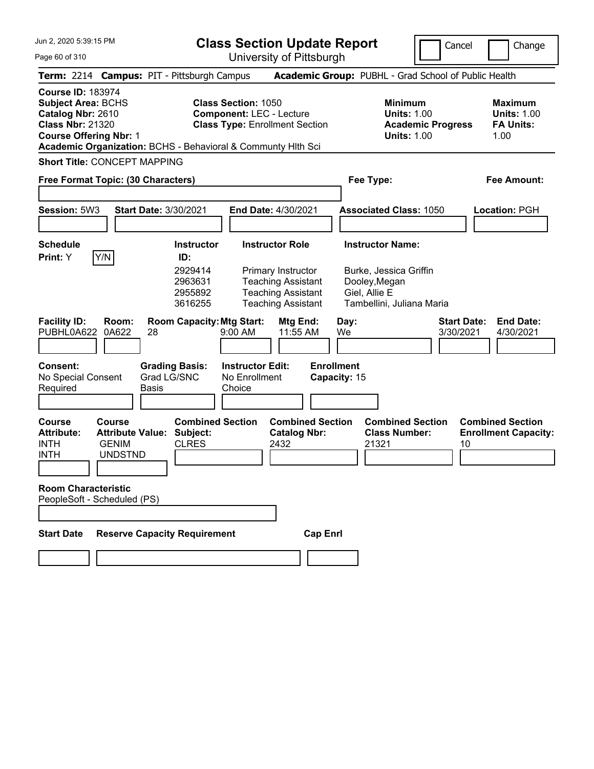**Class Section Update Report** University of Pittsburgh

Cancel Change

Page 60 of 310

|                                                                                                                                        |                                                                     |             | Term: 2214 Campus: PIT - Pittsburgh Campus                               |                                                                 |                                                                                                                                     |                                   |            |               | Academic Group: PUBHL - Grad School of Public Health                                            |                                 |    |                                                                  |  |
|----------------------------------------------------------------------------------------------------------------------------------------|---------------------------------------------------------------------|-------------|--------------------------------------------------------------------------|-----------------------------------------------------------------|-------------------------------------------------------------------------------------------------------------------------------------|-----------------------------------|------------|---------------|-------------------------------------------------------------------------------------------------|---------------------------------|----|------------------------------------------------------------------|--|
| <b>Course ID: 183974</b><br><b>Subject Area: BCHS</b><br>Catalog Nbr: 2610<br><b>Class Nbr: 21320</b><br><b>Course Offering Nbr: 1</b> |                                                                     |             | Academic Organization: BCHS - Behavioral & Communty Hith Sci             | <b>Class Section: 1050</b>                                      | <b>Component: LEC - Lecture</b><br><b>Class Type: Enrollment Section</b>                                                            |                                   |            |               | <b>Minimum</b><br><b>Units: 1.00</b><br><b>Academic Progress</b><br><b>Units: 1.00</b>          |                                 |    | <b>Maximum</b><br><b>Units: 1.00</b><br><b>FA Units:</b><br>1.00 |  |
| <b>Short Title: CONCEPT MAPPING</b>                                                                                                    |                                                                     |             |                                                                          |                                                                 |                                                                                                                                     |                                   |            |               |                                                                                                 |                                 |    |                                                                  |  |
| Free Format Topic: (30 Characters)                                                                                                     |                                                                     |             |                                                                          |                                                                 |                                                                                                                                     |                                   |            | Fee Type:     |                                                                                                 |                                 |    | Fee Amount:                                                      |  |
| Session: 5W3                                                                                                                           |                                                                     |             | <b>Start Date: 3/30/2021</b>                                             |                                                                 | <b>End Date: 4/30/2021</b>                                                                                                          |                                   |            |               | <b>Associated Class: 1050</b>                                                                   |                                 |    | Location: PGH                                                    |  |
| <b>Schedule</b><br><b>Print:</b> Y                                                                                                     | Y/N                                                                 |             | <b>Instructor</b><br>ID:<br>2929414<br>2963631<br>2955892<br>3616255     |                                                                 | <b>Instructor Role</b><br>Primary Instructor<br><b>Teaching Assistant</b><br><b>Teaching Assistant</b><br><b>Teaching Assistant</b> |                                   |            | Giel, Allie E | <b>Instructor Name:</b><br>Burke, Jessica Griffin<br>Dooley, Megan<br>Tambellini, Juliana Maria |                                 |    |                                                                  |  |
| <b>Facility ID:</b><br>PUBHL0A622<br>Consent:<br>No Special Consent<br>Required                                                        | Room:<br>0A622                                                      | 28<br>Basis | <b>Room Capacity: Mtg Start:</b><br><b>Grading Basis:</b><br>Grad LG/SNC | $9:00$ AM<br><b>Instructor Edit:</b><br>No Enrollment<br>Choice | Mtg End:<br>11:55 AM                                                                                                                | <b>Enrollment</b><br>Capacity: 15 | Day:<br>We |               |                                                                                                 | <b>Start Date:</b><br>3/30/2021 |    | <b>End Date:</b><br>4/30/2021                                    |  |
| <b>Course</b><br><b>Attribute:</b><br><b>INTH</b><br><b>INTH</b><br><b>Room Characteristic</b><br>PeopleSoft - Scheduled (PS)          | Course<br><b>Attribute Value:</b><br><b>GENIM</b><br><b>UNDSTND</b> |             | <b>Combined Section</b><br>Subject:<br><b>CLRES</b>                      |                                                                 | <b>Catalog Nbr:</b><br>2432                                                                                                         | <b>Combined Section</b>           |            | 21321         | <b>Combined Section</b><br><b>Class Number:</b>                                                 |                                 | 10 | <b>Combined Section</b><br><b>Enrollment Capacity:</b>           |  |
|                                                                                                                                        |                                                                     |             |                                                                          |                                                                 |                                                                                                                                     |                                   |            |               |                                                                                                 |                                 |    |                                                                  |  |
| <b>Start Date</b>                                                                                                                      |                                                                     |             | <b>Reserve Capacity Requirement</b>                                      |                                                                 |                                                                                                                                     | <b>Cap Enri</b>                   |            |               |                                                                                                 |                                 |    |                                                                  |  |
|                                                                                                                                        |                                                                     |             |                                                                          |                                                                 |                                                                                                                                     |                                   |            |               |                                                                                                 |                                 |    |                                                                  |  |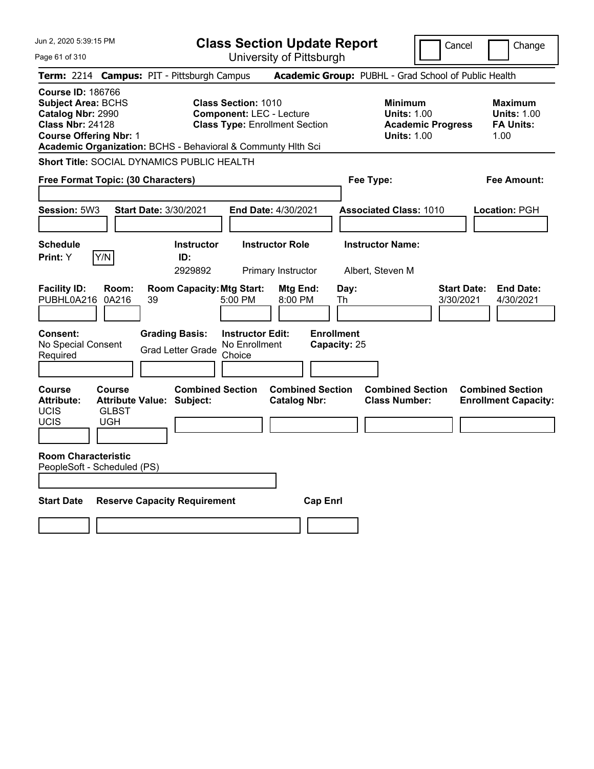| Jun 2, 2020 5:39:15 PM<br><b>Class Section Update Report</b>                                                                           |                               |                                                              |                                                               |                                                | Cancel                                               | Change                                                                          |                                                           |
|----------------------------------------------------------------------------------------------------------------------------------------|-------------------------------|--------------------------------------------------------------|---------------------------------------------------------------|------------------------------------------------|------------------------------------------------------|---------------------------------------------------------------------------------|-----------------------------------------------------------|
| Page 61 of 310                                                                                                                         |                               |                                                              |                                                               | University of Pittsburgh                       |                                                      |                                                                                 |                                                           |
|                                                                                                                                        |                               | Term: 2214 Campus: PIT - Pittsburgh Campus                   |                                                               |                                                | Academic Group: PUBHL - Grad School of Public Health |                                                                                 |                                                           |
| <b>Course ID: 186766</b><br><b>Subject Area: BCHS</b><br>Catalog Nbr: 2990<br><b>Class Nbr: 24128</b><br><b>Course Offering Nbr: 1</b> |                               | Academic Organization: BCHS - Behavioral & Communty Hlth Sci | <b>Class Section: 1010</b><br><b>Component: LEC - Lecture</b> | <b>Class Type: Enrollment Section</b>          |                                                      | Minimum<br><b>Units: 1.00</b><br><b>Academic Progress</b><br><b>Units: 1.00</b> | Maximum<br><b>Units: 1.00</b><br><b>FA Units:</b><br>1.00 |
|                                                                                                                                        |                               | <b>Short Title: SOCIAL DYNAMICS PUBLIC HEALTH</b>            |                                                               |                                                |                                                      |                                                                                 |                                                           |
| Free Format Topic: (30 Characters)                                                                                                     |                               |                                                              |                                                               |                                                | Fee Type:                                            |                                                                                 | Fee Amount:                                               |
|                                                                                                                                        |                               |                                                              |                                                               |                                                |                                                      |                                                                                 |                                                           |
| Session: 5W3                                                                                                                           |                               | Start Date: 3/30/2021                                        |                                                               | End Date: 4/30/2021                            | <b>Associated Class: 1010</b>                        |                                                                                 | <b>Location: PGH</b>                                      |
| <b>Schedule</b><br>Print: Y                                                                                                            | Y/N                           | <b>Instructor</b><br>ID:<br>2929892                          |                                                               | <b>Instructor Role</b><br>Primary Instructor   | <b>Instructor Name:</b><br>Albert, Steven M          |                                                                                 |                                                           |
| <b>Facility ID:</b><br>PUBHL0A216                                                                                                      | Room:<br>0A216                | <b>Room Capacity: Mtg Start:</b><br>39                       | 5:00 PM                                                       | Mtg End:<br>8:00 PM                            | Day:<br>Th                                           | 3/30/2021                                                                       | <b>Start Date:</b><br><b>End Date:</b><br>4/30/2021       |
| <b>Consent:</b><br>No Special Consent<br>Required                                                                                      |                               | <b>Grading Basis:</b><br><b>Grad Letter Grade</b>            | <b>Instructor Edit:</b><br>No Enrollment<br>Choice            |                                                | <b>Enrollment</b><br>Capacity: 25                    |                                                                                 |                                                           |
| Course<br><b>Attribute:</b><br>UCIS<br>UCIS                                                                                            | <b>Course</b><br>GLBST<br>UGH | <b>Combined Section</b><br><b>Attribute Value: Subject:</b>  |                                                               | <b>Combined Section</b><br><b>Catalog Nbr:</b> | <b>Class Number:</b>                                 | <b>Combined Section</b>                                                         | <b>Combined Section</b><br><b>Enrollment Capacity:</b>    |
| <b>Room Characteristic</b><br>PeopleSoft - Scheduled (PS)                                                                              |                               |                                                              |                                                               |                                                |                                                      |                                                                                 |                                                           |
| <b>Start Date</b>                                                                                                                      |                               | <b>Reserve Capacity Requirement</b>                          |                                                               | <b>Cap Enri</b>                                |                                                      |                                                                                 |                                                           |
|                                                                                                                                        |                               |                                                              |                                                               |                                                |                                                      |                                                                                 |                                                           |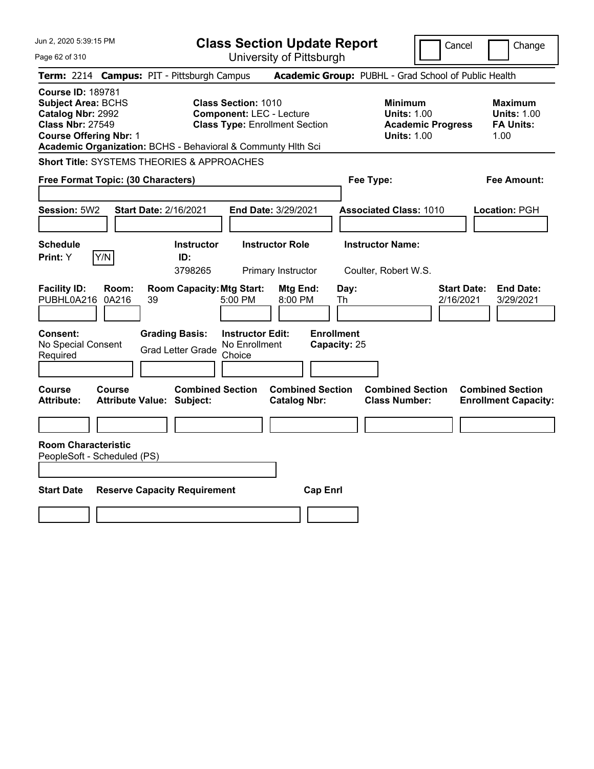| Jun 2, 2020 5:39:15 PM                                                                                                                                                                          |                                                   | <b>Class Section Update Report</b> |                                                   |                                                                                                        |                                              | Change<br>Cancel        |                                   |                                                      |                          |                                 |                                                                  |
|-------------------------------------------------------------------------------------------------------------------------------------------------------------------------------------------------|---------------------------------------------------|------------------------------------|---------------------------------------------------|--------------------------------------------------------------------------------------------------------|----------------------------------------------|-------------------------|-----------------------------------|------------------------------------------------------|--------------------------|---------------------------------|------------------------------------------------------------------|
| Page 62 of 310                                                                                                                                                                                  |                                                   |                                    |                                                   | University of Pittsburgh                                                                               |                                              |                         |                                   |                                                      |                          |                                 |                                                                  |
| Term: 2214 Campus: PIT - Pittsburgh Campus                                                                                                                                                      |                                                   |                                    |                                                   |                                                                                                        |                                              |                         |                                   | Academic Group: PUBHL - Grad School of Public Health |                          |                                 |                                                                  |
| <b>Course ID: 189781</b><br>Subject Area: BCHS<br>Catalog Nbr: 2992<br><b>Class Nbr: 27549</b><br><b>Course Offering Nbr: 1</b><br>Academic Organization: BCHS - Behavioral & Communty Hlth Sci |                                                   |                                    |                                                   | <b>Class Section: 1010</b><br><b>Component: LEC - Lecture</b><br><b>Class Type: Enrollment Section</b> |                                              |                         |                                   | Minimum<br><b>Units: 1.00</b><br><b>Units: 1.00</b>  | <b>Academic Progress</b> |                                 | <b>Maximum</b><br><b>Units: 1.00</b><br><b>FA Units:</b><br>1.00 |
| <b>Short Title: SYSTEMS THEORIES &amp; APPROACHES</b>                                                                                                                                           |                                                   |                                    |                                                   |                                                                                                        |                                              |                         |                                   |                                                      |                          |                                 |                                                                  |
| Free Format Topic: (30 Characters)                                                                                                                                                              |                                                   |                                    |                                                   |                                                                                                        |                                              |                         |                                   | Fee Type:                                            |                          |                                 | Fee Amount:                                                      |
| Session: 5W2                                                                                                                                                                                    | <b>Start Date: 2/16/2021</b>                      |                                    |                                                   | End Date: 3/29/2021                                                                                    |                                              |                         |                                   | <b>Associated Class: 1010</b>                        |                          |                                 | Location: PGH                                                    |
| <b>Schedule</b><br>Print: Y                                                                                                                                                                     | Y/N                                               |                                    | <b>Instructor</b><br>ID:<br>3798265               |                                                                                                        | <b>Instructor Role</b><br>Primary Instructor |                         |                                   | <b>Instructor Name:</b><br>Coulter, Robert W.S.      |                          |                                 |                                                                  |
| <b>Facility ID:</b><br>PUBHL0A216                                                                                                                                                               | Room:<br>0A216                                    | 39                                 | <b>Room Capacity: Mtg Start:</b>                  | 5:00 PM                                                                                                | Mtg End:<br>8:00 PM                          |                         | Day:<br>Th                        |                                                      |                          | <b>Start Date:</b><br>2/16/2021 | <b>End Date:</b><br>3/29/2021                                    |
| <b>Consent:</b><br>No Special Consent<br>Required                                                                                                                                               |                                                   |                                    | <b>Grading Basis:</b><br><b>Grad Letter Grade</b> | <b>Instructor Edit:</b><br>No Enrollment<br>Choice                                                     |                                              |                         | <b>Enrollment</b><br>Capacity: 25 |                                                      |                          |                                 |                                                                  |
| Course<br><b>Attribute:</b>                                                                                                                                                                     | <b>Course</b><br><b>Attribute Value: Subject:</b> |                                    | <b>Combined Section</b>                           |                                                                                                        | <b>Catalog Nbr:</b>                          | <b>Combined Section</b> |                                   | <b>Combined Section</b><br><b>Class Number:</b>      |                          |                                 | <b>Combined Section</b><br><b>Enrollment Capacity:</b>           |
|                                                                                                                                                                                                 |                                                   |                                    |                                                   |                                                                                                        |                                              |                         |                                   |                                                      |                          |                                 |                                                                  |
| <b>Room Characteristic</b><br>PeopleSoft - Scheduled (PS)                                                                                                                                       |                                                   |                                    |                                                   |                                                                                                        |                                              |                         |                                   |                                                      |                          |                                 |                                                                  |
| <b>Start Date</b>                                                                                                                                                                               |                                                   |                                    | <b>Reserve Capacity Requirement</b>               |                                                                                                        |                                              | <b>Cap Enrl</b>         |                                   |                                                      |                          |                                 |                                                                  |
|                                                                                                                                                                                                 |                                                   |                                    |                                                   |                                                                                                        |                                              |                         |                                   |                                                      |                          |                                 |                                                                  |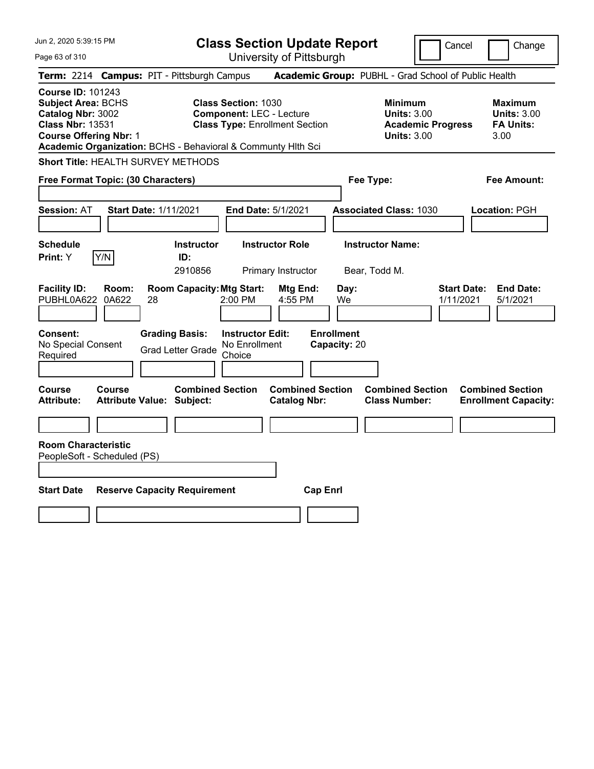| Jun 2, 2020 5:39:15 PM<br>Page 63 of 310                                                                                                                                                               | <b>Class Section Update Report</b><br>University of Pittsburgh                                         | Change<br>Cancel                                                                                                                                           |
|--------------------------------------------------------------------------------------------------------------------------------------------------------------------------------------------------------|--------------------------------------------------------------------------------------------------------|------------------------------------------------------------------------------------------------------------------------------------------------------------|
| Term: 2214 Campus: PIT - Pittsburgh Campus                                                                                                                                                             |                                                                                                        | Academic Group: PUBHL - Grad School of Public Health                                                                                                       |
| <b>Course ID: 101243</b><br><b>Subject Area: BCHS</b><br>Catalog Nbr: 3002<br><b>Class Nbr: 13531</b><br><b>Course Offering Nbr: 1</b><br>Academic Organization: BCHS - Behavioral & Communty Hlth Sci | <b>Class Section: 1030</b><br><b>Component: LEC - Lecture</b><br><b>Class Type: Enrollment Section</b> | <b>Minimum</b><br><b>Maximum</b><br><b>Units: 3.00</b><br><b>Units: 3.00</b><br><b>Academic Progress</b><br><b>FA Units:</b><br><b>Units: 3.00</b><br>3.00 |
| Short Title: HEALTH SURVEY METHODS                                                                                                                                                                     |                                                                                                        |                                                                                                                                                            |
| Free Format Topic: (30 Characters)                                                                                                                                                                     | Fee Type:                                                                                              | Fee Amount:                                                                                                                                                |
| <b>Start Date: 1/11/2021</b><br><b>Session: AT</b>                                                                                                                                                     | End Date: 5/1/2021                                                                                     | <b>Associated Class: 1030</b><br>Location: PGH                                                                                                             |
| <b>Schedule</b><br>Y/N<br><b>Print: Y</b><br>ID:                                                                                                                                                       | <b>Instructor Role</b><br><b>Instructor</b><br>2910856<br>Primary Instructor<br>Bear, Todd M.          | <b>Instructor Name:</b>                                                                                                                                    |
| <b>Facility ID:</b><br>Room:<br>PUBHL0A622<br>0A622<br>28                                                                                                                                              | <b>Room Capacity: Mtg Start:</b><br>Day:<br>Mtg End:<br>2:00 PM<br>4:55 PM<br>We                       | <b>Start Date:</b><br><b>End Date:</b><br>1/11/2021<br>5/1/2021                                                                                            |
| <b>Grading Basis:</b><br><b>Consent:</b><br>No Special Consent<br><b>Grad Letter Grade</b><br>Required                                                                                                 | <b>Enrollment</b><br><b>Instructor Edit:</b><br>No Enrollment<br>Capacity: 20<br>Choice                |                                                                                                                                                            |
| <b>Course</b><br><b>Course</b><br><b>Attribute:</b><br><b>Attribute Value: Subject:</b>                                                                                                                | <b>Combined Section</b><br><b>Combined Section</b><br><b>Catalog Nbr:</b>                              | <b>Combined Section</b><br><b>Combined Section</b><br><b>Class Number:</b><br><b>Enrollment Capacity:</b>                                                  |
|                                                                                                                                                                                                        |                                                                                                        |                                                                                                                                                            |
| <b>Room Characteristic</b><br>PeopleSoft - Scheduled (PS)                                                                                                                                              |                                                                                                        |                                                                                                                                                            |
| <b>Start Date</b><br><b>Reserve Capacity Requirement</b>                                                                                                                                               | <b>Cap Enrl</b>                                                                                        |                                                                                                                                                            |
|                                                                                                                                                                                                        |                                                                                                        |                                                                                                                                                            |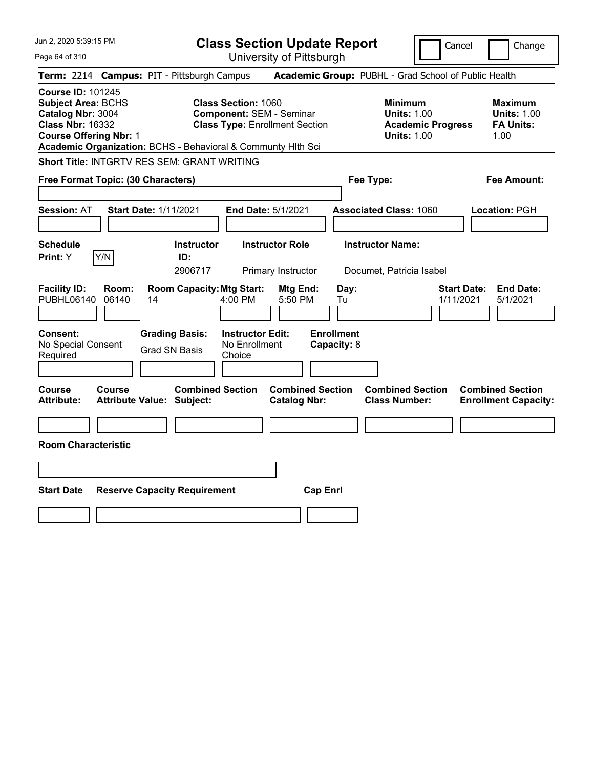| Jun 2, 2020 5:39:15 PM                                                                                                                 |                                                                                                                                                                        | <b>Class Section Update Report</b>             | Cancel                                                                                 | Change                                                           |
|----------------------------------------------------------------------------------------------------------------------------------------|------------------------------------------------------------------------------------------------------------------------------------------------------------------------|------------------------------------------------|----------------------------------------------------------------------------------------|------------------------------------------------------------------|
| Page 64 of 310                                                                                                                         |                                                                                                                                                                        | University of Pittsburgh                       |                                                                                        |                                                                  |
| Term: 2214 Campus: PIT - Pittsburgh Campus                                                                                             |                                                                                                                                                                        |                                                | Academic Group: PUBHL - Grad School of Public Health                                   |                                                                  |
| <b>Course ID: 101245</b><br><b>Subject Area: BCHS</b><br>Catalog Nbr: 3004<br><b>Class Nbr: 16332</b><br><b>Course Offering Nbr: 1</b> | <b>Class Section: 1060</b><br><b>Component: SEM - Seminar</b><br><b>Class Type: Enrollment Section</b><br>Academic Organization: BCHS - Behavioral & Communty Hlth Sci |                                                | <b>Minimum</b><br><b>Units: 1.00</b><br><b>Academic Progress</b><br><b>Units: 1.00</b> | <b>Maximum</b><br><b>Units: 1.00</b><br><b>FA Units:</b><br>1.00 |
| Short Title: INTGRTV RES SEM: GRANT WRITING                                                                                            |                                                                                                                                                                        |                                                |                                                                                        |                                                                  |
| Free Format Topic: (30 Characters)                                                                                                     |                                                                                                                                                                        | Fee Type:                                      |                                                                                        | Fee Amount:                                                      |
| <b>Session: AT</b>                                                                                                                     | <b>Start Date: 1/11/2021</b><br>End Date: 5/1/2021                                                                                                                     |                                                | <b>Associated Class: 1060</b>                                                          | Location: PGH                                                    |
| <b>Schedule</b><br>Y/N<br>Print: Y                                                                                                     | <b>Instructor Role</b><br><b>Instructor</b><br>ID:<br>2906717<br>Primary Instructor                                                                                    |                                                | <b>Instructor Name:</b><br>Documet, Patricia Isabel                                    |                                                                  |
| <b>Facility ID:</b><br>Room:<br>PUBHL06140<br>06140                                                                                    | <b>Room Capacity: Mtg Start:</b><br>14<br>4:00 PM                                                                                                                      | Day:<br>Mtg End:<br>5:50 PM<br>Tu              | <b>Start Date:</b><br>1/11/2021                                                        | <b>End Date:</b><br>5/1/2021                                     |
| Consent:<br>No Special Consent<br>Required                                                                                             | <b>Grading Basis:</b><br><b>Instructor Edit:</b><br>No Enrollment<br><b>Grad SN Basis</b><br>Choice                                                                    | <b>Enrollment</b><br>Capacity: 8               |                                                                                        |                                                                  |
| <b>Course</b><br>Course<br><b>Attribute:</b>                                                                                           | <b>Combined Section</b><br><b>Attribute Value: Subject:</b>                                                                                                            | <b>Combined Section</b><br><b>Catalog Nbr:</b> | <b>Combined Section</b><br><b>Class Number:</b>                                        | <b>Combined Section</b><br><b>Enrollment Capacity:</b>           |
|                                                                                                                                        |                                                                                                                                                                        |                                                |                                                                                        |                                                                  |
| <b>Room Characteristic</b>                                                                                                             |                                                                                                                                                                        |                                                |                                                                                        |                                                                  |
|                                                                                                                                        |                                                                                                                                                                        |                                                |                                                                                        |                                                                  |
| <b>Start Date</b>                                                                                                                      | <b>Reserve Capacity Requirement</b>                                                                                                                                    | <b>Cap Enrl</b>                                |                                                                                        |                                                                  |
|                                                                                                                                        |                                                                                                                                                                        |                                                |                                                                                        |                                                                  |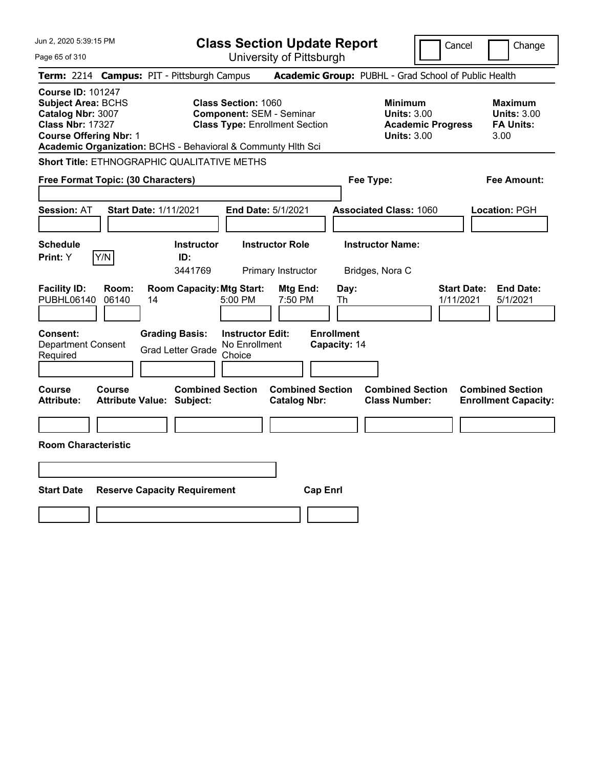| Jun 2, 2020 5:39:15 PM                                                                                                                 |                |                                                   | <b>Class Section Update Report</b><br>Cancel                                                                                                                           |                                                |                                   |                                                                                        | Change                          |                                                                  |
|----------------------------------------------------------------------------------------------------------------------------------------|----------------|---------------------------------------------------|------------------------------------------------------------------------------------------------------------------------------------------------------------------------|------------------------------------------------|-----------------------------------|----------------------------------------------------------------------------------------|---------------------------------|------------------------------------------------------------------|
| Page 65 of 310                                                                                                                         |                |                                                   |                                                                                                                                                                        | University of Pittsburgh                       |                                   |                                                                                        |                                 |                                                                  |
| Term: 2214 Campus: PIT - Pittsburgh Campus                                                                                             |                |                                                   |                                                                                                                                                                        |                                                |                                   | Academic Group: PUBHL - Grad School of Public Health                                   |                                 |                                                                  |
| <b>Course ID: 101247</b><br><b>Subject Area: BCHS</b><br>Catalog Nbr: 3007<br><b>Class Nbr: 17327</b><br><b>Course Offering Nbr: 1</b> |                |                                                   | <b>Class Section: 1060</b><br><b>Component: SEM - Seminar</b><br><b>Class Type: Enrollment Section</b><br>Academic Organization: BCHS - Behavioral & Communty Hith Sci |                                                |                                   | <b>Minimum</b><br><b>Units: 3.00</b><br><b>Academic Progress</b><br><b>Units: 3.00</b> |                                 | <b>Maximum</b><br><b>Units: 3.00</b><br><b>FA Units:</b><br>3.00 |
|                                                                                                                                        |                |                                                   | <b>Short Title: ETHNOGRAPHIC QUALITATIVE METHS</b>                                                                                                                     |                                                |                                   |                                                                                        |                                 |                                                                  |
| Free Format Topic: (30 Characters)                                                                                                     |                |                                                   |                                                                                                                                                                        |                                                | Fee Type:                         |                                                                                        |                                 | Fee Amount:                                                      |
| <b>Session: AT</b>                                                                                                                     |                | <b>Start Date: 1/11/2021</b>                      |                                                                                                                                                                        | End Date: 5/1/2021                             |                                   | <b>Associated Class: 1060</b>                                                          |                                 | Location: PGH                                                    |
| Schedule<br>Print: Y                                                                                                                   | Y/N            | <b>Instructor</b><br>ID:<br>3441769               |                                                                                                                                                                        | <b>Instructor Role</b><br>Primary Instructor   |                                   | <b>Instructor Name:</b><br>Bridges, Nora C                                             |                                 |                                                                  |
| <b>Facility ID:</b><br>PUBHL06140                                                                                                      | Room:<br>06140 | 14                                                | <b>Room Capacity: Mtg Start:</b><br>5:00 PM                                                                                                                            | Mtg End:<br>7:50 PM                            | Day:<br>Th                        |                                                                                        | <b>Start Date:</b><br>1/11/2021 | <b>End Date:</b><br>5/1/2021                                     |
| <b>Consent:</b><br><b>Department Consent</b><br>Required                                                                               |                | <b>Grading Basis:</b><br><b>Grad Letter Grade</b> | <b>Instructor Edit:</b><br>No Enrollment<br>Choice                                                                                                                     |                                                | <b>Enrollment</b><br>Capacity: 14 |                                                                                        |                                 |                                                                  |
| <b>Course</b><br><b>Attribute:</b>                                                                                                     | <b>Course</b>  | <b>Attribute Value: Subject:</b>                  | <b>Combined Section</b>                                                                                                                                                | <b>Combined Section</b><br><b>Catalog Nbr:</b> |                                   | <b>Combined Section</b><br><b>Class Number:</b>                                        |                                 | <b>Combined Section</b><br><b>Enrollment Capacity:</b>           |
|                                                                                                                                        |                |                                                   |                                                                                                                                                                        |                                                |                                   |                                                                                        |                                 |                                                                  |
| <b>Room Characteristic</b>                                                                                                             |                |                                                   |                                                                                                                                                                        |                                                |                                   |                                                                                        |                                 |                                                                  |
|                                                                                                                                        |                |                                                   |                                                                                                                                                                        |                                                |                                   |                                                                                        |                                 |                                                                  |
| <b>Start Date</b>                                                                                                                      |                | <b>Reserve Capacity Requirement</b>               |                                                                                                                                                                        | <b>Cap Enrl</b>                                |                                   |                                                                                        |                                 |                                                                  |
|                                                                                                                                        |                |                                                   |                                                                                                                                                                        |                                                |                                   |                                                                                        |                                 |                                                                  |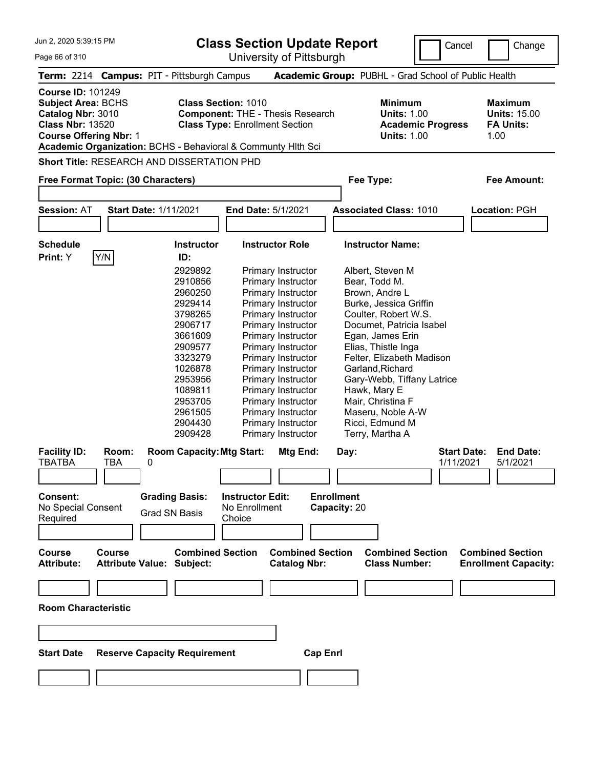**Class Section Update Report**

University of Pittsburgh

Cancel Change

|  | Term: 2214 Camp |
|--|-----------------|

**Course ID:** 101249

**Term:** 2214 **Campus:** PIT - Pittsburgh Campus **Academic Group:** PUBHL - Grad School of Public Health **Subject Area:** BCHS **Class Section:** 1010 **Minimum Maximum** 

**Catalog Nbr:** 3010 **Component:** THE - Thesis Research **Units:** 1.00 **Units:** 15.00 **Class Nbr:** 13520 **Class Type:** Enrollment Section **Academic Progress FA Units: Course Offering Nbr:** 1 **Units:** 1.00 1.00

**Academic Organization:** BCHS - Behavioral & Communty Hlth Sci

**Short Title:** RESEARCH AND DISSERTATION PHD

## **Free Format Topic: (30 Characters) Fee Type: Fee Amount: Session:** AT **Start Date:** 1/11/2021 **End Date:** 5/1/2021 **Associated Class:** 1010 **Location:** PGH **Schedule Instructor Instructor Role Instructor Name: Print:**  $Y$   $|Y/N|$  **ID:** 2929892 Primary Instructor Albert, Steven M 2910856 Primary Instructor Bear, Todd M. 2960250 Primary Instructor Brown, Andre L 2929414 Primary Instructor Burke, Jessica Griffin 3798265 Primary Instructor Coulter, Robert W.S. 2906717 Primary Instructor Documet, Patricia Isabel 3661609 Primary Instructor Egan, James Erin 2909577 Primary Instructor Elias, Thistle Inga 3323279 Primary Instructor Felter, Elizabeth Madison 1026878 Primary Instructor Garland,Richard 2953956 Primary Instructor Gary-Webb, Tiffany Latrice 1089811 Primary Instructor Hawk, Mary E<br>1953705 Primary Instructor Mair, Christina F 2953705 Primary Instructor 2961505 Primary Instructor Maseru, Noble A-W 2904430 Primary Instructor Ricci, Edmund M 2909428 Primary Instructor Terry, Martha A **Facility ID: Room: Room Capacity:Mtg Start: Mtg End: Day: Start Date: End Date:** TBATBA TBA 0 1/11/2021 5/1/2021 **Consent: Grading Basis: Instructor Edit: Enrollment** No Special Consent Grad SN Basis No Enrollment<br>Required Grad SN Basis Choice Choice **Capacity:** 20 **Course Course Combined Section Combined Section Combined Section Combined Section Attribute: Attribute Value: Subject: Catalog Nbr: Class Number: Enrollment Capacity: Room Characteristic Start Date Reserve Capacity Requirement Cap Enrl**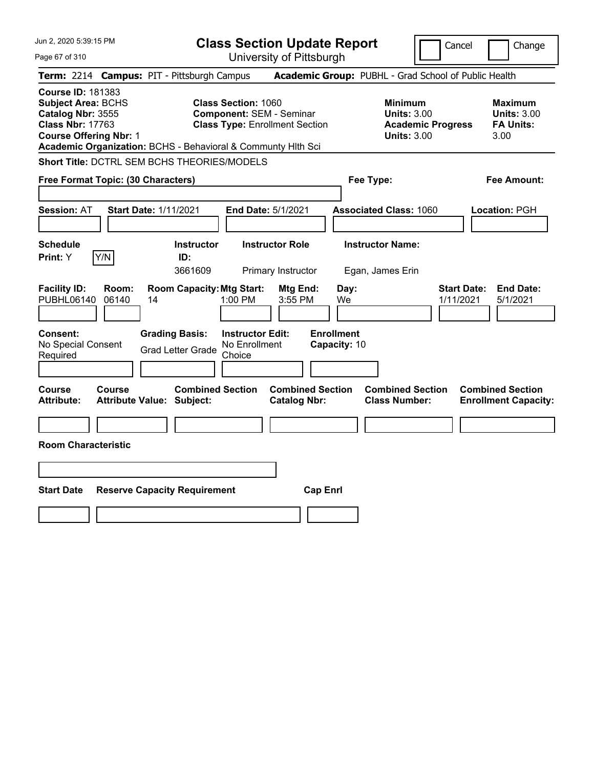| Jun 2, 2020 5:39:15 PM                                                                                                                                                                                 | <b>Class Section Update Report</b><br>Cancel<br>Change                                                  |                                                                                                   |                                                                                              |  |  |
|--------------------------------------------------------------------------------------------------------------------------------------------------------------------------------------------------------|---------------------------------------------------------------------------------------------------------|---------------------------------------------------------------------------------------------------|----------------------------------------------------------------------------------------------|--|--|
| Page 67 of 310                                                                                                                                                                                         | University of Pittsburgh                                                                                |                                                                                                   |                                                                                              |  |  |
| Term: 2214 Campus: PIT - Pittsburgh Campus                                                                                                                                                             |                                                                                                         | Academic Group: PUBHL - Grad School of Public Health                                              |                                                                                              |  |  |
| <b>Course ID: 181383</b><br><b>Subject Area: BCHS</b><br>Catalog Nbr: 3555<br><b>Class Nbr: 17763</b><br><b>Course Offering Nbr: 1</b><br>Academic Organization: BCHS - Behavioral & Communty Hlth Sci | <b>Class Section: 1060</b><br><b>Component: SEM - Seminar</b><br><b>Class Type: Enrollment Section</b>  | <b>Minimum</b><br><b>Units: 3.00</b><br><b>Units: 3.00</b>                                        | <b>Maximum</b><br><b>Units: 3.00</b><br><b>FA Units:</b><br><b>Academic Progress</b><br>3.00 |  |  |
| Short Title: DCTRL SEM BCHS THEORIES/MODELS                                                                                                                                                            |                                                                                                         |                                                                                                   |                                                                                              |  |  |
| Free Format Topic: (30 Characters)                                                                                                                                                                     |                                                                                                         | Fee Type:                                                                                         | <b>Fee Amount:</b>                                                                           |  |  |
| <b>Start Date: 1/11/2021</b><br><b>Session: AT</b>                                                                                                                                                     | End Date: 5/1/2021                                                                                      | <b>Associated Class: 1060</b>                                                                     | Location: PGH                                                                                |  |  |
| <b>Schedule</b><br>Y/N<br>Print: Y                                                                                                                                                                     | <b>Instructor Role</b><br><b>Instructor</b><br>ID:<br>3661609<br>Primary Instructor                     | <b>Instructor Name:</b><br>Egan, James Erin                                                       |                                                                                              |  |  |
| <b>Facility ID:</b><br>Room:<br>PUBHL06140<br>06140<br>14                                                                                                                                              | <b>Room Capacity: Mtg Start:</b><br>1:00 PM                                                             | Mtg End:<br>Day:<br>3:55 PM<br>We                                                                 | <b>End Date:</b><br><b>Start Date:</b><br>1/11/2021<br>5/1/2021                              |  |  |
| Consent:<br>No Special Consent<br>Required                                                                                                                                                             | <b>Grading Basis:</b><br><b>Instructor Edit:</b><br>No Enrollment<br><b>Grad Letter Grade</b><br>Choice | <b>Enrollment</b><br>Capacity: 10                                                                 |                                                                                              |  |  |
| Course<br>Course<br><b>Attribute:</b><br><b>Attribute Value: Subject:</b>                                                                                                                              | <b>Combined Section</b>                                                                                 | <b>Combined Section</b><br><b>Combined Section</b><br><b>Catalog Nbr:</b><br><b>Class Number:</b> | <b>Combined Section</b><br><b>Enrollment Capacity:</b>                                       |  |  |
|                                                                                                                                                                                                        |                                                                                                         |                                                                                                   |                                                                                              |  |  |
| <b>Room Characteristic</b>                                                                                                                                                                             |                                                                                                         |                                                                                                   |                                                                                              |  |  |
|                                                                                                                                                                                                        |                                                                                                         |                                                                                                   |                                                                                              |  |  |
| <b>Start Date</b><br><b>Reserve Capacity Requirement</b>                                                                                                                                               |                                                                                                         | <b>Cap Enrl</b>                                                                                   |                                                                                              |  |  |
|                                                                                                                                                                                                        |                                                                                                         |                                                                                                   |                                                                                              |  |  |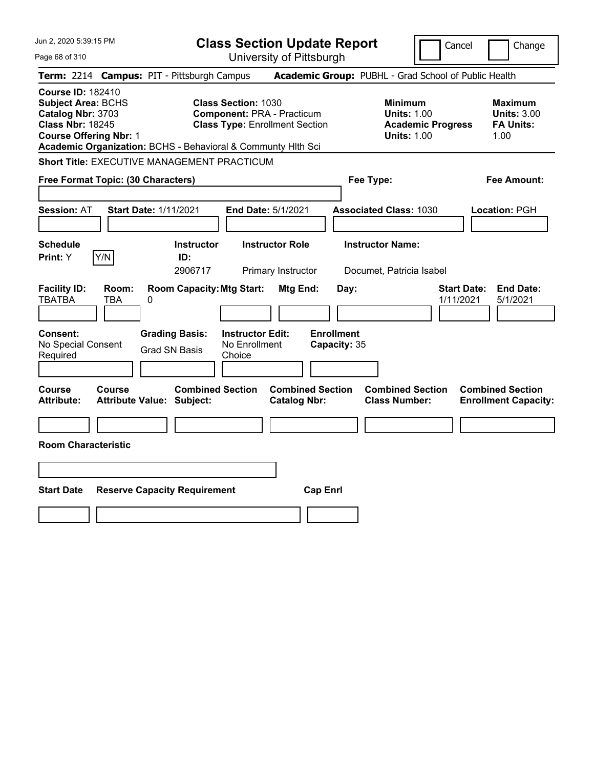| Jun 2, 2020 5:39:15 PM                                                                                                                 |                     |                                                              | <b>Class Section Update Report</b><br>Change<br>Cancel |                                                                            |                                   |                                                     |                          |                                                                  |
|----------------------------------------------------------------------------------------------------------------------------------------|---------------------|--------------------------------------------------------------|--------------------------------------------------------|----------------------------------------------------------------------------|-----------------------------------|-----------------------------------------------------|--------------------------|------------------------------------------------------------------|
| Page 68 of 310                                                                                                                         |                     |                                                              |                                                        | University of Pittsburgh                                                   |                                   |                                                     |                          |                                                                  |
|                                                                                                                                        |                     | Term: 2214 Campus: PIT - Pittsburgh Campus                   |                                                        |                                                                            |                                   |                                                     |                          | Academic Group: PUBHL - Grad School of Public Health             |
| <b>Course ID: 182410</b><br><b>Subject Area: BCHS</b><br>Catalog Nbr: 3703<br><b>Class Nbr: 18245</b><br><b>Course Offering Nbr: 1</b> |                     | Academic Organization: BCHS - Behavioral & Communty Hith Sci | <b>Class Section: 1030</b>                             | <b>Component: PRA - Practicum</b><br><b>Class Type: Enrollment Section</b> |                                   | Minimum<br><b>Units: 1.00</b><br><b>Units: 1.00</b> | <b>Academic Progress</b> | <b>Maximum</b><br><b>Units: 3.00</b><br><b>FA Units:</b><br>1.00 |
|                                                                                                                                        |                     | <b>Short Title: EXECUTIVE MANAGEMENT PRACTICUM</b>           |                                                        |                                                                            |                                   |                                                     |                          |                                                                  |
| Free Format Topic: (30 Characters)                                                                                                     |                     |                                                              |                                                        |                                                                            |                                   | Fee Type:                                           |                          | Fee Amount:                                                      |
| <b>Session: AT</b>                                                                                                                     |                     | <b>Start Date: 1/11/2021</b>                                 |                                                        | End Date: 5/1/2021                                                         |                                   | <b>Associated Class: 1030</b>                       |                          | Location: PGH                                                    |
| <b>Schedule</b><br>Print: Y                                                                                                            | Y/N                 | <b>Instructor</b><br>ID:<br>2906717                          |                                                        | <b>Instructor Role</b><br>Primary Instructor                               |                                   | <b>Instructor Name:</b><br>Documet, Patricia Isabel |                          |                                                                  |
| <b>Facility ID:</b><br><b>TBATBA</b>                                                                                                   | Room:<br><b>TBA</b> | <b>Room Capacity: Mtg Start:</b><br>0                        |                                                        | Mtg End:                                                                   | Day:                              |                                                     | 1/11/2021                | <b>Start Date:</b><br><b>End Date:</b><br>5/1/2021               |
| Consent:<br>No Special Consent<br>Required                                                                                             |                     | <b>Grading Basis:</b><br><b>Grad SN Basis</b>                | <b>Instructor Edit:</b><br>No Enrollment<br>Choice     |                                                                            | <b>Enrollment</b><br>Capacity: 35 |                                                     |                          |                                                                  |
| Course<br>Attribute:                                                                                                                   | Course              | <b>Combined Section</b><br><b>Attribute Value: Subject:</b>  |                                                        | <b>Combined Section</b><br><b>Catalog Nbr:</b>                             |                                   | <b>Combined Section</b><br><b>Class Number:</b>     |                          | <b>Combined Section</b><br><b>Enrollment Capacity:</b>           |
|                                                                                                                                        |                     |                                                              |                                                        |                                                                            |                                   |                                                     |                          |                                                                  |
| <b>Room Characteristic</b>                                                                                                             |                     |                                                              |                                                        |                                                                            |                                   |                                                     |                          |                                                                  |
|                                                                                                                                        |                     |                                                              |                                                        |                                                                            |                                   |                                                     |                          |                                                                  |
| <b>Start Date</b>                                                                                                                      |                     | <b>Reserve Capacity Requirement</b>                          |                                                        | <b>Cap Enrl</b>                                                            |                                   |                                                     |                          |                                                                  |
|                                                                                                                                        |                     |                                                              |                                                        |                                                                            |                                   |                                                     |                          |                                                                  |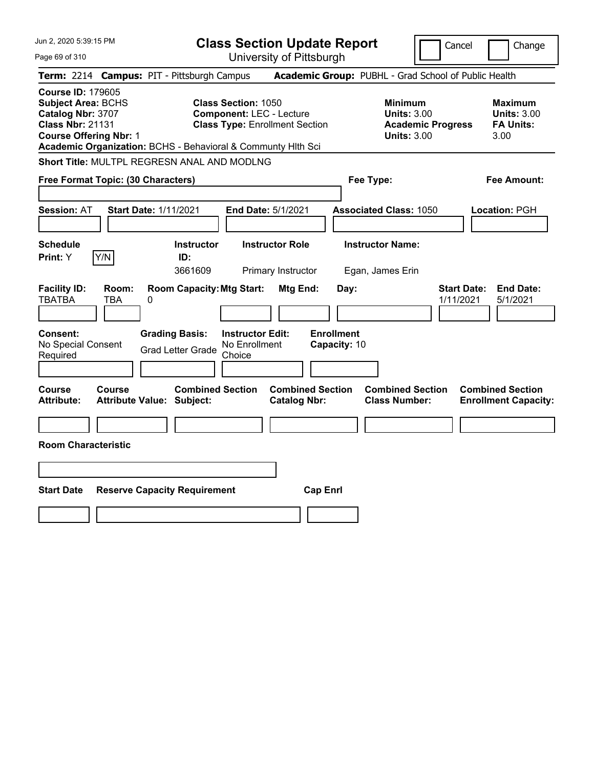| Jun 2, 2020 5:39:15 PM                                                                                                                                                                                 | <b>Class Section Update Report</b>                                                                      |                                                |                                                                                        | Cancel<br>Change                                                 |
|--------------------------------------------------------------------------------------------------------------------------------------------------------------------------------------------------------|---------------------------------------------------------------------------------------------------------|------------------------------------------------|----------------------------------------------------------------------------------------|------------------------------------------------------------------|
| Page 69 of 310                                                                                                                                                                                         |                                                                                                         | University of Pittsburgh                       |                                                                                        |                                                                  |
| Term: 2214 Campus: PIT - Pittsburgh Campus                                                                                                                                                             |                                                                                                         |                                                | Academic Group: PUBHL - Grad School of Public Health                                   |                                                                  |
| <b>Course ID: 179605</b><br><b>Subject Area: BCHS</b><br>Catalog Nbr: 3707<br><b>Class Nbr: 21131</b><br><b>Course Offering Nbr: 1</b><br>Academic Organization: BCHS - Behavioral & Communty Hlth Sci | <b>Class Section: 1050</b><br><b>Component: LEC - Lecture</b><br><b>Class Type: Enrollment Section</b>  |                                                | <b>Minimum</b><br><b>Units: 3.00</b><br><b>Academic Progress</b><br><b>Units: 3.00</b> | <b>Maximum</b><br><b>Units: 3.00</b><br><b>FA Units:</b><br>3.00 |
| Short Title: MULTPL REGRESN ANAL AND MODLNG                                                                                                                                                            |                                                                                                         |                                                |                                                                                        |                                                                  |
| Free Format Topic: (30 Characters)                                                                                                                                                                     |                                                                                                         |                                                | Fee Type:                                                                              | Fee Amount:                                                      |
| <b>Session: AT</b><br><b>Start Date: 1/11/2021</b>                                                                                                                                                     | End Date: 5/1/2021                                                                                      |                                                | <b>Associated Class: 1050</b>                                                          | Location: PGH                                                    |
| <b>Schedule</b><br>Y/N<br>Print: Y                                                                                                                                                                     | <b>Instructor Role</b><br><b>Instructor</b><br>ID:<br>3661609<br>Primary Instructor                     |                                                | <b>Instructor Name:</b><br>Egan, James Erin                                            |                                                                  |
| <b>Facility ID:</b><br>Room:<br><b>TBATBA</b><br>TBA<br>0                                                                                                                                              | <b>Room Capacity: Mtg Start:</b>                                                                        | Mtg End:<br>Day:                               |                                                                                        | <b>Start Date:</b><br><b>End Date:</b><br>1/11/2021<br>5/1/2021  |
| <b>Consent:</b><br>No Special Consent<br>Required                                                                                                                                                      | <b>Grading Basis:</b><br><b>Instructor Edit:</b><br>No Enrollment<br><b>Grad Letter Grade</b><br>Choice | <b>Enrollment</b><br>Capacity: 10              |                                                                                        |                                                                  |
| Course<br>Course<br><b>Attribute Value: Subject:</b><br>Attribute:                                                                                                                                     | <b>Combined Section</b>                                                                                 | <b>Combined Section</b><br><b>Catalog Nbr:</b> | <b>Combined Section</b><br><b>Class Number:</b>                                        | <b>Combined Section</b><br><b>Enrollment Capacity:</b>           |
|                                                                                                                                                                                                        |                                                                                                         |                                                |                                                                                        |                                                                  |
| <b>Room Characteristic</b>                                                                                                                                                                             |                                                                                                         |                                                |                                                                                        |                                                                  |
|                                                                                                                                                                                                        |                                                                                                         |                                                |                                                                                        |                                                                  |
| <b>Start Date</b><br><b>Reserve Capacity Requirement</b>                                                                                                                                               |                                                                                                         | <b>Cap Enrl</b>                                |                                                                                        |                                                                  |
|                                                                                                                                                                                                        |                                                                                                         |                                                |                                                                                        |                                                                  |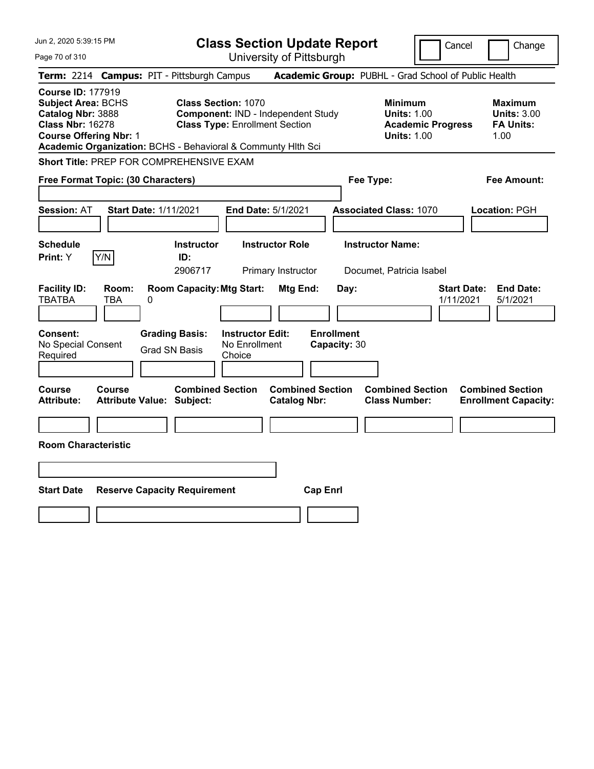| Jun 2, 2020 5:39:15 PM                                                                                                                                                                                 |                                                             | <b>Class Section Update Report</b>                                                                        |                                                |                                                                                        | Cancel<br>Change                                                 |
|--------------------------------------------------------------------------------------------------------------------------------------------------------------------------------------------------------|-------------------------------------------------------------|-----------------------------------------------------------------------------------------------------------|------------------------------------------------|----------------------------------------------------------------------------------------|------------------------------------------------------------------|
| Page 70 of 310                                                                                                                                                                                         |                                                             | University of Pittsburgh                                                                                  |                                                |                                                                                        |                                                                  |
| Term: 2214 Campus: PIT - Pittsburgh Campus                                                                                                                                                             |                                                             |                                                                                                           |                                                | Academic Group: PUBHL - Grad School of Public Health                                   |                                                                  |
| <b>Course ID: 177919</b><br><b>Subject Area: BCHS</b><br>Catalog Nbr: 3888<br><b>Class Nbr: 16278</b><br><b>Course Offering Nbr: 1</b><br>Academic Organization: BCHS - Behavioral & Communty Hith Sci |                                                             | <b>Class Section: 1070</b><br>Component: IND - Independent Study<br><b>Class Type: Enrollment Section</b> |                                                | <b>Minimum</b><br><b>Units: 1.00</b><br><b>Academic Progress</b><br><b>Units: 1.00</b> | <b>Maximum</b><br><b>Units: 3.00</b><br><b>FA Units:</b><br>1.00 |
| Short Title: PREP FOR COMPREHENSIVE EXAM                                                                                                                                                               |                                                             |                                                                                                           |                                                |                                                                                        |                                                                  |
| Free Format Topic: (30 Characters)                                                                                                                                                                     |                                                             |                                                                                                           |                                                | Fee Type:                                                                              | Fee Amount:                                                      |
| <b>Session: AT</b>                                                                                                                                                                                     | <b>Start Date: 1/11/2021</b>                                | <b>End Date: 5/1/2021</b>                                                                                 |                                                | <b>Associated Class: 1070</b>                                                          | Location: PGH                                                    |
| <b>Schedule</b><br>Y/N<br>Print: Y                                                                                                                                                                     | <b>Instructor</b><br>ID:<br>2906717                         | <b>Instructor Role</b><br>Primary Instructor                                                              |                                                | <b>Instructor Name:</b><br>Documet, Patricia Isabel                                    |                                                                  |
| <b>Facility ID:</b><br>Room:<br><b>TBATBA</b><br>TBA                                                                                                                                                   | <b>Room Capacity: Mtg Start:</b><br>0                       |                                                                                                           | Mtg End:<br>Day:                               |                                                                                        | <b>Start Date:</b><br><b>End Date:</b><br>1/11/2021<br>5/1/2021  |
| <b>Consent:</b><br>No Special Consent<br>Required                                                                                                                                                      | <b>Grading Basis:</b><br><b>Grad SN Basis</b>               | <b>Instructor Edit:</b><br>No Enrollment<br>Choice                                                        | <b>Enrollment</b><br>Capacity: 30              |                                                                                        |                                                                  |
| Course<br>Course<br><b>Attribute:</b>                                                                                                                                                                  | <b>Combined Section</b><br><b>Attribute Value: Subject:</b> |                                                                                                           | <b>Combined Section</b><br><b>Catalog Nbr:</b> | <b>Combined Section</b><br><b>Class Number:</b>                                        | <b>Combined Section</b><br><b>Enrollment Capacity:</b>           |
|                                                                                                                                                                                                        |                                                             |                                                                                                           |                                                |                                                                                        |                                                                  |
| <b>Room Characteristic</b>                                                                                                                                                                             |                                                             |                                                                                                           |                                                |                                                                                        |                                                                  |
|                                                                                                                                                                                                        |                                                             |                                                                                                           |                                                |                                                                                        |                                                                  |
| <b>Start Date</b>                                                                                                                                                                                      | <b>Reserve Capacity Requirement</b>                         |                                                                                                           | <b>Cap Enrl</b>                                |                                                                                        |                                                                  |
|                                                                                                                                                                                                        |                                                             |                                                                                                           |                                                |                                                                                        |                                                                  |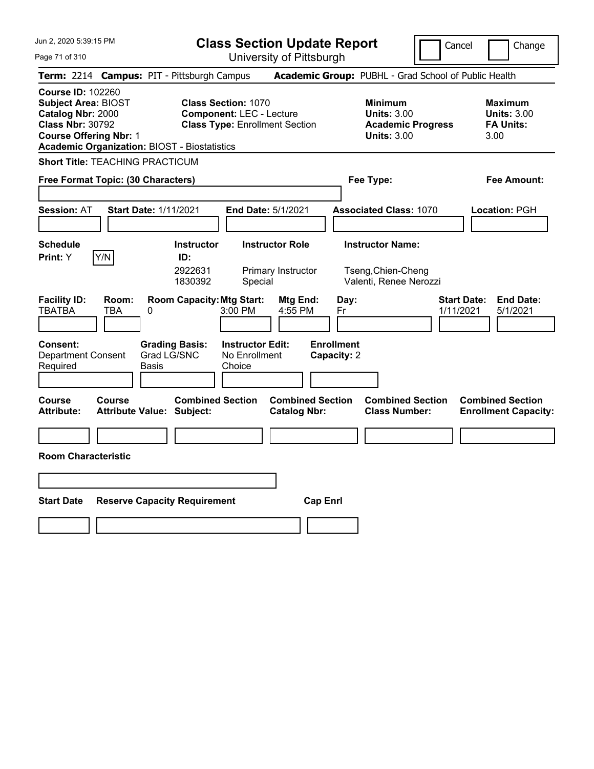|  |  |  | Jun 2, 2020 5:39:15 PM |  |  |
|--|--|--|------------------------|--|--|
|--|--|--|------------------------|--|--|

**Class Section Update Report**

Cancel **I** Change

Page 71 of 310

| Page 71 of 310                                                                                                                                                                                 | University of Pittsburgh |                                                             |                                                                                                        |                                                |                                  |                                                                                 |                                                                 |
|------------------------------------------------------------------------------------------------------------------------------------------------------------------------------------------------|--------------------------|-------------------------------------------------------------|--------------------------------------------------------------------------------------------------------|------------------------------------------------|----------------------------------|---------------------------------------------------------------------------------|-----------------------------------------------------------------|
|                                                                                                                                                                                                |                          | Term: 2214 Campus: PIT - Pittsburgh Campus                  |                                                                                                        |                                                |                                  | Academic Group: PUBHL - Grad School of Public Health                            |                                                                 |
| <b>Course ID: 102260</b><br><b>Subject Area: BIOST</b><br>Catalog Nbr: 2000<br><b>Class Nbr: 30792</b><br><b>Course Offering Nbr: 1</b><br><b>Academic Organization: BIOST - Biostatistics</b> |                          |                                                             | <b>Class Section: 1070</b><br><b>Component: LEC - Lecture</b><br><b>Class Type: Enrollment Section</b> |                                                |                                  | Minimum<br><b>Units: 3.00</b><br><b>Academic Progress</b><br><b>Units: 3.00</b> | Maximum<br><b>Units: 3.00</b><br><b>FA Units:</b><br>3.00       |
| <b>Short Title: TEACHING PRACTICUM</b>                                                                                                                                                         |                          |                                                             |                                                                                                        |                                                |                                  |                                                                                 |                                                                 |
| Free Format Topic: (30 Characters)                                                                                                                                                             |                          |                                                             |                                                                                                        |                                                | Fee Type:                        |                                                                                 | Fee Amount:                                                     |
| <b>Session: AT</b>                                                                                                                                                                             |                          | <b>Start Date: 1/11/2021</b>                                |                                                                                                        | End Date: 5/1/2021                             |                                  | <b>Associated Class: 1070</b>                                                   | Location: PGH                                                   |
| <b>Schedule</b><br>Print: Y                                                                                                                                                                    | Y/N                      | <b>Instructor</b><br>ID:<br>2922631<br>1830392              | Special                                                                                                | <b>Instructor Role</b><br>Primary Instructor   |                                  | <b>Instructor Name:</b><br>Tseng, Chien-Cheng<br>Valenti, Renee Nerozzi         |                                                                 |
| <b>Facility ID:</b><br><b>TBATBA</b>                                                                                                                                                           | Room:<br><b>TBA</b>      | <b>Room Capacity: Mtg Start:</b><br>0                       | 3:00 PM                                                                                                | <b>Mtg End:</b><br>4:55 PM                     | Day:<br>Fr                       |                                                                                 | <b>Start Date:</b><br><b>End Date:</b><br>1/11/2021<br>5/1/2021 |
| Consent:<br><b>Department Consent</b><br>Required                                                                                                                                              |                          | <b>Grading Basis:</b><br>Grad LG/SNC<br>Basis               | <b>Instructor Edit:</b><br>No Enrollment<br>Choice                                                     |                                                | <b>Enrollment</b><br>Capacity: 2 |                                                                                 |                                                                 |
| <b>Course</b><br>Attribute:                                                                                                                                                                    | Course                   | <b>Combined Section</b><br><b>Attribute Value: Subject:</b> |                                                                                                        | <b>Combined Section</b><br><b>Catalog Nbr:</b> |                                  | <b>Combined Section</b><br><b>Class Number:</b>                                 | <b>Combined Section</b><br><b>Enrollment Capacity:</b>          |
| <b>Room Characteristic</b>                                                                                                                                                                     |                          |                                                             |                                                                                                        |                                                |                                  |                                                                                 |                                                                 |
| <b>Start Date</b>                                                                                                                                                                              |                          | <b>Reserve Capacity Requirement</b>                         |                                                                                                        | <b>Cap Enrl</b>                                |                                  |                                                                                 |                                                                 |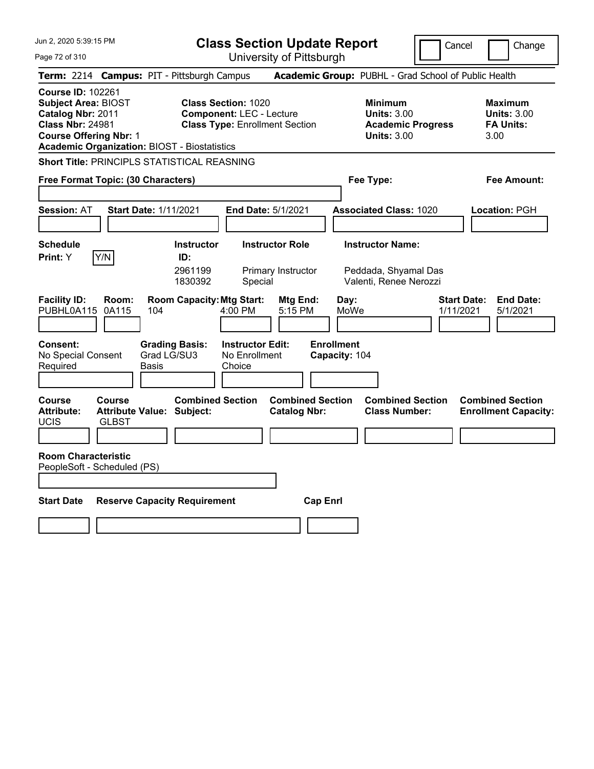**Class Section Update Report**

Cancel | Change

Page 72 of 310

University of Pittsburgh **Term:** 2214 **Campus:** PIT - Pittsburgh Campus **Academic Group:** PUBHL - Grad School of Public Health **Course ID:** 102261 **Subject Area:** BIOST **Class Section:** 1020 **Minimum Maximum Catalog Nbr:** 2011 **Component:** LEC - Lecture **Units:** 3.00 **Units:** 3.00 **Class Nbr:** 24981 **Class Type:** Enrollment Section **Academic Progress FA Units: Course Offering Nbr:** 1 **Units:** 3.00 3.00 **Academic Organization:** BIOST - Biostatistics **Short Title:** PRINCIPLS STATISTICAL REASNING **Free Format Topic: (30 Characters) Fee Type: Fee Amount: Session:** AT **Start Date:** 1/11/2021 **End Date:** 5/1/2021 **Associated Class:** 1020 **Location:** PGH **Schedule Instructor Instructor Role Instructor Name: Print:**  $Y$   $|Y/N|$  **ID:** 2961199 Primary Instructor Peddada, Shyamal Das 1830392 Special Valenti, Renee Nerozzi **Facility ID: Room: Room Capacity:Mtg Start: Mtg End: Day: Start Date: End Date:** PUBHL0A115 0A115 104 4:00 PM 5:15 PM MoWe 1/11/2021 5/1/2021 **Consent: Grading Basis: Instructor Edit: Enrollment** No Special Consent Required Grad LG/SU3 Basis No Enrollment **Choice Capacity:** 104 **Course Course Combined Section Combined Section Combined Section Combined Section**  Attribute: Attribute Value: Subject: Catalog Nbr: Class Number: Enrollment Capacity: UCIS GLBST **Room Characteristic** PeopleSoft - Scheduled (PS) **Start Date Reserve Capacity Requirement Cap Enrl**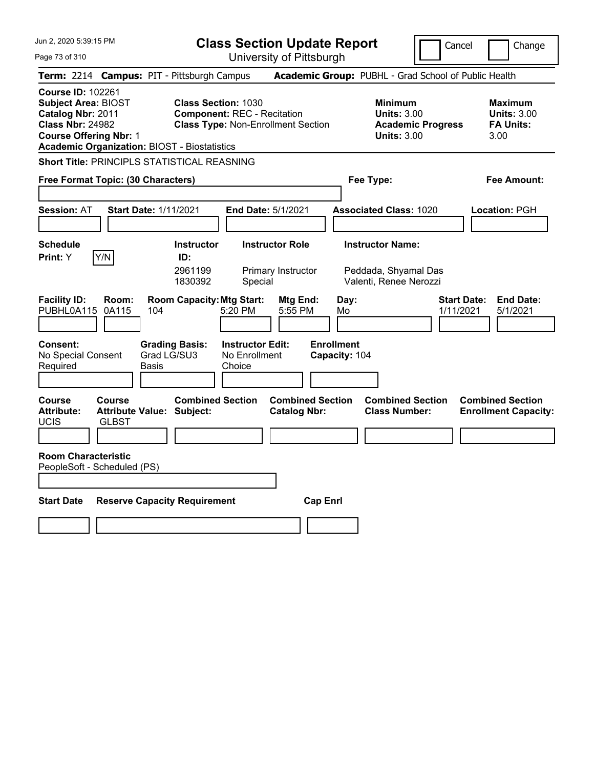**Class Section Update Report**

| Jun 2, 2020 5:39:15 PM<br>Page 73 of 310                                                                                                |                        |                                                             |                                                                  | <b>Class Section Update Report</b><br>University of Pittsburgh |                                    |                                                                                 | Cancel                          | Change                                                    |
|-----------------------------------------------------------------------------------------------------------------------------------------|------------------------|-------------------------------------------------------------|------------------------------------------------------------------|----------------------------------------------------------------|------------------------------------|---------------------------------------------------------------------------------|---------------------------------|-----------------------------------------------------------|
|                                                                                                                                         |                        | Term: 2214 Campus: PIT - Pittsburgh Campus                  |                                                                  |                                                                |                                    | Academic Group: PUBHL - Grad School of Public Health                            |                                 |                                                           |
| <b>Course ID: 102261</b><br><b>Subject Area: BIOST</b><br>Catalog Nbr: 2011<br><b>Class Nbr: 24982</b><br><b>Course Offering Nbr: 1</b> |                        | <b>Academic Organization: BIOST - Biostatistics</b>         | <b>Class Section: 1030</b><br><b>Component: REC - Recitation</b> | <b>Class Type: Non-Enrollment Section</b>                      |                                    | Minimum<br><b>Units: 3.00</b><br><b>Academic Progress</b><br><b>Units: 3.00</b> |                                 | Maximum<br><b>Units: 3.00</b><br><b>FA Units:</b><br>3.00 |
|                                                                                                                                         |                        | <b>Short Title: PRINCIPLS STATISTICAL REASNING</b>          |                                                                  |                                                                |                                    |                                                                                 |                                 |                                                           |
| Free Format Topic: (30 Characters)                                                                                                      |                        |                                                             |                                                                  |                                                                |                                    | Fee Type:                                                                       |                                 | Fee Amount:                                               |
| Session: AT                                                                                                                             |                        | <b>Start Date: 1/11/2021</b>                                |                                                                  | End Date: 5/1/2021                                             |                                    | <b>Associated Class: 1020</b>                                                   |                                 | Location: PGH                                             |
| <b>Schedule</b>                                                                                                                         |                        | <b>Instructor</b>                                           |                                                                  | <b>Instructor Role</b>                                         |                                    | <b>Instructor Name:</b>                                                         |                                 |                                                           |
| Print: Y                                                                                                                                | Y/N                    | ID:<br>2961199<br>1830392                                   | Special                                                          | Primary Instructor                                             |                                    | Peddada, Shyamal Das<br>Valenti, Renee Nerozzi                                  |                                 |                                                           |
| <b>Facility ID:</b><br>PUBHL0A115                                                                                                       | Room:<br>0A115         | <b>Room Capacity: Mtg Start:</b><br>104                     | 5:20 PM                                                          | Mtg End:<br>5:55 PM                                            | Day:<br>Mo                         |                                                                                 | <b>Start Date:</b><br>1/11/2021 | <b>End Date:</b><br>5/1/2021                              |
| Consent:<br>No Special Consent<br>Required                                                                                              |                        | <b>Grading Basis:</b><br>Grad LG/SU3<br>Basis               | <b>Instructor Edit:</b><br>No Enrollment<br>Choice               |                                                                | <b>Enrollment</b><br>Capacity: 104 |                                                                                 |                                 |                                                           |
| <b>Course</b><br><b>Attribute:</b><br><b>UCIS</b>                                                                                       | Course<br><b>GLBST</b> | <b>Combined Section</b><br><b>Attribute Value: Subject:</b> |                                                                  | <b>Combined Section</b><br><b>Catalog Nbr:</b>                 |                                    | <b>Combined Section</b><br><b>Class Number:</b>                                 |                                 | <b>Combined Section</b><br><b>Enrollment Capacity:</b>    |
| <b>Room Characteristic</b><br>PeopleSoft - Scheduled (PS)                                                                               |                        |                                                             |                                                                  |                                                                |                                    |                                                                                 |                                 |                                                           |
| <b>Start Date</b>                                                                                                                       |                        | <b>Reserve Capacity Requirement</b>                         |                                                                  | <b>Cap Enrl</b>                                                |                                    |                                                                                 |                                 |                                                           |
|                                                                                                                                         |                        |                                                             |                                                                  |                                                                |                                    |                                                                                 |                                 |                                                           |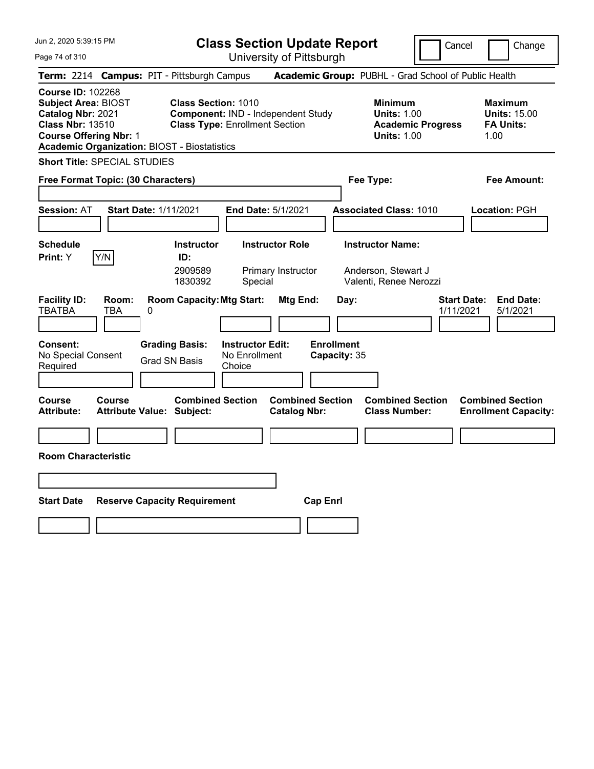| Jun 2, 2020 5:39:15 PM                                                                                                                                                                         |                                                                                                           | <b>Class Section Update Report</b>             |                                                                          | Cancel                          | Change                                                            |
|------------------------------------------------------------------------------------------------------------------------------------------------------------------------------------------------|-----------------------------------------------------------------------------------------------------------|------------------------------------------------|--------------------------------------------------------------------------|---------------------------------|-------------------------------------------------------------------|
| Page 74 of 310                                                                                                                                                                                 |                                                                                                           | University of Pittsburgh                       |                                                                          |                                 |                                                                   |
| <b>Term:</b> 2214                                                                                                                                                                              | <b>Campus: PIT - Pittsburgh Campus</b>                                                                    |                                                | Academic Group: PUBHL - Grad School of Public Health                     |                                 |                                                                   |
| <b>Course ID: 102268</b><br><b>Subject Area: BIOST</b><br>Catalog Nbr: 2021<br><b>Class Nbr: 13510</b><br><b>Course Offering Nbr: 1</b><br><b>Academic Organization: BIOST - Biostatistics</b> | <b>Class Section: 1010</b><br>Component: IND - Independent Study<br><b>Class Type: Enrollment Section</b> |                                                | <b>Minimum</b><br><b>Units: 1.00</b><br><b>Units: 1.00</b>               | <b>Academic Progress</b>        | <b>Maximum</b><br><b>Units: 15.00</b><br><b>FA Units:</b><br>1.00 |
| <b>Short Title: SPECIAL STUDIES</b>                                                                                                                                                            |                                                                                                           |                                                |                                                                          |                                 |                                                                   |
| Free Format Topic: (30 Characters)                                                                                                                                                             |                                                                                                           |                                                | Fee Type:                                                                |                                 | Fee Amount:                                                       |
| <b>Start Date: 1/11/2021</b><br><b>Session: AT</b>                                                                                                                                             |                                                                                                           | <b>End Date: 5/1/2021</b>                      | <b>Associated Class: 1010</b>                                            |                                 | Location: PGH                                                     |
| <b>Schedule</b><br>Y/N<br>Print: Y                                                                                                                                                             | <b>Instructor</b><br>ID:<br>2909589<br>1830392<br>Special                                                 | <b>Instructor Role</b><br>Primary Instructor   | <b>Instructor Name:</b><br>Anderson, Stewart J<br>Valenti, Renee Nerozzi |                                 |                                                                   |
| <b>Facility ID:</b><br>Room:<br><b>TBATBA</b><br>TBA<br>0                                                                                                                                      | <b>Room Capacity: Mtg Start:</b>                                                                          | Mtg End:                                       | Day:                                                                     | <b>Start Date:</b><br>1/11/2021 | <b>End Date:</b><br>5/1/2021                                      |
| <b>Consent:</b><br>No Special Consent<br>Required                                                                                                                                              | <b>Grading Basis:</b><br><b>Instructor Edit:</b><br>No Enrollment<br><b>Grad SN Basis</b><br>Choice       |                                                | <b>Enrollment</b><br>Capacity: 35                                        |                                 |                                                                   |
| <b>Course</b><br>Course<br><b>Attribute:</b><br>Attribute Value: Subject:                                                                                                                      | <b>Combined Section</b>                                                                                   | <b>Combined Section</b><br><b>Catalog Nbr:</b> | <b>Combined Section</b><br><b>Class Number:</b>                          |                                 | <b>Combined Section</b><br><b>Enrollment Capacity:</b>            |
|                                                                                                                                                                                                |                                                                                                           |                                                |                                                                          |                                 |                                                                   |
| <b>Room Characteristic</b>                                                                                                                                                                     |                                                                                                           |                                                |                                                                          |                                 |                                                                   |
|                                                                                                                                                                                                |                                                                                                           |                                                |                                                                          |                                 |                                                                   |
| <b>Start Date</b>                                                                                                                                                                              | <b>Reserve Capacity Requirement</b>                                                                       | <b>Cap Enrl</b>                                |                                                                          |                                 |                                                                   |
|                                                                                                                                                                                                |                                                                                                           |                                                |                                                                          |                                 |                                                                   |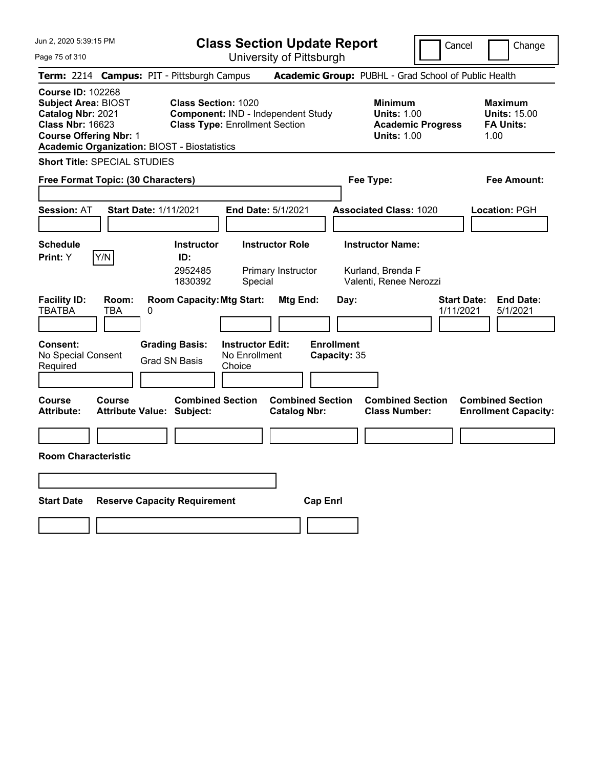| Jun 2, 2020 5:39:15 PM                                                                                                                                                                         |                                                                                                           | <b>Class Section Update Report</b>                      |                                                |                                                                        | Cancel                          | Change                                                            |
|------------------------------------------------------------------------------------------------------------------------------------------------------------------------------------------------|-----------------------------------------------------------------------------------------------------------|---------------------------------------------------------|------------------------------------------------|------------------------------------------------------------------------|---------------------------------|-------------------------------------------------------------------|
| Page 75 of 310                                                                                                                                                                                 |                                                                                                           | University of Pittsburgh                                |                                                |                                                                        |                                 |                                                                   |
| Term: 2214 Campus: PIT - Pittsburgh Campus                                                                                                                                                     |                                                                                                           |                                                         |                                                | Academic Group: PUBHL - Grad School of Public Health                   |                                 |                                                                   |
| <b>Course ID: 102268</b><br><b>Subject Area: BIOST</b><br>Catalog Nbr: 2021<br><b>Class Nbr: 16623</b><br><b>Course Offering Nbr: 1</b><br><b>Academic Organization: BIOST - Biostatistics</b> | <b>Class Section: 1020</b><br>Component: IND - Independent Study<br><b>Class Type: Enrollment Section</b> |                                                         |                                                | <b>Minimum</b><br><b>Units: 1.00</b><br><b>Units: 1.00</b>             | <b>Academic Progress</b>        | <b>Maximum</b><br><b>Units: 15.00</b><br><b>FA Units:</b><br>1.00 |
| <b>Short Title: SPECIAL STUDIES</b>                                                                                                                                                            |                                                                                                           |                                                         |                                                |                                                                        |                                 |                                                                   |
| Free Format Topic: (30 Characters)                                                                                                                                                             |                                                                                                           |                                                         |                                                | Fee Type:                                                              |                                 | Fee Amount:                                                       |
| <b>Session: AT</b>                                                                                                                                                                             | <b>Start Date: 1/11/2021</b>                                                                              | <b>End Date: 5/1/2021</b>                               |                                                | <b>Associated Class: 1020</b>                                          |                                 | Location: PGH                                                     |
| <b>Schedule</b><br>Y/N<br>Print: Y                                                                                                                                                             | <b>Instructor</b><br>ID:<br>2952485<br>1830392                                                            | <b>Instructor Role</b><br>Primary Instructor<br>Special |                                                | <b>Instructor Name:</b><br>Kurland, Brenda F<br>Valenti, Renee Nerozzi |                                 |                                                                   |
| <b>Facility ID:</b><br>Room:<br><b>TBATBA</b><br>TBA<br>0                                                                                                                                      | <b>Room Capacity: Mtg Start:</b>                                                                          |                                                         | Mtg End:<br>Day:                               |                                                                        | <b>Start Date:</b><br>1/11/2021 | <b>End Date:</b><br>5/1/2021                                      |
| <b>Consent:</b><br>No Special Consent<br>Required                                                                                                                                              | <b>Grading Basis:</b><br><b>Grad SN Basis</b>                                                             | <b>Instructor Edit:</b><br>No Enrollment<br>Choice      | <b>Enrollment</b><br>Capacity: 35              |                                                                        |                                 |                                                                   |
| <b>Course</b><br>Course<br><b>Attribute:</b>                                                                                                                                                   | <b>Combined Section</b><br><b>Attribute Value: Subject:</b>                                               |                                                         | <b>Combined Section</b><br><b>Catalog Nbr:</b> | <b>Combined Section</b><br><b>Class Number:</b>                        |                                 | <b>Combined Section</b><br><b>Enrollment Capacity:</b>            |
|                                                                                                                                                                                                |                                                                                                           |                                                         |                                                |                                                                        |                                 |                                                                   |
| <b>Room Characteristic</b>                                                                                                                                                                     |                                                                                                           |                                                         |                                                |                                                                        |                                 |                                                                   |
|                                                                                                                                                                                                |                                                                                                           |                                                         |                                                |                                                                        |                                 |                                                                   |
| <b>Start Date</b>                                                                                                                                                                              | <b>Reserve Capacity Requirement</b>                                                                       |                                                         | <b>Cap Enrl</b>                                |                                                                        |                                 |                                                                   |
|                                                                                                                                                                                                |                                                                                                           |                                                         |                                                |                                                                        |                                 |                                                                   |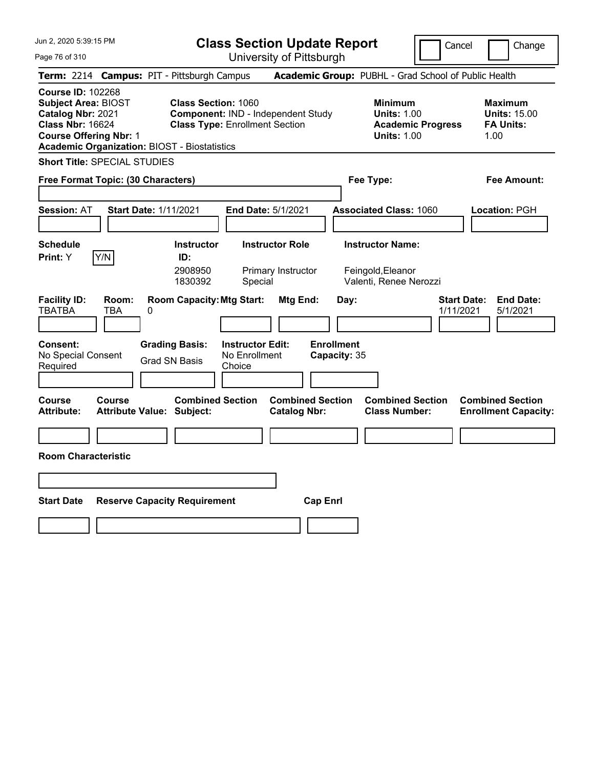| Jun 2, 2020 5:39:15 PM                                                                                                                                                                         |                                                                                                           | <b>Class Section Update Report</b>                      |                                   |                                                                                        | Cancel                          | Change                                                            |
|------------------------------------------------------------------------------------------------------------------------------------------------------------------------------------------------|-----------------------------------------------------------------------------------------------------------|---------------------------------------------------------|-----------------------------------|----------------------------------------------------------------------------------------|---------------------------------|-------------------------------------------------------------------|
| Page 76 of 310                                                                                                                                                                                 |                                                                                                           | University of Pittsburgh                                |                                   |                                                                                        |                                 |                                                                   |
| Term: 2214 Campus: PIT - Pittsburgh Campus                                                                                                                                                     |                                                                                                           |                                                         |                                   | Academic Group: PUBHL - Grad School of Public Health                                   |                                 |                                                                   |
| <b>Course ID: 102268</b><br><b>Subject Area: BIOST</b><br>Catalog Nbr: 2021<br><b>Class Nbr: 16624</b><br><b>Course Offering Nbr: 1</b><br><b>Academic Organization: BIOST - Biostatistics</b> | <b>Class Section: 1060</b><br>Component: IND - Independent Study<br><b>Class Type: Enrollment Section</b> |                                                         |                                   | <b>Minimum</b><br><b>Units: 1.00</b><br><b>Academic Progress</b><br><b>Units: 1.00</b> |                                 | <b>Maximum</b><br><b>Units: 15.00</b><br><b>FA Units:</b><br>1.00 |
| <b>Short Title: SPECIAL STUDIES</b>                                                                                                                                                            |                                                                                                           |                                                         |                                   |                                                                                        |                                 |                                                                   |
| Free Format Topic: (30 Characters)                                                                                                                                                             |                                                                                                           |                                                         |                                   | Fee Type:                                                                              |                                 | Fee Amount:                                                       |
| <b>Start Date: 1/11/2021</b><br><b>Session: AT</b>                                                                                                                                             |                                                                                                           | End Date: 5/1/2021                                      |                                   | <b>Associated Class: 1060</b>                                                          |                                 | Location: PGH                                                     |
| <b>Schedule</b><br>Y/N<br>Print: Y                                                                                                                                                             | <b>Instructor</b><br>ID:<br>2908950<br>1830392                                                            | <b>Instructor Role</b><br>Primary Instructor<br>Special |                                   | <b>Instructor Name:</b><br>Feingold, Eleanor<br>Valenti, Renee Nerozzi                 |                                 |                                                                   |
| <b>Facility ID:</b><br>Room:<br><b>TBATBA</b><br>TBA<br>0                                                                                                                                      | <b>Room Capacity: Mtg Start:</b>                                                                          | Mtg End:                                                | Day:                              |                                                                                        | <b>Start Date:</b><br>1/11/2021 | <b>End Date:</b><br>5/1/2021                                      |
| <b>Consent:</b><br>No Special Consent<br>Required                                                                                                                                              | <b>Grading Basis:</b><br><b>Grad SN Basis</b><br>Choice                                                   | <b>Instructor Edit:</b><br>No Enrollment                | <b>Enrollment</b><br>Capacity: 35 |                                                                                        |                                 |                                                                   |
| Course<br><b>Course</b><br><b>Attribute Value: Subject:</b><br>Attribute:                                                                                                                      | <b>Combined Section</b>                                                                                   | <b>Catalog Nbr:</b>                                     | <b>Combined Section</b>           | <b>Combined Section</b><br><b>Class Number:</b>                                        |                                 | <b>Combined Section</b><br><b>Enrollment Capacity:</b>            |
|                                                                                                                                                                                                |                                                                                                           |                                                         |                                   |                                                                                        |                                 |                                                                   |
| <b>Room Characteristic</b>                                                                                                                                                                     |                                                                                                           |                                                         |                                   |                                                                                        |                                 |                                                                   |
|                                                                                                                                                                                                |                                                                                                           |                                                         |                                   |                                                                                        |                                 |                                                                   |
| <b>Start Date</b>                                                                                                                                                                              | <b>Reserve Capacity Requirement</b>                                                                       |                                                         | <b>Cap Enrl</b>                   |                                                                                        |                                 |                                                                   |
|                                                                                                                                                                                                |                                                                                                           |                                                         |                                   |                                                                                        |                                 |                                                                   |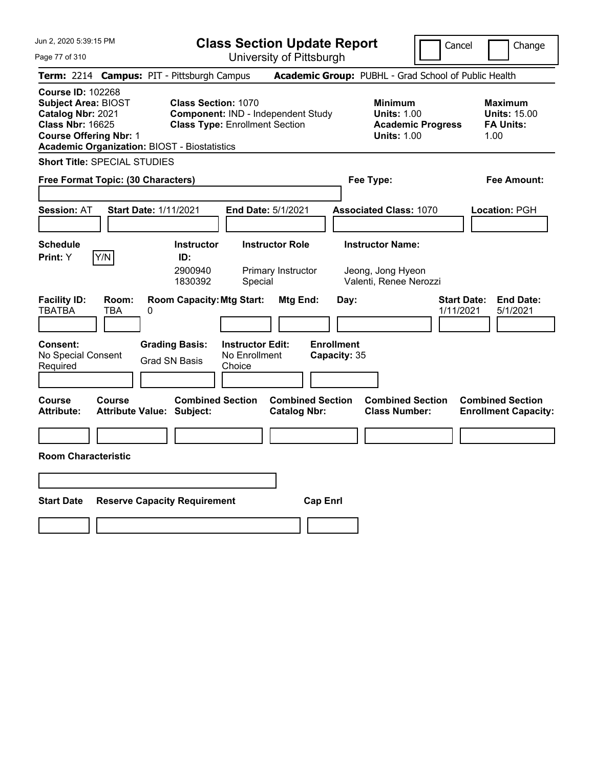| Jun 2, 2020 5:39:15 PM                                                                                                                                                                         |                                                                                                           | <b>Class Section Update Report</b>             |                                                                        | Cancel                          | Change                                                            |
|------------------------------------------------------------------------------------------------------------------------------------------------------------------------------------------------|-----------------------------------------------------------------------------------------------------------|------------------------------------------------|------------------------------------------------------------------------|---------------------------------|-------------------------------------------------------------------|
| Page 77 of 310                                                                                                                                                                                 |                                                                                                           | University of Pittsburgh                       |                                                                        |                                 |                                                                   |
| <b>Term:</b> 2214                                                                                                                                                                              | <b>Campus: PIT - Pittsburgh Campus</b>                                                                    |                                                | Academic Group: PUBHL - Grad School of Public Health                   |                                 |                                                                   |
| <b>Course ID: 102268</b><br><b>Subject Area: BIOST</b><br>Catalog Nbr: 2021<br><b>Class Nbr: 16625</b><br><b>Course Offering Nbr: 1</b><br><b>Academic Organization: BIOST - Biostatistics</b> | <b>Class Section: 1070</b><br>Component: IND - Independent Study<br><b>Class Type: Enrollment Section</b> |                                                | <b>Minimum</b><br><b>Units: 1.00</b><br><b>Units: 1.00</b>             | <b>Academic Progress</b>        | <b>Maximum</b><br><b>Units: 15.00</b><br><b>FA Units:</b><br>1.00 |
| <b>Short Title: SPECIAL STUDIES</b>                                                                                                                                                            |                                                                                                           |                                                |                                                                        |                                 |                                                                   |
| Free Format Topic: (30 Characters)                                                                                                                                                             |                                                                                                           |                                                | Fee Type:                                                              |                                 | Fee Amount:                                                       |
| <b>Start Date: 1/11/2021</b><br><b>Session: AT</b>                                                                                                                                             |                                                                                                           | <b>End Date: 5/1/2021</b>                      | <b>Associated Class: 1070</b>                                          |                                 | Location: PGH                                                     |
| <b>Schedule</b><br>Y/N<br>Print: Y                                                                                                                                                             | <b>Instructor</b><br>ID:<br>2900940<br>1830392<br>Special                                                 | <b>Instructor Role</b><br>Primary Instructor   | <b>Instructor Name:</b><br>Jeong, Jong Hyeon<br>Valenti, Renee Nerozzi |                                 |                                                                   |
| <b>Facility ID:</b><br>Room:<br><b>TBATBA</b><br>TBA<br>0                                                                                                                                      | <b>Room Capacity: Mtg Start:</b>                                                                          | Mtg End:                                       | Day:                                                                   | <b>Start Date:</b><br>1/11/2021 | <b>End Date:</b><br>5/1/2021                                      |
| <b>Consent:</b><br>No Special Consent<br>Required                                                                                                                                              | <b>Grading Basis:</b><br><b>Instructor Edit:</b><br>No Enrollment<br><b>Grad SN Basis</b><br>Choice       |                                                | <b>Enrollment</b><br>Capacity: 35                                      |                                 |                                                                   |
| <b>Course</b><br>Course<br><b>Attribute:</b><br>Attribute Value: Subject:                                                                                                                      | <b>Combined Section</b>                                                                                   | <b>Combined Section</b><br><b>Catalog Nbr:</b> | <b>Combined Section</b><br><b>Class Number:</b>                        |                                 | <b>Combined Section</b><br><b>Enrollment Capacity:</b>            |
|                                                                                                                                                                                                |                                                                                                           |                                                |                                                                        |                                 |                                                                   |
| <b>Room Characteristic</b>                                                                                                                                                                     |                                                                                                           |                                                |                                                                        |                                 |                                                                   |
|                                                                                                                                                                                                |                                                                                                           |                                                |                                                                        |                                 |                                                                   |
| <b>Start Date</b>                                                                                                                                                                              | <b>Reserve Capacity Requirement</b>                                                                       | <b>Cap Enrl</b>                                |                                                                        |                                 |                                                                   |
|                                                                                                                                                                                                |                                                                                                           |                                                |                                                                        |                                 |                                                                   |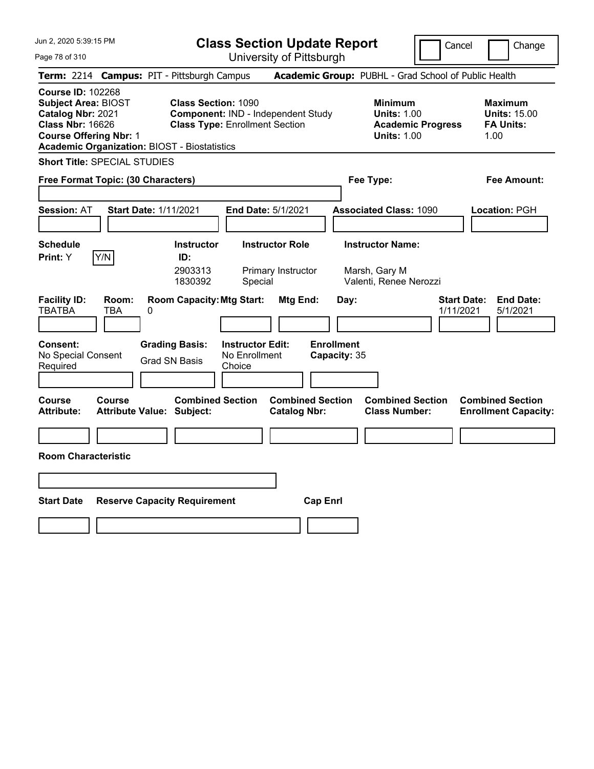| Jun 2, 2020 5:39:15 PM                                                                                                                                                                         |                                                                                                           | <b>Class Section Update Report</b>                      |                                                                    | Cancel                          | Change                                                            |
|------------------------------------------------------------------------------------------------------------------------------------------------------------------------------------------------|-----------------------------------------------------------------------------------------------------------|---------------------------------------------------------|--------------------------------------------------------------------|---------------------------------|-------------------------------------------------------------------|
| Page 78 of 310                                                                                                                                                                                 |                                                                                                           | University of Pittsburgh                                |                                                                    |                                 |                                                                   |
| Term: 2214 Campus: PIT - Pittsburgh Campus                                                                                                                                                     |                                                                                                           |                                                         | Academic Group: PUBHL - Grad School of Public Health               |                                 |                                                                   |
| <b>Course ID: 102268</b><br><b>Subject Area: BIOST</b><br>Catalog Nbr: 2021<br><b>Class Nbr: 16626</b><br><b>Course Offering Nbr: 1</b><br><b>Academic Organization: BIOST - Biostatistics</b> | <b>Class Section: 1090</b><br>Component: IND - Independent Study<br><b>Class Type: Enrollment Section</b> |                                                         | <b>Minimum</b><br><b>Units: 1.00</b><br><b>Units: 1.00</b>         | <b>Academic Progress</b>        | <b>Maximum</b><br><b>Units: 15.00</b><br><b>FA Units:</b><br>1.00 |
| <b>Short Title: SPECIAL STUDIES</b>                                                                                                                                                            |                                                                                                           |                                                         |                                                                    |                                 |                                                                   |
| Free Format Topic: (30 Characters)                                                                                                                                                             |                                                                                                           |                                                         | Fee Type:                                                          |                                 | Fee Amount:                                                       |
| <b>Start Date: 1/11/2021</b><br><b>Session: AT</b>                                                                                                                                             |                                                                                                           | End Date: 5/1/2021                                      | <b>Associated Class: 1090</b>                                      |                                 | Location: PGH                                                     |
| <b>Schedule</b><br>Y/N<br>Print: Y                                                                                                                                                             | <b>Instructor</b><br>ID:<br>2903313<br>1830392                                                            | <b>Instructor Role</b><br>Primary Instructor<br>Special | <b>Instructor Name:</b><br>Marsh, Gary M<br>Valenti, Renee Nerozzi |                                 |                                                                   |
| <b>Facility ID:</b><br>Room:<br><b>TBATBA</b><br>TBA<br>0                                                                                                                                      | <b>Room Capacity: Mtg Start:</b>                                                                          | Mtg End:                                                | Day:                                                               | <b>Start Date:</b><br>1/11/2021 | <b>End Date:</b><br>5/1/2021                                      |
| <b>Consent:</b><br>No Special Consent<br>Required                                                                                                                                              | <b>Grading Basis:</b><br>No Enrollment<br><b>Grad SN Basis</b><br>Choice                                  | <b>Instructor Edit:</b>                                 | <b>Enrollment</b><br>Capacity: 35                                  |                                 |                                                                   |
| Course<br><b>Course</b><br><b>Attribute Value: Subject:</b><br>Attribute:                                                                                                                      | <b>Combined Section</b>                                                                                   | <b>Combined Section</b><br><b>Catalog Nbr:</b>          | <b>Combined Section</b><br><b>Class Number:</b>                    |                                 | <b>Combined Section</b><br><b>Enrollment Capacity:</b>            |
|                                                                                                                                                                                                |                                                                                                           |                                                         |                                                                    |                                 |                                                                   |
| <b>Room Characteristic</b>                                                                                                                                                                     |                                                                                                           |                                                         |                                                                    |                                 |                                                                   |
|                                                                                                                                                                                                |                                                                                                           |                                                         |                                                                    |                                 |                                                                   |
| <b>Start Date</b>                                                                                                                                                                              | <b>Reserve Capacity Requirement</b>                                                                       | <b>Cap Enrl</b>                                         |                                                                    |                                 |                                                                   |
|                                                                                                                                                                                                |                                                                                                           |                                                         |                                                                    |                                 |                                                                   |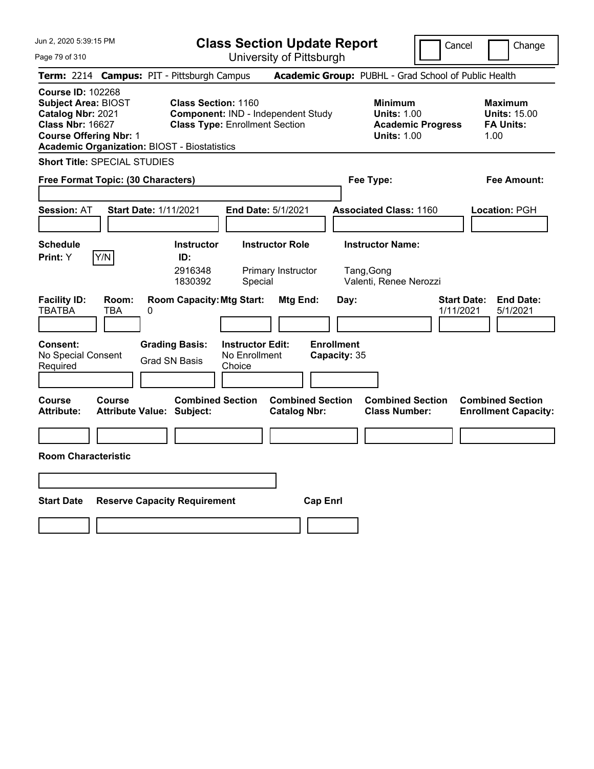| Jun 2, 2020 5:39:15 PM                                                                                                                                                                         |                                                                                                           | <b>Class Section Update Report</b>                      |                                                                 | Cancel                          | Change                                                            |
|------------------------------------------------------------------------------------------------------------------------------------------------------------------------------------------------|-----------------------------------------------------------------------------------------------------------|---------------------------------------------------------|-----------------------------------------------------------------|---------------------------------|-------------------------------------------------------------------|
| Page 79 of 310                                                                                                                                                                                 |                                                                                                           | University of Pittsburgh                                |                                                                 |                                 |                                                                   |
| Term: 2214 Campus: PIT - Pittsburgh Campus                                                                                                                                                     |                                                                                                           |                                                         | Academic Group: PUBHL - Grad School of Public Health            |                                 |                                                                   |
| <b>Course ID: 102268</b><br><b>Subject Area: BIOST</b><br>Catalog Nbr: 2021<br><b>Class Nbr: 16627</b><br><b>Course Offering Nbr: 1</b><br><b>Academic Organization: BIOST - Biostatistics</b> | <b>Class Section: 1160</b><br>Component: IND - Independent Study<br><b>Class Type: Enrollment Section</b> |                                                         | <b>Minimum</b><br><b>Units: 1.00</b><br><b>Units: 1.00</b>      | <b>Academic Progress</b>        | <b>Maximum</b><br><b>Units: 15.00</b><br><b>FA Units:</b><br>1.00 |
| <b>Short Title: SPECIAL STUDIES</b>                                                                                                                                                            |                                                                                                           |                                                         |                                                                 |                                 |                                                                   |
| Free Format Topic: (30 Characters)                                                                                                                                                             |                                                                                                           |                                                         | Fee Type:                                                       |                                 | Fee Amount:                                                       |
| <b>Session: AT</b><br><b>Start Date: 1/11/2021</b>                                                                                                                                             |                                                                                                           | <b>End Date: 5/1/2021</b>                               | <b>Associated Class: 1160</b>                                   |                                 | Location: PGH                                                     |
| <b>Schedule</b><br>Y/N<br>Print: Y                                                                                                                                                             | <b>Instructor</b><br>ID:<br>2916348<br>1830392                                                            | <b>Instructor Role</b><br>Primary Instructor<br>Special | <b>Instructor Name:</b><br>Tang, Gong<br>Valenti, Renee Nerozzi |                                 |                                                                   |
| <b>Facility ID:</b><br>Room:<br><b>TBATBA</b><br>TBA<br>0<br><b>Consent:</b>                                                                                                                   | <b>Room Capacity: Mtg Start:</b><br><b>Instructor Edit:</b><br><b>Grading Basis:</b>                      | Mtg End:                                                | Day:<br><b>Enrollment</b>                                       | <b>Start Date:</b><br>1/11/2021 | <b>End Date:</b><br>5/1/2021                                      |
| No Special Consent<br>Required                                                                                                                                                                 | No Enrollment<br><b>Grad SN Basis</b><br>Choice                                                           |                                                         | Capacity: 35                                                    |                                 |                                                                   |
| <b>Course</b><br>Course<br><b>Attribute:</b><br><b>Attribute Value: Subject:</b>                                                                                                               | <b>Combined Section</b>                                                                                   | <b>Combined Section</b><br><b>Catalog Nbr:</b>          | <b>Combined Section</b><br><b>Class Number:</b>                 |                                 | <b>Combined Section</b><br><b>Enrollment Capacity:</b>            |
|                                                                                                                                                                                                |                                                                                                           |                                                         |                                                                 |                                 |                                                                   |
| <b>Room Characteristic</b>                                                                                                                                                                     |                                                                                                           |                                                         |                                                                 |                                 |                                                                   |
|                                                                                                                                                                                                |                                                                                                           |                                                         |                                                                 |                                 |                                                                   |
| <b>Start Date</b>                                                                                                                                                                              | <b>Reserve Capacity Requirement</b>                                                                       | <b>Cap Enrl</b>                                         |                                                                 |                                 |                                                                   |
|                                                                                                                                                                                                |                                                                                                           |                                                         |                                                                 |                                 |                                                                   |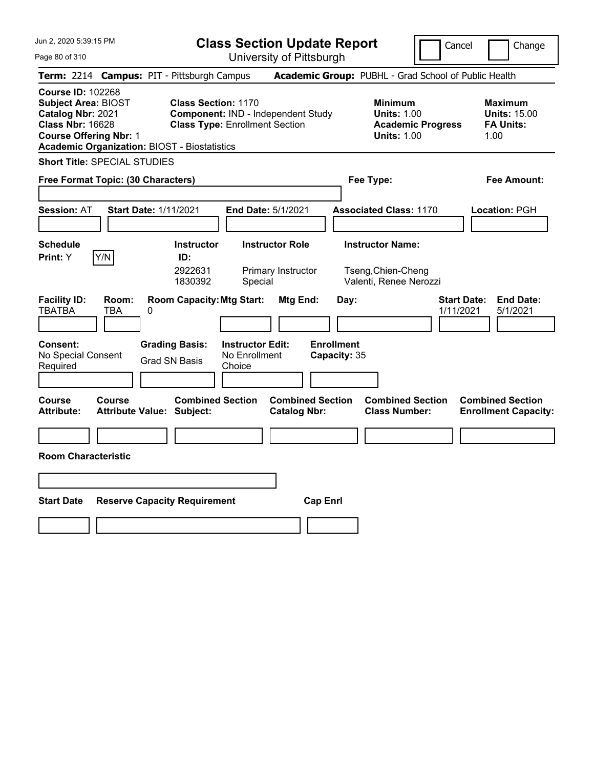| Jun 2, 2020 5:39:15 PM                                                                                                                                                                         |                                                                                                           | <b>Class Section Update Report</b>                      |                                                                         | Cancel                          | Change                                                            |
|------------------------------------------------------------------------------------------------------------------------------------------------------------------------------------------------|-----------------------------------------------------------------------------------------------------------|---------------------------------------------------------|-------------------------------------------------------------------------|---------------------------------|-------------------------------------------------------------------|
| Page 80 of 310                                                                                                                                                                                 |                                                                                                           | University of Pittsburgh                                |                                                                         |                                 |                                                                   |
| Term: 2214 Campus: PIT - Pittsburgh Campus                                                                                                                                                     |                                                                                                           |                                                         | Academic Group: PUBHL - Grad School of Public Health                    |                                 |                                                                   |
| <b>Course ID: 102268</b><br><b>Subject Area: BIOST</b><br>Catalog Nbr: 2021<br><b>Class Nbr: 16628</b><br><b>Course Offering Nbr: 1</b><br><b>Academic Organization: BIOST - Biostatistics</b> | <b>Class Section: 1170</b><br>Component: IND - Independent Study<br><b>Class Type: Enrollment Section</b> |                                                         | <b>Minimum</b><br><b>Units: 1.00</b><br><b>Units: 1.00</b>              | <b>Academic Progress</b>        | <b>Maximum</b><br><b>Units: 15.00</b><br><b>FA Units:</b><br>1.00 |
| <b>Short Title: SPECIAL STUDIES</b>                                                                                                                                                            |                                                                                                           |                                                         |                                                                         |                                 |                                                                   |
| Free Format Topic: (30 Characters)                                                                                                                                                             |                                                                                                           |                                                         | Fee Type:                                                               |                                 | Fee Amount:                                                       |
| <b>Session: AT</b><br><b>Start Date: 1/11/2021</b>                                                                                                                                             |                                                                                                           | <b>End Date: 5/1/2021</b>                               | <b>Associated Class: 1170</b>                                           |                                 | Location: PGH                                                     |
| <b>Schedule</b><br>Y/N<br>Print: Y                                                                                                                                                             | <b>Instructor</b><br>ID:<br>2922631<br>1830392                                                            | <b>Instructor Role</b><br>Primary Instructor<br>Special | <b>Instructor Name:</b><br>Tseng, Chien-Cheng<br>Valenti, Renee Nerozzi |                                 |                                                                   |
| <b>Facility ID:</b><br>Room:<br><b>TBATBA</b><br>TBA<br>0<br><b>Consent:</b>                                                                                                                   | <b>Room Capacity: Mtg Start:</b><br><b>Grading Basis:</b>                                                 | Mtg End:<br><b>Instructor Edit:</b>                     | Day:<br><b>Enrollment</b>                                               | <b>Start Date:</b><br>1/11/2021 | <b>End Date:</b><br>5/1/2021                                      |
| No Special Consent<br>Required                                                                                                                                                                 | <b>Grad SN Basis</b><br>Choice                                                                            | No Enrollment                                           | Capacity: 35                                                            |                                 |                                                                   |
|                                                                                                                                                                                                |                                                                                                           |                                                         |                                                                         |                                 |                                                                   |
| <b>Course</b><br>Course<br><b>Attribute:</b><br><b>Attribute Value: Subject:</b>                                                                                                               | <b>Combined Section</b>                                                                                   | <b>Combined Section</b><br><b>Catalog Nbr:</b>          | <b>Combined Section</b><br><b>Class Number:</b>                         |                                 | <b>Combined Section</b><br><b>Enrollment Capacity:</b>            |
|                                                                                                                                                                                                |                                                                                                           |                                                         |                                                                         |                                 |                                                                   |
| <b>Room Characteristic</b>                                                                                                                                                                     |                                                                                                           |                                                         |                                                                         |                                 |                                                                   |
|                                                                                                                                                                                                |                                                                                                           |                                                         |                                                                         |                                 |                                                                   |
| <b>Start Date</b>                                                                                                                                                                              | <b>Reserve Capacity Requirement</b>                                                                       | <b>Cap Enrl</b>                                         |                                                                         |                                 |                                                                   |
|                                                                                                                                                                                                |                                                                                                           |                                                         |                                                                         |                                 |                                                                   |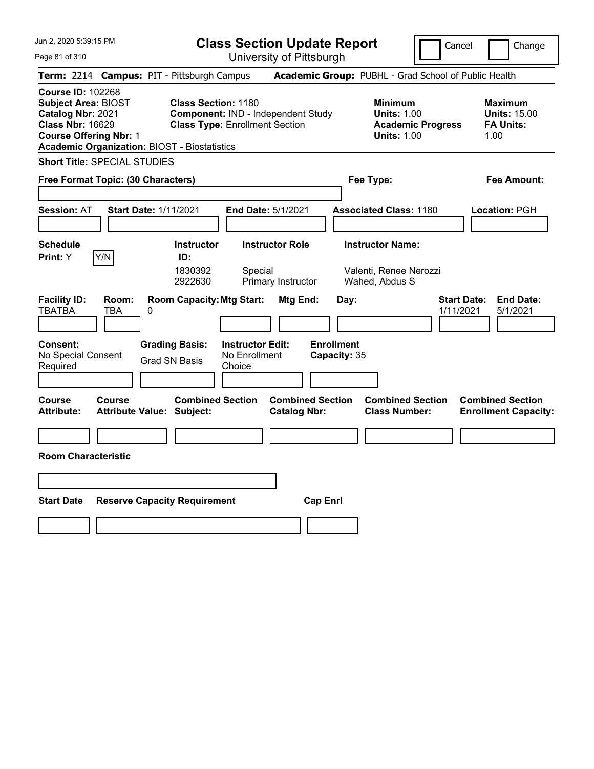| Jun 2, 2020 5:39:15 PM                                                                                                                  |                                                     |                                                                                   |                                                    | <b>Class Section Update Report</b>             |                                           |                                                                     | Cancel                          | Change                                                            |
|-----------------------------------------------------------------------------------------------------------------------------------------|-----------------------------------------------------|-----------------------------------------------------------------------------------|----------------------------------------------------|------------------------------------------------|-------------------------------------------|---------------------------------------------------------------------|---------------------------------|-------------------------------------------------------------------|
| Page 81 of 310                                                                                                                          |                                                     |                                                                                   |                                                    | University of Pittsburgh                       |                                           |                                                                     |                                 |                                                                   |
|                                                                                                                                         | Term: 2214 Campus: PIT - Pittsburgh Campus          |                                                                                   |                                                    |                                                |                                           | Academic Group: PUBHL - Grad School of Public Health                |                                 |                                                                   |
| <b>Course ID: 102268</b><br><b>Subject Area: BIOST</b><br>Catalog Nbr: 2021<br><b>Class Nbr: 16629</b><br><b>Course Offering Nbr: 1</b> | <b>Academic Organization: BIOST - Biostatistics</b> | <b>Class Section: 1180</b><br><b>Class Type: Enrollment Section</b>               |                                                    | Component: IND - Independent Study             |                                           | <b>Minimum</b><br><b>Units: 1.00</b><br><b>Units: 1.00</b>          | <b>Academic Progress</b>        | <b>Maximum</b><br><b>Units: 15.00</b><br><b>FA Units:</b><br>1.00 |
|                                                                                                                                         | <b>Short Title: SPECIAL STUDIES</b>                 |                                                                                   |                                                    |                                                |                                           |                                                                     |                                 |                                                                   |
|                                                                                                                                         | Free Format Topic: (30 Characters)                  |                                                                                   |                                                    |                                                |                                           | Fee Type:                                                           |                                 | Fee Amount:                                                       |
| <b>Session: AT</b>                                                                                                                      | Start Date: 1/11/2021                               |                                                                                   |                                                    | <b>End Date: 5/1/2021</b>                      |                                           | <b>Associated Class: 1180</b>                                       |                                 | <b>Location: PGH</b>                                              |
| <b>Schedule</b><br>Print: Y                                                                                                             | Y/N                                                 | <b>Instructor</b><br>ID:<br>1830392<br>2922630                                    | Special                                            | <b>Instructor Role</b><br>Primary Instructor   |                                           | <b>Instructor Name:</b><br>Valenti, Renee Nerozzi<br>Wahed, Abdus S |                                 |                                                                   |
| <b>Facility ID:</b><br>TBATBA<br>Consent:<br>No Special Consent<br>Required                                                             | Room:<br>TBA<br>0                                   | <b>Room Capacity: Mtg Start:</b><br><b>Grading Basis:</b><br><b>Grad SN Basis</b> | <b>Instructor Edit:</b><br>No Enrollment<br>Choice | Mtg End:                                       | Day:<br><b>Enrollment</b><br>Capacity: 35 |                                                                     | <b>Start Date:</b><br>1/11/2021 | <b>End Date:</b><br>5/1/2021                                      |
| Course<br><b>Attribute:</b>                                                                                                             | Course<br>Attribute Value: Subject:                 | <b>Combined Section</b>                                                           |                                                    | <b>Combined Section</b><br><b>Catalog Nbr:</b> |                                           | <b>Combined Section</b><br><b>Class Number:</b>                     |                                 | <b>Combined Section</b><br><b>Enrollment Capacity:</b>            |
|                                                                                                                                         |                                                     |                                                                                   |                                                    |                                                |                                           |                                                                     |                                 |                                                                   |
| <b>Room Characteristic</b>                                                                                                              |                                                     |                                                                                   |                                                    |                                                |                                           |                                                                     |                                 |                                                                   |
|                                                                                                                                         |                                                     |                                                                                   |                                                    |                                                |                                           |                                                                     |                                 |                                                                   |
| <b>Start Date</b>                                                                                                                       | <b>Reserve Capacity Requirement</b>                 |                                                                                   |                                                    | <b>Cap Enri</b>                                |                                           |                                                                     |                                 |                                                                   |
|                                                                                                                                         |                                                     |                                                                                   |                                                    |                                                |                                           |                                                                     |                                 |                                                                   |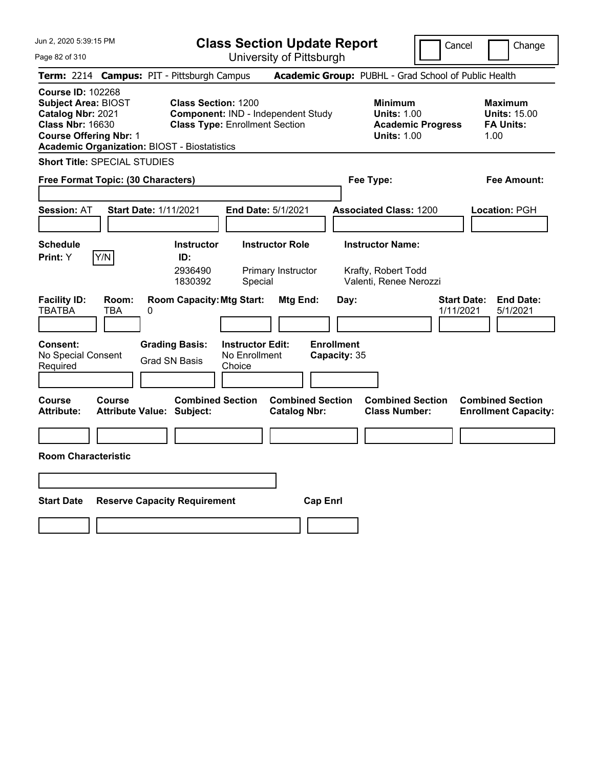| Jun 2, 2020 5:39:15 PM                                                                                                                                                                         |                                                                                                           | <b>Class Section Update Report</b>                      |                                                                          | Cancel                          | Change                                                            |
|------------------------------------------------------------------------------------------------------------------------------------------------------------------------------------------------|-----------------------------------------------------------------------------------------------------------|---------------------------------------------------------|--------------------------------------------------------------------------|---------------------------------|-------------------------------------------------------------------|
| Page 82 of 310                                                                                                                                                                                 |                                                                                                           | University of Pittsburgh                                |                                                                          |                                 |                                                                   |
| Term: 2214 Campus: PIT - Pittsburgh Campus                                                                                                                                                     |                                                                                                           |                                                         | Academic Group: PUBHL - Grad School of Public Health                     |                                 |                                                                   |
| <b>Course ID: 102268</b><br><b>Subject Area: BIOST</b><br>Catalog Nbr: 2021<br><b>Class Nbr: 16630</b><br><b>Course Offering Nbr: 1</b><br><b>Academic Organization: BIOST - Biostatistics</b> | <b>Class Section: 1200</b><br>Component: IND - Independent Study<br><b>Class Type: Enrollment Section</b> |                                                         | <b>Minimum</b><br><b>Units: 1.00</b><br><b>Units: 1.00</b>               | <b>Academic Progress</b>        | <b>Maximum</b><br><b>Units: 15.00</b><br><b>FA Units:</b><br>1.00 |
| <b>Short Title: SPECIAL STUDIES</b>                                                                                                                                                            |                                                                                                           |                                                         |                                                                          |                                 |                                                                   |
| Free Format Topic: (30 Characters)                                                                                                                                                             |                                                                                                           |                                                         | Fee Type:                                                                |                                 | Fee Amount:                                                       |
| <b>Start Date: 1/11/2021</b><br><b>Session: AT</b>                                                                                                                                             |                                                                                                           | End Date: 5/1/2021                                      | <b>Associated Class: 1200</b>                                            |                                 | Location: PGH                                                     |
| <b>Schedule</b><br>Y/N<br>Print: Y                                                                                                                                                             | <b>Instructor</b><br>ID:<br>2936490<br>1830392                                                            | <b>Instructor Role</b><br>Primary Instructor<br>Special | <b>Instructor Name:</b><br>Krafty, Robert Todd<br>Valenti, Renee Nerozzi |                                 |                                                                   |
| <b>Facility ID:</b><br>Room:<br><b>TBATBA</b><br>TBA<br>0                                                                                                                                      | <b>Room Capacity: Mtg Start:</b>                                                                          | Mtg End:                                                | Day:                                                                     | <b>Start Date:</b><br>1/11/2021 | <b>End Date:</b><br>5/1/2021                                      |
| <b>Consent:</b><br>No Special Consent<br>Required                                                                                                                                              | <b>Grading Basis:</b><br><b>Grad SN Basis</b><br>Choice                                                   | <b>Instructor Edit:</b><br>No Enrollment                | <b>Enrollment</b><br>Capacity: 35                                        |                                 |                                                                   |
| Course<br><b>Course</b><br><b>Attribute Value: Subject:</b><br>Attribute:                                                                                                                      | <b>Combined Section</b>                                                                                   | <b>Combined Section</b><br><b>Catalog Nbr:</b>          | <b>Combined Section</b><br><b>Class Number:</b>                          |                                 | <b>Combined Section</b><br><b>Enrollment Capacity:</b>            |
|                                                                                                                                                                                                |                                                                                                           |                                                         |                                                                          |                                 |                                                                   |
| <b>Room Characteristic</b>                                                                                                                                                                     |                                                                                                           |                                                         |                                                                          |                                 |                                                                   |
|                                                                                                                                                                                                |                                                                                                           |                                                         |                                                                          |                                 |                                                                   |
| <b>Start Date</b>                                                                                                                                                                              | <b>Reserve Capacity Requirement</b>                                                                       | <b>Cap Enrl</b>                                         |                                                                          |                                 |                                                                   |
|                                                                                                                                                                                                |                                                                                                           |                                                         |                                                                          |                                 |                                                                   |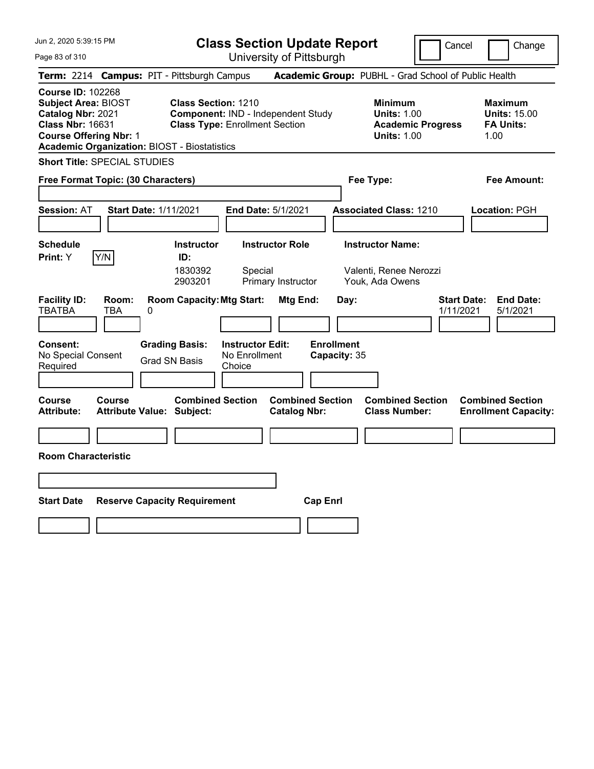| Jun 2, 2020 5:39:15 PM                                                                                                                                                                         |                                                                                                           | <b>Class Section Update Report</b>                      |                                                                      | Cancel                          | Change                                                            |
|------------------------------------------------------------------------------------------------------------------------------------------------------------------------------------------------|-----------------------------------------------------------------------------------------------------------|---------------------------------------------------------|----------------------------------------------------------------------|---------------------------------|-------------------------------------------------------------------|
| Page 83 of 310                                                                                                                                                                                 |                                                                                                           | University of Pittsburgh                                |                                                                      |                                 |                                                                   |
| Term: 2214 Campus: PIT - Pittsburgh Campus                                                                                                                                                     |                                                                                                           |                                                         | Academic Group: PUBHL - Grad School of Public Health                 |                                 |                                                                   |
| <b>Course ID: 102268</b><br><b>Subject Area: BIOST</b><br>Catalog Nbr: 2021<br><b>Class Nbr: 16631</b><br><b>Course Offering Nbr: 1</b><br><b>Academic Organization: BIOST - Biostatistics</b> | <b>Class Section: 1210</b><br>Component: IND - Independent Study<br><b>Class Type: Enrollment Section</b> |                                                         | <b>Minimum</b><br><b>Units: 1.00</b><br><b>Units: 1.00</b>           | <b>Academic Progress</b>        | <b>Maximum</b><br><b>Units: 15.00</b><br><b>FA Units:</b><br>1.00 |
| <b>Short Title: SPECIAL STUDIES</b>                                                                                                                                                            |                                                                                                           |                                                         |                                                                      |                                 |                                                                   |
| Free Format Topic: (30 Characters)                                                                                                                                                             |                                                                                                           |                                                         | Fee Type:                                                            |                                 | Fee Amount:                                                       |
| <b>Start Date: 1/11/2021</b><br><b>Session: AT</b>                                                                                                                                             |                                                                                                           | End Date: 5/1/2021                                      | <b>Associated Class: 1210</b>                                        |                                 | Location: PGH                                                     |
| <b>Schedule</b><br>Y/N<br>Print: Y                                                                                                                                                             | <b>Instructor</b><br>ID:<br>1830392<br>2903201                                                            | <b>Instructor Role</b><br>Special<br>Primary Instructor | <b>Instructor Name:</b><br>Valenti, Renee Nerozzi<br>Youk, Ada Owens |                                 |                                                                   |
| <b>Facility ID:</b><br>Room:<br><b>TBATBA</b><br>TBA<br>0                                                                                                                                      | <b>Room Capacity: Mtg Start:</b>                                                                          | Mtg End:                                                | Day:                                                                 | <b>Start Date:</b><br>1/11/2021 | <b>End Date:</b><br>5/1/2021                                      |
| <b>Consent:</b><br>No Special Consent<br>Required                                                                                                                                              | <b>Grading Basis:</b><br>No Enrollment<br><b>Grad SN Basis</b><br>Choice                                  | <b>Instructor Edit:</b>                                 | <b>Enrollment</b><br>Capacity: 35                                    |                                 |                                                                   |
| Course<br><b>Course</b><br><b>Attribute Value: Subject:</b><br>Attribute:                                                                                                                      | <b>Combined Section</b>                                                                                   | <b>Combined Section</b><br><b>Catalog Nbr:</b>          | <b>Combined Section</b><br><b>Class Number:</b>                      |                                 | <b>Combined Section</b><br><b>Enrollment Capacity:</b>            |
|                                                                                                                                                                                                |                                                                                                           |                                                         |                                                                      |                                 |                                                                   |
| <b>Room Characteristic</b>                                                                                                                                                                     |                                                                                                           |                                                         |                                                                      |                                 |                                                                   |
|                                                                                                                                                                                                |                                                                                                           |                                                         |                                                                      |                                 |                                                                   |
| <b>Start Date</b>                                                                                                                                                                              | <b>Reserve Capacity Requirement</b>                                                                       | <b>Cap Enrl</b>                                         |                                                                      |                                 |                                                                   |
|                                                                                                                                                                                                |                                                                                                           |                                                         |                                                                      |                                 |                                                                   |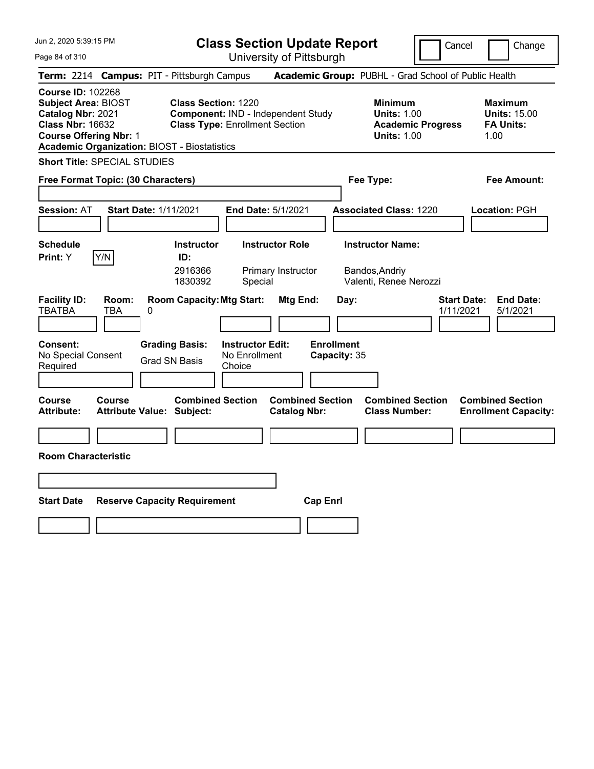| Jun 2, 2020 5:39:15 PM                                                                                                                                                                         |                                                             | <b>Class Section Update Report</b>                                          |                                                |                                                                     | Cancel                          | Change                                                            |
|------------------------------------------------------------------------------------------------------------------------------------------------------------------------------------------------|-------------------------------------------------------------|-----------------------------------------------------------------------------|------------------------------------------------|---------------------------------------------------------------------|---------------------------------|-------------------------------------------------------------------|
| Page 84 of 310                                                                                                                                                                                 |                                                             | University of Pittsburgh                                                    |                                                |                                                                     |                                 |                                                                   |
| <b>Term:</b> 2214                                                                                                                                                                              | <b>Campus: PIT - Pittsburgh Campus</b>                      |                                                                             |                                                | Academic Group: PUBHL - Grad School of Public Health                |                                 |                                                                   |
| <b>Course ID: 102268</b><br><b>Subject Area: BIOST</b><br>Catalog Nbr: 2021<br><b>Class Nbr: 16632</b><br><b>Course Offering Nbr: 1</b><br><b>Academic Organization: BIOST - Biostatistics</b> | <b>Class Section: 1220</b>                                  | Component: IND - Independent Study<br><b>Class Type: Enrollment Section</b> |                                                | <b>Minimum</b><br><b>Units: 1.00</b><br><b>Units: 1.00</b>          | <b>Academic Progress</b>        | <b>Maximum</b><br><b>Units: 15.00</b><br><b>FA Units:</b><br>1.00 |
| <b>Short Title: SPECIAL STUDIES</b>                                                                                                                                                            |                                                             |                                                                             |                                                |                                                                     |                                 |                                                                   |
| Free Format Topic: (30 Characters)                                                                                                                                                             |                                                             |                                                                             |                                                | Fee Type:                                                           |                                 | Fee Amount:                                                       |
| <b>Session: AT</b>                                                                                                                                                                             | <b>Start Date: 1/11/2021</b>                                | <b>End Date: 5/1/2021</b>                                                   |                                                | <b>Associated Class: 1220</b>                                       |                                 | Location: PGH                                                     |
| <b>Schedule</b><br>Y/N<br>Print: Y                                                                                                                                                             | <b>Instructor</b><br>ID:<br>2916366<br>1830392              | <b>Instructor Role</b><br>Primary Instructor<br>Special                     |                                                | <b>Instructor Name:</b><br>Bandos, Andriy<br>Valenti, Renee Nerozzi |                                 |                                                                   |
| <b>Facility ID:</b><br>Room:<br><b>TBATBA</b><br>TBA                                                                                                                                           | <b>Room Capacity: Mtg Start:</b><br>0                       |                                                                             | Mtg End:                                       | Day:                                                                | <b>Start Date:</b><br>1/11/2021 | <b>End Date:</b><br>5/1/2021                                      |
| <b>Consent:</b><br>No Special Consent<br>Required                                                                                                                                              | <b>Grading Basis:</b><br><b>Grad SN Basis</b>               | <b>Instructor Edit:</b><br>No Enrollment<br>Choice                          |                                                | <b>Enrollment</b><br>Capacity: 35                                   |                                 |                                                                   |
| <b>Course</b><br>Course<br><b>Attribute:</b>                                                                                                                                                   | <b>Combined Section</b><br><b>Attribute Value: Subject:</b> |                                                                             | <b>Combined Section</b><br><b>Catalog Nbr:</b> | <b>Class Number:</b>                                                | <b>Combined Section</b>         | <b>Combined Section</b><br><b>Enrollment Capacity:</b>            |
|                                                                                                                                                                                                |                                                             |                                                                             |                                                |                                                                     |                                 |                                                                   |
| <b>Room Characteristic</b>                                                                                                                                                                     |                                                             |                                                                             |                                                |                                                                     |                                 |                                                                   |
|                                                                                                                                                                                                |                                                             |                                                                             |                                                |                                                                     |                                 |                                                                   |
| <b>Start Date</b>                                                                                                                                                                              | <b>Reserve Capacity Requirement</b>                         |                                                                             | <b>Cap Enrl</b>                                |                                                                     |                                 |                                                                   |
|                                                                                                                                                                                                |                                                             |                                                                             |                                                |                                                                     |                                 |                                                                   |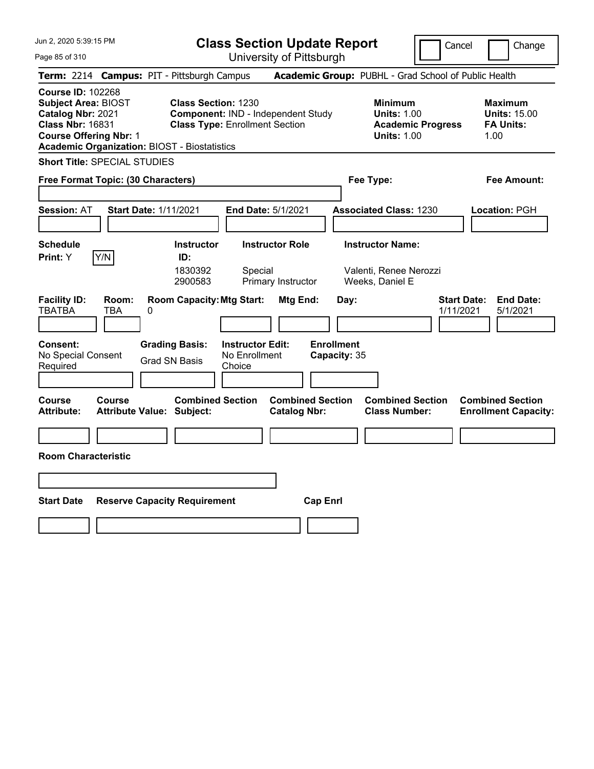| Jun 2, 2020 5:39:15 PM                                                                                                                                                                         |                                                                                                           | <b>Class Section Update Report</b>                      |                                                |                                                                      | Cancel                          | Change                                                            |
|------------------------------------------------------------------------------------------------------------------------------------------------------------------------------------------------|-----------------------------------------------------------------------------------------------------------|---------------------------------------------------------|------------------------------------------------|----------------------------------------------------------------------|---------------------------------|-------------------------------------------------------------------|
| Page 85 of 310                                                                                                                                                                                 |                                                                                                           | University of Pittsburgh                                |                                                |                                                                      |                                 |                                                                   |
| Term: 2214 Campus: PIT - Pittsburgh Campus                                                                                                                                                     |                                                                                                           |                                                         |                                                | Academic Group: PUBHL - Grad School of Public Health                 |                                 |                                                                   |
| <b>Course ID: 102268</b><br><b>Subject Area: BIOST</b><br>Catalog Nbr: 2021<br><b>Class Nbr: 16831</b><br><b>Course Offering Nbr: 1</b><br><b>Academic Organization: BIOST - Biostatistics</b> | <b>Class Section: 1230</b><br>Component: IND - Independent Study<br><b>Class Type: Enrollment Section</b> |                                                         |                                                | <b>Minimum</b><br><b>Units: 1.00</b><br><b>Units: 1.00</b>           | <b>Academic Progress</b>        | <b>Maximum</b><br><b>Units: 15.00</b><br><b>FA Units:</b><br>1.00 |
| <b>Short Title: SPECIAL STUDIES</b>                                                                                                                                                            |                                                                                                           |                                                         |                                                |                                                                      |                                 |                                                                   |
| Free Format Topic: (30 Characters)                                                                                                                                                             |                                                                                                           |                                                         |                                                | Fee Type:                                                            |                                 | Fee Amount:                                                       |
| <b>Start Date: 1/11/2021</b><br><b>Session: AT</b>                                                                                                                                             |                                                                                                           | End Date: 5/1/2021                                      |                                                | <b>Associated Class: 1230</b>                                        |                                 | Location: PGH                                                     |
| <b>Schedule</b><br>Y/N<br>Print: Y                                                                                                                                                             | <b>Instructor</b><br>ID:<br>1830392<br>2900583                                                            | <b>Instructor Role</b><br>Special<br>Primary Instructor |                                                | <b>Instructor Name:</b><br>Valenti, Renee Nerozzi<br>Weeks, Daniel E |                                 |                                                                   |
| <b>Facility ID:</b><br>Room:<br><b>TBATBA</b><br>TBA<br>0                                                                                                                                      | <b>Room Capacity: Mtg Start:</b>                                                                          |                                                         | Mtg End:<br>Day:                               |                                                                      | <b>Start Date:</b><br>1/11/2021 | <b>End Date:</b><br>5/1/2021                                      |
| <b>Consent:</b><br>No Special Consent<br>Required                                                                                                                                              | <b>Grading Basis:</b><br><b>Grad SN Basis</b>                                                             | <b>Instructor Edit:</b><br>No Enrollment<br>Choice      | <b>Enrollment</b><br>Capacity: 35              |                                                                      |                                 |                                                                   |
| Course<br><b>Course</b><br><b>Attribute Value: Subject:</b><br>Attribute:                                                                                                                      | <b>Combined Section</b>                                                                                   |                                                         | <b>Combined Section</b><br><b>Catalog Nbr:</b> | <b>Combined Section</b><br><b>Class Number:</b>                      |                                 | <b>Combined Section</b><br><b>Enrollment Capacity:</b>            |
|                                                                                                                                                                                                |                                                                                                           |                                                         |                                                |                                                                      |                                 |                                                                   |
| <b>Room Characteristic</b>                                                                                                                                                                     |                                                                                                           |                                                         |                                                |                                                                      |                                 |                                                                   |
|                                                                                                                                                                                                |                                                                                                           |                                                         |                                                |                                                                      |                                 |                                                                   |
| <b>Start Date</b>                                                                                                                                                                              | <b>Reserve Capacity Requirement</b>                                                                       |                                                         | <b>Cap Enrl</b>                                |                                                                      |                                 |                                                                   |
|                                                                                                                                                                                                |                                                                                                           |                                                         |                                                |                                                                      |                                 |                                                                   |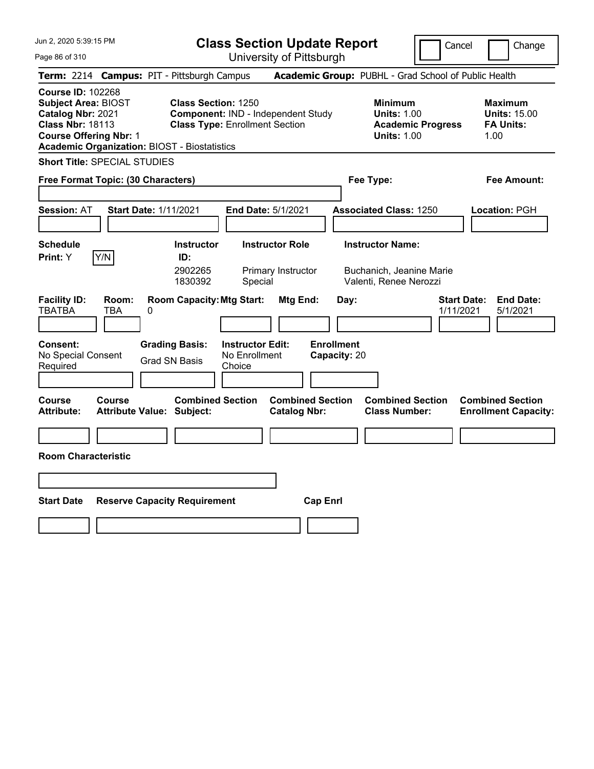| Jun 2, 2020 5:39:15 PM                                                                                                                                                                         |                                                                                   |                                                    | <b>Class Section Update Report</b>                   |                                           |                                                                               | Cancel                   | Change                                                            |
|------------------------------------------------------------------------------------------------------------------------------------------------------------------------------------------------|-----------------------------------------------------------------------------------|----------------------------------------------------|------------------------------------------------------|-------------------------------------------|-------------------------------------------------------------------------------|--------------------------|-------------------------------------------------------------------|
| Page 86 of 310                                                                                                                                                                                 |                                                                                   |                                                    | University of Pittsburgh                             |                                           |                                                                               |                          |                                                                   |
| Term: 2214 Campus: PIT - Pittsburgh Campus                                                                                                                                                     |                                                                                   |                                                    | Academic Group: PUBHL - Grad School of Public Health |                                           |                                                                               |                          |                                                                   |
| <b>Course ID: 102268</b><br><b>Subject Area: BIOST</b><br>Catalog Nbr: 2021<br><b>Class Nbr: 18113</b><br><b>Course Offering Nbr: 1</b><br><b>Academic Organization: BIOST - Biostatistics</b> | <b>Class Section: 1250</b><br><b>Class Type: Enrollment Section</b>               |                                                    | Component: IND - Independent Study                   |                                           | <b>Minimum</b><br><b>Units: 1.00</b><br><b>Units: 1.00</b>                    | <b>Academic Progress</b> | <b>Maximum</b><br><b>Units: 15.00</b><br><b>FA Units:</b><br>1.00 |
| <b>Short Title: SPECIAL STUDIES</b>                                                                                                                                                            |                                                                                   |                                                    |                                                      |                                           |                                                                               |                          |                                                                   |
| Free Format Topic: (30 Characters)                                                                                                                                                             |                                                                                   |                                                    |                                                      |                                           | Fee Type:                                                                     |                          | Fee Amount:                                                       |
| <b>Start Date: 1/11/2021</b><br><b>Session: AT</b>                                                                                                                                             |                                                                                   |                                                    | <b>End Date: 5/1/2021</b>                            |                                           | <b>Associated Class: 1250</b>                                                 |                          | Location: PGH                                                     |
| <b>Schedule</b><br>Y/N<br>Print: Y                                                                                                                                                             | <b>Instructor</b><br>ID:<br>2902265<br>1830392                                    | Special                                            | <b>Instructor Role</b><br>Primary Instructor         |                                           | <b>Instructor Name:</b><br>Buchanich, Jeanine Marie<br>Valenti, Renee Nerozzi |                          |                                                                   |
| <b>Facility ID:</b><br>Room:<br><b>TBATBA</b><br>TBA<br>0<br><b>Consent:</b><br>No Special Consent<br>Required                                                                                 | <b>Room Capacity: Mtg Start:</b><br><b>Grading Basis:</b><br><b>Grad SN Basis</b> | <b>Instructor Edit:</b><br>No Enrollment<br>Choice | Mtg End:                                             | Day:<br><b>Enrollment</b><br>Capacity: 20 |                                                                               | 1/11/2021                | <b>Start Date:</b><br><b>End Date:</b><br>5/1/2021                |
| <b>Course</b><br><b>Course</b><br><b>Attribute:</b><br><b>Attribute Value: Subject:</b>                                                                                                        | <b>Combined Section</b>                                                           |                                                    | <b>Combined Section</b><br><b>Catalog Nbr:</b>       |                                           | <b>Combined Section</b><br><b>Class Number:</b>                               |                          | <b>Combined Section</b><br><b>Enrollment Capacity:</b>            |
|                                                                                                                                                                                                |                                                                                   |                                                    |                                                      |                                           |                                                                               |                          |                                                                   |
| <b>Room Characteristic</b>                                                                                                                                                                     |                                                                                   |                                                    |                                                      |                                           |                                                                               |                          |                                                                   |
|                                                                                                                                                                                                |                                                                                   |                                                    |                                                      |                                           |                                                                               |                          |                                                                   |
| <b>Start Date</b>                                                                                                                                                                              | <b>Reserve Capacity Requirement</b>                                               |                                                    | <b>Cap Enri</b>                                      |                                           |                                                                               |                          |                                                                   |
|                                                                                                                                                                                                |                                                                                   |                                                    |                                                      |                                           |                                                                               |                          |                                                                   |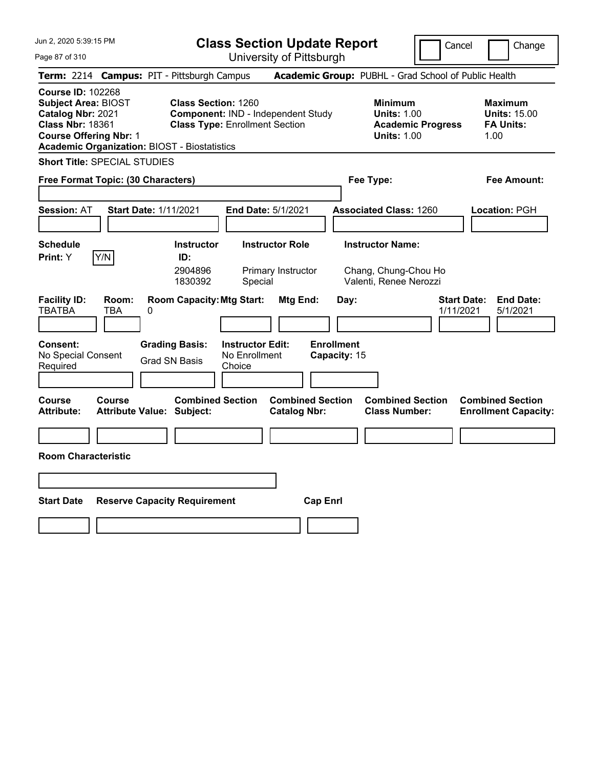| Jun 2, 2020 5:39:15 PM                                                                                                                                                                         |                                                                                                           | <b>Class Section Update Report</b>                      |                                                                           | Cancel                          | Change                                                            |
|------------------------------------------------------------------------------------------------------------------------------------------------------------------------------------------------|-----------------------------------------------------------------------------------------------------------|---------------------------------------------------------|---------------------------------------------------------------------------|---------------------------------|-------------------------------------------------------------------|
| Page 87 of 310                                                                                                                                                                                 |                                                                                                           | University of Pittsburgh                                |                                                                           |                                 |                                                                   |
| Term: 2214 Campus: PIT - Pittsburgh Campus                                                                                                                                                     |                                                                                                           |                                                         | Academic Group: PUBHL - Grad School of Public Health                      |                                 |                                                                   |
| <b>Course ID: 102268</b><br><b>Subject Area: BIOST</b><br>Catalog Nbr: 2021<br><b>Class Nbr: 18361</b><br><b>Course Offering Nbr: 1</b><br><b>Academic Organization: BIOST - Biostatistics</b> | <b>Class Section: 1260</b><br>Component: IND - Independent Study<br><b>Class Type: Enrollment Section</b> |                                                         | <b>Minimum</b><br><b>Units: 1.00</b><br><b>Units: 1.00</b>                | <b>Academic Progress</b>        | <b>Maximum</b><br><b>Units: 15.00</b><br><b>FA Units:</b><br>1.00 |
| <b>Short Title: SPECIAL STUDIES</b>                                                                                                                                                            |                                                                                                           |                                                         |                                                                           |                                 |                                                                   |
| Free Format Topic: (30 Characters)                                                                                                                                                             |                                                                                                           |                                                         | Fee Type:                                                                 |                                 | Fee Amount:                                                       |
| <b>Start Date: 1/11/2021</b><br><b>Session: AT</b>                                                                                                                                             |                                                                                                           | End Date: 5/1/2021                                      | <b>Associated Class: 1260</b>                                             |                                 | Location: PGH                                                     |
| <b>Schedule</b><br>Y/N<br>Print: Y                                                                                                                                                             | <b>Instructor</b><br>ID:<br>2904896<br>1830392                                                            | <b>Instructor Role</b><br>Primary Instructor<br>Special | <b>Instructor Name:</b><br>Chang, Chung-Chou Ho<br>Valenti, Renee Nerozzi |                                 |                                                                   |
| <b>Facility ID:</b><br>Room:<br><b>TBATBA</b><br>TBA<br>0                                                                                                                                      | <b>Room Capacity: Mtg Start:</b>                                                                          | Mtg End:                                                | Day:                                                                      | <b>Start Date:</b><br>1/11/2021 | <b>End Date:</b><br>5/1/2021                                      |
| <b>Consent:</b><br>No Special Consent<br>Required                                                                                                                                              | <b>Grading Basis:</b><br><b>Grad SN Basis</b><br>Choice                                                   | <b>Instructor Edit:</b><br>No Enrollment                | <b>Enrollment</b><br>Capacity: 15                                         |                                 |                                                                   |
| Course<br><b>Course</b><br><b>Attribute Value: Subject:</b><br>Attribute:                                                                                                                      | <b>Combined Section</b>                                                                                   | <b>Combined Section</b><br><b>Catalog Nbr:</b>          | <b>Combined Section</b><br><b>Class Number:</b>                           |                                 | <b>Combined Section</b><br><b>Enrollment Capacity:</b>            |
|                                                                                                                                                                                                |                                                                                                           |                                                         |                                                                           |                                 |                                                                   |
| <b>Room Characteristic</b>                                                                                                                                                                     |                                                                                                           |                                                         |                                                                           |                                 |                                                                   |
|                                                                                                                                                                                                |                                                                                                           |                                                         |                                                                           |                                 |                                                                   |
| <b>Start Date</b>                                                                                                                                                                              | <b>Reserve Capacity Requirement</b>                                                                       | <b>Cap Enrl</b>                                         |                                                                           |                                 |                                                                   |
|                                                                                                                                                                                                |                                                                                                           |                                                         |                                                                           |                                 |                                                                   |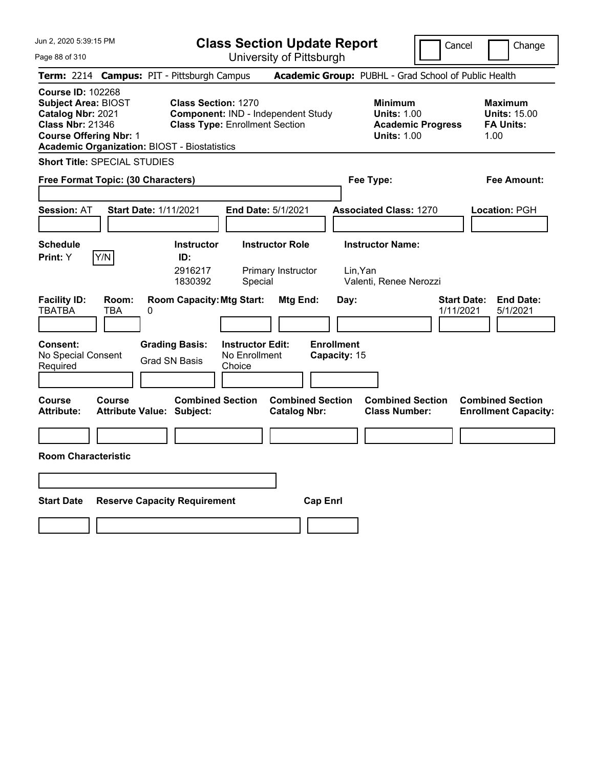| Jun 2, 2020 5:39:15 PM                                                                                                                                                                         |                                                                     | <b>Class Section Update Report</b>                      |                                                               | Cancel                          | Change                                                            |
|------------------------------------------------------------------------------------------------------------------------------------------------------------------------------------------------|---------------------------------------------------------------------|---------------------------------------------------------|---------------------------------------------------------------|---------------------------------|-------------------------------------------------------------------|
| Page 88 of 310                                                                                                                                                                                 |                                                                     | University of Pittsburgh                                |                                                               |                                 |                                                                   |
| Term: 2214 Campus: PIT - Pittsburgh Campus                                                                                                                                                     |                                                                     |                                                         | Academic Group: PUBHL - Grad School of Public Health          |                                 |                                                                   |
| <b>Course ID: 102268</b><br><b>Subject Area: BIOST</b><br>Catalog Nbr: 2021<br><b>Class Nbr: 21346</b><br><b>Course Offering Nbr: 1</b><br><b>Academic Organization: BIOST - Biostatistics</b> | <b>Class Section: 1270</b><br><b>Class Type: Enrollment Section</b> | Component: IND - Independent Study                      | <b>Minimum</b><br><b>Units: 1.00</b><br><b>Units: 1.00</b>    | <b>Academic Progress</b>        | <b>Maximum</b><br><b>Units: 15.00</b><br><b>FA Units:</b><br>1.00 |
| <b>Short Title: SPECIAL STUDIES</b>                                                                                                                                                            |                                                                     |                                                         |                                                               |                                 |                                                                   |
| Free Format Topic: (30 Characters)                                                                                                                                                             |                                                                     |                                                         | Fee Type:                                                     |                                 | Fee Amount:                                                       |
| <b>Start Date: 1/11/2021</b><br><b>Session: AT</b>                                                                                                                                             |                                                                     | End Date: 5/1/2021                                      | <b>Associated Class: 1270</b>                                 |                                 | Location: PGH                                                     |
| <b>Schedule</b><br>Y/N<br>Print: Y                                                                                                                                                             | <b>Instructor</b><br>ID:<br>2916217<br>1830392                      | <b>Instructor Role</b><br>Primary Instructor<br>Special | <b>Instructor Name:</b><br>Lin, Yan<br>Valenti, Renee Nerozzi |                                 |                                                                   |
| <b>Facility ID:</b><br>Room:<br><b>TBATBA</b><br>TBA<br>0                                                                                                                                      | <b>Room Capacity: Mtg Start:</b>                                    | Mtg End:                                                | Day:                                                          | <b>Start Date:</b><br>1/11/2021 | <b>End Date:</b><br>5/1/2021                                      |
| <b>Consent:</b><br>No Special Consent<br>Required                                                                                                                                              | <b>Grading Basis:</b><br><b>Grad SN Basis</b><br>Choice             | <b>Instructor Edit:</b><br>No Enrollment                | <b>Enrollment</b><br>Capacity: 15                             |                                 |                                                                   |
| Course<br><b>Course</b><br><b>Attribute Value: Subject:</b><br>Attribute:                                                                                                                      | <b>Combined Section</b>                                             | <b>Combined Section</b><br><b>Catalog Nbr:</b>          | <b>Combined Section</b><br><b>Class Number:</b>               |                                 | <b>Combined Section</b><br><b>Enrollment Capacity:</b>            |
|                                                                                                                                                                                                |                                                                     |                                                         |                                                               |                                 |                                                                   |
| <b>Room Characteristic</b>                                                                                                                                                                     |                                                                     |                                                         |                                                               |                                 |                                                                   |
|                                                                                                                                                                                                |                                                                     |                                                         |                                                               |                                 |                                                                   |
| <b>Start Date</b>                                                                                                                                                                              | <b>Reserve Capacity Requirement</b>                                 | <b>Cap Enrl</b>                                         |                                                               |                                 |                                                                   |
|                                                                                                                                                                                                |                                                                     |                                                         |                                                               |                                 |                                                                   |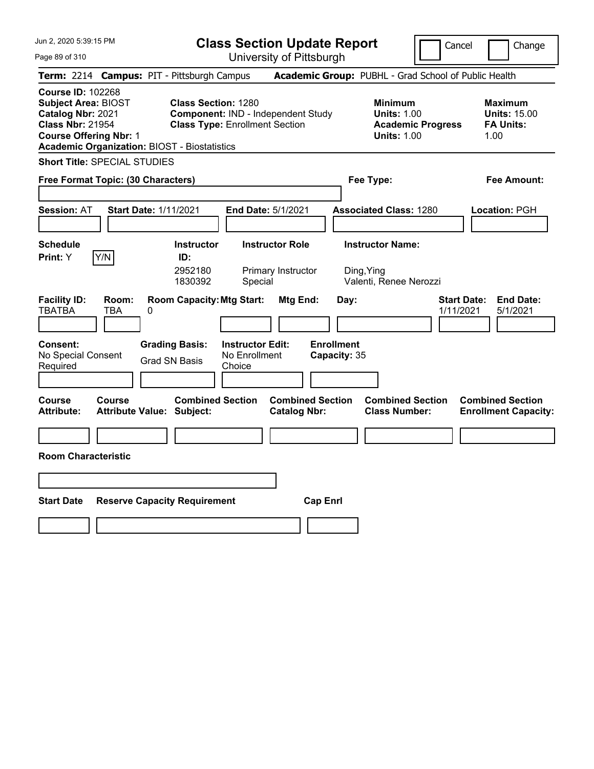| Jun 2, 2020 5:39:15 PM                                                                                                                                                                         | <b>Class Section Update Report</b>                                                                        |                                                |                                                                 | Cancel                          | Change                                                            |
|------------------------------------------------------------------------------------------------------------------------------------------------------------------------------------------------|-----------------------------------------------------------------------------------------------------------|------------------------------------------------|-----------------------------------------------------------------|---------------------------------|-------------------------------------------------------------------|
| Page 89 of 310                                                                                                                                                                                 |                                                                                                           | University of Pittsburgh                       |                                                                 |                                 |                                                                   |
| Term: 2214 Campus: PIT - Pittsburgh Campus                                                                                                                                                     |                                                                                                           |                                                | Academic Group: PUBHL - Grad School of Public Health            |                                 |                                                                   |
| <b>Course ID: 102268</b><br><b>Subject Area: BIOST</b><br>Catalog Nbr: 2021<br><b>Class Nbr: 21954</b><br><b>Course Offering Nbr: 1</b><br><b>Academic Organization: BIOST - Biostatistics</b> | <b>Class Section: 1280</b><br>Component: IND - Independent Study<br><b>Class Type: Enrollment Section</b> |                                                | <b>Minimum</b><br><b>Units: 1.00</b><br><b>Units: 1.00</b>      | <b>Academic Progress</b>        | <b>Maximum</b><br><b>Units: 15.00</b><br><b>FA Units:</b><br>1.00 |
| <b>Short Title: SPECIAL STUDIES</b>                                                                                                                                                            |                                                                                                           |                                                |                                                                 |                                 |                                                                   |
| Free Format Topic: (30 Characters)                                                                                                                                                             |                                                                                                           |                                                | Fee Type:                                                       |                                 | Fee Amount:                                                       |
| <b>Session: AT</b><br><b>Start Date: 1/11/2021</b>                                                                                                                                             |                                                                                                           | <b>End Date: 5/1/2021</b>                      | <b>Associated Class: 1280</b>                                   |                                 | Location: PGH                                                     |
| <b>Schedule</b><br>Y/N<br>Print: Y                                                                                                                                                             | <b>Instructor</b><br>ID:<br>2952180<br>1830392<br>Special                                                 | <b>Instructor Role</b><br>Primary Instructor   | <b>Instructor Name:</b><br>Ding, Ying<br>Valenti, Renee Nerozzi |                                 |                                                                   |
| <b>Facility ID:</b><br>Room:<br><b>TBATBA</b><br>TBA<br>0<br><b>Consent:</b><br>No Special Consent                                                                                             | <b>Room Capacity: Mtg Start:</b><br><b>Instructor Edit:</b><br><b>Grading Basis:</b><br>No Enrollment     | Mtg End:                                       | Day:<br><b>Enrollment</b><br>Capacity: 35                       | <b>Start Date:</b><br>1/11/2021 | <b>End Date:</b><br>5/1/2021                                      |
| Required                                                                                                                                                                                       | <b>Grad SN Basis</b><br>Choice                                                                            |                                                |                                                                 |                                 |                                                                   |
| <b>Course</b><br>Course<br><b>Attribute:</b><br><b>Attribute Value: Subject:</b><br><b>Room Characteristic</b>                                                                                 | <b>Combined Section</b>                                                                                   | <b>Combined Section</b><br><b>Catalog Nbr:</b> | <b>Combined Section</b><br><b>Class Number:</b>                 |                                 | <b>Combined Section</b><br><b>Enrollment Capacity:</b>            |
|                                                                                                                                                                                                |                                                                                                           |                                                |                                                                 |                                 |                                                                   |
|                                                                                                                                                                                                |                                                                                                           |                                                |                                                                 |                                 |                                                                   |
| <b>Start Date</b>                                                                                                                                                                              | <b>Reserve Capacity Requirement</b>                                                                       | <b>Cap Enrl</b>                                |                                                                 |                                 |                                                                   |
|                                                                                                                                                                                                |                                                                                                           |                                                |                                                                 |                                 |                                                                   |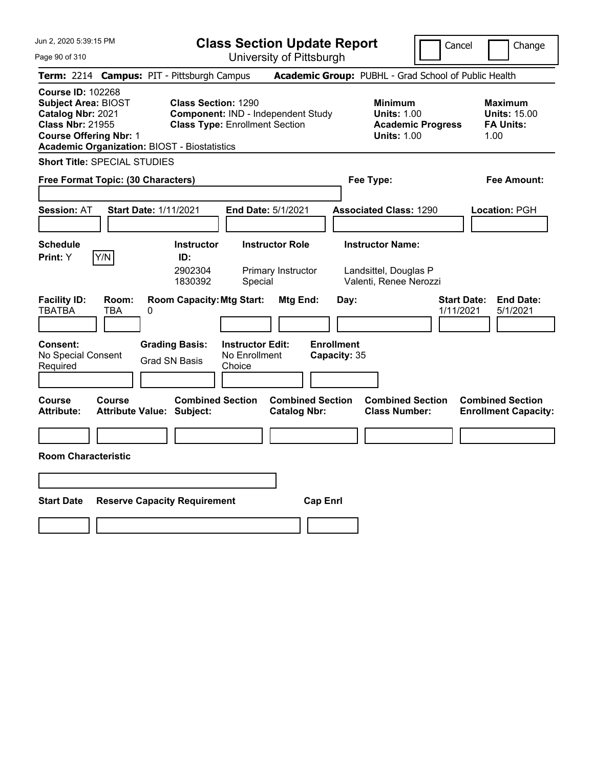| Jun 2, 2020 5:39:15 PM                                                                                                                                                                         |                                                                                                           | <b>Class Section Update Report</b>                      |                                                |                                                                            | Cancel                          | Change                                                            |
|------------------------------------------------------------------------------------------------------------------------------------------------------------------------------------------------|-----------------------------------------------------------------------------------------------------------|---------------------------------------------------------|------------------------------------------------|----------------------------------------------------------------------------|---------------------------------|-------------------------------------------------------------------|
| Page 90 of 310                                                                                                                                                                                 |                                                                                                           | University of Pittsburgh                                |                                                |                                                                            |                                 |                                                                   |
| Term: 2214 Campus: PIT - Pittsburgh Campus                                                                                                                                                     |                                                                                                           |                                                         |                                                | Academic Group: PUBHL - Grad School of Public Health                       |                                 |                                                                   |
| <b>Course ID: 102268</b><br><b>Subject Area: BIOST</b><br>Catalog Nbr: 2021<br><b>Class Nbr: 21955</b><br><b>Course Offering Nbr: 1</b><br><b>Academic Organization: BIOST - Biostatistics</b> | <b>Class Section: 1290</b><br>Component: IND - Independent Study<br><b>Class Type: Enrollment Section</b> |                                                         |                                                | <b>Minimum</b><br><b>Units: 1.00</b><br><b>Units: 1.00</b>                 | <b>Academic Progress</b>        | <b>Maximum</b><br><b>Units: 15.00</b><br><b>FA Units:</b><br>1.00 |
| <b>Short Title: SPECIAL STUDIES</b>                                                                                                                                                            |                                                                                                           |                                                         |                                                |                                                                            |                                 |                                                                   |
| Free Format Topic: (30 Characters)                                                                                                                                                             |                                                                                                           |                                                         |                                                | Fee Type:                                                                  |                                 | Fee Amount:                                                       |
| <b>Start Date: 1/11/2021</b><br><b>Session: AT</b>                                                                                                                                             |                                                                                                           | End Date: 5/1/2021                                      |                                                | <b>Associated Class: 1290</b>                                              |                                 | Location: PGH                                                     |
| <b>Schedule</b><br>Y/N<br>Print: Y                                                                                                                                                             | <b>Instructor</b><br>ID:<br>2902304<br>1830392                                                            | <b>Instructor Role</b><br>Primary Instructor<br>Special |                                                | <b>Instructor Name:</b><br>Landsittel, Douglas P<br>Valenti, Renee Nerozzi |                                 |                                                                   |
| <b>Facility ID:</b><br>Room:<br><b>TBATBA</b><br>TBA<br>0                                                                                                                                      | <b>Room Capacity: Mtg Start:</b>                                                                          |                                                         | Mtg End:                                       | Day:                                                                       | <b>Start Date:</b><br>1/11/2021 | <b>End Date:</b><br>5/1/2021                                      |
| <b>Consent:</b><br>No Special Consent<br>Required                                                                                                                                              | <b>Grading Basis:</b><br><b>Grad SN Basis</b>                                                             | <b>Instructor Edit:</b><br>No Enrollment<br>Choice      | <b>Enrollment</b><br>Capacity: 35              |                                                                            |                                 |                                                                   |
| Course<br><b>Course</b><br><b>Attribute Value: Subject:</b><br>Attribute:                                                                                                                      | <b>Combined Section</b>                                                                                   |                                                         | <b>Combined Section</b><br><b>Catalog Nbr:</b> | <b>Combined Section</b><br><b>Class Number:</b>                            |                                 | <b>Combined Section</b><br><b>Enrollment Capacity:</b>            |
|                                                                                                                                                                                                |                                                                                                           |                                                         |                                                |                                                                            |                                 |                                                                   |
| <b>Room Characteristic</b>                                                                                                                                                                     |                                                                                                           |                                                         |                                                |                                                                            |                                 |                                                                   |
|                                                                                                                                                                                                |                                                                                                           |                                                         |                                                |                                                                            |                                 |                                                                   |
| <b>Start Date</b>                                                                                                                                                                              | <b>Reserve Capacity Requirement</b>                                                                       |                                                         | <b>Cap Enrl</b>                                |                                                                            |                                 |                                                                   |
|                                                                                                                                                                                                |                                                                                                           |                                                         |                                                |                                                                            |                                 |                                                                   |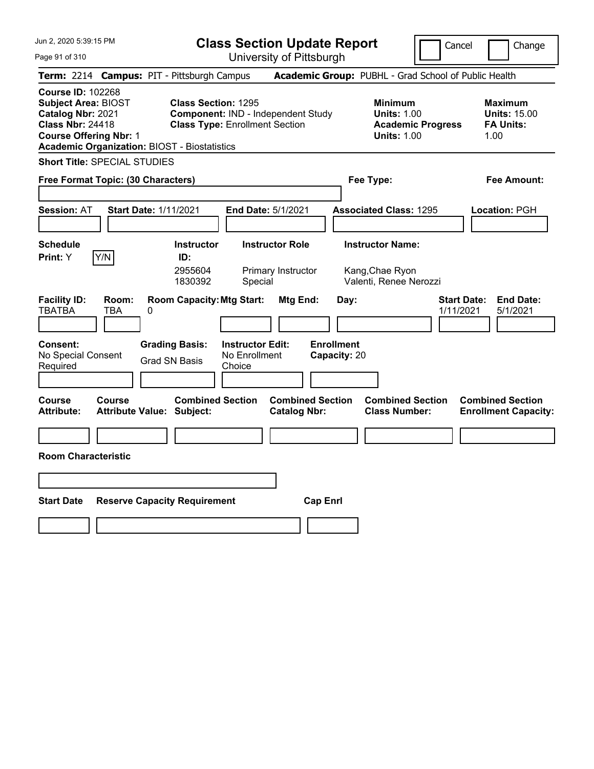| Jun 2, 2020 5:39:15 PM                                                                                                                                                                         |                                                                                                           | <b>Class Section Update Report</b>                      |                                                                      | Cancel                          | Change                                                            |
|------------------------------------------------------------------------------------------------------------------------------------------------------------------------------------------------|-----------------------------------------------------------------------------------------------------------|---------------------------------------------------------|----------------------------------------------------------------------|---------------------------------|-------------------------------------------------------------------|
| Page 91 of 310                                                                                                                                                                                 |                                                                                                           | University of Pittsburgh                                |                                                                      |                                 |                                                                   |
| <b>Term:</b> 2214                                                                                                                                                                              | <b>Campus: PIT - Pittsburgh Campus</b>                                                                    |                                                         | Academic Group: PUBHL - Grad School of Public Health                 |                                 |                                                                   |
| <b>Course ID: 102268</b><br><b>Subject Area: BIOST</b><br>Catalog Nbr: 2021<br><b>Class Nbr: 24418</b><br><b>Course Offering Nbr: 1</b><br><b>Academic Organization: BIOST - Biostatistics</b> | <b>Class Section: 1295</b><br>Component: IND - Independent Study<br><b>Class Type: Enrollment Section</b> |                                                         | <b>Minimum</b><br><b>Units: 1.00</b><br><b>Units: 1.00</b>           | <b>Academic Progress</b>        | <b>Maximum</b><br><b>Units: 15.00</b><br><b>FA Units:</b><br>1.00 |
| <b>Short Title: SPECIAL STUDIES</b>                                                                                                                                                            |                                                                                                           |                                                         |                                                                      |                                 |                                                                   |
| Free Format Topic: (30 Characters)                                                                                                                                                             |                                                                                                           |                                                         | Fee Type:                                                            |                                 | Fee Amount:                                                       |
| <b>Session: AT</b>                                                                                                                                                                             | <b>Start Date: 1/11/2021</b>                                                                              | <b>End Date: 5/1/2021</b>                               | <b>Associated Class: 1295</b>                                        |                                 | Location: PGH                                                     |
| <b>Schedule</b><br>Y/N<br>Print: Y                                                                                                                                                             | <b>Instructor</b><br>ID:<br>2955604<br>1830392                                                            | <b>Instructor Role</b><br>Primary Instructor<br>Special | <b>Instructor Name:</b><br>Kang, Chae Ryon<br>Valenti, Renee Nerozzi |                                 |                                                                   |
| <b>Facility ID:</b><br>Room:<br><b>TBATBA</b><br>TBA<br>0                                                                                                                                      | <b>Room Capacity: Mtg Start:</b>                                                                          | Mtg End:                                                | Day:                                                                 | <b>Start Date:</b><br>1/11/2021 | <b>End Date:</b><br>5/1/2021                                      |
| <b>Consent:</b><br>No Special Consent<br>Required                                                                                                                                              | <b>Grading Basis:</b><br><b>Grad SN Basis</b><br>Choice                                                   | <b>Instructor Edit:</b><br>No Enrollment                | <b>Enrollment</b><br>Capacity: 20                                    |                                 |                                                                   |
| <b>Course</b><br>Course<br><b>Attribute:</b>                                                                                                                                                   | <b>Combined Section</b><br><b>Attribute Value: Subject:</b>                                               | <b>Combined Section</b><br><b>Catalog Nbr:</b>          | <b>Combined Section</b><br><b>Class Number:</b>                      |                                 | <b>Combined Section</b><br><b>Enrollment Capacity:</b>            |
|                                                                                                                                                                                                |                                                                                                           |                                                         |                                                                      |                                 |                                                                   |
| <b>Room Characteristic</b>                                                                                                                                                                     |                                                                                                           |                                                         |                                                                      |                                 |                                                                   |
|                                                                                                                                                                                                |                                                                                                           |                                                         |                                                                      |                                 |                                                                   |
| <b>Start Date</b>                                                                                                                                                                              | <b>Reserve Capacity Requirement</b>                                                                       | <b>Cap Enrl</b>                                         |                                                                      |                                 |                                                                   |
|                                                                                                                                                                                                |                                                                                                           |                                                         |                                                                      |                                 |                                                                   |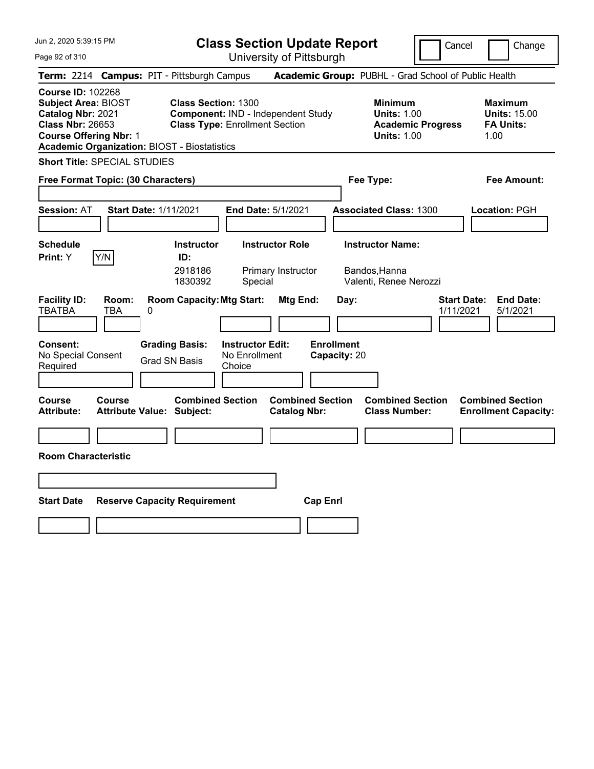| Jun 2, 2020 5:39:15 PM                                                                                                                                                                         |                                                                                                           | <b>Class Section Update Report</b>                      |                                                                   | Cancel                          | Change                                                            |
|------------------------------------------------------------------------------------------------------------------------------------------------------------------------------------------------|-----------------------------------------------------------------------------------------------------------|---------------------------------------------------------|-------------------------------------------------------------------|---------------------------------|-------------------------------------------------------------------|
| Page 92 of 310                                                                                                                                                                                 |                                                                                                           | University of Pittsburgh                                |                                                                   |                                 |                                                                   |
| Term: 2214 Campus: PIT - Pittsburgh Campus                                                                                                                                                     |                                                                                                           |                                                         | Academic Group: PUBHL - Grad School of Public Health              |                                 |                                                                   |
| <b>Course ID: 102268</b><br><b>Subject Area: BIOST</b><br>Catalog Nbr: 2021<br><b>Class Nbr: 26653</b><br><b>Course Offering Nbr: 1</b><br><b>Academic Organization: BIOST - Biostatistics</b> | <b>Class Section: 1300</b><br>Component: IND - Independent Study<br><b>Class Type: Enrollment Section</b> |                                                         | <b>Minimum</b><br><b>Units: 1.00</b><br><b>Units: 1.00</b>        | <b>Academic Progress</b>        | <b>Maximum</b><br><b>Units: 15.00</b><br><b>FA Units:</b><br>1.00 |
| <b>Short Title: SPECIAL STUDIES</b>                                                                                                                                                            |                                                                                                           |                                                         |                                                                   |                                 |                                                                   |
| Free Format Topic: (30 Characters)                                                                                                                                                             |                                                                                                           |                                                         | Fee Type:                                                         |                                 | Fee Amount:                                                       |
| <b>Start Date: 1/11/2021</b><br><b>Session: AT</b>                                                                                                                                             |                                                                                                           | End Date: 5/1/2021                                      | <b>Associated Class: 1300</b>                                     |                                 | Location: PGH                                                     |
| <b>Schedule</b><br>Y/N<br>Print: Y                                                                                                                                                             | <b>Instructor</b><br>ID:<br>2918186<br>1830392                                                            | <b>Instructor Role</b><br>Primary Instructor<br>Special | <b>Instructor Name:</b><br>Bandos,Hanna<br>Valenti, Renee Nerozzi |                                 |                                                                   |
| <b>Facility ID:</b><br>Room:<br><b>TBATBA</b><br>TBA<br>0                                                                                                                                      | <b>Room Capacity: Mtg Start:</b>                                                                          | Mtg End:                                                | Day:                                                              | <b>Start Date:</b><br>1/11/2021 | <b>End Date:</b><br>5/1/2021                                      |
| <b>Consent:</b><br>No Special Consent<br>Required                                                                                                                                              | <b>Grading Basis:</b><br><b>Grad SN Basis</b><br>Choice                                                   | <b>Instructor Edit:</b><br>No Enrollment                | <b>Enrollment</b><br>Capacity: 20                                 |                                 |                                                                   |
| Course<br><b>Course</b><br><b>Attribute Value: Subject:</b><br>Attribute:                                                                                                                      | <b>Combined Section</b>                                                                                   | <b>Combined Section</b><br><b>Catalog Nbr:</b>          | <b>Combined Section</b><br><b>Class Number:</b>                   |                                 | <b>Combined Section</b><br><b>Enrollment Capacity:</b>            |
|                                                                                                                                                                                                |                                                                                                           |                                                         |                                                                   |                                 |                                                                   |
| <b>Room Characteristic</b>                                                                                                                                                                     |                                                                                                           |                                                         |                                                                   |                                 |                                                                   |
|                                                                                                                                                                                                |                                                                                                           |                                                         |                                                                   |                                 |                                                                   |
| <b>Start Date</b>                                                                                                                                                                              | <b>Reserve Capacity Requirement</b>                                                                       | <b>Cap Enrl</b>                                         |                                                                   |                                 |                                                                   |
|                                                                                                                                                                                                |                                                                                                           |                                                         |                                                                   |                                 |                                                                   |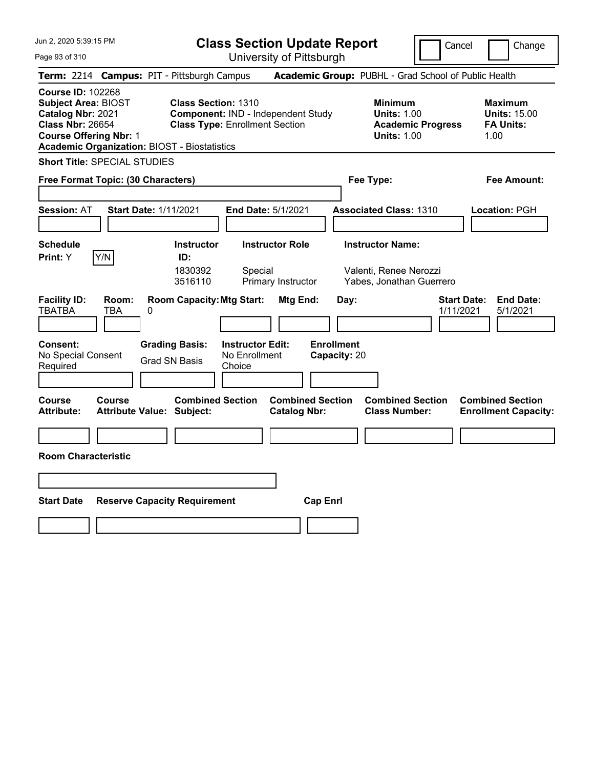| Jun 2, 2020 5:39:15 PM                                                                                                                                                                         | <b>Class Section Update Report</b>                                                                                                      |                                                       |                                                                               | Cancel                          | Change                                                            |
|------------------------------------------------------------------------------------------------------------------------------------------------------------------------------------------------|-----------------------------------------------------------------------------------------------------------------------------------------|-------------------------------------------------------|-------------------------------------------------------------------------------|---------------------------------|-------------------------------------------------------------------|
| Page 93 of 310                                                                                                                                                                                 |                                                                                                                                         | University of Pittsburgh                              |                                                                               |                                 |                                                                   |
| Term: 2214 Campus: PIT - Pittsburgh Campus                                                                                                                                                     |                                                                                                                                         | Academic Group: PUBHL - Grad School of Public Health  |                                                                               |                                 |                                                                   |
| <b>Course ID: 102268</b><br><b>Subject Area: BIOST</b><br>Catalog Nbr: 2021<br><b>Class Nbr: 26654</b><br><b>Course Offering Nbr: 1</b><br><b>Academic Organization: BIOST - Biostatistics</b> | <b>Class Section: 1310</b><br>Component: IND - Independent Study<br><b>Class Type: Enrollment Section</b>                               |                                                       | <b>Minimum</b><br><b>Units: 1.00</b><br><b>Units: 1.00</b>                    | <b>Academic Progress</b>        | <b>Maximum</b><br><b>Units: 15.00</b><br><b>FA Units:</b><br>1.00 |
| <b>Short Title: SPECIAL STUDIES</b>                                                                                                                                                            |                                                                                                                                         |                                                       |                                                                               |                                 |                                                                   |
| Free Format Topic: (30 Characters)                                                                                                                                                             |                                                                                                                                         |                                                       | Fee Type:                                                                     |                                 | Fee Amount:                                                       |
| <b>Start Date: 1/11/2021</b><br><b>Session: AT</b>                                                                                                                                             | <b>End Date: 5/1/2021</b>                                                                                                               |                                                       | <b>Associated Class: 1310</b>                                                 |                                 | Location: PGH                                                     |
| <b>Schedule</b><br>Y/N<br>Print: Y                                                                                                                                                             | <b>Instructor Role</b><br><b>Instructor</b><br>ID:<br>1830392<br>Special<br>3516110                                                     | Primary Instructor                                    | <b>Instructor Name:</b><br>Valenti, Renee Nerozzi<br>Yabes, Jonathan Guerrero |                                 |                                                                   |
| <b>Facility ID:</b><br>Room:<br><b>TBATBA</b><br>TBA<br>0<br><b>Consent:</b><br>No Special Consent<br>Required                                                                                 | <b>Room Capacity: Mtg Start:</b><br><b>Grading Basis:</b><br><b>Instructor Edit:</b><br>No Enrollment<br><b>Grad SN Basis</b><br>Choice | Mtg End:<br>Day:<br><b>Enrollment</b><br>Capacity: 20 |                                                                               | <b>Start Date:</b><br>1/11/2021 | <b>End Date:</b><br>5/1/2021                                      |
| <b>Course</b><br><b>Course</b><br><b>Attribute:</b><br><b>Attribute Value: Subject:</b>                                                                                                        | <b>Combined Section</b>                                                                                                                 | <b>Combined Section</b><br><b>Catalog Nbr:</b>        | <b>Combined Section</b><br><b>Class Number:</b>                               |                                 | <b>Combined Section</b><br><b>Enrollment Capacity:</b>            |
| <b>Room Characteristic</b>                                                                                                                                                                     |                                                                                                                                         |                                                       |                                                                               |                                 |                                                                   |
|                                                                                                                                                                                                |                                                                                                                                         |                                                       |                                                                               |                                 |                                                                   |
|                                                                                                                                                                                                |                                                                                                                                         |                                                       |                                                                               |                                 |                                                                   |
| <b>Start Date</b>                                                                                                                                                                              | <b>Reserve Capacity Requirement</b>                                                                                                     | <b>Cap Enri</b>                                       |                                                                               |                                 |                                                                   |
|                                                                                                                                                                                                |                                                                                                                                         |                                                       |                                                                               |                                 |                                                                   |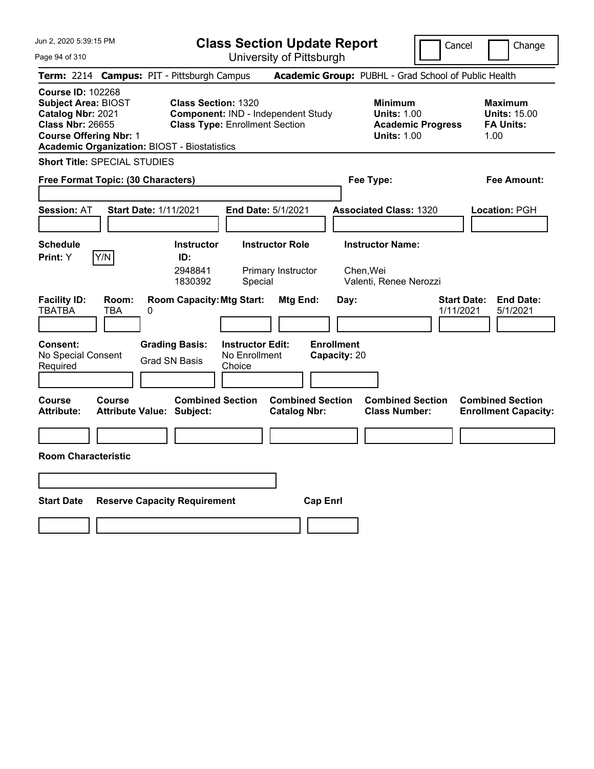| Jun 2, 2020 5:39:15 PM                                                                                                                                                                         |                                                                                                           | <b>Class Section Update Report</b>                      |                                                      |                                                                | Cancel                          | Change                                                            |
|------------------------------------------------------------------------------------------------------------------------------------------------------------------------------------------------|-----------------------------------------------------------------------------------------------------------|---------------------------------------------------------|------------------------------------------------------|----------------------------------------------------------------|---------------------------------|-------------------------------------------------------------------|
| Page 94 of 310                                                                                                                                                                                 |                                                                                                           | University of Pittsburgh                                |                                                      |                                                                |                                 |                                                                   |
| Term: 2214 Campus: PIT - Pittsburgh Campus                                                                                                                                                     |                                                                                                           |                                                         | Academic Group: PUBHL - Grad School of Public Health |                                                                |                                 |                                                                   |
| <b>Course ID: 102268</b><br><b>Subject Area: BIOST</b><br>Catalog Nbr: 2021<br><b>Class Nbr: 26655</b><br><b>Course Offering Nbr: 1</b><br><b>Academic Organization: BIOST - Biostatistics</b> | <b>Class Section: 1320</b><br>Component: IND - Independent Study<br><b>Class Type: Enrollment Section</b> |                                                         |                                                      | <b>Minimum</b><br><b>Units: 1.00</b><br><b>Units: 1.00</b>     | <b>Academic Progress</b>        | <b>Maximum</b><br><b>Units: 15.00</b><br><b>FA Units:</b><br>1.00 |
| <b>Short Title: SPECIAL STUDIES</b>                                                                                                                                                            |                                                                                                           |                                                         |                                                      |                                                                |                                 |                                                                   |
| Free Format Topic: (30 Characters)                                                                                                                                                             |                                                                                                           |                                                         |                                                      | Fee Type:                                                      |                                 | Fee Amount:                                                       |
| <b>Start Date: 1/11/2021</b><br><b>Session: AT</b>                                                                                                                                             |                                                                                                           | End Date: 5/1/2021                                      |                                                      | <b>Associated Class: 1320</b>                                  |                                 | Location: PGH                                                     |
| <b>Schedule</b><br>Y/N<br>Print: Y                                                                                                                                                             | <b>Instructor</b><br>ID:<br>2948841<br>1830392                                                            | <b>Instructor Role</b><br>Primary Instructor<br>Special |                                                      | <b>Instructor Name:</b><br>Chen, Wei<br>Valenti, Renee Nerozzi |                                 |                                                                   |
| <b>Facility ID:</b><br>Room:<br><b>TBATBA</b><br>TBA<br>0                                                                                                                                      | <b>Room Capacity: Mtg Start:</b>                                                                          | Mtg End:                                                | Day:                                                 |                                                                | <b>Start Date:</b><br>1/11/2021 | <b>End Date:</b><br>5/1/2021                                      |
| <b>Consent:</b><br>No Special Consent<br>Required                                                                                                                                              | <b>Grading Basis:</b><br><b>Grad SN Basis</b><br>Choice                                                   | <b>Instructor Edit:</b><br>No Enrollment                | <b>Enrollment</b><br>Capacity: 20                    |                                                                |                                 |                                                                   |
| Course<br><b>Course</b><br><b>Attribute Value: Subject:</b><br>Attribute:                                                                                                                      | <b>Combined Section</b>                                                                                   | <b>Catalog Nbr:</b>                                     | <b>Combined Section</b>                              | <b>Combined Section</b><br><b>Class Number:</b>                |                                 | <b>Combined Section</b><br><b>Enrollment Capacity:</b>            |
|                                                                                                                                                                                                |                                                                                                           |                                                         |                                                      |                                                                |                                 |                                                                   |
| <b>Room Characteristic</b>                                                                                                                                                                     |                                                                                                           |                                                         |                                                      |                                                                |                                 |                                                                   |
|                                                                                                                                                                                                |                                                                                                           |                                                         |                                                      |                                                                |                                 |                                                                   |
| <b>Start Date</b>                                                                                                                                                                              | <b>Reserve Capacity Requirement</b>                                                                       |                                                         | <b>Cap Enrl</b>                                      |                                                                |                                 |                                                                   |
|                                                                                                                                                                                                |                                                                                                           |                                                         |                                                      |                                                                |                                 |                                                                   |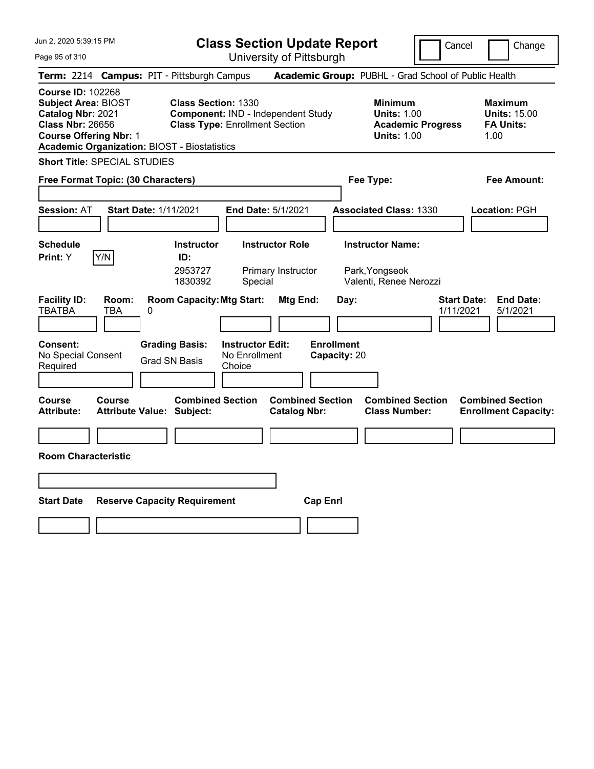| Jun 2, 2020 5:39:15 PM                                                                                                                                                                         |                                                                     |                                                    | <b>Class Section Update Report</b>                   |                                   |                                                                     | Cancel                          | Change                                                            |
|------------------------------------------------------------------------------------------------------------------------------------------------------------------------------------------------|---------------------------------------------------------------------|----------------------------------------------------|------------------------------------------------------|-----------------------------------|---------------------------------------------------------------------|---------------------------------|-------------------------------------------------------------------|
| Page 95 of 310                                                                                                                                                                                 |                                                                     |                                                    | University of Pittsburgh                             |                                   |                                                                     |                                 |                                                                   |
| Term: 2214 Campus: PIT - Pittsburgh Campus                                                                                                                                                     |                                                                     |                                                    | Academic Group: PUBHL - Grad School of Public Health |                                   |                                                                     |                                 |                                                                   |
| <b>Course ID: 102268</b><br><b>Subject Area: BIOST</b><br>Catalog Nbr: 2021<br><b>Class Nbr: 26656</b><br><b>Course Offering Nbr: 1</b><br><b>Academic Organization: BIOST - Biostatistics</b> | <b>Class Section: 1330</b><br><b>Class Type: Enrollment Section</b> |                                                    | Component: IND - Independent Study                   |                                   | <b>Minimum</b><br><b>Units: 1.00</b><br><b>Units: 1.00</b>          | <b>Academic Progress</b>        | <b>Maximum</b><br><b>Units: 15.00</b><br><b>FA Units:</b><br>1.00 |
| <b>Short Title: SPECIAL STUDIES</b>                                                                                                                                                            |                                                                     |                                                    |                                                      |                                   |                                                                     |                                 |                                                                   |
| Free Format Topic: (30 Characters)                                                                                                                                                             |                                                                     |                                                    |                                                      |                                   | Fee Type:                                                           |                                 | Fee Amount:                                                       |
| <b>Start Date: 1/11/2021</b><br><b>Session: AT</b>                                                                                                                                             |                                                                     | End Date: 5/1/2021                                 |                                                      |                                   | <b>Associated Class: 1330</b>                                       |                                 | Location: PGH                                                     |
| <b>Schedule</b><br>Y/N<br>Print: Y                                                                                                                                                             | <b>Instructor</b><br>ID:<br>2953727<br>1830392                      | Special                                            | <b>Instructor Role</b><br>Primary Instructor         |                                   | <b>Instructor Name:</b><br>Park, Yongseok<br>Valenti, Renee Nerozzi |                                 |                                                                   |
| <b>Facility ID:</b><br>Room:<br><b>TBATBA</b><br>TBA<br>0                                                                                                                                      | <b>Room Capacity: Mtg Start:</b>                                    |                                                    | Mtg End:                                             | Day:                              |                                                                     | <b>Start Date:</b><br>1/11/2021 | <b>End Date:</b><br>5/1/2021                                      |
| <b>Consent:</b><br>No Special Consent<br>Required                                                                                                                                              | <b>Grading Basis:</b><br><b>Grad SN Basis</b>                       | <b>Instructor Edit:</b><br>No Enrollment<br>Choice |                                                      | <b>Enrollment</b><br>Capacity: 20 |                                                                     |                                 |                                                                   |
| Course<br><b>Course</b><br><b>Attribute Value: Subject:</b><br>Attribute:                                                                                                                      | <b>Combined Section</b>                                             |                                                    | <b>Combined Section</b><br><b>Catalog Nbr:</b>       |                                   | <b>Combined Section</b><br><b>Class Number:</b>                     |                                 | <b>Combined Section</b><br><b>Enrollment Capacity:</b>            |
|                                                                                                                                                                                                |                                                                     |                                                    |                                                      |                                   |                                                                     |                                 |                                                                   |
| <b>Room Characteristic</b>                                                                                                                                                                     |                                                                     |                                                    |                                                      |                                   |                                                                     |                                 |                                                                   |
|                                                                                                                                                                                                |                                                                     |                                                    |                                                      |                                   |                                                                     |                                 |                                                                   |
| <b>Start Date</b>                                                                                                                                                                              | <b>Reserve Capacity Requirement</b>                                 |                                                    | <b>Cap Enrl</b>                                      |                                   |                                                                     |                                 |                                                                   |
|                                                                                                                                                                                                |                                                                     |                                                    |                                                      |                                   |                                                                     |                                 |                                                                   |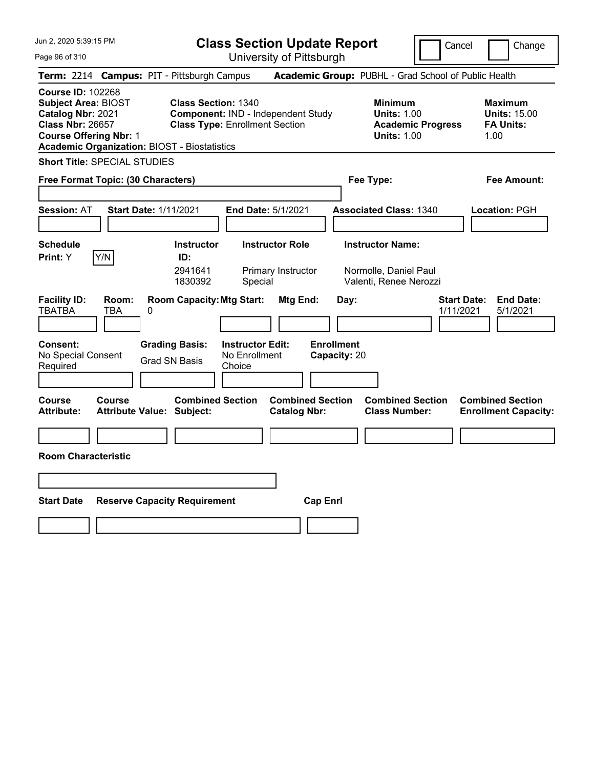| Jun 2, 2020 5:39:15 PM                                                                                                                                                                         | <b>Class Section Update Report</b>                                                                        |                                                |                                                                            | Cancel                          | Change                                                            |
|------------------------------------------------------------------------------------------------------------------------------------------------------------------------------------------------|-----------------------------------------------------------------------------------------------------------|------------------------------------------------|----------------------------------------------------------------------------|---------------------------------|-------------------------------------------------------------------|
| Page 96 of 310                                                                                                                                                                                 |                                                                                                           | University of Pittsburgh                       |                                                                            |                                 |                                                                   |
| Term: 2214 Campus: PIT - Pittsburgh Campus                                                                                                                                                     |                                                                                                           |                                                | Academic Group: PUBHL - Grad School of Public Health                       |                                 |                                                                   |
| <b>Course ID: 102268</b><br><b>Subject Area: BIOST</b><br>Catalog Nbr: 2021<br><b>Class Nbr: 26657</b><br><b>Course Offering Nbr: 1</b><br><b>Academic Organization: BIOST - Biostatistics</b> | <b>Class Section: 1340</b><br>Component: IND - Independent Study<br><b>Class Type: Enrollment Section</b> |                                                | <b>Minimum</b><br><b>Units: 1.00</b><br><b>Units: 1.00</b>                 | <b>Academic Progress</b>        | <b>Maximum</b><br><b>Units: 15.00</b><br><b>FA Units:</b><br>1.00 |
| <b>Short Title: SPECIAL STUDIES</b>                                                                                                                                                            |                                                                                                           |                                                |                                                                            |                                 |                                                                   |
| Free Format Topic: (30 Characters)                                                                                                                                                             |                                                                                                           |                                                | Fee Type:                                                                  |                                 | Fee Amount:                                                       |
| <b>Session: AT</b><br><b>Start Date: 1/11/2021</b>                                                                                                                                             |                                                                                                           | <b>End Date: 5/1/2021</b>                      | <b>Associated Class: 1340</b>                                              |                                 | Location: PGH                                                     |
| <b>Schedule</b><br>Y/N<br>Print: Y                                                                                                                                                             | <b>Instructor</b><br>ID:<br>2941641<br>1830392<br>Special                                                 | <b>Instructor Role</b><br>Primary Instructor   | <b>Instructor Name:</b><br>Normolle, Daniel Paul<br>Valenti, Renee Nerozzi |                                 |                                                                   |
| <b>Facility ID:</b><br>Room:<br><b>TBATBA</b><br>TBA<br>0<br><b>Consent:</b>                                                                                                                   | <b>Room Capacity: Mtg Start:</b><br><b>Instructor Edit:</b><br><b>Grading Basis:</b>                      | Mtg End:                                       | Day:<br><b>Enrollment</b>                                                  | <b>Start Date:</b><br>1/11/2021 | <b>End Date:</b><br>5/1/2021                                      |
| No Special Consent<br>Required                                                                                                                                                                 | No Enrollment<br><b>Grad SN Basis</b><br>Choice                                                           |                                                | Capacity: 20                                                               |                                 |                                                                   |
| Course<br>Course<br><b>Attribute:</b><br><b>Attribute Value: Subject:</b>                                                                                                                      | <b>Combined Section</b>                                                                                   | <b>Combined Section</b><br><b>Catalog Nbr:</b> | <b>Combined Section</b><br><b>Class Number:</b>                            |                                 | <b>Combined Section</b><br><b>Enrollment Capacity:</b>            |
|                                                                                                                                                                                                |                                                                                                           |                                                |                                                                            |                                 |                                                                   |
| <b>Room Characteristic</b>                                                                                                                                                                     |                                                                                                           |                                                |                                                                            |                                 |                                                                   |
|                                                                                                                                                                                                |                                                                                                           |                                                |                                                                            |                                 |                                                                   |
| <b>Start Date</b>                                                                                                                                                                              | <b>Reserve Capacity Requirement</b>                                                                       | <b>Cap Enrl</b>                                |                                                                            |                                 |                                                                   |
|                                                                                                                                                                                                |                                                                                                           |                                                |                                                                            |                                 |                                                                   |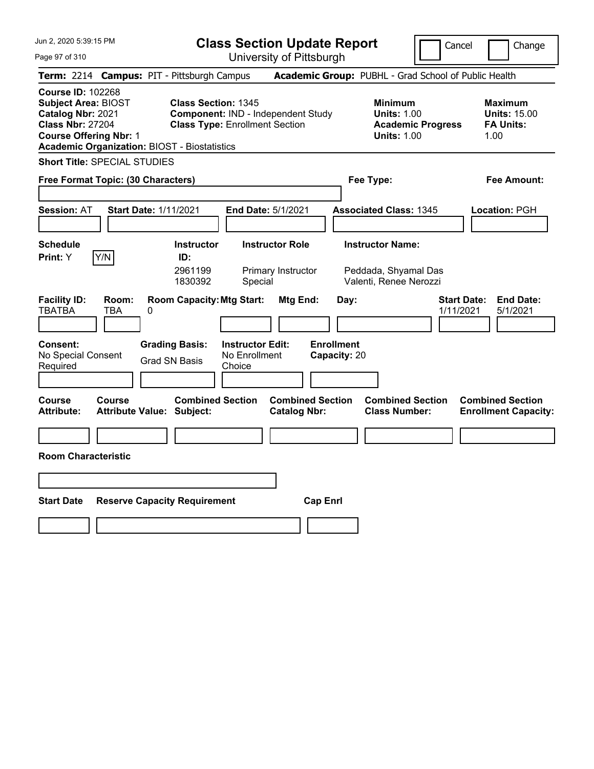| Jun 2, 2020 5:39:15 PM                                                                                                                                                                         |                                                                                                           | <b>Class Section Update Report</b>                      |                                                                           | Cancel                          | Change                                                            |
|------------------------------------------------------------------------------------------------------------------------------------------------------------------------------------------------|-----------------------------------------------------------------------------------------------------------|---------------------------------------------------------|---------------------------------------------------------------------------|---------------------------------|-------------------------------------------------------------------|
| Page 97 of 310                                                                                                                                                                                 |                                                                                                           | University of Pittsburgh                                |                                                                           |                                 |                                                                   |
| Term: 2214 Campus: PIT - Pittsburgh Campus                                                                                                                                                     |                                                                                                           |                                                         | Academic Group: PUBHL - Grad School of Public Health                      |                                 |                                                                   |
| <b>Course ID: 102268</b><br><b>Subject Area: BIOST</b><br>Catalog Nbr: 2021<br><b>Class Nbr: 27204</b><br><b>Course Offering Nbr: 1</b><br><b>Academic Organization: BIOST - Biostatistics</b> | <b>Class Section: 1345</b><br>Component: IND - Independent Study<br><b>Class Type: Enrollment Section</b> |                                                         | <b>Minimum</b><br><b>Units: 1.00</b><br><b>Units: 1.00</b>                | <b>Academic Progress</b>        | <b>Maximum</b><br><b>Units: 15.00</b><br><b>FA Units:</b><br>1.00 |
| <b>Short Title: SPECIAL STUDIES</b>                                                                                                                                                            |                                                                                                           |                                                         |                                                                           |                                 |                                                                   |
| Free Format Topic: (30 Characters)                                                                                                                                                             |                                                                                                           |                                                         | Fee Type:                                                                 |                                 | Fee Amount:                                                       |
| <b>Start Date: 1/11/2021</b><br><b>Session: AT</b>                                                                                                                                             |                                                                                                           | <b>End Date: 5/1/2021</b>                               | <b>Associated Class: 1345</b>                                             |                                 | Location: PGH                                                     |
| <b>Schedule</b><br>Y/N<br><b>Print:</b> Y                                                                                                                                                      | <b>Instructor</b><br>ID:<br>2961199<br>1830392                                                            | <b>Instructor Role</b><br>Primary Instructor<br>Special | <b>Instructor Name:</b><br>Peddada, Shyamal Das<br>Valenti, Renee Nerozzi |                                 |                                                                   |
| <b>Facility ID:</b><br>Room:<br><b>TBATBA</b><br>TBA<br>0<br><b>Consent:</b><br>No Special Consent<br>Required                                                                                 | <b>Room Capacity: Mtg Start:</b><br><b>Grading Basis:</b><br>No Enrollment<br>Grad SN Basis<br>Choice     | Mtg End:<br><b>Instructor Edit:</b>                     | Day:<br><b>Enrollment</b><br>Capacity: 20                                 | <b>Start Date:</b><br>1/11/2021 | <b>End Date:</b><br>5/1/2021                                      |
| Course<br>Course<br><b>Attribute:</b><br>Attribute Value: Subject:                                                                                                                             | <b>Combined Section</b>                                                                                   | <b>Combined Section</b><br><b>Catalog Nbr:</b>          | <b>Combined Section</b><br><b>Class Number:</b>                           |                                 | <b>Combined Section</b><br><b>Enrollment Capacity:</b>            |
|                                                                                                                                                                                                |                                                                                                           |                                                         |                                                                           |                                 |                                                                   |
| <b>Room Characteristic</b>                                                                                                                                                                     |                                                                                                           |                                                         |                                                                           |                                 |                                                                   |
|                                                                                                                                                                                                |                                                                                                           |                                                         |                                                                           |                                 |                                                                   |
| <b>Start Date</b>                                                                                                                                                                              | <b>Reserve Capacity Requirement</b>                                                                       | <b>Cap Enrl</b>                                         |                                                                           |                                 |                                                                   |
|                                                                                                                                                                                                |                                                                                                           |                                                         |                                                                           |                                 |                                                                   |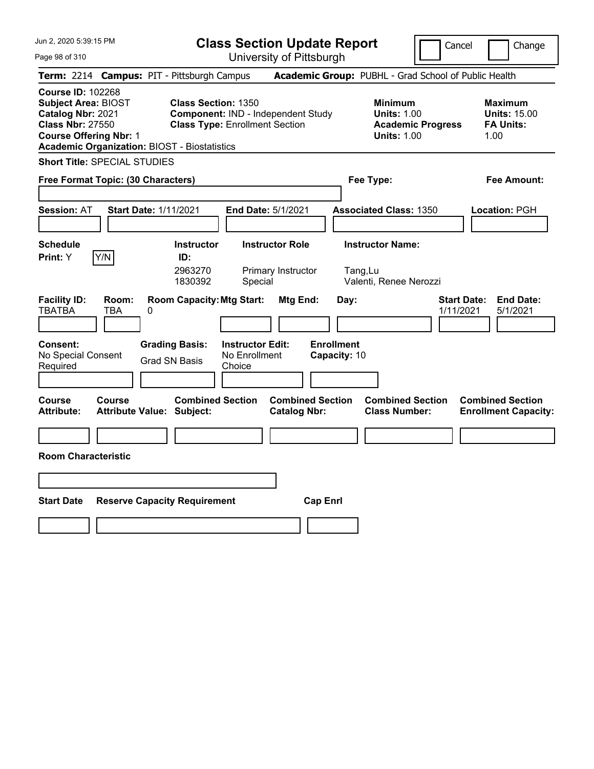| Jun 2, 2020 5:39:15 PM                                                                                                                                                                         |                                                                                                           | <b>Class Section Update Report</b>                      |                                                               | Cancel                          | Change                                                            |
|------------------------------------------------------------------------------------------------------------------------------------------------------------------------------------------------|-----------------------------------------------------------------------------------------------------------|---------------------------------------------------------|---------------------------------------------------------------|---------------------------------|-------------------------------------------------------------------|
| Page 98 of 310                                                                                                                                                                                 |                                                                                                           | University of Pittsburgh                                |                                                               |                                 |                                                                   |
| Term: 2214 Campus: PIT - Pittsburgh Campus                                                                                                                                                     |                                                                                                           |                                                         | Academic Group: PUBHL - Grad School of Public Health          |                                 |                                                                   |
| <b>Course ID: 102268</b><br><b>Subject Area: BIOST</b><br>Catalog Nbr: 2021<br><b>Class Nbr: 27550</b><br><b>Course Offering Nbr: 1</b><br><b>Academic Organization: BIOST - Biostatistics</b> | <b>Class Section: 1350</b><br>Component: IND - Independent Study<br><b>Class Type: Enrollment Section</b> |                                                         | <b>Minimum</b><br><b>Units: 1.00</b><br><b>Units: 1.00</b>    | <b>Academic Progress</b>        | <b>Maximum</b><br><b>Units: 15.00</b><br><b>FA Units:</b><br>1.00 |
| <b>Short Title: SPECIAL STUDIES</b>                                                                                                                                                            |                                                                                                           |                                                         |                                                               |                                 |                                                                   |
| Free Format Topic: (30 Characters)                                                                                                                                                             |                                                                                                           |                                                         | Fee Type:                                                     |                                 | Fee Amount:                                                       |
| <b>Start Date: 1/11/2021</b><br><b>Session: AT</b>                                                                                                                                             |                                                                                                           | <b>End Date: 5/1/2021</b>                               | <b>Associated Class: 1350</b>                                 |                                 | Location: PGH                                                     |
| <b>Schedule</b><br>Y/N<br>Print: Y                                                                                                                                                             | <b>Instructor</b><br>ID:<br>2963270<br>1830392                                                            | <b>Instructor Role</b><br>Primary Instructor<br>Special | <b>Instructor Name:</b><br>Tang, Lu<br>Valenti, Renee Nerozzi |                                 |                                                                   |
| <b>Facility ID:</b><br>Room:<br><b>TBATBA</b><br>TBA<br>0<br><b>Consent:</b><br>No Special Consent<br>Required                                                                                 | <b>Room Capacity: Mtg Start:</b><br><b>Grading Basis:</b><br><b>Grad SN Basis</b><br>Choice               | Mtg End:<br><b>Instructor Edit:</b><br>No Enrollment    | Day:<br><b>Enrollment</b><br>Capacity: 10                     | <b>Start Date:</b><br>1/11/2021 | <b>End Date:</b><br>5/1/2021                                      |
| Course<br><b>Course</b><br><b>Attribute:</b><br><b>Attribute Value: Subject:</b>                                                                                                               | <b>Combined Section</b>                                                                                   | <b>Combined Section</b><br><b>Catalog Nbr:</b>          | <b>Combined Section</b><br><b>Class Number:</b>               |                                 | <b>Combined Section</b><br><b>Enrollment Capacity:</b>            |
|                                                                                                                                                                                                |                                                                                                           |                                                         |                                                               |                                 |                                                                   |
| <b>Room Characteristic</b>                                                                                                                                                                     |                                                                                                           |                                                         |                                                               |                                 |                                                                   |
|                                                                                                                                                                                                |                                                                                                           |                                                         |                                                               |                                 |                                                                   |
| <b>Start Date</b>                                                                                                                                                                              | <b>Reserve Capacity Requirement</b>                                                                       | <b>Cap Enri</b>                                         |                                                               |                                 |                                                                   |
|                                                                                                                                                                                                |                                                                                                           |                                                         |                                                               |                                 |                                                                   |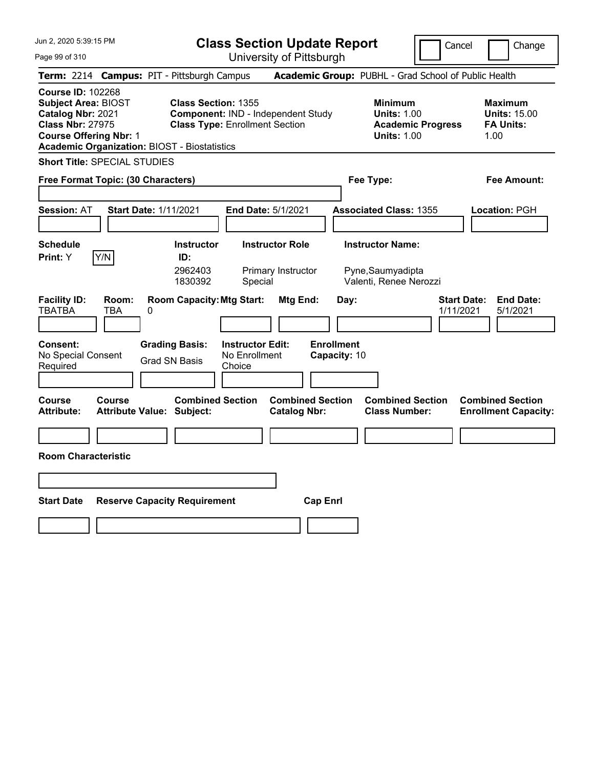| Jun 2, 2020 5:39:15 PM                                                                                                                                                                         |                                                                                                           | <b>Class Section Update Report</b>             |                                                                        | Cancel                          | Change                                                            |
|------------------------------------------------------------------------------------------------------------------------------------------------------------------------------------------------|-----------------------------------------------------------------------------------------------------------|------------------------------------------------|------------------------------------------------------------------------|---------------------------------|-------------------------------------------------------------------|
| Page 99 of 310                                                                                                                                                                                 |                                                                                                           | University of Pittsburgh                       |                                                                        |                                 |                                                                   |
| Term: 2214 Campus: PIT - Pittsburgh Campus                                                                                                                                                     |                                                                                                           |                                                | Academic Group: PUBHL - Grad School of Public Health                   |                                 |                                                                   |
| <b>Course ID: 102268</b><br><b>Subject Area: BIOST</b><br>Catalog Nbr: 2021<br><b>Class Nbr: 27975</b><br><b>Course Offering Nbr: 1</b><br><b>Academic Organization: BIOST - Biostatistics</b> | <b>Class Section: 1355</b><br>Component: IND - Independent Study<br><b>Class Type: Enrollment Section</b> |                                                | <b>Minimum</b><br><b>Units: 1.00</b><br><b>Units: 1.00</b>             | <b>Academic Progress</b>        | <b>Maximum</b><br><b>Units: 15.00</b><br><b>FA Units:</b><br>1.00 |
| <b>Short Title: SPECIAL STUDIES</b>                                                                                                                                                            |                                                                                                           |                                                |                                                                        |                                 |                                                                   |
| Free Format Topic: (30 Characters)                                                                                                                                                             |                                                                                                           |                                                | Fee Type:                                                              |                                 | Fee Amount:                                                       |
| <b>Start Date: 1/11/2021</b><br><b>Session: AT</b>                                                                                                                                             |                                                                                                           | End Date: 5/1/2021                             | <b>Associated Class: 1355</b>                                          |                                 | Location: PGH                                                     |
| <b>Schedule</b><br>Y/N<br>Print: Y                                                                                                                                                             | <b>Instructor</b><br>ID:<br>2962403<br>1830392<br>Special                                                 | <b>Instructor Role</b><br>Primary Instructor   | <b>Instructor Name:</b><br>Pyne, Saumyadipta<br>Valenti, Renee Nerozzi |                                 |                                                                   |
| <b>Facility ID:</b><br>Room:<br><b>TBATBA</b><br>TBA<br>0                                                                                                                                      | <b>Room Capacity: Mtg Start:</b>                                                                          | Mtg End:                                       | Day:                                                                   | <b>Start Date:</b><br>1/11/2021 | <b>End Date:</b><br>5/1/2021                                      |
| <b>Consent:</b><br>No Special Consent<br>Required                                                                                                                                              | <b>Grading Basis:</b><br><b>Instructor Edit:</b><br>No Enrollment<br><b>Grad SN Basis</b><br>Choice       |                                                | <b>Enrollment</b><br>Capacity: 10                                      |                                 |                                                                   |
| Course<br><b>Course</b><br><b>Attribute Value: Subject:</b><br>Attribute:                                                                                                                      | <b>Combined Section</b>                                                                                   | <b>Combined Section</b><br><b>Catalog Nbr:</b> | <b>Combined Section</b><br><b>Class Number:</b>                        |                                 | <b>Combined Section</b><br><b>Enrollment Capacity:</b>            |
|                                                                                                                                                                                                |                                                                                                           |                                                |                                                                        |                                 |                                                                   |
| <b>Room Characteristic</b>                                                                                                                                                                     |                                                                                                           |                                                |                                                                        |                                 |                                                                   |
|                                                                                                                                                                                                |                                                                                                           |                                                |                                                                        |                                 |                                                                   |
| <b>Start Date</b>                                                                                                                                                                              | <b>Reserve Capacity Requirement</b>                                                                       | <b>Cap Enrl</b>                                |                                                                        |                                 |                                                                   |
|                                                                                                                                                                                                |                                                                                                           |                                                |                                                                        |                                 |                                                                   |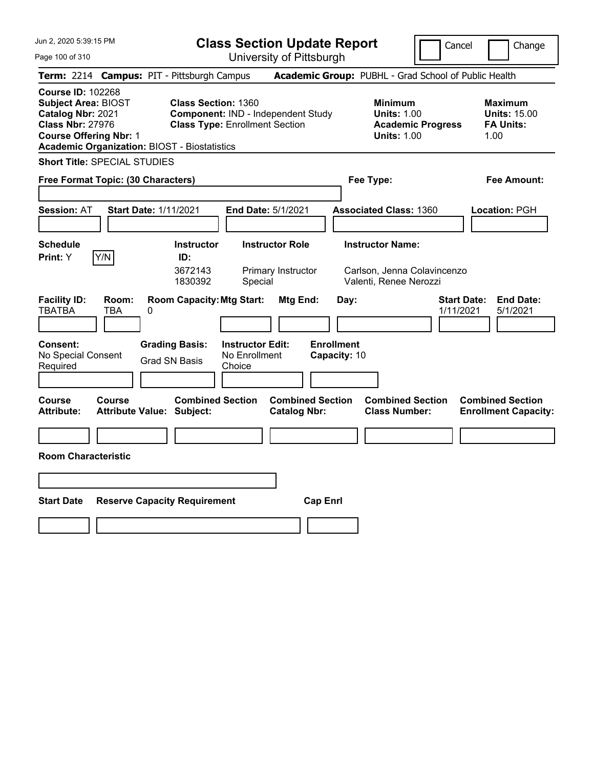| Jun 2, 2020 5:39:15 PM                                                                                                                                                                         |                                                                                                              | <b>Class Section Update Report</b>                      |                                                                                  | Cancel                          | Change                                                            |
|------------------------------------------------------------------------------------------------------------------------------------------------------------------------------------------------|--------------------------------------------------------------------------------------------------------------|---------------------------------------------------------|----------------------------------------------------------------------------------|---------------------------------|-------------------------------------------------------------------|
| Page 100 of 310                                                                                                                                                                                |                                                                                                              | University of Pittsburgh                                |                                                                                  |                                 |                                                                   |
| Term: 2214 Campus: PIT - Pittsburgh Campus                                                                                                                                                     |                                                                                                              |                                                         | Academic Group: PUBHL - Grad School of Public Health                             |                                 |                                                                   |
| <b>Course ID: 102268</b><br><b>Subject Area: BIOST</b><br>Catalog Nbr: 2021<br><b>Class Nbr: 27976</b><br><b>Course Offering Nbr: 1</b><br><b>Academic Organization: BIOST - Biostatistics</b> | <b>Class Section: 1360</b><br>Component: IND - Independent Study<br><b>Class Type: Enrollment Section</b>    |                                                         | <b>Minimum</b><br><b>Units: 1.00</b><br><b>Units: 1.00</b>                       | <b>Academic Progress</b>        | <b>Maximum</b><br><b>Units: 15.00</b><br><b>FA Units:</b><br>1.00 |
| <b>Short Title: SPECIAL STUDIES</b>                                                                                                                                                            |                                                                                                              |                                                         |                                                                                  |                                 |                                                                   |
| Free Format Topic: (30 Characters)                                                                                                                                                             |                                                                                                              |                                                         | Fee Type:                                                                        |                                 | Fee Amount:                                                       |
| <b>Session: AT</b><br><b>Start Date: 1/11/2021</b>                                                                                                                                             |                                                                                                              | End Date: 5/1/2021                                      | <b>Associated Class: 1360</b>                                                    |                                 | Location: PGH                                                     |
| <b>Schedule</b><br>Y/N<br><b>Print:</b> Y                                                                                                                                                      | <b>Instructor</b><br>ID:<br>3672143<br>1830392                                                               | <b>Instructor Role</b><br>Primary Instructor<br>Special | <b>Instructor Name:</b><br>Carlson, Jenna Colavincenzo<br>Valenti, Renee Nerozzi |                                 |                                                                   |
| <b>Facility ID:</b><br>Room:<br><b>TBATBA</b><br>TBA<br>0<br><b>Consent:</b><br>No Special Consent<br>Required                                                                                 | <b>Room Capacity: Mtg Start:</b><br><b>Grading Basis:</b><br>No Enrollment<br><b>Grad SN Basis</b><br>Choice | Mtg End:<br><b>Instructor Edit:</b>                     | Day:<br><b>Enrollment</b><br>Capacity: 10                                        | <b>Start Date:</b><br>1/11/2021 | <b>End Date:</b><br>5/1/2021                                      |
| <b>Course</b><br>Course<br><b>Attribute:</b><br><b>Attribute Value: Subject:</b>                                                                                                               | <b>Combined Section</b>                                                                                      | <b>Combined Section</b><br><b>Catalog Nbr:</b>          | <b>Combined Section</b><br><b>Class Number:</b>                                  |                                 | <b>Combined Section</b><br><b>Enrollment Capacity:</b>            |
|                                                                                                                                                                                                |                                                                                                              |                                                         |                                                                                  |                                 |                                                                   |
| <b>Room Characteristic</b>                                                                                                                                                                     |                                                                                                              |                                                         |                                                                                  |                                 |                                                                   |
|                                                                                                                                                                                                |                                                                                                              |                                                         |                                                                                  |                                 |                                                                   |
| <b>Start Date</b>                                                                                                                                                                              | <b>Reserve Capacity Requirement</b>                                                                          | <b>Cap Enrl</b>                                         |                                                                                  |                                 |                                                                   |
|                                                                                                                                                                                                |                                                                                                              |                                                         |                                                                                  |                                 |                                                                   |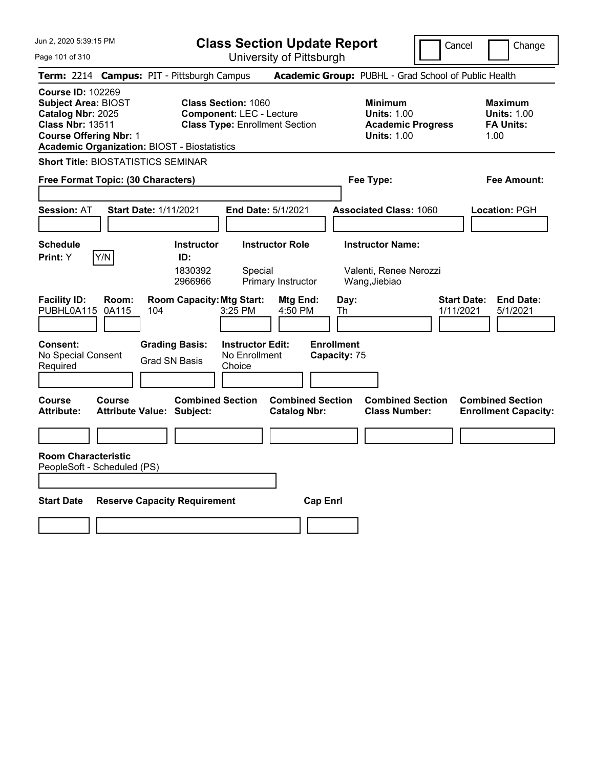**Class Section Update Report**

Cancel | Change

Page 101 of 310

University of Pittsburgh **Term:** 2214 **Campus:** PIT - Pittsburgh Campus **Academic Group:** PUBHL - Grad School of Public Health **Course ID:** 102269 **Subject Area:** BIOST **Class Section:** 1060 **Minimum Maximum Catalog Nbr:** 2025 **Component:** LEC - Lecture **Units:** 1.00 **Units:** 1.00 **Class Nbr:** 13511 **Class Type:** Enrollment Section **Academic Progress FA Units: Course Offering Nbr:** 1 **Units:** 1.00 1.00 **Academic Organization:** BIOST - Biostatistics **Short Title:** BIOSTATISTICS SEMINAR **Free Format Topic: (30 Characters) Fee Type: Fee Amount: Session:** AT **Start Date:** 1/11/2021 **End Date:** 5/1/2021 **Associated Class:** 1060 **Location:** PGH **Schedule Instructor Instructor Role Instructor Name: Print:**  $Y$   $|Y/N|$  **ID:** 1830392 Special Valenti, Renee Nerozzi 2966966 Primary Instructor Wang,Jiebiao **Facility ID: Room: Room Capacity:Mtg Start: Mtg End: Day: Start Date: End Date:** PUBHL0A115 0A115 104 3:25 PM 4:50 PM Th 1/11/2021 5/1/2021 **Consent: Grading Basis: Instructor Edit: Enrollment** No Special Consent Grad SN Basis No Enrollment<br>Required Grad SN Basis Choice **Choice Capacity:** 75 **Course Course Combined Section Combined Section Combined Section Combined Section**  Attribute: Attribute Value: Subject: Catalog Nbr: Class Number: Enrollment Capacity: **Room Characteristic** PeopleSoft - Scheduled (PS) **Start Date Reserve Capacity Requirement Cap Enrl**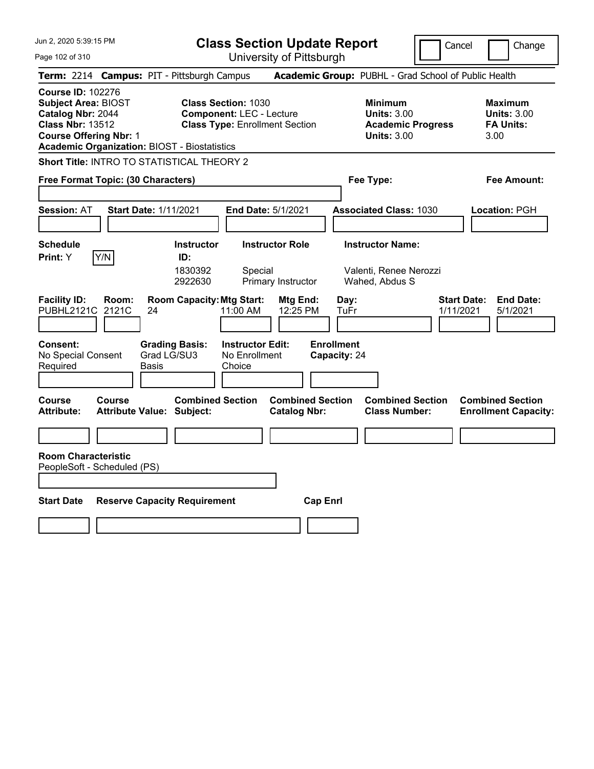**Class Section Update Report**

Cancel Change

Page 102 of 310

University of Pittsburgh **Term:** 2214 **Campus:** PIT - Pittsburgh Campus **Academic Group:** PUBHL - Grad School of Public Health **Course ID:** 102276 **Subject Area:** BIOST **Class Section:** 1030 **Minimum Maximum Catalog Nbr:** 2044 **Component:** LEC - Lecture **Units:** 3.00 **Units:** 3.00 **Class Nbr:** 13512 **Class Type:** Enrollment Section **Academic Progress FA Units: Course Offering Nbr:** 1 **Units:** 3.00 3.00 **Academic Organization:** BIOST - Biostatistics **Short Title:** INTRO TO STATISTICAL THEORY 2 **Free Format Topic: (30 Characters) Fee Type: Fee Amount: Session:** AT **Start Date:** 1/11/2021 **End Date:** 5/1/2021 **Associated Class:** 1030 **Location:** PGH **Schedule Instructor Instructor Role Instructor Name: Print:**  $Y$   $|Y/N|$  **ID:** 1830392 Special Valenti, Renee Nerozzi 2922630 Primary Instructor Wahed, Abdus S **Facility ID: Room: Room Capacity:Mtg Start: Mtg End: Day: Start Date: End Date:** PUBHL2121C 2121C 24 11:00 AM 12:25 PM TuFr 1/11/2021 5/1/2021 **Consent: Grading Basis: Instructor Edit: Enrollment** No Special Consent Required Grad LG/SU3 Basis No Enrollment **Choice Capacity:** 24 **Course Course Combined Section Combined Section Combined Section Combined Section**  Attribute: Attribute Value: Subject: Catalog Nbr: Class Number: Enrollment Capacity: **Room Characteristic** PeopleSoft - Scheduled (PS) **Start Date Reserve Capacity Requirement Cap Enrl**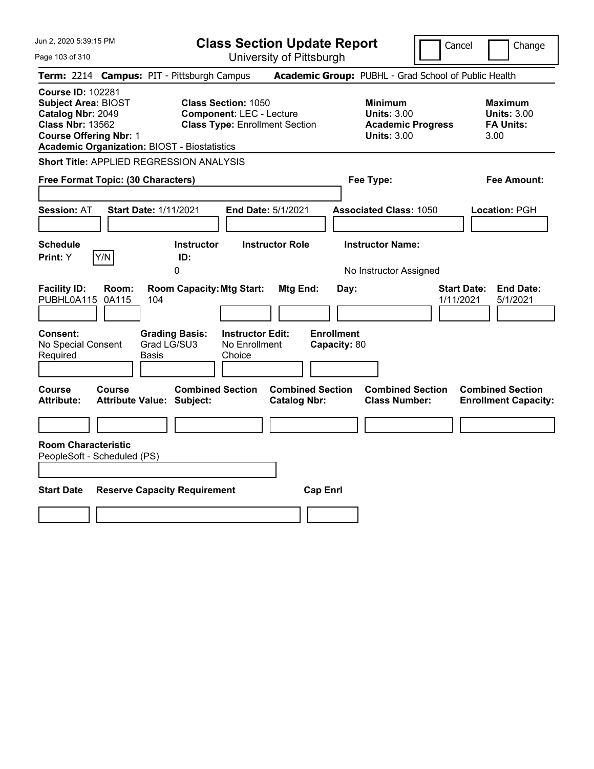**Class Section Update Report**

Cancel **Change** 

Page 103 of 310

| Page 103 of 310                                                                                        |                                            |                             |                                                           |                                                                                                        | University of Pittsburgh                       |                 |                                           |                                                            |                                                      |           |                    |                                                                  |  |
|--------------------------------------------------------------------------------------------------------|--------------------------------------------|-----------------------------|-----------------------------------------------------------|--------------------------------------------------------------------------------------------------------|------------------------------------------------|-----------------|-------------------------------------------|------------------------------------------------------------|------------------------------------------------------|-----------|--------------------|------------------------------------------------------------------|--|
|                                                                                                        |                                            |                             | Term: 2214 Campus: PIT - Pittsburgh Campus                |                                                                                                        |                                                |                 |                                           |                                                            | Academic Group: PUBHL - Grad School of Public Health |           |                    |                                                                  |  |
| <b>Course ID: 102281</b><br><b>Subject Area: BIOST</b><br>Catalog Nbr: 2049<br><b>Class Nbr: 13562</b> | <b>Course Offering Nbr: 1</b>              |                             | <b>Academic Organization: BIOST - Biostatistics</b>       | <b>Class Section: 1050</b><br><b>Component: LEC - Lecture</b><br><b>Class Type: Enrollment Section</b> |                                                |                 |                                           | <b>Minimum</b><br><b>Units: 3.00</b><br><b>Units: 3.00</b> | <b>Academic Progress</b>                             |           |                    | <b>Maximum</b><br><b>Units: 3.00</b><br><b>FA Units:</b><br>3.00 |  |
|                                                                                                        |                                            |                             | Short Title: APPLIED REGRESSION ANALYSIS                  |                                                                                                        |                                                |                 |                                           |                                                            |                                                      |           |                    |                                                                  |  |
|                                                                                                        | Free Format Topic: (30 Characters)         |                             |                                                           |                                                                                                        |                                                |                 |                                           | Fee Type:                                                  |                                                      |           |                    | Fee Amount:                                                      |  |
| <b>Session: AT</b>                                                                                     | <b>Start Date: 1/11/2021</b>               |                             |                                                           |                                                                                                        | <b>End Date: 5/1/2021</b>                      |                 |                                           |                                                            | <b>Associated Class: 1050</b>                        |           |                    | Location: PGH                                                    |  |
| <b>Schedule</b><br><b>Print:</b> Y                                                                     | Y/N                                        |                             | <b>Instructor</b><br>ID:<br>0                             |                                                                                                        | <b>Instructor Role</b>                         |                 |                                           | <b>Instructor Name:</b>                                    | No Instructor Assigned                               |           |                    |                                                                  |  |
| <b>Facility ID:</b><br>PUBHL0A115<br><b>Consent:</b><br>No Special Consent<br>Required                 | Room:<br>0A115                             | 104<br>Grad LG/SU3<br>Basis | <b>Room Capacity: Mtg Start:</b><br><b>Grading Basis:</b> | <b>Instructor Edit:</b><br>No Enrollment<br>Choice                                                     | Mtg End:                                       |                 | Day:<br><b>Enrollment</b><br>Capacity: 80 |                                                            |                                                      | 1/11/2021 | <b>Start Date:</b> | <b>End Date:</b><br>5/1/2021                                     |  |
| Course<br>Attribute:                                                                                   | Course<br><b>Attribute Value: Subject:</b> |                             | <b>Combined Section</b>                                   |                                                                                                        | <b>Combined Section</b><br><b>Catalog Nbr:</b> |                 |                                           |                                                            | <b>Combined Section</b><br><b>Class Number:</b>      |           |                    | <b>Combined Section</b><br><b>Enrollment Capacity:</b>           |  |
| <b>Room Characteristic</b>                                                                             | PeopleSoft - Scheduled (PS)                |                             |                                                           |                                                                                                        |                                                |                 |                                           |                                                            |                                                      |           |                    |                                                                  |  |
| Start Date                                                                                             |                                            |                             | <b>Reserve Capacity Requirement</b>                       |                                                                                                        |                                                | <b>Cap Enrl</b> |                                           |                                                            |                                                      |           |                    |                                                                  |  |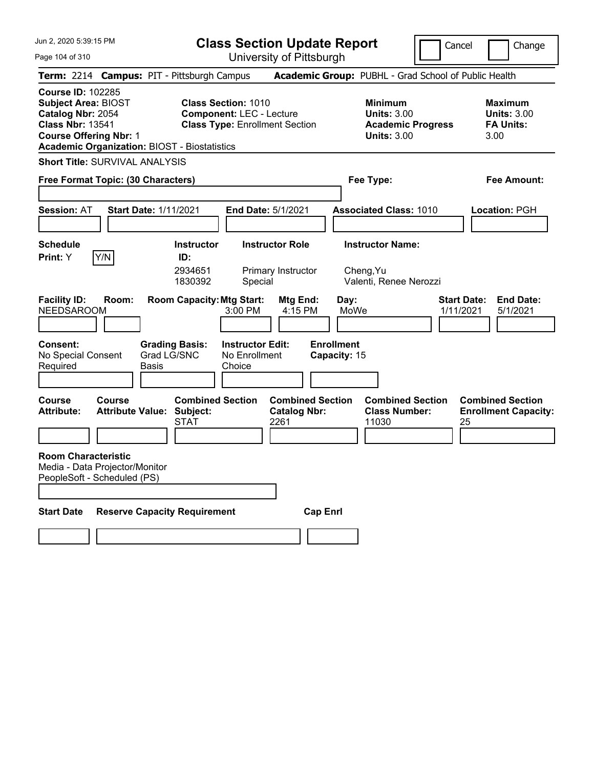| Jun 2, 2020 5:39:15 PM |  |  |  |  |  |
|------------------------|--|--|--|--|--|
|------------------------|--|--|--|--|--|

**Class Section Update Report**

Cancel **Change** 

Page 104 of 310

| Page 104 of 310                                                                                                                                                                                |                                                                                                        | University of Pittsburgh                                |                                                                                        |                                                                  |
|------------------------------------------------------------------------------------------------------------------------------------------------------------------------------------------------|--------------------------------------------------------------------------------------------------------|---------------------------------------------------------|----------------------------------------------------------------------------------------|------------------------------------------------------------------|
| Term: 2214 Campus: PIT - Pittsburgh Campus                                                                                                                                                     |                                                                                                        |                                                         | Academic Group: PUBHL - Grad School of Public Health                                   |                                                                  |
| <b>Course ID: 102285</b><br><b>Subject Area: BIOST</b><br>Catalog Nbr: 2054<br><b>Class Nbr: 13541</b><br><b>Course Offering Nbr: 1</b><br><b>Academic Organization: BIOST - Biostatistics</b> | <b>Class Section: 1010</b><br><b>Component: LEC - Lecture</b><br><b>Class Type: Enrollment Section</b> |                                                         | <b>Minimum</b><br><b>Units: 3.00</b><br><b>Academic Progress</b><br><b>Units: 3.00</b> | <b>Maximum</b><br><b>Units: 3.00</b><br><b>FA Units:</b><br>3.00 |
| <b>Short Title: SURVIVAL ANALYSIS</b><br>Free Format Topic: (30 Characters)                                                                                                                    |                                                                                                        |                                                         | Fee Type:                                                                              | Fee Amount:                                                      |
| <b>Session: AT</b><br><b>Start Date: 1/11/2021</b>                                                                                                                                             |                                                                                                        | <b>End Date: 5/1/2021</b>                               | <b>Associated Class: 1010</b>                                                          | Location: PGH                                                    |
| <b>Schedule</b><br>Y/N<br><b>Print:</b> Y                                                                                                                                                      | <b>Instructor</b><br>ID:<br>2934651<br>1830392                                                         | <b>Instructor Role</b><br>Primary Instructor<br>Special | <b>Instructor Name:</b><br>Cheng, Yu<br>Valenti, Renee Nerozzi                         |                                                                  |
| <b>Facility ID:</b><br>Room:<br><b>NEEDSAROOM</b><br>Consent:                                                                                                                                  | <b>Room Capacity: Mtg Start:</b><br>3:00 PM<br><b>Grading Basis:</b><br><b>Instructor Edit:</b>        | Mtg End:<br>4:15 PM                                     | Day:<br>MoWe<br><b>Enrollment</b>                                                      | <b>Start Date:</b><br><b>End Date:</b><br>1/11/2021<br>5/1/2021  |
| No Special Consent<br>Required<br><b>Basis</b>                                                                                                                                                 | Grad LG/SNC<br>No Enrollment<br>Choice                                                                 |                                                         | Capacity: 15                                                                           |                                                                  |
| <b>Course</b><br>Course<br><b>Attribute:</b><br><b>Attribute Value:</b>                                                                                                                        | <b>Combined Section</b><br>Subject:<br>STAT                                                            | <b>Combined Section</b><br><b>Catalog Nbr:</b><br>2261  | <b>Combined Section</b><br><b>Class Number:</b><br>11030                               | <b>Combined Section</b><br><b>Enrollment Capacity:</b><br>25     |
| <b>Room Characteristic</b><br>Media - Data Projector/Monitor<br>PeopleSoft - Scheduled (PS)                                                                                                    |                                                                                                        |                                                         |                                                                                        |                                                                  |
| <b>Start Date</b>                                                                                                                                                                              | <b>Reserve Capacity Requirement</b>                                                                    | <b>Cap Enrl</b>                                         |                                                                                        |                                                                  |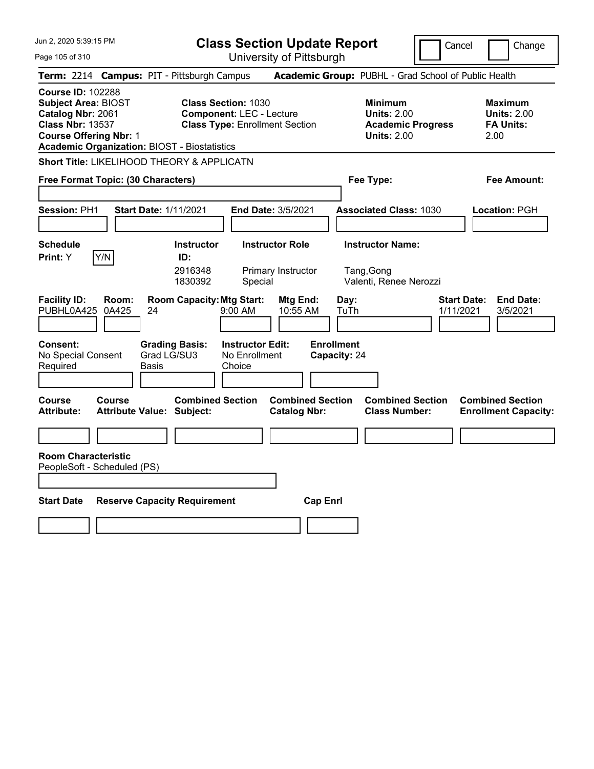**Class Section Update Report**

Cancel **Change** 

Page 105 of 310

| Page 105 of 310                                                                                                                         |                |                                                             |                                                               | University of Pittsburgh                       |                                   |                                                                                        |                                                                  |
|-----------------------------------------------------------------------------------------------------------------------------------------|----------------|-------------------------------------------------------------|---------------------------------------------------------------|------------------------------------------------|-----------------------------------|----------------------------------------------------------------------------------------|------------------------------------------------------------------|
|                                                                                                                                         |                | Term: 2214 Campus: PIT - Pittsburgh Campus                  |                                                               |                                                |                                   | Academic Group: PUBHL - Grad School of Public Health                                   |                                                                  |
| <b>Course ID: 102288</b><br><b>Subject Area: BIOST</b><br>Catalog Nbr: 2061<br><b>Class Nbr: 13537</b><br><b>Course Offering Nbr: 1</b> |                | <b>Academic Organization: BIOST - Biostatistics</b>         | <b>Class Section: 1030</b><br><b>Component: LEC - Lecture</b> | <b>Class Type: Enrollment Section</b>          |                                   | <b>Minimum</b><br><b>Units: 2.00</b><br><b>Academic Progress</b><br><b>Units: 2.00</b> | <b>Maximum</b><br><b>Units: 2.00</b><br><b>FA Units:</b><br>2.00 |
|                                                                                                                                         |                | Short Title: LIKELIHOOD THEORY & APPLICATN                  |                                                               |                                                |                                   |                                                                                        |                                                                  |
| <b>Free Format Topic: (30 Characters)</b>                                                                                               |                |                                                             |                                                               |                                                | Fee Type:                         |                                                                                        | Fee Amount:                                                      |
| Session: PH1                                                                                                                            |                | Start Date: 1/11/2021                                       |                                                               | End Date: 3/5/2021                             |                                   | <b>Associated Class: 1030</b>                                                          | Location: PGH                                                    |
| <b>Schedule</b><br>Print: Y                                                                                                             | Y/N            | <b>Instructor</b><br>ID:<br>2916348<br>1830392              | Special                                                       | <b>Instructor Role</b><br>Primary Instructor   | Tang, Gong                        | <b>Instructor Name:</b><br>Valenti, Renee Nerozzi                                      |                                                                  |
| <b>Facility ID:</b><br>PUBHL0A425                                                                                                       | Room:<br>0A425 | <b>Room Capacity: Mtg Start:</b><br>24                      | $9:00 \, \text{AM}$                                           | <b>Mtg End:</b><br>10:55 AM                    | Day:<br>TuTh                      |                                                                                        | <b>Start Date:</b><br><b>End Date:</b><br>1/11/2021<br>3/5/2021  |
| <b>Consent:</b><br>No Special Consent<br>Required                                                                                       |                | <b>Grading Basis:</b><br>Grad LG/SU3<br>Basis               | <b>Instructor Edit:</b><br>No Enrollment<br>Choice            |                                                | <b>Enrollment</b><br>Capacity: 24 |                                                                                        |                                                                  |
| <b>Course</b><br>Attribute:                                                                                                             | Course         | <b>Combined Section</b><br><b>Attribute Value: Subject:</b> |                                                               | <b>Combined Section</b><br><b>Catalog Nbr:</b> |                                   | <b>Combined Section</b><br><b>Class Number:</b>                                        | <b>Combined Section</b><br><b>Enrollment Capacity:</b>           |
| <b>Room Characteristic</b><br>PeopleSoft - Scheduled (PS)                                                                               |                |                                                             |                                                               |                                                |                                   |                                                                                        |                                                                  |
| <b>Start Date</b>                                                                                                                       |                | <b>Reserve Capacity Requirement</b>                         |                                                               | <b>Cap Enrl</b>                                |                                   |                                                                                        |                                                                  |
|                                                                                                                                         |                |                                                             |                                                               |                                                |                                   |                                                                                        |                                                                  |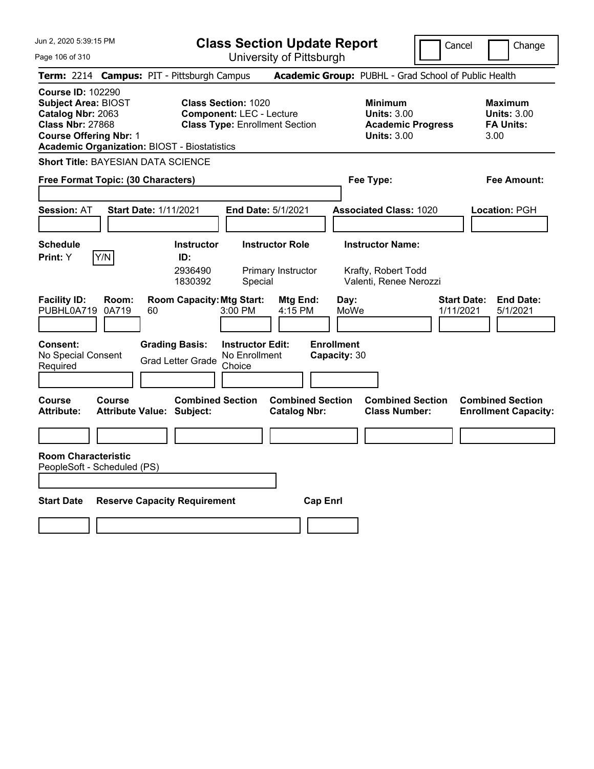**Class Section Update Report**

Cancel **Change** 

Page 106 of 310

| Page 106 of 310                                                                                                                                                                                | University of Pittsburgh                                                                                  |                                                                                        |                                                                  |
|------------------------------------------------------------------------------------------------------------------------------------------------------------------------------------------------|-----------------------------------------------------------------------------------------------------------|----------------------------------------------------------------------------------------|------------------------------------------------------------------|
| Term: 2214 Campus: PIT - Pittsburgh Campus                                                                                                                                                     |                                                                                                           | Academic Group: PUBHL - Grad School of Public Health                                   |                                                                  |
| <b>Course ID: 102290</b><br><b>Subject Area: BIOST</b><br>Catalog Nbr: 2063<br><b>Class Nbr: 27868</b><br><b>Course Offering Nbr: 1</b><br><b>Academic Organization: BIOST - Biostatistics</b> | <b>Class Section: 1020</b><br><b>Component: LEC - Lecture</b><br><b>Class Type: Enrollment Section</b>    | <b>Minimum</b><br><b>Units: 3.00</b><br><b>Academic Progress</b><br><b>Units: 3.00</b> | <b>Maximum</b><br><b>Units: 3.00</b><br><b>FA Units:</b><br>3.00 |
| <b>Short Title: BAYESIAN DATA SCIENCE</b>                                                                                                                                                      |                                                                                                           |                                                                                        |                                                                  |
| Free Format Topic: (30 Characters)                                                                                                                                                             |                                                                                                           | Fee Type:                                                                              | Fee Amount:                                                      |
| <b>Session: AT</b><br><b>Start Date: 1/11/2021</b>                                                                                                                                             | End Date: 5/1/2021                                                                                        | <b>Associated Class: 1020</b>                                                          | Location: PGH                                                    |
| <b>Schedule</b><br>Y/N<br>Print: Y                                                                                                                                                             | <b>Instructor Role</b><br><b>Instructor</b><br>ID:<br>2936490<br>Primary Instructor<br>1830392<br>Special | <b>Instructor Name:</b><br>Krafty, Robert Todd<br>Valenti, Renee Nerozzi               |                                                                  |
| <b>Facility ID:</b><br>Room:<br>PUBHL0A719<br>0A719<br>60                                                                                                                                      | <b>Room Capacity: Mtg Start:</b><br>Mtg End:<br>4:15 PM<br>3:00 PM                                        | Day:<br>MoWe                                                                           | <b>Start Date:</b><br><b>End Date:</b><br>1/11/2021<br>5/1/2021  |
| Consent:<br>No Special Consent<br>Required                                                                                                                                                     | <b>Grading Basis:</b><br><b>Instructor Edit:</b><br>No Enrollment<br><b>Grad Letter Grade</b><br>Choice   | <b>Enrollment</b><br>Capacity: 30                                                      |                                                                  |
| <b>Course</b><br><b>Course</b><br><b>Attribute:</b><br><b>Attribute Value: Subject:</b>                                                                                                        | <b>Combined Section</b><br><b>Combined Section</b><br><b>Catalog Nbr:</b>                                 | <b>Combined Section</b><br><b>Class Number:</b>                                        | <b>Combined Section</b><br><b>Enrollment Capacity:</b>           |
|                                                                                                                                                                                                |                                                                                                           |                                                                                        |                                                                  |
| <b>Room Characteristic</b><br>PeopleSoft - Scheduled (PS)                                                                                                                                      |                                                                                                           |                                                                                        |                                                                  |
| <b>Start Date</b>                                                                                                                                                                              | <b>Reserve Capacity Requirement</b>                                                                       | <b>Cap Enrl</b>                                                                        |                                                                  |
|                                                                                                                                                                                                |                                                                                                           |                                                                                        |                                                                  |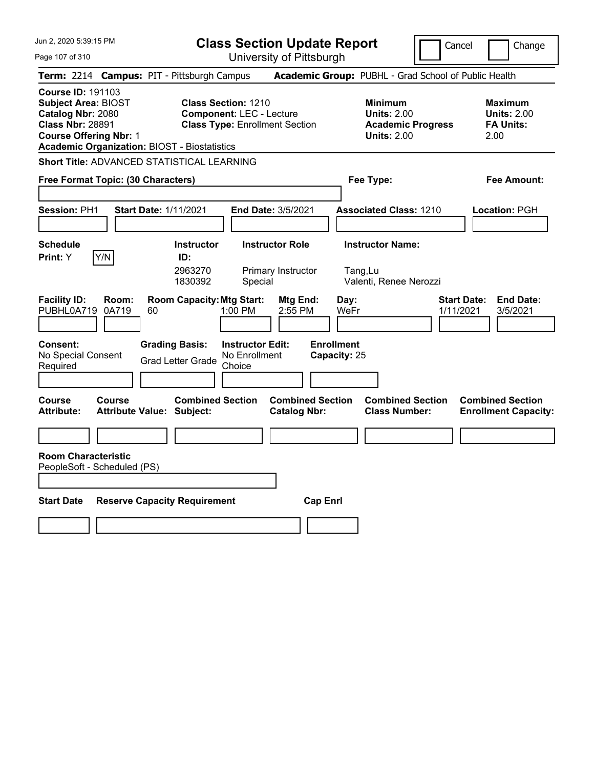**Class Section Update Report**

Page 107 of 310 University of Pittsburgh Cancel Change **Term:** 2214 **Campus:** PIT - Pittsburgh Campus **Academic Group:** PUBHL - Grad School of Public Health **Course ID:** 191103 **Subject Area:** BIOST **Class Section:** 1210 **Minimum Maximum Catalog Nbr:** 2080 **Component:** LEC - Lecture **Units:** 2.00 **Units:** 2.00 **Class Nbr:** 28891 **Class Type:** Enrollment Section **Academic Progress FA Units: Course Offering Nbr:** 1 **Units:** 2.00 2.00 **Academic Organization:** BIOST - Biostatistics **Short Title:** ADVANCED STATISTICAL LEARNING **Free Format Topic: (30 Characters) Fee Type: Fee Amount: Session:** PH1 **Start Date:** 1/11/2021 **End Date:** 3/5/2021 **Associated Class:** 1210 **Location:** PGH **Schedule Instructor Instructor Role Instructor Name: Print:**  $Y$   $|Y/N|$  **ID:** 2963270 Primary Instructor Tang,Lu 1830392 Special Valenti, Renee Nerozzi **Facility ID: Room: Room Capacity:Mtg Start: Mtg End: Day: Start Date: End Date:** PUBHL0A719 0A719 60 1:00 PM 2:55 PM WeFr 1/11/2021 3/5/2021 **Consent: Grading Basis: Instructor Edit: Enrollment** No Special Consent No Special Consent Grad Letter Grade No Enrollment<br>Required Choice Choice **Capacity:** 25 **Course Course Combined Section Combined Section Combined Section Combined Section**  Attribute: Attribute Value: Subject: Catalog Nbr: Class Number: Enrollment Capacity: **Room Characteristic** PeopleSoft - Scheduled (PS) **Start Date Reserve Capacity Requirement Cap Enrl**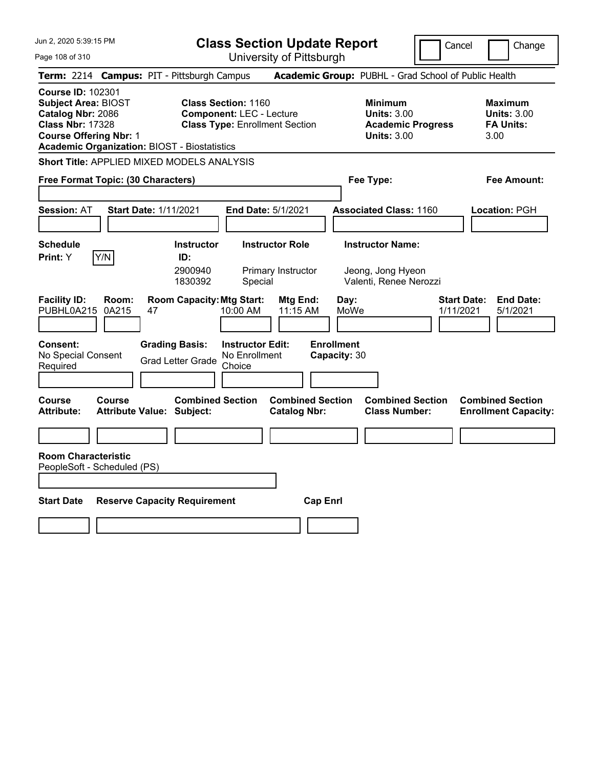**Class Section Update Report**

Cancel Change

Page 108 of 310 University of Pittsburgh **Term:** 2214 **Campus:** PIT - Pittsburgh Campus **Academic Group:** PUBHL - Grad School of Public Health **Course ID:** 102301 **Subject Area:** BIOST **Class Section:** 1160 **Minimum Maximum Catalog Nbr:** 2086 **Component:** LEC - Lecture **Units:** 3.00 **Units:** 3.00 **Class Nbr:** 17328 **Class Type:** Enrollment Section **Academic Progress FA Units: Course Offering Nbr:** 1 **Units:** 3.00 3.00 **Academic Organization:** BIOST - Biostatistics **Short Title:** APPLIED MIXED MODELS ANALYSIS **Free Format Topic: (30 Characters) Fee Type: Fee Amount: Session:** AT **Start Date:** 1/11/2021 **End Date:** 5/1/2021 **Associated Class:** 1160 **Location:** PGH **Schedule Instructor Instructor Role Instructor Name: Print:**  $Y$   $|Y/N|$  **ID:** 2900940 Primary Instructor Jeong, Jong Hyeon 1830392 Special Valenti, Renee Nerozzi **Facility ID: Room: Room Capacity:Mtg Start: Mtg End: Day: Start Date: End Date:** PUBHL0A215 0A215 47 10:00 AM 11:15 AM MoWe 1/11/2021 5/1/2021 **Consent: Grading Basis: Instructor Edit: Enrollment** No Special Consent No Special Consent Grad Letter Grade No Enrollment<br>Required Choice Choice **Capacity:** 30 **Course Course Combined Section Combined Section Combined Section Combined Section**  Attribute: Attribute Value: Subject: Catalog Nbr: Class Number: Enrollment Capacity: **Room Characteristic** PeopleSoft - Scheduled (PS) **Start Date Reserve Capacity Requirement Cap Enrl**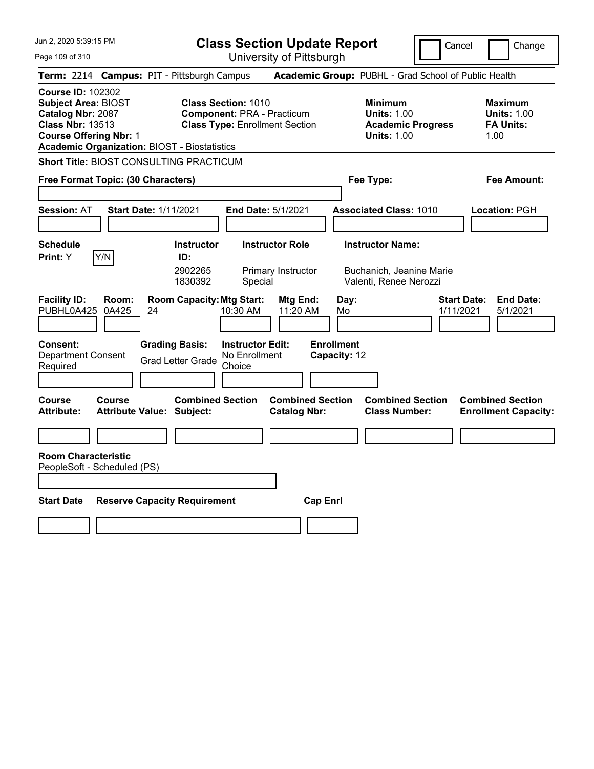**Class Section Update Report**

Cancel Change

Page 109 of 310

| Page 109 of 310                                                                                                                                                                                |                      |                                                             |                                                                                                          | University of Pittsburgh                       |                                   |                                                                                        |                                 |                                                                  |
|------------------------------------------------------------------------------------------------------------------------------------------------------------------------------------------------|----------------------|-------------------------------------------------------------|----------------------------------------------------------------------------------------------------------|------------------------------------------------|-----------------------------------|----------------------------------------------------------------------------------------|---------------------------------|------------------------------------------------------------------|
| Term: 2214 Campus: PIT - Pittsburgh Campus                                                                                                                                                     |                      |                                                             |                                                                                                          |                                                |                                   | Academic Group: PUBHL - Grad School of Public Health                                   |                                 |                                                                  |
| <b>Course ID: 102302</b><br><b>Subject Area: BIOST</b><br>Catalog Nbr: 2087<br><b>Class Nbr: 13513</b><br><b>Course Offering Nbr: 1</b><br><b>Academic Organization: BIOST - Biostatistics</b> |                      |                                                             | <b>Class Section: 1010</b><br><b>Component: PRA - Practicum</b><br><b>Class Type: Enrollment Section</b> |                                                |                                   | <b>Minimum</b><br><b>Units: 1.00</b><br><b>Academic Progress</b><br><b>Units: 1.00</b> |                                 | <b>Maximum</b><br><b>Units: 1.00</b><br><b>FA Units:</b><br>1.00 |
| <b>Short Title: BIOST CONSULTING PRACTICUM</b>                                                                                                                                                 |                      |                                                             |                                                                                                          |                                                |                                   |                                                                                        |                                 |                                                                  |
| Free Format Topic: (30 Characters)                                                                                                                                                             |                      |                                                             |                                                                                                          |                                                |                                   | Fee Type:                                                                              |                                 | Fee Amount:                                                      |
| <b>Session: AT</b>                                                                                                                                                                             |                      | <b>Start Date: 1/11/2021</b>                                | End Date: 5/1/2021                                                                                       |                                                |                                   | <b>Associated Class: 1010</b>                                                          |                                 | Location: PGH                                                    |
| <b>Schedule</b><br>Y/N<br>Print: Y                                                                                                                                                             |                      | <b>Instructor</b><br>ID:<br>2902265<br>1830392              | Special                                                                                                  | <b>Instructor Role</b><br>Primary Instructor   |                                   | <b>Instructor Name:</b><br>Buchanich, Jeanine Marie<br>Valenti, Renee Nerozzi          |                                 |                                                                  |
| <b>Facility ID:</b><br>PUBHL0A425                                                                                                                                                              | Room:<br>0A425<br>24 | <b>Room Capacity: Mtg Start:</b>                            | 10:30 AM                                                                                                 | Mtg End:<br>11:20 AM                           | Day:<br>Mo                        |                                                                                        | <b>Start Date:</b><br>1/11/2021 | <b>End Date:</b><br>5/1/2021                                     |
| <b>Consent:</b><br><b>Department Consent</b><br>Required                                                                                                                                       |                      | <b>Grading Basis:</b><br><b>Grad Letter Grade</b>           | <b>Instructor Edit:</b><br>No Enrollment<br>Choice                                                       |                                                | <b>Enrollment</b><br>Capacity: 12 |                                                                                        |                                 |                                                                  |
| Course<br>Course<br>Attribute:                                                                                                                                                                 |                      | <b>Combined Section</b><br><b>Attribute Value: Subject:</b> |                                                                                                          | <b>Combined Section</b><br><b>Catalog Nbr:</b> |                                   | <b>Combined Section</b><br><b>Class Number:</b>                                        |                                 | <b>Combined Section</b><br><b>Enrollment Capacity:</b>           |
|                                                                                                                                                                                                |                      |                                                             |                                                                                                          |                                                |                                   |                                                                                        |                                 |                                                                  |
| <b>Room Characteristic</b><br>PeopleSoft - Scheduled (PS)                                                                                                                                      |                      |                                                             |                                                                                                          |                                                |                                   |                                                                                        |                                 |                                                                  |
| <b>Start Date</b>                                                                                                                                                                              |                      | <b>Reserve Capacity Requirement</b>                         |                                                                                                          | <b>Cap Enrl</b>                                |                                   |                                                                                        |                                 |                                                                  |
|                                                                                                                                                                                                |                      |                                                             |                                                                                                          |                                                |                                   |                                                                                        |                                 |                                                                  |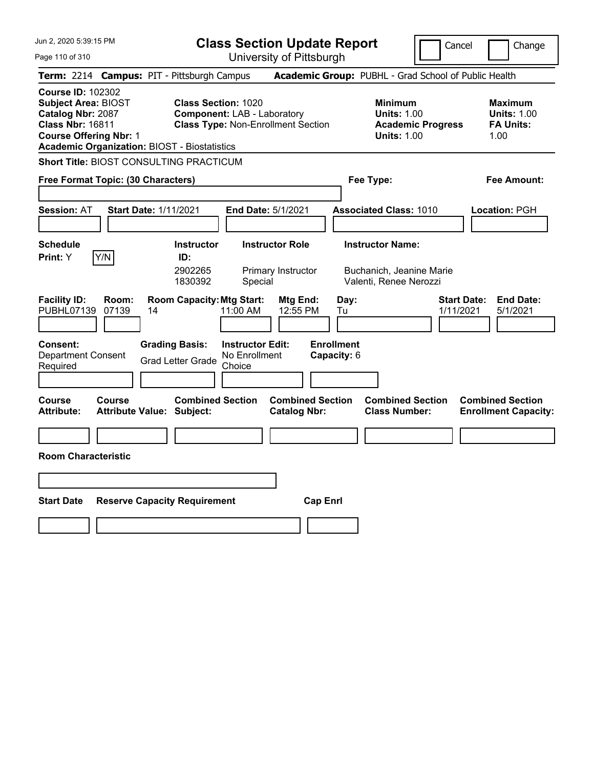Cancel **Change** 

| Jun 2, 2020 5:39:15 PM                                                                                                           |                                                                                             | <b>Class Section Update Report</b>                                                                            |                                                |                                                |                                                                                 | Cancel<br>Change                                                |
|----------------------------------------------------------------------------------------------------------------------------------|---------------------------------------------------------------------------------------------|---------------------------------------------------------------------------------------------------------------|------------------------------------------------|------------------------------------------------|---------------------------------------------------------------------------------|-----------------------------------------------------------------|
| Page 110 of 310                                                                                                                  |                                                                                             |                                                                                                               | University of Pittsburgh                       |                                                |                                                                                 |                                                                 |
|                                                                                                                                  | Term: 2214 Campus: PIT - Pittsburgh Campus                                                  |                                                                                                               |                                                |                                                | Academic Group: PUBHL - Grad School of Public Health                            |                                                                 |
| <b>Course ID: 102302</b><br>Subject Area: BIOST<br>Catalog Nbr: 2087<br><b>Class Nbr: 16811</b><br><b>Course Offering Nbr: 1</b> | <b>Academic Organization: BIOST - Biostatistics</b>                                         | <b>Class Section: 1020</b><br><b>Component: LAB - Laboratory</b><br><b>Class Type: Non-Enrollment Section</b> |                                                |                                                | Minimum<br><b>Units: 1.00</b><br><b>Academic Progress</b><br><b>Units: 1.00</b> | Maximum<br><b>Units: 1.00</b><br><b>FA Units:</b><br>1.00       |
|                                                                                                                                  | <b>Short Title: BIOST CONSULTING PRACTICUM</b>                                              |                                                                                                               |                                                |                                                |                                                                                 |                                                                 |
| Free Format Topic: (30 Characters)                                                                                               |                                                                                             |                                                                                                               |                                                | Fee Type:                                      |                                                                                 | Fee Amount:                                                     |
| <b>Session: AT</b>                                                                                                               | <b>Start Date: 1/11/2021</b>                                                                | End Date: 5/1/2021                                                                                            |                                                |                                                | <b>Associated Class: 1010</b>                                                   | Location: PGH                                                   |
| <b>Schedule</b><br>Y/N<br>Print: Y                                                                                               | <b>Instructor</b><br>ID:<br>2902265<br>1830392                                              | Special                                                                                                       | <b>Instructor Role</b><br>Primary Instructor   |                                                | <b>Instructor Name:</b><br>Buchanich, Jeanine Marie<br>Valenti, Renee Nerozzi   |                                                                 |
| <b>Facility ID:</b><br>Room:<br>PUBHL07139<br>07139<br>Consent:<br><b>Department Consent</b><br>Required                         | <b>Room Capacity: Mtg Start:</b><br>14<br><b>Grading Basis:</b><br><b>Grad Letter Grade</b> | 11:00 AM<br><b>Instructor Edit:</b><br>No Enrollment<br>Choice                                                | Mtg End:<br>12:55 PM                           | Day:<br>Tu<br><b>Enrollment</b><br>Capacity: 6 |                                                                                 | <b>Start Date:</b><br><b>End Date:</b><br>1/11/2021<br>5/1/2021 |
| Course<br>Course<br><b>Attribute:</b><br><b>Room Characteristic</b>                                                              | <b>Attribute Value: Subject:</b>                                                            | <b>Combined Section</b>                                                                                       | <b>Combined Section</b><br><b>Catalog Nbr:</b> |                                                | <b>Combined Section</b><br><b>Class Number:</b>                                 | <b>Combined Section</b><br><b>Enrollment Capacity:</b>          |
|                                                                                                                                  |                                                                                             |                                                                                                               |                                                |                                                |                                                                                 |                                                                 |
| <b>Start Date</b>                                                                                                                | <b>Reserve Capacity Requirement</b>                                                         |                                                                                                               | <b>Cap Enrl</b>                                |                                                |                                                                                 |                                                                 |
|                                                                                                                                  |                                                                                             |                                                                                                               |                                                |                                                |                                                                                 |                                                                 |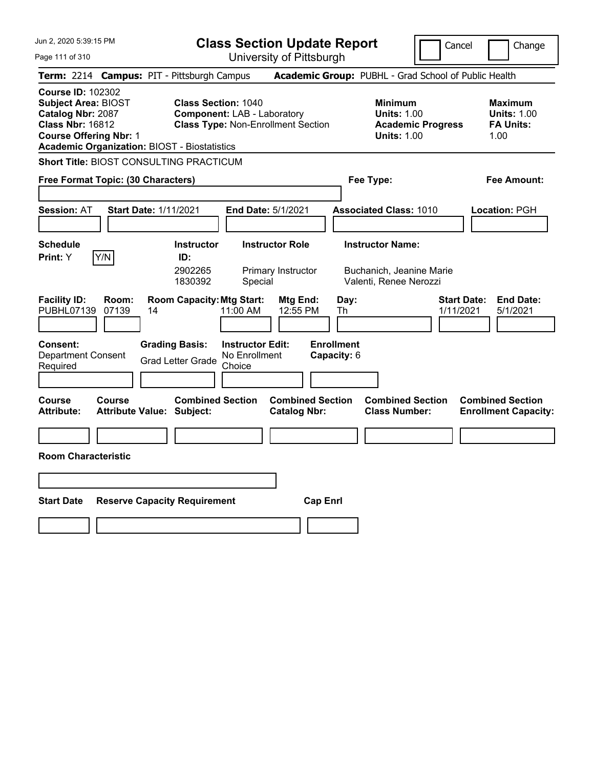**Class Section Update Report**

| Jun 2, 2020 5:39:15 PM                                                                                                                  |                |                                                                                             |                                                                | <b>Class Section Update Report</b>             |                                                |                                                                               | Cancel                   | Change                                                           |
|-----------------------------------------------------------------------------------------------------------------------------------------|----------------|---------------------------------------------------------------------------------------------|----------------------------------------------------------------|------------------------------------------------|------------------------------------------------|-------------------------------------------------------------------------------|--------------------------|------------------------------------------------------------------|
| Page 111 of 310                                                                                                                         |                |                                                                                             |                                                                | University of Pittsburgh                       |                                                |                                                                               |                          |                                                                  |
|                                                                                                                                         |                | Term: 2214 Campus: PIT - Pittsburgh Campus                                                  |                                                                |                                                |                                                |                                                                               |                          | Academic Group: PUBHL - Grad School of Public Health             |
| <b>Course ID: 102302</b><br><b>Subject Area: BIOST</b><br>Catalog Nbr: 2087<br><b>Class Nbr: 16812</b><br><b>Course Offering Nbr: 1</b> |                | <b>Class Section: 1040</b><br><b>Academic Organization: BIOST - Biostatistics</b>           | <b>Component: LAB - Laboratory</b>                             | <b>Class Type: Non-Enrollment Section</b>      |                                                | <b>Minimum</b><br><b>Units: 1.00</b><br><b>Units: 1.00</b>                    | <b>Academic Progress</b> | <b>Maximum</b><br><b>Units: 1.00</b><br><b>FA Units:</b><br>1.00 |
|                                                                                                                                         |                | <b>Short Title: BIOST CONSULTING PRACTICUM</b>                                              |                                                                |                                                |                                                |                                                                               |                          |                                                                  |
| Free Format Topic: (30 Characters)                                                                                                      |                |                                                                                             |                                                                |                                                |                                                | Fee Type:                                                                     |                          | Fee Amount:                                                      |
| <b>Session: AT</b>                                                                                                                      |                | <b>Start Date: 1/11/2021</b>                                                                |                                                                | <b>End Date: 5/1/2021</b>                      |                                                | <b>Associated Class: 1010</b>                                                 |                          | Location: PGH                                                    |
| <b>Schedule</b><br>Print: Y                                                                                                             | Y/N            | <b>Instructor</b><br>ID:<br>2902265<br>1830392                                              | Special                                                        | <b>Instructor Role</b><br>Primary Instructor   |                                                | <b>Instructor Name:</b><br>Buchanich, Jeanine Marie<br>Valenti, Renee Nerozzi |                          |                                                                  |
| <b>Facility ID:</b><br>PUBHL07139<br>Consent:<br><b>Department Consent</b><br>Required                                                  | Room:<br>07139 | <b>Room Capacity: Mtg Start:</b><br>14<br><b>Grading Basis:</b><br><b>Grad Letter Grade</b> | 11:00 AM<br><b>Instructor Edit:</b><br>No Enrollment<br>Choice | Mtg End:<br>12:55 PM                           | Day:<br>Th<br><b>Enrollment</b><br>Capacity: 6 |                                                                               | 1/11/2021                | <b>Start Date:</b><br><b>End Date:</b><br>5/1/2021               |
| Course<br><b>Attribute:</b>                                                                                                             | <b>Course</b>  | <b>Combined Section</b><br><b>Attribute Value: Subject:</b>                                 |                                                                | <b>Combined Section</b><br><b>Catalog Nbr:</b> |                                                | <b>Combined Section</b><br><b>Class Number:</b>                               |                          | <b>Combined Section</b><br><b>Enrollment Capacity:</b>           |
| <b>Room Characteristic</b>                                                                                                              |                |                                                                                             |                                                                |                                                |                                                |                                                                               |                          |                                                                  |
|                                                                                                                                         |                |                                                                                             |                                                                |                                                |                                                |                                                                               |                          |                                                                  |
|                                                                                                                                         |                |                                                                                             |                                                                |                                                |                                                |                                                                               |                          |                                                                  |
| <b>Start Date</b>                                                                                                                       |                | <b>Reserve Capacity Requirement</b>                                                         |                                                                |                                                | <b>Cap Enri</b>                                |                                                                               |                          |                                                                  |
|                                                                                                                                         |                |                                                                                             |                                                                |                                                |                                                |                                                                               |                          |                                                                  |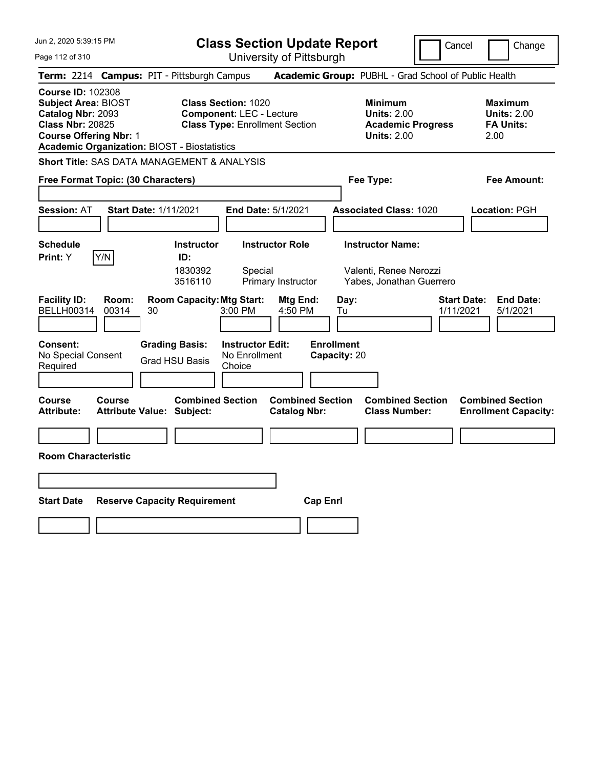**Class Section Update Report**

Cancel | Change

Page 112 of 310

| Page 112 of 310                                                                                                                         |                |                                                             |                                                                                                        | University of Pittsburgh                       |                                   |                                                                                 |                                                                 |
|-----------------------------------------------------------------------------------------------------------------------------------------|----------------|-------------------------------------------------------------|--------------------------------------------------------------------------------------------------------|------------------------------------------------|-----------------------------------|---------------------------------------------------------------------------------|-----------------------------------------------------------------|
|                                                                                                                                         |                | Term: 2214 Campus: PIT - Pittsburgh Campus                  |                                                                                                        |                                                |                                   | Academic Group: PUBHL - Grad School of Public Health                            |                                                                 |
| <b>Course ID: 102308</b><br><b>Subject Area: BIOST</b><br>Catalog Nbr: 2093<br><b>Class Nbr: 20825</b><br><b>Course Offering Nbr: 1</b> |                | <b>Academic Organization: BIOST - Biostatistics</b>         | <b>Class Section: 1020</b><br><b>Component: LEC - Lecture</b><br><b>Class Type: Enrollment Section</b> |                                                |                                   | Minimum<br><b>Units: 2.00</b><br><b>Academic Progress</b><br><b>Units: 2.00</b> | Maximum<br><b>Units: 2.00</b><br><b>FA Units:</b><br>2.00       |
|                                                                                                                                         |                | <b>Short Title: SAS DATA MANAGEMENT &amp; ANALYSIS</b>      |                                                                                                        |                                                |                                   |                                                                                 |                                                                 |
| <b>Free Format Topic: (30 Characters)</b>                                                                                               |                |                                                             |                                                                                                        |                                                |                                   | Fee Type:                                                                       | Fee Amount:                                                     |
| <b>Session: AT</b>                                                                                                                      |                | <b>Start Date: 1/11/2021</b>                                | End Date: 5/1/2021                                                                                     |                                                |                                   | <b>Associated Class: 1020</b>                                                   | Location: PGH                                                   |
| <b>Schedule</b><br>Print: Y                                                                                                             | Y/N            | <b>Instructor</b><br>ID:<br>1830392<br>3516110              | Special                                                                                                | <b>Instructor Role</b><br>Primary Instructor   |                                   | <b>Instructor Name:</b><br>Valenti, Renee Nerozzi<br>Yabes, Jonathan Guerrero   |                                                                 |
| <b>Facility ID:</b><br><b>BELLH00314</b>                                                                                                | Room:<br>00314 | <b>Room Capacity: Mtg Start:</b><br>30                      | 3:00 PM                                                                                                | Mtg End:<br>4:50 PM                            | Day:<br>Tu                        |                                                                                 | <b>Start Date:</b><br><b>End Date:</b><br>1/11/2021<br>5/1/2021 |
| Consent:<br>No Special Consent<br>Required                                                                                              |                | <b>Grading Basis:</b><br><b>Grad HSU Basis</b>              | <b>Instructor Edit:</b><br>No Enrollment<br>Choice                                                     |                                                | <b>Enrollment</b><br>Capacity: 20 |                                                                                 |                                                                 |
| <b>Course</b><br><b>Attribute:</b>                                                                                                      | Course         | <b>Combined Section</b><br><b>Attribute Value: Subject:</b> |                                                                                                        | <b>Combined Section</b><br><b>Catalog Nbr:</b> |                                   | <b>Combined Section</b><br><b>Class Number:</b>                                 | <b>Combined Section</b><br><b>Enrollment Capacity:</b>          |
| <b>Room Characteristic</b>                                                                                                              |                |                                                             |                                                                                                        |                                                |                                   |                                                                                 |                                                                 |
|                                                                                                                                         |                |                                                             |                                                                                                        |                                                |                                   |                                                                                 |                                                                 |
| <b>Start Date</b>                                                                                                                       |                | <b>Reserve Capacity Requirement</b>                         |                                                                                                        | <b>Cap Enrl</b>                                |                                   |                                                                                 |                                                                 |
|                                                                                                                                         |                |                                                             |                                                                                                        |                                                |                                   |                                                                                 |                                                                 |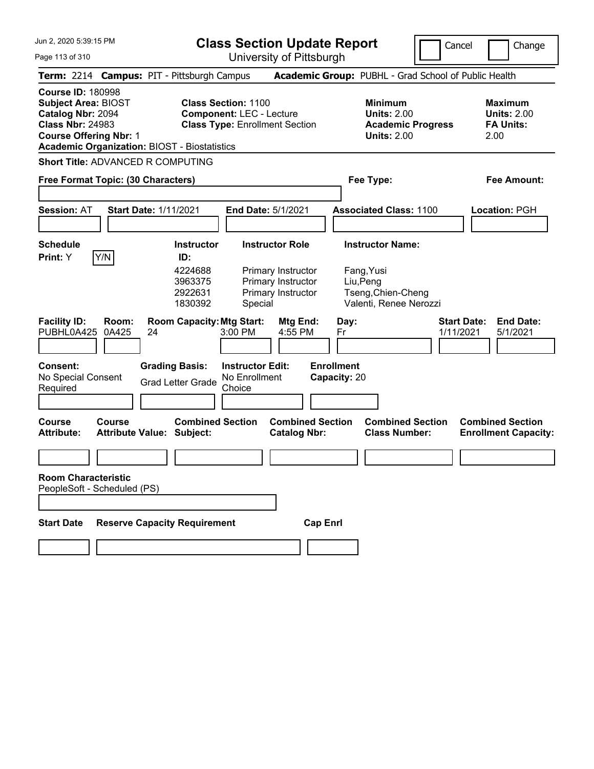**Class Section Update Report**

Page 113 of 310 University of Pittsburgh Cancel Change **Term:** 2214 **Campus:** PIT - Pittsburgh Campus **Academic Group:** PUBHL - Grad School of Public Health **Course ID:** 180998 **Subject Area:** BIOST **Class Section:** 1100 **Minimum Maximum Catalog Nbr:** 2094 **Component:** LEC - Lecture **Units:** 2.00 **Units:** 2.00 **Class Nbr:** 24983 **Class Type:** Enrollment Section **Academic Progress FA Units: Course Offering Nbr:** 1 **Units:** 2.00 2.00 **Academic Organization:** BIOST - Biostatistics **Short Title:** ADVANCED R COMPUTING **Free Format Topic: (30 Characters) Fee Type: Fee Amount: Session:** AT **Start Date:** 1/11/2021 **End Date:** 5/1/2021 **Associated Class:** 1100 **Location:** PGH **Schedule Instructor Instructor Role Instructor Name: Print:**  $Y$   $|Y/N|$  **ID:** 4224688 Primary Instructor Fang,Yusi 3963375 Primary Instructor Liu,Peng 2922631 Primary Instructor Tseng,Chien-Cheng 1830392 Special Valenti, Renee Nerozzi **Facility ID: Room: Room Capacity: Mtg Start: Mtg End: Day:** Start Date: **End Date:** PUBHL0A425 0A425 24 3:00 PM 4:55 PM Fr 1/11/2021 5/1/2021 PUBHL0A425 0A425 24 3:00 PM 4:55 PM Fr 1/11/2021 5/1/2021 **Consent: Grading Basis: Instructor Edit: Enrollment** No Special Consent No Special Consent Grad Letter Grade No Enrollment<br>Required Choice **Choice Capacity:** 20 **Course Course Combined Section Combined Section Combined Section Combined Section Attribute: Attribute Value: Subject: Catalog Nbr: Class Number: Enrollment Capacity: Room Characteristic** PeopleSoft - Scheduled (PS) **Start Date Reserve Capacity Requirement Cap Enrl**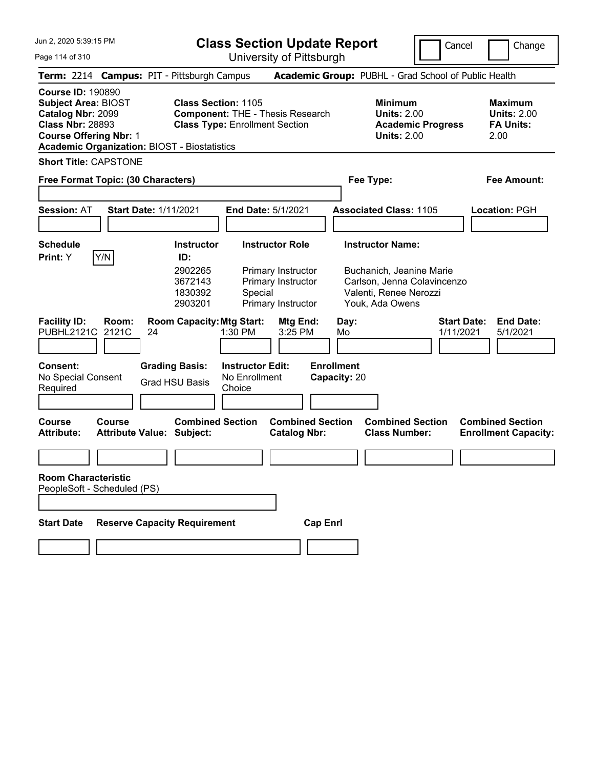|  |  |  | Jun 2, 2020 5:39:15 PM |  |
|--|--|--|------------------------|--|
|--|--|--|------------------------|--|

**Class Section Update Report**

Cancel **Change** 

||

Page 114 of 310

| Page 114 of 310                                                                                                                                                                                |       |                                                                                                                                             |                                                                          | University of Pittsburgh                                                              |                                                 |                                                                                                      |                                                                  |
|------------------------------------------------------------------------------------------------------------------------------------------------------------------------------------------------|-------|---------------------------------------------------------------------------------------------------------------------------------------------|--------------------------------------------------------------------------|---------------------------------------------------------------------------------------|-------------------------------------------------|------------------------------------------------------------------------------------------------------|------------------------------------------------------------------|
| Term: 2214 Campus: PIT - Pittsburgh Campus                                                                                                                                                     |       |                                                                                                                                             |                                                                          |                                                                                       |                                                 | Academic Group: PUBHL - Grad School of Public Health                                                 |                                                                  |
| <b>Course ID: 190890</b><br><b>Subject Area: BIOST</b><br>Catalog Nbr: 2099<br><b>Class Nbr: 28893</b><br><b>Course Offering Nbr: 1</b><br><b>Academic Organization: BIOST - Biostatistics</b> |       | <b>Class Section: 1105</b><br><b>Class Type: Enrollment Section</b>                                                                         |                                                                          | <b>Component: THE - Thesis Research</b>                                               |                                                 | <b>Minimum</b><br><b>Units: 2.00</b><br><b>Academic Progress</b><br><b>Units: 2.00</b>               | <b>Maximum</b><br><b>Units: 2.00</b><br><b>FA Units:</b><br>2.00 |
| <b>Short Title: CAPSTONE</b>                                                                                                                                                                   |       |                                                                                                                                             |                                                                          |                                                                                       |                                                 |                                                                                                      |                                                                  |
| Free Format Topic: (30 Characters)                                                                                                                                                             |       |                                                                                                                                             |                                                                          |                                                                                       |                                                 | Fee Type:                                                                                            | Fee Amount:                                                      |
| <b>Session: AT</b>                                                                                                                                                                             |       | <b>Start Date: 1/11/2021</b>                                                                                                                | <b>End Date: 5/1/2021</b>                                                |                                                                                       |                                                 | <b>Associated Class: 1105</b>                                                                        | Location: PGH                                                    |
| <b>Schedule</b>                                                                                                                                                                                |       | <b>Instructor</b>                                                                                                                           |                                                                          | <b>Instructor Role</b>                                                                |                                                 | <b>Instructor Name:</b>                                                                              |                                                                  |
| Y/N<br>Print: Y<br><b>Facility ID:</b><br>PUBHL2121C<br>2121C<br>Consent:<br>No Special Consent<br>Required                                                                                    | Room: | ID:<br>2902265<br>3672143<br>1830392<br>2903201<br><b>Room Capacity: Mtg Start:</b><br>24<br><b>Grading Basis:</b><br><b>Grad HSU Basis</b> | Special<br>1:30 PM<br><b>Instructor Edit:</b><br>No Enrollment<br>Choice | Primary Instructor<br>Primary Instructor<br>Primary Instructor<br>Mtg End:<br>3:25 PM | Day:<br>Mo<br><b>Enrollment</b><br>Capacity: 20 | Buchanich, Jeanine Marie<br>Carlson, Jenna Colavincenzo<br>Valenti, Renee Nerozzi<br>Youk, Ada Owens | <b>Start Date:</b><br><b>End Date:</b><br>1/11/2021<br>5/1/2021  |
| <b>Course</b><br><b>Course</b><br>Attribute:                                                                                                                                                   |       | <b>Combined Section</b><br><b>Attribute Value: Subject:</b>                                                                                 |                                                                          | <b>Combined Section</b><br><b>Catalog Nbr:</b>                                        |                                                 | <b>Combined Section</b><br><b>Class Number:</b>                                                      | <b>Combined Section</b><br><b>Enrollment Capacity:</b>           |
|                                                                                                                                                                                                |       |                                                                                                                                             |                                                                          |                                                                                       |                                                 |                                                                                                      |                                                                  |
| <b>Room Characteristic</b><br>PeopleSoft - Scheduled (PS)<br><b>Start Date</b>                                                                                                                 |       | <b>Reserve Capacity Requirement</b>                                                                                                         |                                                                          | <b>Cap Enrl</b>                                                                       |                                                 |                                                                                                      |                                                                  |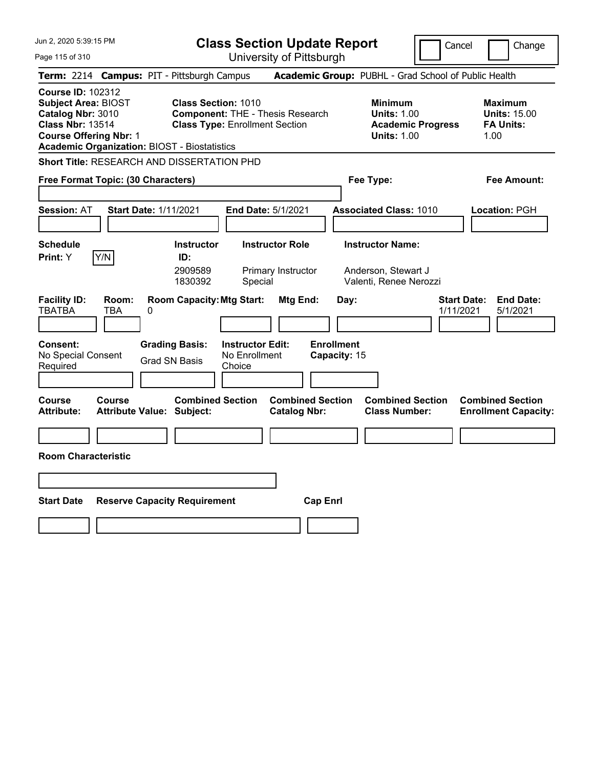| Jun 2, 2020 5:39:15 PM                                                                                                                                                                         | <b>Class Section Update Report</b>                                                                                                      |                                                                                                   | Cancel                          | Change                                                            |
|------------------------------------------------------------------------------------------------------------------------------------------------------------------------------------------------|-----------------------------------------------------------------------------------------------------------------------------------------|---------------------------------------------------------------------------------------------------|---------------------------------|-------------------------------------------------------------------|
| Page 115 of 310                                                                                                                                                                                | University of Pittsburgh                                                                                                                |                                                                                                   |                                 |                                                                   |
| Term: 2214 Campus: PIT - Pittsburgh Campus                                                                                                                                                     |                                                                                                                                         | Academic Group: PUBHL - Grad School of Public Health                                              |                                 |                                                                   |
| <b>Course ID: 102312</b><br><b>Subject Area: BIOST</b><br>Catalog Nbr: 3010<br><b>Class Nbr: 13514</b><br><b>Course Offering Nbr: 1</b><br><b>Academic Organization: BIOST - Biostatistics</b> | <b>Class Section: 1010</b><br><b>Component: THE - Thesis Research</b><br><b>Class Type: Enrollment Section</b>                          | <b>Minimum</b><br><b>Units: 1.00</b><br><b>Units: 1.00</b>                                        | <b>Academic Progress</b>        | <b>Maximum</b><br><b>Units: 15.00</b><br><b>FA Units:</b><br>1.00 |
| <b>Short Title: RESEARCH AND DISSERTATION PHD</b>                                                                                                                                              |                                                                                                                                         |                                                                                                   |                                 |                                                                   |
| Free Format Topic: (30 Characters)                                                                                                                                                             |                                                                                                                                         | Fee Type:                                                                                         |                                 | Fee Amount:                                                       |
| <b>Session: AT</b><br><b>Start Date: 1/11/2021</b>                                                                                                                                             | End Date: 5/1/2021                                                                                                                      | <b>Associated Class: 1010</b>                                                                     |                                 | <b>Location: PGH</b>                                              |
| <b>Schedule</b><br>Y/N<br><b>Print: Y</b>                                                                                                                                                      | <b>Instructor Role</b><br><b>Instructor</b><br>ID:<br>2909589<br>Primary Instructor<br>1830392<br>Special                               | <b>Instructor Name:</b><br>Anderson, Stewart J<br>Valenti, Renee Nerozzi                          |                                 |                                                                   |
| <b>Facility ID:</b><br>Room:<br><b>TBATBA</b><br>TBA<br>0<br><b>Consent:</b><br>No Special Consent<br>Required                                                                                 | <b>Room Capacity: Mtg Start:</b><br><b>Grading Basis:</b><br><b>Instructor Edit:</b><br>No Enrollment<br><b>Grad SN Basis</b><br>Choice | <b>Mtg End:</b><br>Day:<br><b>Enrollment</b><br>Capacity: 15                                      | <b>Start Date:</b><br>1/11/2021 | <b>End Date:</b><br>5/1/2021                                      |
| <b>Course</b><br><b>Course</b><br><b>Attribute:</b><br><b>Attribute Value: Subject:</b>                                                                                                        | <b>Combined Section</b>                                                                                                                 | <b>Combined Section</b><br><b>Combined Section</b><br><b>Class Number:</b><br><b>Catalog Nbr:</b> |                                 | <b>Combined Section</b><br><b>Enrollment Capacity:</b>            |
|                                                                                                                                                                                                |                                                                                                                                         |                                                                                                   |                                 |                                                                   |
| <b>Room Characteristic</b>                                                                                                                                                                     |                                                                                                                                         |                                                                                                   |                                 |                                                                   |
|                                                                                                                                                                                                |                                                                                                                                         |                                                                                                   |                                 |                                                                   |
| <b>Start Date</b>                                                                                                                                                                              | <b>Reserve Capacity Requirement</b>                                                                                                     | <b>Cap Enrl</b>                                                                                   |                                 |                                                                   |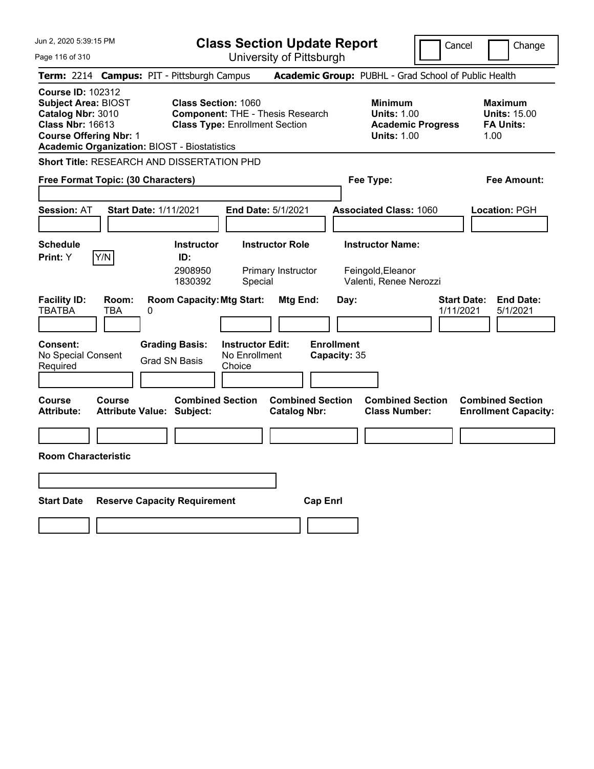| Jun 2, 2020 5:39:15 PM                                                                                                                                                                         | <b>Class Section Update Report</b>                                                                                                      |                                                       |                                                                                        | Cancel<br>Change                                                  |
|------------------------------------------------------------------------------------------------------------------------------------------------------------------------------------------------|-----------------------------------------------------------------------------------------------------------------------------------------|-------------------------------------------------------|----------------------------------------------------------------------------------------|-------------------------------------------------------------------|
| Page 116 of 310                                                                                                                                                                                |                                                                                                                                         | University of Pittsburgh                              |                                                                                        |                                                                   |
| Term: 2214 Campus: PIT - Pittsburgh Campus                                                                                                                                                     |                                                                                                                                         |                                                       | Academic Group: PUBHL - Grad School of Public Health                                   |                                                                   |
| <b>Course ID: 102312</b><br><b>Subject Area: BIOST</b><br>Catalog Nbr: 3010<br><b>Class Nbr: 16613</b><br><b>Course Offering Nbr: 1</b><br><b>Academic Organization: BIOST - Biostatistics</b> | <b>Class Section: 1060</b><br><b>Component: THE - Thesis Research</b><br><b>Class Type: Enrollment Section</b>                          |                                                       | <b>Minimum</b><br><b>Units: 1.00</b><br><b>Academic Progress</b><br><b>Units: 1.00</b> | <b>Maximum</b><br><b>Units: 15.00</b><br><b>FA Units:</b><br>1.00 |
| <b>Short Title: RESEARCH AND DISSERTATION PHD</b>                                                                                                                                              |                                                                                                                                         |                                                       |                                                                                        |                                                                   |
| Free Format Topic: (30 Characters)                                                                                                                                                             |                                                                                                                                         |                                                       | Fee Type:                                                                              | Fee Amount:                                                       |
| <b>Start Date: 1/11/2021</b><br><b>Session: AT</b>                                                                                                                                             | <b>End Date: 5/1/2021</b>                                                                                                               |                                                       | <b>Associated Class: 1060</b>                                                          | Location: PGH                                                     |
| <b>Schedule</b><br>Y/N<br>Print: Y                                                                                                                                                             | <b>Instructor</b><br><b>Instructor Role</b><br>ID:<br>2908950<br>Primary Instructor<br>1830392<br>Special                               |                                                       | <b>Instructor Name:</b><br>Feingold, Eleanor<br>Valenti, Renee Nerozzi                 |                                                                   |
| <b>Facility ID:</b><br>Room:<br><b>TBATBA</b><br><b>TBA</b><br>0<br>Consent:<br>No Special Consent<br>Required                                                                                 | <b>Room Capacity: Mtg Start:</b><br><b>Grading Basis:</b><br><b>Instructor Edit:</b><br>No Enrollment<br><b>Grad SN Basis</b><br>Choice | Mtg End:<br>Day:<br><b>Enrollment</b><br>Capacity: 35 |                                                                                        | <b>Start Date:</b><br><b>End Date:</b><br>1/11/2021<br>5/1/2021   |
| Course<br><b>Course</b><br><b>Attribute:</b><br><b>Attribute Value: Subject:</b>                                                                                                               | <b>Combined Section</b>                                                                                                                 | <b>Combined Section</b><br><b>Catalog Nbr:</b>        | <b>Combined Section</b><br><b>Class Number:</b>                                        | <b>Combined Section</b><br><b>Enrollment Capacity:</b>            |
|                                                                                                                                                                                                |                                                                                                                                         |                                                       |                                                                                        |                                                                   |
| <b>Room Characteristic</b>                                                                                                                                                                     |                                                                                                                                         |                                                       |                                                                                        |                                                                   |
|                                                                                                                                                                                                |                                                                                                                                         |                                                       |                                                                                        |                                                                   |
| <b>Start Date</b>                                                                                                                                                                              | <b>Reserve Capacity Requirement</b>                                                                                                     | <b>Cap Enri</b>                                       |                                                                                        |                                                                   |
|                                                                                                                                                                                                |                                                                                                                                         |                                                       |                                                                                        |                                                                   |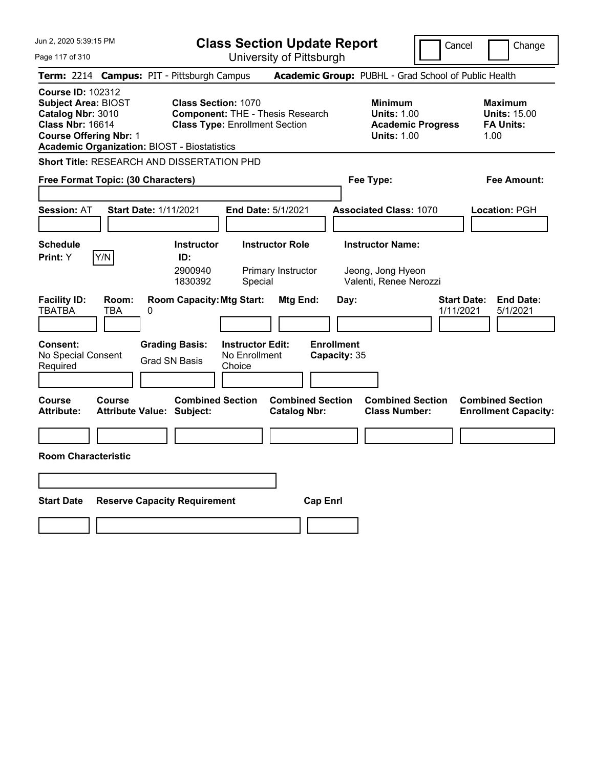| Jun 2, 2020 5:39:15 PM                                                                                                                                                                         | <b>Class Section Update Report</b>                                                                                               |                                                       |                                                                                        | Cancel<br>Change                                                  |
|------------------------------------------------------------------------------------------------------------------------------------------------------------------------------------------------|----------------------------------------------------------------------------------------------------------------------------------|-------------------------------------------------------|----------------------------------------------------------------------------------------|-------------------------------------------------------------------|
| Page 117 of 310                                                                                                                                                                                |                                                                                                                                  | University of Pittsburgh                              |                                                                                        |                                                                   |
| Term: 2214 Campus: PIT - Pittsburgh Campus                                                                                                                                                     |                                                                                                                                  |                                                       | Academic Group: PUBHL - Grad School of Public Health                                   |                                                                   |
| <b>Course ID: 102312</b><br><b>Subject Area: BIOST</b><br>Catalog Nbr: 3010<br><b>Class Nbr: 16614</b><br><b>Course Offering Nbr: 1</b><br><b>Academic Organization: BIOST - Biostatistics</b> | <b>Class Section: 1070</b><br><b>Component: THE - Thesis Research</b><br><b>Class Type: Enrollment Section</b>                   |                                                       | <b>Minimum</b><br><b>Units: 1.00</b><br><b>Academic Progress</b><br><b>Units: 1.00</b> | <b>Maximum</b><br><b>Units: 15.00</b><br><b>FA Units:</b><br>1.00 |
| Short Title: RESEARCH AND DISSERTATION PHD                                                                                                                                                     |                                                                                                                                  |                                                       |                                                                                        |                                                                   |
| Free Format Topic: (30 Characters)                                                                                                                                                             |                                                                                                                                  |                                                       | Fee Type:                                                                              | Fee Amount:                                                       |
| <b>Session: AT</b><br><b>Start Date: 1/11/2021</b>                                                                                                                                             | <b>End Date: 5/1/2021</b>                                                                                                        |                                                       | <b>Associated Class: 1070</b>                                                          | Location: PGH                                                     |
| <b>Schedule</b><br>Y/N<br>Print: Y                                                                                                                                                             | <b>Instructor Role</b><br><b>Instructor</b><br>ID:<br>2900940<br>Primary Instructor<br>1830392<br>Special                        |                                                       | <b>Instructor Name:</b><br>Jeong, Jong Hyeon<br>Valenti, Renee Nerozzi                 |                                                                   |
| <b>Facility ID:</b><br>Room:<br><b>TBATBA</b><br>TBA<br>0<br><b>Consent:</b><br>No Special Consent<br>Required                                                                                 | <b>Room Capacity: Mtg Start:</b><br><b>Grading Basis:</b><br><b>Instructor Edit:</b><br>No Enrollment<br>Grad SN Basis<br>Choice | Mtg End:<br>Day:<br><b>Enrollment</b><br>Capacity: 35 |                                                                                        | <b>Start Date:</b><br><b>End Date:</b><br>1/11/2021<br>5/1/2021   |
| <b>Course</b><br>Course<br><b>Attribute:</b><br><b>Attribute Value: Subject:</b>                                                                                                               | <b>Combined Section</b>                                                                                                          | <b>Combined Section</b><br><b>Catalog Nbr:</b>        | <b>Combined Section</b><br><b>Class Number:</b>                                        | <b>Combined Section</b><br><b>Enrollment Capacity:</b>            |
|                                                                                                                                                                                                |                                                                                                                                  |                                                       |                                                                                        |                                                                   |
| <b>Room Characteristic</b>                                                                                                                                                                     |                                                                                                                                  |                                                       |                                                                                        |                                                                   |
|                                                                                                                                                                                                |                                                                                                                                  |                                                       |                                                                                        |                                                                   |
| <b>Start Date</b>                                                                                                                                                                              | <b>Reserve Capacity Requirement</b>                                                                                              | <b>Cap Enri</b>                                       |                                                                                        |                                                                   |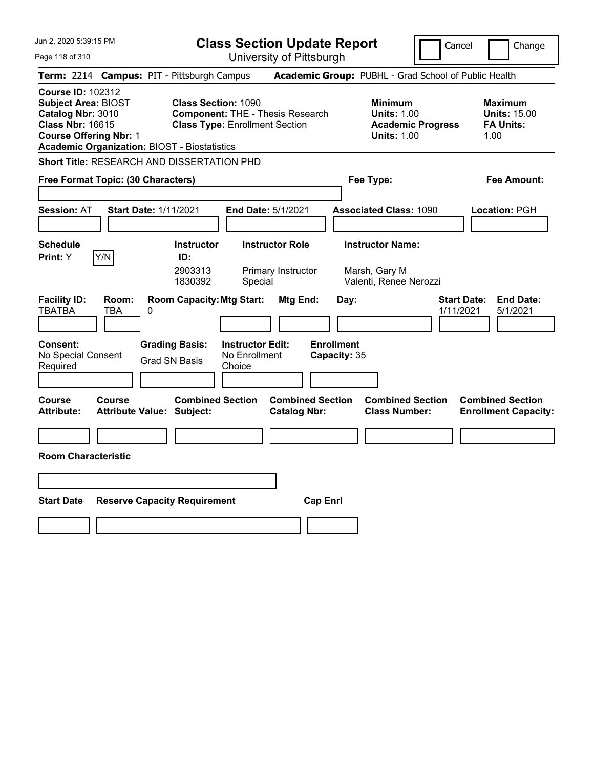| Jun 2, 2020 5:39:15 PM                                                                                                                                                                         | <b>Class Section Update Report</b>                                                                                                                  | Cancel                                                                                 | Change                                                            |
|------------------------------------------------------------------------------------------------------------------------------------------------------------------------------------------------|-----------------------------------------------------------------------------------------------------------------------------------------------------|----------------------------------------------------------------------------------------|-------------------------------------------------------------------|
| Page 118 of 310                                                                                                                                                                                | University of Pittsburgh                                                                                                                            |                                                                                        |                                                                   |
| Term: 2214 Campus: PIT - Pittsburgh Campus                                                                                                                                                     |                                                                                                                                                     | Academic Group: PUBHL - Grad School of Public Health                                   |                                                                   |
| <b>Course ID: 102312</b><br><b>Subject Area: BIOST</b><br>Catalog Nbr: 3010<br><b>Class Nbr: 16615</b><br><b>Course Offering Nbr: 1</b><br><b>Academic Organization: BIOST - Biostatistics</b> | <b>Class Section: 1090</b><br><b>Component: THE - Thesis Research</b><br><b>Class Type: Enrollment Section</b>                                      | <b>Minimum</b><br><b>Units: 1.00</b><br><b>Academic Progress</b><br><b>Units: 1.00</b> | <b>Maximum</b><br><b>Units: 15.00</b><br><b>FA Units:</b><br>1.00 |
| <b>Short Title: RESEARCH AND DISSERTATION PHD</b>                                                                                                                                              |                                                                                                                                                     |                                                                                        |                                                                   |
| Free Format Topic: (30 Characters)                                                                                                                                                             |                                                                                                                                                     | Fee Type:                                                                              | Fee Amount:                                                       |
| <b>Start Date: 1/11/2021</b><br><b>Session: AT</b>                                                                                                                                             | <b>End Date: 5/1/2021</b>                                                                                                                           | <b>Associated Class: 1090</b>                                                          | Location: PGH                                                     |
| <b>Schedule</b><br>Y/N<br>Print: Y                                                                                                                                                             | <b>Instructor</b><br><b>Instructor Role</b><br>ID:<br>2903313<br>Primary Instructor<br>1830392<br>Special                                           | <b>Instructor Name:</b><br>Marsh, Gary M<br>Valenti, Renee Nerozzi                     |                                                                   |
| <b>Facility ID:</b><br>Room:<br><b>TBATBA</b><br><b>TBA</b><br>0<br>Consent:<br>No Special Consent<br>Required                                                                                 | <b>Room Capacity: Mtg Start:</b><br>Mtg End:<br><b>Grading Basis:</b><br><b>Instructor Edit:</b><br>No Enrollment<br><b>Grad SN Basis</b><br>Choice | Day:<br><b>Enrollment</b><br>Capacity: 35                                              | <b>Start Date:</b><br><b>End Date:</b><br>1/11/2021<br>5/1/2021   |
| Course<br><b>Course</b><br><b>Attribute:</b><br><b>Attribute Value: Subject:</b>                                                                                                               | <b>Combined Section</b><br><b>Catalog Nbr:</b>                                                                                                      | <b>Combined Section</b><br><b>Combined Section</b><br><b>Class Number:</b>             | <b>Combined Section</b><br><b>Enrollment Capacity:</b>            |
|                                                                                                                                                                                                |                                                                                                                                                     |                                                                                        |                                                                   |
| <b>Room Characteristic</b>                                                                                                                                                                     |                                                                                                                                                     |                                                                                        |                                                                   |
|                                                                                                                                                                                                |                                                                                                                                                     |                                                                                        |                                                                   |
| <b>Start Date</b><br><b>Reserve Capacity Requirement</b>                                                                                                                                       |                                                                                                                                                     | <b>Cap Enri</b>                                                                        |                                                                   |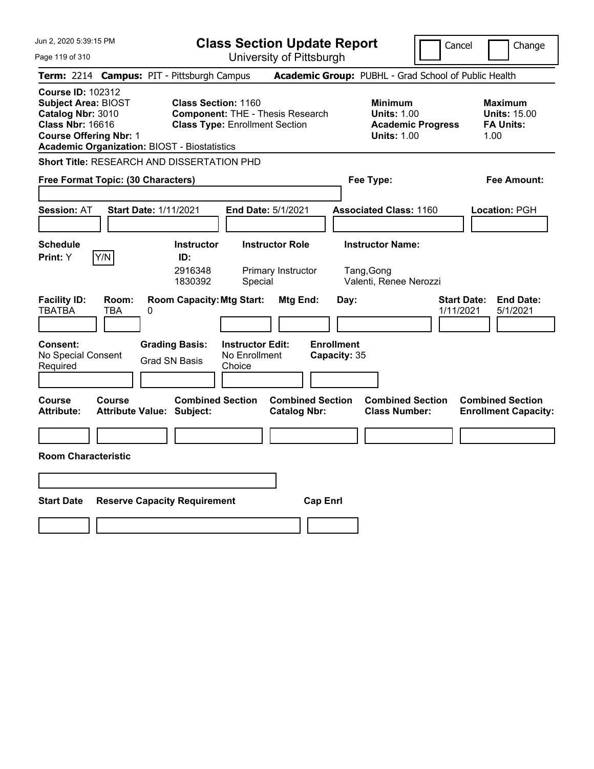| Jun 2, 2020 5:39:15 PM                                                                                                                                                                         | <b>Class Section Update Report</b>                                                                                                      |                                                              |                                                                                        | Cancel<br>Change                                                  |
|------------------------------------------------------------------------------------------------------------------------------------------------------------------------------------------------|-----------------------------------------------------------------------------------------------------------------------------------------|--------------------------------------------------------------|----------------------------------------------------------------------------------------|-------------------------------------------------------------------|
| Page 119 of 310                                                                                                                                                                                | University of Pittsburgh                                                                                                                |                                                              |                                                                                        |                                                                   |
| Term: 2214 Campus: PIT - Pittsburgh Campus                                                                                                                                                     |                                                                                                                                         |                                                              | Academic Group: PUBHL - Grad School of Public Health                                   |                                                                   |
| <b>Course ID: 102312</b><br><b>Subject Area: BIOST</b><br>Catalog Nbr: 3010<br><b>Class Nbr: 16616</b><br><b>Course Offering Nbr: 1</b><br><b>Academic Organization: BIOST - Biostatistics</b> | <b>Class Section: 1160</b><br><b>Component: THE - Thesis Research</b><br><b>Class Type: Enrollment Section</b>                          |                                                              | <b>Minimum</b><br><b>Units: 1.00</b><br><b>Academic Progress</b><br><b>Units: 1.00</b> | <b>Maximum</b><br><b>Units: 15.00</b><br><b>FA Units:</b><br>1.00 |
| <b>Short Title: RESEARCH AND DISSERTATION PHD</b>                                                                                                                                              |                                                                                                                                         |                                                              |                                                                                        |                                                                   |
| Free Format Topic: (30 Characters)                                                                                                                                                             |                                                                                                                                         |                                                              | Fee Type:                                                                              | Fee Amount:                                                       |
| <b>Session: AT</b><br><b>Start Date: 1/11/2021</b>                                                                                                                                             | End Date: 5/1/2021                                                                                                                      |                                                              | <b>Associated Class: 1160</b>                                                          | <b>Location: PGH</b>                                              |
| <b>Schedule</b><br>Y/N<br><b>Print:</b> Y                                                                                                                                                      | <b>Instructor Role</b><br><b>Instructor</b><br>ID:<br>2916348<br>Primary Instructor<br>1830392<br>Special                               |                                                              | <b>Instructor Name:</b><br>Tang, Gong<br>Valenti, Renee Nerozzi                        |                                                                   |
| <b>Facility ID:</b><br>Room:<br><b>TBATBA</b><br>TBA<br>0<br><b>Consent:</b><br>No Special Consent<br>Required                                                                                 | <b>Room Capacity: Mtg Start:</b><br><b>Grading Basis:</b><br><b>Instructor Edit:</b><br>No Enrollment<br><b>Grad SN Basis</b><br>Choice | <b>Mtg End:</b><br>Day:<br><b>Enrollment</b><br>Capacity: 35 |                                                                                        | <b>End Date:</b><br><b>Start Date:</b><br>1/11/2021<br>5/1/2021   |
| <b>Course</b><br><b>Course</b><br><b>Attribute:</b><br><b>Attribute Value: Subject:</b>                                                                                                        | <b>Combined Section</b>                                                                                                                 | <b>Combined Section</b><br><b>Catalog Nbr:</b>               | <b>Combined Section</b><br><b>Class Number:</b>                                        | <b>Combined Section</b><br><b>Enrollment Capacity:</b>            |
|                                                                                                                                                                                                |                                                                                                                                         |                                                              |                                                                                        |                                                                   |
| <b>Room Characteristic</b>                                                                                                                                                                     |                                                                                                                                         |                                                              |                                                                                        |                                                                   |
|                                                                                                                                                                                                |                                                                                                                                         |                                                              |                                                                                        |                                                                   |
| <b>Start Date</b>                                                                                                                                                                              | <b>Reserve Capacity Requirement</b>                                                                                                     | <b>Cap Enrl</b>                                              |                                                                                        |                                                                   |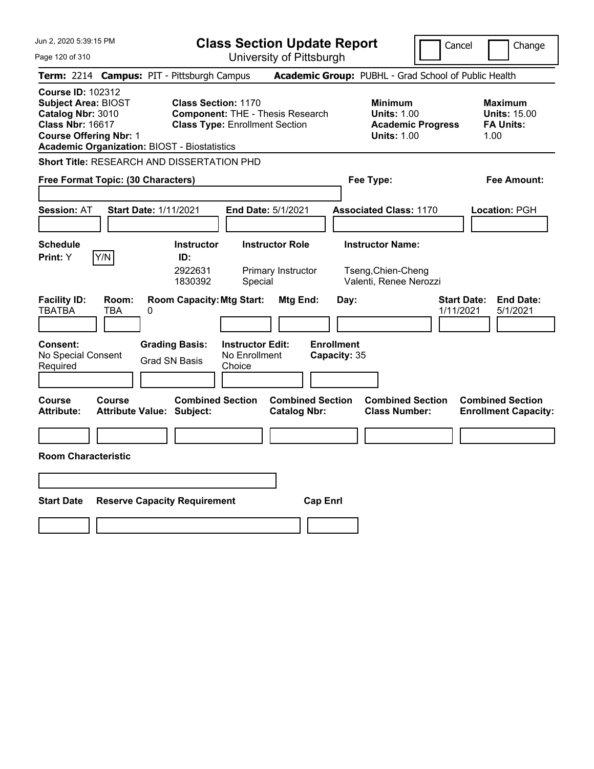| Jun 2, 2020 5:39:15 PM                                                                                                                                                                         | <b>Class Section Update Report</b>                                                                                               |                                                       |                                                                                        | Cancel                          | Change                                                            |
|------------------------------------------------------------------------------------------------------------------------------------------------------------------------------------------------|----------------------------------------------------------------------------------------------------------------------------------|-------------------------------------------------------|----------------------------------------------------------------------------------------|---------------------------------|-------------------------------------------------------------------|
| Page 120 of 310                                                                                                                                                                                |                                                                                                                                  | University of Pittsburgh                              |                                                                                        |                                 |                                                                   |
| <b>Term: 2214</b>                                                                                                                                                                              | <b>Campus: PIT - Pittsburgh Campus</b>                                                                                           | Academic Group: PUBHL - Grad School of Public Health  |                                                                                        |                                 |                                                                   |
| <b>Course ID: 102312</b><br><b>Subject Area: BIOST</b><br>Catalog Nbr: 3010<br><b>Class Nbr: 16617</b><br><b>Course Offering Nbr: 1</b><br><b>Academic Organization: BIOST - Biostatistics</b> | <b>Class Section: 1170</b><br><b>Component: THE - Thesis Research</b><br><b>Class Type: Enrollment Section</b>                   |                                                       | <b>Minimum</b><br><b>Units: 1.00</b><br><b>Academic Progress</b><br><b>Units: 1.00</b> |                                 | <b>Maximum</b><br><b>Units: 15.00</b><br><b>FA Units:</b><br>1.00 |
| Short Title: RESEARCH AND DISSERTATION PHD                                                                                                                                                     |                                                                                                                                  |                                                       |                                                                                        |                                 |                                                                   |
| Free Format Topic: (30 Characters)                                                                                                                                                             |                                                                                                                                  |                                                       | Fee Type:                                                                              |                                 | Fee Amount:                                                       |
| <b>Session: AT</b><br><b>Start Date: 1/11/2021</b>                                                                                                                                             | <b>End Date: 5/1/2021</b>                                                                                                        |                                                       | <b>Associated Class: 1170</b>                                                          |                                 | Location: PGH                                                     |
| <b>Schedule</b><br>Y/N<br>Print: Y                                                                                                                                                             | <b>Instructor Role</b><br><b>Instructor</b><br>ID:<br>2922631<br>1830392<br>Special                                              | Primary Instructor                                    | <b>Instructor Name:</b><br>Tseng, Chien-Cheng<br>Valenti, Renee Nerozzi                |                                 |                                                                   |
| <b>Facility ID:</b><br>Room:<br><b>TBATBA</b><br>TBA<br>0<br><b>Consent:</b><br>No Special Consent<br>Required                                                                                 | <b>Room Capacity: Mtg Start:</b><br><b>Grading Basis:</b><br><b>Instructor Edit:</b><br>No Enrollment<br>Grad SN Basis<br>Choice | Mtg End:<br>Day:<br><b>Enrollment</b><br>Capacity: 35 |                                                                                        | <b>Start Date:</b><br>1/11/2021 | <b>End Date:</b><br>5/1/2021                                      |
| <b>Course</b><br>Course<br><b>Attribute:</b><br><b>Attribute Value: Subject:</b>                                                                                                               | <b>Combined Section</b>                                                                                                          | <b>Combined Section</b><br><b>Catalog Nbr:</b>        | <b>Combined Section</b><br><b>Class Number:</b>                                        |                                 | <b>Combined Section</b><br><b>Enrollment Capacity:</b>            |
|                                                                                                                                                                                                |                                                                                                                                  |                                                       |                                                                                        |                                 |                                                                   |
| <b>Room Characteristic</b>                                                                                                                                                                     |                                                                                                                                  |                                                       |                                                                                        |                                 |                                                                   |
|                                                                                                                                                                                                |                                                                                                                                  |                                                       |                                                                                        |                                 |                                                                   |
| <b>Start Date</b>                                                                                                                                                                              | <b>Reserve Capacity Requirement</b>                                                                                              | <b>Cap Enri</b>                                       |                                                                                        |                                 |                                                                   |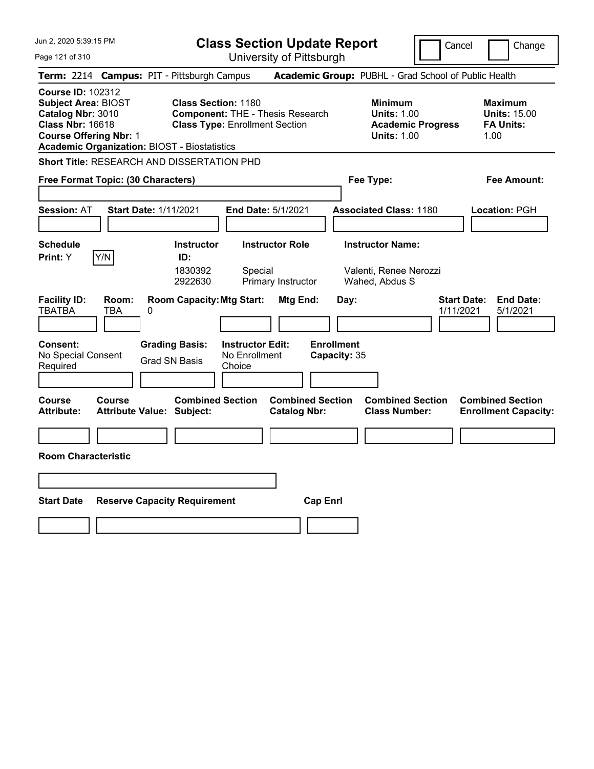| Jun 2, 2020 5:39:15 PM                                                                                                                                                                         | <b>Class Section Update Report</b>                                                                                                      |                                                       |                                                                                        | Cancel<br>Change                                                  |
|------------------------------------------------------------------------------------------------------------------------------------------------------------------------------------------------|-----------------------------------------------------------------------------------------------------------------------------------------|-------------------------------------------------------|----------------------------------------------------------------------------------------|-------------------------------------------------------------------|
| Page 121 of 310                                                                                                                                                                                | University of Pittsburgh                                                                                                                |                                                       |                                                                                        |                                                                   |
| Term: 2214 Campus: PIT - Pittsburgh Campus                                                                                                                                                     |                                                                                                                                         |                                                       | Academic Group: PUBHL - Grad School of Public Health                                   |                                                                   |
| <b>Course ID: 102312</b><br><b>Subject Area: BIOST</b><br>Catalog Nbr: 3010<br><b>Class Nbr: 16618</b><br><b>Course Offering Nbr: 1</b><br><b>Academic Organization: BIOST - Biostatistics</b> | <b>Class Section: 1180</b><br><b>Component: THE - Thesis Research</b><br><b>Class Type: Enrollment Section</b>                          |                                                       | <b>Minimum</b><br><b>Units: 1.00</b><br><b>Academic Progress</b><br><b>Units: 1.00</b> | <b>Maximum</b><br><b>Units: 15.00</b><br><b>FA Units:</b><br>1.00 |
| <b>Short Title: RESEARCH AND DISSERTATION PHD</b>                                                                                                                                              |                                                                                                                                         |                                                       |                                                                                        |                                                                   |
| Free Format Topic: (30 Characters)                                                                                                                                                             |                                                                                                                                         |                                                       | Fee Type:                                                                              | Fee Amount:                                                       |
| <b>Start Date: 1/11/2021</b><br><b>Session: AT</b>                                                                                                                                             | <b>End Date: 5/1/2021</b>                                                                                                               |                                                       | <b>Associated Class: 1180</b>                                                          | Location: PGH                                                     |
| <b>Schedule</b><br>Y/N<br>Print: Y                                                                                                                                                             | <b>Instructor</b><br><b>Instructor Role</b><br>ID:<br>1830392<br>Special<br>2922630<br>Primary Instructor                               |                                                       | <b>Instructor Name:</b><br>Valenti, Renee Nerozzi<br>Wahed, Abdus S                    |                                                                   |
| <b>Facility ID:</b><br>Room:<br><b>TBATBA</b><br><b>TBA</b><br>0<br>Consent:<br>No Special Consent<br>Required                                                                                 | <b>Room Capacity: Mtg Start:</b><br><b>Grading Basis:</b><br><b>Instructor Edit:</b><br>No Enrollment<br><b>Grad SN Basis</b><br>Choice | Mtg End:<br>Day:<br><b>Enrollment</b><br>Capacity: 35 |                                                                                        | <b>Start Date:</b><br><b>End Date:</b><br>1/11/2021<br>5/1/2021   |
| Course<br><b>Course</b><br><b>Attribute:</b><br><b>Attribute Value: Subject:</b>                                                                                                               | <b>Combined Section</b>                                                                                                                 | <b>Combined Section</b><br><b>Catalog Nbr:</b>        | <b>Combined Section</b><br><b>Class Number:</b>                                        | <b>Combined Section</b><br><b>Enrollment Capacity:</b>            |
|                                                                                                                                                                                                |                                                                                                                                         |                                                       |                                                                                        |                                                                   |
| <b>Room Characteristic</b>                                                                                                                                                                     |                                                                                                                                         |                                                       |                                                                                        |                                                                   |
|                                                                                                                                                                                                |                                                                                                                                         |                                                       |                                                                                        |                                                                   |
| <b>Start Date</b>                                                                                                                                                                              | <b>Reserve Capacity Requirement</b>                                                                                                     | <b>Cap Enri</b>                                       |                                                                                        |                                                                   |
|                                                                                                                                                                                                |                                                                                                                                         |                                                       |                                                                                        |                                                                   |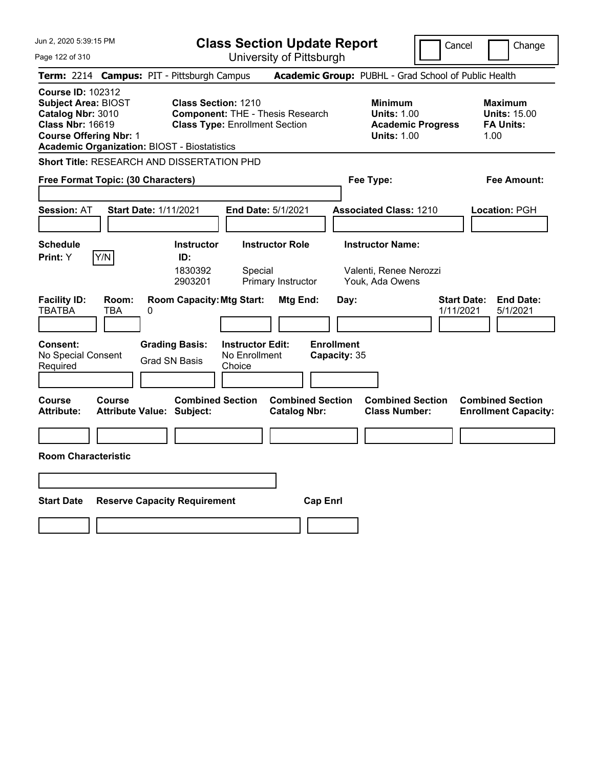| Jun 2, 2020 5:39:15 PM                                                                                                                                                                         | <b>Class Section Update Report</b>                                                                                                      |                                                       |                                                                                        | Cancel<br>Change                                                  |
|------------------------------------------------------------------------------------------------------------------------------------------------------------------------------------------------|-----------------------------------------------------------------------------------------------------------------------------------------|-------------------------------------------------------|----------------------------------------------------------------------------------------|-------------------------------------------------------------------|
| Page 122 of 310                                                                                                                                                                                | University of Pittsburgh                                                                                                                |                                                       |                                                                                        |                                                                   |
| Term: 2214 Campus: PIT - Pittsburgh Campus                                                                                                                                                     |                                                                                                                                         |                                                       | Academic Group: PUBHL - Grad School of Public Health                                   |                                                                   |
| <b>Course ID: 102312</b><br><b>Subject Area: BIOST</b><br>Catalog Nbr: 3010<br><b>Class Nbr: 16619</b><br><b>Course Offering Nbr: 1</b><br><b>Academic Organization: BIOST - Biostatistics</b> | <b>Class Section: 1210</b><br><b>Component: THE - Thesis Research</b><br><b>Class Type: Enrollment Section</b>                          |                                                       | <b>Minimum</b><br><b>Units: 1.00</b><br><b>Academic Progress</b><br><b>Units: 1.00</b> | <b>Maximum</b><br><b>Units: 15.00</b><br><b>FA Units:</b><br>1.00 |
| <b>Short Title: RESEARCH AND DISSERTATION PHD</b>                                                                                                                                              |                                                                                                                                         |                                                       |                                                                                        |                                                                   |
| Free Format Topic: (30 Characters)                                                                                                                                                             |                                                                                                                                         |                                                       | Fee Type:                                                                              | Fee Amount:                                                       |
| <b>Start Date: 1/11/2021</b><br><b>Session: AT</b>                                                                                                                                             | <b>End Date: 5/1/2021</b>                                                                                                               |                                                       | <b>Associated Class: 1210</b>                                                          | Location: PGH                                                     |
| <b>Schedule</b><br>Y/N<br>Print: Y                                                                                                                                                             | <b>Instructor</b><br><b>Instructor Role</b><br>ID:<br>1830392<br>Special<br>2903201<br>Primary Instructor                               |                                                       | <b>Instructor Name:</b><br>Valenti, Renee Nerozzi<br>Youk, Ada Owens                   |                                                                   |
| <b>Facility ID:</b><br>Room:<br><b>TBATBA</b><br><b>TBA</b><br>0<br>Consent:<br>No Special Consent<br>Required                                                                                 | <b>Room Capacity: Mtg Start:</b><br><b>Grading Basis:</b><br><b>Instructor Edit:</b><br>No Enrollment<br><b>Grad SN Basis</b><br>Choice | Mtg End:<br>Day:<br><b>Enrollment</b><br>Capacity: 35 |                                                                                        | <b>Start Date:</b><br><b>End Date:</b><br>1/11/2021<br>5/1/2021   |
| Course<br><b>Course</b><br><b>Attribute:</b><br><b>Attribute Value: Subject:</b>                                                                                                               | <b>Combined Section</b>                                                                                                                 | <b>Combined Section</b><br><b>Catalog Nbr:</b>        | <b>Combined Section</b><br><b>Class Number:</b>                                        | <b>Combined Section</b><br><b>Enrollment Capacity:</b>            |
|                                                                                                                                                                                                |                                                                                                                                         |                                                       |                                                                                        |                                                                   |
| <b>Room Characteristic</b>                                                                                                                                                                     |                                                                                                                                         |                                                       |                                                                                        |                                                                   |
|                                                                                                                                                                                                |                                                                                                                                         |                                                       |                                                                                        |                                                                   |
| <b>Start Date</b>                                                                                                                                                                              | <b>Reserve Capacity Requirement</b>                                                                                                     | <b>Cap Enri</b>                                       |                                                                                        |                                                                   |
|                                                                                                                                                                                                |                                                                                                                                         |                                                       |                                                                                        |                                                                   |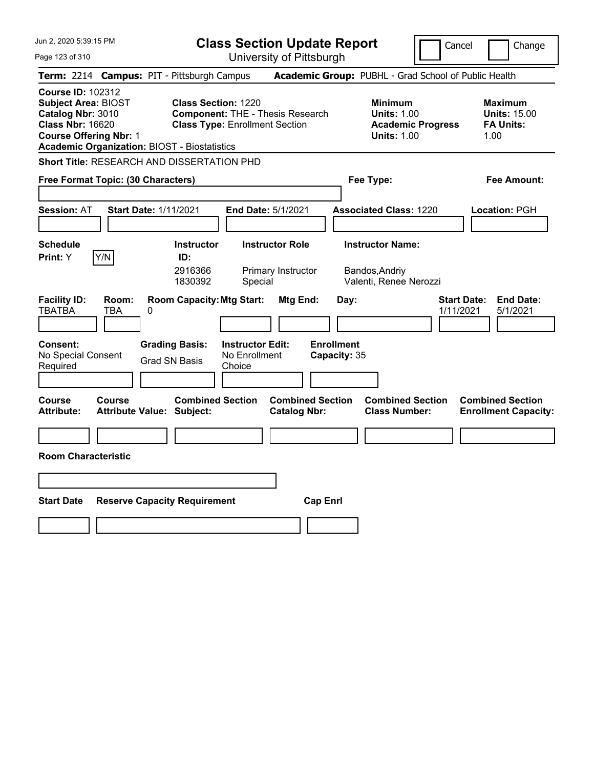| Jun 2, 2020 5:39:15 PM                                                                                                                                                                         | <b>Class Section Update Report</b>                                                                                                      |                                                                                                   | Cancel                          | Change                                                            |
|------------------------------------------------------------------------------------------------------------------------------------------------------------------------------------------------|-----------------------------------------------------------------------------------------------------------------------------------------|---------------------------------------------------------------------------------------------------|---------------------------------|-------------------------------------------------------------------|
| Page 123 of 310                                                                                                                                                                                | University of Pittsburgh                                                                                                                |                                                                                                   |                                 |                                                                   |
| Term: 2214 Campus: PIT - Pittsburgh Campus                                                                                                                                                     |                                                                                                                                         | Academic Group: PUBHL - Grad School of Public Health                                              |                                 |                                                                   |
| <b>Course ID: 102312</b><br><b>Subject Area: BIOST</b><br>Catalog Nbr: 3010<br><b>Class Nbr: 16620</b><br><b>Course Offering Nbr: 1</b><br><b>Academic Organization: BIOST - Biostatistics</b> | <b>Class Section: 1220</b><br><b>Component: THE - Thesis Research</b><br><b>Class Type: Enrollment Section</b>                          | <b>Minimum</b><br><b>Units: 1.00</b><br><b>Units: 1.00</b>                                        | <b>Academic Progress</b>        | <b>Maximum</b><br><b>Units: 15.00</b><br><b>FA Units:</b><br>1.00 |
| <b>Short Title: RESEARCH AND DISSERTATION PHD</b>                                                                                                                                              |                                                                                                                                         |                                                                                                   |                                 |                                                                   |
| Free Format Topic: (30 Characters)                                                                                                                                                             |                                                                                                                                         | Fee Type:                                                                                         |                                 | Fee Amount:                                                       |
| <b>Session: AT</b><br><b>Start Date: 1/11/2021</b>                                                                                                                                             | End Date: 5/1/2021                                                                                                                      | <b>Associated Class: 1220</b>                                                                     |                                 | <b>Location: PGH</b>                                              |
| <b>Schedule</b><br>Y/N<br><b>Print:</b> Y                                                                                                                                                      | <b>Instructor Role</b><br><b>Instructor</b><br>ID:<br>2916366<br>Primary Instructor<br>1830392<br>Special                               | <b>Instructor Name:</b><br>Bandos, Andriy<br>Valenti, Renee Nerozzi                               |                                 |                                                                   |
| <b>Facility ID:</b><br>Room:<br><b>TBATBA</b><br>TBA<br>0<br><b>Consent:</b><br>No Special Consent<br>Required                                                                                 | <b>Room Capacity: Mtg Start:</b><br><b>Grading Basis:</b><br><b>Instructor Edit:</b><br>No Enrollment<br><b>Grad SN Basis</b><br>Choice | <b>Mtg End:</b><br>Day:<br><b>Enrollment</b><br>Capacity: 35                                      | <b>Start Date:</b><br>1/11/2021 | <b>End Date:</b><br>5/1/2021                                      |
| <b>Course</b><br><b>Course</b><br><b>Attribute:</b><br><b>Attribute Value: Subject:</b>                                                                                                        | <b>Combined Section</b>                                                                                                                 | <b>Combined Section</b><br><b>Combined Section</b><br><b>Class Number:</b><br><b>Catalog Nbr:</b> |                                 | <b>Combined Section</b><br><b>Enrollment Capacity:</b>            |
|                                                                                                                                                                                                |                                                                                                                                         |                                                                                                   |                                 |                                                                   |
| <b>Room Characteristic</b>                                                                                                                                                                     |                                                                                                                                         |                                                                                                   |                                 |                                                                   |
|                                                                                                                                                                                                |                                                                                                                                         |                                                                                                   |                                 |                                                                   |
| <b>Start Date</b>                                                                                                                                                                              | <b>Reserve Capacity Requirement</b>                                                                                                     | <b>Cap Enrl</b>                                                                                   |                                 |                                                                   |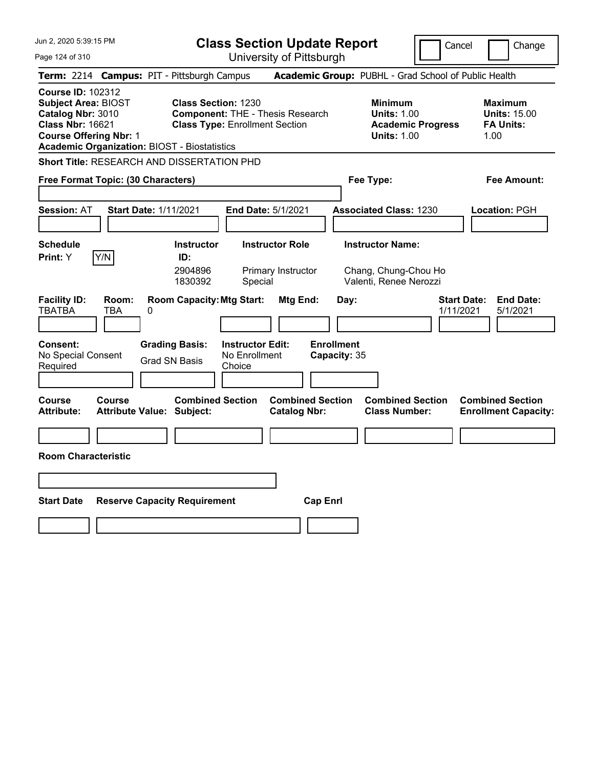| Jun 2, 2020 5:39:15 PM                                                                                                                                                                         | <b>Class Section Update Report</b>                                                                                                      |                                                                                                   | Cancel<br>Change                                                                              |
|------------------------------------------------------------------------------------------------------------------------------------------------------------------------------------------------|-----------------------------------------------------------------------------------------------------------------------------------------|---------------------------------------------------------------------------------------------------|-----------------------------------------------------------------------------------------------|
| Page 124 of 310                                                                                                                                                                                | University of Pittsburgh                                                                                                                |                                                                                                   |                                                                                               |
| Term: 2214 Campus: PIT - Pittsburgh Campus                                                                                                                                                     |                                                                                                                                         | Academic Group: PUBHL - Grad School of Public Health                                              |                                                                                               |
| <b>Course ID: 102312</b><br><b>Subject Area: BIOST</b><br>Catalog Nbr: 3010<br><b>Class Nbr: 16621</b><br><b>Course Offering Nbr: 1</b><br><b>Academic Organization: BIOST - Biostatistics</b> | <b>Class Section: 1230</b><br><b>Component: THE - Thesis Research</b><br><b>Class Type: Enrollment Section</b>                          | <b>Minimum</b><br><b>Units: 1.00</b><br><b>Units: 1.00</b>                                        | <b>Maximum</b><br><b>Units: 15.00</b><br><b>Academic Progress</b><br><b>FA Units:</b><br>1.00 |
| <b>Short Title: RESEARCH AND DISSERTATION PHD</b>                                                                                                                                              |                                                                                                                                         |                                                                                                   |                                                                                               |
| Free Format Topic: (30 Characters)                                                                                                                                                             |                                                                                                                                         | Fee Type:                                                                                         | Fee Amount:                                                                                   |
| <b>Session: AT</b><br><b>Start Date: 1/11/2021</b>                                                                                                                                             | End Date: 5/1/2021                                                                                                                      | <b>Associated Class: 1230</b>                                                                     | <b>Location: PGH</b>                                                                          |
| <b>Schedule</b><br>Y/N<br><b>Print: Y</b>                                                                                                                                                      | <b>Instructor Role</b><br><b>Instructor</b><br>ID:<br>2904896<br>Primary Instructor<br>1830392<br>Special                               | <b>Instructor Name:</b><br>Chang, Chung-Chou Ho<br>Valenti, Renee Nerozzi                         |                                                                                               |
| <b>Facility ID:</b><br>Room:<br><b>TBATBA</b><br>TBA<br>0<br><b>Consent:</b><br>No Special Consent<br>Required                                                                                 | <b>Room Capacity: Mtg Start:</b><br><b>Grading Basis:</b><br><b>Instructor Edit:</b><br>No Enrollment<br><b>Grad SN Basis</b><br>Choice | <b>Mtg End:</b><br>Day:<br><b>Enrollment</b><br>Capacity: 35                                      | <b>End Date:</b><br><b>Start Date:</b><br>1/11/2021<br>5/1/2021                               |
| <b>Course</b><br><b>Course</b><br><b>Attribute:</b><br><b>Attribute Value: Subject:</b>                                                                                                        | <b>Combined Section</b>                                                                                                                 | <b>Combined Section</b><br><b>Combined Section</b><br><b>Class Number:</b><br><b>Catalog Nbr:</b> | <b>Combined Section</b><br><b>Enrollment Capacity:</b>                                        |
|                                                                                                                                                                                                |                                                                                                                                         |                                                                                                   |                                                                                               |
| <b>Room Characteristic</b>                                                                                                                                                                     |                                                                                                                                         |                                                                                                   |                                                                                               |
|                                                                                                                                                                                                |                                                                                                                                         |                                                                                                   |                                                                                               |
| <b>Start Date</b><br><b>Reserve Capacity Requirement</b>                                                                                                                                       |                                                                                                                                         | <b>Cap Enrl</b>                                                                                   |                                                                                               |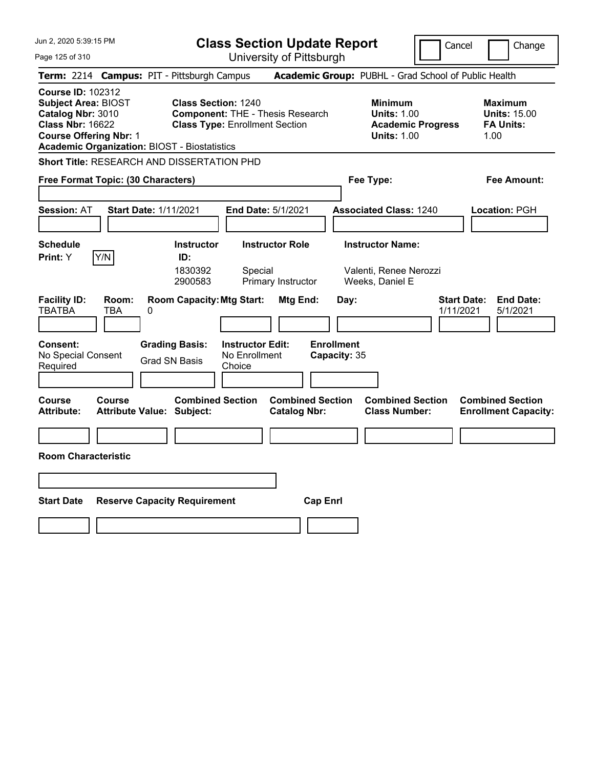| University of Pittsburgh<br>Page 125 of 310                                                                                                                                                                                                                                                                                                                                                                | Change                                                            |
|------------------------------------------------------------------------------------------------------------------------------------------------------------------------------------------------------------------------------------------------------------------------------------------------------------------------------------------------------------------------------------------------------------|-------------------------------------------------------------------|
|                                                                                                                                                                                                                                                                                                                                                                                                            |                                                                   |
| Academic Group: PUBHL - Grad School of Public Health<br>Term: 2214 Campus: PIT - Pittsburgh Campus                                                                                                                                                                                                                                                                                                         |                                                                   |
| <b>Course ID: 102312</b><br><b>Subject Area: BIOST</b><br><b>Class Section: 1240</b><br><b>Minimum</b><br>Catalog Nbr: 3010<br><b>Component: THE - Thesis Research</b><br><b>Units: 1.00</b><br><b>Class Nbr: 16622</b><br><b>Class Type: Enrollment Section</b><br><b>Academic Progress</b><br><b>Course Offering Nbr: 1</b><br><b>Units: 1.00</b><br><b>Academic Organization: BIOST - Biostatistics</b> | <b>Maximum</b><br><b>Units: 15.00</b><br><b>FA Units:</b><br>1.00 |
| Short Title: RESEARCH AND DISSERTATION PHD                                                                                                                                                                                                                                                                                                                                                                 |                                                                   |
| Fee Type:<br>Free Format Topic: (30 Characters)                                                                                                                                                                                                                                                                                                                                                            | Fee Amount:                                                       |
| <b>Session: AT</b><br>Start Date: 1/11/2021<br><b>End Date: 5/1/2021</b><br><b>Associated Class: 1240</b>                                                                                                                                                                                                                                                                                                  | Location: PGH                                                     |
| <b>Schedule</b><br><b>Instructor Role</b><br><b>Instructor Name:</b><br><b>Instructor</b><br>Y/N<br>ID:<br><b>Print:</b> Y<br>1830392<br>Special<br>Valenti, Renee Nerozzi<br>2900583<br>Primary Instructor<br>Weeks, Daniel E                                                                                                                                                                             |                                                                   |
| <b>Facility ID:</b><br><b>Room Capacity: Mtg Start:</b><br><b>Start Date:</b><br>Room:<br>Mtg End:<br>Day:<br><b>TBATBA</b><br>TBA<br>0<br>1/11/2021<br><b>Grading Basis:</b><br><b>Instructor Edit:</b><br><b>Enrollment</b><br><b>Consent:</b><br>No Special Consent<br>No Enrollment<br>Capacity: 35<br>Grad SN Basis<br>Required<br>Choice                                                             | <b>End Date:</b><br>5/1/2021                                      |
| <b>Combined Section</b><br><b>Combined Section</b><br><b>Combined Section</b><br>Course<br>Course<br><b>Attribute:</b><br><b>Attribute Value: Subject:</b><br><b>Catalog Nbr:</b><br><b>Class Number:</b>                                                                                                                                                                                                  | <b>Combined Section</b><br><b>Enrollment Capacity:</b>            |
|                                                                                                                                                                                                                                                                                                                                                                                                            |                                                                   |
| <b>Room Characteristic</b>                                                                                                                                                                                                                                                                                                                                                                                 |                                                                   |
|                                                                                                                                                                                                                                                                                                                                                                                                            |                                                                   |
| <b>Start Date</b><br><b>Reserve Capacity Requirement</b><br><b>Cap Enri</b>                                                                                                                                                                                                                                                                                                                                |                                                                   |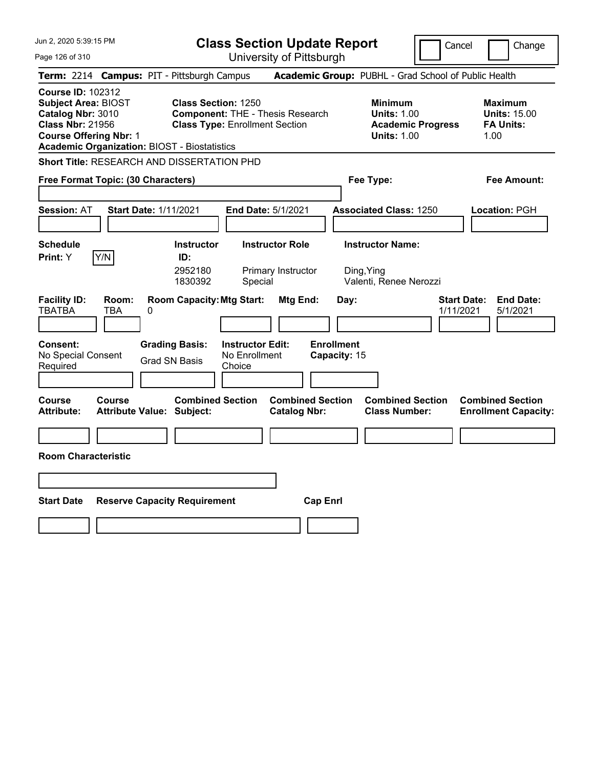| Jun 2, 2020 5:39:15 PM                                                                                                                                                                         | <b>Class Section Update Report</b>                                                                                                      |                                                                                                   | Cancel<br>Change                                                                              |
|------------------------------------------------------------------------------------------------------------------------------------------------------------------------------------------------|-----------------------------------------------------------------------------------------------------------------------------------------|---------------------------------------------------------------------------------------------------|-----------------------------------------------------------------------------------------------|
| Page 126 of 310                                                                                                                                                                                | University of Pittsburgh                                                                                                                |                                                                                                   |                                                                                               |
| Term: 2214 Campus: PIT - Pittsburgh Campus                                                                                                                                                     |                                                                                                                                         | Academic Group: PUBHL - Grad School of Public Health                                              |                                                                                               |
| <b>Course ID: 102312</b><br><b>Subject Area: BIOST</b><br>Catalog Nbr: 3010<br><b>Class Nbr: 21956</b><br><b>Course Offering Nbr: 1</b><br><b>Academic Organization: BIOST - Biostatistics</b> | <b>Class Section: 1250</b><br><b>Component: THE - Thesis Research</b><br><b>Class Type: Enrollment Section</b>                          | <b>Minimum</b><br><b>Units: 1.00</b><br><b>Units: 1.00</b>                                        | <b>Maximum</b><br><b>Units: 15.00</b><br><b>Academic Progress</b><br><b>FA Units:</b><br>1.00 |
| <b>Short Title: RESEARCH AND DISSERTATION PHD</b>                                                                                                                                              |                                                                                                                                         |                                                                                                   |                                                                                               |
| Free Format Topic: (30 Characters)                                                                                                                                                             |                                                                                                                                         | Fee Type:                                                                                         | Fee Amount:                                                                                   |
| <b>Session: AT</b><br><b>Start Date: 1/11/2021</b>                                                                                                                                             | End Date: 5/1/2021                                                                                                                      | <b>Associated Class: 1250</b>                                                                     | <b>Location: PGH</b>                                                                          |
| <b>Schedule</b><br>Y/N<br><b>Print:</b> Y                                                                                                                                                      | <b>Instructor Role</b><br><b>Instructor</b><br>ID:<br>2952180<br>Primary Instructor<br>1830392<br>Special                               | <b>Instructor Name:</b><br>Ding, Ying<br>Valenti, Renee Nerozzi                                   |                                                                                               |
| <b>Facility ID:</b><br>Room:<br><b>TBATBA</b><br>TBA<br>0<br><b>Consent:</b><br>No Special Consent<br>Required                                                                                 | <b>Room Capacity: Mtg Start:</b><br><b>Grading Basis:</b><br><b>Instructor Edit:</b><br>No Enrollment<br><b>Grad SN Basis</b><br>Choice | <b>Mtg End:</b><br>Day:<br><b>Enrollment</b><br>Capacity: 15                                      | <b>End Date:</b><br><b>Start Date:</b><br>1/11/2021<br>5/1/2021                               |
| <b>Course</b><br><b>Course</b><br><b>Attribute:</b><br><b>Attribute Value: Subject:</b>                                                                                                        | <b>Combined Section</b>                                                                                                                 | <b>Combined Section</b><br><b>Combined Section</b><br><b>Class Number:</b><br><b>Catalog Nbr:</b> | <b>Combined Section</b><br><b>Enrollment Capacity:</b>                                        |
|                                                                                                                                                                                                |                                                                                                                                         |                                                                                                   |                                                                                               |
| <b>Room Characteristic</b>                                                                                                                                                                     |                                                                                                                                         |                                                                                                   |                                                                                               |
|                                                                                                                                                                                                |                                                                                                                                         |                                                                                                   |                                                                                               |
| <b>Start Date</b><br><b>Reserve Capacity Requirement</b>                                                                                                                                       |                                                                                                                                         | <b>Cap Enrl</b>                                                                                   |                                                                                               |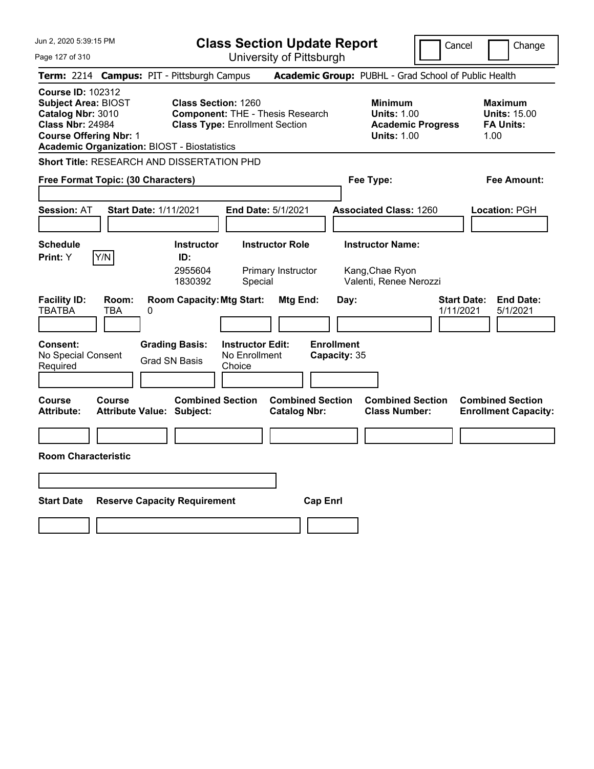| Jun 2, 2020 5:39:15 PM                                                                                                                                                                         | <b>Class Section Update Report</b>                                                                                                      |                                                              |                                                                                        | Cancel<br>Change                                                  |
|------------------------------------------------------------------------------------------------------------------------------------------------------------------------------------------------|-----------------------------------------------------------------------------------------------------------------------------------------|--------------------------------------------------------------|----------------------------------------------------------------------------------------|-------------------------------------------------------------------|
| Page 127 of 310                                                                                                                                                                                | University of Pittsburgh                                                                                                                |                                                              |                                                                                        |                                                                   |
| Term: 2214 Campus: PIT - Pittsburgh Campus                                                                                                                                                     |                                                                                                                                         |                                                              | Academic Group: PUBHL - Grad School of Public Health                                   |                                                                   |
| <b>Course ID: 102312</b><br><b>Subject Area: BIOST</b><br>Catalog Nbr: 3010<br><b>Class Nbr: 24984</b><br><b>Course Offering Nbr: 1</b><br><b>Academic Organization: BIOST - Biostatistics</b> | <b>Class Section: 1260</b><br><b>Component: THE - Thesis Research</b><br><b>Class Type: Enrollment Section</b>                          |                                                              | <b>Minimum</b><br><b>Units: 1.00</b><br><b>Academic Progress</b><br><b>Units: 1.00</b> | <b>Maximum</b><br><b>Units: 15.00</b><br><b>FA Units:</b><br>1.00 |
| <b>Short Title: RESEARCH AND DISSERTATION PHD</b>                                                                                                                                              |                                                                                                                                         |                                                              |                                                                                        |                                                                   |
| Free Format Topic: (30 Characters)                                                                                                                                                             |                                                                                                                                         |                                                              | Fee Type:                                                                              | Fee Amount:                                                       |
| <b>Session: AT</b><br><b>Start Date: 1/11/2021</b>                                                                                                                                             | End Date: 5/1/2021                                                                                                                      |                                                              | <b>Associated Class: 1260</b>                                                          | <b>Location: PGH</b>                                              |
| <b>Schedule</b><br>Y/N<br><b>Print:</b> Y                                                                                                                                                      | <b>Instructor Role</b><br><b>Instructor</b><br>ID:<br>2955604<br>Primary Instructor<br>1830392<br>Special                               |                                                              | <b>Instructor Name:</b><br>Kang, Chae Ryon<br>Valenti, Renee Nerozzi                   |                                                                   |
| <b>Facility ID:</b><br>Room:<br><b>TBATBA</b><br>TBA<br>0<br><b>Consent:</b><br>No Special Consent<br>Required                                                                                 | <b>Room Capacity: Mtg Start:</b><br><b>Grading Basis:</b><br><b>Instructor Edit:</b><br>No Enrollment<br><b>Grad SN Basis</b><br>Choice | <b>Mtg End:</b><br>Day:<br><b>Enrollment</b><br>Capacity: 35 |                                                                                        | <b>End Date:</b><br><b>Start Date:</b><br>1/11/2021<br>5/1/2021   |
| <b>Course</b><br><b>Course</b><br><b>Attribute:</b><br><b>Attribute Value: Subject:</b>                                                                                                        | <b>Combined Section</b>                                                                                                                 | <b>Combined Section</b><br><b>Catalog Nbr:</b>               | <b>Combined Section</b><br><b>Class Number:</b>                                        | <b>Combined Section</b><br><b>Enrollment Capacity:</b>            |
|                                                                                                                                                                                                |                                                                                                                                         |                                                              |                                                                                        |                                                                   |
| <b>Room Characteristic</b>                                                                                                                                                                     |                                                                                                                                         |                                                              |                                                                                        |                                                                   |
|                                                                                                                                                                                                |                                                                                                                                         |                                                              |                                                                                        |                                                                   |
| <b>Start Date</b>                                                                                                                                                                              | <b>Reserve Capacity Requirement</b>                                                                                                     | <b>Cap Enrl</b>                                              |                                                                                        |                                                                   |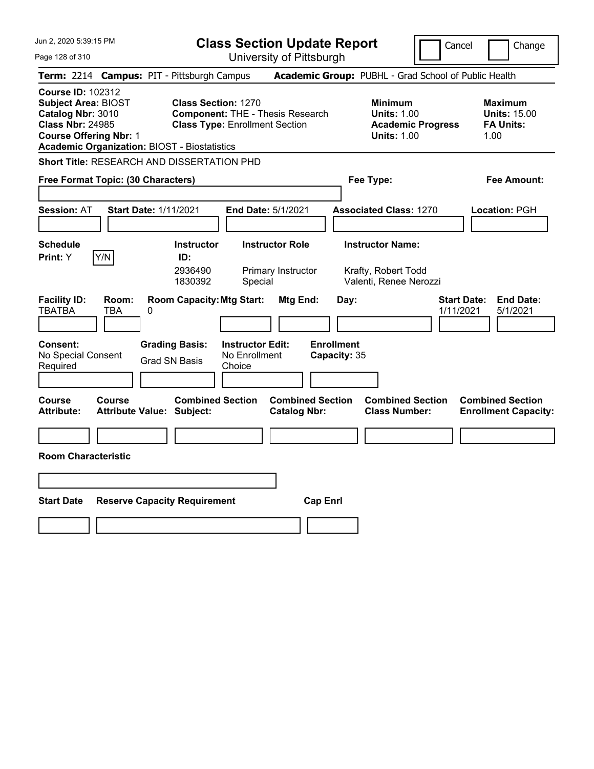| Jun 2, 2020 5:39:15 PM                                                                                                                                                                         | <b>Class Section Update Report</b>                                                                                               |                                                       |                                                                                        | Cancel<br>Change                                                |
|------------------------------------------------------------------------------------------------------------------------------------------------------------------------------------------------|----------------------------------------------------------------------------------------------------------------------------------|-------------------------------------------------------|----------------------------------------------------------------------------------------|-----------------------------------------------------------------|
| Page 128 of 310                                                                                                                                                                                |                                                                                                                                  | University of Pittsburgh                              |                                                                                        |                                                                 |
| <b>Term: 2214</b>                                                                                                                                                                              | <b>Campus: PIT - Pittsburgh Campus</b>                                                                                           |                                                       | Academic Group: PUBHL - Grad School of Public Health                                   |                                                                 |
| <b>Course ID: 102312</b><br><b>Subject Area: BIOST</b><br>Catalog Nbr: 3010<br><b>Class Nbr: 24985</b><br><b>Course Offering Nbr: 1</b><br><b>Academic Organization: BIOST - Biostatistics</b> | <b>Class Section: 1270</b><br><b>Component: THE - Thesis Research</b><br><b>Class Type: Enrollment Section</b>                   |                                                       | <b>Minimum</b><br><b>Units: 1.00</b><br><b>Academic Progress</b><br><b>Units: 1.00</b> | Maximum<br><b>Units: 15.00</b><br><b>FA Units:</b><br>1.00      |
| Short Title: RESEARCH AND DISSERTATION PHD                                                                                                                                                     |                                                                                                                                  |                                                       |                                                                                        |                                                                 |
| Free Format Topic: (30 Characters)                                                                                                                                                             |                                                                                                                                  |                                                       | Fee Type:                                                                              | Fee Amount:                                                     |
| <b>Session: AT</b><br><b>Start Date: 1/11/2021</b>                                                                                                                                             | <b>End Date: 5/1/2021</b>                                                                                                        |                                                       | <b>Associated Class: 1270</b>                                                          | Location: PGH                                                   |
| <b>Schedule</b><br>Y/N<br>Print: Y                                                                                                                                                             | <b>Instructor Role</b><br><b>Instructor</b><br>ID:<br>2936490<br>Primary Instructor<br>1830392<br>Special                        |                                                       | <b>Instructor Name:</b><br>Krafty, Robert Todd<br>Valenti, Renee Nerozzi               |                                                                 |
| <b>Facility ID:</b><br>Room:<br><b>TBATBA</b><br>TBA<br>0<br><b>Consent:</b><br>No Special Consent<br>Required                                                                                 | <b>Room Capacity: Mtg Start:</b><br><b>Grading Basis:</b><br><b>Instructor Edit:</b><br>No Enrollment<br>Grad SN Basis<br>Choice | Mtg End:<br>Day:<br><b>Enrollment</b><br>Capacity: 35 |                                                                                        | <b>Start Date:</b><br><b>End Date:</b><br>1/11/2021<br>5/1/2021 |
| <b>Course</b><br>Course<br><b>Attribute:</b><br><b>Attribute Value: Subject:</b>                                                                                                               | <b>Combined Section</b>                                                                                                          | <b>Combined Section</b><br><b>Catalog Nbr:</b>        | <b>Combined Section</b><br><b>Class Number:</b>                                        | <b>Combined Section</b><br><b>Enrollment Capacity:</b>          |
|                                                                                                                                                                                                |                                                                                                                                  |                                                       |                                                                                        |                                                                 |
| <b>Room Characteristic</b>                                                                                                                                                                     |                                                                                                                                  |                                                       |                                                                                        |                                                                 |
|                                                                                                                                                                                                |                                                                                                                                  |                                                       |                                                                                        |                                                                 |
| <b>Start Date</b>                                                                                                                                                                              | <b>Reserve Capacity Requirement</b>                                                                                              | <b>Cap Enri</b>                                       |                                                                                        |                                                                 |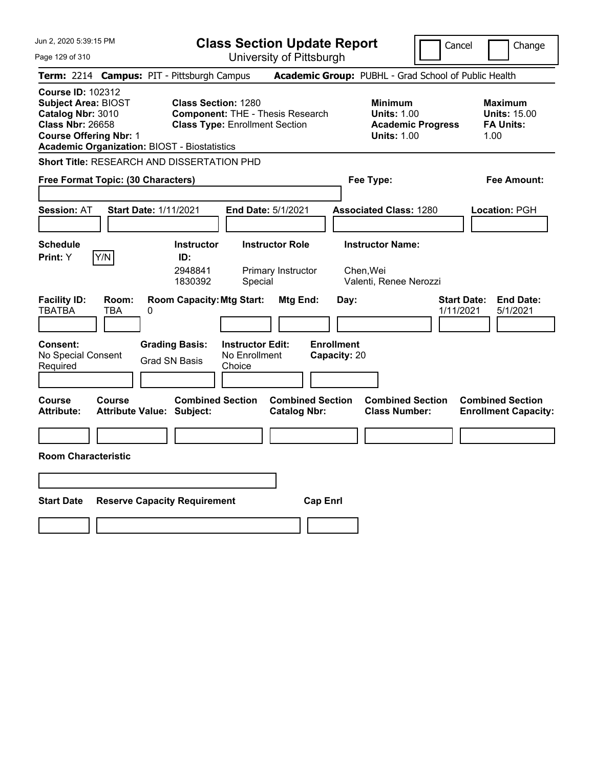| Jun 2, 2020 5:39:15 PM                                                                                                                                                                         | <b>Class Section Update Report</b>                                                                                                      |                                                              |                                                                                        | Cancel<br>Change                                                  |
|------------------------------------------------------------------------------------------------------------------------------------------------------------------------------------------------|-----------------------------------------------------------------------------------------------------------------------------------------|--------------------------------------------------------------|----------------------------------------------------------------------------------------|-------------------------------------------------------------------|
| Page 129 of 310                                                                                                                                                                                | University of Pittsburgh                                                                                                                |                                                              |                                                                                        |                                                                   |
| Term: 2214 Campus: PIT - Pittsburgh Campus                                                                                                                                                     |                                                                                                                                         |                                                              | Academic Group: PUBHL - Grad School of Public Health                                   |                                                                   |
| <b>Course ID: 102312</b><br><b>Subject Area: BIOST</b><br>Catalog Nbr: 3010<br><b>Class Nbr: 26658</b><br><b>Course Offering Nbr: 1</b><br><b>Academic Organization: BIOST - Biostatistics</b> | <b>Class Section: 1280</b><br><b>Component: THE - Thesis Research</b><br><b>Class Type: Enrollment Section</b>                          |                                                              | <b>Minimum</b><br><b>Units: 1.00</b><br><b>Academic Progress</b><br><b>Units: 1.00</b> | <b>Maximum</b><br><b>Units: 15.00</b><br><b>FA Units:</b><br>1.00 |
| <b>Short Title: RESEARCH AND DISSERTATION PHD</b>                                                                                                                                              |                                                                                                                                         |                                                              |                                                                                        |                                                                   |
| Free Format Topic: (30 Characters)                                                                                                                                                             |                                                                                                                                         |                                                              | Fee Type:                                                                              | Fee Amount:                                                       |
| <b>Session: AT</b><br><b>Start Date: 1/11/2021</b>                                                                                                                                             | End Date: 5/1/2021                                                                                                                      |                                                              | <b>Associated Class: 1280</b>                                                          | <b>Location: PGH</b>                                              |
| <b>Schedule</b><br>Y/N<br><b>Print:</b> Y                                                                                                                                                      | <b>Instructor Role</b><br><b>Instructor</b><br>ID:<br>2948841<br>Primary Instructor<br>1830392<br>Special                               |                                                              | <b>Instructor Name:</b><br>Chen, Wei<br>Valenti, Renee Nerozzi                         |                                                                   |
| <b>Facility ID:</b><br>Room:<br><b>TBATBA</b><br>TBA<br>0<br><b>Consent:</b><br>No Special Consent<br>Required                                                                                 | <b>Room Capacity: Mtg Start:</b><br><b>Grading Basis:</b><br><b>Instructor Edit:</b><br>No Enrollment<br><b>Grad SN Basis</b><br>Choice | <b>Mtg End:</b><br>Day:<br><b>Enrollment</b><br>Capacity: 20 |                                                                                        | <b>End Date:</b><br><b>Start Date:</b><br>1/11/2021<br>5/1/2021   |
| <b>Course</b><br><b>Course</b><br><b>Attribute:</b><br><b>Attribute Value: Subject:</b>                                                                                                        | <b>Combined Section</b>                                                                                                                 | <b>Combined Section</b><br><b>Catalog Nbr:</b>               | <b>Combined Section</b><br><b>Class Number:</b>                                        | <b>Combined Section</b><br><b>Enrollment Capacity:</b>            |
|                                                                                                                                                                                                |                                                                                                                                         |                                                              |                                                                                        |                                                                   |
| <b>Room Characteristic</b>                                                                                                                                                                     |                                                                                                                                         |                                                              |                                                                                        |                                                                   |
|                                                                                                                                                                                                |                                                                                                                                         |                                                              |                                                                                        |                                                                   |
| <b>Start Date</b>                                                                                                                                                                              | <b>Reserve Capacity Requirement</b>                                                                                                     | <b>Cap Enrl</b>                                              |                                                                                        |                                                                   |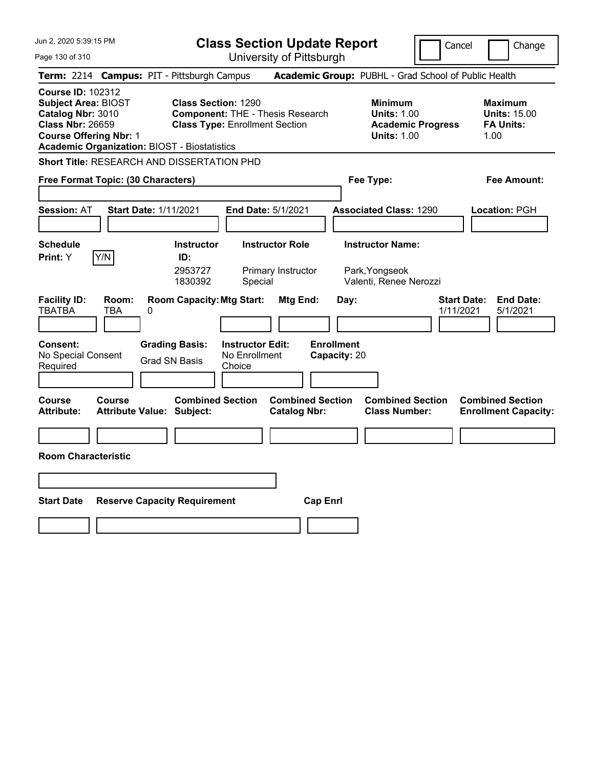| Jun 2, 2020 5:39:15 PM                                                                                                                                                                         | <b>Class Section Update Report</b>                                                                                                      |                                                |                                                                                        | Cancel                          | Change                                                            |
|------------------------------------------------------------------------------------------------------------------------------------------------------------------------------------------------|-----------------------------------------------------------------------------------------------------------------------------------------|------------------------------------------------|----------------------------------------------------------------------------------------|---------------------------------|-------------------------------------------------------------------|
| Page 130 of 310                                                                                                                                                                                |                                                                                                                                         | University of Pittsburgh                       |                                                                                        |                                 |                                                                   |
| Term: 2214 Campus: PIT - Pittsburgh Campus                                                                                                                                                     |                                                                                                                                         |                                                | Academic Group: PUBHL - Grad School of Public Health                                   |                                 |                                                                   |
| <b>Course ID: 102312</b><br><b>Subject Area: BIOST</b><br>Catalog Nbr: 3010<br><b>Class Nbr: 26659</b><br><b>Course Offering Nbr: 1</b><br><b>Academic Organization: BIOST - Biostatistics</b> | <b>Class Section: 1290</b><br><b>Component: THE - Thesis Research</b><br><b>Class Type: Enrollment Section</b>                          |                                                | <b>Minimum</b><br><b>Units: 1.00</b><br><b>Academic Progress</b><br><b>Units: 1.00</b> |                                 | <b>Maximum</b><br><b>Units: 15.00</b><br><b>FA Units:</b><br>1.00 |
| Short Title: RESEARCH AND DISSERTATION PHD                                                                                                                                                     |                                                                                                                                         |                                                |                                                                                        |                                 |                                                                   |
| Free Format Topic: (30 Characters)                                                                                                                                                             |                                                                                                                                         |                                                | Fee Type:                                                                              |                                 | Fee Amount:                                                       |
| <b>Session: AT</b><br><b>Start Date: 1/11/2021</b>                                                                                                                                             | <b>End Date: 5/1/2021</b>                                                                                                               |                                                | <b>Associated Class: 1290</b>                                                          |                                 | Location: PGH                                                     |
| <b>Schedule</b><br>Y/N<br><b>Print: Y</b>                                                                                                                                                      | <b>Instructor</b><br>ID:<br>2953727<br>1830392<br>Special                                                                               | <b>Instructor Role</b><br>Primary Instructor   | <b>Instructor Name:</b><br>Park, Yongseok<br>Valenti, Renee Nerozzi                    |                                 |                                                                   |
| <b>Facility ID:</b><br>Room:<br><b>TBATBA</b><br>TBA<br>0<br><b>Consent:</b><br>No Special Consent<br>Required                                                                                 | <b>Room Capacity: Mtg Start:</b><br><b>Grading Basis:</b><br><b>Instructor Edit:</b><br>No Enrollment<br><b>Grad SN Basis</b><br>Choice | Mtg End:<br><b>Enrollment</b><br>Capacity: 20  | Day:                                                                                   | <b>Start Date:</b><br>1/11/2021 | <b>End Date:</b><br>5/1/2021                                      |
| <b>Course</b><br><b>Course</b><br><b>Attribute:</b><br><b>Attribute Value: Subject:</b>                                                                                                        | <b>Combined Section</b>                                                                                                                 | <b>Combined Section</b><br><b>Catalog Nbr:</b> | <b>Combined Section</b><br><b>Class Number:</b>                                        |                                 | <b>Combined Section</b><br><b>Enrollment Capacity:</b>            |
|                                                                                                                                                                                                |                                                                                                                                         |                                                |                                                                                        |                                 |                                                                   |
| <b>Room Characteristic</b>                                                                                                                                                                     |                                                                                                                                         |                                                |                                                                                        |                                 |                                                                   |
|                                                                                                                                                                                                |                                                                                                                                         |                                                |                                                                                        |                                 |                                                                   |
| <b>Start Date</b>                                                                                                                                                                              | <b>Reserve Capacity Requirement</b>                                                                                                     | <b>Cap Enri</b>                                |                                                                                        |                                 |                                                                   |
|                                                                                                                                                                                                |                                                                                                                                         |                                                |                                                                                        |                                 |                                                                   |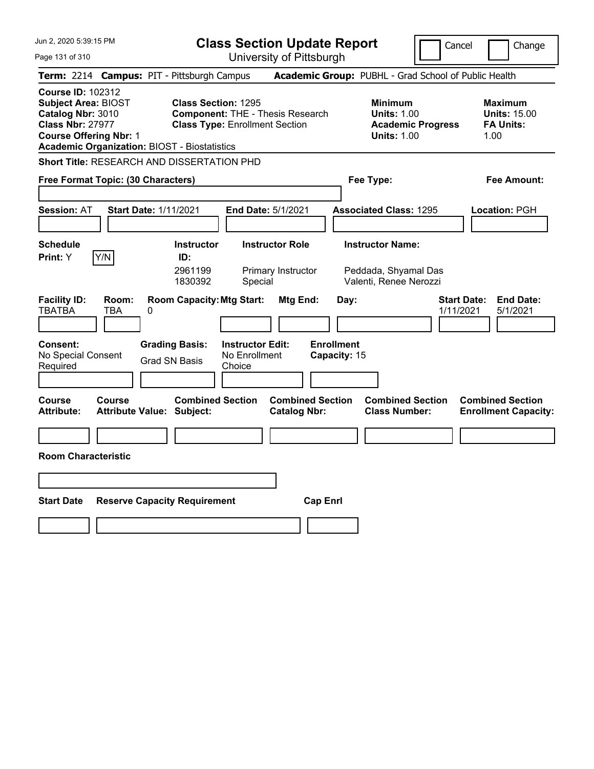| Jun 2, 2020 5:39:15 PM                                                                                                                                                                         | <b>Class Section Update Report</b>                                                                                                      |                                                                                                   | Cancel<br>Change                                                                              |
|------------------------------------------------------------------------------------------------------------------------------------------------------------------------------------------------|-----------------------------------------------------------------------------------------------------------------------------------------|---------------------------------------------------------------------------------------------------|-----------------------------------------------------------------------------------------------|
| Page 131 of 310                                                                                                                                                                                | University of Pittsburgh                                                                                                                |                                                                                                   |                                                                                               |
| Term: 2214 Campus: PIT - Pittsburgh Campus                                                                                                                                                     |                                                                                                                                         | Academic Group: PUBHL - Grad School of Public Health                                              |                                                                                               |
| <b>Course ID: 102312</b><br><b>Subject Area: BIOST</b><br>Catalog Nbr: 3010<br><b>Class Nbr: 27977</b><br><b>Course Offering Nbr: 1</b><br><b>Academic Organization: BIOST - Biostatistics</b> | <b>Class Section: 1295</b><br><b>Component: THE - Thesis Research</b><br><b>Class Type: Enrollment Section</b>                          | <b>Minimum</b><br><b>Units: 1.00</b><br><b>Units: 1.00</b>                                        | <b>Maximum</b><br><b>Units: 15.00</b><br><b>Academic Progress</b><br><b>FA Units:</b><br>1.00 |
| <b>Short Title: RESEARCH AND DISSERTATION PHD</b>                                                                                                                                              |                                                                                                                                         |                                                                                                   |                                                                                               |
| Free Format Topic: (30 Characters)                                                                                                                                                             |                                                                                                                                         | Fee Type:                                                                                         | Fee Amount:                                                                                   |
| <b>Session: AT</b><br><b>Start Date: 1/11/2021</b>                                                                                                                                             | End Date: 5/1/2021                                                                                                                      | <b>Associated Class: 1295</b>                                                                     | <b>Location: PGH</b>                                                                          |
| <b>Schedule</b><br>Y/N<br><b>Print: Y</b>                                                                                                                                                      | <b>Instructor Role</b><br><b>Instructor</b><br>ID:<br>2961199<br>Primary Instructor<br>1830392<br>Special                               | <b>Instructor Name:</b><br>Peddada, Shyamal Das<br>Valenti, Renee Nerozzi                         |                                                                                               |
| <b>Facility ID:</b><br>Room:<br><b>TBATBA</b><br>TBA<br>0<br><b>Consent:</b><br>No Special Consent<br>Required                                                                                 | <b>Room Capacity: Mtg Start:</b><br><b>Grading Basis:</b><br><b>Instructor Edit:</b><br>No Enrollment<br><b>Grad SN Basis</b><br>Choice | <b>Mtg End:</b><br>Day:<br><b>Enrollment</b><br>Capacity: 15                                      | <b>End Date:</b><br><b>Start Date:</b><br>1/11/2021<br>5/1/2021                               |
| <b>Course</b><br><b>Course</b><br><b>Attribute:</b><br><b>Attribute Value: Subject:</b>                                                                                                        | <b>Combined Section</b>                                                                                                                 | <b>Combined Section</b><br><b>Combined Section</b><br><b>Class Number:</b><br><b>Catalog Nbr:</b> | <b>Combined Section</b><br><b>Enrollment Capacity:</b>                                        |
|                                                                                                                                                                                                |                                                                                                                                         |                                                                                                   |                                                                                               |
| <b>Room Characteristic</b>                                                                                                                                                                     |                                                                                                                                         |                                                                                                   |                                                                                               |
|                                                                                                                                                                                                |                                                                                                                                         |                                                                                                   |                                                                                               |
| <b>Start Date</b><br><b>Reserve Capacity Requirement</b>                                                                                                                                       |                                                                                                                                         | <b>Cap Enrl</b>                                                                                   |                                                                                               |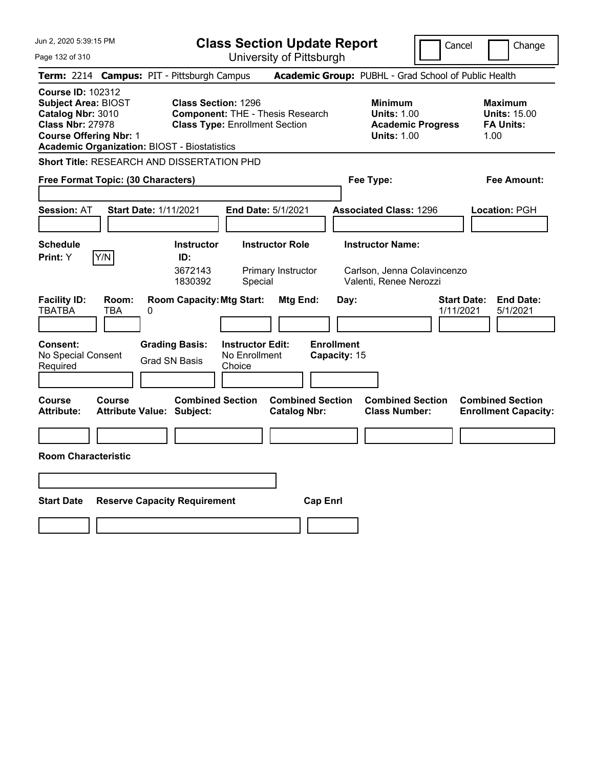| Jun 2, 2020 5:39:15 PM                                                                                                                                                                         | <b>Class Section Update Report</b>                                                                                                      |                                                                                  | Cancel                          | Change                                                            |
|------------------------------------------------------------------------------------------------------------------------------------------------------------------------------------------------|-----------------------------------------------------------------------------------------------------------------------------------------|----------------------------------------------------------------------------------|---------------------------------|-------------------------------------------------------------------|
| Page 132 of 310                                                                                                                                                                                | University of Pittsburgh                                                                                                                |                                                                                  |                                 |                                                                   |
| Term: 2214 Campus: PIT - Pittsburgh Campus                                                                                                                                                     |                                                                                                                                         | Academic Group: PUBHL - Grad School of Public Health                             |                                 |                                                                   |
| <b>Course ID: 102312</b><br><b>Subject Area: BIOST</b><br>Catalog Nbr: 3010<br><b>Class Nbr: 27978</b><br><b>Course Offering Nbr: 1</b><br><b>Academic Organization: BIOST - Biostatistics</b> | <b>Class Section: 1296</b><br><b>Component: THE - Thesis Research</b><br><b>Class Type: Enrollment Section</b>                          | <b>Minimum</b><br><b>Units: 1.00</b><br><b>Units: 1.00</b>                       | <b>Academic Progress</b>        | <b>Maximum</b><br><b>Units: 15.00</b><br><b>FA Units:</b><br>1.00 |
| <b>Short Title: RESEARCH AND DISSERTATION PHD</b>                                                                                                                                              |                                                                                                                                         |                                                                                  |                                 |                                                                   |
| Free Format Topic: (30 Characters)                                                                                                                                                             |                                                                                                                                         | Fee Type:                                                                        |                                 | Fee Amount:                                                       |
| <b>Start Date: 1/11/2021</b><br><b>Session: AT</b>                                                                                                                                             | End Date: 5/1/2021                                                                                                                      | <b>Associated Class: 1296</b>                                                    |                                 | <b>Location: PGH</b>                                              |
| <b>Schedule</b><br>Y/N<br>Print: Y                                                                                                                                                             | <b>Instructor Role</b><br><b>Instructor</b><br>ID:<br>3672143<br>Primary Instructor<br>1830392<br>Special                               | <b>Instructor Name:</b><br>Carlson, Jenna Colavincenzo<br>Valenti, Renee Nerozzi |                                 |                                                                   |
| <b>Facility ID:</b><br>Room:<br><b>TBATBA</b><br>TBA<br>0<br><b>Consent:</b><br>No Special Consent<br>Required                                                                                 | <b>Room Capacity: Mtg Start:</b><br><b>Instructor Edit:</b><br><b>Grading Basis:</b><br>No Enrollment<br><b>Grad SN Basis</b><br>Choice | Mtg End:<br>Day:<br><b>Enrollment</b><br>Capacity: 15                            | <b>Start Date:</b><br>1/11/2021 | <b>End Date:</b><br>5/1/2021                                      |
| Course<br>Course<br><b>Attribute:</b><br><b>Attribute Value: Subject:</b>                                                                                                                      | <b>Combined Section</b><br><b>Catalog Nbr:</b>                                                                                          | <b>Combined Section</b><br><b>Combined Section</b><br><b>Class Number:</b>       |                                 | <b>Combined Section</b><br><b>Enrollment Capacity:</b>            |
|                                                                                                                                                                                                |                                                                                                                                         |                                                                                  |                                 |                                                                   |
| <b>Room Characteristic</b>                                                                                                                                                                     |                                                                                                                                         |                                                                                  |                                 |                                                                   |
|                                                                                                                                                                                                |                                                                                                                                         |                                                                                  |                                 |                                                                   |
| <b>Start Date</b><br><b>Reserve Capacity Requirement</b>                                                                                                                                       |                                                                                                                                         | <b>Cap Enri</b>                                                                  |                                 |                                                                   |
|                                                                                                                                                                                                |                                                                                                                                         |                                                                                  |                                 |                                                                   |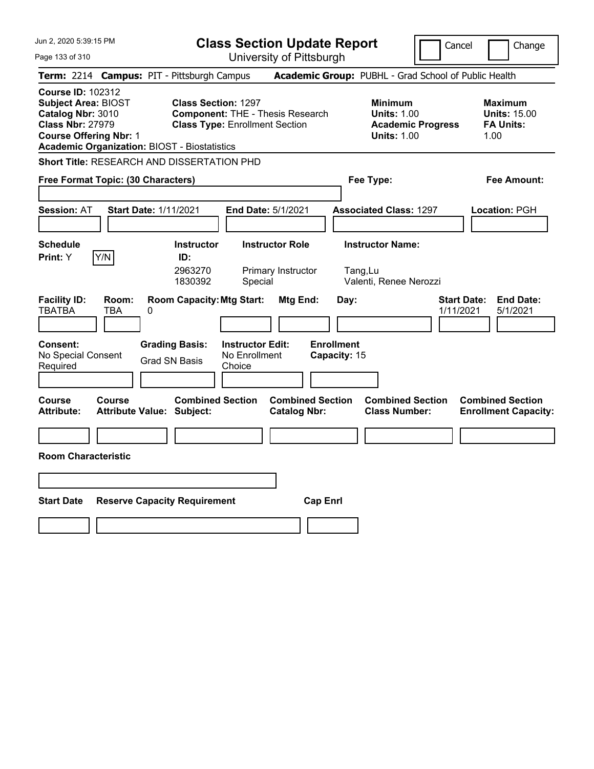| Jun 2, 2020 5:39:15 PM                                                                                                                                                                         | <b>Class Section Update Report</b>                                                                                                                  |                                                                                        | Cancel<br>Change                                                  |
|------------------------------------------------------------------------------------------------------------------------------------------------------------------------------------------------|-----------------------------------------------------------------------------------------------------------------------------------------------------|----------------------------------------------------------------------------------------|-------------------------------------------------------------------|
| Page 133 of 310                                                                                                                                                                                | University of Pittsburgh                                                                                                                            |                                                                                        |                                                                   |
| Term: 2214 Campus: PIT - Pittsburgh Campus                                                                                                                                                     |                                                                                                                                                     | Academic Group: PUBHL - Grad School of Public Health                                   |                                                                   |
| <b>Course ID: 102312</b><br><b>Subject Area: BIOST</b><br>Catalog Nbr: 3010<br><b>Class Nbr: 27979</b><br><b>Course Offering Nbr: 1</b><br><b>Academic Organization: BIOST - Biostatistics</b> | <b>Class Section: 1297</b><br><b>Component: THE - Thesis Research</b><br><b>Class Type: Enrollment Section</b>                                      | <b>Minimum</b><br><b>Units: 1.00</b><br><b>Academic Progress</b><br><b>Units: 1.00</b> | <b>Maximum</b><br><b>Units: 15.00</b><br><b>FA Units:</b><br>1.00 |
| <b>Short Title: RESEARCH AND DISSERTATION PHD</b>                                                                                                                                              |                                                                                                                                                     |                                                                                        |                                                                   |
| Free Format Topic: (30 Characters)                                                                                                                                                             |                                                                                                                                                     | Fee Type:                                                                              | Fee Amount:                                                       |
| <b>Start Date: 1/11/2021</b><br><b>Session: AT</b>                                                                                                                                             | <b>End Date: 5/1/2021</b>                                                                                                                           | <b>Associated Class: 1297</b>                                                          | Location: PGH                                                     |
| <b>Schedule</b><br>Y/N<br>Print: Y                                                                                                                                                             | <b>Instructor</b><br><b>Instructor Role</b><br>ID:<br>2963270<br>Primary Instructor<br>1830392<br>Special                                           | <b>Instructor Name:</b><br>Tang,Lu<br>Valenti, Renee Nerozzi                           |                                                                   |
| <b>Facility ID:</b><br>Room:<br><b>TBATBA</b><br><b>TBA</b><br>0<br>Consent:<br>No Special Consent<br>Required                                                                                 | <b>Room Capacity: Mtg Start:</b><br>Mtg End:<br><b>Grading Basis:</b><br><b>Instructor Edit:</b><br>No Enrollment<br><b>Grad SN Basis</b><br>Choice | Day:<br><b>Enrollment</b><br>Capacity: 15                                              | <b>Start Date:</b><br><b>End Date:</b><br>1/11/2021<br>5/1/2021   |
| Course<br>Course<br><b>Attribute:</b><br><b>Attribute Value: Subject:</b>                                                                                                                      | <b>Combined Section</b><br><b>Catalog Nbr:</b>                                                                                                      | <b>Combined Section</b><br><b>Combined Section</b><br><b>Class Number:</b>             | <b>Combined Section</b><br><b>Enrollment Capacity:</b>            |
|                                                                                                                                                                                                |                                                                                                                                                     |                                                                                        |                                                                   |
| <b>Room Characteristic</b>                                                                                                                                                                     |                                                                                                                                                     |                                                                                        |                                                                   |
|                                                                                                                                                                                                |                                                                                                                                                     |                                                                                        |                                                                   |
| <b>Start Date</b><br><b>Reserve Capacity Requirement</b>                                                                                                                                       |                                                                                                                                                     | <b>Cap Enri</b>                                                                        |                                                                   |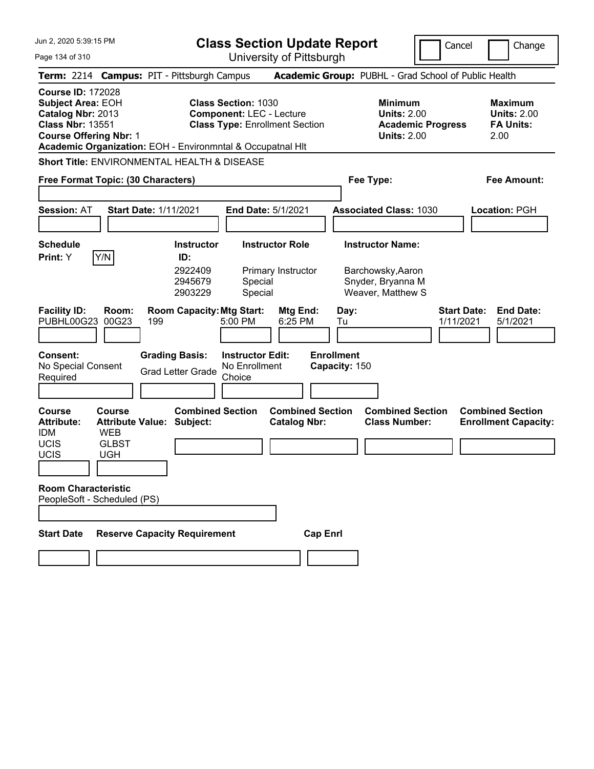Jun 2, 2020 5:39:15 PM Page 134 of 310 **Class Section Update Report** University of Pittsburgh Cancel Change **Term:** 2214 **Campus:** PIT - Pittsburgh Campus **Academic Group:** PUBHL - Grad School of Public Health **Course ID:** 172028 **Subject Area: EOH Class Section: 1030 Minimum Maximum Maximum Catalog Nbr:** 2013 **Component:** LEC - Lecture **Units:** 2.00 **Units:** 2.00 **Class Nbr:** 13551 **Class Type:** Enrollment Section **Academic Progress FA Units: Course Offering Nbr:** 1 **Units:** 2.00 2.00 **Academic Organization:** EOH - Environmntal & Occupatnal Hlt **Short Title:** ENVIRONMENTAL HEALTH & DISEASE **Free Format Topic: (30 Characters) Fee Type: Fee Amount: Session:** AT **Start Date:** 1/11/2021 **End Date:** 5/1/2021 **Associated Class:** 1030 **Location:** PGH **Schedule Instructor Instructor Role Instructor Name: Print:**  $Y$   $|Y/N|$  **ID:** 2922409 Primary Instructor Barchowsky,Aaron 2945679 Special Snyder, Bryanna M 2903229 Special Weaver, Matthew S **Facility ID: Room: Room Capacity:Mtg Start: Mtg End: Day: Start Date: End Date:** PUBHL00G23 00G23 199 5:00 PM 6:25 PM Tu 1/11/2021 5/1/2021 **Consent: Grading Basis: Instructor Edit: Enrollment** No Special Consent Required Grad Letter Grade No Enrollment **Choice Capacity:** 150 **Course Course Combined Section Combined Section Combined Section Combined Section**  Attribute: Attribute Value: Subject: Catalog Nbr: Class Number: Enrollment Capacity: IDM WEB UCIS GLBST UCIS UGH **Room Characteristic** PeopleSoft - Scheduled (PS) **Start Date Reserve Capacity Requirement Cap Enrl**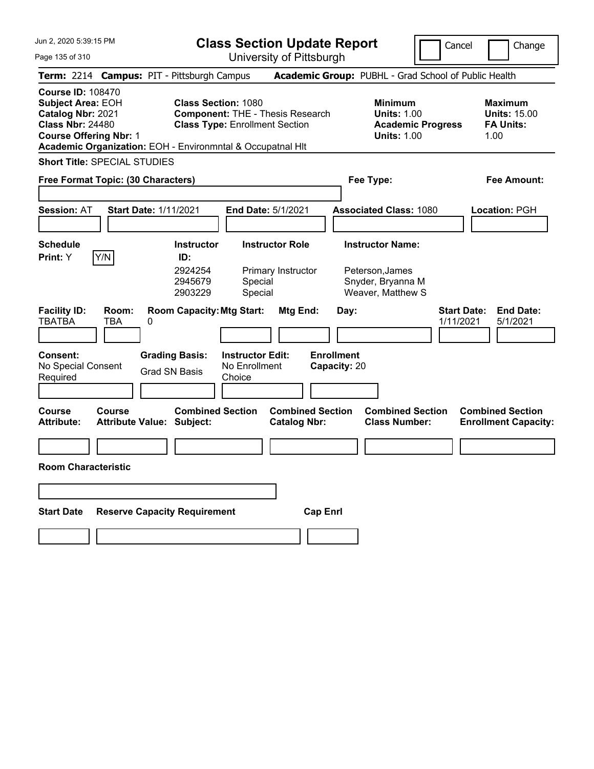**Class Section Update Report** University of Pittsburgh

Cancel Change

Page 135 of 310

| Term: 2214 Campus: PIT - Pittsburgh Campus                                                                                                                                                          |                                            |   |                                                                                                                |                                                    |                                                |                 |                                   |                         |                                                                                        |           | Academic Group: PUBHL - Grad School of Public Health              |
|-----------------------------------------------------------------------------------------------------------------------------------------------------------------------------------------------------|--------------------------------------------|---|----------------------------------------------------------------------------------------------------------------|----------------------------------------------------|------------------------------------------------|-----------------|-----------------------------------|-------------------------|----------------------------------------------------------------------------------------|-----------|-------------------------------------------------------------------|
| <b>Course ID: 108470</b><br><b>Subject Area: EOH</b><br>Catalog Nbr: 2021<br><b>Class Nbr: 24480</b><br><b>Course Offering Nbr: 1</b><br>Academic Organization: EOH - Environmntal & Occupatnal HIt |                                            |   | <b>Class Section: 1080</b><br><b>Component: THE - Thesis Research</b><br><b>Class Type: Enrollment Section</b> |                                                    |                                                |                 |                                   |                         | <b>Minimum</b><br><b>Units: 1.00</b><br><b>Academic Progress</b><br><b>Units: 1.00</b> |           | <b>Maximum</b><br><b>Units: 15.00</b><br><b>FA Units:</b><br>1.00 |
| <b>Short Title: SPECIAL STUDIES</b>                                                                                                                                                                 |                                            |   |                                                                                                                |                                                    |                                                |                 |                                   |                         |                                                                                        |           |                                                                   |
| Free Format Topic: (30 Characters)                                                                                                                                                                  |                                            |   |                                                                                                                |                                                    |                                                |                 |                                   | Fee Type:               |                                                                                        |           | <b>Fee Amount:</b>                                                |
| <b>Session: AT</b>                                                                                                                                                                                  | <b>Start Date: 1/11/2021</b>               |   |                                                                                                                | End Date: 5/1/2021                                 |                                                |                 |                                   |                         | <b>Associated Class: 1080</b>                                                          |           | Location: PGH                                                     |
| <b>Schedule</b>                                                                                                                                                                                     |                                            |   | <b>Instructor</b>                                                                                              |                                                    | <b>Instructor Role</b>                         |                 |                                   | <b>Instructor Name:</b> |                                                                                        |           |                                                                   |
| Print: Y                                                                                                                                                                                            | Y/N                                        |   | ID:<br>2924254<br>2945679<br>2903229                                                                           | Special<br>Special                                 | Primary Instructor                             |                 |                                   | Peterson, James         | Snyder, Bryanna M<br>Weaver, Matthew S                                                 |           |                                                                   |
| <b>Facility ID:</b><br><b>TBATBA</b>                                                                                                                                                                | Room:<br><b>TBA</b>                        | 0 | <b>Room Capacity: Mtg Start:</b>                                                                               |                                                    | Mtg End:                                       |                 | Day:                              |                         |                                                                                        | 1/11/2021 | <b>End Date:</b><br><b>Start Date:</b><br>5/1/2021                |
| Consent:<br>No Special Consent<br>Required                                                                                                                                                          |                                            |   | <b>Grading Basis:</b><br><b>Grad SN Basis</b>                                                                  | <b>Instructor Edit:</b><br>No Enrollment<br>Choice |                                                |                 | <b>Enrollment</b><br>Capacity: 20 |                         |                                                                                        |           |                                                                   |
| Course<br><b>Attribute:</b>                                                                                                                                                                         | Course<br><b>Attribute Value: Subject:</b> |   | <b>Combined Section</b>                                                                                        |                                                    | <b>Combined Section</b><br><b>Catalog Nbr:</b> |                 |                                   |                         | <b>Combined Section</b><br><b>Class Number:</b>                                        |           | <b>Combined Section</b><br><b>Enrollment Capacity:</b>            |
|                                                                                                                                                                                                     |                                            |   |                                                                                                                |                                                    |                                                |                 |                                   |                         |                                                                                        |           |                                                                   |
| <b>Room Characteristic</b>                                                                                                                                                                          |                                            |   |                                                                                                                |                                                    |                                                |                 |                                   |                         |                                                                                        |           |                                                                   |
|                                                                                                                                                                                                     |                                            |   |                                                                                                                |                                                    |                                                |                 |                                   |                         |                                                                                        |           |                                                                   |
| <b>Start Date</b>                                                                                                                                                                                   |                                            |   | <b>Reserve Capacity Requirement</b>                                                                            |                                                    |                                                | <b>Cap Enrl</b> |                                   |                         |                                                                                        |           |                                                                   |
|                                                                                                                                                                                                     |                                            |   |                                                                                                                |                                                    |                                                |                 |                                   |                         |                                                                                        |           |                                                                   |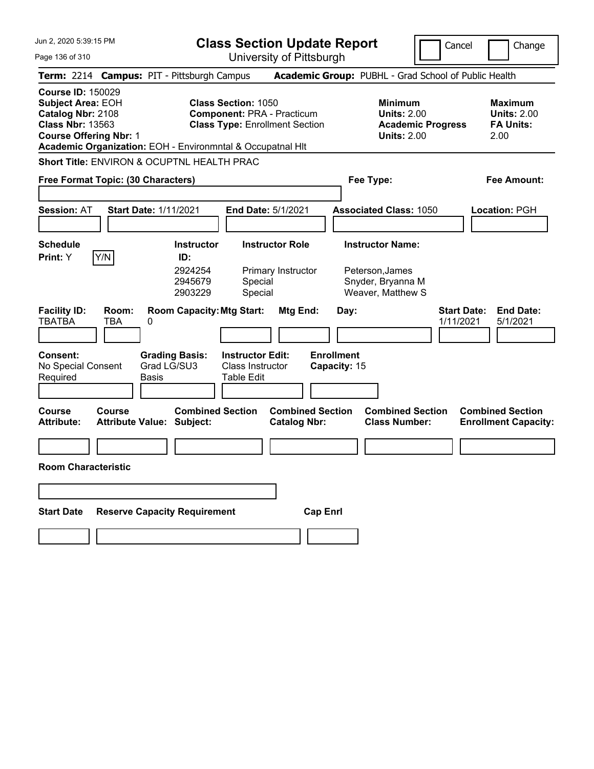Jun 2, 2020 5:39:15 PM Page 136 of 310 **Class Section Update Report** University of Pittsburgh Cancel Change **Term:** 2214 **Campus:** PIT - Pittsburgh Campus **Academic Group:** PUBHL - Grad School of Public Health **Course ID:** 150029 **Subject Area: EOH Class Section: 1050 Minimum Maximum Maximum Catalog Nbr:** 2108 **Component:** PRA - Practicum **Units:** 2.00 **Units:** 2.00 **Class Nbr:** 13563 **Class Type:** Enrollment Section **Academic Progress FA Units: Course Offering Nbr:** 1 **Units:** 2.00 2.00 **Academic Organization:** EOH - Environmntal & Occupatnal Hlt **Short Title:** ENVIRON & OCUPTNL HEALTH PRAC **Free Format Topic: (30 Characters) Fee Type: Fee Amount: Session:** AT **Start Date:** 1/11/2021 **End Date:** 5/1/2021 **Associated Class:** 1050 **Location:** PGH **Schedule Instructor Instructor Role Instructor Name: Print:**  $Y$   $|Y/N|$  **ID:** 2924254 Primary Instructor Peterson,James 2945679 Special Snyder, Bryanna M 2903229 Special Weaver, Matthew S **Facility ID: Room: Room Capacity:Mtg Start: Mtg End: Day: Start Date: End Date:** TBATBA TBA 0 1/11/2021 5/1/2021 **Consent: Grading Basis: Instructor Edit: Enrollment** No Special Consent Required Grad LG/SU3 Basis Class Instructor Table Edit **Capacity:** 15 **Course Course Combined Section Combined Section Combined Section Combined Section**  Attribute Value: Subject: Catalog Nbr: Class Number: Enrollment Capacity: **Room Characteristic Start Date Reserve Capacity Requirement Cap Enrl**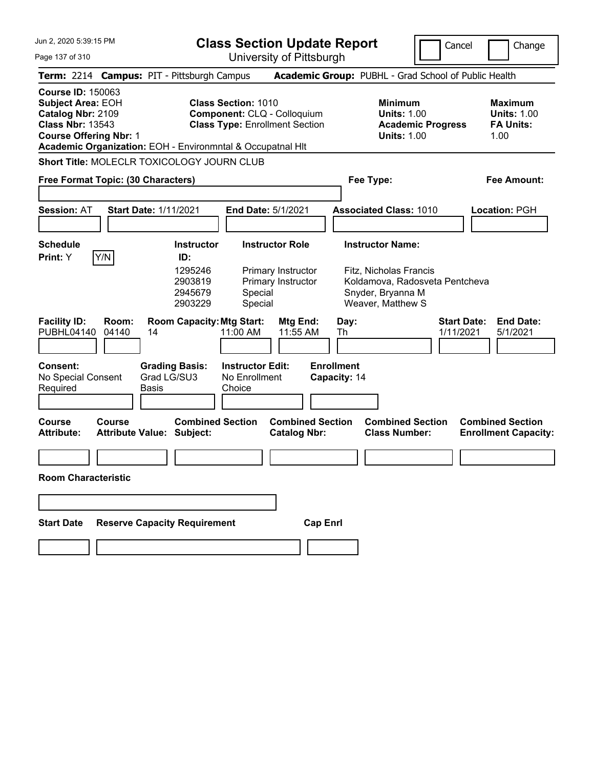Page 137 of 310

**Class Section Update Report**

Cancel **Change** 

University of Pittsburgh

|                                                                                                                                                                                                                                                                                                           |                |                                                             |                                                    | University ULT ittsburght                      |                                                                                        |                                                                                                    |                                                                  |                                                        |
|-----------------------------------------------------------------------------------------------------------------------------------------------------------------------------------------------------------------------------------------------------------------------------------------------------------|----------------|-------------------------------------------------------------|----------------------------------------------------|------------------------------------------------|----------------------------------------------------------------------------------------|----------------------------------------------------------------------------------------------------|------------------------------------------------------------------|--------------------------------------------------------|
|                                                                                                                                                                                                                                                                                                           |                | Term: 2214 Campus: PIT - Pittsburgh Campus                  |                                                    |                                                |                                                                                        | Academic Group: PUBHL - Grad School of Public Health                                               |                                                                  |                                                        |
| <b>Course ID: 150063</b><br><b>Class Section: 1010</b><br><b>Subject Area: EOH</b><br>Catalog Nbr: 2109<br>Component: CLQ - Colloquium<br><b>Class Type: Enrollment Section</b><br><b>Class Nbr: 13543</b><br><b>Course Offering Nbr: 1</b><br>Academic Organization: EOH - Environmntal & Occupatnal HIt |                |                                                             |                                                    |                                                | <b>Minimum</b><br><b>Units: 1.00</b><br><b>Academic Progress</b><br><b>Units: 1.00</b> |                                                                                                    | <b>Maximum</b><br><b>Units: 1.00</b><br><b>FA Units:</b><br>1.00 |                                                        |
|                                                                                                                                                                                                                                                                                                           |                | Short Title: MOLECLR TOXICOLOGY JOURN CLUB                  |                                                    |                                                |                                                                                        |                                                                                                    |                                                                  |                                                        |
| Free Format Topic: (30 Characters)                                                                                                                                                                                                                                                                        |                |                                                             |                                                    |                                                |                                                                                        | Fee Type:                                                                                          |                                                                  | Fee Amount:                                            |
|                                                                                                                                                                                                                                                                                                           |                |                                                             |                                                    |                                                |                                                                                        |                                                                                                    |                                                                  |                                                        |
| <b>Session: AT</b>                                                                                                                                                                                                                                                                                        |                | <b>Start Date: 1/11/2021</b>                                | End Date: 5/1/2021                                 |                                                |                                                                                        | <b>Associated Class: 1010</b>                                                                      |                                                                  | Location: PGH                                          |
|                                                                                                                                                                                                                                                                                                           |                |                                                             |                                                    |                                                |                                                                                        |                                                                                                    |                                                                  |                                                        |
| <b>Schedule</b>                                                                                                                                                                                                                                                                                           |                | Instructor                                                  |                                                    | <b>Instructor Role</b>                         |                                                                                        | <b>Instructor Name:</b>                                                                            |                                                                  |                                                        |
| Print: Y                                                                                                                                                                                                                                                                                                  | Y/N            | ID:<br>1295246<br>2903819<br>2945679<br>2903229             | Special<br>Special                                 | Primary Instructor<br>Primary Instructor       |                                                                                        | Fitz, Nicholas Francis<br>Koldamova, Radosveta Pentcheva<br>Snyder, Bryanna M<br>Weaver, Matthew S |                                                                  |                                                        |
| <b>Facility ID:</b><br><b>PUBHL04140</b>                                                                                                                                                                                                                                                                  | Room:<br>04140 | <b>Room Capacity: Mtg Start:</b><br>14                      | 11:00 AM                                           | Mtg End:<br>11:55 AM                           | Day:<br>Th                                                                             |                                                                                                    | <b>Start Date:</b><br>1/11/2021                                  | <b>End Date:</b><br>5/1/2021                           |
| <b>Consent:</b><br>No Special Consent<br>Required                                                                                                                                                                                                                                                         |                | <b>Grading Basis:</b><br>Grad LG/SU3<br>Basis               | <b>Instructor Edit:</b><br>No Enrollment<br>Choice |                                                | <b>Enrollment</b><br>Capacity: 14                                                      |                                                                                                    |                                                                  |                                                        |
| <b>Course</b><br>Attribute:                                                                                                                                                                                                                                                                               | <b>Course</b>  | <b>Combined Section</b><br><b>Attribute Value: Subject:</b> |                                                    | <b>Combined Section</b><br><b>Catalog Nbr:</b> |                                                                                        | <b>Combined Section</b><br><b>Class Number:</b>                                                    |                                                                  | <b>Combined Section</b><br><b>Enrollment Capacity:</b> |
|                                                                                                                                                                                                                                                                                                           |                |                                                             |                                                    |                                                |                                                                                        |                                                                                                    |                                                                  |                                                        |
| <b>Room Characteristic</b>                                                                                                                                                                                                                                                                                |                |                                                             |                                                    |                                                |                                                                                        |                                                                                                    |                                                                  |                                                        |
|                                                                                                                                                                                                                                                                                                           |                |                                                             |                                                    |                                                |                                                                                        |                                                                                                    |                                                                  |                                                        |
| <b>Start Date</b>                                                                                                                                                                                                                                                                                         |                | <b>Reserve Capacity Requirement</b>                         |                                                    | <b>Cap Enrl</b>                                |                                                                                        |                                                                                                    |                                                                  |                                                        |
|                                                                                                                                                                                                                                                                                                           |                |                                                             |                                                    |                                                |                                                                                        |                                                                                                    |                                                                  |                                                        |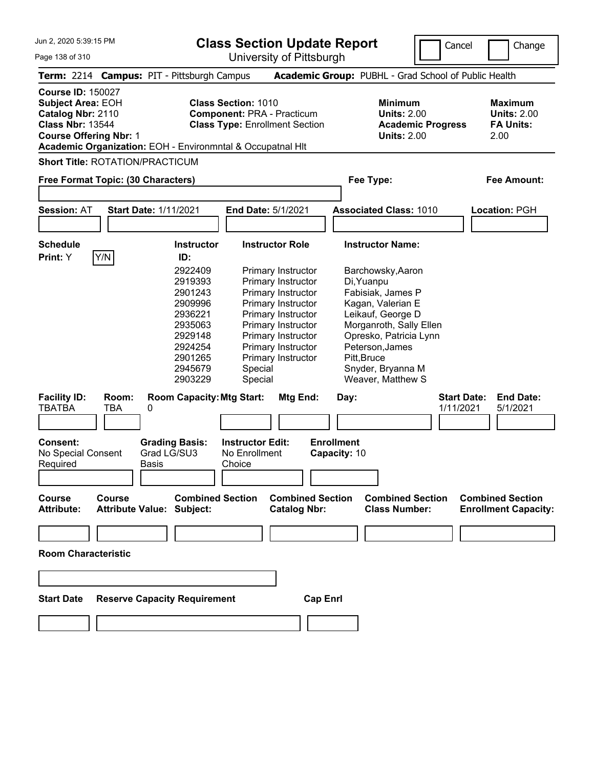**Class Section Update Report**

University of Pittsburgh

Cancel Change

Page 138 of 310

|                                                                                           |                                                                                                                                                                                                                                                                                                                 | Term: 2214 Campus: PIT - Pittsburgh Campus                                                                                                        |                                                    |                                                                                                                                                                                                                                            |                                           | Academic Group: PUBHL - Grad School of Public Health                                                                                                                                                                                                       |                                                                  |                                                        |
|-------------------------------------------------------------------------------------------|-----------------------------------------------------------------------------------------------------------------------------------------------------------------------------------------------------------------------------------------------------------------------------------------------------------------|---------------------------------------------------------------------------------------------------------------------------------------------------|----------------------------------------------------|--------------------------------------------------------------------------------------------------------------------------------------------------------------------------------------------------------------------------------------------|-------------------------------------------|------------------------------------------------------------------------------------------------------------------------------------------------------------------------------------------------------------------------------------------------------------|------------------------------------------------------------------|--------------------------------------------------------|
|                                                                                           | <b>Course ID: 150027</b><br><b>Class Section: 1010</b><br><b>Subject Area: EOH</b><br>Catalog Nbr: 2110<br><b>Component: PRA - Practicum</b><br><b>Class Nbr: 13544</b><br><b>Class Type: Enrollment Section</b><br><b>Course Offering Nbr: 1</b><br>Academic Organization: EOH - Environmntal & Occupatnal HIt |                                                                                                                                                   |                                                    |                                                                                                                                                                                                                                            |                                           | <b>Minimum</b><br><b>Units: 2.00</b><br><b>Academic Progress</b><br><b>Units: 2.00</b>                                                                                                                                                                     | <b>Maximum</b><br><b>Units: 2.00</b><br><b>FA Units:</b><br>2.00 |                                                        |
|                                                                                           |                                                                                                                                                                                                                                                                                                                 | <b>Short Title: ROTATION/PRACTICUM</b>                                                                                                            |                                                    |                                                                                                                                                                                                                                            |                                           |                                                                                                                                                                                                                                                            |                                                                  |                                                        |
| Free Format Topic: (30 Characters)                                                        |                                                                                                                                                                                                                                                                                                                 |                                                                                                                                                   |                                                    |                                                                                                                                                                                                                                            |                                           | Fee Type:                                                                                                                                                                                                                                                  |                                                                  | <b>Fee Amount:</b>                                     |
| <b>Session: AT</b>                                                                        |                                                                                                                                                                                                                                                                                                                 | <b>Start Date: 1/11/2021</b>                                                                                                                      | End Date: 5/1/2021                                 |                                                                                                                                                                                                                                            |                                           | <b>Associated Class: 1010</b>                                                                                                                                                                                                                              |                                                                  | Location: PGH                                          |
| <b>Schedule</b><br>Print: Y                                                               | Y/N                                                                                                                                                                                                                                                                                                             | <b>Instructor</b><br>ID:<br>2922409<br>2919393<br>2901243<br>2909996<br>2936221<br>2935063<br>2929148<br>2924254<br>2901265<br>2945679<br>2903229 | Special<br>Special                                 | <b>Instructor Role</b><br><b>Primary Instructor</b><br>Primary Instructor<br>Primary Instructor<br>Primary Instructor<br>Primary Instructor<br>Primary Instructor<br>Primary Instructor<br>Primary Instructor<br><b>Primary Instructor</b> |                                           | <b>Instructor Name:</b><br>Barchowsky, Aaron<br>Di, Yuanpu<br>Fabisiak, James P<br>Kagan, Valerian E<br>Leikauf, George D<br>Morganroth, Sally Ellen<br>Opresko, Patricia Lynn<br>Peterson, James<br>Pitt, Bruce<br>Snyder, Bryanna M<br>Weaver, Matthew S |                                                                  |                                                        |
| <b>Facility ID:</b><br><b>TBATBA</b><br><b>Consent:</b><br>No Special Consent<br>Required | Room:<br><b>TBA</b>                                                                                                                                                                                                                                                                                             | <b>Room Capacity: Mtg Start:</b><br>0<br><b>Grading Basis:</b><br>Grad LG/SU3<br>Basis                                                            | <b>Instructor Edit:</b><br>No Enrollment<br>Choice | Mtg End:                                                                                                                                                                                                                                   | Day:<br><b>Enrollment</b><br>Capacity: 10 |                                                                                                                                                                                                                                                            | <b>Start Date:</b><br>1/11/2021                                  | <b>End Date:</b><br>5/1/2021                           |
| <b>Course</b><br>Attribute:                                                               | Course                                                                                                                                                                                                                                                                                                          | <b>Combined Section</b><br>Attribute Value: Subject:                                                                                              |                                                    | <b>Combined Section</b><br><b>Catalog Nbr:</b>                                                                                                                                                                                             |                                           | <b>Combined Section</b><br><b>Class Number:</b>                                                                                                                                                                                                            |                                                                  | <b>Combined Section</b><br><b>Enrollment Capacity:</b> |
| <b>Room Characteristic</b>                                                                |                                                                                                                                                                                                                                                                                                                 |                                                                                                                                                   |                                                    |                                                                                                                                                                                                                                            |                                           |                                                                                                                                                                                                                                                            |                                                                  |                                                        |
| <b>Start Date</b>                                                                         |                                                                                                                                                                                                                                                                                                                 | <b>Reserve Capacity Requirement</b>                                                                                                               |                                                    | <b>Cap Enrl</b>                                                                                                                                                                                                                            |                                           |                                                                                                                                                                                                                                                            |                                                                  |                                                        |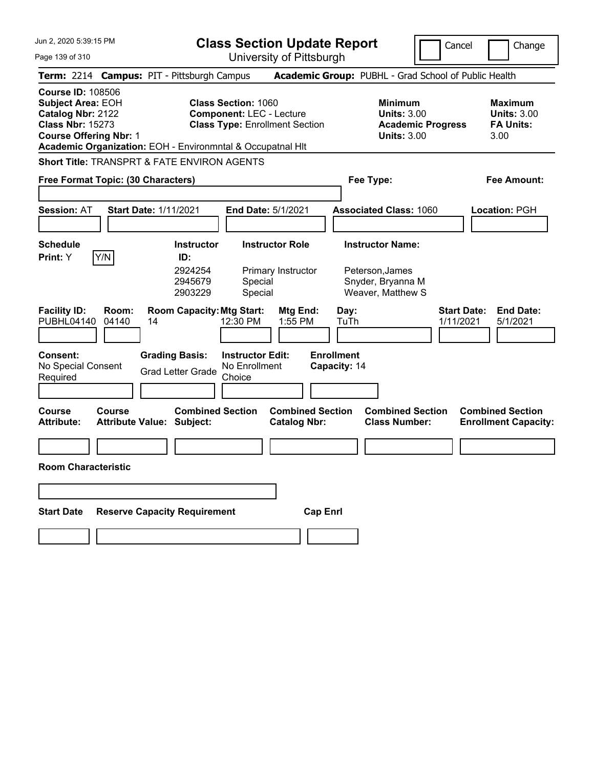Jun 2, 2020 5:39:15 PM Page 139 of 310 **Class Section Update Report** University of Pittsburgh Cancel Change **Term:** 2214 **Campus:** PIT - Pittsburgh Campus **Academic Group:** PUBHL - Grad School of Public Health **Course ID:** 108506 **Subject Area: EOH Class Section: 1060 Minimum Maximum Maximum Catalog Nbr:** 2122 **Component:** LEC - Lecture **Units:** 3.00 **Units:** 3.00 **Class Nbr:** 15273 **Class Type:** Enrollment Section **Academic Progress FA Units: Course Offering Nbr:** 1 **Units:** 3.00 3.00 **Academic Organization:** EOH - Environmntal & Occupatnal Hlt **Short Title:** TRANSPRT & FATE ENVIRON AGENTS **Free Format Topic: (30 Characters) Fee Type: Fee Amount: Session:** AT **Start Date:** 1/11/2021 **End Date:** 5/1/2021 **Associated Class:** 1060 **Location:** PGH **Schedule Instructor Instructor Role Instructor Name: Print:**  $Y$   $|Y/N|$  **ID:** 2924254 Primary Instructor Peterson,James 2945679 Special Snyder, Bryanna M 2903229 Special Weaver, Matthew S **Facility ID: Room: Room Capacity:Mtg Start: Mtg End: Day: Start Date: End Date:** PUBHL04140 04140 14 12:30 PM 1:55 PM TuTh 1/11/2021 5/1/2021 **Consent: Grading Basis: Instructor Edit: Enrollment** No Special Consent Required Grad Letter Grade No Enrollment **Choice Capacity:** 14 **Course Course Combined Section Combined Section Combined Section Combined Section Attribute: Attribute Value: Subject: Catalog Nbr: Class Number: Enrollment Capacity: Room Characteristic Start Date Reserve Capacity Requirement Cap Enrl**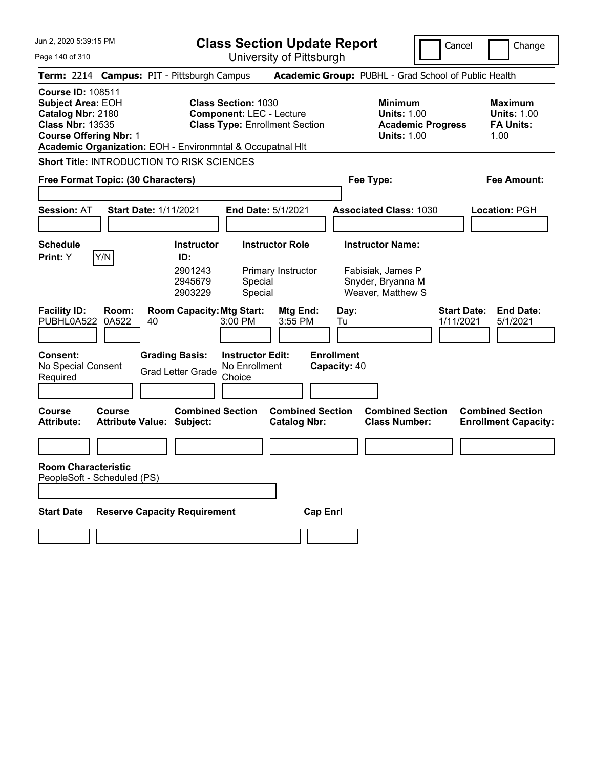| Jun 2, 2020 5:39:15 PM |  |
|------------------------|--|
|------------------------|--|

Page 140 of 310

**Class Section Update Report**

Cancel **Change** 

University of Pittsburgh

|                                                                                                                                       |                |                                                             |                                                               | University ULT ittsburght                      |                                   |                                                                                        |                                 |                                                                  |
|---------------------------------------------------------------------------------------------------------------------------------------|----------------|-------------------------------------------------------------|---------------------------------------------------------------|------------------------------------------------|-----------------------------------|----------------------------------------------------------------------------------------|---------------------------------|------------------------------------------------------------------|
|                                                                                                                                       |                | Term: 2214 Campus: PIT - Pittsburgh Campus                  |                                                               |                                                |                                   | Academic Group: PUBHL - Grad School of Public Health                                   |                                 |                                                                  |
| <b>Course ID: 108511</b><br><b>Subject Area: EOH</b><br>Catalog Nbr: 2180<br><b>Class Nbr: 13535</b><br><b>Course Offering Nbr: 1</b> |                | Academic Organization: EOH - Environmntal & Occupatnal HIt  | <b>Class Section: 1030</b><br><b>Component: LEC - Lecture</b> | <b>Class Type: Enrollment Section</b>          |                                   | <b>Minimum</b><br><b>Units: 1.00</b><br><b>Academic Progress</b><br><b>Units: 1.00</b> |                                 | <b>Maximum</b><br><b>Units: 1.00</b><br><b>FA Units:</b><br>1.00 |
|                                                                                                                                       |                | Short Title: INTRODUCTION TO RISK SCIENCES                  |                                                               |                                                |                                   |                                                                                        |                                 |                                                                  |
| Free Format Topic: (30 Characters)                                                                                                    |                |                                                             |                                                               |                                                |                                   | Fee Type:                                                                              |                                 | Fee Amount:                                                      |
| <b>Session: AT</b>                                                                                                                    |                | <b>Start Date: 1/11/2021</b>                                | End Date: 5/1/2021                                            |                                                |                                   | <b>Associated Class: 1030</b>                                                          |                                 | Location: PGH                                                    |
| <b>Schedule</b><br><b>Print:</b> Y                                                                                                    | Y/N            | Instructor<br>ID:<br>2901243<br>2945679<br>2903229          | Special<br>Special                                            | <b>Instructor Role</b><br>Primary Instructor   |                                   | <b>Instructor Name:</b><br>Fabisiak, James P<br>Snyder, Bryanna M<br>Weaver, Matthew S |                                 |                                                                  |
| <b>Facility ID:</b><br>PUBHL0A522                                                                                                     | Room:<br>0A522 | <b>Room Capacity: Mtg Start:</b><br>40                      | 3:00 PM                                                       | Mtg End:<br>3:55 PM                            | Day:<br>Tu                        |                                                                                        | <b>Start Date:</b><br>1/11/2021 | <b>End Date:</b><br>5/1/2021                                     |
| Consent:<br>No Special Consent<br>Required                                                                                            |                | <b>Grading Basis:</b><br><b>Grad Letter Grade</b>           | <b>Instructor Edit:</b><br>No Enrollment<br>Choice            |                                                | <b>Enrollment</b><br>Capacity: 40 |                                                                                        |                                 |                                                                  |
| Course<br><b>Attribute:</b>                                                                                                           | <b>Course</b>  | <b>Combined Section</b><br><b>Attribute Value: Subject:</b> |                                                               | <b>Combined Section</b><br><b>Catalog Nbr:</b> |                                   | <b>Combined Section</b><br><b>Class Number:</b>                                        |                                 | <b>Combined Section</b><br><b>Enrollment Capacity:</b>           |
|                                                                                                                                       |                |                                                             |                                                               |                                                |                                   |                                                                                        |                                 |                                                                  |
| <b>Room Characteristic</b><br>PeopleSoft - Scheduled (PS)                                                                             |                |                                                             |                                                               |                                                |                                   |                                                                                        |                                 |                                                                  |
| <b>Start Date</b>                                                                                                                     |                | <b>Reserve Capacity Requirement</b>                         |                                                               | <b>Cap Enrl</b>                                |                                   |                                                                                        |                                 |                                                                  |
|                                                                                                                                       |                |                                                             |                                                               |                                                |                                   |                                                                                        |                                 |                                                                  |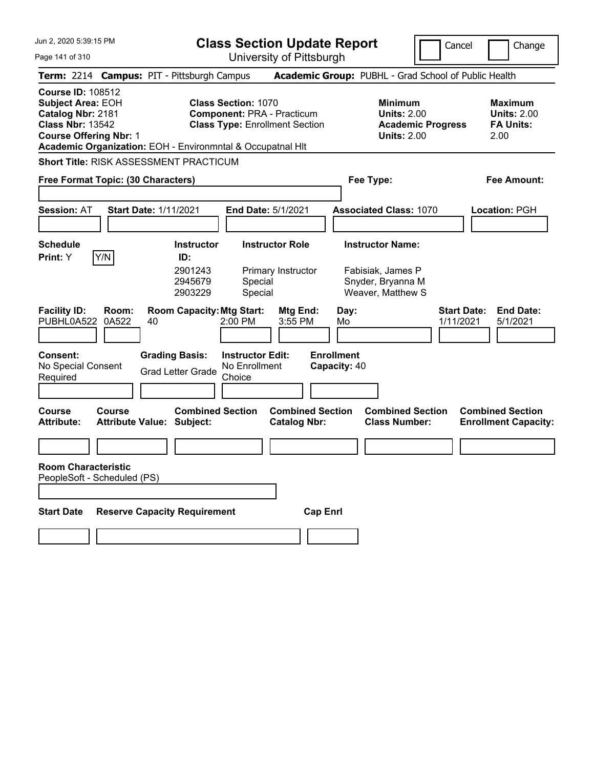| Jun 2, 2020 5:39:15 PM                                                                                                                                                                              |                                            |    |                                                   | <b>Class Section Update Report</b>                                                                       |                                                |                 |                                   |                                                             |                                                                                        | Cancel                          | Change                                                           |
|-----------------------------------------------------------------------------------------------------------------------------------------------------------------------------------------------------|--------------------------------------------|----|---------------------------------------------------|----------------------------------------------------------------------------------------------------------|------------------------------------------------|-----------------|-----------------------------------|-------------------------------------------------------------|----------------------------------------------------------------------------------------|---------------------------------|------------------------------------------------------------------|
| University of Pittsburgh<br>Page 141 of 310                                                                                                                                                         |                                            |    |                                                   |                                                                                                          |                                                |                 |                                   |                                                             |                                                                                        |                                 |                                                                  |
| Term: 2214 Campus: PIT - Pittsburgh Campus                                                                                                                                                          |                                            |    |                                                   |                                                                                                          |                                                |                 |                                   |                                                             | Academic Group: PUBHL - Grad School of Public Health                                   |                                 |                                                                  |
| <b>Course ID: 108512</b><br><b>Subject Area: EOH</b><br>Catalog Nbr: 2181<br><b>Class Nbr: 13542</b><br><b>Course Offering Nbr: 1</b><br>Academic Organization: EOH - Environmntal & Occupatnal HIt |                                            |    |                                                   | <b>Class Section: 1070</b><br><b>Component: PRA - Practicum</b><br><b>Class Type: Enrollment Section</b> |                                                |                 |                                   |                                                             | <b>Minimum</b><br><b>Units: 2.00</b><br><b>Academic Progress</b><br><b>Units: 2.00</b> |                                 | <b>Maximum</b><br><b>Units: 2.00</b><br><b>FA Units:</b><br>2.00 |
| <b>Short Title: RISK ASSESSMENT PRACTICUM</b>                                                                                                                                                       |                                            |    |                                                   |                                                                                                          |                                                |                 |                                   |                                                             |                                                                                        |                                 |                                                                  |
| Free Format Topic: (30 Characters)                                                                                                                                                                  |                                            |    |                                                   |                                                                                                          |                                                |                 |                                   | Fee Type:                                                   |                                                                                        |                                 | Fee Amount:                                                      |
|                                                                                                                                                                                                     |                                            |    |                                                   |                                                                                                          |                                                |                 |                                   |                                                             |                                                                                        |                                 |                                                                  |
| <b>Session: AT</b>                                                                                                                                                                                  | <b>Start Date: 1/11/2021</b>               |    |                                                   | <b>End Date: 5/1/2021</b>                                                                                |                                                |                 |                                   |                                                             | <b>Associated Class: 1070</b>                                                          |                                 | Location: PGH                                                    |
|                                                                                                                                                                                                     |                                            |    |                                                   |                                                                                                          |                                                |                 |                                   |                                                             |                                                                                        |                                 |                                                                  |
| <b>Schedule</b><br>Print: Y                                                                                                                                                                         | Y/N                                        |    | <b>Instructor</b><br>ID:                          |                                                                                                          | <b>Instructor Role</b>                         |                 |                                   | <b>Instructor Name:</b>                                     |                                                                                        |                                 |                                                                  |
|                                                                                                                                                                                                     |                                            |    | 2901243<br>2945679<br>2903229                     | Special<br>Special                                                                                       | Primary Instructor                             |                 |                                   | Fabisiak, James P<br>Snyder, Bryanna M<br>Weaver, Matthew S |                                                                                        |                                 |                                                                  |
| <b>Facility ID:</b><br>PUBHL0A522                                                                                                                                                                   | Room:<br>0A522                             | 40 | <b>Room Capacity: Mtg Start:</b>                  | $2:00$ PM                                                                                                | Mtg End:<br>3:55 PM                            |                 | Day:<br>Mo                        |                                                             |                                                                                        | <b>Start Date:</b><br>1/11/2021 | <b>End Date:</b><br>5/1/2021                                     |
| <b>Consent:</b><br>No Special Consent<br>Required                                                                                                                                                   |                                            |    | <b>Grading Basis:</b><br><b>Grad Letter Grade</b> | <b>Instructor Edit:</b><br>No Enrollment<br>Choice                                                       |                                                |                 | <b>Enrollment</b><br>Capacity: 40 |                                                             |                                                                                        |                                 |                                                                  |
| <b>Course</b><br><b>Attribute:</b>                                                                                                                                                                  | Course<br><b>Attribute Value: Subject:</b> |    | <b>Combined Section</b>                           |                                                                                                          | <b>Combined Section</b><br><b>Catalog Nbr:</b> |                 |                                   |                                                             | <b>Combined Section</b><br><b>Class Number:</b>                                        |                                 | <b>Combined Section</b><br><b>Enrollment Capacity:</b>           |
|                                                                                                                                                                                                     |                                            |    |                                                   |                                                                                                          |                                                |                 |                                   |                                                             |                                                                                        |                                 |                                                                  |
| <b>Room Characteristic</b><br>PeopleSoft - Scheduled (PS)                                                                                                                                           |                                            |    |                                                   |                                                                                                          |                                                |                 |                                   |                                                             |                                                                                        |                                 |                                                                  |
|                                                                                                                                                                                                     |                                            |    |                                                   |                                                                                                          |                                                |                 |                                   |                                                             |                                                                                        |                                 |                                                                  |
| <b>Start Date</b>                                                                                                                                                                                   | <b>Reserve Capacity Requirement</b>        |    |                                                   |                                                                                                          |                                                | <b>Cap Enrl</b> |                                   |                                                             |                                                                                        |                                 |                                                                  |
|                                                                                                                                                                                                     |                                            |    |                                                   |                                                                                                          |                                                |                 |                                   |                                                             |                                                                                        |                                 |                                                                  |
|                                                                                                                                                                                                     |                                            |    |                                                   |                                                                                                          |                                                |                 |                                   |                                                             |                                                                                        |                                 |                                                                  |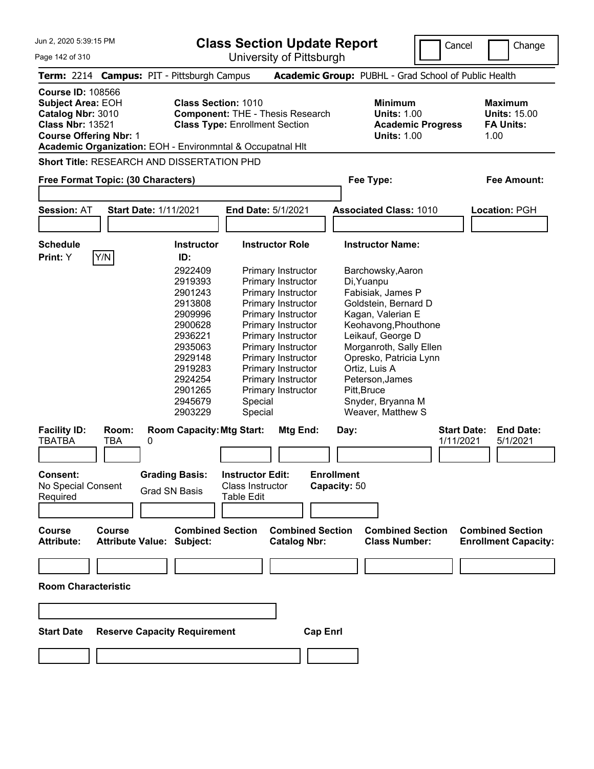**Class Section Update Report**

University of Pittsburgh

Cancel | Change

Page 142 of 310

|                                                                                                                                                                             |                     |                                                                                                                                                                                                                             | UNIVUUTIY ULI ILLUUULYII                                                                                                                                                                                                                                                                                                                                     |                                                                                                                                                                                                                                                                                                                                                                        |                                                                                         |
|-----------------------------------------------------------------------------------------------------------------------------------------------------------------------------|---------------------|-----------------------------------------------------------------------------------------------------------------------------------------------------------------------------------------------------------------------------|--------------------------------------------------------------------------------------------------------------------------------------------------------------------------------------------------------------------------------------------------------------------------------------------------------------------------------------------------------------|------------------------------------------------------------------------------------------------------------------------------------------------------------------------------------------------------------------------------------------------------------------------------------------------------------------------------------------------------------------------|-----------------------------------------------------------------------------------------|
|                                                                                                                                                                             |                     | Term: 2214 Campus: PIT - Pittsburgh Campus                                                                                                                                                                                  |                                                                                                                                                                                                                                                                                                                                                              | Academic Group: PUBHL - Grad School of Public Health                                                                                                                                                                                                                                                                                                                   |                                                                                         |
| <b>Course ID: 108566</b><br><b>Subject Area: EOH</b><br>Catalog Nbr: 3010<br><b>Class Nbr: 13521</b><br><b>Course Offering Nbr: 1</b><br>Free Format Topic: (30 Characters) |                     | <b>Class Section: 1010</b><br>Academic Organization: EOH - Environmntal & Occupatnal HIt<br><b>Short Title: RESEARCH AND DISSERTATION PHD</b>                                                                               | <b>Component: THE - Thesis Research</b><br><b>Class Type: Enrollment Section</b>                                                                                                                                                                                                                                                                             | <b>Minimum</b><br><b>Units: 1.00</b><br><b>Academic Progress</b><br><b>Units: 1.00</b><br>Fee Type:                                                                                                                                                                                                                                                                    | <b>Maximum</b><br><b>Units: 15.00</b><br><b>FA Units:</b><br>1.00<br><b>Fee Amount:</b> |
|                                                                                                                                                                             |                     |                                                                                                                                                                                                                             |                                                                                                                                                                                                                                                                                                                                                              |                                                                                                                                                                                                                                                                                                                                                                        |                                                                                         |
| <b>Session: AT</b>                                                                                                                                                          |                     | <b>Start Date: 1/11/2021</b>                                                                                                                                                                                                | <b>End Date: 5/1/2021</b>                                                                                                                                                                                                                                                                                                                                    | <b>Associated Class: 1010</b>                                                                                                                                                                                                                                                                                                                                          | Location: PGH                                                                           |
| <b>Schedule</b><br>Print: Y<br><b>Facility ID:</b><br><b>TBATBA</b>                                                                                                         | Y/N<br>Room:<br>TBA | <b>Instructor</b><br>ID:<br>2922409<br>2919393<br>2901243<br>2913808<br>2909996<br>2900628<br>2936221<br>2935063<br>2929148<br>2919283<br>2924254<br>2901265<br>2945679<br>2903229<br><b>Room Capacity: Mtg Start:</b><br>0 | <b>Instructor Role</b><br>Primary Instructor<br>Primary Instructor<br>Primary Instructor<br>Primary Instructor<br><b>Primary Instructor</b><br><b>Primary Instructor</b><br><b>Primary Instructor</b><br>Primary Instructor<br>Primary Instructor<br>Primary Instructor<br>Primary Instructor<br><b>Primary Instructor</b><br>Special<br>Special<br>Mtg End: | <b>Instructor Name:</b><br>Barchowsky, Aaron<br>Di, Yuanpu<br>Fabisiak, James P<br>Goldstein, Bernard D<br>Kagan, Valerian E<br>Keohavong, Phouthone<br>Leikauf, George D<br>Morganroth, Sally Ellen<br>Opresko, Patricia Lynn<br>Ortiz, Luis A<br>Peterson, James<br>Pitt, Bruce<br>Snyder, Bryanna M<br>Weaver, Matthew S<br><b>Start Date:</b><br>Day:<br>1/11/2021 | <b>End Date:</b><br>5/1/2021                                                            |
| <b>Consent:</b><br>No Special Consent<br>Required<br><b>Course</b><br><b>Attribute:</b><br><b>Room Characteristic</b><br><b>Start Date</b>                                  | <b>Course</b>       | <b>Grading Basis:</b><br><b>Grad SN Basis</b><br><b>Combined Section</b><br><b>Attribute Value: Subject:</b><br><b>Reserve Capacity Requirement</b>                                                                         | <b>Instructor Edit:</b><br><b>Class Instructor</b><br><b>Table Edit</b><br><b>Combined Section</b><br><b>Catalog Nbr:</b><br><b>Cap Enrl</b>                                                                                                                                                                                                                 | <b>Enrollment</b><br>Capacity: 50<br><b>Combined Section</b><br><b>Class Number:</b>                                                                                                                                                                                                                                                                                   | <b>Combined Section</b><br><b>Enrollment Capacity:</b>                                  |
|                                                                                                                                                                             |                     |                                                                                                                                                                                                                             |                                                                                                                                                                                                                                                                                                                                                              |                                                                                                                                                                                                                                                                                                                                                                        |                                                                                         |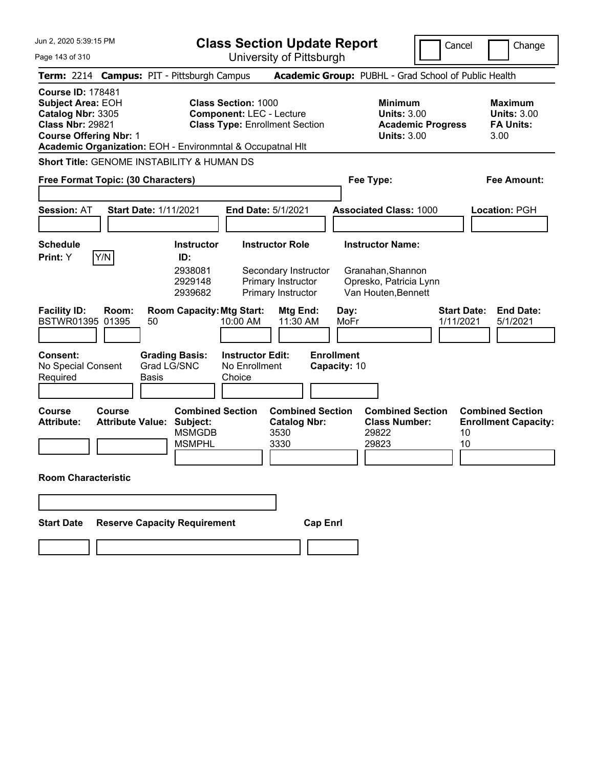Page 143 of 310

**Class Section Update Report**

Cancel Change

University of Pittsburgh

| 1 TU UI U I U                                                                                                                                                                                       |                                                                                                               | UTIIVERSILY ULT ILLOUULYH                                                                  |                                                                                               |                                                                    |
|-----------------------------------------------------------------------------------------------------------------------------------------------------------------------------------------------------|---------------------------------------------------------------------------------------------------------------|--------------------------------------------------------------------------------------------|-----------------------------------------------------------------------------------------------|--------------------------------------------------------------------|
| Term: 2214 Campus: PIT - Pittsburgh Campus                                                                                                                                                          |                                                                                                               |                                                                                            | Academic Group: PUBHL - Grad School of Public Health                                          |                                                                    |
| <b>Course ID: 178481</b><br><b>Subject Area: EOH</b><br>Catalog Nbr: 3305<br><b>Class Nbr: 29821</b><br><b>Course Offering Nbr: 1</b><br>Academic Organization: EOH - Environmntal & Occupatnal HIt | <b>Class Section: 1000</b><br><b>Component: LEC - Lecture</b><br><b>Class Type: Enrollment Section</b>        | <b>Minimum</b><br><b>Units: 3.00</b><br><b>Academic Progress</b><br><b>Units: 3.00</b>     | <b>Maximum</b><br><b>Units: 3.00</b><br><b>FA Units:</b><br>3.00                              |                                                                    |
| <b>Short Title: GENOME INSTABILITY &amp; HUMAN DS</b>                                                                                                                                               |                                                                                                               |                                                                                            |                                                                                               |                                                                    |
| Free Format Topic: (30 Characters)                                                                                                                                                                  |                                                                                                               |                                                                                            | Fee Type:                                                                                     | Fee Amount:                                                        |
| <b>Session: AT</b>                                                                                                                                                                                  | <b>Start Date: 1/11/2021</b>                                                                                  | End Date: 5/1/2021                                                                         | <b>Associated Class: 1000</b>                                                                 | Location: PGH                                                      |
| Schedule<br>Y/N<br>Print: Y                                                                                                                                                                         | <b>Instructor</b><br>ID:<br>2938081<br>2929148<br>2939682                                                     | <b>Instructor Role</b><br>Secondary Instructor<br>Primary Instructor<br>Primary Instructor | <b>Instructor Name:</b><br>Granahan, Shannon<br>Opresko, Patricia Lynn<br>Van Houten, Bennett |                                                                    |
| <b>Facility ID:</b><br>Room:<br>BSTWR01395 01395<br>Consent:<br>No Special Consent<br>Required                                                                                                      | <b>Room Capacity: Mtg Start:</b><br>10:00 AM<br>50<br><b>Grading Basis:</b><br>Grad LG/SNC<br>Basis<br>Choice | <b>Mtg End:</b><br>11:30 AM<br><b>Instructor Edit:</b><br>No Enrollment                    | Day:<br>MoFr<br><b>Enrollment</b><br>Capacity: 10                                             | <b>Start Date:</b><br><b>End Date:</b><br>1/11/2021<br>5/1/2021    |
| Course<br><b>Course</b><br><b>Attribute Value:</b><br>Attribute:                                                                                                                                    | <b>Combined Section</b><br>Subject:<br><b>MSMGDB</b><br><b>MSMPHL</b>                                         | <b>Combined Section</b><br><b>Catalog Nbr:</b><br>3530<br>3330                             | <b>Combined Section</b><br><b>Class Number:</b><br>29822<br>29823                             | <b>Combined Section</b><br><b>Enrollment Capacity:</b><br>10<br>10 |
| <b>Room Characteristic</b>                                                                                                                                                                          |                                                                                                               |                                                                                            |                                                                                               |                                                                    |
| <b>Start Date</b>                                                                                                                                                                                   | <b>Reserve Capacity Requirement</b>                                                                           | <b>Cap Enrl</b>                                                                            |                                                                                               |                                                                    |
|                                                                                                                                                                                                     |                                                                                                               |                                                                                            |                                                                                               |                                                                    |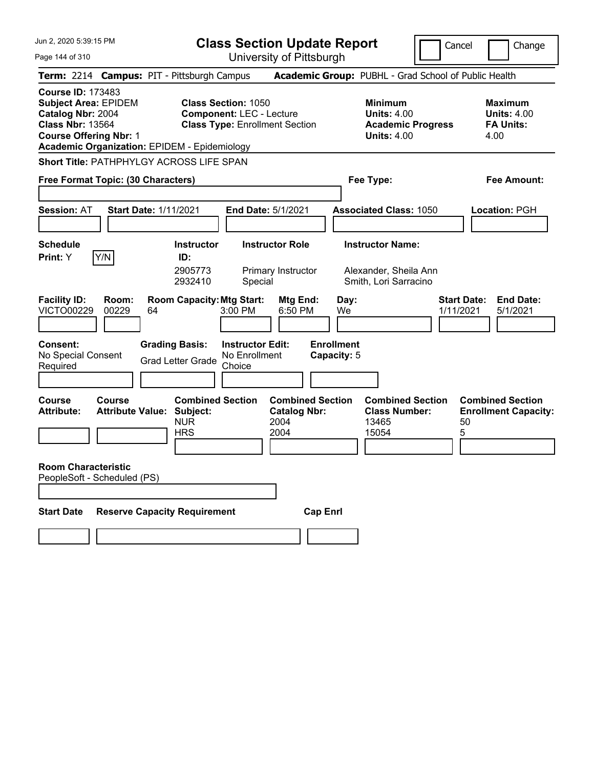|  |  |  | Jun 2, 2020 5:39:15 PM |  |
|--|--|--|------------------------|--|
|--|--|--|------------------------|--|

**Class Section Update Report**

Cancel Change

Page 144 of 310

| Page 144 of 310                                                                                                                          |                |                                                                                         | University of Pittsburgh                                                                               |                                                |                                                                                        |                                                                   |
|------------------------------------------------------------------------------------------------------------------------------------------|----------------|-----------------------------------------------------------------------------------------|--------------------------------------------------------------------------------------------------------|------------------------------------------------|----------------------------------------------------------------------------------------|-------------------------------------------------------------------|
|                                                                                                                                          |                | Term: 2214 Campus: PIT - Pittsburgh Campus                                              |                                                                                                        |                                                | Academic Group: PUBHL - Grad School of Public Health                                   |                                                                   |
| <b>Course ID: 173483</b><br><b>Subject Area: EPIDEM</b><br>Catalog Nbr: 2004<br><b>Class Nbr: 13564</b><br><b>Course Offering Nbr: 1</b> |                | <b>Academic Organization: EPIDEM - Epidemiology</b>                                     | <b>Class Section: 1050</b><br><b>Component: LEC - Lecture</b><br><b>Class Type: Enrollment Section</b> |                                                | <b>Minimum</b><br><b>Units: 4.00</b><br><b>Academic Progress</b><br><b>Units: 4.00</b> | Maximum<br><b>Units: 4.00</b><br><b>FA Units:</b><br>4.00         |
| Free Format Topic: (30 Characters)                                                                                                       |                | Short Title: PATHPHYLGY ACROSS LIFE SPAN                                                |                                                                                                        |                                                | Fee Type:                                                                              | Fee Amount:                                                       |
| Session: AT                                                                                                                              |                | Start Date: 1/11/2021                                                                   | End Date: 5/1/2021                                                                                     |                                                | <b>Associated Class: 1050</b>                                                          | <b>Location: PGH</b>                                              |
| <b>Schedule</b><br>Print: Y                                                                                                              | Y/N            | <b>Instructor</b><br>ID:<br>2905773<br>2932410                                          | <b>Instructor Role</b><br>Primary Instructor<br>Special                                                |                                                | <b>Instructor Name:</b><br>Alexander, Sheila Ann<br>Smith, Lori Sarracino              |                                                                   |
| <b>Facility ID:</b><br><b>VICTO00229</b>                                                                                                 | Room:<br>00229 | <b>Room Capacity: Mtg Start:</b><br>64                                                  | 3:00 PM                                                                                                | Mtg End:<br>Day:<br>6:50 PM<br>We              |                                                                                        | <b>Start Date:</b><br><b>End Date:</b><br>1/11/2021<br>5/1/2021   |
| Consent:<br>No Special Consent<br>Required                                                                                               |                | <b>Grading Basis:</b><br><b>Grad Letter Grade</b>                                       | <b>Instructor Edit:</b><br>No Enrollment<br>Choice                                                     | <b>Enrollment</b><br>Capacity: 5               |                                                                                        |                                                                   |
| Course<br>Attribute:                                                                                                                     | Course         | <b>Combined Section</b><br><b>Attribute Value: Subject:</b><br><b>NUR</b><br><b>HRS</b> | 2004<br>2004                                                                                           | <b>Combined Section</b><br><b>Catalog Nbr:</b> | <b>Combined Section</b><br><b>Class Number:</b><br>13465<br>15054                      | <b>Combined Section</b><br><b>Enrollment Capacity:</b><br>50<br>5 |
| <b>Room Characteristic</b><br>PeopleSoft - Scheduled (PS)                                                                                |                |                                                                                         |                                                                                                        |                                                |                                                                                        |                                                                   |
| <b>Start Date</b>                                                                                                                        |                | <b>Reserve Capacity Requirement</b>                                                     |                                                                                                        | <b>Cap Enrl</b>                                |                                                                                        |                                                                   |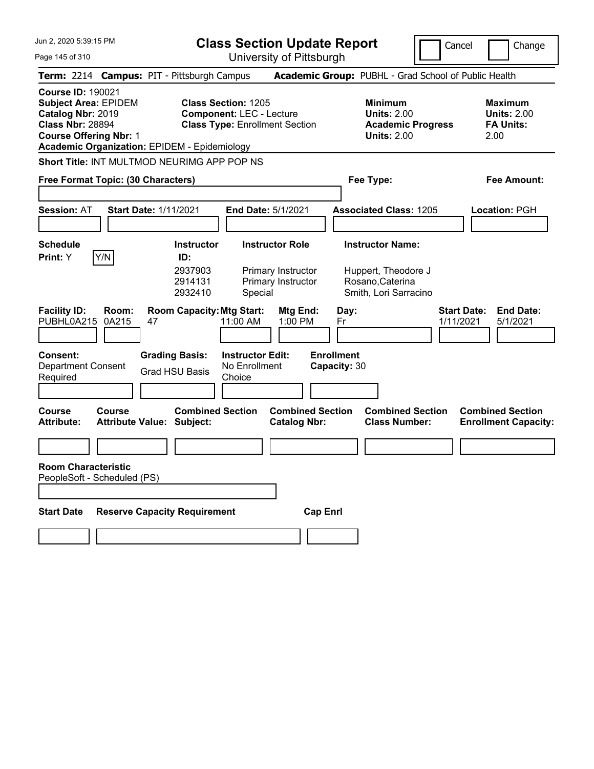| Jun 2, 2020 5:39:15 PM |  |  |  |
|------------------------|--|--|--|
|------------------------|--|--|--|

**Class Section Update Report**

Cancel Change

| Page 145 of 310                                                                                                                          |                       |                                                                                |                                                               | University of Pittsburgh                                        |                                   |                                                                                        |                                                                  |
|------------------------------------------------------------------------------------------------------------------------------------------|-----------------------|--------------------------------------------------------------------------------|---------------------------------------------------------------|-----------------------------------------------------------------|-----------------------------------|----------------------------------------------------------------------------------------|------------------------------------------------------------------|
|                                                                                                                                          |                       | Term: 2214 Campus: PIT - Pittsburgh Campus                                     |                                                               |                                                                 |                                   | Academic Group: PUBHL - Grad School of Public Health                                   |                                                                  |
| <b>Course ID: 190021</b><br><b>Subject Area: EPIDEM</b><br>Catalog Nbr: 2019<br><b>Class Nbr: 28894</b><br><b>Course Offering Nbr: 1</b> |                       | <b>Academic Organization: EPIDEM - Epidemiology</b>                            | <b>Class Section: 1205</b><br><b>Component: LEC - Lecture</b> | <b>Class Type: Enrollment Section</b>                           |                                   | <b>Minimum</b><br><b>Units: 2.00</b><br><b>Academic Progress</b><br><b>Units: 2.00</b> | <b>Maximum</b><br><b>Units: 2.00</b><br><b>FA Units:</b><br>2.00 |
|                                                                                                                                          |                       | <b>Short Title: INT MULTMOD NEURIMG APP POP NS</b>                             |                                                               |                                                                 |                                   |                                                                                        |                                                                  |
| Free Format Topic: (30 Characters)                                                                                                       |                       |                                                                                |                                                               |                                                                 |                                   | Fee Type:                                                                              | Fee Amount:                                                      |
| <b>Session: AT</b>                                                                                                                       |                       | <b>Start Date: 1/11/2021</b>                                                   |                                                               | <b>End Date: 5/1/2021</b>                                       |                                   | <b>Associated Class: 1205</b>                                                          | Location: PGH                                                    |
| <b>Schedule</b>                                                                                                                          |                       | <b>Instructor</b>                                                              |                                                               | <b>Instructor Role</b>                                          |                                   | <b>Instructor Name:</b>                                                                |                                                                  |
| Print: Y<br><b>Facility ID:</b><br>PUBHL0A215                                                                                            | Y/N<br>Room:<br>0A215 | ID:<br>2937903<br>2914131<br>2932410<br><b>Room Capacity: Mtg Start:</b><br>47 | Special<br>11:00 AM                                           | Primary Instructor<br>Primary Instructor<br>Mtg End:<br>1:00 PM | Day:<br>Fr                        | Huppert, Theodore J<br>Rosano, Caterina<br>Smith, Lori Sarracino                       | <b>Start Date:</b><br><b>End Date:</b><br>1/11/2021<br>5/1/2021  |
| <b>Consent:</b><br>Department Consent<br>Required                                                                                        |                       | <b>Grading Basis:</b><br>Grad HSU Basis                                        | <b>Instructor Edit:</b><br>No Enrollment<br>Choice            |                                                                 | <b>Enrollment</b><br>Capacity: 30 |                                                                                        |                                                                  |
| <b>Course</b><br><b>Attribute:</b>                                                                                                       | Course                | <b>Combined Section</b><br><b>Attribute Value: Subject:</b>                    |                                                               | <b>Combined Section</b><br><b>Catalog Nbr:</b>                  |                                   | <b>Combined Section</b><br><b>Class Number:</b>                                        | <b>Combined Section</b><br><b>Enrollment Capacity:</b>           |
|                                                                                                                                          |                       |                                                                                |                                                               |                                                                 |                                   |                                                                                        |                                                                  |
| <b>Room Characteristic</b><br>PeopleSoft - Scheduled (PS)<br><b>Start Date</b>                                                           |                       | <b>Reserve Capacity Requirement</b>                                            |                                                               | <b>Cap Enrl</b>                                                 |                                   |                                                                                        |                                                                  |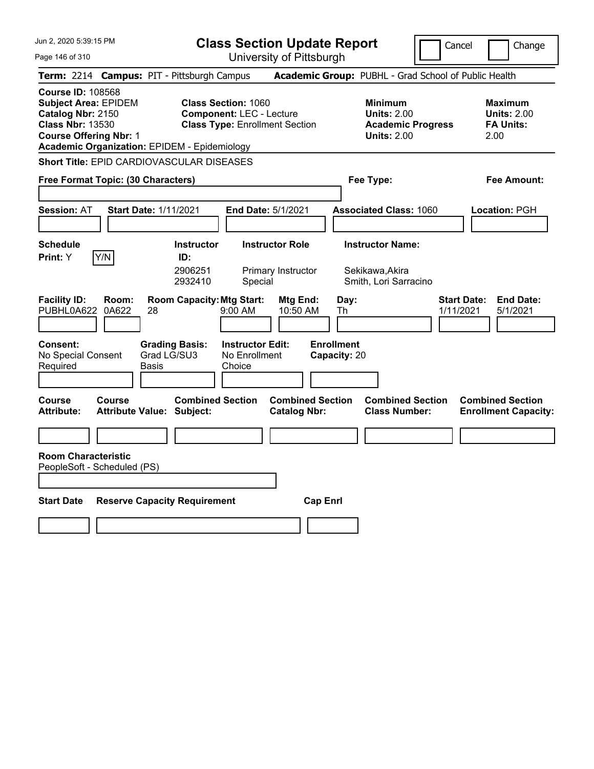**Class Section Update Report** University of Pittsburgh

Cancel Change

Page 146 of 310

|                                                                                                                                          |                | Term: 2214 Campus: PIT - Pittsburgh Campus                  |                                                                                                        |                                                |                                   | Academic Group: PUBHL - Grad School of Public Health                                   |                                 |                                                                  |
|------------------------------------------------------------------------------------------------------------------------------------------|----------------|-------------------------------------------------------------|--------------------------------------------------------------------------------------------------------|------------------------------------------------|-----------------------------------|----------------------------------------------------------------------------------------|---------------------------------|------------------------------------------------------------------|
| <b>Course ID: 108568</b><br><b>Subject Area: EPIDEM</b><br>Catalog Nbr: 2150<br><b>Class Nbr: 13530</b><br><b>Course Offering Nbr: 1</b> |                | <b>Academic Organization: EPIDEM - Epidemiology</b>         | <b>Class Section: 1060</b><br><b>Component: LEC - Lecture</b><br><b>Class Type: Enrollment Section</b> |                                                |                                   | <b>Minimum</b><br><b>Units: 2.00</b><br><b>Academic Progress</b><br><b>Units: 2.00</b> |                                 | <b>Maximum</b><br><b>Units: 2.00</b><br><b>FA Units:</b><br>2.00 |
|                                                                                                                                          |                | <b>Short Title: EPID CARDIOVASCULAR DISEASES</b>            |                                                                                                        |                                                |                                   |                                                                                        |                                 |                                                                  |
| Free Format Topic: (30 Characters)                                                                                                       |                |                                                             |                                                                                                        |                                                | Fee Type:                         |                                                                                        |                                 | Fee Amount:                                                      |
| Session: AT                                                                                                                              |                | <b>Start Date: 1/11/2021</b>                                | End Date: 5/1/2021                                                                                     |                                                |                                   | <b>Associated Class: 1060</b>                                                          |                                 | Location: PGH                                                    |
| <b>Schedule</b><br>Print: Y                                                                                                              | Y/N            | <b>Instructor</b><br>ID:<br>2906251<br>2932410              | Special                                                                                                | <b>Instructor Role</b><br>Primary Instructor   |                                   | <b>Instructor Name:</b><br>Sekikawa, Akira<br>Smith, Lori Sarracino                    |                                 |                                                                  |
| <b>Facility ID:</b><br>PUBHL0A622                                                                                                        | Room:<br>0A622 | <b>Room Capacity: Mtg Start:</b><br>28                      | 9:00 AM                                                                                                | Mtg End:<br>10:50 AM                           | Day:<br>Th                        |                                                                                        | <b>Start Date:</b><br>1/11/2021 | <b>End Date:</b><br>5/1/2021                                     |
| <b>Consent:</b><br>No Special Consent<br>Required                                                                                        |                | <b>Grading Basis:</b><br>Grad LG/SU3<br>Basis               | <b>Instructor Edit:</b><br>No Enrollment<br>Choice                                                     |                                                | <b>Enrollment</b><br>Capacity: 20 |                                                                                        |                                 |                                                                  |
| <b>Course</b><br>Attribute:                                                                                                              | Course         | <b>Combined Section</b><br><b>Attribute Value: Subject:</b> |                                                                                                        | <b>Combined Section</b><br><b>Catalog Nbr:</b> |                                   | <b>Combined Section</b><br><b>Class Number:</b>                                        |                                 | <b>Combined Section</b><br><b>Enrollment Capacity:</b>           |
| <b>Room Characteristic</b><br>PeopleSoft - Scheduled (PS)                                                                                |                |                                                             |                                                                                                        |                                                |                                   |                                                                                        |                                 |                                                                  |
| <b>Start Date</b>                                                                                                                        |                | <b>Reserve Capacity Requirement</b>                         |                                                                                                        | <b>Cap Enrl</b>                                |                                   |                                                                                        |                                 |                                                                  |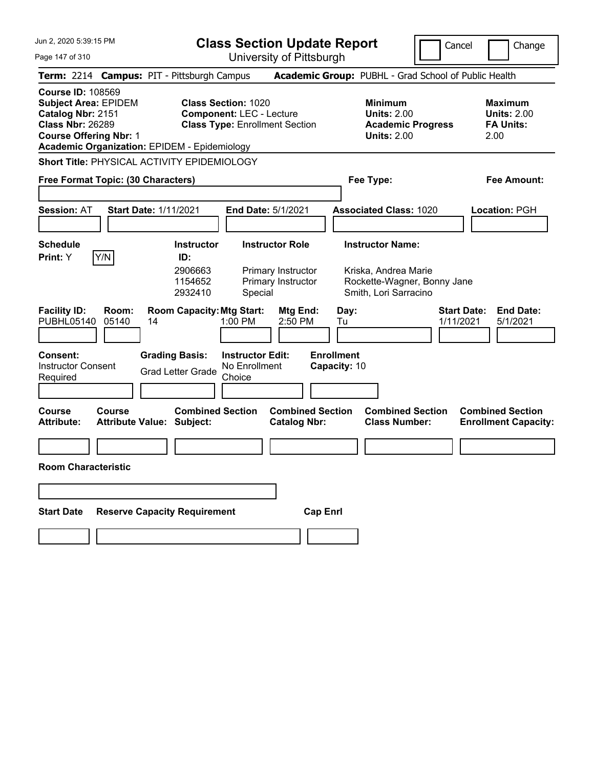| Jun 2, 2020 5:39:15 PM |  |  |  |
|------------------------|--|--|--|
|------------------------|--|--|--|

**Class Section Update Report**

Cancel **I** Change

 $\overline{a}$ 

Page 147 of 310

| Page 147 of 310                                                                                                                          |                                                                                                                      | University of Pittsburgh                            |                                                                                        |                                                                  |
|------------------------------------------------------------------------------------------------------------------------------------------|----------------------------------------------------------------------------------------------------------------------|-----------------------------------------------------|----------------------------------------------------------------------------------------|------------------------------------------------------------------|
|                                                                                                                                          | Term: 2214 Campus: PIT - Pittsburgh Campus                                                                           |                                                     | Academic Group: PUBHL - Grad School of Public Health                                   |                                                                  |
| <b>Course ID: 108569</b><br><b>Subject Area: EPIDEM</b><br>Catalog Nbr: 2151<br><b>Class Nbr: 26289</b><br><b>Course Offering Nbr: 1</b> | <b>Class Section: 1020</b><br><b>Component: LEC - Lecture</b><br><b>Academic Organization: EPIDEM - Epidemiology</b> | <b>Class Type: Enrollment Section</b>               | <b>Minimum</b><br><b>Units: 2.00</b><br><b>Academic Progress</b><br><b>Units: 2.00</b> | <b>Maximum</b><br><b>Units: 2.00</b><br><b>FA Units:</b><br>2.00 |
|                                                                                                                                          | Short Title: PHYSICAL ACTIVITY EPIDEMIOLOGY                                                                          |                                                     |                                                                                        |                                                                  |
| Free Format Topic: (30 Characters)                                                                                                       |                                                                                                                      |                                                     | Fee Type:                                                                              | Fee Amount:                                                      |
| <b>Session: AT</b>                                                                                                                       | <b>Start Date: 1/11/2021</b>                                                                                         | <b>End Date: 5/1/2021</b>                           | <b>Associated Class: 1020</b>                                                          | Location: PGH                                                    |
| <b>Schedule</b>                                                                                                                          | <b>Instructor</b>                                                                                                    | <b>Instructor Role</b>                              | <b>Instructor Name:</b>                                                                |                                                                  |
| Y/N<br><b>Print:</b> Y                                                                                                                   | ID:<br>2906663<br>1154652<br>2932410                                                                                 | Primary Instructor<br>Primary Instructor<br>Special | Kriska, Andrea Marie<br>Rockette-Wagner, Bonny Jane<br>Smith, Lori Sarracino           |                                                                  |
| <b>Facility ID:</b><br>Room:<br>PUBHL05140<br>05140                                                                                      | <b>Room Capacity: Mtg Start:</b><br>14<br>1:00 PM                                                                    | Mtg End:<br>2:50 PM                                 | Day:<br>Tu                                                                             | <b>Start Date:</b><br><b>End Date:</b><br>1/11/2021<br>5/1/2021  |
| <b>Consent:</b><br><b>Instructor Consent</b><br>Required                                                                                 | <b>Grading Basis:</b><br><b>Grad Letter Grade</b><br>Choice                                                          | <b>Instructor Edit:</b><br>No Enrollment            | <b>Enrollment</b><br>Capacity: 10                                                      |                                                                  |
| <b>Course</b><br><b>Course</b><br>Attribute:                                                                                             | <b>Combined Section</b><br><b>Attribute Value: Subject:</b>                                                          | <b>Combined Section</b><br><b>Catalog Nbr:</b>      | <b>Combined Section</b><br><b>Class Number:</b>                                        | <b>Combined Section</b><br><b>Enrollment Capacity:</b>           |
| <b>Room Characteristic</b>                                                                                                               |                                                                                                                      |                                                     |                                                                                        |                                                                  |
|                                                                                                                                          |                                                                                                                      |                                                     |                                                                                        |                                                                  |
| <b>Start Date</b>                                                                                                                        | <b>Reserve Capacity Requirement</b>                                                                                  | <b>Cap Enrl</b>                                     |                                                                                        |                                                                  |
|                                                                                                                                          |                                                                                                                      |                                                     |                                                                                        |                                                                  |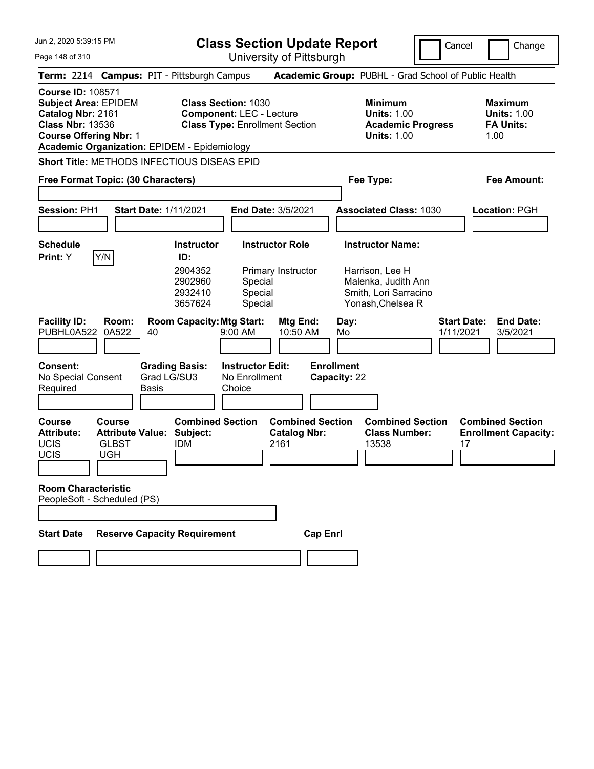**Class Section Update Report**

University of Pittsburgh

Cancel Change

Page 148 of 310

|                                                                                                                                          |                                                                        | Term: 2214 Campus: PIT - Pittsburgh Campus                                                     |                                                                                                        |                                                 | Academic Group: PUBHL - Grad School of Public Health                                                            |                                                                  |
|------------------------------------------------------------------------------------------------------------------------------------------|------------------------------------------------------------------------|------------------------------------------------------------------------------------------------|--------------------------------------------------------------------------------------------------------|-------------------------------------------------|-----------------------------------------------------------------------------------------------------------------|------------------------------------------------------------------|
| <b>Course ID: 108571</b><br><b>Subject Area: EPIDEM</b><br>Catalog Nbr: 2161<br><b>Class Nbr: 13536</b><br><b>Course Offering Nbr: 1</b> |                                                                        | <b>Academic Organization: EPIDEM - Epidemiology</b>                                            | <b>Class Section: 1030</b><br><b>Component: LEC - Lecture</b><br><b>Class Type: Enrollment Section</b> |                                                 | <b>Minimum</b><br><b>Units: 1.00</b><br><b>Academic Progress</b><br><b>Units: 1.00</b>                          | <b>Maximum</b><br><b>Units: 1.00</b><br><b>FA Units:</b><br>1.00 |
|                                                                                                                                          |                                                                        | <b>Short Title: METHODS INFECTIOUS DISEAS EPID</b>                                             |                                                                                                        |                                                 |                                                                                                                 |                                                                  |
| Free Format Topic: (30 Characters)                                                                                                       |                                                                        |                                                                                                |                                                                                                        |                                                 | Fee Type:                                                                                                       | <b>Fee Amount:</b>                                               |
|                                                                                                                                          |                                                                        |                                                                                                |                                                                                                        |                                                 |                                                                                                                 |                                                                  |
| Session: PH1                                                                                                                             |                                                                        | <b>Start Date: 1/11/2021</b>                                                                   | <b>End Date: 3/5/2021</b>                                                                              |                                                 | <b>Associated Class: 1030</b>                                                                                   | Location: PGH                                                    |
|                                                                                                                                          |                                                                        |                                                                                                |                                                                                                        |                                                 |                                                                                                                 |                                                                  |
| <b>Schedule</b><br>Print: Y                                                                                                              | Y/N                                                                    | <b>Instructor</b><br>ID:<br>2904352<br>2902960<br>2932410<br>3657624                           | <b>Instructor Role</b><br>Primary Instructor<br>Special<br>Special<br>Special                          |                                                 | <b>Instructor Name:</b><br>Harrison, Lee H<br>Malenka, Judith Ann<br>Smith, Lori Sarracino<br>Yonash, Chelsea R |                                                                  |
| <b>Facility ID:</b><br>PUBHL0A522<br><b>Consent:</b><br>No Special Consent<br>Required                                                   | Room:<br>0A522                                                         | <b>Room Capacity: Mtg Start:</b><br>40<br><b>Grading Basis:</b><br>Grad LG/SU3<br><b>Basis</b> | Mtg End:<br>9:00 AM<br>10:50 AM<br><b>Instructor Edit:</b><br>No Enrollment<br>Choice                  | Day:<br>Mo<br><b>Enrollment</b><br>Capacity: 22 |                                                                                                                 | <b>End Date:</b><br><b>Start Date:</b><br>1/11/2021<br>3/5/2021  |
|                                                                                                                                          |                                                                        |                                                                                                |                                                                                                        |                                                 |                                                                                                                 |                                                                  |
| <b>Course</b><br><b>Attribute:</b><br><b>UCIS</b><br>UCIS                                                                                | <b>Course</b><br><b>Attribute Value:</b><br><b>GLBST</b><br><b>UGH</b> | <b>Combined Section</b><br>Subject:<br><b>IDM</b>                                              | <b>Catalog Nbr:</b><br>2161                                                                            | <b>Combined Section</b>                         | <b>Combined Section</b><br><b>Class Number:</b><br>13538                                                        | <b>Combined Section</b><br><b>Enrollment Capacity:</b><br>17     |
| <b>Room Characteristic</b><br>PeopleSoft - Scheduled (PS)                                                                                |                                                                        |                                                                                                |                                                                                                        |                                                 |                                                                                                                 |                                                                  |
| <b>Start Date</b>                                                                                                                        |                                                                        | <b>Reserve Capacity Requirement</b>                                                            |                                                                                                        | <b>Cap Enrl</b>                                 |                                                                                                                 |                                                                  |
|                                                                                                                                          |                                                                        |                                                                                                |                                                                                                        |                                                 |                                                                                                                 |                                                                  |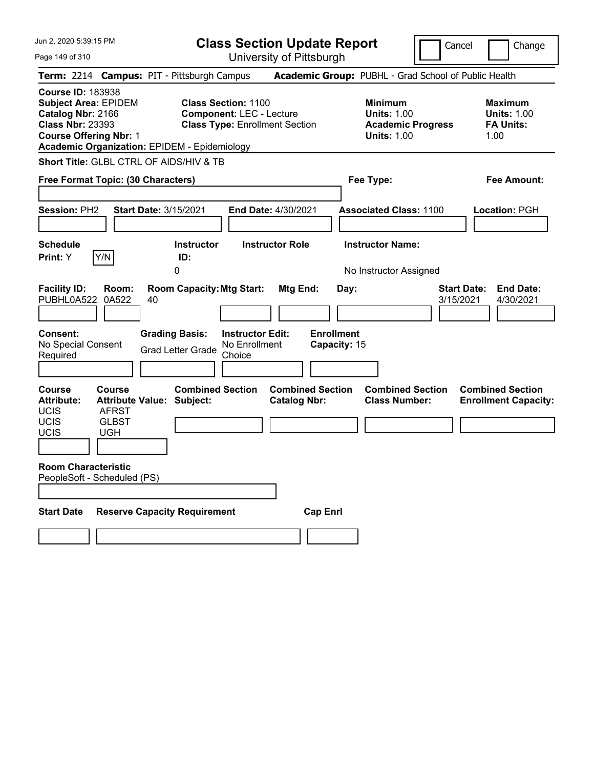| Jun 2, 2020 5:39:15 PM |  |  |  |  |  |
|------------------------|--|--|--|--|--|
|------------------------|--|--|--|--|--|

**Class Section Update Report** University of Pittsburgh

Cancel Change

Page 149 of 310

|                                                                                                                                          |                                                      | Term: 2214 Campus: PIT - Pittsburgh Campus                  |                                                                                                        |                                                |                                   | Academic Group: PUBHL - Grad School of Public Health                                   |                                 |                                                                  |
|------------------------------------------------------------------------------------------------------------------------------------------|------------------------------------------------------|-------------------------------------------------------------|--------------------------------------------------------------------------------------------------------|------------------------------------------------|-----------------------------------|----------------------------------------------------------------------------------------|---------------------------------|------------------------------------------------------------------|
| <b>Course ID: 183938</b><br><b>Subject Area: EPIDEM</b><br>Catalog Nbr: 2166<br><b>Class Nbr: 23393</b><br><b>Course Offering Nbr: 1</b> |                                                      | <b>Academic Organization: EPIDEM - Epidemiology</b>         | <b>Class Section: 1100</b><br><b>Component: LEC - Lecture</b><br><b>Class Type: Enrollment Section</b> |                                                |                                   | <b>Minimum</b><br><b>Units: 1.00</b><br><b>Academic Progress</b><br><b>Units: 1.00</b> |                                 | <b>Maximum</b><br><b>Units: 1.00</b><br><b>FA Units:</b><br>1.00 |
|                                                                                                                                          |                                                      | Short Title: GLBL CTRL OF AIDS/HIV & TB                     |                                                                                                        |                                                |                                   |                                                                                        |                                 |                                                                  |
| Free Format Topic: (30 Characters)                                                                                                       |                                                      |                                                             |                                                                                                        |                                                |                                   | Fee Type:                                                                              |                                 | Fee Amount:                                                      |
| <b>Session: PH2</b>                                                                                                                      |                                                      | <b>Start Date: 3/15/2021</b>                                |                                                                                                        | <b>End Date: 4/30/2021</b>                     |                                   | <b>Associated Class: 1100</b>                                                          |                                 | Location: PGH                                                    |
| <b>Schedule</b><br>Print: Y                                                                                                              | Y/N                                                  | <b>Instructor</b><br>ID:                                    |                                                                                                        | <b>Instructor Role</b>                         |                                   | <b>Instructor Name:</b>                                                                |                                 |                                                                  |
|                                                                                                                                          |                                                      | 0                                                           |                                                                                                        |                                                |                                   | No Instructor Assigned                                                                 |                                 |                                                                  |
| <b>Facility ID:</b><br>PUBHL0A522                                                                                                        | Room:<br>0A522                                       | <b>Room Capacity: Mtg Start:</b><br>40                      |                                                                                                        | Mtg End:                                       | Day:                              |                                                                                        | <b>Start Date:</b><br>3/15/2021 | <b>End Date:</b><br>4/30/2021                                    |
| Consent:<br>No Special Consent<br>Required                                                                                               |                                                      | <b>Grading Basis:</b><br><b>Grad Letter Grade</b>           | <b>Instructor Edit:</b><br>No Enrollment<br>Choice                                                     |                                                | <b>Enrollment</b><br>Capacity: 15 |                                                                                        |                                 |                                                                  |
| Course<br><b>Attribute:</b><br><b>UCIS</b><br><b>UCIS</b><br><b>UCIS</b>                                                                 | Course<br><b>AFRST</b><br><b>GLBST</b><br><b>UGH</b> | <b>Combined Section</b><br><b>Attribute Value: Subject:</b> |                                                                                                        | <b>Combined Section</b><br><b>Catalog Nbr:</b> |                                   | <b>Combined Section</b><br><b>Class Number:</b>                                        |                                 | <b>Combined Section</b><br><b>Enrollment Capacity:</b>           |
| <b>Room Characteristic</b><br>PeopleSoft - Scheduled (PS)                                                                                |                                                      |                                                             |                                                                                                        |                                                |                                   |                                                                                        |                                 |                                                                  |
| <b>Start Date</b>                                                                                                                        |                                                      | <b>Reserve Capacity Requirement</b>                         |                                                                                                        | <b>Cap Enrl</b>                                |                                   |                                                                                        |                                 |                                                                  |
|                                                                                                                                          |                                                      |                                                             |                                                                                                        |                                                |                                   |                                                                                        |                                 |                                                                  |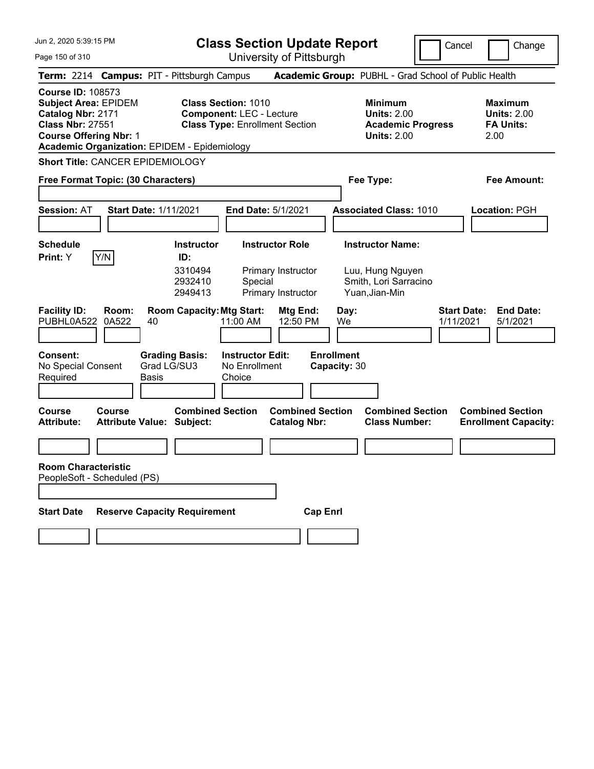|  |  |  | Jun 2, 2020 5:39:15 PM |  |
|--|--|--|------------------------|--|
|--|--|--|------------------------|--|

**Class Section Update Report**

Cancel **Change** 

Page 150 of 310

| Page 150 of 310                                                                                                                          |               |                                                                          |                                                                                                        | University of Pittsburgh                             |                                   |                                                                                        |                    |                                                                  |
|------------------------------------------------------------------------------------------------------------------------------------------|---------------|--------------------------------------------------------------------------|--------------------------------------------------------------------------------------------------------|------------------------------------------------------|-----------------------------------|----------------------------------------------------------------------------------------|--------------------|------------------------------------------------------------------|
|                                                                                                                                          |               | Term: 2214 Campus: PIT - Pittsburgh Campus                               |                                                                                                        |                                                      |                                   | Academic Group: PUBHL - Grad School of Public Health                                   |                    |                                                                  |
| <b>Course ID: 108573</b><br><b>Subject Area: EPIDEM</b><br>Catalog Nbr: 2171<br><b>Class Nbr: 27551</b><br><b>Course Offering Nbr: 1</b> |               | <b>Academic Organization: EPIDEM - Epidemiology</b>                      | <b>Class Section: 1010</b><br><b>Component: LEC - Lecture</b><br><b>Class Type: Enrollment Section</b> |                                                      |                                   | <b>Minimum</b><br><b>Units: 2.00</b><br><b>Academic Progress</b><br><b>Units: 2.00</b> |                    | <b>Maximum</b><br><b>Units: 2.00</b><br><b>FA Units:</b><br>2.00 |
| <b>Short Title: CANCER EPIDEMIOLOGY</b>                                                                                                  |               |                                                                          |                                                                                                        |                                                      |                                   |                                                                                        |                    |                                                                  |
| Free Format Topic: (30 Characters)                                                                                                       |               |                                                                          |                                                                                                        |                                                      |                                   | Fee Type:                                                                              |                    | Fee Amount:                                                      |
| <b>Session: AT</b>                                                                                                                       |               | <b>Start Date: 1/11/2021</b>                                             | <b>End Date: 5/1/2021</b>                                                                              |                                                      |                                   | <b>Associated Class: 1010</b>                                                          |                    | Location: PGH                                                    |
| <b>Schedule</b>                                                                                                                          |               | <b>Instructor</b>                                                        |                                                                                                        | <b>Instructor Role</b>                               |                                   | <b>Instructor Name:</b>                                                                |                    |                                                                  |
| <b>Print:</b> Y<br><b>Facility ID:</b>                                                                                                   | Y/N<br>Room:  | ID:<br>3310494<br>2932410<br>2949413<br><b>Room Capacity: Mtg Start:</b> | Special                                                                                                | Primary Instructor<br>Primary Instructor<br>Mtg End: | Day:                              | Luu, Hung Nguyen<br>Smith, Lori Sarracino<br>Yuan, Jian-Min                            | <b>Start Date:</b> | <b>End Date:</b>                                                 |
| PUBHL0A522                                                                                                                               | 0A522         | 40                                                                       | 11:00 AM                                                                                               | 12:50 PM                                             | We                                |                                                                                        | 1/11/2021          | 5/1/2021                                                         |
| <b>Consent:</b><br>No Special Consent<br>Required                                                                                        |               | <b>Grading Basis:</b><br>Grad LG/SU3<br>Basis                            | <b>Instructor Edit:</b><br>No Enrollment<br>Choice                                                     |                                                      | <b>Enrollment</b><br>Capacity: 30 |                                                                                        |                    |                                                                  |
| <b>Course</b><br><b>Attribute:</b>                                                                                                       | <b>Course</b> | <b>Combined Section</b><br><b>Attribute Value: Subject:</b>              |                                                                                                        | <b>Combined Section</b><br><b>Catalog Nbr:</b>       |                                   | <b>Combined Section</b><br><b>Class Number:</b>                                        |                    | <b>Combined Section</b><br><b>Enrollment Capacity:</b>           |
|                                                                                                                                          |               |                                                                          |                                                                                                        |                                                      |                                   |                                                                                        |                    |                                                                  |
| <b>Room Characteristic</b><br>PeopleSoft - Scheduled (PS)                                                                                |               |                                                                          |                                                                                                        |                                                      |                                   |                                                                                        |                    |                                                                  |
| <b>Start Date</b>                                                                                                                        |               | <b>Reserve Capacity Requirement</b>                                      |                                                                                                        | <b>Cap Enrl</b>                                      |                                   |                                                                                        |                    |                                                                  |
|                                                                                                                                          |               |                                                                          |                                                                                                        |                                                      |                                   |                                                                                        |                    |                                                                  |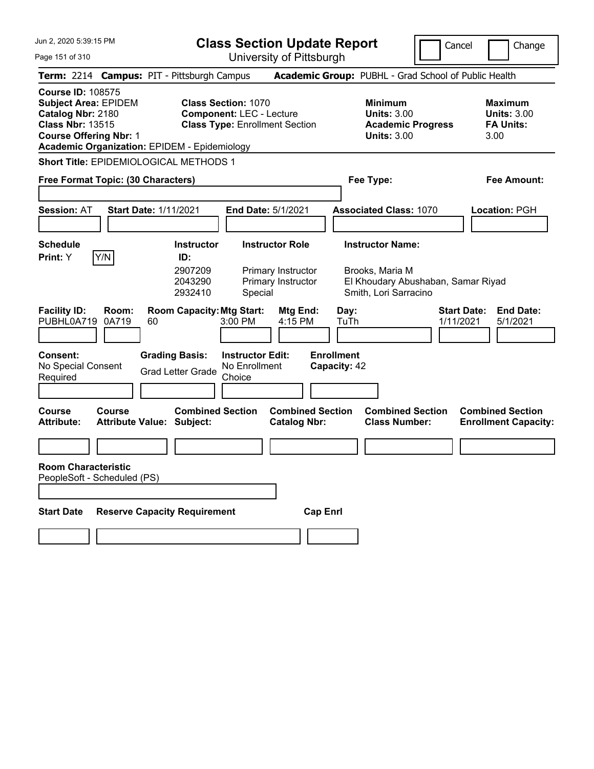|  |  |  | Jun 2, 2020 5:39:15 PM |  |
|--|--|--|------------------------|--|
|--|--|--|------------------------|--|

**Class Section Update Report**

Cancel **Change** 

Page 151 of 310

| Page 151 of 310                                                                                                                                                                                 |                       |                                                               |                                                    | University of Pittsburgh                                           |                                   |                                                                                        |                                                                 |
|-------------------------------------------------------------------------------------------------------------------------------------------------------------------------------------------------|-----------------------|---------------------------------------------------------------|----------------------------------------------------|--------------------------------------------------------------------|-----------------------------------|----------------------------------------------------------------------------------------|-----------------------------------------------------------------|
| Term: 2214 Campus: PIT - Pittsburgh Campus                                                                                                                                                      |                       |                                                               |                                                    |                                                                    |                                   | Academic Group: PUBHL - Grad School of Public Health                                   |                                                                 |
| <b>Course ID: 108575</b><br><b>Subject Area: EPIDEM</b><br>Catalog Nbr: 2180<br><b>Class Nbr: 13515</b><br><b>Course Offering Nbr: 1</b><br><b>Academic Organization: EPIDEM - Epidemiology</b> |                       | <b>Class Section: 1070</b><br><b>Component: LEC - Lecture</b> |                                                    | <b>Class Type: Enrollment Section</b>                              |                                   | <b>Minimum</b><br><b>Units: 3.00</b><br><b>Academic Progress</b><br><b>Units: 3.00</b> | Maximum<br><b>Units: 3.00</b><br><b>FA Units:</b><br>3.00       |
| <b>Short Title: EPIDEMIOLOGICAL METHODS 1</b>                                                                                                                                                   |                       |                                                               |                                                    |                                                                    |                                   |                                                                                        |                                                                 |
| Free Format Topic: (30 Characters)                                                                                                                                                              |                       |                                                               |                                                    |                                                                    |                                   | Fee Type:                                                                              | Fee Amount:                                                     |
| <b>Session: AT</b>                                                                                                                                                                              | Start Date: 1/11/2021 |                                                               | <b>End Date: 5/1/2021</b>                          |                                                                    |                                   | <b>Associated Class: 1070</b>                                                          | Location: PGH                                                   |
| <b>Schedule</b><br>Y/N<br><b>Print:</b> Y                                                                                                                                                       |                       | <b>Instructor</b><br>ID:<br>2907209<br>2043290                |                                                    | <b>Instructor Role</b><br>Primary Instructor<br>Primary Instructor |                                   | <b>Instructor Name:</b><br>Brooks, Maria M<br>El Khoudary Abushaban, Samar Riyad       |                                                                 |
| <b>Facility ID:</b><br>PUBHL0A719                                                                                                                                                               | Room:<br>0A719<br>60  | 2932410<br><b>Room Capacity: Mtg Start:</b>                   | Special<br>3:00 PM                                 | Mtg End:<br>4:15 PM                                                | Day:<br>TuTh                      | Smith, Lori Sarracino                                                                  | <b>Start Date:</b><br><b>End Date:</b><br>1/11/2021<br>5/1/2021 |
| <b>Consent:</b><br>No Special Consent<br>Required                                                                                                                                               |                       | <b>Grading Basis:</b><br><b>Grad Letter Grade</b>             | <b>Instructor Edit:</b><br>No Enrollment<br>Choice |                                                                    | <b>Enrollment</b><br>Capacity: 42 |                                                                                        |                                                                 |
| Course<br><b>Course</b><br><b>Attribute:</b>                                                                                                                                                    |                       | <b>Combined Section</b><br><b>Attribute Value: Subject:</b>   |                                                    | <b>Combined Section</b><br><b>Catalog Nbr:</b>                     |                                   | <b>Combined Section</b><br><b>Class Number:</b>                                        | <b>Combined Section</b><br><b>Enrollment Capacity:</b>          |
|                                                                                                                                                                                                 |                       |                                                               |                                                    |                                                                    |                                   |                                                                                        |                                                                 |
| <b>Room Characteristic</b><br>PeopleSoft - Scheduled (PS)                                                                                                                                       |                       |                                                               |                                                    |                                                                    |                                   |                                                                                        |                                                                 |
| <b>Start Date</b>                                                                                                                                                                               |                       | <b>Reserve Capacity Requirement</b>                           |                                                    | <b>Cap Enrl</b>                                                    |                                   |                                                                                        |                                                                 |
|                                                                                                                                                                                                 |                       |                                                               |                                                    |                                                                    |                                   |                                                                                        |                                                                 |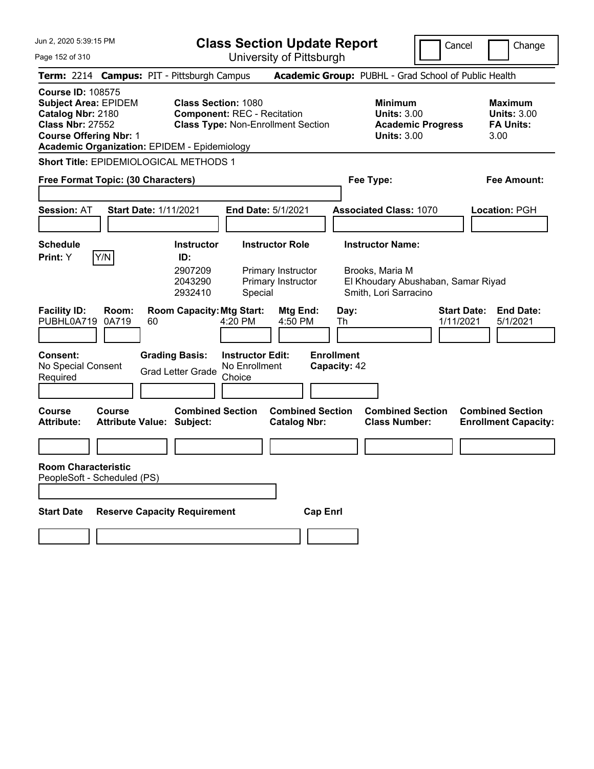**Class Section Update Report**

Cancel **Change** 

Page 152 of 310

| Page 152 of 310                                                                                                                          |                       |                                                                                                                         |                                                    | University of Pittsburgh                                        |                                   |                                                                                        |                                                                 |
|------------------------------------------------------------------------------------------------------------------------------------------|-----------------------|-------------------------------------------------------------------------------------------------------------------------|----------------------------------------------------|-----------------------------------------------------------------|-----------------------------------|----------------------------------------------------------------------------------------|-----------------------------------------------------------------|
|                                                                                                                                          |                       | Term: 2214 Campus: PIT - Pittsburgh Campus                                                                              |                                                    |                                                                 |                                   | Academic Group: PUBHL - Grad School of Public Health                                   |                                                                 |
| <b>Course ID: 108575</b><br><b>Subject Area: EPIDEM</b><br>Catalog Nbr: 2180<br><b>Class Nbr: 27552</b><br><b>Course Offering Nbr: 1</b> |                       | <b>Class Section: 1080</b><br><b>Component: REC - Recitation</b><br><b>Academic Organization: EPIDEM - Epidemiology</b> |                                                    | <b>Class Type: Non-Enrollment Section</b>                       |                                   | <b>Minimum</b><br><b>Units: 3.00</b><br><b>Academic Progress</b><br><b>Units: 3.00</b> | Maximum<br><b>Units: 3.00</b><br><b>FA Units:</b><br>3.00       |
|                                                                                                                                          |                       | <b>Short Title: EPIDEMIOLOGICAL METHODS 1</b>                                                                           |                                                    |                                                                 |                                   |                                                                                        |                                                                 |
| Free Format Topic: (30 Characters)                                                                                                       |                       |                                                                                                                         |                                                    |                                                                 |                                   | Fee Type:                                                                              | Fee Amount:                                                     |
| <b>Session: AT</b>                                                                                                                       |                       | Start Date: 1/11/2021                                                                                                   |                                                    | <b>End Date: 5/1/2021</b>                                       |                                   | <b>Associated Class: 1070</b>                                                          | Location: PGH                                                   |
| <b>Schedule</b>                                                                                                                          |                       | <b>Instructor</b>                                                                                                       |                                                    | <b>Instructor Role</b>                                          |                                   | <b>Instructor Name:</b>                                                                |                                                                 |
| Print: Y<br><b>Facility ID:</b><br>PUBHL0A719                                                                                            | Y/N<br>Room:<br>0A719 | ID:<br>2907209<br>2043290<br>2932410<br><b>Room Capacity: Mtg Start:</b><br>60                                          | Special<br>4:20 PM                                 | Primary Instructor<br>Primary Instructor<br>Mtg End:<br>4:50 PM | Day:<br>Th                        | Brooks, Maria M<br>El Khoudary Abushaban, Samar Riyad<br>Smith, Lori Sarracino         | <b>Start Date:</b><br><b>End Date:</b><br>1/11/2021<br>5/1/2021 |
| <b>Consent:</b><br>No Special Consent<br>Required                                                                                        |                       | <b>Grading Basis:</b><br><b>Grad Letter Grade</b>                                                                       | <b>Instructor Edit:</b><br>No Enrollment<br>Choice |                                                                 | <b>Enrollment</b><br>Capacity: 42 |                                                                                        |                                                                 |
| Course<br><b>Attribute:</b>                                                                                                              | <b>Course</b>         | <b>Combined Section</b><br><b>Attribute Value: Subject:</b>                                                             |                                                    | <b>Combined Section</b><br><b>Catalog Nbr:</b>                  |                                   | <b>Combined Section</b><br><b>Class Number:</b>                                        | <b>Combined Section</b><br><b>Enrollment Capacity:</b>          |
| <b>Room Characteristic</b>                                                                                                               |                       |                                                                                                                         |                                                    |                                                                 |                                   |                                                                                        |                                                                 |
| PeopleSoft - Scheduled (PS)                                                                                                              |                       |                                                                                                                         |                                                    |                                                                 |                                   |                                                                                        |                                                                 |
|                                                                                                                                          |                       |                                                                                                                         |                                                    |                                                                 |                                   |                                                                                        |                                                                 |
| <b>Start Date</b>                                                                                                                        |                       | <b>Reserve Capacity Requirement</b>                                                                                     |                                                    | <b>Cap Enrl</b>                                                 |                                   |                                                                                        |                                                                 |
|                                                                                                                                          |                       |                                                                                                                         |                                                    |                                                                 |                                   |                                                                                        |                                                                 |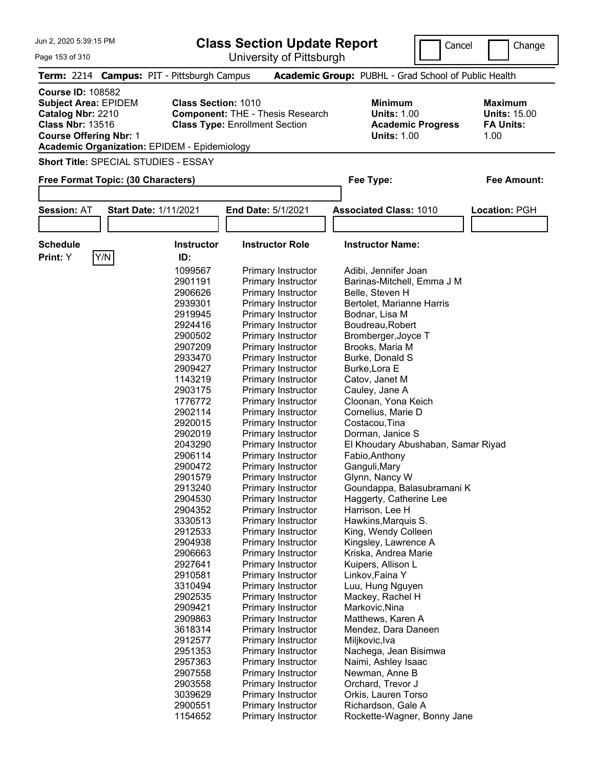| Jun 2, 2020 5:39:15 PM                                                                                                                                                                                                                                                                                            |                              |                   |                                                                                        |                                                      |                                                                   |                      |  |  |
|-------------------------------------------------------------------------------------------------------------------------------------------------------------------------------------------------------------------------------------------------------------------------------------------------------------------|------------------------------|-------------------|----------------------------------------------------------------------------------------|------------------------------------------------------|-------------------------------------------------------------------|----------------------|--|--|
| Page 153 of 310                                                                                                                                                                                                                                                                                                   |                              |                   | <b>Class Section Update Report</b><br>University of Pittsburgh                         |                                                      | Cancel                                                            | Change               |  |  |
|                                                                                                                                                                                                                                                                                                                   |                              |                   |                                                                                        |                                                      |                                                                   |                      |  |  |
| Term: 2214 Campus: PIT - Pittsburgh Campus                                                                                                                                                                                                                                                                        |                              |                   |                                                                                        | Academic Group: PUBHL - Grad School of Public Health |                                                                   |                      |  |  |
| <b>Course ID: 108582</b><br><b>Subject Area: EPIDEM</b><br><b>Class Section: 1010</b><br>Catalog Nbr: 2210<br><b>Component: THE - Thesis Research</b><br><b>Class Nbr: 13516</b><br><b>Class Type: Enrollment Section</b><br><b>Course Offering Nbr: 1</b><br><b>Academic Organization: EPIDEM - Epidemiology</b> |                              |                   | <b>Minimum</b><br><b>Units: 1.00</b><br><b>Academic Progress</b><br><b>Units: 1.00</b> |                                                      | <b>Maximum</b><br><b>Units: 15.00</b><br><b>FA Units:</b><br>1.00 |                      |  |  |
| <b>Short Title: SPECIAL STUDIES - ESSAY</b>                                                                                                                                                                                                                                                                       |                              |                   |                                                                                        |                                                      |                                                                   |                      |  |  |
|                                                                                                                                                                                                                                                                                                                   |                              |                   |                                                                                        |                                                      |                                                                   |                      |  |  |
| Free Format Topic: (30 Characters)                                                                                                                                                                                                                                                                                |                              |                   |                                                                                        | Fee Type:                                            |                                                                   | <b>Fee Amount:</b>   |  |  |
| <b>Session: AT</b>                                                                                                                                                                                                                                                                                                | <b>Start Date: 1/11/2021</b> |                   | <b>End Date: 5/1/2021</b>                                                              | <b>Associated Class: 1010</b>                        |                                                                   | <b>Location: PGH</b> |  |  |
|                                                                                                                                                                                                                                                                                                                   |                              |                   |                                                                                        |                                                      |                                                                   |                      |  |  |
| <b>Schedule</b>                                                                                                                                                                                                                                                                                                   |                              | <b>Instructor</b> | <b>Instructor Role</b>                                                                 | <b>Instructor Name:</b>                              |                                                                   |                      |  |  |
| Print: Y                                                                                                                                                                                                                                                                                                          | Y/N                          | ID:               |                                                                                        |                                                      |                                                                   |                      |  |  |
|                                                                                                                                                                                                                                                                                                                   |                              | 1099567           | <b>Primary Instructor</b>                                                              | Adibi, Jennifer Joan                                 |                                                                   |                      |  |  |
|                                                                                                                                                                                                                                                                                                                   |                              | 2901191           | Primary Instructor                                                                     | Barinas-Mitchell, Emma J M                           |                                                                   |                      |  |  |
|                                                                                                                                                                                                                                                                                                                   |                              | 2906626           | Primary Instructor                                                                     | Belle, Steven H                                      |                                                                   |                      |  |  |
|                                                                                                                                                                                                                                                                                                                   |                              | 2939301           | Primary Instructor                                                                     | Bertolet, Marianne Harris                            |                                                                   |                      |  |  |
|                                                                                                                                                                                                                                                                                                                   |                              | 2919945           | Primary Instructor                                                                     | Bodnar, Lisa M                                       |                                                                   |                      |  |  |
|                                                                                                                                                                                                                                                                                                                   |                              | 2924416           | Primary Instructor                                                                     | Boudreau, Robert                                     |                                                                   |                      |  |  |
|                                                                                                                                                                                                                                                                                                                   |                              | 2900502           | Primary Instructor                                                                     | Bromberger, Joyce T                                  |                                                                   |                      |  |  |
|                                                                                                                                                                                                                                                                                                                   |                              | 2907209           | Primary Instructor                                                                     | Brooks, Maria M                                      |                                                                   |                      |  |  |
|                                                                                                                                                                                                                                                                                                                   |                              | 2933470           | Primary Instructor                                                                     | Burke, Donald S                                      |                                                                   |                      |  |  |
|                                                                                                                                                                                                                                                                                                                   |                              | 2909427           | Primary Instructor                                                                     | Burke, Lora E                                        |                                                                   |                      |  |  |
|                                                                                                                                                                                                                                                                                                                   |                              | 1143219           | <b>Primary Instructor</b>                                                              | Catov, Janet M                                       |                                                                   |                      |  |  |
|                                                                                                                                                                                                                                                                                                                   |                              | 2903175           | Primary Instructor                                                                     | Cauley, Jane A                                       |                                                                   |                      |  |  |
|                                                                                                                                                                                                                                                                                                                   |                              | 1776772           | Primary Instructor                                                                     | Cloonan, Yona Keich                                  |                                                                   |                      |  |  |
|                                                                                                                                                                                                                                                                                                                   |                              | 2902114           | Primary Instructor                                                                     | Cornelius, Marie D                                   |                                                                   |                      |  |  |
|                                                                                                                                                                                                                                                                                                                   |                              | 2920015           | Primary Instructor                                                                     | Costacou, Tina                                       |                                                                   |                      |  |  |
|                                                                                                                                                                                                                                                                                                                   |                              | 2902019           | Primary Instructor                                                                     | Dorman, Janice S                                     |                                                                   |                      |  |  |
|                                                                                                                                                                                                                                                                                                                   |                              | 2043290           | Primary Instructor                                                                     | El Khoudary Abushaban, Samar Riyad                   |                                                                   |                      |  |  |
|                                                                                                                                                                                                                                                                                                                   |                              | 2906114           | <b>Primary Instructor</b>                                                              | Fabio, Anthony                                       |                                                                   |                      |  |  |
|                                                                                                                                                                                                                                                                                                                   |                              | 2900472           | <b>Primary Instructor</b>                                                              | Ganguli, Mary                                        |                                                                   |                      |  |  |
|                                                                                                                                                                                                                                                                                                                   |                              | 2901579           | <b>Primary Instructor</b>                                                              | Glynn, Nancy W                                       |                                                                   |                      |  |  |
|                                                                                                                                                                                                                                                                                                                   |                              | 2913240           | Primary Instructor                                                                     | Goundappa, Balasubramani K                           |                                                                   |                      |  |  |
|                                                                                                                                                                                                                                                                                                                   |                              | 2904530           | Primary Instructor                                                                     | Haggerty, Catherine Lee                              |                                                                   |                      |  |  |
|                                                                                                                                                                                                                                                                                                                   |                              | 2904352           | Primary Instructor                                                                     | Harrison, Lee H                                      |                                                                   |                      |  |  |
|                                                                                                                                                                                                                                                                                                                   |                              | 3330513           | <b>Primary Instructor</b>                                                              | Hawkins, Marquis S.                                  |                                                                   |                      |  |  |
|                                                                                                                                                                                                                                                                                                                   |                              | 2912533           | <b>Primary Instructor</b>                                                              | King, Wendy Colleen                                  |                                                                   |                      |  |  |
|                                                                                                                                                                                                                                                                                                                   |                              | 2904938           | <b>Primary Instructor</b>                                                              | Kingsley, Lawrence A                                 |                                                                   |                      |  |  |
|                                                                                                                                                                                                                                                                                                                   |                              | 2906663           | <b>Primary Instructor</b>                                                              | Kriska, Andrea Marie                                 |                                                                   |                      |  |  |
|                                                                                                                                                                                                                                                                                                                   |                              | 2927641           | Primary Instructor                                                                     | Kuipers, Allison L                                   |                                                                   |                      |  |  |
|                                                                                                                                                                                                                                                                                                                   |                              | 2910581           | <b>Primary Instructor</b>                                                              | Linkov, Faina Y                                      |                                                                   |                      |  |  |
|                                                                                                                                                                                                                                                                                                                   |                              | 3310494           | Primary Instructor                                                                     | Luu, Hung Nguyen                                     |                                                                   |                      |  |  |
|                                                                                                                                                                                                                                                                                                                   |                              | 2902535           | Primary Instructor                                                                     | Mackey, Rachel H                                     |                                                                   |                      |  |  |
|                                                                                                                                                                                                                                                                                                                   |                              | 2909421           | <b>Primary Instructor</b>                                                              | Markovic, Nina                                       |                                                                   |                      |  |  |
|                                                                                                                                                                                                                                                                                                                   |                              | 2909863           | <b>Primary Instructor</b>                                                              | Matthews, Karen A                                    |                                                                   |                      |  |  |
|                                                                                                                                                                                                                                                                                                                   |                              | 3618314           | <b>Primary Instructor</b>                                                              | Mendez, Dara Daneen                                  |                                                                   |                      |  |  |
|                                                                                                                                                                                                                                                                                                                   |                              | 2912577           | <b>Primary Instructor</b>                                                              | Miljkovic, Iva                                       |                                                                   |                      |  |  |
|                                                                                                                                                                                                                                                                                                                   |                              | 2951353           | Primary Instructor                                                                     | Nachega, Jean Bisimwa                                |                                                                   |                      |  |  |

2951353 Primary Instructor Nachega, Jean Bisimwa<br>2957363 Primary Instructor Naimi, Ashley Isaac 2957363 Primary Instructor Naimi, Ashley Isaac<br>2907558 Primary Instructor Newman, Anne B

3039629 Primary Instructor Orkis, Lauren Torso 2900551 Primary Instructor Richardson, Gale A<br>1154652 Primary Instructor Rockette-Wagner, B

2903558 Primary Instructor

Primary Instructor Newman, Anne B<br>
Primary Instructor Crchard, Trevor J

Rockette-Wagner, Bonny Jane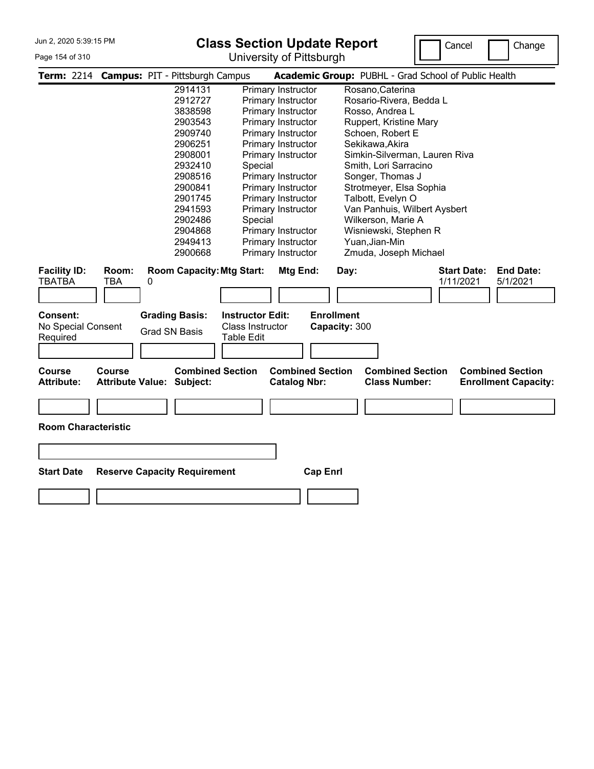#### Page 154 of 310

# **Class Section Update Report**

University of Pittsburgh



|                                            |              | Term: 2214 Campus: PIT - Pittsburgh Campus    |                                                                  |                                                | Academic Group: PUBHL - Grad School of Public Health                                                      |
|--------------------------------------------|--------------|-----------------------------------------------|------------------------------------------------------------------|------------------------------------------------|-----------------------------------------------------------------------------------------------------------|
|                                            |              | 2914131                                       |                                                                  | Primary Instructor                             | Rosano, Caterina                                                                                          |
|                                            |              | 2912727                                       |                                                                  | Primary Instructor                             | Rosario-Rivera, Bedda L                                                                                   |
|                                            |              | 3838598                                       |                                                                  | Primary Instructor                             | Rosso, Andrea L                                                                                           |
|                                            |              | 2903543                                       |                                                                  | Primary Instructor                             | Ruppert, Kristine Mary                                                                                    |
|                                            |              | 2909740                                       |                                                                  | Primary Instructor                             | Schoen, Robert E                                                                                          |
|                                            |              | 2906251                                       |                                                                  | Primary Instructor                             | Sekikawa, Akira                                                                                           |
|                                            |              | 2908001                                       |                                                                  | Primary Instructor                             | Simkin-Silverman, Lauren Riva                                                                             |
|                                            |              | 2932410                                       | Special                                                          |                                                | Smith, Lori Sarracino                                                                                     |
|                                            |              | 2908516                                       |                                                                  | Primary Instructor                             | Songer, Thomas J                                                                                          |
|                                            |              | 2900841                                       |                                                                  | Primary Instructor                             | Strotmeyer, Elsa Sophia                                                                                   |
|                                            |              | 2901745                                       |                                                                  | Primary Instructor                             | Talbott, Evelyn O                                                                                         |
|                                            |              | 2941593                                       |                                                                  | Primary Instructor                             | Van Panhuis, Wilbert Aysbert                                                                              |
|                                            |              | 2902486                                       | Special                                                          |                                                | Wilkerson, Marie A                                                                                        |
|                                            |              | 2904868                                       |                                                                  | Primary Instructor                             | Wisniewski, Stephen R                                                                                     |
|                                            |              | 2949413                                       |                                                                  | Primary Instructor                             | Yuan, Jian-Min                                                                                            |
|                                            |              | 2900668                                       |                                                                  | Primary Instructor                             | Zmuda, Joseph Michael                                                                                     |
| <b>Facility ID:</b><br>TBATBA              | Room:<br>TBA | <b>Room Capacity: Mtg Start:</b><br>0         |                                                                  | Mtg End:                                       | <b>End Date:</b><br><b>Start Date:</b><br>Day:<br>1/11/2021<br>5/1/2021                                   |
| Consent:<br>No Special Consent<br>Required |              | <b>Grading Basis:</b><br><b>Grad SN Basis</b> | <b>Instructor Edit:</b><br><b>Class Instructor</b><br>Table Edit |                                                | <b>Enrollment</b><br>Capacity: 300                                                                        |
| <b>Course</b><br><b>Attribute:</b>         | Course       | <b>Attribute Value: Subject:</b>              | <b>Combined Section</b>                                          | <b>Combined Section</b><br><b>Catalog Nbr:</b> | <b>Combined Section</b><br><b>Combined Section</b><br><b>Class Number:</b><br><b>Enrollment Capacity:</b> |
| <b>Room Characteristic</b>                 |              |                                               |                                                                  |                                                |                                                                                                           |
| <b>Start Date</b>                          |              | <b>Reserve Capacity Requirement</b>           |                                                                  | <b>Cap Enrl</b>                                |                                                                                                           |
|                                            |              |                                               |                                                                  |                                                |                                                                                                           |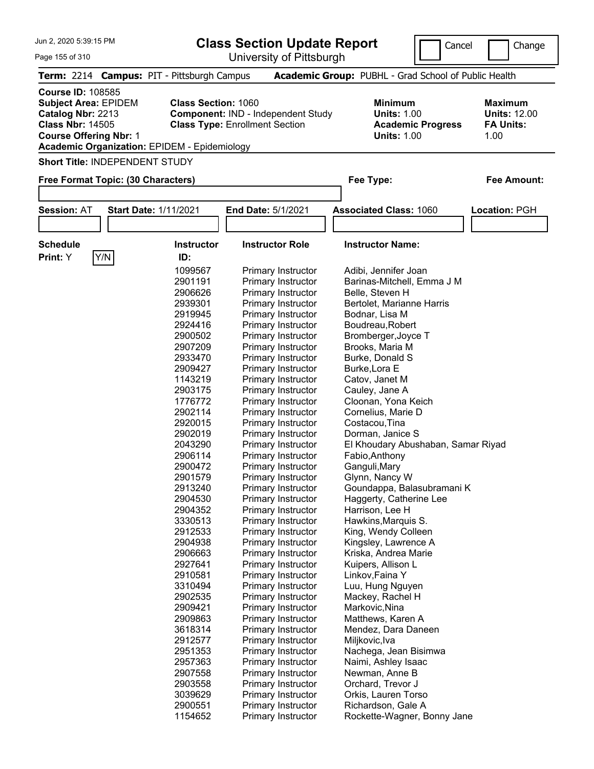| Jun 2, 2020 5:39:15 PM                                                                                                                                                                                                                                                                                              |     |                                            |                                                                                        |                                                                   |                    |
|---------------------------------------------------------------------------------------------------------------------------------------------------------------------------------------------------------------------------------------------------------------------------------------------------------------------|-----|--------------------------------------------|----------------------------------------------------------------------------------------|-------------------------------------------------------------------|--------------------|
| Page 155 of 310                                                                                                                                                                                                                                                                                                     |     |                                            | <b>Class Section Update Report</b><br>University of Pittsburgh                         |                                                                   | Cancel<br>Change   |
|                                                                                                                                                                                                                                                                                                                     |     | Term: 2214 Campus: PIT - Pittsburgh Campus | Academic Group: PUBHL - Grad School of Public Health                                   |                                                                   |                    |
| <b>Course ID: 108585</b><br><b>Class Section: 1060</b><br><b>Subject Area: EPIDEM</b><br>Catalog Nbr: 2213<br><b>Component: IND - Independent Study</b><br><b>Class Nbr: 14505</b><br><b>Class Type: Enrollment Section</b><br><b>Course Offering Nbr: 1</b><br><b>Academic Organization: EPIDEM - Epidemiology</b> |     |                                            | <b>Minimum</b><br><b>Units: 1.00</b><br><b>Academic Progress</b><br><b>Units: 1.00</b> | <b>Maximum</b><br><b>Units: 12.00</b><br><b>FA Units:</b><br>1.00 |                    |
| <b>Short Title: INDEPENDENT STUDY</b>                                                                                                                                                                                                                                                                               |     |                                            |                                                                                        |                                                                   |                    |
| Free Format Topic: (30 Characters)                                                                                                                                                                                                                                                                                  |     |                                            |                                                                                        | Fee Type:                                                         | <b>Fee Amount:</b> |
|                                                                                                                                                                                                                                                                                                                     |     |                                            |                                                                                        |                                                                   |                    |
| <b>Session: AT</b>                                                                                                                                                                                                                                                                                                  |     | <b>Start Date: 1/11/2021</b>               | <b>End Date: 5/1/2021</b>                                                              | <b>Associated Class: 1060</b>                                     | Location: PGH      |
|                                                                                                                                                                                                                                                                                                                     |     |                                            |                                                                                        |                                                                   |                    |
| <b>Schedule</b>                                                                                                                                                                                                                                                                                                     |     | <b>Instructor</b>                          | <b>Instructor Role</b>                                                                 | <b>Instructor Name:</b>                                           |                    |
| Print: Y                                                                                                                                                                                                                                                                                                            | Y/N | ID:                                        |                                                                                        |                                                                   |                    |
|                                                                                                                                                                                                                                                                                                                     |     | 1099567                                    | Primary Instructor                                                                     | Adibi, Jennifer Joan                                              |                    |
|                                                                                                                                                                                                                                                                                                                     |     | 2901191                                    | Primary Instructor                                                                     | Barinas-Mitchell, Emma J M                                        |                    |
|                                                                                                                                                                                                                                                                                                                     |     | 2906626                                    | Primary Instructor                                                                     | Belle, Steven H                                                   |                    |
|                                                                                                                                                                                                                                                                                                                     |     | 2939301                                    | Primary Instructor                                                                     | Bertolet, Marianne Harris                                         |                    |
|                                                                                                                                                                                                                                                                                                                     |     | 2919945                                    | Primary Instructor                                                                     | Bodnar, Lisa M                                                    |                    |
|                                                                                                                                                                                                                                                                                                                     |     | 2924416                                    | Primary Instructor                                                                     | Boudreau, Robert                                                  |                    |
|                                                                                                                                                                                                                                                                                                                     |     | 2900502                                    | Primary Instructor                                                                     | Bromberger, Joyce T                                               |                    |
|                                                                                                                                                                                                                                                                                                                     |     | 2907209                                    | Primary Instructor                                                                     | Brooks, Maria M                                                   |                    |
|                                                                                                                                                                                                                                                                                                                     |     | 2933470                                    | Primary Instructor                                                                     | Burke, Donald S                                                   |                    |
|                                                                                                                                                                                                                                                                                                                     |     | 2909427                                    | Primary Instructor                                                                     | Burke, Lora E                                                     |                    |
|                                                                                                                                                                                                                                                                                                                     |     | 1143219                                    | Primary Instructor                                                                     | Catov, Janet M                                                    |                    |
|                                                                                                                                                                                                                                                                                                                     |     | 2903175                                    | Primary Instructor                                                                     | Cauley, Jane A                                                    |                    |
|                                                                                                                                                                                                                                                                                                                     |     |                                            |                                                                                        |                                                                   |                    |
|                                                                                                                                                                                                                                                                                                                     |     | 1776772                                    | Primary Instructor                                                                     | Cloonan, Yona Keich                                               |                    |
|                                                                                                                                                                                                                                                                                                                     |     | 2902114                                    | Primary Instructor                                                                     | Cornelius, Marie D                                                |                    |
|                                                                                                                                                                                                                                                                                                                     |     | 2920015                                    | Primary Instructor                                                                     | Costacou, Tina                                                    |                    |
|                                                                                                                                                                                                                                                                                                                     |     | 2902019                                    | Primary Instructor                                                                     | Dorman, Janice S                                                  |                    |
|                                                                                                                                                                                                                                                                                                                     |     | 2043290                                    | Primary Instructor                                                                     | El Khoudary Abushaban, Samar Riyad                                |                    |
|                                                                                                                                                                                                                                                                                                                     |     | 2906114                                    | <b>Primary Instructor</b>                                                              | Fabio, Anthony                                                    |                    |
|                                                                                                                                                                                                                                                                                                                     |     | 2900472                                    | Primary Instructor                                                                     | Ganguli, Mary                                                     |                    |
|                                                                                                                                                                                                                                                                                                                     |     | 2901579                                    | Primary Instructor                                                                     | Glynn, Nancy W                                                    |                    |
|                                                                                                                                                                                                                                                                                                                     |     | 2913240                                    | <b>Primary Instructor</b>                                                              | Goundappa, Balasubramani K                                        |                    |
|                                                                                                                                                                                                                                                                                                                     |     | 2904530                                    | Primary Instructor                                                                     | Haggerty, Catherine Lee                                           |                    |
|                                                                                                                                                                                                                                                                                                                     |     | 2904352                                    | Primary Instructor                                                                     | Harrison, Lee H                                                   |                    |
|                                                                                                                                                                                                                                                                                                                     |     | 3330513                                    | Primary Instructor                                                                     | Hawkins, Marquis S.                                               |                    |
|                                                                                                                                                                                                                                                                                                                     |     | 2912533                                    | <b>Primary Instructor</b>                                                              | King, Wendy Colleen                                               |                    |
|                                                                                                                                                                                                                                                                                                                     |     | 2904938                                    | <b>Primary Instructor</b>                                                              | Kingsley, Lawrence A                                              |                    |
|                                                                                                                                                                                                                                                                                                                     |     | 2906663                                    | Primary Instructor                                                                     | Kriska, Andrea Marie                                              |                    |
|                                                                                                                                                                                                                                                                                                                     |     | 2927641                                    | Primary Instructor                                                                     | Kuipers, Allison L                                                |                    |
|                                                                                                                                                                                                                                                                                                                     |     | 2910581                                    | Primary Instructor                                                                     | Linkov, Faina Y                                                   |                    |
|                                                                                                                                                                                                                                                                                                                     |     | 3310494                                    | <b>Primary Instructor</b>                                                              | Luu, Hung Nguyen                                                  |                    |
|                                                                                                                                                                                                                                                                                                                     |     | 2902535                                    | <b>Primary Instructor</b>                                                              | Mackey, Rachel H                                                  |                    |
|                                                                                                                                                                                                                                                                                                                     |     | 2909421                                    | <b>Primary Instructor</b>                                                              | Markovic, Nina                                                    |                    |
|                                                                                                                                                                                                                                                                                                                     |     | 2909863                                    | Primary Instructor                                                                     | Matthews, Karen A                                                 |                    |
|                                                                                                                                                                                                                                                                                                                     |     | 3618314                                    | Primary Instructor                                                                     | Mendez, Dara Daneen                                               |                    |
|                                                                                                                                                                                                                                                                                                                     |     | 2912577                                    | Primary Instructor                                                                     | Miljkovic, Iva                                                    |                    |

2951353 Primary Instructor Nachega, Jean Bisimwa<br>2957363 Primary Instructor Naimi, Ashley Isaac 2957363 Primary Instructor Naimi, Ashley Isaac<br>2907558 Primary Instructor Newman, Anne B

 Primary Instructor Orkis, Lauren Torso 2900551 Primary Instructor Richardson, Gale A<br>1154652 Primary Instructor Rockette-Wagner, B

2903558 Primary Instructor<br>1929629 Primary Instructor

Primary Instructor Newman, Anne B<br>
Primary Instructor Crchard, Trevor J

Rockette-Wagner, Bonny Jane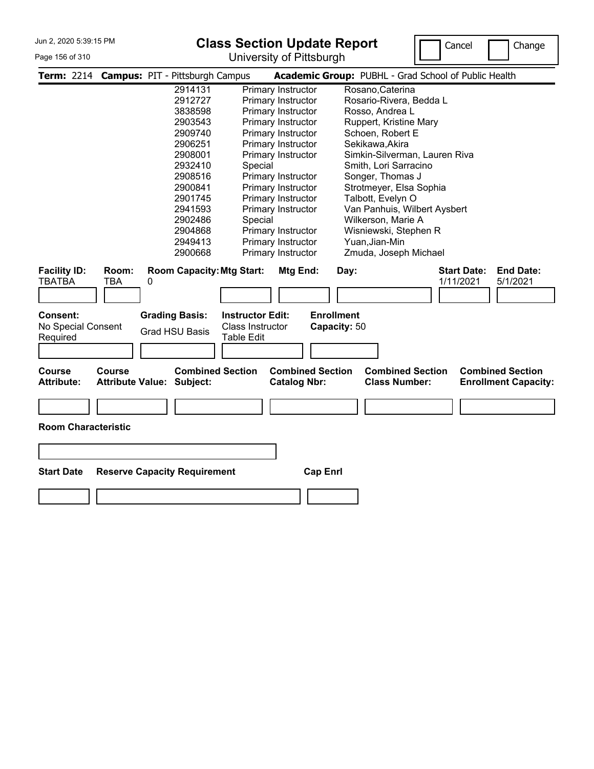#### Page 156 of 310

# **Class Section Update Report**

University of Pittsburgh



|                                            |              | Term: 2214 Campus: PIT - Pittsburgh Campus     |                                                                         |                                                | Academic Group: PUBHL - Grad School of Public Health                                                      |
|--------------------------------------------|--------------|------------------------------------------------|-------------------------------------------------------------------------|------------------------------------------------|-----------------------------------------------------------------------------------------------------------|
|                                            |              | 2914131                                        |                                                                         | Primary Instructor                             | Rosano, Caterina                                                                                          |
|                                            |              | 2912727                                        |                                                                         | Primary Instructor                             | Rosario-Rivera, Bedda L                                                                                   |
|                                            |              | 3838598                                        |                                                                         | Primary Instructor                             | Rosso, Andrea L                                                                                           |
|                                            |              | 2903543                                        |                                                                         | Primary Instructor                             | Ruppert, Kristine Mary                                                                                    |
|                                            |              | 2909740                                        |                                                                         | Primary Instructor                             | Schoen, Robert E                                                                                          |
|                                            |              | 2906251                                        |                                                                         | Primary Instructor                             | Sekikawa, Akira                                                                                           |
|                                            |              | 2908001                                        |                                                                         | Primary Instructor                             | Simkin-Silverman, Lauren Riva                                                                             |
|                                            |              | 2932410                                        | Special                                                                 |                                                | Smith, Lori Sarracino                                                                                     |
|                                            |              | 2908516                                        |                                                                         | Primary Instructor                             | Songer, Thomas J                                                                                          |
|                                            |              | 2900841                                        |                                                                         | Primary Instructor                             | Strotmeyer, Elsa Sophia                                                                                   |
|                                            |              | 2901745                                        |                                                                         | Primary Instructor                             | Talbott, Evelyn O                                                                                         |
|                                            |              | 2941593                                        |                                                                         | Primary Instructor                             | Van Panhuis, Wilbert Aysbert                                                                              |
|                                            |              | 2902486                                        | Special                                                                 |                                                | Wilkerson, Marie A                                                                                        |
|                                            |              | 2904868                                        |                                                                         | Primary Instructor                             | Wisniewski, Stephen R                                                                                     |
|                                            |              | 2949413                                        |                                                                         | Primary Instructor                             | Yuan, Jian-Min                                                                                            |
|                                            |              | 2900668                                        |                                                                         | Primary Instructor                             | Zmuda, Joseph Michael                                                                                     |
| <b>Facility ID:</b><br>TBATBA              | Room:<br>TBA | <b>Room Capacity: Mtg Start:</b><br>0          |                                                                         | Mtg End:                                       | <b>End Date:</b><br><b>Start Date:</b><br>Day:<br>1/11/2021<br>5/1/2021                                   |
| Consent:<br>No Special Consent<br>Required |              | <b>Grading Basis:</b><br><b>Grad HSU Basis</b> | <b>Instructor Edit:</b><br><b>Class Instructor</b><br><b>Table Edit</b> |                                                | <b>Enrollment</b><br>Capacity: 50                                                                         |
| <b>Course</b><br><b>Attribute:</b>         | Course       | <b>Attribute Value: Subject:</b>               | <b>Combined Section</b>                                                 | <b>Combined Section</b><br><b>Catalog Nbr:</b> | <b>Combined Section</b><br><b>Combined Section</b><br><b>Class Number:</b><br><b>Enrollment Capacity:</b> |
| <b>Room Characteristic</b>                 |              |                                                |                                                                         |                                                |                                                                                                           |
| <b>Start Date</b>                          |              | <b>Reserve Capacity Requirement</b>            |                                                                         | <b>Cap Enrl</b>                                |                                                                                                           |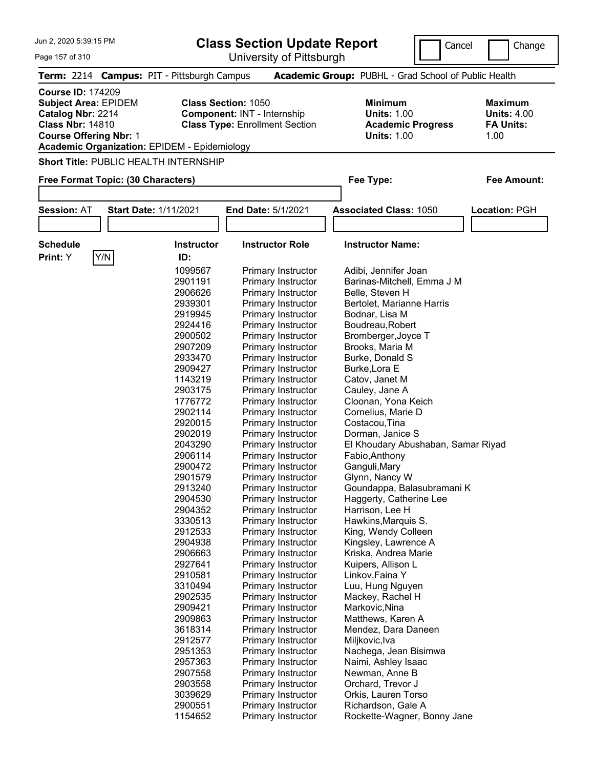| Jun 2, 2020 5:39:15 PM                                                                                                                                                                          |                                                                                                                                                                                                                                                                                                                                                                                                                     | <b>Class Section Update Report</b><br>Cancel                                                                                                                                                                                                                                                                                                                                                                                                                                                                                                                                                                                                                                                                                                                                                                                                                                                                                   | Change                                                                                                                                                                                                                                                                                                                                                                                                                                                                                                                                                                                                                                                                                                                                                                                                                              |                                                                  |
|-------------------------------------------------------------------------------------------------------------------------------------------------------------------------------------------------|---------------------------------------------------------------------------------------------------------------------------------------------------------------------------------------------------------------------------------------------------------------------------------------------------------------------------------------------------------------------------------------------------------------------|--------------------------------------------------------------------------------------------------------------------------------------------------------------------------------------------------------------------------------------------------------------------------------------------------------------------------------------------------------------------------------------------------------------------------------------------------------------------------------------------------------------------------------------------------------------------------------------------------------------------------------------------------------------------------------------------------------------------------------------------------------------------------------------------------------------------------------------------------------------------------------------------------------------------------------|-------------------------------------------------------------------------------------------------------------------------------------------------------------------------------------------------------------------------------------------------------------------------------------------------------------------------------------------------------------------------------------------------------------------------------------------------------------------------------------------------------------------------------------------------------------------------------------------------------------------------------------------------------------------------------------------------------------------------------------------------------------------------------------------------------------------------------------|------------------------------------------------------------------|
| Page 157 of 310                                                                                                                                                                                 |                                                                                                                                                                                                                                                                                                                                                                                                                     | University of Pittsburgh                                                                                                                                                                                                                                                                                                                                                                                                                                                                                                                                                                                                                                                                                                                                                                                                                                                                                                       |                                                                                                                                                                                                                                                                                                                                                                                                                                                                                                                                                                                                                                                                                                                                                                                                                                     |                                                                  |
| Term: 2214 Campus: PIT - Pittsburgh Campus                                                                                                                                                      |                                                                                                                                                                                                                                                                                                                                                                                                                     |                                                                                                                                                                                                                                                                                                                                                                                                                                                                                                                                                                                                                                                                                                                                                                                                                                                                                                                                | Academic Group: PUBHL - Grad School of Public Health                                                                                                                                                                                                                                                                                                                                                                                                                                                                                                                                                                                                                                                                                                                                                                                |                                                                  |
| <b>Course ID: 174209</b><br><b>Subject Area: EPIDEM</b><br>Catalog Nbr: 2214<br><b>Class Nbr: 14810</b><br><b>Course Offering Nbr: 1</b><br><b>Academic Organization: EPIDEM - Epidemiology</b> | <b>Class Section: 1050</b>                                                                                                                                                                                                                                                                                                                                                                                          | <b>Component: INT - Internship</b><br><b>Class Type: Enrollment Section</b>                                                                                                                                                                                                                                                                                                                                                                                                                                                                                                                                                                                                                                                                                                                                                                                                                                                    | <b>Minimum</b><br><b>Units: 1.00</b><br><b>Academic Progress</b><br><b>Units: 1.00</b>                                                                                                                                                                                                                                                                                                                                                                                                                                                                                                                                                                                                                                                                                                                                              | <b>Maximum</b><br><b>Units: 4.00</b><br><b>FA Units:</b><br>1.00 |
| Short Title: PUBLIC HEALTH INTERNSHIP                                                                                                                                                           |                                                                                                                                                                                                                                                                                                                                                                                                                     |                                                                                                                                                                                                                                                                                                                                                                                                                                                                                                                                                                                                                                                                                                                                                                                                                                                                                                                                |                                                                                                                                                                                                                                                                                                                                                                                                                                                                                                                                                                                                                                                                                                                                                                                                                                     |                                                                  |
| Free Format Topic: (30 Characters)                                                                                                                                                              |                                                                                                                                                                                                                                                                                                                                                                                                                     |                                                                                                                                                                                                                                                                                                                                                                                                                                                                                                                                                                                                                                                                                                                                                                                                                                                                                                                                | Fee Type:                                                                                                                                                                                                                                                                                                                                                                                                                                                                                                                                                                                                                                                                                                                                                                                                                           | <b>Fee Amount:</b>                                               |
|                                                                                                                                                                                                 |                                                                                                                                                                                                                                                                                                                                                                                                                     |                                                                                                                                                                                                                                                                                                                                                                                                                                                                                                                                                                                                                                                                                                                                                                                                                                                                                                                                |                                                                                                                                                                                                                                                                                                                                                                                                                                                                                                                                                                                                                                                                                                                                                                                                                                     |                                                                  |
| <b>Session: AT</b><br><b>Start Date: 1/11/2021</b>                                                                                                                                              |                                                                                                                                                                                                                                                                                                                                                                                                                     | End Date: 5/1/2021                                                                                                                                                                                                                                                                                                                                                                                                                                                                                                                                                                                                                                                                                                                                                                                                                                                                                                             | <b>Associated Class: 1050</b>                                                                                                                                                                                                                                                                                                                                                                                                                                                                                                                                                                                                                                                                                                                                                                                                       | Location: PGH                                                    |
| <b>Schedule</b><br> Y/N <br>Print: Y                                                                                                                                                            | <b>Instructor</b><br>ID:                                                                                                                                                                                                                                                                                                                                                                                            | <b>Instructor Role</b>                                                                                                                                                                                                                                                                                                                                                                                                                                                                                                                                                                                                                                                                                                                                                                                                                                                                                                         | <b>Instructor Name:</b>                                                                                                                                                                                                                                                                                                                                                                                                                                                                                                                                                                                                                                                                                                                                                                                                             |                                                                  |
|                                                                                                                                                                                                 | 1099567<br>2901191<br>2906626<br>2939301<br>2919945<br>2924416<br>2900502<br>2907209<br>2933470<br>2909427<br>1143219<br>2903175<br>1776772<br>2902114<br>2920015<br>2902019<br>2043290<br>2906114<br>2900472<br>2901579<br>2913240<br>2904530<br>2904352<br>3330513<br>2912533<br>2904938<br>2906663<br>2927641<br>2910581<br>3310494<br>2902535<br>2909421<br>2909863<br>3618314<br>2912577<br>2951353<br>2957363 | Primary Instructor<br>Primary Instructor<br>Primary Instructor<br>Primary Instructor<br>Primary Instructor<br>Primary Instructor<br>Primary Instructor<br>Primary Instructor<br>Primary Instructor<br>Primary Instructor<br>Primary Instructor<br>Primary Instructor<br>Primary Instructor<br>Primary Instructor<br>Primary Instructor<br>Primary Instructor<br>Primary Instructor<br>Primary Instructor<br><b>Primary Instructor</b><br><b>Primary Instructor</b><br><b>Primary Instructor</b><br>Primary Instructor<br>Primary Instructor<br><b>Primary Instructor</b><br><b>Primary Instructor</b><br>Primary Instructor<br><b>Primary Instructor</b><br>Primary Instructor<br><b>Primary Instructor</b><br>Primary Instructor<br><b>Primary Instructor</b><br><b>Primary Instructor</b><br><b>Primary Instructor</b><br><b>Primary Instructor</b><br><b>Primary Instructor</b><br>Primary Instructor<br>Primary Instructor | Adibi, Jennifer Joan<br>Barinas-Mitchell, Emma J M<br>Belle, Steven H<br>Bertolet, Marianne Harris<br>Bodnar, Lisa M<br>Boudreau, Robert<br>Bromberger, Joyce T<br>Brooks, Maria M<br>Burke, Donald S<br>Burke, Lora E<br>Catov, Janet M<br>Cauley, Jane A<br>Cloonan, Yona Keich<br>Cornelius, Marie D<br>Costacou, Tina<br>Dorman, Janice S<br>El Khoudary Abushaban, Samar Riyad<br>Fabio, Anthony<br>Ganguli, Mary<br>Glynn, Nancy W<br>Goundappa, Balasubramani K<br>Haggerty, Catherine Lee<br>Harrison, Lee H<br>Hawkins, Marquis S.<br>King, Wendy Colleen<br>Kingsley, Lawrence A<br>Kriska, Andrea Marie<br>Kuipers, Allison L<br>Linkov, Faina Y<br>Luu, Hung Nguyen<br>Mackey, Rachel H<br>Markovic, Nina<br>Matthews, Karen A<br>Mendez, Dara Daneen<br>Miljkovic, Iva<br>Nachega, Jean Bisimwa<br>Naimi, Ashley Isaac |                                                                  |

 Primary Instructor Newman, Anne B Primary Instructor Orchard, Trevor J Primary Instructor Orkis, Lauren Torso 2900551 Primary Instructor Richardson, Gale A<br>1154652 Primary Instructor Rockette-Wagner, B

Rockette-Wagner, Bonny Jane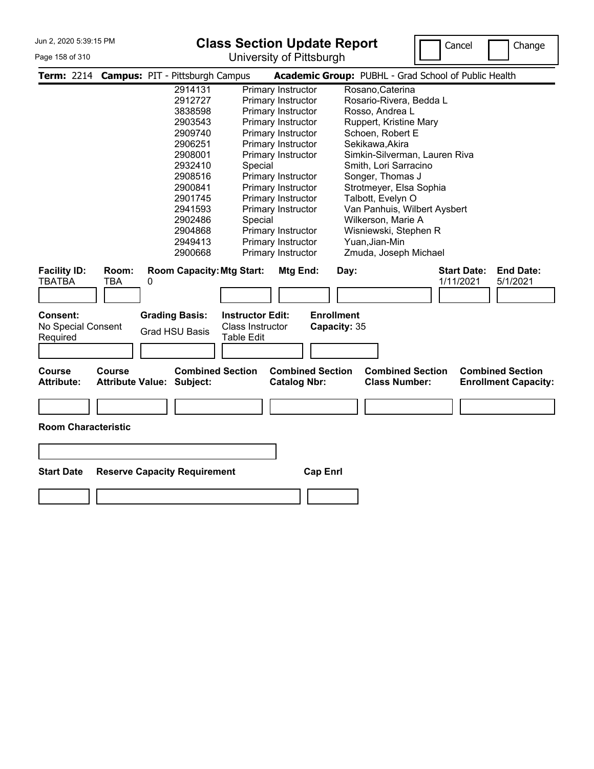#### Page 158 of 310

# **Class Section Update Report**

University of Pittsburgh



|                                            |                                   | Term: 2214 Campus: PIT - Pittsburgh Campus     |                                                                         |                                                | Academic Group: PUBHL - Grad School of Public Health                                                      |
|--------------------------------------------|-----------------------------------|------------------------------------------------|-------------------------------------------------------------------------|------------------------------------------------|-----------------------------------------------------------------------------------------------------------|
|                                            |                                   | 2914131                                        |                                                                         | Primary Instructor                             | Rosano, Caterina                                                                                          |
|                                            |                                   | 2912727                                        |                                                                         | Primary Instructor                             | Rosario-Rivera, Bedda L                                                                                   |
|                                            |                                   | 3838598                                        |                                                                         | Primary Instructor                             | Rosso, Andrea L                                                                                           |
|                                            |                                   | 2903543                                        |                                                                         | Primary Instructor                             | Ruppert, Kristine Mary                                                                                    |
|                                            |                                   | 2909740                                        |                                                                         | Primary Instructor                             | Schoen, Robert E                                                                                          |
|                                            |                                   | 2906251                                        |                                                                         | Primary Instructor                             | Sekikawa, Akira                                                                                           |
|                                            |                                   | 2908001                                        |                                                                         | Primary Instructor                             | Simkin-Silverman, Lauren Riva                                                                             |
|                                            |                                   | 2932410                                        | Special                                                                 |                                                | Smith, Lori Sarracino                                                                                     |
|                                            |                                   | 2908516                                        |                                                                         | Primary Instructor                             | Songer, Thomas J                                                                                          |
|                                            |                                   | 2900841                                        |                                                                         | Primary Instructor                             | Strotmeyer, Elsa Sophia                                                                                   |
|                                            |                                   | 2901745                                        |                                                                         | Primary Instructor                             | Talbott, Evelyn O                                                                                         |
|                                            |                                   | 2941593                                        |                                                                         | Primary Instructor                             | Van Panhuis, Wilbert Aysbert                                                                              |
|                                            |                                   | 2902486                                        | Special                                                                 |                                                | Wilkerson, Marie A                                                                                        |
|                                            |                                   | 2904868                                        |                                                                         | Primary Instructor                             | Wisniewski, Stephen R                                                                                     |
|                                            |                                   | 2949413                                        |                                                                         | Primary Instructor                             | Yuan, Jian-Min                                                                                            |
|                                            |                                   | 2900668                                        |                                                                         | Primary Instructor                             | Zmuda, Joseph Michael                                                                                     |
| <b>Facility ID:</b><br><b>TBATBA</b>       | Room:<br><b>TBA</b>               | <b>Room Capacity: Mtg Start:</b><br>0          |                                                                         | Mtg End:                                       | <b>Start Date:</b><br><b>End Date:</b><br>Day:<br>1/11/2021<br>5/1/2021                                   |
| Consent:<br>No Special Consent<br>Required |                                   | <b>Grading Basis:</b><br><b>Grad HSU Basis</b> | <b>Instructor Edit:</b><br><b>Class Instructor</b><br><b>Table Edit</b> |                                                | <b>Enrollment</b><br>Capacity: 35                                                                         |
| Course<br><b>Attribute:</b>                | Course<br><b>Attribute Value:</b> | Subject:                                       | <b>Combined Section</b>                                                 | <b>Combined Section</b><br><b>Catalog Nbr:</b> | <b>Combined Section</b><br><b>Combined Section</b><br><b>Class Number:</b><br><b>Enrollment Capacity:</b> |
| <b>Room Characteristic</b>                 |                                   |                                                |                                                                         |                                                |                                                                                                           |
| <b>Start Date</b>                          |                                   | <b>Reserve Capacity Requirement</b>            |                                                                         | <b>Cap Enrl</b>                                |                                                                                                           |
|                                            |                                   |                                                |                                                                         |                                                |                                                                                                           |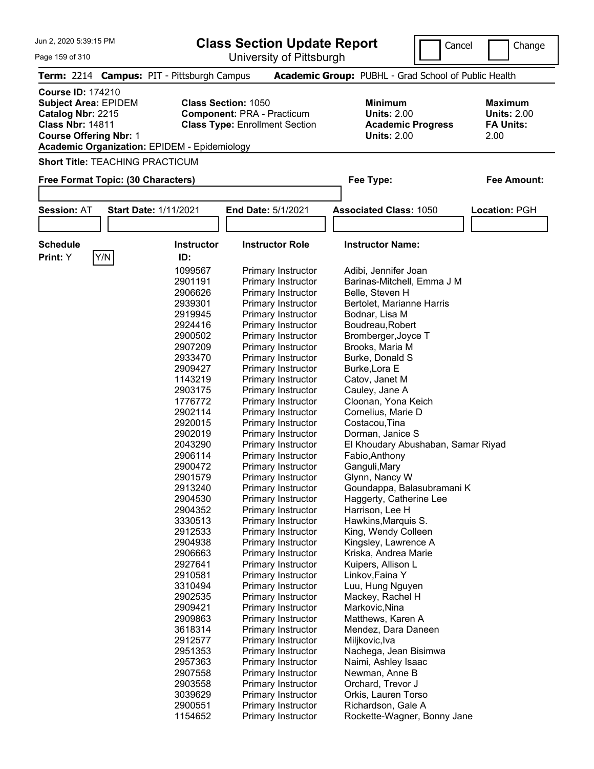| Jun 2, 2020 5:39:15 PM                                                                                                                                                                                                        |                                                                                                                                                                                                                                                                                                                                                                                                          | <b>Class Section Update Report</b><br>Cancel                                                                                                                                                                                                                                                                                                                                                                                                                                                                                                                                                                                                                                                                                                                                                                                                                                                                                                | Change                                                                                                                                                                                                                                                                                                                                                                                                                                                                                                                                                                                                                                                                                                                                                                                                       |                                                                  |  |  |  |
|-------------------------------------------------------------------------------------------------------------------------------------------------------------------------------------------------------------------------------|----------------------------------------------------------------------------------------------------------------------------------------------------------------------------------------------------------------------------------------------------------------------------------------------------------------------------------------------------------------------------------------------------------|---------------------------------------------------------------------------------------------------------------------------------------------------------------------------------------------------------------------------------------------------------------------------------------------------------------------------------------------------------------------------------------------------------------------------------------------------------------------------------------------------------------------------------------------------------------------------------------------------------------------------------------------------------------------------------------------------------------------------------------------------------------------------------------------------------------------------------------------------------------------------------------------------------------------------------------------|--------------------------------------------------------------------------------------------------------------------------------------------------------------------------------------------------------------------------------------------------------------------------------------------------------------------------------------------------------------------------------------------------------------------------------------------------------------------------------------------------------------------------------------------------------------------------------------------------------------------------------------------------------------------------------------------------------------------------------------------------------------------------------------------------------------|------------------------------------------------------------------|--|--|--|
| Page 159 of 310                                                                                                                                                                                                               |                                                                                                                                                                                                                                                                                                                                                                                                          | University of Pittsburgh                                                                                                                                                                                                                                                                                                                                                                                                                                                                                                                                                                                                                                                                                                                                                                                                                                                                                                                    |                                                                                                                                                                                                                                                                                                                                                                                                                                                                                                                                                                                                                                                                                                                                                                                                              |                                                                  |  |  |  |
| <b>Term: 2214</b>                                                                                                                                                                                                             | <b>Campus: PIT - Pittsburgh Campus</b>                                                                                                                                                                                                                                                                                                                                                                   |                                                                                                                                                                                                                                                                                                                                                                                                                                                                                                                                                                                                                                                                                                                                                                                                                                                                                                                                             | Academic Group: PUBHL - Grad School of Public Health                                                                                                                                                                                                                                                                                                                                                                                                                                                                                                                                                                                                                                                                                                                                                         |                                                                  |  |  |  |
| <b>Course ID: 174210</b><br><b>Class Section: 1050</b><br><b>Subject Area: EPIDEM</b><br>Catalog Nbr: 2215<br><b>Class Nbr: 14811</b><br><b>Course Offering Nbr: 1</b><br><b>Academic Organization: EPIDEM - Epidemiology</b> |                                                                                                                                                                                                                                                                                                                                                                                                          | <b>Component: PRA - Practicum</b><br><b>Class Type: Enrollment Section</b>                                                                                                                                                                                                                                                                                                                                                                                                                                                                                                                                                                                                                                                                                                                                                                                                                                                                  | <b>Minimum</b><br><b>Units: 2.00</b><br><b>Academic Progress</b><br><b>Units: 2.00</b>                                                                                                                                                                                                                                                                                                                                                                                                                                                                                                                                                                                                                                                                                                                       | <b>Maximum</b><br><b>Units: 2.00</b><br><b>FA Units:</b><br>2.00 |  |  |  |
| <b>Short Title: TEACHING PRACTICUM</b>                                                                                                                                                                                        |                                                                                                                                                                                                                                                                                                                                                                                                          |                                                                                                                                                                                                                                                                                                                                                                                                                                                                                                                                                                                                                                                                                                                                                                                                                                                                                                                                             |                                                                                                                                                                                                                                                                                                                                                                                                                                                                                                                                                                                                                                                                                                                                                                                                              |                                                                  |  |  |  |
| Free Format Topic: (30 Characters)                                                                                                                                                                                            |                                                                                                                                                                                                                                                                                                                                                                                                          |                                                                                                                                                                                                                                                                                                                                                                                                                                                                                                                                                                                                                                                                                                                                                                                                                                                                                                                                             | Fee Type:                                                                                                                                                                                                                                                                                                                                                                                                                                                                                                                                                                                                                                                                                                                                                                                                    | <b>Fee Amount:</b>                                               |  |  |  |
|                                                                                                                                                                                                                               |                                                                                                                                                                                                                                                                                                                                                                                                          |                                                                                                                                                                                                                                                                                                                                                                                                                                                                                                                                                                                                                                                                                                                                                                                                                                                                                                                                             |                                                                                                                                                                                                                                                                                                                                                                                                                                                                                                                                                                                                                                                                                                                                                                                                              |                                                                  |  |  |  |
| <b>Session: AT</b><br><b>Start Date: 1/11/2021</b>                                                                                                                                                                            |                                                                                                                                                                                                                                                                                                                                                                                                          | <b>End Date: 5/1/2021</b>                                                                                                                                                                                                                                                                                                                                                                                                                                                                                                                                                                                                                                                                                                                                                                                                                                                                                                                   | <b>Associated Class: 1050</b>                                                                                                                                                                                                                                                                                                                                                                                                                                                                                                                                                                                                                                                                                                                                                                                | Location: PGH                                                    |  |  |  |
| <b>Schedule</b><br>Y/N<br>Print: Y                                                                                                                                                                                            | <b>Instructor</b><br>ID:                                                                                                                                                                                                                                                                                                                                                                                 | <b>Instructor Role</b>                                                                                                                                                                                                                                                                                                                                                                                                                                                                                                                                                                                                                                                                                                                                                                                                                                                                                                                      | <b>Instructor Name:</b>                                                                                                                                                                                                                                                                                                                                                                                                                                                                                                                                                                                                                                                                                                                                                                                      |                                                                  |  |  |  |
|                                                                                                                                                                                                                               | 1099567<br>2901191<br>2906626<br>2939301<br>2919945<br>2924416<br>2900502<br>2907209<br>2933470<br>2909427<br>1143219<br>2903175<br>1776772<br>2902114<br>2920015<br>2902019<br>2043290<br>2906114<br>2900472<br>2901579<br>2913240<br>2904530<br>2904352<br>3330513<br>2912533<br>2904938<br>2906663<br>2927641<br>2910581<br>3310494<br>2902535<br>2909421<br>2909863<br>3618314<br>2912577<br>2951353 | Primary Instructor<br>Primary Instructor<br>Primary Instructor<br>Primary Instructor<br>Primary Instructor<br>Primary Instructor<br>Primary Instructor<br>Primary Instructor<br>Primary Instructor<br>Primary Instructor<br>Primary Instructor<br>Primary Instructor<br>Primary Instructor<br>Primary Instructor<br>Primary Instructor<br>Primary Instructor<br>Primary Instructor<br><b>Primary Instructor</b><br><b>Primary Instructor</b><br><b>Primary Instructor</b><br><b>Primary Instructor</b><br><b>Primary Instructor</b><br>Primary Instructor<br><b>Primary Instructor</b><br><b>Primary Instructor</b><br><b>Primary Instructor</b><br>Primary Instructor<br><b>Primary Instructor</b><br><b>Primary Instructor</b><br><b>Primary Instructor</b><br><b>Primary Instructor</b><br><b>Primary Instructor</b><br><b>Primary Instructor</b><br><b>Primary Instructor</b><br><b>Primary Instructor</b><br><b>Primary Instructor</b> | Adibi, Jennifer Joan<br>Barinas-Mitchell, Emma J M<br>Belle, Steven H<br>Bertolet, Marianne Harris<br>Bodnar, Lisa M<br>Boudreau, Robert<br>Bromberger, Joyce T<br>Brooks, Maria M<br>Burke, Donald S<br>Burke, Lora E<br>Catov, Janet M<br>Cauley, Jane A<br>Cloonan, Yona Keich<br>Cornelius, Marie D<br>Costacou, Tina<br>Dorman, Janice S<br>El Khoudary Abushaban, Samar Riyad<br>Fabio, Anthony<br>Ganguli, Mary<br>Glynn, Nancy W<br>Goundappa, Balasubramani K<br>Haggerty, Catherine Lee<br>Harrison, Lee H<br>Hawkins, Marquis S.<br>King, Wendy Colleen<br>Kingsley, Lawrence A<br>Kriska, Andrea Marie<br>Kuipers, Allison L<br>Linkov, Faina Y<br>Luu, Hung Nguyen<br>Mackey, Rachel H<br>Markovic, Nina<br>Matthews, Karen A<br>Mendez, Dara Daneen<br>Miljkovic, Iva<br>Nachega, Jean Bisimwa |                                                                  |  |  |  |

Primary Instructor Newman, Anne B<br>Primary Instructor Orchard, Trevor J

Rockette-Wagner, Bonny Jane

 Primary Instructor Orkis, Lauren Torso 2900551 Primary Instructor Richardson, Gale A<br>1154652 Primary Instructor Rockette-Wagner, B

2903558 Primary Instructor<br>3039629 Primary Instructor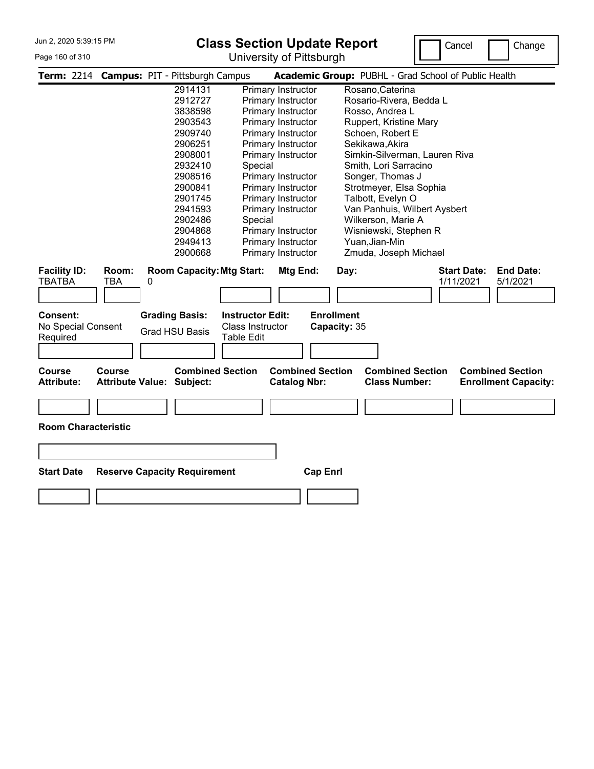#### Page 160 of 310

# **Class Section Update Report**

University of Pittsburgh



|                                            |                                          | Term: 2214 Campus: PIT - Pittsburgh Campus     |                                                                  |                                                | Academic Group: PUBHL - Grad School of Public Health                                                      |
|--------------------------------------------|------------------------------------------|------------------------------------------------|------------------------------------------------------------------|------------------------------------------------|-----------------------------------------------------------------------------------------------------------|
|                                            |                                          | 2914131                                        |                                                                  | Primary Instructor                             | Rosano, Caterina                                                                                          |
|                                            |                                          | 2912727                                        |                                                                  | Primary Instructor                             | Rosario-Rivera, Bedda L                                                                                   |
|                                            |                                          | 3838598                                        |                                                                  | Primary Instructor                             | Rosso, Andrea L                                                                                           |
|                                            |                                          | 2903543                                        |                                                                  | Primary Instructor                             | Ruppert, Kristine Mary                                                                                    |
|                                            |                                          | 2909740                                        |                                                                  | Primary Instructor                             | Schoen, Robert E                                                                                          |
|                                            |                                          | 2906251                                        |                                                                  | Primary Instructor                             | Sekikawa, Akira                                                                                           |
|                                            |                                          | 2908001                                        |                                                                  | Primary Instructor                             | Simkin-Silverman, Lauren Riva                                                                             |
|                                            |                                          | 2932410                                        | Special                                                          |                                                | Smith, Lori Sarracino                                                                                     |
|                                            |                                          | 2908516                                        |                                                                  | Primary Instructor                             | Songer, Thomas J                                                                                          |
|                                            |                                          | 2900841                                        |                                                                  | Primary Instructor                             | Strotmeyer, Elsa Sophia                                                                                   |
|                                            |                                          | 2901745                                        |                                                                  | Primary Instructor                             | Talbott, Evelyn O                                                                                         |
|                                            |                                          | 2941593                                        |                                                                  | Primary Instructor                             | Van Panhuis, Wilbert Aysbert                                                                              |
|                                            |                                          | 2902486                                        | Special                                                          |                                                | Wilkerson, Marie A                                                                                        |
|                                            |                                          | 2904868                                        |                                                                  | Primary Instructor                             | Wisniewski, Stephen R                                                                                     |
|                                            |                                          | 2949413                                        |                                                                  | Primary Instructor                             | Yuan, Jian-Min                                                                                            |
|                                            |                                          | 2900668                                        |                                                                  | Primary Instructor                             | Zmuda, Joseph Michael                                                                                     |
| <b>Facility ID:</b><br>TBATBA              | Room:<br><b>TBA</b>                      | <b>Room Capacity: Mtg Start:</b><br>0          |                                                                  | Mtg End:                                       | <b>End Date:</b><br><b>Start Date:</b><br>Day:<br>1/11/2021<br>5/1/2021                                   |
| Consent:<br>No Special Consent<br>Required |                                          | <b>Grading Basis:</b><br><b>Grad HSU Basis</b> | <b>Instructor Edit:</b><br>Class Instructor<br><b>Table Edit</b> |                                                | <b>Enrollment</b><br>Capacity: 35                                                                         |
| <b>Course</b><br><b>Attribute:</b>         | <b>Course</b><br><b>Attribute Value:</b> | Subject:                                       | <b>Combined Section</b>                                          | <b>Combined Section</b><br><b>Catalog Nbr:</b> | <b>Combined Section</b><br><b>Combined Section</b><br><b>Class Number:</b><br><b>Enrollment Capacity:</b> |
| <b>Room Characteristic</b>                 |                                          |                                                |                                                                  |                                                |                                                                                                           |
| <b>Start Date</b>                          |                                          | <b>Reserve Capacity Requirement</b>            |                                                                  | <b>Cap Enrl</b>                                |                                                                                                           |
|                                            |                                          |                                                |                                                                  |                                                |                                                                                                           |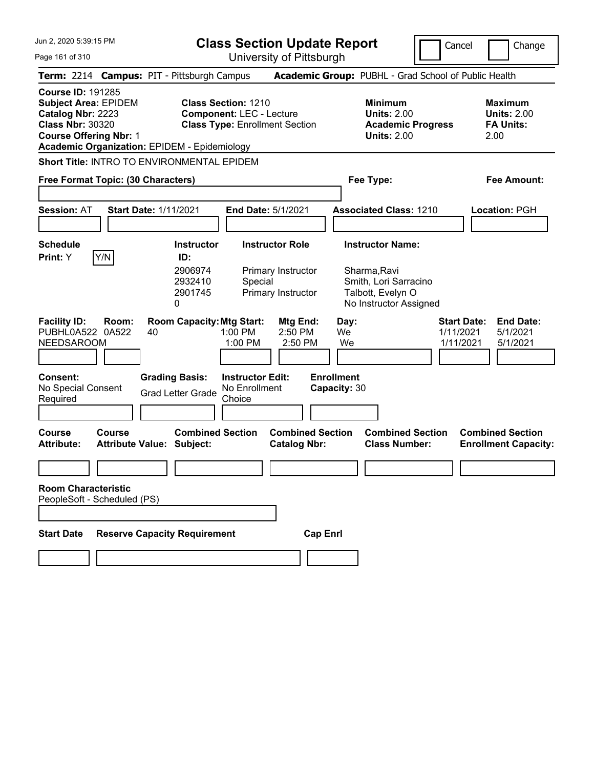**Class Section Update Report**

University of Pittsburgh

Cancel **Change** 

Page 161 of 310

|                                                                                                                                          |                                                   | Term: 2214 Campus: PIT - Pittsburgh Campus                                        |                                                                          | <b>Academic Group: PUBHL - Grad School of Public Health</b>                            |                                                                  |
|------------------------------------------------------------------------------------------------------------------------------------------|---------------------------------------------------|-----------------------------------------------------------------------------------|--------------------------------------------------------------------------|----------------------------------------------------------------------------------------|------------------------------------------------------------------|
| <b>Course ID: 191285</b><br><b>Subject Area: EPIDEM</b><br>Catalog Nbr: 2223<br><b>Class Nbr: 30320</b><br><b>Course Offering Nbr: 1</b> |                                                   | <b>Class Section: 1210</b><br><b>Academic Organization: EPIDEM - Epidemiology</b> | <b>Component: LEC - Lecture</b><br><b>Class Type: Enrollment Section</b> | <b>Minimum</b><br><b>Units: 2.00</b><br><b>Academic Progress</b><br><b>Units: 2.00</b> | <b>Maximum</b><br><b>Units: 2.00</b><br><b>FA Units:</b><br>2.00 |
|                                                                                                                                          |                                                   | <b>Short Title: INTRO TO ENVIRONMENTAL EPIDEM</b>                                 |                                                                          |                                                                                        |                                                                  |
|                                                                                                                                          | Free Format Topic: (30 Characters)                |                                                                                   |                                                                          | Fee Type:                                                                              | <b>Fee Amount:</b>                                               |
|                                                                                                                                          |                                                   |                                                                                   |                                                                          |                                                                                        |                                                                  |
| <b>Session: AT</b>                                                                                                                       | <b>Start Date: 1/11/2021</b>                      |                                                                                   | End Date: 5/1/2021                                                       | <b>Associated Class: 1210</b>                                                          | Location: PGH                                                    |
|                                                                                                                                          |                                                   |                                                                                   |                                                                          |                                                                                        |                                                                  |
| <b>Schedule</b><br>Print: Y                                                                                                              | Y/N                                               | <b>Instructor</b><br>ID:                                                          | <b>Instructor Role</b>                                                   | <b>Instructor Name:</b>                                                                |                                                                  |
|                                                                                                                                          |                                                   | 2906974<br>2932410<br>2901745<br>0                                                | Primary Instructor<br>Special<br>Primary Instructor                      | Sharma, Ravi<br>Smith, Lori Sarracino<br>Talbott, Evelyn O<br>No Instructor Assigned   |                                                                  |
| <b>Facility ID:</b><br>PUBHL0A522 0A522<br>NEEDSAROOM                                                                                    | Room:<br>40                                       | <b>Room Capacity: Mtg Start:</b>                                                  | Mtg End:<br>1:00 PM<br>2:50 PM<br>1:00 PM<br>2:50 PM                     | <b>Start Date:</b><br>Day:<br>We<br>1/11/2021<br>We<br>1/11/2021                       | <b>End Date:</b><br>5/1/2021<br>5/1/2021                         |
| <b>Consent:</b><br>No Special Consent<br>Required                                                                                        |                                                   | <b>Grading Basis:</b><br><b>Grad Letter Grade</b>                                 | <b>Instructor Edit:</b><br>No Enrollment<br>Choice                       | <b>Enrollment</b><br>Capacity: 30                                                      |                                                                  |
| <b>Course</b><br><b>Attribute:</b>                                                                                                       | <b>Course</b><br><b>Attribute Value: Subject:</b> | <b>Combined Section</b>                                                           | <b>Combined Section</b><br><b>Catalog Nbr:</b>                           | <b>Combined Section</b><br><b>Class Number:</b>                                        | <b>Combined Section</b><br><b>Enrollment Capacity:</b>           |
|                                                                                                                                          |                                                   |                                                                                   |                                                                          |                                                                                        |                                                                  |
| <b>Room Characteristic</b>                                                                                                               | PeopleSoft - Scheduled (PS)                       |                                                                                   |                                                                          |                                                                                        |                                                                  |
| <b>Start Date</b>                                                                                                                        |                                                   | <b>Reserve Capacity Requirement</b>                                               | <b>Cap Enrl</b>                                                          |                                                                                        |                                                                  |
|                                                                                                                                          |                                                   |                                                                                   |                                                                          |                                                                                        |                                                                  |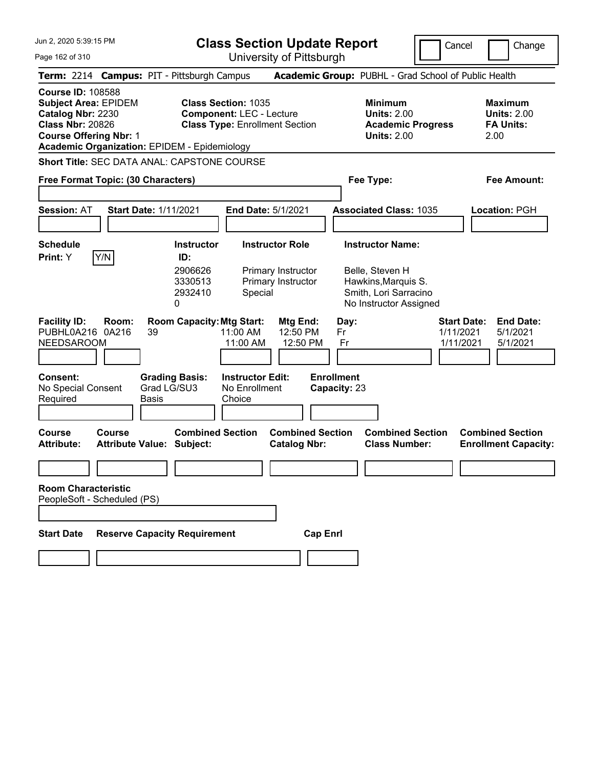**Class Section Update Report**

University of Pittsburgh

Cancel **Change** 

Page 162 of 310

|                                                                                                                                          |               | Term: 2214 Campus: PIT - Pittsburgh Campus                  |                                                                                                        | <b>Academic Group: PUBHL - Grad School of Public Health</b>                            |                                                                             |
|------------------------------------------------------------------------------------------------------------------------------------------|---------------|-------------------------------------------------------------|--------------------------------------------------------------------------------------------------------|----------------------------------------------------------------------------------------|-----------------------------------------------------------------------------|
| <b>Course ID: 108588</b><br><b>Subject Area: EPIDEM</b><br>Catalog Nbr: 2230<br><b>Class Nbr: 20826</b><br><b>Course Offering Nbr: 1</b> |               | <b>Academic Organization: EPIDEM - Epidemiology</b>         | <b>Class Section: 1035</b><br><b>Component: LEC - Lecture</b><br><b>Class Type: Enrollment Section</b> | <b>Minimum</b><br><b>Units: 2.00</b><br><b>Academic Progress</b><br><b>Units: 2.00</b> | <b>Maximum</b><br><b>Units: 2.00</b><br><b>FA Units:</b><br>2.00            |
|                                                                                                                                          |               | Short Title: SEC DATA ANAL: CAPSTONE COURSE                 |                                                                                                        |                                                                                        |                                                                             |
| Free Format Topic: (30 Characters)                                                                                                       |               |                                                             |                                                                                                        | Fee Type:                                                                              | <b>Fee Amount:</b>                                                          |
|                                                                                                                                          |               |                                                             |                                                                                                        |                                                                                        |                                                                             |
| <b>Session: AT</b>                                                                                                                       |               | <b>Start Date: 1/11/2021</b>                                | End Date: 5/1/2021                                                                                     | <b>Associated Class: 1035</b>                                                          | Location: PGH                                                               |
| Schedule<br>Print: Y                                                                                                                     | Y/N           | <b>Instructor</b><br>ID:<br>2906626<br>3330513              | <b>Instructor Role</b><br>Primary Instructor<br>Primary Instructor                                     | <b>Instructor Name:</b><br>Belle, Steven H<br>Hawkins, Marquis S.                      |                                                                             |
|                                                                                                                                          |               | 2932410<br>0                                                | Special                                                                                                | Smith, Lori Sarracino<br>No Instructor Assigned                                        |                                                                             |
| <b>Facility ID:</b><br>PUBHL0A216 0A216<br><b>NEEDSAROOM</b>                                                                             | Room:         | <b>Room Capacity: Mtg Start:</b><br>39                      | Mtg End:<br>11:00 AM<br>12:50 PM<br>12:50 PM<br>11:00 AM                                               | Day:<br>1/11/2021<br>Fr<br>Fr                                                          | <b>End Date:</b><br><b>Start Date:</b><br>5/1/2021<br>1/11/2021<br>5/1/2021 |
| Consent:<br>No Special Consent<br>Required                                                                                               |               | <b>Grading Basis:</b><br>Grad LG/SU3<br>Basis               | <b>Instructor Edit:</b><br>No Enrollment<br>Choice                                                     | <b>Enrollment</b><br>Capacity: 23                                                      |                                                                             |
| <b>Course</b><br><b>Attribute:</b>                                                                                                       | <b>Course</b> | <b>Combined Section</b><br><b>Attribute Value: Subject:</b> | <b>Combined Section</b><br><b>Catalog Nbr:</b>                                                         | <b>Combined Section</b><br><b>Class Number:</b>                                        | <b>Combined Section</b><br><b>Enrollment Capacity:</b>                      |
|                                                                                                                                          |               |                                                             |                                                                                                        |                                                                                        |                                                                             |
| <b>Room Characteristic</b><br>PeopleSoft - Scheduled (PS)                                                                                |               |                                                             |                                                                                                        |                                                                                        |                                                                             |
| <b>Start Date</b>                                                                                                                        |               | <b>Reserve Capacity Requirement</b>                         | <b>Cap Enrl</b>                                                                                        |                                                                                        |                                                                             |
|                                                                                                                                          |               |                                                             |                                                                                                        |                                                                                        |                                                                             |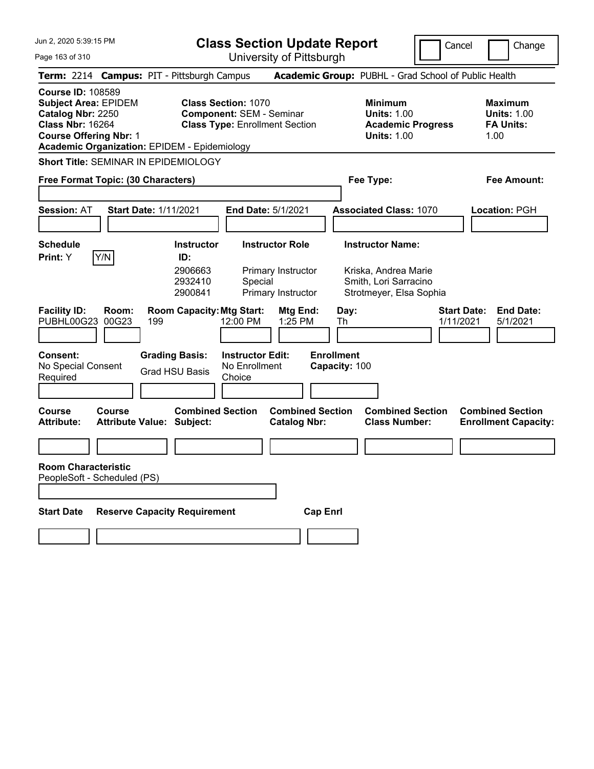|  |  |  | Jun 2, 2020 5:39:15 PM |  |
|--|--|--|------------------------|--|
|--|--|--|------------------------|--|

**Class Section Update Report**

Cancel **Change** 

Page 163 of 310

| Page 163 of 310                                                                                                                          |                       |                                                                                 |                                                               | University of Pittsburgh                                        |                                    |                                                                                        |                                 |                                                                  |
|------------------------------------------------------------------------------------------------------------------------------------------|-----------------------|---------------------------------------------------------------------------------|---------------------------------------------------------------|-----------------------------------------------------------------|------------------------------------|----------------------------------------------------------------------------------------|---------------------------------|------------------------------------------------------------------|
|                                                                                                                                          |                       | Term: 2214 Campus: PIT - Pittsburgh Campus                                      |                                                               |                                                                 |                                    | Academic Group: PUBHL - Grad School of Public Health                                   |                                 |                                                                  |
| <b>Course ID: 108589</b><br><b>Subject Area: EPIDEM</b><br>Catalog Nbr: 2250<br><b>Class Nbr: 16264</b><br><b>Course Offering Nbr: 1</b> |                       | <b>Academic Organization: EPIDEM - Epidemiology</b>                             | <b>Class Section: 1070</b><br><b>Component: SEM - Seminar</b> | <b>Class Type: Enrollment Section</b>                           |                                    | <b>Minimum</b><br><b>Units: 1.00</b><br><b>Academic Progress</b><br><b>Units: 1.00</b> |                                 | <b>Maximum</b><br><b>Units: 1.00</b><br><b>FA Units:</b><br>1.00 |
|                                                                                                                                          |                       | <b>Short Title: SEMINAR IN EPIDEMIOLOGY</b>                                     |                                                               |                                                                 |                                    |                                                                                        |                                 |                                                                  |
| Free Format Topic: (30 Characters)                                                                                                       |                       |                                                                                 |                                                               |                                                                 |                                    | Fee Type:                                                                              |                                 | Fee Amount:                                                      |
| <b>Session: AT</b>                                                                                                                       |                       | <b>Start Date: 1/11/2021</b>                                                    | <b>End Date: 5/1/2021</b>                                     |                                                                 |                                    | <b>Associated Class: 1070</b>                                                          |                                 | Location: PGH                                                    |
| <b>Schedule</b>                                                                                                                          |                       | <b>Instructor</b>                                                               |                                                               | <b>Instructor Role</b>                                          |                                    | <b>Instructor Name:</b>                                                                |                                 |                                                                  |
| Print: Y<br><b>Facility ID:</b><br>PUBHL00G23                                                                                            | Y/N<br>Room:<br>00G23 | ID:<br>2906663<br>2932410<br>2900841<br><b>Room Capacity: Mtg Start:</b><br>199 | Special<br>12:00 PM                                           | Primary Instructor<br>Primary Instructor<br>Mtg End:<br>1:25 PM | Day:<br>Th                         | Kriska, Andrea Marie<br>Smith, Lori Sarracino<br>Strotmeyer, Elsa Sophia               | <b>Start Date:</b><br>1/11/2021 | <b>End Date:</b><br>5/1/2021                                     |
| Consent:<br>No Special Consent<br>Required                                                                                               |                       | <b>Grading Basis:</b><br><b>Grad HSU Basis</b>                                  | <b>Instructor Edit:</b><br>No Enrollment<br>Choice            |                                                                 | <b>Enrollment</b><br>Capacity: 100 |                                                                                        |                                 |                                                                  |
| <b>Course</b><br><b>Attribute:</b>                                                                                                       | <b>Course</b>         | <b>Combined Section</b><br><b>Attribute Value: Subject:</b>                     |                                                               | <b>Combined Section</b><br><b>Catalog Nbr:</b>                  |                                    | <b>Combined Section</b><br><b>Class Number:</b>                                        |                                 | <b>Combined Section</b><br><b>Enrollment Capacity:</b>           |
|                                                                                                                                          |                       |                                                                                 |                                                               |                                                                 |                                    |                                                                                        |                                 |                                                                  |
| <b>Room Characteristic</b><br>PeopleSoft - Scheduled (PS)                                                                                |                       |                                                                                 |                                                               |                                                                 |                                    |                                                                                        |                                 |                                                                  |
| <b>Start Date</b>                                                                                                                        |                       | <b>Reserve Capacity Requirement</b>                                             |                                                               | <b>Cap Enrl</b>                                                 |                                    |                                                                                        |                                 |                                                                  |
|                                                                                                                                          |                       |                                                                                 |                                                               |                                                                 |                                    |                                                                                        |                                 |                                                                  |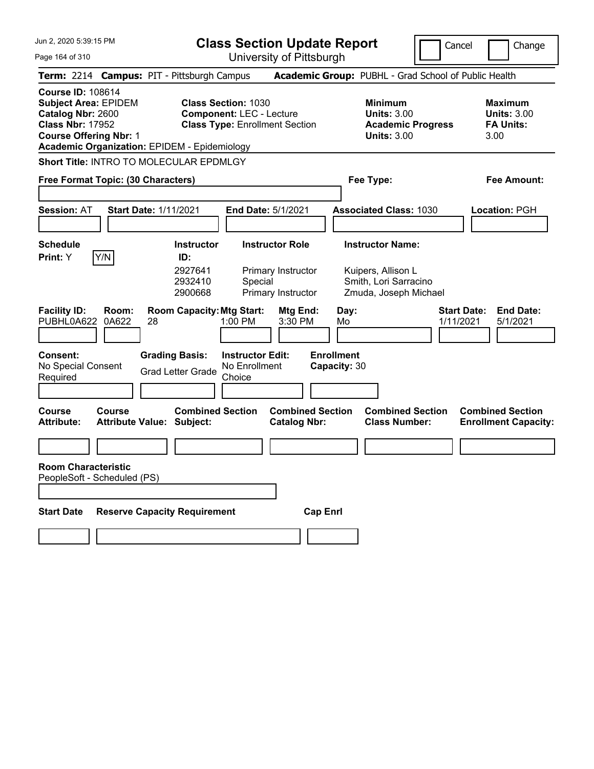**Class Section Update Report**

Cancel **Change** 

Page 164 of 310

| Page 164 of 310                                                                                                                          |                       |                                                                                | University of Pittsburgh                                                                               |                                                                 |                                   |                                                                                        |                                                                  |
|------------------------------------------------------------------------------------------------------------------------------------------|-----------------------|--------------------------------------------------------------------------------|--------------------------------------------------------------------------------------------------------|-----------------------------------------------------------------|-----------------------------------|----------------------------------------------------------------------------------------|------------------------------------------------------------------|
|                                                                                                                                          |                       | Term: 2214 Campus: PIT - Pittsburgh Campus                                     |                                                                                                        |                                                                 |                                   | Academic Group: PUBHL - Grad School of Public Health                                   |                                                                  |
| <b>Course ID: 108614</b><br><b>Subject Area: EPIDEM</b><br>Catalog Nbr: 2600<br><b>Class Nbr: 17952</b><br><b>Course Offering Nbr: 1</b> |                       | <b>Academic Organization: EPIDEM - Epidemiology</b>                            | <b>Class Section: 1030</b><br><b>Component: LEC - Lecture</b><br><b>Class Type: Enrollment Section</b> |                                                                 |                                   | <b>Minimum</b><br><b>Units: 3.00</b><br><b>Academic Progress</b><br><b>Units: 3.00</b> | <b>Maximum</b><br><b>Units: 3.00</b><br><b>FA Units:</b><br>3.00 |
|                                                                                                                                          |                       | <b>Short Title: INTRO TO MOLECULAR EPDMLGY</b>                                 |                                                                                                        |                                                                 |                                   |                                                                                        |                                                                  |
| Free Format Topic: (30 Characters)                                                                                                       |                       |                                                                                |                                                                                                        |                                                                 |                                   | Fee Type:                                                                              | Fee Amount:                                                      |
| <b>Session: AT</b>                                                                                                                       |                       | <b>Start Date: 1/11/2021</b>                                                   | <b>End Date: 5/1/2021</b>                                                                              |                                                                 |                                   | <b>Associated Class: 1030</b>                                                          | Location: PGH                                                    |
| <b>Schedule</b>                                                                                                                          |                       | <b>Instructor</b>                                                              | <b>Instructor Role</b>                                                                                 |                                                                 |                                   | <b>Instructor Name:</b>                                                                |                                                                  |
| <b>Print:</b> Y<br><b>Facility ID:</b><br>PUBHL0A622                                                                                     | Y/N<br>Room:<br>0A622 | ID:<br>2927641<br>2932410<br>2900668<br><b>Room Capacity: Mtg Start:</b><br>28 | Special<br>1:00 PM                                                                                     | Primary Instructor<br>Primary Instructor<br>Mtg End:<br>3:30 PM | Day:<br>Mo                        | Kuipers, Allison L<br>Smith, Lori Sarracino<br>Zmuda, Joseph Michael                   | <b>Start Date:</b><br><b>End Date:</b><br>1/11/2021<br>5/1/2021  |
| <b>Consent:</b><br>No Special Consent<br>Required                                                                                        |                       | <b>Grading Basis:</b><br><b>Grad Letter Grade</b>                              | <b>Instructor Edit:</b><br>No Enrollment<br>Choice                                                     |                                                                 | <b>Enrollment</b><br>Capacity: 30 |                                                                                        |                                                                  |
| Course<br><b>Attribute:</b>                                                                                                              | Course                | <b>Combined Section</b><br><b>Attribute Value: Subject:</b>                    |                                                                                                        | <b>Combined Section</b><br><b>Catalog Nbr:</b>                  |                                   | <b>Combined Section</b><br><b>Class Number:</b>                                        | <b>Combined Section</b><br><b>Enrollment Capacity:</b>           |
|                                                                                                                                          |                       |                                                                                |                                                                                                        |                                                                 |                                   |                                                                                        |                                                                  |
| <b>Room Characteristic</b><br>PeopleSoft - Scheduled (PS)                                                                                |                       |                                                                                |                                                                                                        |                                                                 |                                   |                                                                                        |                                                                  |
| <b>Start Date</b>                                                                                                                        |                       | <b>Reserve Capacity Requirement</b>                                            |                                                                                                        | <b>Cap Enrl</b>                                                 |                                   |                                                                                        |                                                                  |
|                                                                                                                                          |                       |                                                                                |                                                                                                        |                                                                 |                                   |                                                                                        |                                                                  |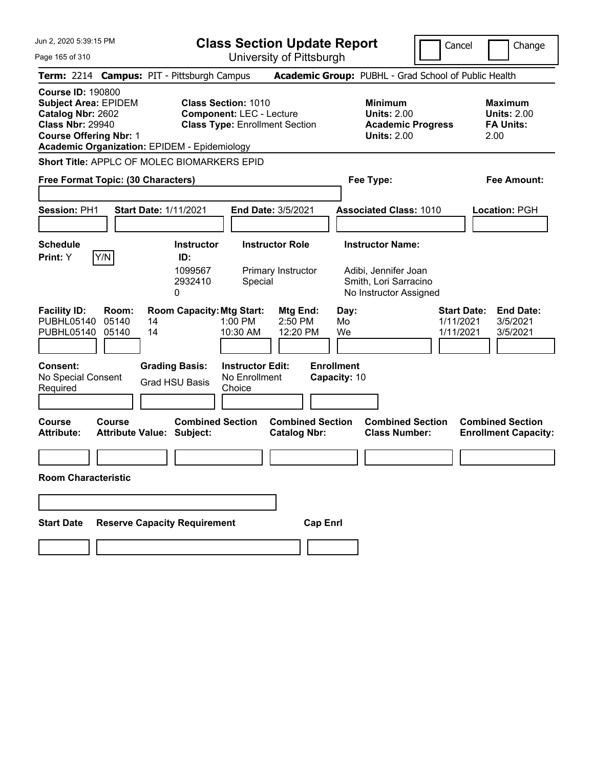**Class Section Update Report**

Cancel Change

Page 165 of 310

University of Pittsburgh **Term:** 2214 **Campus:** PIT - Pittsburgh Campus **Academic Group:** PUBHL - Grad School of Public Health **Course ID:** 190800 **Subject Area:** EPIDEM **Class Section:** 1010 **Minimum Maximum Catalog Nbr:** 2602 **Component:** LEC - Lecture **Units:** 2.00 **Units:** 2.00 **Class Nbr:** 29940 **Class Type:** Enrollment Section **Academic Progress FA Units: Course Offering Nbr:** 1 **Units:** 2.00 2.00 **Academic Organization:** EPIDEM - Epidemiology **Short Title:** APPLC OF MOLEC BIOMARKERS EPID **Free Format Topic: (30 Characters) Fee Type: Fee Amount: Session:** PH1 **Start Date:** 1/11/2021 **End Date:** 3/5/2021 **Associated Class:** 1010 **Location:** PGH **Schedule Instructor Instructor Role Instructor Name: Print:**  $Y$   $|Y/N|$  **ID:** 1099567 Primary Instructor Adibi, Jennifer Joan 2932410 Special Smith, Lori Sarracino 0 **No Instructor Assigned Facility ID: Room: Room Capacity: Mtg Start: Mtg End:** Day: **Start Date: End Date:**<br>PUBHL05140 05140 14 1:00 PM 2:50 PM Mo 1/11/2021 3/5/2021 PUBHL05140 05140 14 1:00 PM 2:50 PM Mo 1/11/2021 3/5/2021 PUBHL05140 05140 14 10:30 AM 12:20 PM We 1/11/2021 3/5/2021 **Consent: Grading Basis: Instructor Edit: Enrollment** No Special Consent Required Grad HSU Basis No Enrollment **Choice Capacity:** 10 **Course Course Combined Section Combined Section Combined Section Combined Section Attribute: Attribute Value: Subject: Catalog Nbr: Class Number: Enrollment Capacity: Room Characteristic Start Date Reserve Capacity Requirement Cap Enrl**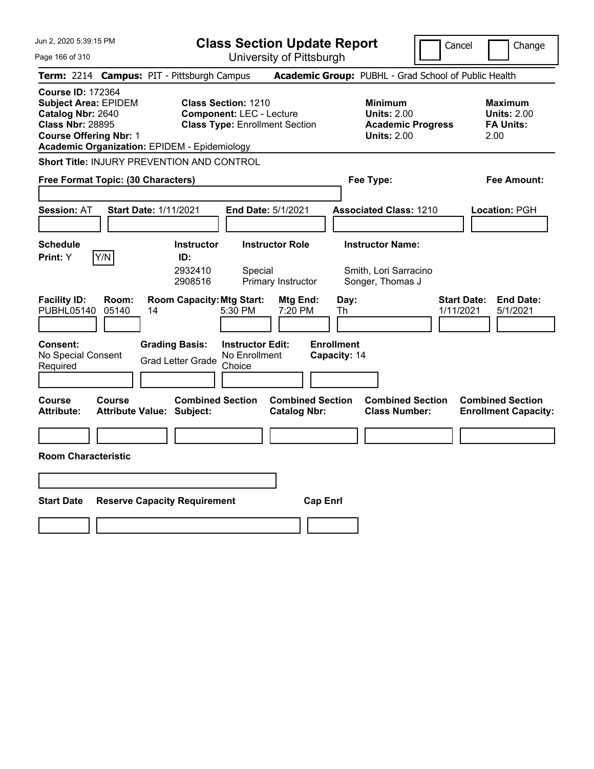Jun 2, 2020 5:39:15 PM Page 166 of 310 **Class Section Update Report** University of Pittsburgh Cancel Change **Term:** 2214 **Campus:** PIT - Pittsburgh Campus **Academic Group:** PUBHL - Grad School of Public Health **Course ID:** 172364 **Subject Area:** EPIDEM **Class Section:** 1210 **Minimum Maximum Catalog Nbr:** 2640 **Component:** LEC - Lecture **Units:** 2.00 **Units:** 2.00 **Class Nbr:** 28895 **Class Type:** Enrollment Section **Academic Progress FA Units: Course Offering Nbr:** 1 **Units:** 2.00 2.00 **Academic Organization:** EPIDEM - Epidemiology **Short Title:** INJURY PREVENTION AND CONTROL **Free Format Topic: (30 Characters) Fee Type: Fee Amount: Session:** AT **Start Date:** 1/11/2021 **End Date:** 5/1/2021 **Associated Class:** 1210 **Location:** PGH **Schedule Instructor Instructor Role Instructor Name: Print:**  $Y$   $|Y/N|$  **ID:** 2932410 Special Smith, Lori Sarracino 2908516 Primary Instructor Songer, Thomas J **Facility ID: Room: Room Capacity:Mtg Start: Mtg End: Day: Start Date: End Date:** PUBHL05140 05140 14 5:30 PM 7:20 PM Th 1/11/2021 5/1/2021 **Consent: Grading Basis: Instructor Edit: Enrollment** No Special Consent No Special Consent Grad Letter Grade No Enrollment<br>Required Choice Choice **Capacity:** 14 **Course Course Combined Section Combined Section Combined Section Combined Section**  Attribute: Attribute Value: Subject: Catalog Nbr: Class Number: Enrollment Capacity: **Room Characteristic Start Date Reserve Capacity Requirement Cap Enrl**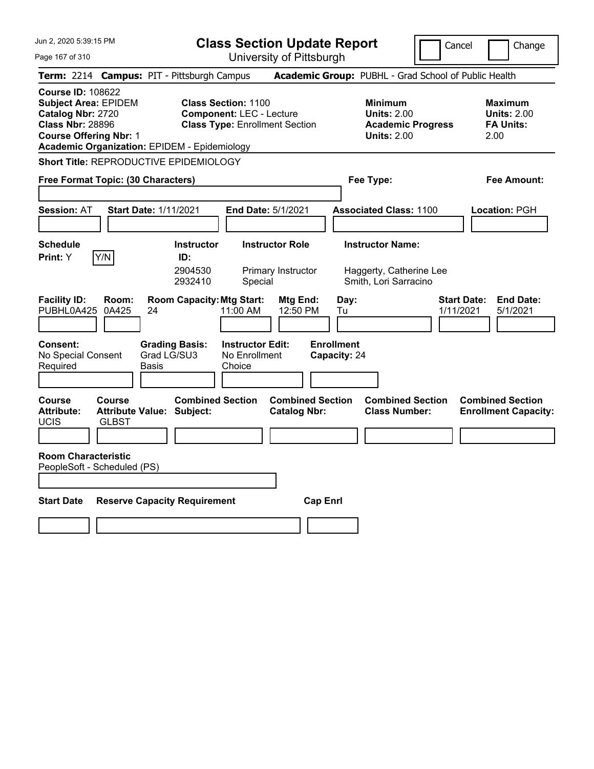|  |  |  | Jun 2, 2020 5:39:15 PM |  |
|--|--|--|------------------------|--|
|--|--|--|------------------------|--|

**Class Section Update Report** University of Pittsburgh

Cancel Change

Page 167 of 310

|                                                                                                                                          |                                    | Term: 2214 Campus: PIT - Pittsburgh Campus                  |                                                                                                        | Academic Group: PUBHL - Grad School of Public Health                                   |                                                                  |
|------------------------------------------------------------------------------------------------------------------------------------------|------------------------------------|-------------------------------------------------------------|--------------------------------------------------------------------------------------------------------|----------------------------------------------------------------------------------------|------------------------------------------------------------------|
| <b>Course ID: 108622</b><br><b>Subject Area: EPIDEM</b><br>Catalog Nbr: 2720<br><b>Class Nbr: 28896</b><br><b>Course Offering Nbr: 1</b> |                                    | <b>Academic Organization: EPIDEM - Epidemiology</b>         | <b>Class Section: 1100</b><br><b>Component: LEC - Lecture</b><br><b>Class Type: Enrollment Section</b> | <b>Minimum</b><br><b>Units: 2.00</b><br><b>Academic Progress</b><br><b>Units: 2.00</b> | <b>Maximum</b><br><b>Units: 2.00</b><br><b>FA Units:</b><br>2.00 |
|                                                                                                                                          |                                    | <b>Short Title: REPRODUCTIVE EPIDEMIOLOGY</b>               |                                                                                                        |                                                                                        |                                                                  |
|                                                                                                                                          | Free Format Topic: (30 Characters) |                                                             |                                                                                                        | Fee Type:                                                                              | Fee Amount:                                                      |
| Session: AT                                                                                                                              |                                    | <b>Start Date: 1/11/2021</b>                                | End Date: 5/1/2021                                                                                     | <b>Associated Class: 1100</b>                                                          | Location: PGH                                                    |
| <b>Schedule</b><br>Print: Y                                                                                                              | Y/N                                | <b>Instructor</b><br>ID:<br>2904530<br>2932410              | <b>Instructor Role</b><br>Primary Instructor<br>Special                                                | <b>Instructor Name:</b><br>Haggerty, Catherine Lee<br>Smith, Lori Sarracino            |                                                                  |
| <b>Facility ID:</b><br>PUBHL0A425                                                                                                        | Room:<br>0A425                     | <b>Room Capacity: Mtg Start:</b><br>24                      | Mtg End:<br>11:00 AM<br>12:50 PM                                                                       | Day:<br>Tu                                                                             | <b>End Date:</b><br><b>Start Date:</b><br>1/11/2021<br>5/1/2021  |
| Consent:<br>No Special Consent<br>Required                                                                                               |                                    | <b>Grading Basis:</b><br>Grad LG/SU3<br>Basis               | <b>Instructor Edit:</b><br>No Enrollment<br>Choice                                                     | <b>Enrollment</b><br>Capacity: 24                                                      |                                                                  |
| <b>Course</b><br><b>Attribute:</b><br><b>UCIS</b>                                                                                        | Course<br><b>GLBST</b>             | <b>Combined Section</b><br><b>Attribute Value: Subject:</b> | <b>Combined Section</b><br><b>Catalog Nbr:</b>                                                         | <b>Combined Section</b><br><b>Class Number:</b>                                        | <b>Combined Section</b><br><b>Enrollment Capacity:</b>           |
| <b>Room Characteristic</b>                                                                                                               | PeopleSoft - Scheduled (PS)        |                                                             |                                                                                                        |                                                                                        |                                                                  |
| <b>Start Date</b>                                                                                                                        |                                    | <b>Reserve Capacity Requirement</b>                         |                                                                                                        | <b>Cap Enrl</b>                                                                        |                                                                  |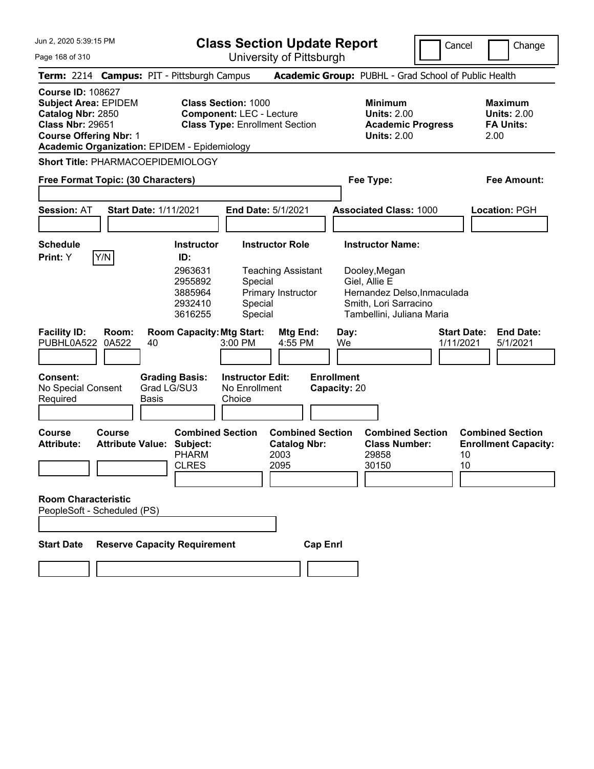**Class Section Update Report**

University of Pittsburgh

Cancel **Change** 

Page 168 of 310

|                                                                                                                                                                                                 |                                                   |                      |                                                         |                                                               | יופושטטטו דוס עטטוסטוש                                         |                 |                                   |                                                                                                                     |                                 |                                                                  |
|-------------------------------------------------------------------------------------------------------------------------------------------------------------------------------------------------|---------------------------------------------------|----------------------|---------------------------------------------------------|---------------------------------------------------------------|----------------------------------------------------------------|-----------------|-----------------------------------|---------------------------------------------------------------------------------------------------------------------|---------------------------------|------------------------------------------------------------------|
| Term: 2214 Campus: PIT - Pittsburgh Campus                                                                                                                                                      |                                                   |                      |                                                         |                                                               |                                                                |                 |                                   | Academic Group: PUBHL - Grad School of Public Health                                                                |                                 |                                                                  |
| <b>Course ID: 108627</b><br><b>Subject Area: EPIDEM</b><br>Catalog Nbr: 2850<br><b>Class Nbr: 29651</b><br><b>Course Offering Nbr: 1</b><br><b>Academic Organization: EPIDEM - Epidemiology</b> |                                                   |                      |                                                         | <b>Class Section: 1000</b><br><b>Component: LEC - Lecture</b> | <b>Class Type: Enrollment Section</b>                          |                 |                                   | <b>Minimum</b><br><b>Units: 2.00</b><br><b>Academic Progress</b><br><b>Units: 2.00</b>                              |                                 | <b>Maximum</b><br><b>Units: 2.00</b><br><b>FA Units:</b><br>2.00 |
| Short Title: PHARMACOEPIDEMIOLOGY                                                                                                                                                               |                                                   |                      |                                                         |                                                               |                                                                |                 |                                   |                                                                                                                     |                                 |                                                                  |
| Free Format Topic: (30 Characters)                                                                                                                                                              |                                                   |                      |                                                         |                                                               |                                                                |                 |                                   | Fee Type:                                                                                                           |                                 | <b>Fee Amount:</b>                                               |
|                                                                                                                                                                                                 |                                                   |                      |                                                         |                                                               |                                                                |                 |                                   |                                                                                                                     |                                 |                                                                  |
| <b>Session: AT</b>                                                                                                                                                                              | <b>Start Date: 1/11/2021</b>                      |                      |                                                         |                                                               | End Date: 5/1/2021                                             |                 |                                   | <b>Associated Class: 1000</b>                                                                                       |                                 | Location: PGH                                                    |
|                                                                                                                                                                                                 |                                                   |                      |                                                         |                                                               |                                                                |                 |                                   |                                                                                                                     |                                 |                                                                  |
| <b>Schedule</b><br>Print: Y                                                                                                                                                                     | Y/N                                               |                      | <b>Instructor</b><br>ID:                                |                                                               | <b>Instructor Role</b>                                         |                 |                                   | <b>Instructor Name:</b>                                                                                             |                                 |                                                                  |
|                                                                                                                                                                                                 |                                                   |                      | 2963631<br>2955892<br>3885964<br>2932410<br>3616255     | Special<br>Special<br>Special                                 | <b>Teaching Assistant</b><br>Primary Instructor                |                 |                                   | Dooley, Megan<br>Giel, Allie E<br>Hernandez Delso, Inmaculada<br>Smith, Lori Sarracino<br>Tambellini, Juliana Maria |                                 |                                                                  |
| <b>Facility ID:</b><br>PUBHL0A522                                                                                                                                                               | Room:<br>0A522                                    | 40                   | <b>Room Capacity: Mtg Start:</b>                        | 3:00 PM                                                       | Mtg End:<br>4:55 PM                                            |                 | Day:<br>We                        |                                                                                                                     | <b>Start Date:</b><br>1/11/2021 | <b>End Date:</b><br>5/1/2021                                     |
| Consent:<br>No Special Consent<br>Required                                                                                                                                                      |                                                   | Grad LG/SU3<br>Basis | <b>Grading Basis:</b>                                   | <b>Instructor Edit:</b><br>No Enrollment<br>Choice            |                                                                |                 | <b>Enrollment</b><br>Capacity: 20 |                                                                                                                     |                                 |                                                                  |
| <b>Course</b><br><b>Attribute:</b>                                                                                                                                                              | <b>Course</b><br><b>Attribute Value: Subject:</b> |                      | <b>Combined Section</b><br><b>PHARM</b><br><b>CLRES</b> |                                                               | <b>Combined Section</b><br><b>Catalog Nbr:</b><br>2003<br>2095 |                 |                                   | <b>Combined Section</b><br><b>Class Number:</b><br>29858<br>30150                                                   | 10<br>10                        | <b>Combined Section</b><br><b>Enrollment Capacity:</b>           |
| <b>Room Characteristic</b><br>PeopleSoft - Scheduled (PS)                                                                                                                                       |                                                   |                      |                                                         |                                                               |                                                                |                 |                                   |                                                                                                                     |                                 |                                                                  |
| <b>Start Date</b>                                                                                                                                                                               |                                                   |                      | <b>Reserve Capacity Requirement</b>                     |                                                               |                                                                | <b>Cap Enrl</b> |                                   |                                                                                                                     |                                 |                                                                  |
|                                                                                                                                                                                                 |                                                   |                      |                                                         |                                                               |                                                                |                 |                                   |                                                                                                                     |                                 |                                                                  |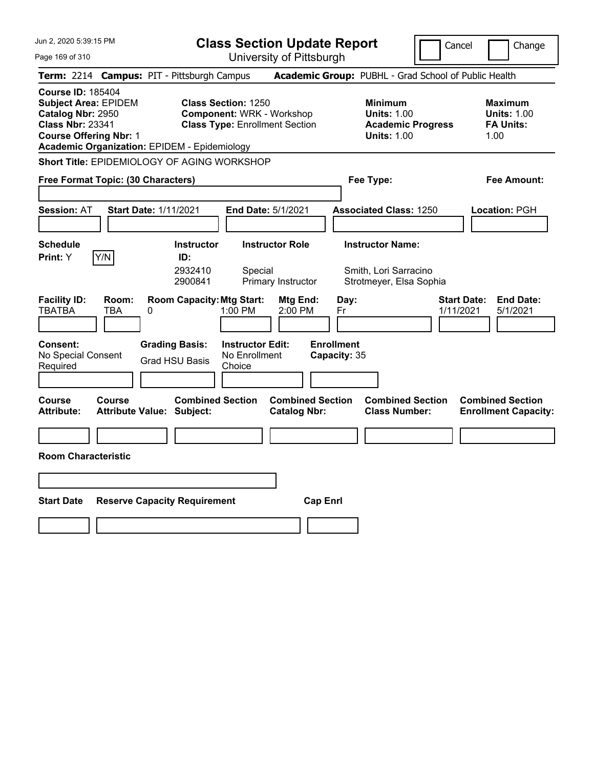Jun 2, 2020 5:39:15 PM Page 169 of 310 **Class Section Update Report** University of Pittsburgh Cancel Change **Term:** 2214 **Campus:** PIT - Pittsburgh Campus **Academic Group:** PUBHL - Grad School of Public Health **Course ID:** 185404 **Subject Area:** EPIDEM **Class Section:** 1250 **Minimum Maximum Catalog Nbr:** 2950 **Component:** WRK - Workshop **Units:** 1.00 **Units:** 1.00 **Class Nbr:** 23341 **Class Type:** Enrollment Section **Academic Progress FA Units: Course Offering Nbr:** 1 **Units:** 1.00 1.00 **Academic Organization:** EPIDEM - Epidemiology **Short Title:** EPIDEMIOLOGY OF AGING WORKSHOP **Free Format Topic: (30 Characters) Fee Type: Fee Amount: Session:** AT **Start Date:** 1/11/2021 **End Date:** 5/1/2021 **Associated Class:** 1250 **Location:** PGH **Schedule Instructor Instructor Role Instructor Name: Print:**  $Y$   $|Y/N|$  **ID:** 2932410 Special Smith, Lori Sarracino 2900841 Primary Instructor Strotmeyer, Elsa Sophia **Facility ID: Room: Room Capacity:Mtg Start: Mtg End: Day: Start Date: End Date:** TBATBA TBA 0 1:00 PM 2:00 PM Fr 1/11/2021 5/1/2021 **Consent: Grading Basis: Instructor Edit: Enrollment** No Special Consent Required Grad HSU Basis No Enrollment **Choice Capacity:** 35 **Course Course Combined Section Combined Section Combined Section Combined Section**  Attribute: Attribute Value: Subject: Catalog Nbr: Class Number: Enrollment Capacity: **Room Characteristic Start Date Reserve Capacity Requirement Cap Enrl**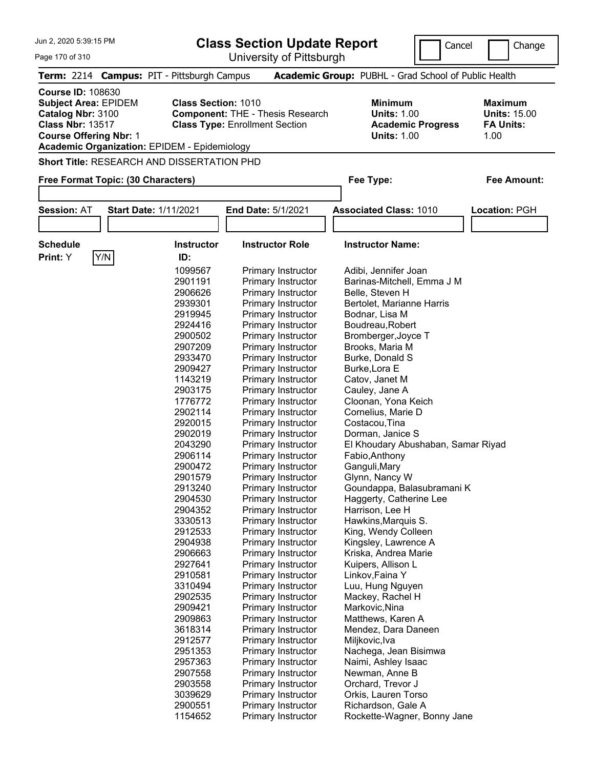| Jun 2, 2020 5:39:15 PM<br>Page 170 of 310                                                                                                |                                                                                                                                                                                                                                                                                                                                                                                                                                                  | <b>Class Section Update Report</b><br>University of Pittsburgh                                                                                                                                                                                                                                                                                                                                                                                                                                                                                                                                                                                                                                                                                                                                                                                                                                                                                 | Cancel                                                                                                                                                                                                                                                                                                                                                                                                                                                                                                                                                                                                                                                                                                                                                                                                                                                                     | Change                                                            |
|------------------------------------------------------------------------------------------------------------------------------------------|--------------------------------------------------------------------------------------------------------------------------------------------------------------------------------------------------------------------------------------------------------------------------------------------------------------------------------------------------------------------------------------------------------------------------------------------------|------------------------------------------------------------------------------------------------------------------------------------------------------------------------------------------------------------------------------------------------------------------------------------------------------------------------------------------------------------------------------------------------------------------------------------------------------------------------------------------------------------------------------------------------------------------------------------------------------------------------------------------------------------------------------------------------------------------------------------------------------------------------------------------------------------------------------------------------------------------------------------------------------------------------------------------------|----------------------------------------------------------------------------------------------------------------------------------------------------------------------------------------------------------------------------------------------------------------------------------------------------------------------------------------------------------------------------------------------------------------------------------------------------------------------------------------------------------------------------------------------------------------------------------------------------------------------------------------------------------------------------------------------------------------------------------------------------------------------------------------------------------------------------------------------------------------------------|-------------------------------------------------------------------|
|                                                                                                                                          | Term: 2214 Campus: PIT - Pittsburgh Campus                                                                                                                                                                                                                                                                                                                                                                                                       |                                                                                                                                                                                                                                                                                                                                                                                                                                                                                                                                                                                                                                                                                                                                                                                                                                                                                                                                                | Academic Group: PUBHL - Grad School of Public Health                                                                                                                                                                                                                                                                                                                                                                                                                                                                                                                                                                                                                                                                                                                                                                                                                       |                                                                   |
| <b>Course ID: 108630</b><br><b>Subject Area: EPIDEM</b><br>Catalog Nbr: 3100<br><b>Class Nbr: 13517</b><br><b>Course Offering Nbr: 1</b> | <b>Class Section: 1010</b><br><b>Academic Organization: EPIDEM - Epidemiology</b>                                                                                                                                                                                                                                                                                                                                                                | <b>Component: THE - Thesis Research</b><br><b>Class Type: Enrollment Section</b>                                                                                                                                                                                                                                                                                                                                                                                                                                                                                                                                                                                                                                                                                                                                                                                                                                                               | <b>Minimum</b><br><b>Units: 1.00</b><br><b>Academic Progress</b><br><b>Units: 1.00</b>                                                                                                                                                                                                                                                                                                                                                                                                                                                                                                                                                                                                                                                                                                                                                                                     | <b>Maximum</b><br><b>Units: 15.00</b><br><b>FA Units:</b><br>1.00 |
|                                                                                                                                          | <b>Short Title: RESEARCH AND DISSERTATION PHD</b>                                                                                                                                                                                                                                                                                                                                                                                                |                                                                                                                                                                                                                                                                                                                                                                                                                                                                                                                                                                                                                                                                                                                                                                                                                                                                                                                                                |                                                                                                                                                                                                                                                                                                                                                                                                                                                                                                                                                                                                                                                                                                                                                                                                                                                                            |                                                                   |
| Free Format Topic: (30 Characters)                                                                                                       |                                                                                                                                                                                                                                                                                                                                                                                                                                                  |                                                                                                                                                                                                                                                                                                                                                                                                                                                                                                                                                                                                                                                                                                                                                                                                                                                                                                                                                | Fee Type:                                                                                                                                                                                                                                                                                                                                                                                                                                                                                                                                                                                                                                                                                                                                                                                                                                                                  | <b>Fee Amount:</b>                                                |
| <b>Session: AT</b>                                                                                                                       | <b>Start Date: 1/11/2021</b>                                                                                                                                                                                                                                                                                                                                                                                                                     | End Date: 5/1/2021                                                                                                                                                                                                                                                                                                                                                                                                                                                                                                                                                                                                                                                                                                                                                                                                                                                                                                                             | <b>Associated Class: 1010</b>                                                                                                                                                                                                                                                                                                                                                                                                                                                                                                                                                                                                                                                                                                                                                                                                                                              |                                                                   |
|                                                                                                                                          |                                                                                                                                                                                                                                                                                                                                                                                                                                                  |                                                                                                                                                                                                                                                                                                                                                                                                                                                                                                                                                                                                                                                                                                                                                                                                                                                                                                                                                |                                                                                                                                                                                                                                                                                                                                                                                                                                                                                                                                                                                                                                                                                                                                                                                                                                                                            | Location: PGH                                                     |
|                                                                                                                                          |                                                                                                                                                                                                                                                                                                                                                                                                                                                  |                                                                                                                                                                                                                                                                                                                                                                                                                                                                                                                                                                                                                                                                                                                                                                                                                                                                                                                                                |                                                                                                                                                                                                                                                                                                                                                                                                                                                                                                                                                                                                                                                                                                                                                                                                                                                                            |                                                                   |
| <b>Schedule</b>                                                                                                                          | <b>Instructor</b>                                                                                                                                                                                                                                                                                                                                                                                                                                | <b>Instructor Role</b>                                                                                                                                                                                                                                                                                                                                                                                                                                                                                                                                                                                                                                                                                                                                                                                                                                                                                                                         | <b>Instructor Name:</b>                                                                                                                                                                                                                                                                                                                                                                                                                                                                                                                                                                                                                                                                                                                                                                                                                                                    |                                                                   |
| Y/N <br>Print: Y                                                                                                                         | ID:<br>1099567<br>2901191<br>2906626<br>2939301<br>2919945<br>2924416<br>2900502<br>2907209<br>2933470<br>2909427<br>1143219<br>2903175<br>1776772<br>2902114<br>2920015<br>2902019<br>2043290<br>2906114<br>2900472<br>2901579<br>2913240<br>2904530<br>2904352<br>3330513<br>2912533<br>2904938<br>2906663<br>2927641<br>2910581<br>3310494<br>2902535<br>2909421<br>2909863<br>3618314<br>2912577<br>2951353<br>2957363<br>2907558<br>2903558 | Primary Instructor<br>Primary Instructor<br><b>Primary Instructor</b><br><b>Primary Instructor</b><br>Primary Instructor<br>Primary Instructor<br>Primary Instructor<br>Primary Instructor<br>Primary Instructor<br>Primary Instructor<br>Primary Instructor<br>Primary Instructor<br>Primary Instructor<br>Primary Instructor<br>Primary Instructor<br>Primary Instructor<br>Primary Instructor<br>Primary Instructor<br>Primary Instructor<br><b>Primary Instructor</b><br><b>Primary Instructor</b><br>Primary Instructor<br>Primary Instructor<br>Primary Instructor<br>Primary Instructor<br>Primary Instructor<br>Primary Instructor<br><b>Primary Instructor</b><br>Primary Instructor<br>Primary Instructor<br><b>Primary Instructor</b><br>Primary Instructor<br><b>Primary Instructor</b><br>Primary Instructor<br><b>Primary Instructor</b><br>Primary Instructor<br>Primary Instructor<br>Primary Instructor<br>Primary Instructor | Adibi, Jennifer Joan<br>Barinas-Mitchell, Emma J M<br>Belle, Steven H<br>Bertolet, Marianne Harris<br>Bodnar, Lisa M<br>Boudreau, Robert<br>Bromberger, Joyce T<br>Brooks, Maria M<br>Burke, Donald S<br>Burke, Lora E<br>Catov, Janet M<br>Cauley, Jane A<br>Cloonan, Yona Keich<br>Cornelius, Marie D<br>Costacou, Tina<br>Dorman, Janice S<br>El Khoudary Abushaban, Samar Riyad<br>Fabio, Anthony<br>Ganguli, Mary<br>Glynn, Nancy W<br>Goundappa, Balasubramani K<br>Haggerty, Catherine Lee<br>Harrison, Lee H<br>Hawkins, Marquis S.<br>King, Wendy Colleen<br>Kingsley, Lawrence A<br>Kriska, Andrea Marie<br>Kuipers, Allison L<br>Linkov, Faina Y<br>Luu, Hung Nguyen<br>Mackey, Rachel H<br>Markovic, Nina<br>Matthews, Karen A<br>Mendez, Dara Daneen<br>Miljkovic, Iva<br>Nachega, Jean Bisimwa<br>Naimi, Ashley Isaac<br>Newman, Anne B<br>Orchard, Trevor J |                                                                   |

3039629 Primary Instructor Orkis, Lauren Torso<br>2900551 Primary Instructor Richardson, Gale A<br>1154652 Primary Instructor Rockette-Wagner, B 2900551 Primary Instructor Richardson, Gale A<br>1154652 Primary Instructor Rockette-Wagner, B

Rockette-Wagner, Bonny Jane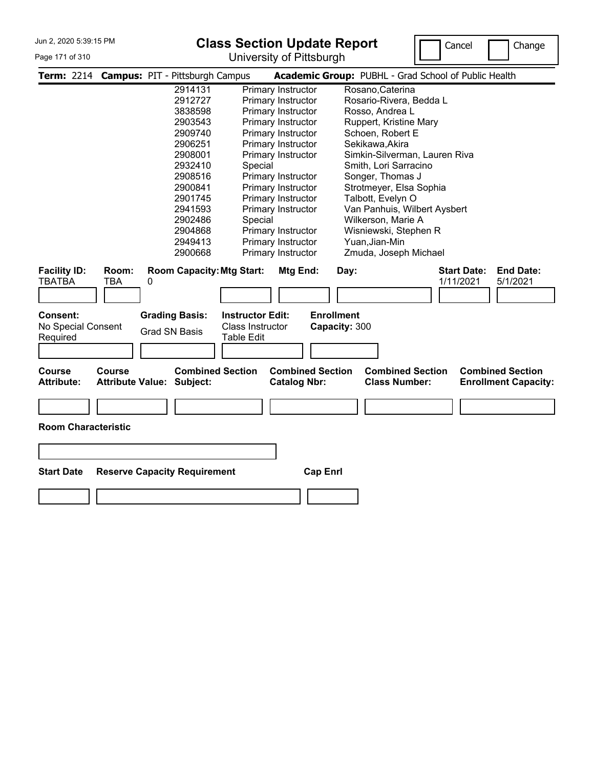# Page 171 of 310

**Class Section Update Report** University of Pittsburgh



|                                            |              | Term: 2214 Campus: PIT - Pittsburgh Campus                  |                                                                  |                                                | Academic Group: PUBHL - Grad School of Public Health |                                 |                                                        |
|--------------------------------------------|--------------|-------------------------------------------------------------|------------------------------------------------------------------|------------------------------------------------|------------------------------------------------------|---------------------------------|--------------------------------------------------------|
|                                            |              | 2914131                                                     | Primary Instructor                                               |                                                | Rosano, Caterina                                     |                                 |                                                        |
|                                            |              | 2912727                                                     | Primary Instructor                                               |                                                | Rosario-Rivera, Bedda L                              |                                 |                                                        |
|                                            |              | 3838598                                                     | Primary Instructor                                               |                                                | Rosso, Andrea L                                      |                                 |                                                        |
|                                            |              | 2903543                                                     | Primary Instructor                                               |                                                | Ruppert, Kristine Mary                               |                                 |                                                        |
|                                            |              | 2909740                                                     | Primary Instructor                                               |                                                | Schoen, Robert E                                     |                                 |                                                        |
|                                            |              | 2906251                                                     | Primary Instructor                                               |                                                | Sekikawa, Akira                                      |                                 |                                                        |
|                                            |              | 2908001                                                     | Primary Instructor                                               |                                                | Simkin-Silverman, Lauren Riva                        |                                 |                                                        |
|                                            |              | 2932410                                                     | Special                                                          |                                                | Smith, Lori Sarracino                                |                                 |                                                        |
|                                            |              | 2908516                                                     | Primary Instructor                                               |                                                | Songer, Thomas J                                     |                                 |                                                        |
|                                            |              | 2900841                                                     | Primary Instructor                                               |                                                | Strotmeyer, Elsa Sophia                              |                                 |                                                        |
|                                            |              | 2901745                                                     | Primary Instructor                                               |                                                | Talbott, Evelyn O                                    |                                 |                                                        |
|                                            |              | 2941593                                                     | Primary Instructor                                               |                                                | Van Panhuis, Wilbert Aysbert                         |                                 |                                                        |
|                                            |              | 2902486                                                     | Special                                                          |                                                | Wilkerson, Marie A                                   |                                 |                                                        |
|                                            |              | 2904868                                                     | Primary Instructor                                               |                                                | Wisniewski, Stephen R                                |                                 |                                                        |
|                                            |              | 2949413                                                     | Primary Instructor                                               |                                                | Yuan, Jian-Min                                       |                                 |                                                        |
|                                            |              | 2900668                                                     | Primary Instructor                                               |                                                | Zmuda, Joseph Michael                                |                                 |                                                        |
| <b>Facility ID:</b><br>TBATBA              | Room:<br>TBA | <b>Room Capacity: Mtg Start:</b><br>0                       |                                                                  | Mtg End:                                       | Day:                                                 | <b>Start Date:</b><br>1/11/2021 | <b>End Date:</b><br>5/1/2021                           |
|                                            |              |                                                             |                                                                  |                                                |                                                      |                                 |                                                        |
| Consent:<br>No Special Consent<br>Required |              | <b>Grading Basis:</b><br><b>Grad SN Basis</b>               | <b>Instructor Edit:</b><br>Class Instructor<br><b>Table Edit</b> | <b>Enrollment</b><br>Capacity: 300             |                                                      |                                 |                                                        |
| <b>Course</b><br><b>Attribute:</b>         | Course       | <b>Combined Section</b><br><b>Attribute Value: Subject:</b> |                                                                  | <b>Combined Section</b><br><b>Catalog Nbr:</b> | <b>Combined Section</b><br><b>Class Number:</b>      |                                 | <b>Combined Section</b><br><b>Enrollment Capacity:</b> |
|                                            |              |                                                             |                                                                  |                                                |                                                      |                                 |                                                        |
| <b>Room Characteristic</b>                 |              |                                                             |                                                                  |                                                |                                                      |                                 |                                                        |
|                                            |              |                                                             |                                                                  |                                                |                                                      |                                 |                                                        |
| <b>Start Date</b>                          |              | <b>Reserve Capacity Requirement</b>                         |                                                                  | <b>Cap Enrl</b>                                |                                                      |                                 |                                                        |
|                                            |              |                                                             |                                                                  |                                                |                                                      |                                 |                                                        |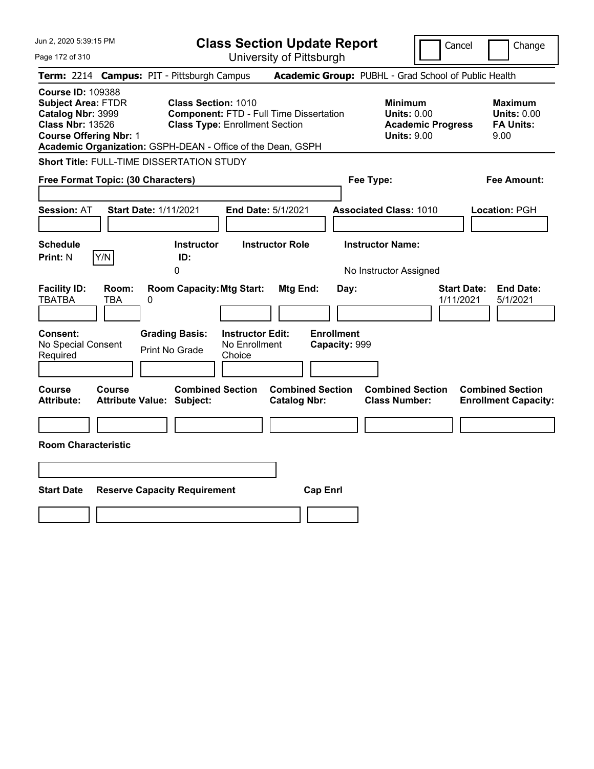| Jun 2, 2020 5:39:15 PM                                                                                                                 | <b>Class Section Update Report</b>                                                                                                                                                   | Cancel<br>Change                                                                                                                                           |
|----------------------------------------------------------------------------------------------------------------------------------------|--------------------------------------------------------------------------------------------------------------------------------------------------------------------------------------|------------------------------------------------------------------------------------------------------------------------------------------------------------|
| Page 172 of 310                                                                                                                        | University of Pittsburgh                                                                                                                                                             |                                                                                                                                                            |
| Term: 2214 Campus: PIT - Pittsburgh Campus                                                                                             |                                                                                                                                                                                      | Academic Group: PUBHL - Grad School of Public Health                                                                                                       |
| <b>Course ID: 109388</b><br><b>Subject Area: FTDR</b><br>Catalog Nbr: 3999<br><b>Class Nbr: 13526</b><br><b>Course Offering Nbr: 1</b> | <b>Class Section: 1010</b><br><b>Component: FTD - Full Time Dissertation</b><br><b>Class Type: Enrollment Section</b><br>Academic Organization: GSPH-DEAN - Office of the Dean, GSPH | <b>Minimum</b><br><b>Maximum</b><br><b>Units: 0.00</b><br><b>Units: 0.00</b><br><b>Academic Progress</b><br><b>FA Units:</b><br><b>Units: 9.00</b><br>9.00 |
| Short Title: FULL-TIME DISSERTATION STUDY                                                                                              |                                                                                                                                                                                      |                                                                                                                                                            |
| Free Format Topic: (30 Characters)                                                                                                     | Fee Type:                                                                                                                                                                            | Fee Amount:                                                                                                                                                |
| <b>Session: AT</b><br><b>Start Date: 1/11/2021</b>                                                                                     | End Date: 5/1/2021                                                                                                                                                                   | <b>Associated Class: 1010</b><br>Location: PGH                                                                                                             |
| <b>Schedule</b><br>Y/N<br><b>Print: N</b><br>0                                                                                         | <b>Instructor</b><br><b>Instructor Role</b><br>ID:                                                                                                                                   | <b>Instructor Name:</b><br>No Instructor Assigned                                                                                                          |
| <b>Facility ID:</b><br>Room:<br><b>TBATBA</b><br>TBA<br>0                                                                              | <b>Room Capacity: Mtg Start:</b><br>Mtg End:<br>Day:                                                                                                                                 | <b>Start Date:</b><br><b>End Date:</b><br>1/11/2021<br>5/1/2021                                                                                            |
| <b>Consent:</b><br><b>Grading Basis:</b><br>No Special Consent<br>Print No Grade<br>Required                                           | <b>Enrollment</b><br><b>Instructor Edit:</b><br>No Enrollment<br>Capacity: 999<br>Choice                                                                                             |                                                                                                                                                            |
| Course<br>Course<br><b>Attribute:</b><br><b>Attribute Value: Subject:</b>                                                              | <b>Combined Section</b><br><b>Combined Section</b><br><b>Catalog Nbr:</b>                                                                                                            | <b>Combined Section</b><br><b>Combined Section</b><br><b>Class Number:</b><br><b>Enrollment Capacity:</b>                                                  |
|                                                                                                                                        |                                                                                                                                                                                      |                                                                                                                                                            |
| <b>Room Characteristic</b>                                                                                                             |                                                                                                                                                                                      |                                                                                                                                                            |
|                                                                                                                                        |                                                                                                                                                                                      |                                                                                                                                                            |
| <b>Start Date</b><br><b>Reserve Capacity Requirement</b>                                                                               | <b>Cap Enrl</b>                                                                                                                                                                      |                                                                                                                                                            |
|                                                                                                                                        |                                                                                                                                                                                      |                                                                                                                                                            |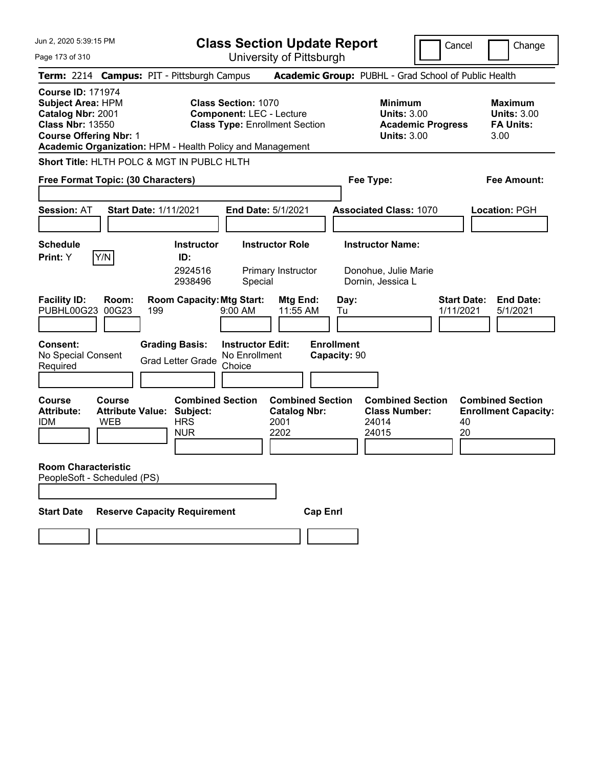Jun 2, 2020 5:39:15 PM Page 173 of 310 **Class Section Update Report** University of Pittsburgh Cancel | Change **Term:** 2214 **Campus:** PIT - Pittsburgh Campus **Academic Group:** PUBHL - Grad School of Public Health **Course ID:** 171974 **Subject Area:** HPM **Class Section:** 1070 **Minimum Maximum Catalog Nbr:** 2001 **Component:** LEC - Lecture **Units:** 3.00 **Units:** 3.00 **Class Nbr:** 13550 **Class Type:** Enrollment Section **Academic Progress FA Units: Course Offering Nbr:** 1 **Units:** 3.00 3.00 **Academic Organization:** HPM - Health Policy and Management **Short Title:** HLTH POLC & MGT IN PUBLC HLTH **Free Format Topic: (30 Characters) Fee Type: Fee Amount: Session:** AT **Start Date:** 1/11/2021 **End Date:** 5/1/2021 **Associated Class:** 1070 **Location:** PGH **Schedule Instructor Instructor Role Instructor Name: Print:**  $Y$   $|Y/N|$  **ID:** 2924516 Primary Instructor Donohue, Julie Marie 2938496 Special Dornin, Jessica L **Facility ID: Room: Room Capacity: Mtg Start: Mtg End: Day: Start Date: End Date:<br>PUBHL00G23 00G23 199 9:00 AM 11:55 AM Tu 1/11/2021 5/1/2021** PUBHL00G23 00G23 199 9:00 AM 11:55 AM Tu 1/11/2021 5/1/2021 **Consent: Grading Basis: Instructor Edit: Enrollment** No Special Consent No Special Consent Grad Letter Grade No Enrollment<br>Required Choice **Choice Capacity:** 90 **Course Course Combined Section Combined Section Combined Section Combined Section**  Attribute: Attribute Value: Subject: Catalog Nbr: Class Number: Enrollment Capacity:<br>
IDM WEB HRS 2001 24014 40 IDM WEB HRS 2001 24014 40 NUR 2202 24015 20 **Room Characteristic** PeopleSoft - Scheduled (PS) **Start Date Reserve Capacity Requirement Cap Enrl**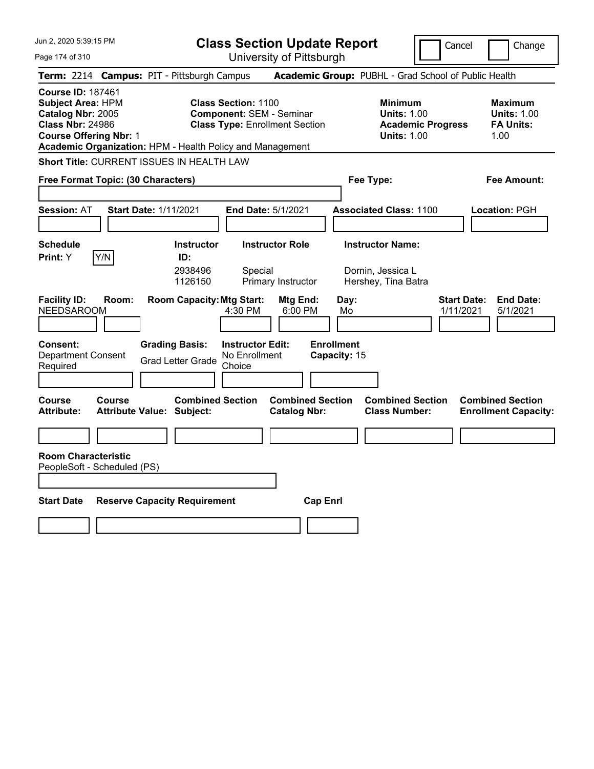| Jun 2, 2020 5:39:15 PM<br>Page 174 of 310                                                                                                                                                          | <b>Class Section Update Report</b><br>University of Pittsburgh                                                           | Cancel                                                                                 | Change                                                           |
|----------------------------------------------------------------------------------------------------------------------------------------------------------------------------------------------------|--------------------------------------------------------------------------------------------------------------------------|----------------------------------------------------------------------------------------|------------------------------------------------------------------|
| Term: 2214 Campus: PIT - Pittsburgh Campus                                                                                                                                                         |                                                                                                                          | Academic Group: PUBHL - Grad School of Public Health                                   |                                                                  |
| <b>Course ID: 187461</b><br><b>Subject Area: HPM</b><br>Catalog Nbr: 2005<br><b>Class Nbr: 24986</b><br><b>Course Offering Nbr: 1</b><br>Academic Organization: HPM - Health Policy and Management | <b>Class Section: 1100</b><br><b>Component: SEM - Seminar</b><br><b>Class Type: Enrollment Section</b>                   | <b>Minimum</b><br><b>Units: 1.00</b><br><b>Academic Progress</b><br><b>Units: 1.00</b> | <b>Maximum</b><br><b>Units: 1.00</b><br><b>FA Units:</b><br>1.00 |
| Short Title: CURRENT ISSUES IN HEALTH LAW                                                                                                                                                          |                                                                                                                          |                                                                                        |                                                                  |
| Free Format Topic: (30 Characters)                                                                                                                                                                 |                                                                                                                          | Fee Type:                                                                              | Fee Amount:                                                      |
| <b>Session: AT</b><br><b>Start Date: 1/11/2021</b>                                                                                                                                                 | End Date: 5/1/2021                                                                                                       | <b>Associated Class: 1100</b>                                                          | Location: PGH                                                    |
| <b>Schedule</b><br>Y/N<br>Print: Y                                                                                                                                                                 | <b>Instructor Role</b><br><b>Instructor</b><br>ID:<br>2938496<br>Special<br>1126150<br>Primary Instructor                | <b>Instructor Name:</b><br>Dornin, Jessica L<br>Hershey, Tina Batra                    |                                                                  |
| <b>Facility ID:</b><br>Room:<br><b>NEEDSAROOM</b><br><b>Grading Basis:</b><br>Consent:<br><b>Department Consent</b><br><b>Grad Letter Grade</b><br>Required                                        | <b>Room Capacity: Mtg Start:</b><br>Mtg End:<br>4:30 PM<br>6:00 PM<br><b>Instructor Edit:</b><br>No Enrollment<br>Choice | <b>Start Date:</b><br>Day:<br>1/11/2021<br>Mo<br><b>Enrollment</b><br>Capacity: 15     | <b>End Date:</b><br>5/1/2021                                     |
| <b>Course</b><br>Course<br><b>Attribute:</b><br><b>Attribute Value: Subject:</b>                                                                                                                   | <b>Combined Section</b><br><b>Combined Section</b><br><b>Catalog Nbr:</b>                                                | <b>Combined Section</b><br><b>Class Number:</b>                                        | <b>Combined Section</b><br><b>Enrollment Capacity:</b>           |
|                                                                                                                                                                                                    |                                                                                                                          |                                                                                        |                                                                  |
| <b>Room Characteristic</b><br>PeopleSoft - Scheduled (PS)                                                                                                                                          |                                                                                                                          |                                                                                        |                                                                  |
| <b>Start Date</b><br><b>Reserve Capacity Requirement</b>                                                                                                                                           | <b>Cap Enrl</b>                                                                                                          |                                                                                        |                                                                  |
|                                                                                                                                                                                                    |                                                                                                                          |                                                                                        |                                                                  |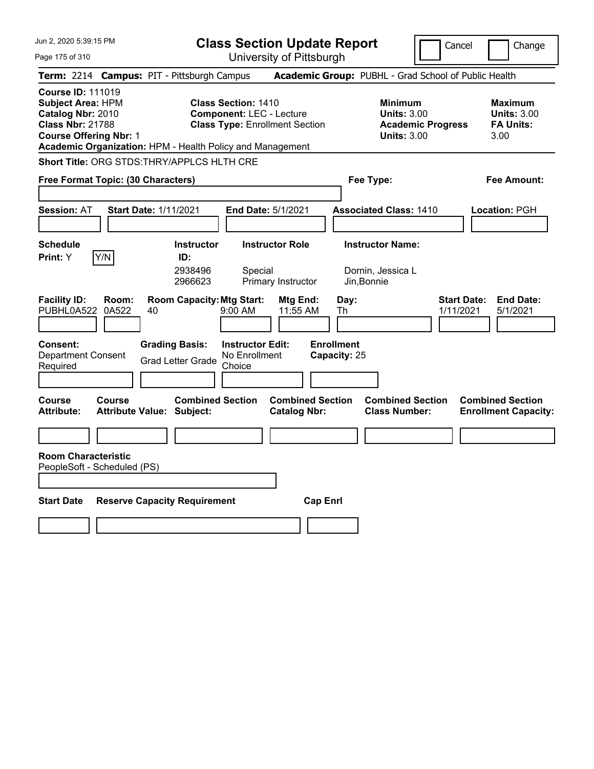| Jun 2, 2020 5:39:15 PM                                                                                                                                                                             |                                                             | <b>Class Section Update Report</b>                                                                     |                                                |                                   |                                                                                        | Cancel                          | Change                                                    |
|----------------------------------------------------------------------------------------------------------------------------------------------------------------------------------------------------|-------------------------------------------------------------|--------------------------------------------------------------------------------------------------------|------------------------------------------------|-----------------------------------|----------------------------------------------------------------------------------------|---------------------------------|-----------------------------------------------------------|
| Page 175 of 310                                                                                                                                                                                    |                                                             |                                                                                                        | University of Pittsburgh                       |                                   |                                                                                        |                                 |                                                           |
| Term: 2214 Campus: PIT - Pittsburgh Campus                                                                                                                                                         |                                                             |                                                                                                        |                                                |                                   | Academic Group: PUBHL - Grad School of Public Health                                   |                                 |                                                           |
| <b>Course ID: 111019</b><br><b>Subject Area: HPM</b><br>Catalog Nbr: 2010<br><b>Class Nbr: 21788</b><br><b>Course Offering Nbr: 1</b><br>Academic Organization: HPM - Health Policy and Management |                                                             | <b>Class Section: 1410</b><br><b>Component: LEC - Lecture</b><br><b>Class Type: Enrollment Section</b> |                                                |                                   | <b>Minimum</b><br><b>Units: 3.00</b><br><b>Academic Progress</b><br><b>Units: 3.00</b> |                                 | Maximum<br><b>Units: 3.00</b><br><b>FA Units:</b><br>3.00 |
| Short Title: ORG STDS:THRY/APPLCS HLTH CRE                                                                                                                                                         |                                                             |                                                                                                        |                                                |                                   |                                                                                        |                                 |                                                           |
| Free Format Topic: (30 Characters)                                                                                                                                                                 |                                                             |                                                                                                        |                                                | Fee Type:                         |                                                                                        |                                 | Fee Amount:                                               |
| <b>Session: AT</b>                                                                                                                                                                                 | <b>Start Date: 1/11/2021</b>                                | <b>End Date: 5/1/2021</b>                                                                              |                                                |                                   | <b>Associated Class: 1410</b>                                                          |                                 | Location: PGH                                             |
| <b>Schedule</b><br>Y/N<br>Print: Y                                                                                                                                                                 | <b>Instructor</b><br>ID:<br>2938496<br>2966623              | <b>Instructor Role</b><br>Special                                                                      | Primary Instructor                             | Jin, Bonnie                       | <b>Instructor Name:</b><br>Dornin, Jessica L                                           |                                 |                                                           |
| <b>Facility ID:</b><br>Room:<br>PUBHL0A522<br>0A522                                                                                                                                                | <b>Room Capacity: Mtg Start:</b><br>40                      | 9:00 AM                                                                                                | Mtg End:<br>11:55 AM                           | Day:<br>Th                        |                                                                                        | <b>Start Date:</b><br>1/11/2021 | <b>End Date:</b><br>5/1/2021                              |
| <b>Consent:</b><br><b>Department Consent</b><br>Required                                                                                                                                           | <b>Grading Basis:</b><br><b>Grad Letter Grade</b>           | <b>Instructor Edit:</b><br>No Enrollment<br>Choice                                                     |                                                | <b>Enrollment</b><br>Capacity: 25 |                                                                                        |                                 |                                                           |
| <b>Course</b><br>Course<br><b>Attribute:</b>                                                                                                                                                       | <b>Combined Section</b><br><b>Attribute Value: Subject:</b> |                                                                                                        | <b>Combined Section</b><br><b>Catalog Nbr:</b> |                                   | <b>Combined Section</b><br><b>Class Number:</b>                                        |                                 | <b>Combined Section</b><br><b>Enrollment Capacity:</b>    |
|                                                                                                                                                                                                    |                                                             |                                                                                                        |                                                |                                   |                                                                                        |                                 |                                                           |
| <b>Room Characteristic</b><br>PeopleSoft - Scheduled (PS)                                                                                                                                          |                                                             |                                                                                                        |                                                |                                   |                                                                                        |                                 |                                                           |
| <b>Start Date</b>                                                                                                                                                                                  | <b>Reserve Capacity Requirement</b>                         |                                                                                                        | <b>Cap Enrl</b>                                |                                   |                                                                                        |                                 |                                                           |
|                                                                                                                                                                                                    |                                                             |                                                                                                        |                                                |                                   |                                                                                        |                                 |                                                           |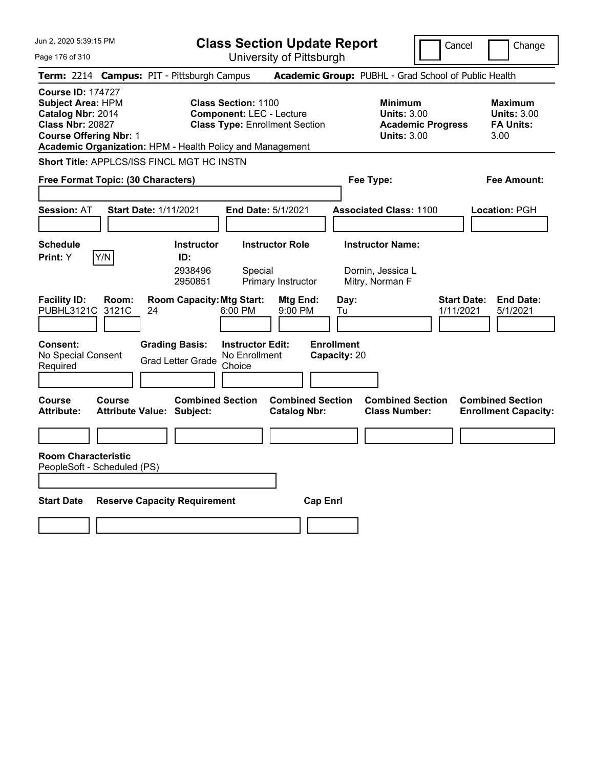Jun 2, 2020 5:39:15 PM Page 176 of 310 **Class Section Update Report** University of Pittsburgh Cancel Change **Term:** 2214 **Campus:** PIT - Pittsburgh Campus **Academic Group:** PUBHL - Grad School of Public Health **Course ID:** 174727 **Subject Area:** HPM **Class Section:** 1100 **Minimum Maximum Catalog Nbr:** 2014 **Component:** LEC - Lecture **Units:** 3.00 **Units:** 3.00 **Class Nbr:** 20827 **Class Type:** Enrollment Section **Academic Progress FA Units: Course Offering Nbr:** 1 **Units:** 3.00 3.00 **Academic Organization:** HPM - Health Policy and Management **Short Title:** APPLCS/ISS FINCL MGT HC INSTN **Free Format Topic: (30 Characters) Fee Type: Fee Amount: Session:** AT **Start Date:** 1/11/2021 **End Date:** 5/1/2021 **Associated Class:** 1100 **Location:** PGH **Schedule Instructor Instructor Role Instructor Name: Print:**  $Y$   $|Y/N|$  **ID:** 2938496 Special Dornin, Jessica L 2950851 Primary Instructor Mitry, Norman F **Facility ID: Room: Room Capacity:Mtg Start: Mtg End: Day: Start Date: End Date:** PUBHL3121C 3121C 24 6:00 PM 9:00 PM Tu 1/11/2021 5/1/2021 **Consent: Grading Basis: Instructor Edit: Enrollment** No Special Consent No Special Consent Grad Letter Grade No Enrollment<br>Required Choice Choice **Capacity:** 20 **Course Course Combined Section Combined Section Combined Section Combined Section**  Attribute: Attribute Value: Subject: Catalog Nbr: Class Number: Enrollment Capacity: **Room Characteristic** PeopleSoft - Scheduled (PS) **Start Date Reserve Capacity Requirement Cap Enrl**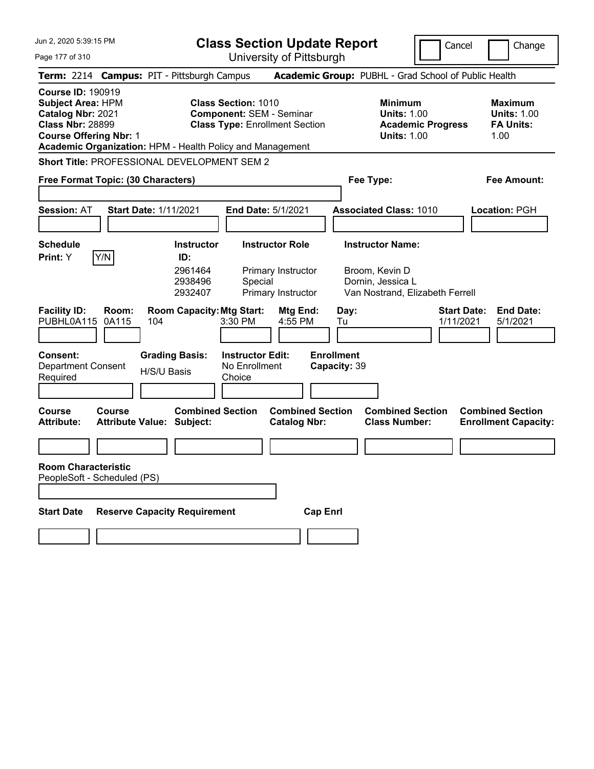Jun 2, 2020 5:39:15 PM Page 177 of 310 **Class Section Update Report** University of Pittsburgh Cancel Change **Term:** 2214 **Campus:** PIT - Pittsburgh Campus **Academic Group:** PUBHL - Grad School of Public Health **Course ID:** 190919 **Subject Area:** HPM **Class Section:** 1010 **Minimum Maximum Catalog Nbr:** 2021 **Component:** SEM - Seminar **Units:** 1.00 **Units:** 1.00 **Class Nbr:** 28899 **Class Type:** Enrollment Section **Academic Progress FA Units: Course Offering Nbr: 1 Units: 1.00** 1.00 **Academic Organization:** HPM - Health Policy and Management **Short Title:** PROFESSIONAL DEVELOPMENT SEM 2 **Free Format Topic: (30 Characters) Fee Type: Fee Amount: Session:** AT **Start Date:** 1/11/2021 **End Date:** 5/1/2021 **Associated Class:** 1010 **Location:** PGH **Schedule Instructor Instructor Role Instructor Name: Print:**  $Y$   $|Y/N|$  **ID:** 2961464 Primary Instructor Broom, Kevin D 2938496 Special Dornin, Jessica L 2932407 Primary Instructor Van Nostrand, Elizabeth Ferrell **Facility ID: Room: Room Capacity:Mtg Start: Mtg End: Day: Start Date: End Date:** PUBHL0A115 0A115 104 3:30 PM 4:55 PM Tu 1/11/2021 5/1/2021 **Consent: Grading Basis: Instructor Edit: Enrollment** Department Consent Required H/S/U Basis No Enrollment **Choice Capacity:** 39 **Course Course Combined Section Combined Section Combined Section Combined Section**  Attribute Value: Subject: Catalog Nbr: Class Number: Enrollment Capacity: **Room Characteristic** PeopleSoft - Scheduled (PS) **Start Date Reserve Capacity Requirement Cap Enrl**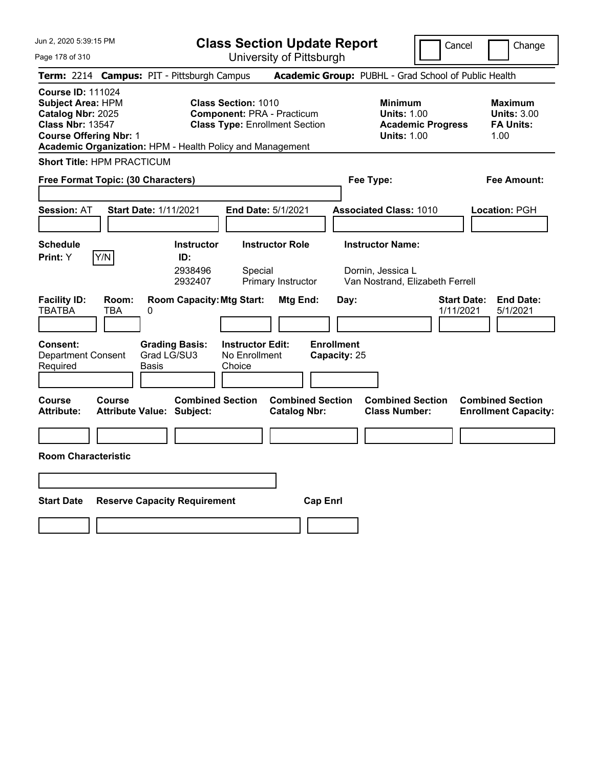Page 178 of 310

**Class Section Update Report**

Cancel Change

University of Pittsburgh

|                                                                                                                                       |              | Term: 2214 Campus: PIT - Pittsburgh Campus                  |                                                                                                          |                                                |                         | Academic Group: PUBHL - Grad School of Public Health                                   |                                 |                                                                  |
|---------------------------------------------------------------------------------------------------------------------------------------|--------------|-------------------------------------------------------------|----------------------------------------------------------------------------------------------------------|------------------------------------------------|-------------------------|----------------------------------------------------------------------------------------|---------------------------------|------------------------------------------------------------------|
| <b>Course ID: 111024</b><br><b>Subject Area: HPM</b><br>Catalog Nbr: 2025<br><b>Class Nbr: 13547</b><br><b>Course Offering Nbr: 1</b> |              | Academic Organization: HPM - Health Policy and Management   | <b>Class Section: 1010</b><br><b>Component: PRA - Practicum</b><br><b>Class Type: Enrollment Section</b> |                                                |                         | <b>Minimum</b><br><b>Units: 1.00</b><br><b>Academic Progress</b><br><b>Units: 1.00</b> |                                 | <b>Maximum</b><br><b>Units: 3.00</b><br><b>FA Units:</b><br>1.00 |
| <b>Short Title: HPM PRACTICUM</b>                                                                                                     |              |                                                             |                                                                                                          |                                                |                         |                                                                                        |                                 |                                                                  |
| Free Format Topic: (30 Characters)                                                                                                    |              |                                                             |                                                                                                          |                                                | Fee Type:               |                                                                                        |                                 | <b>Fee Amount:</b>                                               |
| Session: AT                                                                                                                           |              | <b>Start Date: 1/11/2021</b>                                | <b>End Date: 5/1/2021</b>                                                                                |                                                |                         | <b>Associated Class: 1010</b>                                                          |                                 | Location: PGH                                                    |
| <b>Schedule</b>                                                                                                                       |              | <b>Instructor</b>                                           | <b>Instructor Role</b>                                                                                   |                                                | <b>Instructor Name:</b> |                                                                                        |                                 |                                                                  |
| <b>Print:</b> Y                                                                                                                       | Y/N          | ID:<br>2938496<br>2932407                                   | Special<br>Primary Instructor                                                                            |                                                | Dornin, Jessica L       | Van Nostrand, Elizabeth Ferrell                                                        |                                 |                                                                  |
| <b>Facility ID:</b><br>TBATBA                                                                                                         | Room:<br>TBA | <b>Room Capacity: Mtg Start:</b><br>0                       |                                                                                                          | Mtg End:                                       | Day:                    |                                                                                        | <b>Start Date:</b><br>1/11/2021 | <b>End Date:</b><br>5/1/2021                                     |
| Consent:<br><b>Department Consent</b><br>Required                                                                                     |              | <b>Grading Basis:</b><br>Grad LG/SU3<br>Basis               | <b>Instructor Edit:</b><br>No Enrollment<br>Choice                                                       | <b>Enrollment</b><br>Capacity: 25              |                         |                                                                                        |                                 |                                                                  |
| Course<br><b>Attribute:</b>                                                                                                           | Course       | <b>Combined Section</b><br><b>Attribute Value: Subject:</b> |                                                                                                          | <b>Combined Section</b><br><b>Catalog Nbr:</b> |                         | <b>Combined Section</b><br><b>Class Number:</b>                                        |                                 | <b>Combined Section</b><br><b>Enrollment Capacity:</b>           |
|                                                                                                                                       |              |                                                             |                                                                                                          |                                                |                         |                                                                                        |                                 |                                                                  |
| <b>Room Characteristic</b>                                                                                                            |              |                                                             |                                                                                                          |                                                |                         |                                                                                        |                                 |                                                                  |
|                                                                                                                                       |              |                                                             |                                                                                                          |                                                |                         |                                                                                        |                                 |                                                                  |
| <b>Start Date</b>                                                                                                                     |              | <b>Reserve Capacity Requirement</b>                         |                                                                                                          | <b>Cap Enrl</b>                                |                         |                                                                                        |                                 |                                                                  |
|                                                                                                                                       |              |                                                             |                                                                                                          |                                                |                         |                                                                                        |                                 |                                                                  |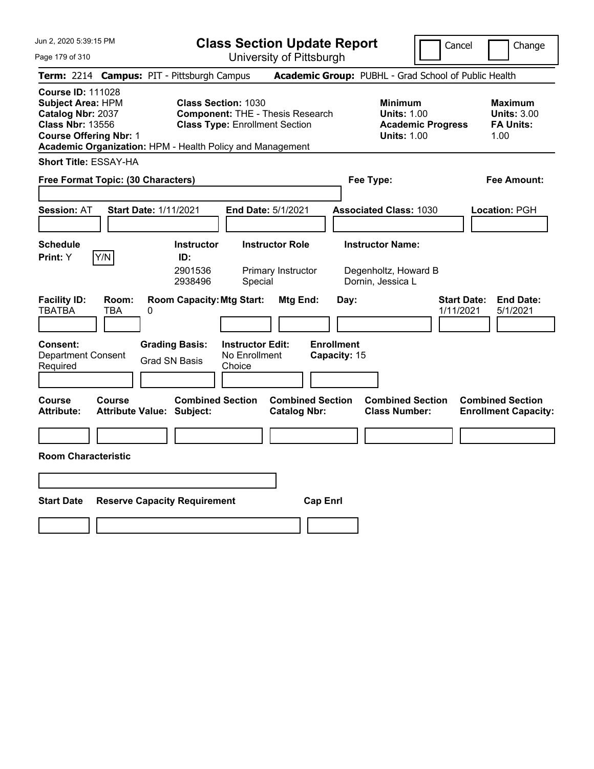**Class Section Update Report** University of Pittsburgh

Cancel Change

Page 179 of 310

|                                                                                                                                                                                                                                                                                                                      |              | Term: 2214 Campus: PIT - Pittsburgh Campus                  |                                                    |                                                                                        |                                   | Academic Group: PUBHL - Grad School of Public Health                 |                                                                  |                                                        |
|----------------------------------------------------------------------------------------------------------------------------------------------------------------------------------------------------------------------------------------------------------------------------------------------------------------------|--------------|-------------------------------------------------------------|----------------------------------------------------|----------------------------------------------------------------------------------------|-----------------------------------|----------------------------------------------------------------------|------------------------------------------------------------------|--------------------------------------------------------|
| <b>Course ID: 111028</b><br><b>Subject Area: HPM</b><br><b>Class Section: 1030</b><br>Catalog Nbr: 2037<br><b>Component: THE - Thesis Research</b><br><b>Class Nbr: 13556</b><br><b>Class Type: Enrollment Section</b><br><b>Course Offering Nbr: 1</b><br>Academic Organization: HPM - Health Policy and Management |              |                                                             |                                                    | <b>Minimum</b><br><b>Units: 1.00</b><br><b>Academic Progress</b><br><b>Units: 1.00</b> |                                   |                                                                      | <b>Maximum</b><br><b>Units: 3.00</b><br><b>FA Units:</b><br>1.00 |                                                        |
| <b>Short Title: ESSAY-HA</b>                                                                                                                                                                                                                                                                                         |              |                                                             |                                                    |                                                                                        |                                   |                                                                      |                                                                  |                                                        |
| Free Format Topic: (30 Characters)                                                                                                                                                                                                                                                                                   |              |                                                             |                                                    |                                                                                        |                                   | Fee Type:                                                            |                                                                  | <b>Fee Amount:</b>                                     |
| <b>Session: AT</b>                                                                                                                                                                                                                                                                                                   |              | <b>Start Date: 1/11/2021</b>                                | <b>End Date: 5/1/2021</b>                          |                                                                                        |                                   | <b>Associated Class: 1030</b>                                        |                                                                  | Location: PGH                                          |
| <b>Schedule</b><br><b>Print:</b> Y                                                                                                                                                                                                                                                                                   | Y/N          | <b>Instructor</b><br>ID:<br>2901536<br>2938496              | Special                                            | <b>Instructor Role</b><br>Primary Instructor                                           |                                   | <b>Instructor Name:</b><br>Degenholtz, Howard B<br>Dornin, Jessica L |                                                                  |                                                        |
| <b>Facility ID:</b><br><b>TBATBA</b>                                                                                                                                                                                                                                                                                 | Room:<br>TBA | <b>Room Capacity: Mtg Start:</b><br>0                       |                                                    | Mtg End:                                                                               | Day:                              |                                                                      | <b>Start Date:</b><br>1/11/2021                                  | <b>End Date:</b><br>5/1/2021                           |
| Consent:<br>Department Consent<br>Required                                                                                                                                                                                                                                                                           |              | <b>Grading Basis:</b><br><b>Grad SN Basis</b>               | <b>Instructor Edit:</b><br>No Enrollment<br>Choice |                                                                                        | <b>Enrollment</b><br>Capacity: 15 |                                                                      |                                                                  |                                                        |
| <b>Course</b><br>Attribute:                                                                                                                                                                                                                                                                                          | Course       | <b>Combined Section</b><br><b>Attribute Value: Subject:</b> |                                                    | <b>Combined Section</b><br><b>Catalog Nbr:</b>                                         |                                   | <b>Combined Section</b><br><b>Class Number:</b>                      |                                                                  | <b>Combined Section</b><br><b>Enrollment Capacity:</b> |
| <b>Room Characteristic</b>                                                                                                                                                                                                                                                                                           |              |                                                             |                                                    |                                                                                        |                                   |                                                                      |                                                                  |                                                        |
| <b>Start Date</b>                                                                                                                                                                                                                                                                                                    |              | <b>Reserve Capacity Requirement</b>                         |                                                    | <b>Cap Enrl</b>                                                                        |                                   |                                                                      |                                                                  |                                                        |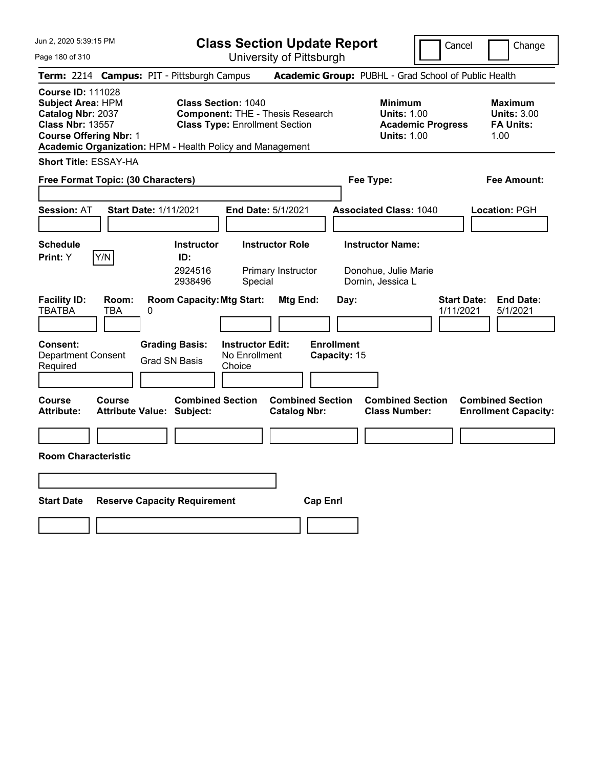Page 180 of 310

**Class Section Update Report** University of Pittsburgh

Cancel **Change** 

|                                                                                                                                |                     | Term: 2214 Campus: PIT - Pittsburgh Campus                  |                                                                                                                |                                                |                                   | Academic Group: PUBHL - Grad School of Public Health                                   |                                 |                                                                  |
|--------------------------------------------------------------------------------------------------------------------------------|---------------------|-------------------------------------------------------------|----------------------------------------------------------------------------------------------------------------|------------------------------------------------|-----------------------------------|----------------------------------------------------------------------------------------|---------------------------------|------------------------------------------------------------------|
| <b>Course ID: 111028</b><br>Subject Area: HPM<br>Catalog Nbr: 2037<br><b>Class Nbr: 13557</b><br><b>Course Offering Nbr: 1</b> |                     | Academic Organization: HPM - Health Policy and Management   | <b>Class Section: 1040</b><br><b>Component: THE - Thesis Research</b><br><b>Class Type: Enrollment Section</b> |                                                |                                   | <b>Minimum</b><br><b>Units: 1.00</b><br><b>Academic Progress</b><br><b>Units: 1.00</b> |                                 | <b>Maximum</b><br><b>Units: 3.00</b><br><b>FA Units:</b><br>1.00 |
| <b>Short Title: ESSAY-HA</b>                                                                                                   |                     |                                                             |                                                                                                                |                                                |                                   |                                                                                        |                                 |                                                                  |
| Free Format Topic: (30 Characters)                                                                                             |                     |                                                             |                                                                                                                |                                                | Fee Type:                         |                                                                                        |                                 | <b>Fee Amount:</b>                                               |
| <b>Session: AT</b>                                                                                                             |                     | <b>Start Date: 1/11/2021</b>                                | <b>End Date: 5/1/2021</b>                                                                                      |                                                |                                   | <b>Associated Class: 1040</b>                                                          |                                 | Location: PGH                                                    |
| <b>Schedule</b><br><b>Print:</b> Y                                                                                             | Y/N                 | <b>Instructor</b><br>ID:<br>2924516<br>2938496              | <b>Instructor Role</b><br>Special                                                                              | Primary Instructor                             |                                   | <b>Instructor Name:</b><br>Donohue, Julie Marie<br>Dornin, Jessica L                   |                                 |                                                                  |
| <b>Facility ID:</b><br><b>TBATBA</b>                                                                                           | Room:<br><b>TBA</b> | <b>Room Capacity: Mtg Start:</b><br>$\Omega$                |                                                                                                                | Mtg End:                                       | Day:                              |                                                                                        | <b>Start Date:</b><br>1/11/2021 | <b>End Date:</b><br>5/1/2021                                     |
| Consent:<br><b>Department Consent</b><br>Required                                                                              |                     | <b>Grading Basis:</b><br><b>Grad SN Basis</b>               | <b>Instructor Edit:</b><br>No Enrollment<br>Choice                                                             |                                                | <b>Enrollment</b><br>Capacity: 15 |                                                                                        |                                 |                                                                  |
| <b>Course</b><br><b>Attribute:</b>                                                                                             | Course              | <b>Combined Section</b><br><b>Attribute Value: Subject:</b> |                                                                                                                | <b>Combined Section</b><br><b>Catalog Nbr:</b> |                                   | <b>Combined Section</b><br><b>Class Number:</b>                                        |                                 | <b>Combined Section</b><br><b>Enrollment Capacity:</b>           |
| <b>Room Characteristic</b>                                                                                                     |                     |                                                             |                                                                                                                |                                                |                                   |                                                                                        |                                 |                                                                  |
|                                                                                                                                |                     |                                                             |                                                                                                                |                                                |                                   |                                                                                        |                                 |                                                                  |
| <b>Start Date</b>                                                                                                              |                     | <b>Reserve Capacity Requirement</b>                         |                                                                                                                | <b>Cap Enrl</b>                                |                                   |                                                                                        |                                 |                                                                  |
|                                                                                                                                |                     |                                                             |                                                                                                                |                                                |                                   |                                                                                        |                                 |                                                                  |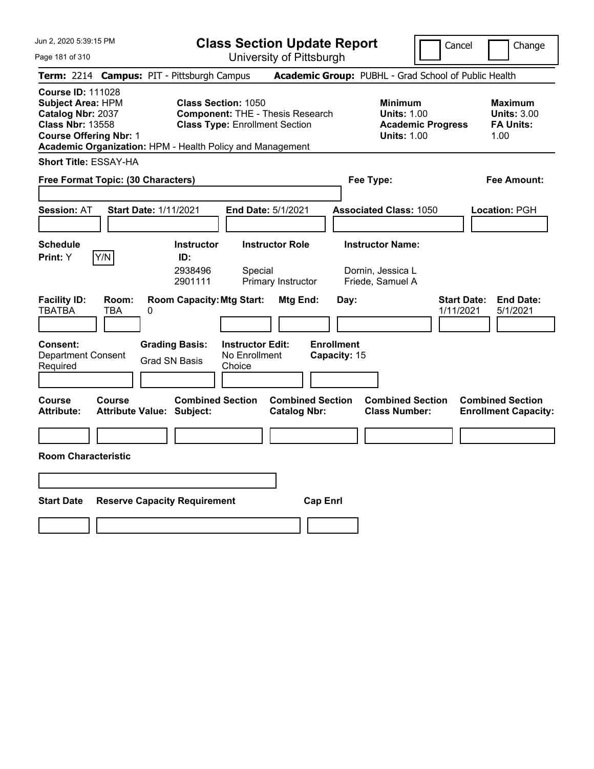**Class Section Update Report**

University of Pittsburgh

Cancel | Change

Page 181 of 310 **Term:** 2214 **Campus:** PIT - Pittsburgh Campus **Academic Group:** PUBHL - Grad School of Public Health **Course ID:** 111028 **Subject Area:** HPM **Class Section:** 1050 **Minimum Maximum Catalog Nbr:** 2037 **Component:** THE - Thesis Research **Units:** 1.00 **Units:** 3.00 **Class Nbr:** 13558 **Class Type:** Enrollment Section **Academic Progress FA Units: Course Offering Nbr: 1 Units: 1.00** 1.00 **Academic Organization:** HPM - Health Policy and Management **Short Title:** ESSAY-HA **Free Format Topic: (30 Characters) Fee Type: Fee Amount: Session:** AT **Start Date:** 1/11/2021 **End Date:** 5/1/2021 **Associated Class:** 1050 **Location:** PGH **Schedule Instructor Instructor Role Instructor Name: Print:**  $Y$   $|Y/N|$  **ID:** 2938496 Special Dornin, Jessica L 2901111 Primary Instructor Friede, Samuel A **Facility ID: Room: Room Capacity:Mtg Start: Mtg End: Day: Start Date: End Date:** TBATBA TBA 0 1/11/2021 5/1/2021 **Consent: Grading Basis: Instructor Edit: Enrollment** Department Consent Required Grad SN Basis No Enrollment **Choice Capacity:** 15 **Course Course Combined Section Combined Section Combined Section Combined Section**  Attribute: Attribute Value: Subject: Catalog Nbr: Class Number: Enrollment Capacity: **Room Characteristic Start Date Reserve Capacity Requirement Cap Enrl**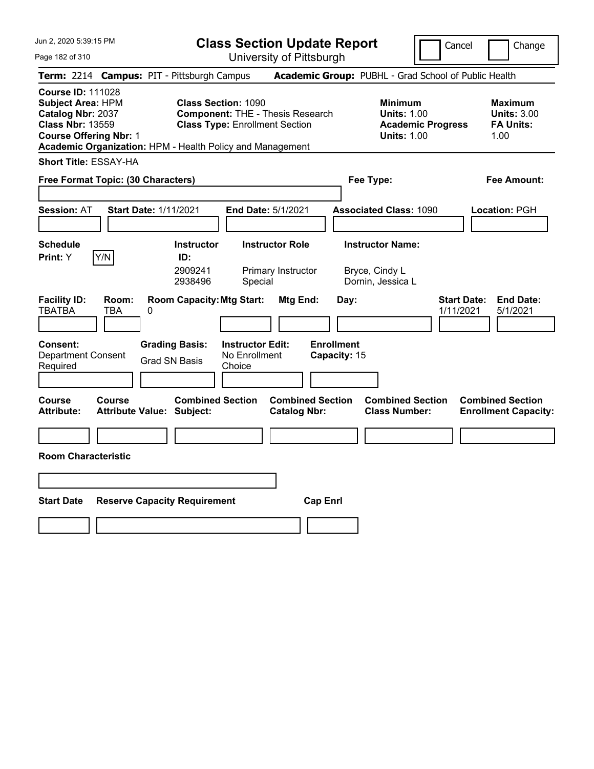**Class Section Update Report**

Cancel **Change** 

| Page 182 of 310                                          |                                                                                                                                                                                                                                                                                                                          |                                                             | University of Pittsburgh                                |                                                |                                   |                                                                                        |                                 |                                                                  |
|----------------------------------------------------------|--------------------------------------------------------------------------------------------------------------------------------------------------------------------------------------------------------------------------------------------------------------------------------------------------------------------------|-------------------------------------------------------------|---------------------------------------------------------|------------------------------------------------|-----------------------------------|----------------------------------------------------------------------------------------|---------------------------------|------------------------------------------------------------------|
|                                                          |                                                                                                                                                                                                                                                                                                                          | Term: 2214 Campus: PIT - Pittsburgh Campus                  |                                                         |                                                |                                   | Academic Group: PUBHL - Grad School of Public Health                                   |                                 |                                                                  |
| <b>Course ID: 111028</b>                                 | <b>Subject Area: HPM</b><br><b>Class Section: 1090</b><br>Catalog Nbr: 2037<br><b>Component: THE - Thesis Research</b><br><b>Class Nbr: 13559</b><br><b>Class Type: Enrollment Section</b><br><b>Course Offering Nbr: 1</b><br>Academic Organization: HPM - Health Policy and Management<br><b>Short Title: ESSAY-HA</b> |                                                             |                                                         |                                                |                                   | <b>Minimum</b><br><b>Units: 1.00</b><br><b>Academic Progress</b><br><b>Units: 1.00</b> |                                 | <b>Maximum</b><br><b>Units: 3.00</b><br><b>FA Units:</b><br>1.00 |
|                                                          |                                                                                                                                                                                                                                                                                                                          |                                                             |                                                         |                                                |                                   |                                                                                        |                                 |                                                                  |
| Free Format Topic: (30 Characters)                       |                                                                                                                                                                                                                                                                                                                          |                                                             |                                                         |                                                |                                   | Fee Type:                                                                              |                                 | Fee Amount:                                                      |
| <b>Session: AT</b>                                       |                                                                                                                                                                                                                                                                                                                          | <b>Start Date: 1/11/2021</b>                                | End Date: 5/1/2021                                      |                                                |                                   | <b>Associated Class: 1090</b>                                                          |                                 | Location: PGH                                                    |
| <b>Schedule</b><br>Print: Y                              | Y/N                                                                                                                                                                                                                                                                                                                      | <b>Instructor</b><br>ID:<br>2909241<br>2938496              | <b>Instructor Role</b><br>Primary Instructor<br>Special |                                                |                                   | <b>Instructor Name:</b><br>Bryce, Cindy L<br>Dornin, Jessica L                         |                                 |                                                                  |
| <b>Facility ID:</b><br><b>TBATBA</b>                     | Room:<br>TBA                                                                                                                                                                                                                                                                                                             | <b>Room Capacity: Mtg Start:</b><br>0                       |                                                         | Mtg End:                                       | Day:                              |                                                                                        | <b>Start Date:</b><br>1/11/2021 | <b>End Date:</b><br>5/1/2021                                     |
| <b>Consent:</b><br><b>Department Consent</b><br>Required |                                                                                                                                                                                                                                                                                                                          | <b>Grading Basis:</b><br>Grad SN Basis                      | <b>Instructor Edit:</b><br>No Enrollment<br>Choice      |                                                | <b>Enrollment</b><br>Capacity: 15 |                                                                                        |                                 |                                                                  |
| Course<br><b>Attribute:</b>                              | Course                                                                                                                                                                                                                                                                                                                   | <b>Combined Section</b><br><b>Attribute Value: Subject:</b> |                                                         | <b>Combined Section</b><br><b>Catalog Nbr:</b> |                                   | <b>Combined Section</b><br><b>Class Number:</b>                                        |                                 | <b>Combined Section</b><br><b>Enrollment Capacity:</b>           |
|                                                          |                                                                                                                                                                                                                                                                                                                          |                                                             |                                                         |                                                |                                   |                                                                                        |                                 |                                                                  |
| <b>Room Characteristic</b>                               |                                                                                                                                                                                                                                                                                                                          |                                                             |                                                         |                                                |                                   |                                                                                        |                                 |                                                                  |
|                                                          |                                                                                                                                                                                                                                                                                                                          |                                                             |                                                         |                                                |                                   |                                                                                        |                                 |                                                                  |
| <b>Start Date</b>                                        |                                                                                                                                                                                                                                                                                                                          | <b>Reserve Capacity Requirement</b>                         |                                                         | <b>Cap Enrl</b>                                |                                   |                                                                                        |                                 |                                                                  |
|                                                          |                                                                                                                                                                                                                                                                                                                          |                                                             |                                                         |                                                |                                   |                                                                                        |                                 |                                                                  |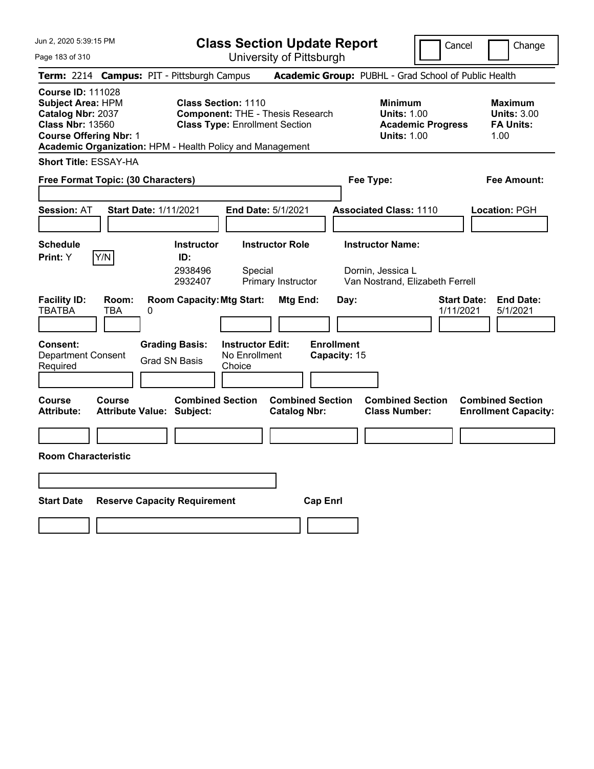**Class Section Update Report**

Cancel **Change** 

| Page 183 of 310                                                                                                                                                                                    |                                                                                                                | University of Pittsburgh                                                               |                                                                                 |                                                                 |
|----------------------------------------------------------------------------------------------------------------------------------------------------------------------------------------------------|----------------------------------------------------------------------------------------------------------------|----------------------------------------------------------------------------------------|---------------------------------------------------------------------------------|-----------------------------------------------------------------|
| Term: 2214 Campus: PIT - Pittsburgh Campus                                                                                                                                                         |                                                                                                                |                                                                                        | Academic Group: PUBHL - Grad School of Public Health                            |                                                                 |
| <b>Course ID: 111028</b><br><b>Subject Area: HPM</b><br>Catalog Nbr: 2037<br><b>Class Nbr: 13560</b><br><b>Course Offering Nbr: 1</b><br>Academic Organization: HPM - Health Policy and Management | <b>Class Section: 1110</b><br><b>Component: THE - Thesis Research</b><br><b>Class Type: Enrollment Section</b> | <b>Minimum</b><br><b>Units: 1.00</b><br><b>Academic Progress</b><br><b>Units: 1.00</b> | <b>Maximum</b><br><b>Units: 3.00</b><br><b>FA Units:</b><br>1.00                |                                                                 |
| <b>Short Title: ESSAY-HA</b><br>Free Format Topic: (30 Characters)                                                                                                                                 |                                                                                                                |                                                                                        | Fee Type:                                                                       | Fee Amount:                                                     |
| <b>Session: AT</b>                                                                                                                                                                                 | <b>Start Date: 1/11/2021</b>                                                                                   | End Date: 5/1/2021                                                                     | <b>Associated Class: 1110</b>                                                   | Location: PGH                                                   |
| <b>Schedule</b><br>Y/N<br>Print: Y                                                                                                                                                                 | <b>Instructor</b><br>ID:<br>2938496<br>2932407                                                                 | <b>Instructor Role</b><br>Special<br>Primary Instructor                                | <b>Instructor Name:</b><br>Dornin, Jessica L<br>Van Nostrand, Elizabeth Ferrell |                                                                 |
| <b>Facility ID:</b><br>Room:<br><b>TBATBA</b><br><b>TBA</b>                                                                                                                                        | <b>Room Capacity: Mtg Start:</b><br>0                                                                          | Mtg End:                                                                               | Day:                                                                            | <b>End Date:</b><br><b>Start Date:</b><br>5/1/2021<br>1/11/2021 |
| <b>Consent:</b><br><b>Department Consent</b><br>Required                                                                                                                                           | <b>Grading Basis:</b><br><b>Grad SN Basis</b>                                                                  | <b>Instructor Edit:</b><br>No Enrollment<br>Choice                                     | <b>Enrollment</b><br>Capacity: 15                                               |                                                                 |
| <b>Course</b><br>Course<br>Attribute:                                                                                                                                                              | <b>Combined Section</b><br><b>Attribute Value: Subject:</b>                                                    | <b>Combined Section</b><br><b>Catalog Nbr:</b>                                         | <b>Combined Section</b><br><b>Class Number:</b>                                 | <b>Combined Section</b><br><b>Enrollment Capacity:</b>          |
| <b>Room Characteristic</b>                                                                                                                                                                         |                                                                                                                |                                                                                        |                                                                                 |                                                                 |
|                                                                                                                                                                                                    |                                                                                                                |                                                                                        |                                                                                 |                                                                 |
| <b>Start Date</b>                                                                                                                                                                                  | <b>Reserve Capacity Requirement</b>                                                                            | <b>Cap Enrl</b>                                                                        |                                                                                 |                                                                 |
|                                                                                                                                                                                                    |                                                                                                                |                                                                                        |                                                                                 |                                                                 |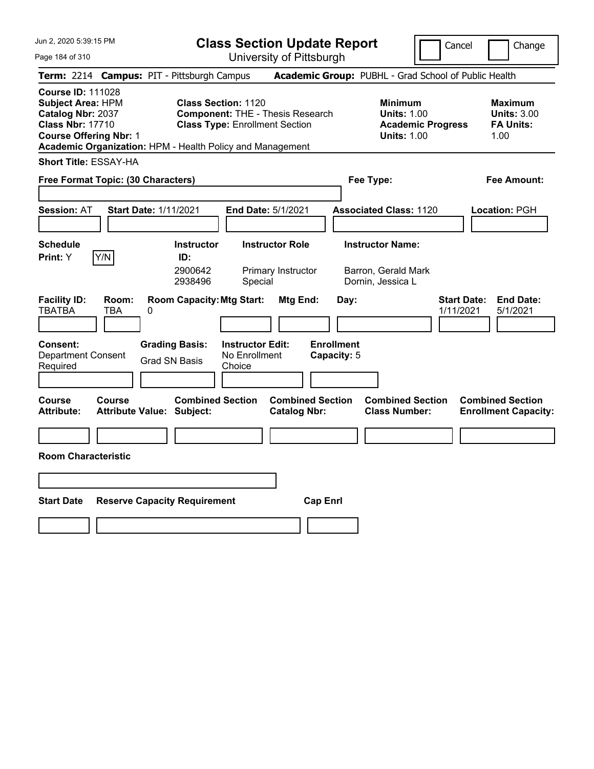Page 184 of 310

**Class Section Update Report**

Cancel **Change** 

|                                                                |                                                                                                                                                                                                                                                                                                                      |                                                      |                                                    | UNIVUOILY ULI ILLUUUI YN                       |                                  |                                                                                        |                                                                  |
|----------------------------------------------------------------|----------------------------------------------------------------------------------------------------------------------------------------------------------------------------------------------------------------------------------------------------------------------------------------------------------------------|------------------------------------------------------|----------------------------------------------------|------------------------------------------------|----------------------------------|----------------------------------------------------------------------------------------|------------------------------------------------------------------|
|                                                                |                                                                                                                                                                                                                                                                                                                      | Term: 2214 Campus: PIT - Pittsburgh Campus           |                                                    |                                                |                                  | Academic Group: PUBHL - Grad School of Public Health                                   |                                                                  |
|                                                                | <b>Course ID: 111028</b><br><b>Subject Area: HPM</b><br><b>Class Section: 1120</b><br>Catalog Nbr: 2037<br><b>Component: THE - Thesis Research</b><br><b>Class Nbr: 17710</b><br><b>Class Type: Enrollment Section</b><br><b>Course Offering Nbr: 1</b><br>Academic Organization: HPM - Health Policy and Management |                                                      |                                                    |                                                |                                  | <b>Minimum</b><br><b>Units: 1.00</b><br><b>Academic Progress</b><br><b>Units: 1.00</b> | <b>Maximum</b><br><b>Units: 3.00</b><br><b>FA Units:</b><br>1.00 |
| <b>Short Title: ESSAY-HA</b>                                   |                                                                                                                                                                                                                                                                                                                      |                                                      |                                                    |                                                |                                  |                                                                                        |                                                                  |
| Free Format Topic: (30 Characters)<br>Fee Type:<br>Fee Amount: |                                                                                                                                                                                                                                                                                                                      |                                                      |                                                    |                                                |                                  |                                                                                        |                                                                  |
| <b>Session: AT</b>                                             |                                                                                                                                                                                                                                                                                                                      | Start Date: 1/11/2021                                | End Date: 5/1/2021                                 |                                                |                                  | <b>Associated Class: 1120</b>                                                          | Location: PGH                                                    |
| <b>Schedule</b>                                                |                                                                                                                                                                                                                                                                                                                      | <b>Instructor</b>                                    | <b>Instructor Role</b>                             |                                                |                                  | <b>Instructor Name:</b>                                                                |                                                                  |
| Print: Y                                                       | Y/N                                                                                                                                                                                                                                                                                                                  | ID:<br>2900642<br>2938496                            | Special                                            | Primary Instructor                             |                                  | Barron, Gerald Mark<br>Dornin, Jessica L                                               |                                                                  |
| <b>Facility ID:</b><br><b>TBATBA</b>                           | Room:<br><b>TBA</b>                                                                                                                                                                                                                                                                                                  | <b>Room Capacity: Mtg Start:</b><br>0                |                                                    | Mtg End:                                       | Day:                             | 1/11/2021                                                                              | <b>End Date:</b><br><b>Start Date:</b><br>5/1/2021               |
| <b>Consent:</b><br>Department Consent<br>Required              |                                                                                                                                                                                                                                                                                                                      | <b>Grading Basis:</b><br><b>Grad SN Basis</b>        | <b>Instructor Edit:</b><br>No Enrollment<br>Choice |                                                | <b>Enrollment</b><br>Capacity: 5 |                                                                                        |                                                                  |
| <b>Course</b><br><b>Attribute:</b>                             | Course                                                                                                                                                                                                                                                                                                               | <b>Combined Section</b><br>Attribute Value: Subject: |                                                    | <b>Combined Section</b><br><b>Catalog Nbr:</b> |                                  | <b>Combined Section</b><br><b>Class Number:</b>                                        | <b>Combined Section</b><br><b>Enrollment Capacity:</b>           |
|                                                                |                                                                                                                                                                                                                                                                                                                      |                                                      |                                                    |                                                |                                  |                                                                                        |                                                                  |
| <b>Room Characteristic</b>                                     |                                                                                                                                                                                                                                                                                                                      |                                                      |                                                    |                                                |                                  |                                                                                        |                                                                  |
|                                                                |                                                                                                                                                                                                                                                                                                                      |                                                      |                                                    |                                                |                                  |                                                                                        |                                                                  |
| <b>Start Date</b>                                              |                                                                                                                                                                                                                                                                                                                      | <b>Reserve Capacity Requirement</b>                  |                                                    | <b>Cap Enrl</b>                                |                                  |                                                                                        |                                                                  |
|                                                                |                                                                                                                                                                                                                                                                                                                      |                                                      |                                                    |                                                |                                  |                                                                                        |                                                                  |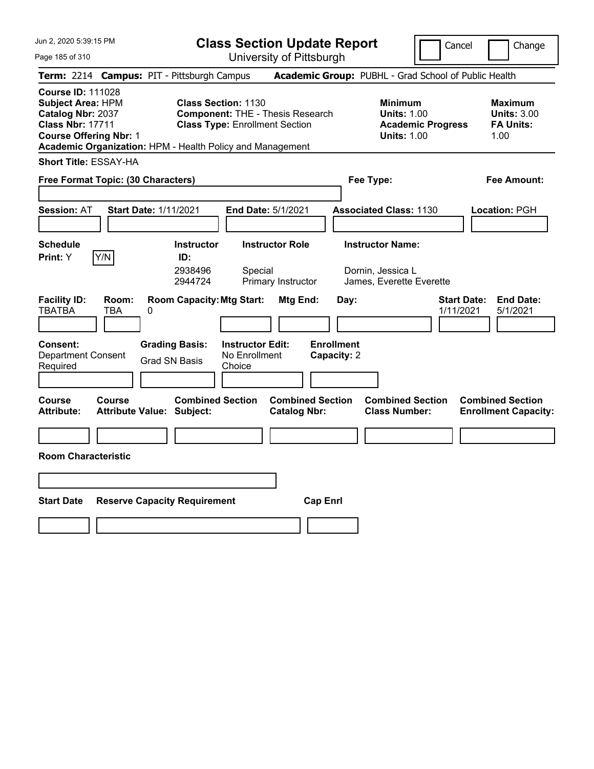**Class Section Update Report**

University of Pittsburgh

Cancel | Change

Page 185 of 310 **Term:** 2214 **Campus:** PIT - Pittsburgh Campus **Academic Group:** PUBHL - Grad School of Public Health **Course ID:** 111028 **Subject Area:** HPM **Class Section:** 1130 **Minimum Maximum Catalog Nbr:** 2037 **Component:** THE - Thesis Research **Units:** 1.00 **Units:** 3.00 **Class Nbr:** 17711 **Class Type:** Enrollment Section **Academic Progress FA Units: Course Offering Nbr: 1 Units: 1.00** 1.00 **Academic Organization:** HPM - Health Policy and Management **Short Title:** ESSAY-HA **Free Format Topic: (30 Characters) Fee Type: Fee Amount: Session:** AT **Start Date:** 1/11/2021 **End Date:** 5/1/2021 **Associated Class:** 1130 **Location:** PGH **Schedule Instructor Instructor Role Instructor Name: Print:**  $Y$   $|Y/N|$  **ID:** 2938496 Special Dornin, Jessica L 2944724 Primary Instructor James, Everette Everette **Facility ID: Room: Room Capacity:Mtg Start: Mtg End: Day: Start Date: End Date:** TBATBA TBA 0 1/11/2021 5/1/2021 **Consent: Grading Basis: Instructor Edit: Enrollment** Department Consent Required Grad SN Basis No Enrollment **Choice Capacity:** 2 **Course Course Combined Section Combined Section Combined Section Combined Section**  Attribute: Attribute Value: Subject: Catalog Nbr: Class Number: Enrollment Capacity: **Room Characteristic Start Date Reserve Capacity Requirement Cap Enrl**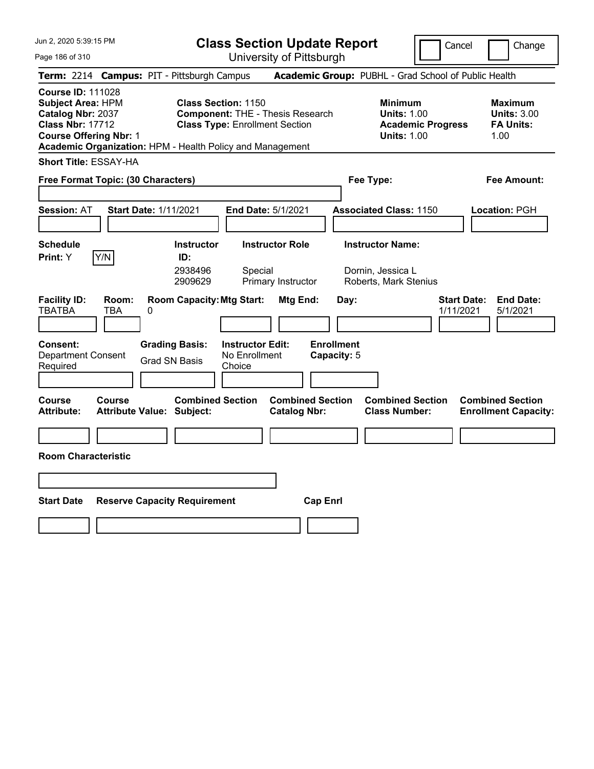Page 186 of 310

**Class Section Update Report**

University of Pittsburgh

Cancel **Change** 

|                                                                                    |                                                                                                                                                                                                                                                                                                                                                                                                                | Term: 2214 Campus: PIT - Pittsburgh Campus                                             |                                                         |                                                |                                          | Academic Group: PUBHL - Grad School of Public Health                  |                                 |                                                        |
|------------------------------------------------------------------------------------|----------------------------------------------------------------------------------------------------------------------------------------------------------------------------------------------------------------------------------------------------------------------------------------------------------------------------------------------------------------------------------------------------------------|----------------------------------------------------------------------------------------|---------------------------------------------------------|------------------------------------------------|------------------------------------------|-----------------------------------------------------------------------|---------------------------------|--------------------------------------------------------|
|                                                                                    | <b>Course ID: 111028</b><br><b>Class Section: 1150</b><br><b>Subject Area: HPM</b><br><b>Minimum</b><br>Catalog Nbr: 2037<br><b>Component: THE - Thesis Research</b><br><b>Units: 1.00</b><br><b>Class Nbr: 17712</b><br><b>Class Type: Enrollment Section</b><br><b>Academic Progress</b><br><b>Course Offering Nbr: 1</b><br><b>Units: 1.00</b><br>Academic Organization: HPM - Health Policy and Management |                                                                                        |                                                         |                                                |                                          |                                                                       |                                 |                                                        |
| <b>Short Title: ESSAY-HA</b>                                                       |                                                                                                                                                                                                                                                                                                                                                                                                                |                                                                                        |                                                         |                                                |                                          |                                                                       |                                 |                                                        |
| Free Format Topic: (30 Characters)                                                 |                                                                                                                                                                                                                                                                                                                                                                                                                |                                                                                        |                                                         |                                                |                                          | Fee Type:                                                             |                                 | <b>Fee Amount:</b>                                     |
| <b>Session: AT</b>                                                                 |                                                                                                                                                                                                                                                                                                                                                                                                                | Start Date: 1/11/2021                                                                  | End Date: 5/1/2021                                      |                                                |                                          | <b>Associated Class: 1150</b>                                         |                                 | Location: PGH                                          |
| <b>Schedule</b><br><b>Print:</b> Y                                                 | Y/N                                                                                                                                                                                                                                                                                                                                                                                                            | <b>Instructor</b><br>ID:<br>2938496<br>2909629                                         | <b>Instructor Role</b><br>Special<br>Primary Instructor |                                                |                                          | <b>Instructor Name:</b><br>Dornin, Jessica L<br>Roberts, Mark Stenius |                                 |                                                        |
| <b>Facility ID:</b><br><b>TBATBA</b><br>Consent:<br>Department Consent<br>Required | Room:<br>TBA                                                                                                                                                                                                                                                                                                                                                                                                   | <b>Room Capacity: Mtg Start:</b><br>0<br><b>Grading Basis:</b><br><b>Grad SN Basis</b> | <b>Instructor Edit:</b><br>No Enrollment<br>Choice      | Mtg End:                                       | Day:<br><b>Enrollment</b><br>Capacity: 5 |                                                                       | <b>Start Date:</b><br>1/11/2021 | <b>End Date:</b><br>5/1/2021                           |
| <b>Course</b><br><b>Attribute:</b>                                                 | <b>Course</b>                                                                                                                                                                                                                                                                                                                                                                                                  | <b>Combined Section</b><br>Attribute Value: Subject:                                   |                                                         | <b>Combined Section</b><br><b>Catalog Nbr:</b> |                                          | <b>Combined Section</b><br><b>Class Number:</b>                       |                                 | <b>Combined Section</b><br><b>Enrollment Capacity:</b> |
| <b>Room Characteristic</b>                                                         |                                                                                                                                                                                                                                                                                                                                                                                                                |                                                                                        |                                                         |                                                |                                          |                                                                       |                                 |                                                        |
|                                                                                    |                                                                                                                                                                                                                                                                                                                                                                                                                |                                                                                        |                                                         |                                                |                                          |                                                                       |                                 |                                                        |
| Start Date                                                                         |                                                                                                                                                                                                                                                                                                                                                                                                                | <b>Reserve Capacity Requirement</b>                                                    |                                                         | <b>Cap Enri</b>                                |                                          |                                                                       |                                 |                                                        |
|                                                                                    |                                                                                                                                                                                                                                                                                                                                                                                                                |                                                                                        |                                                         |                                                |                                          |                                                                       |                                 |                                                        |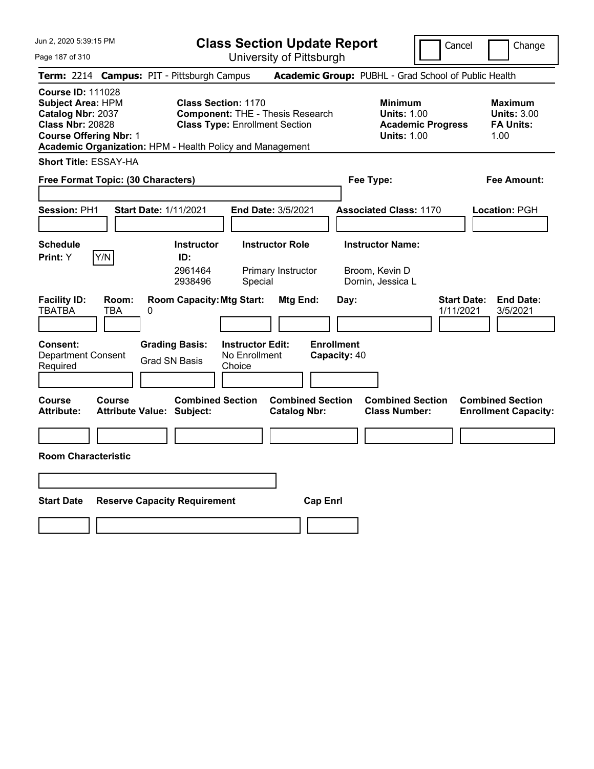**Class Section Update Report** University of Pittsburgh

Cancel Change

Page 187 of 310

| Term: 2214 Campus: PIT - Pittsburgh Campus                                                                                                                                                  |        |       |   |                                                             |                                                                                                                |                                                |                 |                                   | Academic Group: PUBHL - Grad School of Public Health                                   |                                 |                                                                  |
|---------------------------------------------------------------------------------------------------------------------------------------------------------------------------------------------|--------|-------|---|-------------------------------------------------------------|----------------------------------------------------------------------------------------------------------------|------------------------------------------------|-----------------|-----------------------------------|----------------------------------------------------------------------------------------|---------------------------------|------------------------------------------------------------------|
| <b>Course ID: 111028</b><br>Subject Area: HPM<br>Catalog Nbr: 2037<br><b>Class Nbr: 20828</b><br><b>Course Offering Nbr: 1</b><br>Academic Organization: HPM - Health Policy and Management |        |       |   |                                                             | <b>Class Section: 1170</b><br><b>Component: THE - Thesis Research</b><br><b>Class Type: Enrollment Section</b> |                                                |                 |                                   | <b>Minimum</b><br><b>Units: 1.00</b><br><b>Academic Progress</b><br><b>Units: 1.00</b> |                                 | <b>Maximum</b><br><b>Units: 3.00</b><br><b>FA Units:</b><br>1.00 |
| <b>Short Title: ESSAY-HA</b>                                                                                                                                                                |        |       |   |                                                             |                                                                                                                |                                                |                 |                                   |                                                                                        |                                 |                                                                  |
| Free Format Topic: (30 Characters)                                                                                                                                                          |        |       |   |                                                             |                                                                                                                |                                                |                 |                                   | Fee Type:                                                                              |                                 | <b>Fee Amount:</b>                                               |
| Session: PH1                                                                                                                                                                                |        |       |   | <b>Start Date: 1/11/2021</b>                                | <b>End Date: 3/5/2021</b>                                                                                      |                                                |                 |                                   | <b>Associated Class: 1170</b>                                                          |                                 | Location: PGH                                                    |
| <b>Schedule</b><br>Print: Y                                                                                                                                                                 | Y/N    |       |   | <b>Instructor</b><br>ID:<br>2961464<br>2938496              | Special                                                                                                        | <b>Instructor Role</b><br>Primary Instructor   |                 |                                   | <b>Instructor Name:</b><br>Broom, Kevin D<br>Dornin, Jessica L                         |                                 |                                                                  |
| <b>Facility ID:</b><br><b>TBATBA</b>                                                                                                                                                        | TBA    | Room: | 0 | <b>Room Capacity: Mtg Start:</b>                            |                                                                                                                | Mtg End:                                       |                 | Day:                              |                                                                                        | <b>Start Date:</b><br>1/11/2021 | <b>End Date:</b><br>3/5/2021                                     |
| <b>Consent:</b><br><b>Department Consent</b><br>Required                                                                                                                                    |        |       |   | <b>Grading Basis:</b><br><b>Grad SN Basis</b>               | <b>Instructor Edit:</b><br>No Enrollment<br>Choice                                                             |                                                |                 | <b>Enrollment</b><br>Capacity: 40 |                                                                                        |                                 |                                                                  |
| Course<br><b>Attribute:</b>                                                                                                                                                                 | Course |       |   | <b>Combined Section</b><br><b>Attribute Value: Subject:</b> |                                                                                                                | <b>Combined Section</b><br><b>Catalog Nbr:</b> |                 |                                   | <b>Combined Section</b><br><b>Class Number:</b>                                        |                                 | <b>Combined Section</b><br><b>Enrollment Capacity:</b>           |
| <b>Room Characteristic</b>                                                                                                                                                                  |        |       |   |                                                             |                                                                                                                |                                                |                 |                                   |                                                                                        |                                 |                                                                  |
| <b>Start Date</b>                                                                                                                                                                           |        |       |   | <b>Reserve Capacity Requirement</b>                         |                                                                                                                |                                                | <b>Cap Enrl</b> |                                   |                                                                                        |                                 |                                                                  |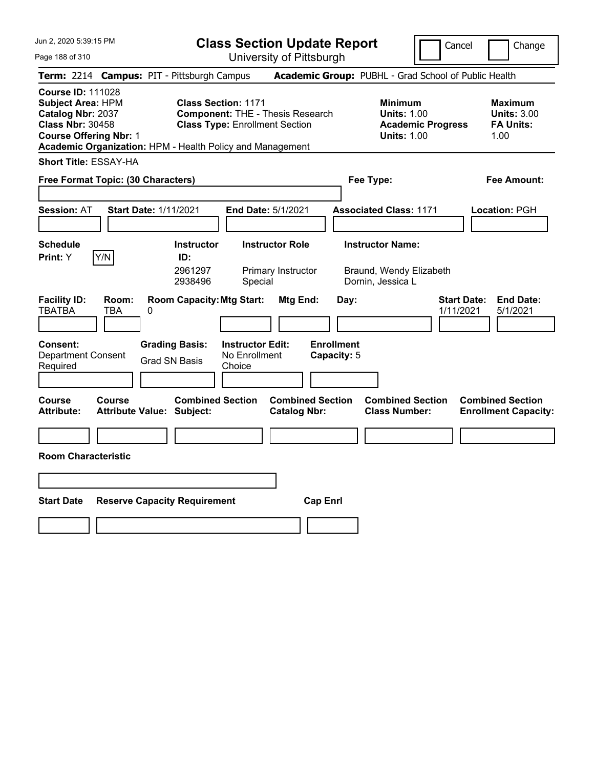Page 188 of 310

**Class Section Update Report**

Cancel **Change** 

| uyu 100 01 01 0                                                                                                                                                                                    |                                                             | UTIIVERSILY ULT ILLSDUIYIT                                                       |                                                |                                                                                        |                                                                  |
|----------------------------------------------------------------------------------------------------------------------------------------------------------------------------------------------------|-------------------------------------------------------------|----------------------------------------------------------------------------------|------------------------------------------------|----------------------------------------------------------------------------------------|------------------------------------------------------------------|
| Term: 2214 Campus: PIT - Pittsburgh Campus                                                                                                                                                         |                                                             |                                                                                  |                                                | Academic Group: PUBHL - Grad School of Public Health                                   |                                                                  |
| <b>Course ID: 111028</b><br><b>Subject Area: HPM</b><br>Catalog Nbr: 2037<br><b>Class Nbr: 30458</b><br><b>Course Offering Nbr: 1</b><br>Academic Organization: HPM - Health Policy and Management | <b>Class Section: 1171</b>                                  | <b>Component: THE - Thesis Research</b><br><b>Class Type: Enrollment Section</b> |                                                | <b>Minimum</b><br><b>Units: 1.00</b><br><b>Academic Progress</b><br><b>Units: 1.00</b> | <b>Maximum</b><br><b>Units: 3.00</b><br><b>FA Units:</b><br>1.00 |
| <b>Short Title: ESSAY-HA</b>                                                                                                                                                                       |                                                             |                                                                                  |                                                |                                                                                        |                                                                  |
| Free Format Topic: (30 Characters)                                                                                                                                                                 |                                                             |                                                                                  |                                                | Fee Type:                                                                              | Fee Amount:                                                      |
| <b>Session: AT</b>                                                                                                                                                                                 | <b>Start Date: 1/11/2021</b>                                | End Date: 5/1/2021                                                               |                                                | <b>Associated Class: 1171</b>                                                          | Location: PGH                                                    |
| <b>Schedule</b><br>Y/N<br>Print: Y                                                                                                                                                                 | <b>Instructor</b><br>ID:<br>2961297<br>2938496              | <b>Instructor Role</b><br>Primary Instructor<br>Special                          |                                                | <b>Instructor Name:</b><br>Braund, Wendy Elizabeth<br>Dornin, Jessica L                |                                                                  |
| <b>Facility ID:</b><br>Room:<br><b>TBATBA</b><br>TBA                                                                                                                                               | <b>Room Capacity: Mtg Start:</b><br>0                       |                                                                                  | Mtg End:<br>Day:                               | 1/11/2021                                                                              | <b>End Date:</b><br><b>Start Date:</b><br>5/1/2021               |
| Consent:<br><b>Department Consent</b><br>Required                                                                                                                                                  | <b>Grading Basis:</b><br><b>Grad SN Basis</b>               | <b>Instructor Edit:</b><br>No Enrollment<br>Choice                               | <b>Enrollment</b><br>Capacity: 5               |                                                                                        |                                                                  |
| <b>Course</b><br><b>Course</b><br>Attribute:                                                                                                                                                       | <b>Combined Section</b><br><b>Attribute Value: Subject:</b> |                                                                                  | <b>Combined Section</b><br><b>Catalog Nbr:</b> | <b>Combined Section</b><br><b>Class Number:</b>                                        | <b>Combined Section</b><br><b>Enrollment Capacity:</b>           |
|                                                                                                                                                                                                    |                                                             |                                                                                  |                                                |                                                                                        |                                                                  |
| <b>Room Characteristic</b>                                                                                                                                                                         |                                                             |                                                                                  |                                                |                                                                                        |                                                                  |
|                                                                                                                                                                                                    |                                                             |                                                                                  |                                                |                                                                                        |                                                                  |
| <b>Start Date</b>                                                                                                                                                                                  | <b>Reserve Capacity Requirement</b>                         |                                                                                  | <b>Cap Enrl</b>                                |                                                                                        |                                                                  |
|                                                                                                                                                                                                    |                                                             |                                                                                  |                                                |                                                                                        |                                                                  |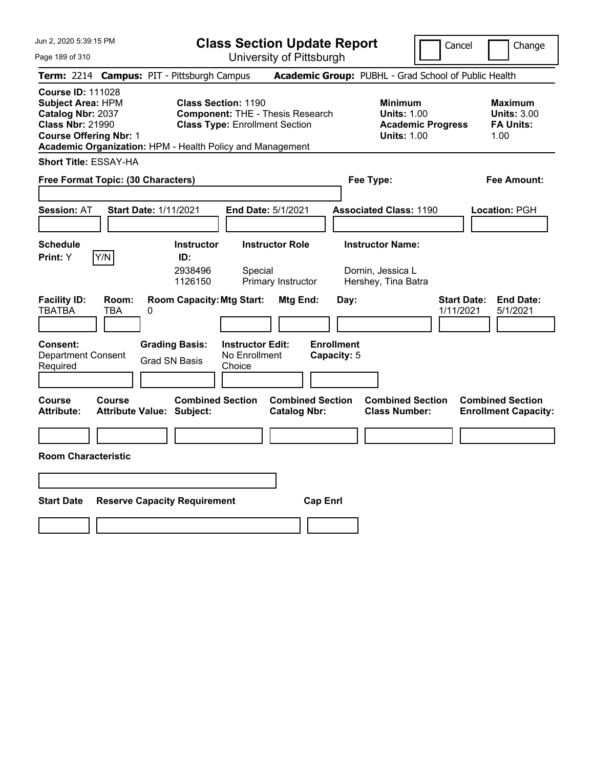Page 189 of 310

**Class Section Update Report**

University of Pittsburgh

Cancel | Change

**Term:** 2214 **Campus:** PIT - Pittsburgh Campus **Academic Group:** PUBHL - Grad School of Public Health **Course ID:** 111028 **Subject Area:** HPM **Class Section:** 1190 **Minimum Maximum Catalog Nbr:** 2037 **Component:** THE - Thesis Research **Units:** 1.00 **Units:** 3.00 **Class Nbr:** 21990 **Class Type:** Enrollment Section **Academic Progress FA Units: Course Offering Nbr: 1 Units: 1.00** 1.00 **Academic Organization:** HPM - Health Policy and Management **Short Title:** ESSAY-HA **Free Format Topic: (30 Characters) Fee Type: Fee Amount: Session:** AT **Start Date:** 1/11/2021 **End Date:** 5/1/2021 **Associated Class:** 1190 **Location:** PGH **Schedule Instructor Instructor Role Instructor Name: Print:**  $Y$   $|Y/N|$  **ID:** 2938496 Special Dornin, Jessica L 1126150 Primary Instructor Hershey, Tina Batra **Facility ID: Room: Room Capacity:Mtg Start: Mtg End: Day: Start Date: End Date:** TBATBA TBA 0 1/11/2021 5/1/2021 **Consent: Grading Basis: Instructor Edit: Enrollment** Department Consent Required Grad SN Basis No Enrollment **Choice Capacity:** 5 **Course Course Combined Section Combined Section Combined Section Combined Section**  Attribute: Attribute Value: Subject: Catalog Nbr: Class Number: Enrollment Capacity: **Room Characteristic Start Date Reserve Capacity Requirement Cap Enrl**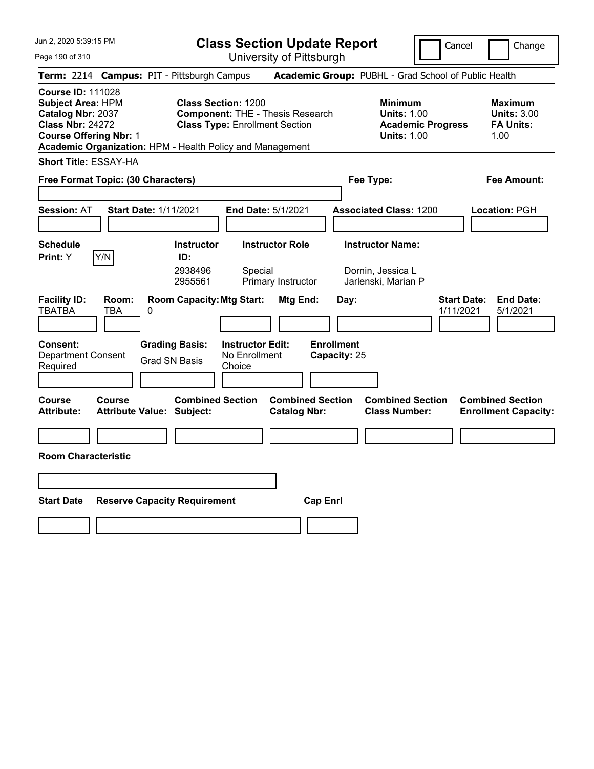**Class Section Update Report**

Cancel **Change** 

| Page 190 of 310                                                                                                                       |                                                                                         | University of Pittsburgh                                                         |                                                                                        |                                                                  |
|---------------------------------------------------------------------------------------------------------------------------------------|-----------------------------------------------------------------------------------------|----------------------------------------------------------------------------------|----------------------------------------------------------------------------------------|------------------------------------------------------------------|
|                                                                                                                                       | Term: 2214 Campus: PIT - Pittsburgh Campus                                              |                                                                                  | Academic Group: PUBHL - Grad School of Public Health                                   |                                                                  |
| <b>Course ID: 111028</b><br><b>Subject Area: HPM</b><br>Catalog Nbr: 2037<br><b>Class Nbr: 24272</b><br><b>Course Offering Nbr: 1</b> | <b>Class Section: 1200</b><br>Academic Organization: HPM - Health Policy and Management | <b>Component: THE - Thesis Research</b><br><b>Class Type: Enrollment Section</b> | <b>Minimum</b><br><b>Units: 1.00</b><br><b>Academic Progress</b><br><b>Units: 1.00</b> | <b>Maximum</b><br><b>Units: 3.00</b><br><b>FA Units:</b><br>1.00 |
| <b>Short Title: ESSAY-HA</b><br>Free Format Topic: (30 Characters)                                                                    |                                                                                         |                                                                                  | Fee Type:                                                                              | Fee Amount:                                                      |
| <b>Session: AT</b>                                                                                                                    | <b>Start Date: 1/11/2021</b>                                                            | End Date: 5/1/2021                                                               | <b>Associated Class: 1200</b>                                                          | Location: PGH                                                    |
| <b>Schedule</b><br>Y/N<br><b>Print:</b> Y                                                                                             | <b>Instructor</b><br>ID:<br>2938496<br>2955561                                          | <b>Instructor Role</b><br>Special<br>Primary Instructor                          | <b>Instructor Name:</b><br>Dornin, Jessica L<br>Jarlenski, Marian P                    |                                                                  |
| <b>Facility ID:</b><br>Room:<br><b>TBATBA</b><br>TBA                                                                                  | <b>Room Capacity: Mtg Start:</b><br>0                                                   | Mtg End:                                                                         | Day:                                                                                   | <b>Start Date:</b><br><b>End Date:</b><br>1/11/2021<br>5/1/2021  |
| Consent:<br><b>Department Consent</b><br>Required                                                                                     | <b>Grading Basis:</b><br>Grad SN Basis                                                  | <b>Instructor Edit:</b><br>No Enrollment<br>Choice                               | <b>Enrollment</b><br>Capacity: 25                                                      |                                                                  |
| <b>Course</b><br><b>Course</b><br><b>Attribute:</b>                                                                                   | <b>Combined Section</b><br><b>Attribute Value: Subject:</b>                             | <b>Combined Section</b><br><b>Catalog Nbr:</b>                                   | <b>Combined Section</b><br><b>Class Number:</b>                                        | <b>Combined Section</b><br><b>Enrollment Capacity:</b>           |
|                                                                                                                                       |                                                                                         |                                                                                  |                                                                                        |                                                                  |
| <b>Room Characteristic</b>                                                                                                            |                                                                                         |                                                                                  |                                                                                        |                                                                  |
|                                                                                                                                       |                                                                                         |                                                                                  |                                                                                        |                                                                  |
| <b>Start Date</b>                                                                                                                     | <b>Reserve Capacity Requirement</b>                                                     | <b>Cap Enrl</b>                                                                  |                                                                                        |                                                                  |
|                                                                                                                                       |                                                                                         |                                                                                  |                                                                                        |                                                                  |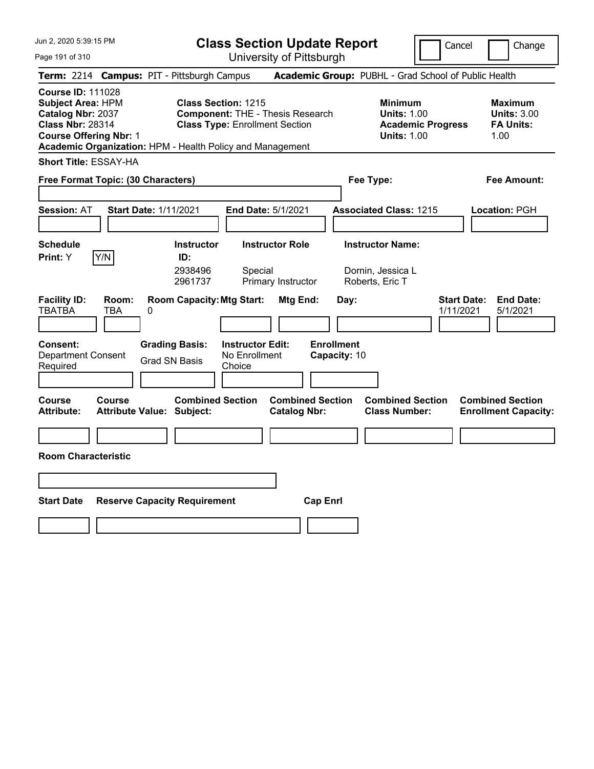Page 191 of 310

**Class Section Update Report**

Cancel Change

|                                                                                                                                       |                     |                                                                                                                                  |                                                    | UNIVUUTIY UN NIUDUNIYN                         |                                   |                                                                                        |                                                                  |
|---------------------------------------------------------------------------------------------------------------------------------------|---------------------|----------------------------------------------------------------------------------------------------------------------------------|----------------------------------------------------|------------------------------------------------|-----------------------------------|----------------------------------------------------------------------------------------|------------------------------------------------------------------|
|                                                                                                                                       |                     | Term: 2214 Campus: PIT - Pittsburgh Campus                                                                                       |                                                    |                                                |                                   | Academic Group: PUBHL - Grad School of Public Health                                   |                                                                  |
| <b>Course ID: 111028</b><br><b>Subject Area: HPM</b><br>Catalog Nbr: 2037<br><b>Class Nbr: 28314</b><br><b>Course Offering Nbr: 1</b> |                     | <b>Class Section: 1215</b><br><b>Class Type: Enrollment Section</b><br>Academic Organization: HPM - Health Policy and Management |                                                    | <b>Component: THE - Thesis Research</b>        |                                   | <b>Minimum</b><br><b>Units: 1.00</b><br><b>Academic Progress</b><br><b>Units: 1.00</b> | <b>Maximum</b><br><b>Units: 3.00</b><br><b>FA Units:</b><br>1.00 |
| <b>Short Title: ESSAY-HA</b>                                                                                                          |                     |                                                                                                                                  |                                                    |                                                |                                   |                                                                                        |                                                                  |
| <b>Free Format Topic: (30 Characters)</b>                                                                                             |                     |                                                                                                                                  |                                                    |                                                |                                   | Fee Type:                                                                              | Fee Amount:                                                      |
| <b>Session:</b> AT                                                                                                                    |                     | <b>Start Date: 1/11/2021</b>                                                                                                     | End Date: 5/1/2021                                 |                                                |                                   | <b>Associated Class: 1215</b>                                                          | Location: PGH                                                    |
| <b>Schedule</b><br>Y/N<br>Print: Y                                                                                                    |                     | <b>Instructor</b><br>ID:<br>2938496<br>2961737                                                                                   | Special                                            | <b>Instructor Role</b><br>Primary Instructor   |                                   | <b>Instructor Name:</b><br>Dornin, Jessica L<br>Roberts, Eric T                        |                                                                  |
| <b>Facility ID:</b><br><b>TBATBA</b>                                                                                                  | Room:<br><b>TBA</b> | <b>Room Capacity: Mtg Start:</b><br>0                                                                                            |                                                    | Mtg End:                                       | Day:                              | <b>Start Date:</b><br>1/11/2021                                                        | <b>End Date:</b><br>5/1/2021                                     |
| <b>Consent:</b><br><b>Department Consent</b><br>Required                                                                              |                     | <b>Grading Basis:</b><br><b>Grad SN Basis</b>                                                                                    | <b>Instructor Edit:</b><br>No Enrollment<br>Choice |                                                | <b>Enrollment</b><br>Capacity: 10 |                                                                                        |                                                                  |
| Course<br>Attribute:                                                                                                                  | Course              | <b>Combined Section</b><br><b>Attribute Value: Subject:</b>                                                                      |                                                    | <b>Combined Section</b><br><b>Catalog Nbr:</b> |                                   | <b>Combined Section</b><br><b>Class Number:</b>                                        | <b>Combined Section</b><br><b>Enrollment Capacity:</b>           |
|                                                                                                                                       |                     |                                                                                                                                  |                                                    |                                                |                                   |                                                                                        |                                                                  |
| <b>Room Characteristic</b>                                                                                                            |                     |                                                                                                                                  |                                                    |                                                |                                   |                                                                                        |                                                                  |
|                                                                                                                                       |                     |                                                                                                                                  |                                                    |                                                |                                   |                                                                                        |                                                                  |
| <b>Start Date</b>                                                                                                                     |                     | <b>Reserve Capacity Requirement</b>                                                                                              |                                                    | <b>Cap Enrl</b>                                |                                   |                                                                                        |                                                                  |
|                                                                                                                                       |                     |                                                                                                                                  |                                                    |                                                |                                   |                                                                                        |                                                                  |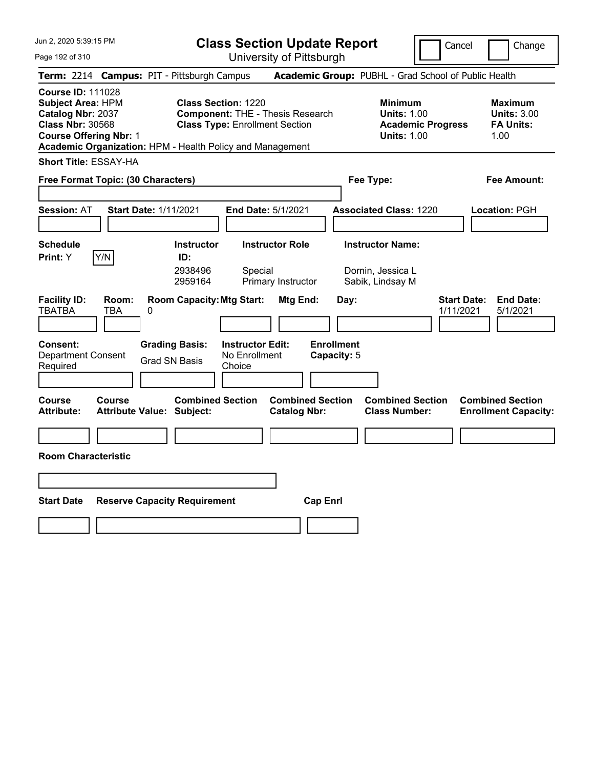**Class Section Update Report** University of Pittsburgh

Cancel Change

Page 192 of 310

|                                                                                                                                       |              | Term: 2214 Campus: PIT - Pittsburgh Campus                  |                                                                                                                |                                                |                                  | Academic Group: PUBHL - Grad School of Public Health                                   |                                 |                                                                  |
|---------------------------------------------------------------------------------------------------------------------------------------|--------------|-------------------------------------------------------------|----------------------------------------------------------------------------------------------------------------|------------------------------------------------|----------------------------------|----------------------------------------------------------------------------------------|---------------------------------|------------------------------------------------------------------|
| <b>Course ID: 111028</b><br><b>Subject Area: HPM</b><br>Catalog Nbr: 2037<br><b>Class Nbr: 30568</b><br><b>Course Offering Nbr: 1</b> |              | Academic Organization: HPM - Health Policy and Management   | <b>Class Section: 1220</b><br><b>Component: THE - Thesis Research</b><br><b>Class Type: Enrollment Section</b> |                                                |                                  | <b>Minimum</b><br><b>Units: 1.00</b><br><b>Academic Progress</b><br><b>Units: 1.00</b> |                                 | <b>Maximum</b><br><b>Units: 3.00</b><br><b>FA Units:</b><br>1.00 |
| <b>Short Title: ESSAY-HA</b>                                                                                                          |              |                                                             |                                                                                                                |                                                |                                  |                                                                                        |                                 |                                                                  |
| Free Format Topic: (30 Characters)                                                                                                    |              |                                                             |                                                                                                                |                                                | Fee Type:                        |                                                                                        |                                 | <b>Fee Amount:</b>                                               |
| <b>Session: AT</b>                                                                                                                    |              | Start Date: 1/11/2021                                       | End Date: 5/1/2021                                                                                             |                                                |                                  | <b>Associated Class: 1220</b>                                                          |                                 | Location: PGH                                                    |
| <b>Schedule</b><br>Print: Y                                                                                                           | Y/N          | <b>Instructor</b><br>ID:<br>2938496<br>2959164              | <b>Instructor Role</b><br>Special<br>Primary Instructor                                                        |                                                |                                  | <b>Instructor Name:</b><br>Dornin, Jessica L<br>Sabik, Lindsay M                       |                                 |                                                                  |
| <b>Facility ID:</b><br><b>TBATBA</b>                                                                                                  | Room:<br>TBA | <b>Room Capacity: Mtg Start:</b><br>0                       |                                                                                                                | Mtg End:                                       | Day:                             |                                                                                        | <b>Start Date:</b><br>1/11/2021 | <b>End Date:</b><br>5/1/2021                                     |
| <b>Consent:</b><br><b>Department Consent</b><br>Required                                                                              |              | <b>Grading Basis:</b><br><b>Grad SN Basis</b>               | <b>Instructor Edit:</b><br>No Enrollment<br>Choice                                                             |                                                | <b>Enrollment</b><br>Capacity: 5 |                                                                                        |                                 |                                                                  |
| Course<br><b>Attribute:</b>                                                                                                           | Course       | <b>Combined Section</b><br><b>Attribute Value: Subject:</b> |                                                                                                                | <b>Combined Section</b><br><b>Catalog Nbr:</b> |                                  | <b>Combined Section</b><br><b>Class Number:</b>                                        |                                 | <b>Combined Section</b><br><b>Enrollment Capacity:</b>           |
| <b>Room Characteristic</b>                                                                                                            |              |                                                             |                                                                                                                |                                                |                                  |                                                                                        |                                 |                                                                  |
| <b>Start Date</b>                                                                                                                     |              | <b>Reserve Capacity Requirement</b>                         |                                                                                                                | <b>Cap Enrl</b>                                |                                  |                                                                                        |                                 |                                                                  |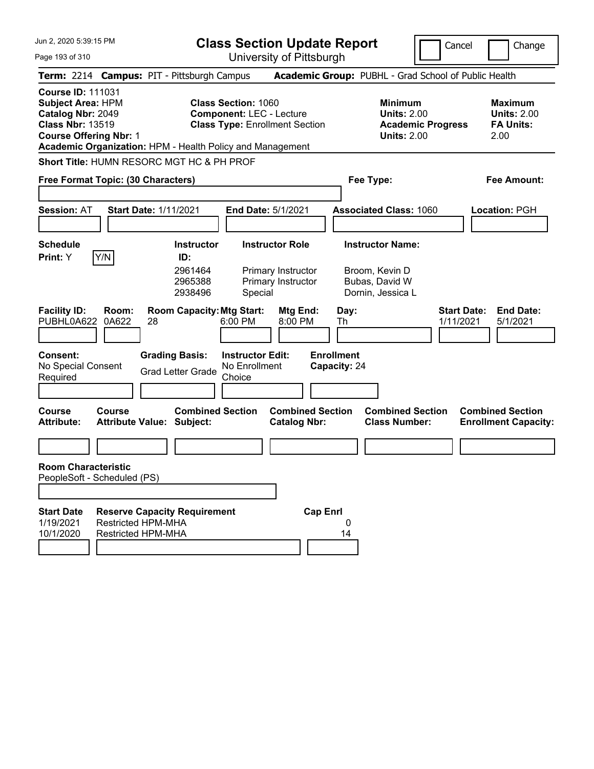|  | Jun 2, 2020 5:39:15 PM |  |
|--|------------------------|--|
|  |                        |  |

Page 193 of 310

**Class Section Update Report**

Cancel Change

| Term: 2214 Campus: PIT - Pittsburgh Campus                                                                                                                                                                                                                                                                                                                   |                                                                                               |                                                                                                        | Academic Group: PUBHL - Grad School of Public Health                                   |                                                                  |  |  |
|--------------------------------------------------------------------------------------------------------------------------------------------------------------------------------------------------------------------------------------------------------------------------------------------------------------------------------------------------------------|-----------------------------------------------------------------------------------------------|--------------------------------------------------------------------------------------------------------|----------------------------------------------------------------------------------------|------------------------------------------------------------------|--|--|
| <b>Course ID: 111031</b><br><b>Subject Area: HPM</b><br>Catalog Nbr: 2049<br><b>Class Nbr: 13519</b><br><b>Course Offering Nbr: 1</b><br>Academic Organization: HPM - Health Policy and Management                                                                                                                                                           |                                                                                               | <b>Class Section: 1060</b><br><b>Component: LEC - Lecture</b><br><b>Class Type: Enrollment Section</b> | <b>Minimum</b><br><b>Units: 2.00</b><br><b>Academic Progress</b><br><b>Units: 2.00</b> | <b>Maximum</b><br><b>Units: 2.00</b><br><b>FA Units:</b><br>2.00 |  |  |
| Short Title: HUMN RESORC MGT HC & PH PROF                                                                                                                                                                                                                                                                                                                    |                                                                                               |                                                                                                        |                                                                                        |                                                                  |  |  |
| Free Format Topic: (30 Characters)                                                                                                                                                                                                                                                                                                                           |                                                                                               |                                                                                                        | Fee Type:                                                                              | Fee Amount:                                                      |  |  |
| <b>Session: AT</b>                                                                                                                                                                                                                                                                                                                                           | <b>Start Date: 1/11/2021</b>                                                                  | <b>End Date: 5/1/2021</b>                                                                              | <b>Associated Class: 1060</b>                                                          | Location: PGH                                                    |  |  |
| <b>Schedule</b><br>Y/N<br>Print: Y                                                                                                                                                                                                                                                                                                                           | <b>Instructor</b><br>ID:<br>2961464<br>2965388<br>2938496                                     | <b>Instructor Role</b><br>Primary Instructor<br>Primary Instructor<br>Special                          | <b>Instructor Name:</b><br>Broom, Kevin D<br>Bubas, David W<br>Dornin, Jessica L       |                                                                  |  |  |
| <b>Room Capacity: Mtg Start:</b><br><b>Start Date:</b><br><b>End Date:</b><br><b>Facility ID:</b><br>Room:<br>Mtg End:<br>Day:<br>PUBHL0A622<br>0A622<br>28<br>6:00 PM<br>8:00 PM<br>1/11/2021<br>Th<br>5/1/2021<br><b>Instructor Edit:</b><br><b>Enrollment</b><br>Consent:<br><b>Grading Basis:</b><br>No Special Consent<br>No Enrollment<br>Capacity: 24 |                                                                                               |                                                                                                        |                                                                                        |                                                                  |  |  |
| Required                                                                                                                                                                                                                                                                                                                                                     | <b>Grad Letter Grade</b>                                                                      | Choice                                                                                                 |                                                                                        |                                                                  |  |  |
| Course<br>Course<br><b>Attribute:</b>                                                                                                                                                                                                                                                                                                                        | <b>Combined Section</b><br><b>Attribute Value: Subject:</b>                                   | <b>Combined Section</b><br><b>Catalog Nbr:</b>                                                         | <b>Combined Section</b><br><b>Class Number:</b>                                        | <b>Combined Section</b><br><b>Enrollment Capacity:</b>           |  |  |
|                                                                                                                                                                                                                                                                                                                                                              |                                                                                               |                                                                                                        |                                                                                        |                                                                  |  |  |
| <b>Room Characteristic</b><br>PeopleSoft - Scheduled (PS)<br><b>Start Date</b><br>1/19/2021<br>10/1/2020                                                                                                                                                                                                                                                     | <b>Reserve Capacity Requirement</b><br><b>Restricted HPM-MHA</b><br><b>Restricted HPM-MHA</b> | <b>Cap Enrl</b>                                                                                        | 0<br>14                                                                                |                                                                  |  |  |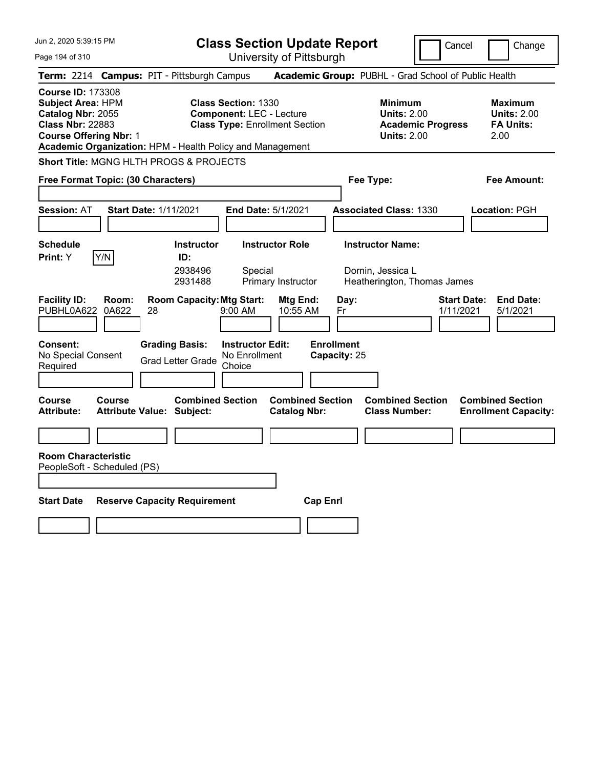Page 194 of 310

**Class Section Update Report**

Cancel **Change** 

|                                                                                                                                       |                |                                                                                             |                                                                 | UNIVUOILY ULI ILLUUUI YN                       |                                                 |                                                                                        |                                                                  |
|---------------------------------------------------------------------------------------------------------------------------------------|----------------|---------------------------------------------------------------------------------------------|-----------------------------------------------------------------|------------------------------------------------|-------------------------------------------------|----------------------------------------------------------------------------------------|------------------------------------------------------------------|
|                                                                                                                                       |                | Term: 2214 Campus: PIT - Pittsburgh Campus                                                  |                                                                 |                                                |                                                 | <b>Academic Group: PUBHL - Grad School of Public Health</b>                            |                                                                  |
| <b>Course ID: 173308</b><br><b>Subject Area: HPM</b><br>Catalog Nbr: 2055<br><b>Class Nbr: 22883</b><br><b>Course Offering Nbr: 1</b> |                | Academic Organization: HPM - Health Policy and Management                                   | <b>Class Section: 1330</b><br><b>Component: LEC - Lecture</b>   | <b>Class Type: Enrollment Section</b>          |                                                 | <b>Minimum</b><br><b>Units: 2.00</b><br><b>Academic Progress</b><br><b>Units: 2.00</b> | <b>Maximum</b><br><b>Units: 2.00</b><br><b>FA Units:</b><br>2.00 |
|                                                                                                                                       |                | Short Title: MGNG HLTH PROGS & PROJECTS                                                     |                                                                 |                                                |                                                 |                                                                                        |                                                                  |
| Free Format Topic: (30 Characters)                                                                                                    |                |                                                                                             |                                                                 |                                                |                                                 | Fee Type:                                                                              | <b>Fee Amount:</b>                                               |
| <b>Session: AT</b>                                                                                                                    |                | Start Date: 1/11/2021                                                                       |                                                                 | End Date: 5/1/2021                             |                                                 | <b>Associated Class: 1330</b>                                                          | Location: PGH                                                    |
| <b>Schedule</b><br>Y/N<br><b>Print:</b> Y                                                                                             |                | <b>Instructor</b><br>ID:<br>2938496<br>2931488                                              | Special                                                         | <b>Instructor Role</b><br>Primary Instructor   |                                                 | <b>Instructor Name:</b><br>Dornin, Jessica L<br>Heatherington, Thomas James            |                                                                  |
| <b>Facility ID:</b><br>PUBHL0A622<br><b>Consent:</b><br>No Special Consent<br>Required                                                | Room:<br>0A622 | <b>Room Capacity: Mtg Start:</b><br>28<br><b>Grading Basis:</b><br><b>Grad Letter Grade</b> | $9:00$ AM<br><b>Instructor Edit:</b><br>No Enrollment<br>Choice | Mtg End:<br>10:55 AM                           | Day:<br>Fr<br><b>Enrollment</b><br>Capacity: 25 | 1/11/2021                                                                              | <b>Start Date:</b><br><b>End Date:</b><br>5/1/2021               |
| <b>Course</b><br><b>Attribute:</b>                                                                                                    | Course         | <b>Combined Section</b><br><b>Attribute Value: Subject:</b>                                 |                                                                 | <b>Combined Section</b><br><b>Catalog Nbr:</b> |                                                 | <b>Combined Section</b><br><b>Class Number:</b>                                        | <b>Combined Section</b><br><b>Enrollment Capacity:</b>           |
| <b>Room Characteristic</b><br>PeopleSoft - Scheduled (PS)                                                                             |                |                                                                                             |                                                                 |                                                |                                                 |                                                                                        |                                                                  |
| <b>Start Date</b>                                                                                                                     |                | <b>Reserve Capacity Requirement</b>                                                         |                                                                 | <b>Cap Enrl</b>                                |                                                 |                                                                                        |                                                                  |
|                                                                                                                                       |                |                                                                                             |                                                                 |                                                |                                                 |                                                                                        |                                                                  |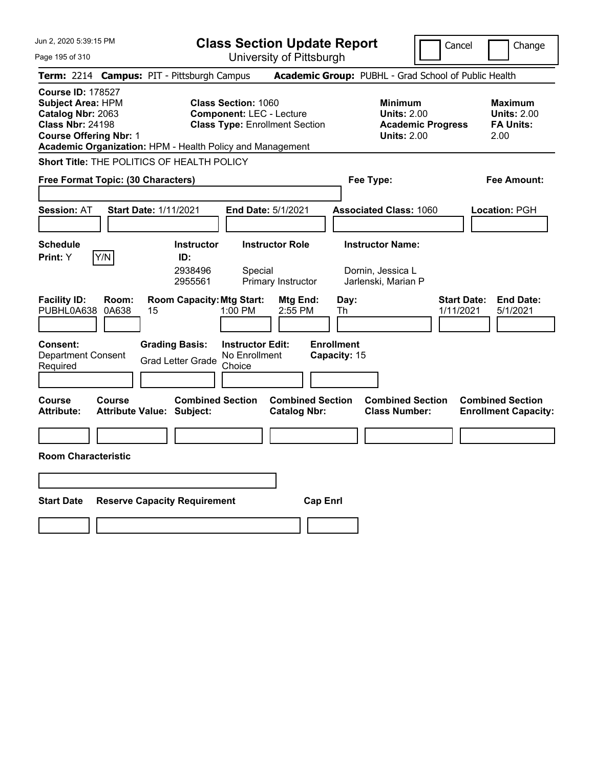| Jun 2, 2020 5:39:15 PM                                                                                                                                                                             | <b>Class Section Update Report</b>                                                                                       |                                                                            | Cancel                          | Change                                                           |
|----------------------------------------------------------------------------------------------------------------------------------------------------------------------------------------------------|--------------------------------------------------------------------------------------------------------------------------|----------------------------------------------------------------------------|---------------------------------|------------------------------------------------------------------|
| Page 195 of 310                                                                                                                                                                                    | University of Pittsburgh                                                                                                 |                                                                            |                                 |                                                                  |
| <b>Campus: PIT - Pittsburgh Campus</b><br><b>Term: 2214</b>                                                                                                                                        |                                                                                                                          | Academic Group: PUBHL - Grad School of Public Health                       |                                 |                                                                  |
| <b>Course ID: 178527</b><br><b>Subject Area: HPM</b><br>Catalog Nbr: 2063<br><b>Class Nbr: 24198</b><br><b>Course Offering Nbr: 1</b><br>Academic Organization: HPM - Health Policy and Management | <b>Class Section: 1060</b><br><b>Component: LEC - Lecture</b><br><b>Class Type: Enrollment Section</b>                   | <b>Minimum</b><br><b>Units: 2.00</b><br><b>Units: 2.00</b>                 | <b>Academic Progress</b>        | <b>Maximum</b><br><b>Units: 2.00</b><br><b>FA Units:</b><br>2.00 |
| Short Title: THE POLITICS OF HEALTH POLICY                                                                                                                                                         |                                                                                                                          |                                                                            |                                 |                                                                  |
| Free Format Topic: (30 Characters)                                                                                                                                                                 |                                                                                                                          | Fee Type:                                                                  |                                 | Fee Amount:                                                      |
| <b>Session: AT</b><br><b>Start Date: 1/11/2021</b>                                                                                                                                                 | <b>End Date: 5/1/2021</b>                                                                                                | <b>Associated Class: 1060</b>                                              |                                 | Location: PGH                                                    |
| <b>Schedule</b><br>Y/N<br>Print: Y                                                                                                                                                                 | <b>Instructor Role</b><br><b>Instructor</b><br>ID:<br>2938496<br>Special<br>2955561<br>Primary Instructor                | <b>Instructor Name:</b><br>Dornin, Jessica L<br>Jarlenski, Marian P        |                                 |                                                                  |
| <b>Facility ID:</b><br>Room:<br>PUBHL0A638<br>0A638<br>15<br>Consent:<br><b>Grading Basis:</b><br><b>Department Consent</b><br><b>Grad Letter Grade</b><br>Required                                | <b>Room Capacity: Mtg Start:</b><br>Mtg End:<br>1:00 PM<br>2:55 PM<br><b>Instructor Edit:</b><br>No Enrollment<br>Choice | Day:<br>Th<br><b>Enrollment</b><br>Capacity: 15                            | <b>Start Date:</b><br>1/11/2021 | <b>End Date:</b><br>5/1/2021                                     |
| Course<br><b>Course</b><br><b>Attribute:</b><br><b>Attribute Value: Subject:</b>                                                                                                                   | <b>Combined Section</b><br><b>Catalog Nbr:</b>                                                                           | <b>Combined Section</b><br><b>Combined Section</b><br><b>Class Number:</b> |                                 | <b>Combined Section</b><br><b>Enrollment Capacity:</b>           |
|                                                                                                                                                                                                    |                                                                                                                          |                                                                            |                                 |                                                                  |
| <b>Room Characteristic</b>                                                                                                                                                                         |                                                                                                                          |                                                                            |                                 |                                                                  |
|                                                                                                                                                                                                    |                                                                                                                          |                                                                            |                                 |                                                                  |
| <b>Start Date</b><br><b>Reserve Capacity Requirement</b>                                                                                                                                           |                                                                                                                          | <b>Cap Enri</b>                                                            |                                 |                                                                  |
|                                                                                                                                                                                                    |                                                                                                                          |                                                                            |                                 |                                                                  |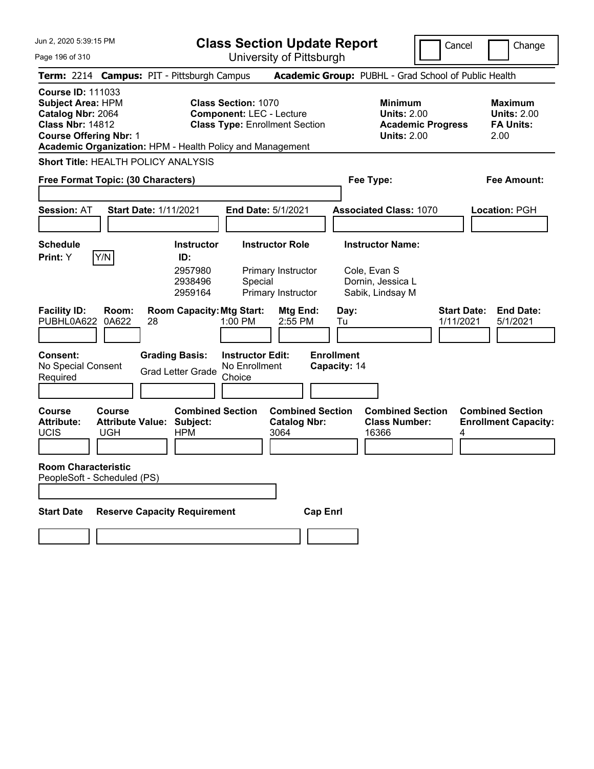**Class Section Update Report** University of Pittsburgh

Cancel Change

Page 196 of 310

|                                                                                                                                       |                                          | Term: 2214 Campus: PIT - Pittsburgh Campus                                                  |                                                                                                                                                                     | Academic Group: PUBHL - Grad School of Public Health                                   |                                                                  |
|---------------------------------------------------------------------------------------------------------------------------------------|------------------------------------------|---------------------------------------------------------------------------------------------|---------------------------------------------------------------------------------------------------------------------------------------------------------------------|----------------------------------------------------------------------------------------|------------------------------------------------------------------|
| <b>Course ID: 111033</b><br><b>Subject Area: HPM</b><br>Catalog Nbr: 2064<br><b>Class Nbr: 14812</b><br><b>Course Offering Nbr: 1</b> |                                          |                                                                                             | <b>Class Section: 1070</b><br><b>Component: LEC - Lecture</b><br><b>Class Type: Enrollment Section</b><br>Academic Organization: HPM - Health Policy and Management | <b>Minimum</b><br><b>Units: 2.00</b><br><b>Academic Progress</b><br><b>Units: 2.00</b> | <b>Maximum</b><br><b>Units: 2.00</b><br><b>FA Units:</b><br>2.00 |
|                                                                                                                                       |                                          | Short Title: HEALTH POLICY ANALYSIS                                                         |                                                                                                                                                                     |                                                                                        |                                                                  |
| Free Format Topic: (30 Characters)                                                                                                    |                                          |                                                                                             |                                                                                                                                                                     | Fee Type:                                                                              | Fee Amount:                                                      |
| <b>Session: AT</b>                                                                                                                    |                                          | <b>Start Date: 1/11/2021</b>                                                                | End Date: 5/1/2021                                                                                                                                                  | <b>Associated Class: 1070</b>                                                          | Location: PGH                                                    |
| <b>Schedule</b><br>Print: Y                                                                                                           | Y/N                                      | <b>Instructor</b><br>ID:<br>2957980<br>2938496<br>2959164                                   | <b>Instructor Role</b><br>Primary Instructor<br>Special<br>Primary Instructor                                                                                       | <b>Instructor Name:</b><br>Cole, Evan S<br>Dornin, Jessica L<br>Sabik, Lindsay M       |                                                                  |
| <b>Facility ID:</b><br>PUBHL0A622<br><b>Consent:</b><br>No Special Consent<br>Required                                                | Room:<br>0A622                           | <b>Room Capacity: Mtg Start:</b><br>28<br><b>Grading Basis:</b><br><b>Grad Letter Grade</b> | Mtg End:<br>1:00 PM<br>2:55 PM<br><b>Instructor Edit:</b><br>No Enrollment<br>Choice                                                                                | <b>Start Date:</b><br>Day:<br>1/11/2021<br>Tu<br><b>Enrollment</b><br>Capacity: 14     | <b>End Date:</b><br>5/1/2021                                     |
| Course<br><b>Attribute:</b><br>UCIS<br><b>Room Characteristic</b><br>PeopleSoft - Scheduled (PS)                                      | Course<br><b>Attribute Value:</b><br>UGH | <b>Combined Section</b><br>Subject:<br><b>HPM</b>                                           | <b>Combined Section</b><br><b>Catalog Nbr:</b><br>3064                                                                                                              | <b>Combined Section</b><br><b>Class Number:</b><br>16366<br>4                          | <b>Combined Section</b><br><b>Enrollment Capacity:</b>           |
| <b>Start Date</b>                                                                                                                     |                                          | <b>Reserve Capacity Requirement</b>                                                         | <b>Cap Enrl</b>                                                                                                                                                     |                                                                                        |                                                                  |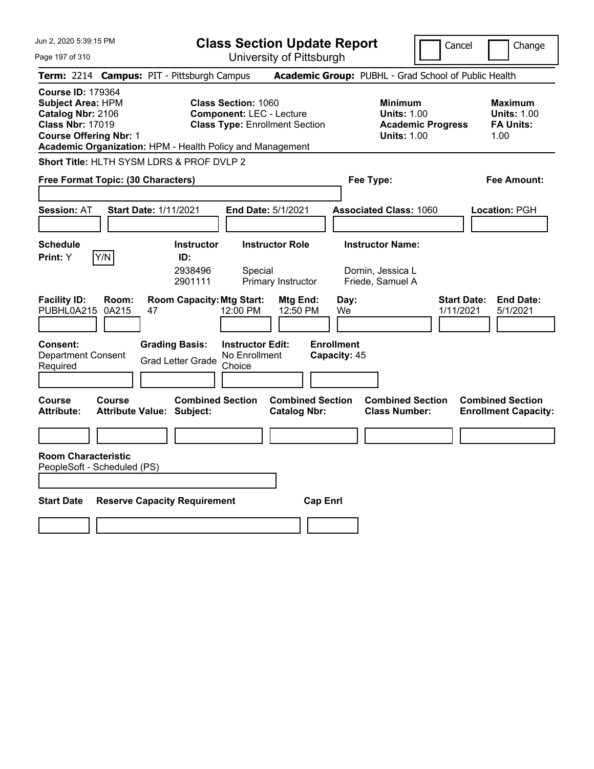Page 197 of 310

**Class Section Update Report**

Cancel **Change** 

|                                                                                                                                                                                                    |                                                                 | UNIVUOILY ULI RODULYN                                                                                  |                                                                                        |                                                                  |
|----------------------------------------------------------------------------------------------------------------------------------------------------------------------------------------------------|-----------------------------------------------------------------|--------------------------------------------------------------------------------------------------------|----------------------------------------------------------------------------------------|------------------------------------------------------------------|
| Term: 2214 Campus: PIT - Pittsburgh Campus                                                                                                                                                         |                                                                 |                                                                                                        | <b>Academic Group: PUBHL - Grad School of Public Health</b>                            |                                                                  |
| <b>Course ID: 179364</b><br><b>Subject Area: HPM</b><br>Catalog Nbr: 2106<br><b>Class Nbr: 17019</b><br><b>Course Offering Nbr: 1</b><br>Academic Organization: HPM - Health Policy and Management |                                                                 | <b>Class Section: 1060</b><br><b>Component: LEC - Lecture</b><br><b>Class Type: Enrollment Section</b> | <b>Minimum</b><br><b>Units: 1.00</b><br><b>Academic Progress</b><br><b>Units: 1.00</b> | <b>Maximum</b><br><b>Units: 1.00</b><br><b>FA Units:</b><br>1.00 |
| Short Title: HLTH SYSM LDRS & PROF DVLP 2                                                                                                                                                          |                                                                 |                                                                                                        |                                                                                        |                                                                  |
| Free Format Topic: (30 Characters)                                                                                                                                                                 |                                                                 |                                                                                                        | Fee Type:                                                                              | <b>Fee Amount:</b>                                               |
| <b>Session: AT</b>                                                                                                                                                                                 | <b>Start Date: 1/11/2021</b>                                    | End Date: 5/1/2021                                                                                     | <b>Associated Class: 1060</b>                                                          | Location: PGH                                                    |
| <b>Schedule</b><br>Y/N<br><b>Print:</b> Y                                                                                                                                                          | <b>Instructor</b><br>ID:<br>2938496<br>2901111                  | <b>Instructor Role</b><br>Special<br>Primary Instructor                                                | <b>Instructor Name:</b><br>Dornin, Jessica L<br>Friede, Samuel A                       |                                                                  |
| <b>Facility ID:</b><br>Room:<br>PUBHL0A215<br>0A215<br>Consent:                                                                                                                                    | <b>Room Capacity: Mtg Start:</b><br>47<br><b>Grading Basis:</b> | Mtg End:<br>12:00 PM<br>12:50 PM<br><b>Instructor Edit:</b>                                            | Day:<br>We<br><b>Enrollment</b>                                                        | <b>End Date:</b><br><b>Start Date:</b><br>5/1/2021<br>1/11/2021  |
| <b>Department Consent</b><br>Required                                                                                                                                                              | <b>Grad Letter Grade</b>                                        | No Enrollment<br>Choice                                                                                | Capacity: 45                                                                           |                                                                  |
| Course<br><b>Course</b><br>Attribute:                                                                                                                                                              | <b>Combined Section</b><br><b>Attribute Value: Subject:</b>     | <b>Combined Section</b><br><b>Catalog Nbr:</b>                                                         | <b>Combined Section</b><br><b>Class Number:</b>                                        | <b>Combined Section</b><br><b>Enrollment Capacity:</b>           |
|                                                                                                                                                                                                    |                                                                 |                                                                                                        |                                                                                        |                                                                  |
| <b>Room Characteristic</b><br>PeopleSoft - Scheduled (PS)                                                                                                                                          |                                                                 |                                                                                                        |                                                                                        |                                                                  |
| <b>Start Date</b>                                                                                                                                                                                  | <b>Reserve Capacity Requirement</b>                             |                                                                                                        | <b>Cap Enrl</b>                                                                        |                                                                  |
|                                                                                                                                                                                                    |                                                                 |                                                                                                        |                                                                                        |                                                                  |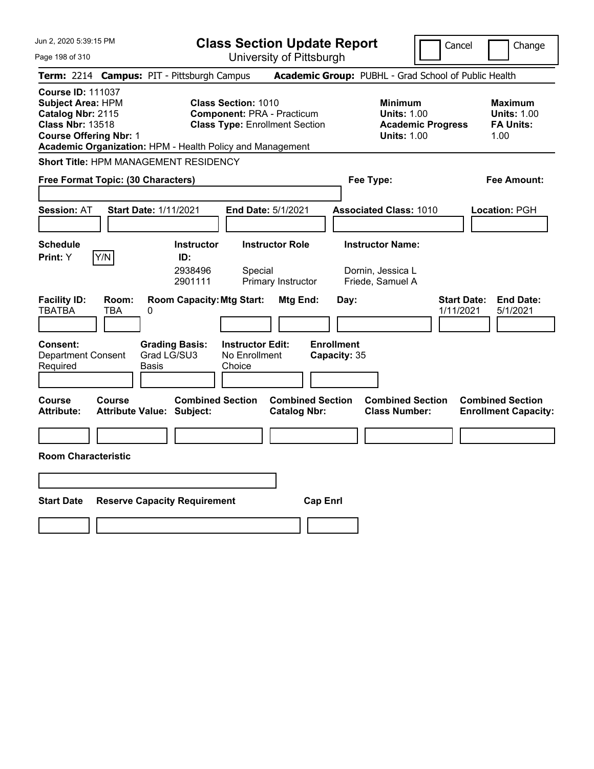| Jun 2, 2020 5:39:15 PM                                                                                                                                                                             | <b>Class Section Update Report</b><br>Cancel<br>Change                                                                                        |                                                |                                                                                        |                                                                  |  |
|----------------------------------------------------------------------------------------------------------------------------------------------------------------------------------------------------|-----------------------------------------------------------------------------------------------------------------------------------------------|------------------------------------------------|----------------------------------------------------------------------------------------|------------------------------------------------------------------|--|
| Page 198 of 310                                                                                                                                                                                    |                                                                                                                                               | University of Pittsburgh                       |                                                                                        |                                                                  |  |
| Term: 2214 Campus: PIT - Pittsburgh Campus                                                                                                                                                         |                                                                                                                                               |                                                | Academic Group: PUBHL - Grad School of Public Health                                   |                                                                  |  |
| <b>Course ID: 111037</b><br><b>Subject Area: HPM</b><br>Catalog Nbr: 2115<br><b>Class Nbr: 13518</b><br><b>Course Offering Nbr: 1</b><br>Academic Organization: HPM - Health Policy and Management | <b>Class Section: 1010</b><br><b>Component: PRA - Practicum</b><br><b>Class Type: Enrollment Section</b>                                      |                                                | <b>Minimum</b><br><b>Units: 1.00</b><br><b>Academic Progress</b><br><b>Units: 1.00</b> | <b>Maximum</b><br><b>Units: 1.00</b><br><b>FA Units:</b><br>1.00 |  |
| <b>Short Title: HPM MANAGEMENT RESIDENCY</b>                                                                                                                                                       |                                                                                                                                               |                                                |                                                                                        |                                                                  |  |
| Free Format Topic: (30 Characters)                                                                                                                                                                 |                                                                                                                                               |                                                | Fee Type:                                                                              | Fee Amount:                                                      |  |
| <b>Start Date: 1/11/2021</b><br><b>Session: AT</b>                                                                                                                                                 | <b>End Date: 5/1/2021</b>                                                                                                                     |                                                | <b>Associated Class: 1010</b>                                                          | Location: PGH                                                    |  |
| <b>Schedule</b><br>Y/N<br>Print: Y<br><b>Facility ID:</b><br>Room:                                                                                                                                 | <b>Instructor Role</b><br><b>Instructor</b><br>ID:<br>2938496<br>Special<br>2901111<br>Primary Instructor<br><b>Room Capacity: Mtg Start:</b> | Mtg End:<br>Day:                               | <b>Instructor Name:</b><br>Dornin, Jessica L<br>Friede, Samuel A                       | <b>Start Date:</b><br><b>End Date:</b>                           |  |
| <b>TBATBA</b><br>TBA<br>0                                                                                                                                                                          |                                                                                                                                               |                                                |                                                                                        | 1/11/2021<br>5/1/2021                                            |  |
| <b>Consent:</b><br><b>Department Consent</b><br>Grad LG/SU3<br>Required<br>Basis                                                                                                                   | <b>Grading Basis:</b><br><b>Instructor Edit:</b><br>No Enrollment<br>Choice                                                                   | <b>Enrollment</b><br>Capacity: 35              |                                                                                        |                                                                  |  |
| <b>Course</b><br>Course<br><b>Attribute:</b><br>Attribute Value: Subject:                                                                                                                          | <b>Combined Section</b>                                                                                                                       | <b>Combined Section</b><br><b>Catalog Nbr:</b> | <b>Combined Section</b><br><b>Class Number:</b>                                        | <b>Combined Section</b><br><b>Enrollment Capacity:</b>           |  |
|                                                                                                                                                                                                    |                                                                                                                                               |                                                |                                                                                        |                                                                  |  |
| <b>Room Characteristic</b>                                                                                                                                                                         |                                                                                                                                               |                                                |                                                                                        |                                                                  |  |
|                                                                                                                                                                                                    |                                                                                                                                               |                                                |                                                                                        |                                                                  |  |
| <b>Start Date</b><br><b>Reserve Capacity Requirement</b>                                                                                                                                           |                                                                                                                                               | <b>Cap Enrl</b>                                |                                                                                        |                                                                  |  |
|                                                                                                                                                                                                    |                                                                                                                                               |                                                |                                                                                        |                                                                  |  |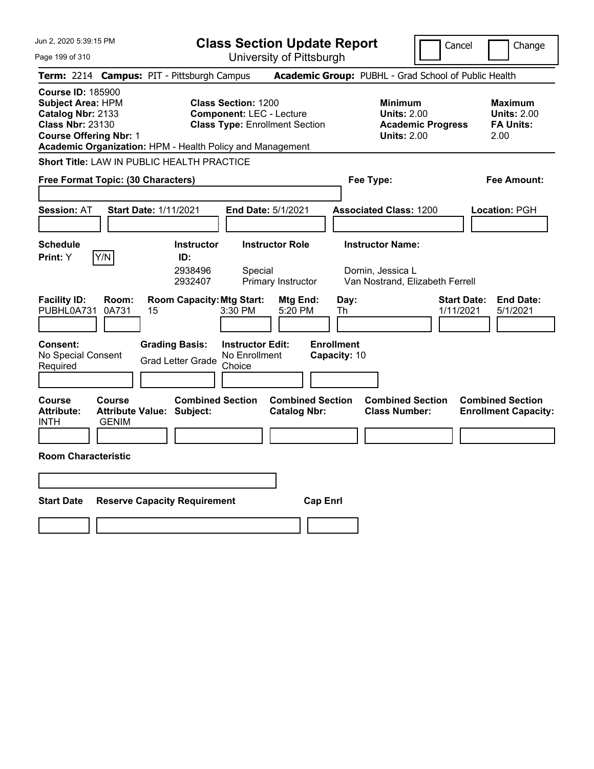Page 199 of 310

**Class Section Update Report**

Cancel **Change** 

|                                                                                                                                       | University ULT Rispurgh                                                                                                                                                             |                                                                                        |                                                                  |
|---------------------------------------------------------------------------------------------------------------------------------------|-------------------------------------------------------------------------------------------------------------------------------------------------------------------------------------|----------------------------------------------------------------------------------------|------------------------------------------------------------------|
| Term: 2214 Campus: PIT - Pittsburgh Campus                                                                                            |                                                                                                                                                                                     | Academic Group: PUBHL - Grad School of Public Health                                   |                                                                  |
| <b>Course ID: 185900</b><br><b>Subject Area: HPM</b><br>Catalog Nbr: 2133<br><b>Class Nbr: 23130</b><br><b>Course Offering Nbr: 1</b> | <b>Class Section: 1200</b><br><b>Component: LEC - Lecture</b><br><b>Class Type: Enrollment Section</b><br>Academic Organization: HPM - Health Policy and Management                 | <b>Minimum</b><br><b>Units: 2.00</b><br><b>Academic Progress</b><br><b>Units: 2.00</b> | <b>Maximum</b><br><b>Units: 2.00</b><br><b>FA Units:</b><br>2.00 |
| <b>Short Title: LAW IN PUBLIC HEALTH PRACTICE</b>                                                                                     |                                                                                                                                                                                     |                                                                                        |                                                                  |
| Free Format Topic: (30 Characters)                                                                                                    |                                                                                                                                                                                     | Fee Type:                                                                              | <b>Fee Amount:</b>                                               |
| <b>Session: AT</b>                                                                                                                    | <b>Start Date: 1/11/2021</b><br>End Date: 5/1/2021                                                                                                                                  | <b>Associated Class: 1200</b>                                                          | Location: PGH                                                    |
| <b>Schedule</b><br>Y/N<br><b>Print:</b> Y                                                                                             | <b>Instructor Role</b><br><b>Instructor</b><br>ID:<br>2938496<br>Special<br>2932407<br>Primary Instructor                                                                           | <b>Instructor Name:</b><br>Dornin, Jessica L<br>Van Nostrand, Elizabeth Ferrell        |                                                                  |
| <b>Facility ID:</b><br>Room:<br>0A731<br>PUBHL0A731<br><b>Consent:</b><br>No Special Consent<br>Required                              | <b>Room Capacity: Mtg Start:</b><br>Mtg End:<br>3:30 PM<br>5:20 PM<br>15<br><b>Grading Basis:</b><br><b>Instructor Edit:</b><br>No Enrollment<br><b>Grad Letter Grade</b><br>Choice | <b>Start Date:</b><br>Day:<br>Th<br>1/11/2021<br><b>Enrollment</b><br>Capacity: 10     | <b>End Date:</b><br>5/1/2021                                     |
| Course<br>Course<br><b>Attribute:</b><br><b>GENIM</b><br>INTH<br><b>Room Characteristic</b>                                           | <b>Combined Section</b><br><b>Combined Section</b><br><b>Attribute Value: Subject:</b><br><b>Catalog Nbr:</b>                                                                       | <b>Combined Section</b><br><b>Class Number:</b>                                        | <b>Combined Section</b><br><b>Enrollment Capacity:</b>           |
| <b>Start Date</b>                                                                                                                     | <b>Reserve Capacity Requirement</b>                                                                                                                                                 | <b>Cap Enrl</b>                                                                        |                                                                  |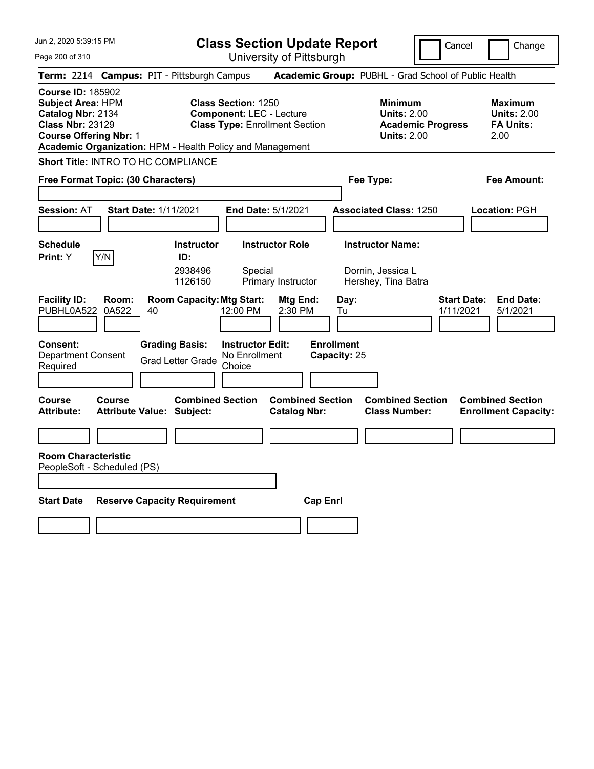Page 200 of 310

**Class Section Update Report**

Cancel **Change** 

| $440$ LVV VI VIV                                                                                                                      | UTIIVEISILY ULT ILLSDUIYIT                                                                                                                                                           |                                                                                        |                                                                  |
|---------------------------------------------------------------------------------------------------------------------------------------|--------------------------------------------------------------------------------------------------------------------------------------------------------------------------------------|----------------------------------------------------------------------------------------|------------------------------------------------------------------|
|                                                                                                                                       | Term: 2214 Campus: PIT - Pittsburgh Campus                                                                                                                                           | Academic Group: PUBHL - Grad School of Public Health                                   |                                                                  |
| <b>Course ID: 185902</b><br><b>Subject Area: HPM</b><br>Catalog Nbr: 2134<br><b>Class Nbr: 23129</b><br><b>Course Offering Nbr: 1</b> | <b>Class Section: 1250</b><br><b>Component: LEC - Lecture</b><br><b>Class Type: Enrollment Section</b><br>Academic Organization: HPM - Health Policy and Management                  | <b>Minimum</b><br><b>Units: 2.00</b><br><b>Academic Progress</b><br><b>Units: 2.00</b> | <b>Maximum</b><br><b>Units: 2.00</b><br><b>FA Units:</b><br>2.00 |
| Short Title: INTRO TO HC COMPLIANCE                                                                                                   |                                                                                                                                                                                      |                                                                                        |                                                                  |
| Free Format Topic: (30 Characters)                                                                                                    |                                                                                                                                                                                      | Fee Type:                                                                              | Fee Amount:                                                      |
| <b>Session: AT</b>                                                                                                                    | <b>Start Date: 1/11/2021</b><br>End Date: 5/1/2021                                                                                                                                   | <b>Associated Class: 1250</b>                                                          | Location: PGH                                                    |
| <b>Schedule</b><br>Y/N<br>Print: Y                                                                                                    | <b>Instructor Role</b><br><b>Instructor</b><br>ID:<br>2938496<br>Special<br>1126150<br>Primary Instructor                                                                            | <b>Instructor Name:</b><br>Dornin, Jessica L<br>Hershey, Tina Batra                    |                                                                  |
| <b>Facility ID:</b><br>Room:<br>PUBHL0A522 0A522<br><b>Consent:</b><br><b>Department Consent</b><br>Required                          | <b>Room Capacity: Mtg Start:</b><br>Mtg End:<br>12:00 PM<br>2:30 PM<br>40<br><b>Grading Basis:</b><br><b>Instructor Edit:</b><br>No Enrollment<br><b>Grad Letter Grade</b><br>Choice | <b>Start Date:</b><br>Day:<br>1/11/2021<br>Tu<br><b>Enrollment</b><br>Capacity: 25     | <b>End Date:</b><br>5/1/2021                                     |
| Course<br>Course<br>Attribute:<br><b>Room Characteristic</b><br>PeopleSoft - Scheduled (PS)                                           | <b>Combined Section</b><br><b>Combined Section</b><br><b>Catalog Nbr:</b><br><b>Attribute Value: Subject:</b>                                                                        | <b>Combined Section</b><br><b>Class Number:</b>                                        | <b>Combined Section</b><br><b>Enrollment Capacity:</b>           |
| Start Date                                                                                                                            | <b>Reserve Capacity Requirement</b>                                                                                                                                                  | <b>Cap Enrl</b>                                                                        |                                                                  |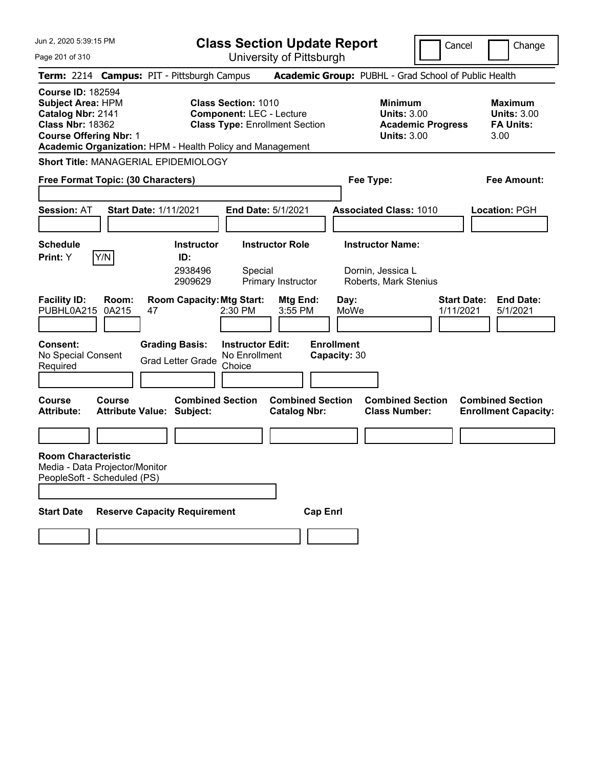| Jun 2, 2020 5:39:15 PM |  |  |  |  |  |
|------------------------|--|--|--|--|--|
|------------------------|--|--|--|--|--|

Page 201 of 310

**Class Section Update Report**

University of Pittsburgh

Cancel Change

|                                                                                               |                                                                                             |    | Term: 2214 Campus: PIT - Pittsburgh Campus                |                                                               | Academic Group: PUBHL - Grad School of Public Health |                                   |                         |                                                                                        |                                 |                                                                  |
|-----------------------------------------------------------------------------------------------|---------------------------------------------------------------------------------------------|----|-----------------------------------------------------------|---------------------------------------------------------------|------------------------------------------------------|-----------------------------------|-------------------------|----------------------------------------------------------------------------------------|---------------------------------|------------------------------------------------------------------|
| <b>Course ID: 182594</b><br>Subject Area: HPM<br>Catalog Nbr: 2141<br><b>Class Nbr: 18362</b> | <b>Course Offering Nbr: 1</b>                                                               |    | Academic Organization: HPM - Health Policy and Management | <b>Class Section: 1010</b><br><b>Component: LEC - Lecture</b> | <b>Class Type: Enrollment Section</b>                |                                   |                         | <b>Minimum</b><br><b>Units: 3.00</b><br><b>Academic Progress</b><br><b>Units: 3.00</b> |                                 | <b>Maximum</b><br><b>Units: 3.00</b><br><b>FA Units:</b><br>3.00 |
|                                                                                               |                                                                                             |    | Short Title: MANAGERIAL EPIDEMIOLOGY                      |                                                               |                                                      |                                   |                         |                                                                                        |                                 |                                                                  |
|                                                                                               | Free Format Topic: (30 Characters)                                                          |    |                                                           |                                                               |                                                      |                                   | Fee Type:               |                                                                                        |                                 | Fee Amount:                                                      |
| Session: AT                                                                                   | <b>Start Date: 1/11/2021</b>                                                                |    |                                                           |                                                               | <b>End Date: 5/1/2021</b>                            |                                   |                         | <b>Associated Class: 1010</b>                                                          |                                 | <b>Location: PGH</b>                                             |
| <b>Schedule</b>                                                                               |                                                                                             |    | <b>Instructor</b>                                         |                                                               | <b>Instructor Role</b>                               |                                   | <b>Instructor Name:</b> |                                                                                        |                                 |                                                                  |
| Print: Y                                                                                      | Y/N                                                                                         |    | ID:<br>2938496<br>2909629                                 | Special                                                       | Primary Instructor                                   |                                   | Dornin, Jessica L       | Roberts, Mark Stenius                                                                  |                                 |                                                                  |
| <b>Facility ID:</b><br>PUBHL0A215                                                             | Room:<br>0A215                                                                              | 47 | <b>Room Capacity: Mtg Start:</b>                          | $2:30$ PM                                                     | Mtg End:<br>3:55 PM                                  | Day:                              | MoWe                    |                                                                                        | <b>Start Date:</b><br>1/11/2021 | <b>End Date:</b><br>5/1/2021                                     |
| <b>Consent:</b><br>No Special Consent<br>Required                                             |                                                                                             |    | <b>Grading Basis:</b><br><b>Grad Letter Grade</b>         | <b>Instructor Edit:</b><br>No Enrollment<br>Choice            |                                                      | <b>Enrollment</b><br>Capacity: 30 |                         |                                                                                        |                                 |                                                                  |
| Course<br>Attribute:                                                                          | Course<br><b>Attribute Value: Subject:</b>                                                  |    | <b>Combined Section</b>                                   |                                                               | <b>Combined Section</b><br><b>Catalog Nbr:</b>       |                                   |                         | <b>Combined Section</b><br><b>Class Number:</b>                                        |                                 | <b>Combined Section</b><br><b>Enrollment Capacity:</b>           |
|                                                                                               | <b>Room Characteristic</b><br>Media - Data Projector/Monitor<br>PeopleSoft - Scheduled (PS) |    |                                                           |                                                               |                                                      |                                   |                         |                                                                                        |                                 |                                                                  |
| <b>Start Date</b>                                                                             |                                                                                             |    | <b>Reserve Capacity Requirement</b>                       |                                                               |                                                      | <b>Cap Enrl</b>                   |                         |                                                                                        |                                 |                                                                  |
|                                                                                               |                                                                                             |    |                                                           |                                                               |                                                      |                                   |                         |                                                                                        |                                 |                                                                  |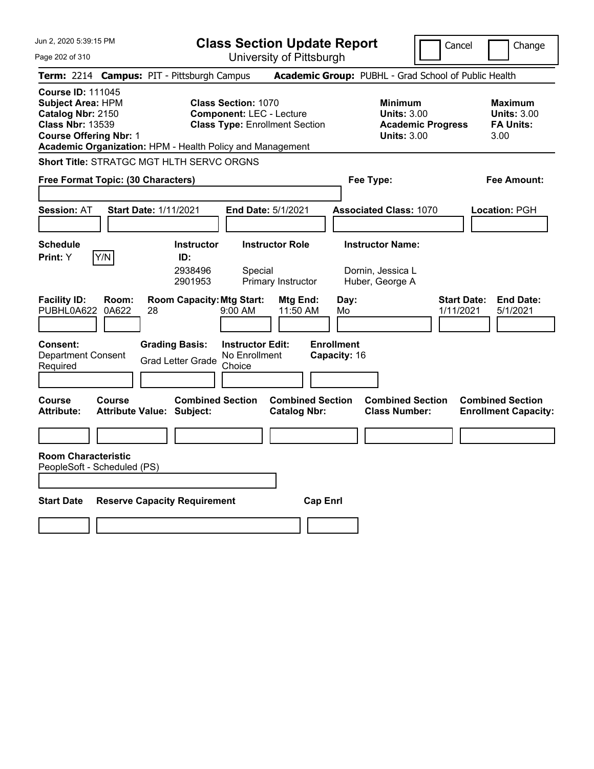Jun 2, 2020 5:39:15 PM Page 202 of 310 **Class Section Update Report** University of Pittsburgh Cancel Change **Term:** 2214 **Campus:** PIT - Pittsburgh Campus **Academic Group:** PUBHL - Grad School of Public Health **Course ID:** 111045 **Subject Area:** HPM **Class Section:** 1070 **Minimum Maximum Catalog Nbr:** 2150 **Component:** LEC - Lecture **Units:** 3.00 **Units:** 3.00 **Class Nbr:** 13539 **Class Type:** Enrollment Section **Academic Progress FA Units: Course Offering Nbr:** 1 **Units:** 3.00 3.00 **Academic Organization:** HPM - Health Policy and Management **Short Title:** STRATGC MGT HLTH SERVC ORGNS **Free Format Topic: (30 Characters) Fee Type: Fee Amount: Session:** AT **Start Date:** 1/11/2021 **End Date:** 5/1/2021 **Associated Class:** 1070 **Location:** PGH **Schedule Instructor Instructor Role Instructor Name: Print:**  $Y$   $|Y/N|$  **ID:** 2938496 Special Dornin, Jessica L 2901953 Primary Instructor Huber, George A **Facility ID: Room: Room Capacity: Mtg Start: Mtg End: Day: Start Date: End Date: PUBHL0A622** 0A622 28 9:00 AM 11:50 AM Mo 1/11/2021 5/1/2021 PUBHL0A622 0A622 28 9:00 AM 11:50 AM Mo 1/11/2021 5/1/2021 **Consent: Grading Basis: Instructor Edit: Enrollment** Department Consent Required Grad Letter Grade No Enrollment Choice **Capacity:** 16 **Course Course Combined Section Combined Section Combined Section Combined Section**  Attribute: Attribute Value: Subject: Catalog Nbr: Class Number: Enrollment Capacity: **Room Characteristic** PeopleSoft - Scheduled (PS) **Start Date Reserve Capacity Requirement Cap Enrl**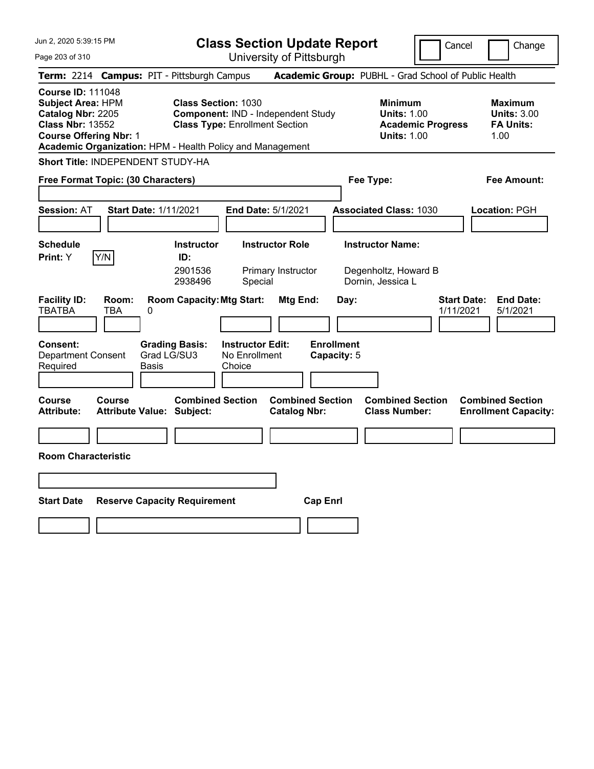University of Pittsburgh

Cancel Change

Page 203 of 310

|                                                                                                                                       |                     | Term: 2214 Campus: PIT - Pittsburgh Campus                                              |                                                                             |                                                | Academic Group: PUBHL - Grad School of Public Health                 |                                 |                                                                  |
|---------------------------------------------------------------------------------------------------------------------------------------|---------------------|-----------------------------------------------------------------------------------------|-----------------------------------------------------------------------------|------------------------------------------------|----------------------------------------------------------------------|---------------------------------|------------------------------------------------------------------|
| <b>Course ID: 111048</b><br><b>Subject Area: HPM</b><br>Catalog Nbr: 2205<br><b>Class Nbr: 13552</b><br><b>Course Offering Nbr: 1</b> |                     | <b>Class Section: 1030</b><br>Academic Organization: HPM - Health Policy and Management | Component: IND - Independent Study<br><b>Class Type: Enrollment Section</b> |                                                | <b>Minimum</b><br><b>Units: 1.00</b><br><b>Units: 1.00</b>           | <b>Academic Progress</b>        | <b>Maximum</b><br><b>Units: 3.00</b><br><b>FA Units:</b><br>1.00 |
|                                                                                                                                       |                     | Short Title: INDEPENDENT STUDY-HA                                                       |                                                                             |                                                |                                                                      |                                 |                                                                  |
| Free Format Topic: (30 Characters)                                                                                                    |                     |                                                                                         |                                                                             |                                                | Fee Type:                                                            |                                 | Fee Amount:                                                      |
| <b>Session: AT</b>                                                                                                                    |                     | <b>Start Date: 1/11/2021</b>                                                            | End Date: 5/1/2021                                                          |                                                | <b>Associated Class: 1030</b>                                        |                                 | <b>Location: PGH</b>                                             |
| <b>Schedule</b><br>Print: Y                                                                                                           | Y/N                 | <b>Instructor</b><br>ID:<br>2901536<br>2938496                                          | <b>Instructor Role</b><br>Primary Instructor<br>Special                     |                                                | <b>Instructor Name:</b><br>Degenholtz, Howard B<br>Dornin, Jessica L |                                 |                                                                  |
| <b>Facility ID:</b><br><b>TBATBA</b>                                                                                                  | Room:<br><b>TBA</b> | <b>Room Capacity: Mtg Start:</b><br>0                                                   |                                                                             | Mtg End:                                       | Day:                                                                 | <b>Start Date:</b><br>1/11/2021 | <b>End Date:</b><br>5/1/2021                                     |
| <b>Consent:</b><br><b>Department Consent</b><br>Required                                                                              |                     | <b>Grading Basis:</b><br>Grad LG/SU3<br>Basis                                           | <b>Instructor Edit:</b><br>No Enrollment<br>Choice                          | <b>Enrollment</b><br>Capacity: 5               |                                                                      |                                 |                                                                  |
| Course<br><b>Attribute:</b>                                                                                                           | Course              | <b>Combined Section</b><br><b>Attribute Value: Subject:</b>                             |                                                                             | <b>Combined Section</b><br><b>Catalog Nbr:</b> | <b>Class Number:</b>                                                 | <b>Combined Section</b>         | <b>Combined Section</b><br><b>Enrollment Capacity:</b>           |
| <b>Room Characteristic</b>                                                                                                            |                     |                                                                                         |                                                                             |                                                |                                                                      |                                 |                                                                  |
| <b>Start Date</b>                                                                                                                     |                     | <b>Reserve Capacity Requirement</b>                                                     |                                                                             | <b>Cap Enrl</b>                                |                                                                      |                                 |                                                                  |
|                                                                                                                                       |                     |                                                                                         |                                                                             |                                                |                                                                      |                                 |                                                                  |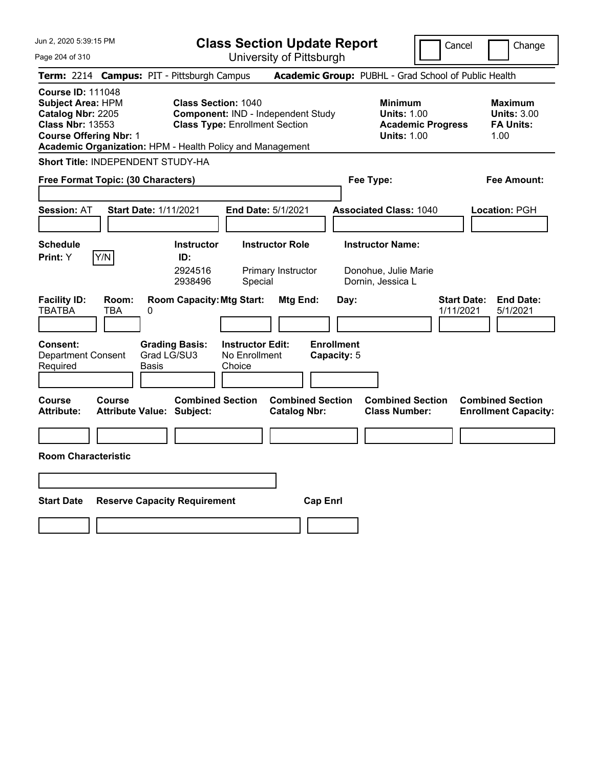**Class Section Update Report**

Cancel | Change

Page 204 of 310

University of Pittsburgh **Term:** 2214 **Campus:** PIT - Pittsburgh Campus **Academic Group:** PUBHL - Grad School of Public Health **Course ID:** 111048 **Subject Area:** HPM **Class Section:** 1040 **Minimum Maximum Catalog Nbr:** 2205 **Component:** IND - Independent Study **Units:** 1.00 **Units:** 3.00 **Class Nbr:** 13553 **Class Type:** Enrollment Section **Academic Progress FA Units: Course Offering Nbr: 1 Units: 1.00** 1.00 **Academic Organization:** HPM - Health Policy and Management **Short Title:** INDEPENDENT STUDY-HA **Free Format Topic: (30 Characters) Fee Type: Fee Amount: Session:** AT **Start Date:** 1/11/2021 **End Date:** 5/1/2021 **Associated Class:** 1040 **Location:** PGH **Schedule Instructor Instructor Role Instructor Name: Print:**  $Y$   $|Y/N|$  **ID:** 2924516 Primary Instructor Donohue, Julie Marie 2938496 Special Dornin, Jessica L **Facility ID: Room: Room Capacity:Mtg Start: Mtg End: Day: Start Date: End Date:** TBATBA TBA 0 1/11/2021 5/1/2021 **Consent: Grading Basis: Instructor Edit: Enrollment** Department Consent Required Grad LG/SU3 Basis No Enrollment **Choice Capacity:** 5 **Course Course Combined Section Combined Section Combined Section Combined Section**  Attribute: Attribute Value: Subject: Catalog Nbr: Class Number: Enrollment Capacity: **Room Characteristic Start Date Reserve Capacity Requirement Cap Enrl**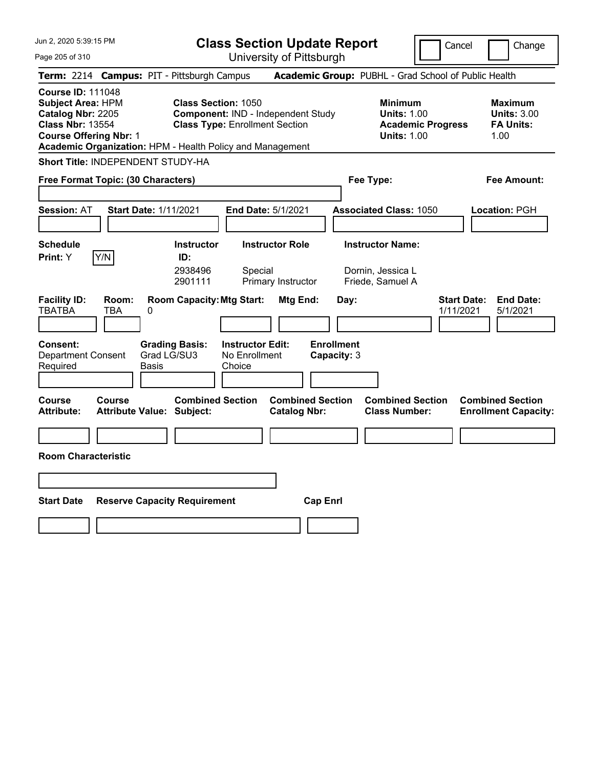Cancel **Change** 

Page 205 of 310

| Page 205 of 310                                                                                                                |                     |                                                                                                                                                                        | University of Pittsburgh                                |                                                                                        |                                                                  |                                 |                                                        |  |  |
|--------------------------------------------------------------------------------------------------------------------------------|---------------------|------------------------------------------------------------------------------------------------------------------------------------------------------------------------|---------------------------------------------------------|----------------------------------------------------------------------------------------|------------------------------------------------------------------|---------------------------------|--------------------------------------------------------|--|--|
|                                                                                                                                |                     | Term: 2214 Campus: PIT - Pittsburgh Campus                                                                                                                             |                                                         |                                                                                        | Academic Group: PUBHL - Grad School of Public Health             |                                 |                                                        |  |  |
| <b>Course ID: 111048</b><br>Subject Area: HPM<br>Catalog Nbr: 2205<br><b>Class Nbr: 13554</b><br><b>Course Offering Nbr: 1</b> |                     | <b>Class Section: 1050</b><br>Component: IND - Independent Study<br><b>Class Type: Enrollment Section</b><br>Academic Organization: HPM - Health Policy and Management |                                                         | <b>Minimum</b><br><b>Units: 1.00</b><br><b>Academic Progress</b><br><b>Units: 1.00</b> | <b>Maximum</b><br><b>Units: 3.00</b><br><b>FA Units:</b><br>1.00 |                                 |                                                        |  |  |
| Short Title: INDEPENDENT STUDY-HA                                                                                              |                     |                                                                                                                                                                        |                                                         |                                                                                        |                                                                  |                                 |                                                        |  |  |
| Free Format Topic: (30 Characters)                                                                                             |                     |                                                                                                                                                                        |                                                         |                                                                                        | Fee Type:                                                        |                                 | <b>Fee Amount:</b>                                     |  |  |
| <b>Session: AT</b>                                                                                                             |                     | <b>Start Date: 1/11/2021</b>                                                                                                                                           | End Date: 5/1/2021                                      |                                                                                        | <b>Associated Class: 1050</b>                                    |                                 | Location: PGH                                          |  |  |
| <b>Schedule</b><br><b>Print:</b> Y                                                                                             | Y/N                 | <b>Instructor</b><br>ID:<br>2938496<br>2901111                                                                                                                         | <b>Instructor Role</b><br>Special<br>Primary Instructor |                                                                                        | <b>Instructor Name:</b><br>Dornin, Jessica L<br>Friede, Samuel A |                                 |                                                        |  |  |
| <b>Facility ID:</b><br><b>TBATBA</b>                                                                                           | Room:<br><b>TBA</b> | <b>Room Capacity: Mtg Start:</b><br>0                                                                                                                                  |                                                         | Mtg End:<br>Day:                                                                       |                                                                  | <b>Start Date:</b><br>1/11/2021 | <b>End Date:</b><br>5/1/2021                           |  |  |
| <b>Consent:</b><br><b>Department Consent</b><br>Required                                                                       |                     | <b>Grading Basis:</b><br>Grad LG/SU3<br><b>Basis</b>                                                                                                                   | <b>Instructor Edit:</b><br>No Enrollment<br>Choice      | <b>Enrollment</b><br>Capacity: 3                                                       |                                                                  |                                 |                                                        |  |  |
| Course<br><b>Attribute:</b>                                                                                                    | Course              | <b>Combined Section</b><br><b>Attribute Value: Subject:</b>                                                                                                            |                                                         | <b>Combined Section</b><br><b>Catalog Nbr:</b>                                         | <b>Combined Section</b><br><b>Class Number:</b>                  |                                 | <b>Combined Section</b><br><b>Enrollment Capacity:</b> |  |  |
|                                                                                                                                |                     |                                                                                                                                                                        |                                                         |                                                                                        |                                                                  |                                 |                                                        |  |  |
| <b>Room Characteristic</b>                                                                                                     |                     |                                                                                                                                                                        |                                                         |                                                                                        |                                                                  |                                 |                                                        |  |  |
|                                                                                                                                |                     |                                                                                                                                                                        |                                                         |                                                                                        |                                                                  |                                 |                                                        |  |  |
| <b>Start Date</b>                                                                                                              |                     | <b>Reserve Capacity Requirement</b>                                                                                                                                    |                                                         | <b>Cap Enrl</b>                                                                        |                                                                  |                                 |                                                        |  |  |
|                                                                                                                                |                     |                                                                                                                                                                        |                                                         |                                                                                        |                                                                  |                                 |                                                        |  |  |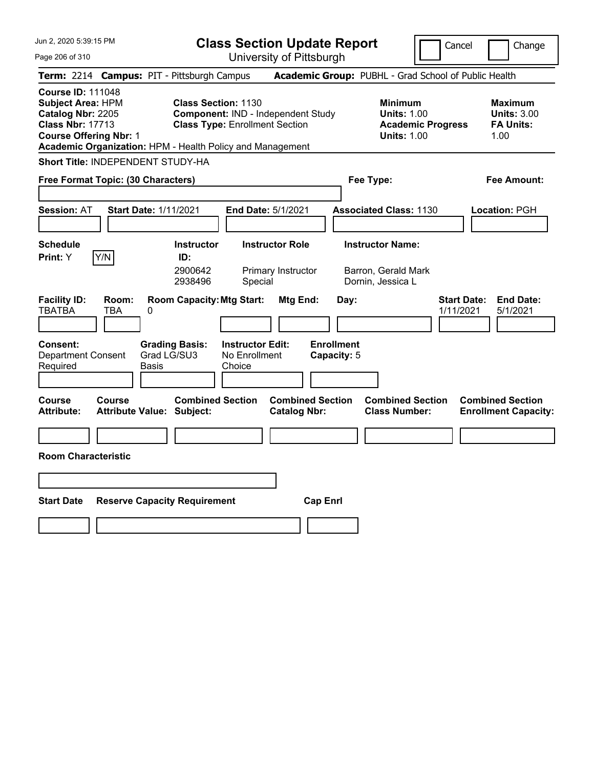Jun 2, 2020 5:39:15 PM Page 206 of 310 **Class Section Update Report** University of Pittsburgh Cancel | Change **Term:** 2214 **Campus:** PIT - Pittsburgh Campus **Academic Group:** PUBHL - Grad School of Public Health **Course ID:** 111048 **Subject Area:** HPM **Class Section:** 1130 **Minimum Maximum Catalog Nbr:** 2205 **Component:** IND - Independent Study **Units:** 1.00 **Units:** 3.00 **Class Nbr:** 17713 **Class Type:** Enrollment Section **Academic Progress FA Units: Course Offering Nbr: 1 Units: 1.00** 1.00 **Academic Organization:** HPM - Health Policy and Management **Short Title:** INDEPENDENT STUDY-HA **Free Format Topic: (30 Characters) Fee Type: Fee Amount: Session:** AT **Start Date:** 1/11/2021 **End Date:** 5/1/2021 **Associated Class:** 1130 **Location:** PGH **Schedule Instructor Instructor Role Instructor Name: Print:**  $Y$   $|Y/N|$  **ID:** 2900642 Primary Instructor Barron, Gerald Mark 2938496 Special Dornin, Jessica L **Facility ID: Room: Room Capacity:Mtg Start: Mtg End: Day: Start Date: End Date:** TBATBA TBA 0 1/11/2021 5/1/2021 **Consent: Grading Basis: Instructor Edit: Enrollment** Department Consent Required Grad LG/SU3 Basis No Enrollment **Choice Capacity:** 5 **Course Course Combined Section Combined Section Combined Section Combined Section**  Attribute: Attribute Value: Subject: Catalog Nbr: Class Number: Enrollment Capacity: **Room Characteristic Start Date Reserve Capacity Requirement Cap Enrl**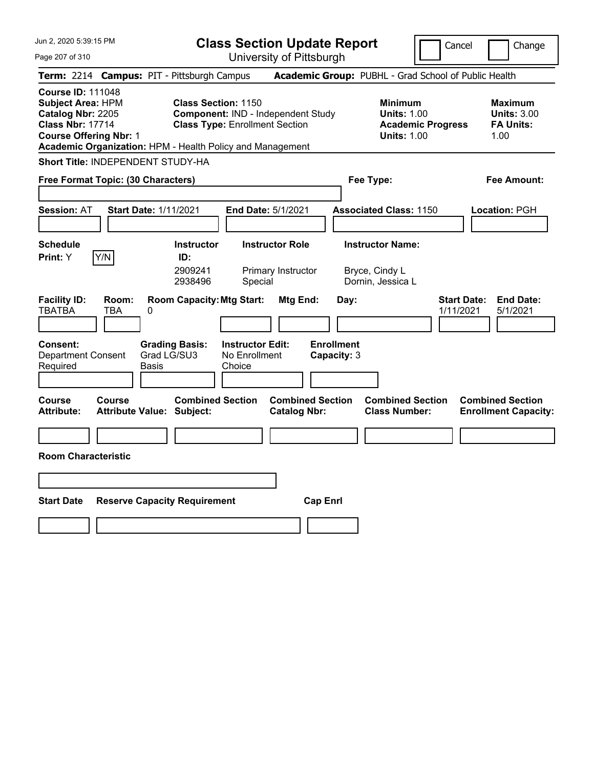| Jun 2, 2020 5:39:15 PM<br>Page 207 of 310                                                                                             | <b>Class Section Update Report</b><br>University of Pittsburgh                                                                                                         | Cancel                                                                                 | Change                                                           |
|---------------------------------------------------------------------------------------------------------------------------------------|------------------------------------------------------------------------------------------------------------------------------------------------------------------------|----------------------------------------------------------------------------------------|------------------------------------------------------------------|
| Term: 2214 Campus: PIT - Pittsburgh Campus                                                                                            |                                                                                                                                                                        | Academic Group: PUBHL - Grad School of Public Health                                   |                                                                  |
| <b>Course ID: 111048</b><br><b>Subject Area: HPM</b><br>Catalog Nbr: 2205<br><b>Class Nbr: 17714</b><br><b>Course Offering Nbr: 1</b> | <b>Class Section: 1150</b><br>Component: IND - Independent Study<br><b>Class Type: Enrollment Section</b><br>Academic Organization: HPM - Health Policy and Management | <b>Minimum</b><br><b>Units: 1.00</b><br><b>Academic Progress</b><br><b>Units: 1.00</b> | <b>Maximum</b><br><b>Units: 3.00</b><br><b>FA Units:</b><br>1.00 |
| Short Title: INDEPENDENT STUDY-HA                                                                                                     |                                                                                                                                                                        |                                                                                        |                                                                  |
| Free Format Topic: (30 Characters)                                                                                                    |                                                                                                                                                                        | Fee Type:                                                                              | Fee Amount:                                                      |
| <b>Session: AT</b><br><b>Start Date: 1/11/2021</b>                                                                                    | <b>End Date: 5/1/2021</b>                                                                                                                                              | <b>Associated Class: 1150</b>                                                          | Location: PGH                                                    |
| <b>Schedule</b><br>Y/N<br>Print: Y                                                                                                    | <b>Instructor Role</b><br><b>Instructor</b><br>ID:<br>2909241<br>Primary Instructor<br>2938496<br>Special                                                              | <b>Instructor Name:</b><br>Bryce, Cindy L<br>Dornin, Jessica L                         |                                                                  |
| <b>Facility ID:</b><br>Room:<br><b>TBATBA</b><br>TBA<br>0<br><b>Consent:</b><br><b>Department Consent</b><br>Required<br>Basis        | <b>Room Capacity: Mtg Start:</b><br>Mtg End:<br><b>Grading Basis:</b><br><b>Instructor Edit:</b><br>Grad LG/SU3<br>No Enrollment<br>Choice                             | Day:<br>1/11/2021<br><b>Enrollment</b><br>Capacity: 3                                  | <b>Start Date:</b><br><b>End Date:</b><br>5/1/2021               |
| Course<br>Course<br><b>Attribute:</b><br><b>Attribute Value: Subject:</b>                                                             | <b>Combined Section</b><br><b>Combined Section</b><br><b>Catalog Nbr:</b>                                                                                              | <b>Combined Section</b><br><b>Class Number:</b>                                        | <b>Combined Section</b><br><b>Enrollment Capacity:</b>           |
| <b>Room Characteristic</b>                                                                                                            |                                                                                                                                                                        |                                                                                        |                                                                  |
|                                                                                                                                       |                                                                                                                                                                        |                                                                                        |                                                                  |
| <b>Start Date</b><br><b>Reserve Capacity Requirement</b>                                                                              |                                                                                                                                                                        | <b>Cap Enrl</b>                                                                        |                                                                  |
|                                                                                                                                       |                                                                                                                                                                        |                                                                                        |                                                                  |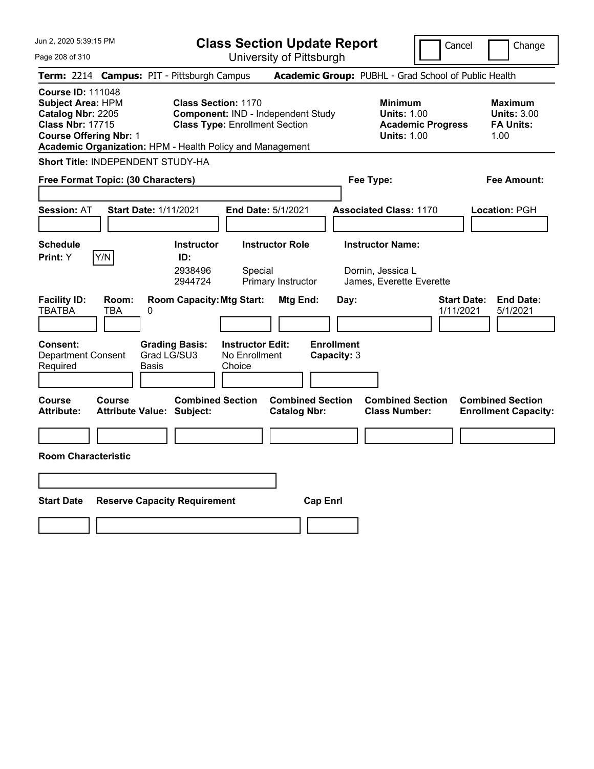| Jun 2, 2020 5:39:15 PM<br>Page 208 of 310                                                                                             | <b>Class Section Update Report</b><br>University of Pittsburgh                                                                                                         |                                                                                        | Cancel<br>Change                                                 |
|---------------------------------------------------------------------------------------------------------------------------------------|------------------------------------------------------------------------------------------------------------------------------------------------------------------------|----------------------------------------------------------------------------------------|------------------------------------------------------------------|
| Term: 2214 Campus: PIT - Pittsburgh Campus                                                                                            |                                                                                                                                                                        | Academic Group: PUBHL - Grad School of Public Health                                   |                                                                  |
| <b>Course ID: 111048</b><br><b>Subject Area: HPM</b><br>Catalog Nbr: 2205<br><b>Class Nbr: 17715</b><br><b>Course Offering Nbr: 1</b> | <b>Class Section: 1170</b><br>Component: IND - Independent Study<br><b>Class Type: Enrollment Section</b><br>Academic Organization: HPM - Health Policy and Management | <b>Minimum</b><br><b>Units: 1.00</b><br><b>Academic Progress</b><br><b>Units: 1.00</b> | <b>Maximum</b><br><b>Units: 3.00</b><br><b>FA Units:</b><br>1.00 |
| <b>Short Title: INDEPENDENT STUDY-HA</b>                                                                                              |                                                                                                                                                                        |                                                                                        |                                                                  |
| Free Format Topic: (30 Characters)                                                                                                    |                                                                                                                                                                        | Fee Type:                                                                              | Fee Amount:                                                      |
| <b>Start Date: 1/11/2021</b><br><b>Session: AT</b>                                                                                    | <b>End Date: 5/1/2021</b>                                                                                                                                              | <b>Associated Class: 1170</b>                                                          | Location: PGH                                                    |
| <b>Schedule</b><br>Print: Y<br> Y/N                                                                                                   | <b>Instructor Role</b><br><b>Instructor</b><br>ID:<br>2938496<br>Special<br>2944724<br>Primary Instructor                                                              | <b>Instructor Name:</b><br>Dornin, Jessica L<br>James, Everette Everette               |                                                                  |
| <b>Facility ID:</b><br>Room:<br><b>TBATBA</b><br>TBA<br>0<br><b>Consent:</b><br><b>Department Consent</b><br>Required<br>Basis        | <b>Room Capacity: Mtg Start:</b><br>Mtg End:<br><b>Instructor Edit:</b><br><b>Grading Basis:</b><br>Grad LG/SU3<br>No Enrollment<br>Choice                             | Day:<br><b>Enrollment</b><br>Capacity: 3                                               | <b>Start Date:</b><br><b>End Date:</b><br>1/11/2021<br>5/1/2021  |
| <b>Course</b><br>Course<br><b>Attribute:</b><br><b>Attribute Value: Subject:</b>                                                      | <b>Combined Section</b><br><b>Combined Section</b><br><b>Catalog Nbr:</b>                                                                                              | <b>Combined Section</b><br><b>Class Number:</b>                                        | <b>Combined Section</b><br><b>Enrollment Capacity:</b>           |
| <b>Room Characteristic</b>                                                                                                            |                                                                                                                                                                        |                                                                                        |                                                                  |
|                                                                                                                                       |                                                                                                                                                                        |                                                                                        |                                                                  |
| <b>Start Date</b><br><b>Reserve Capacity Requirement</b>                                                                              |                                                                                                                                                                        | <b>Cap Enri</b>                                                                        |                                                                  |
|                                                                                                                                       |                                                                                                                                                                        |                                                                                        |                                                                  |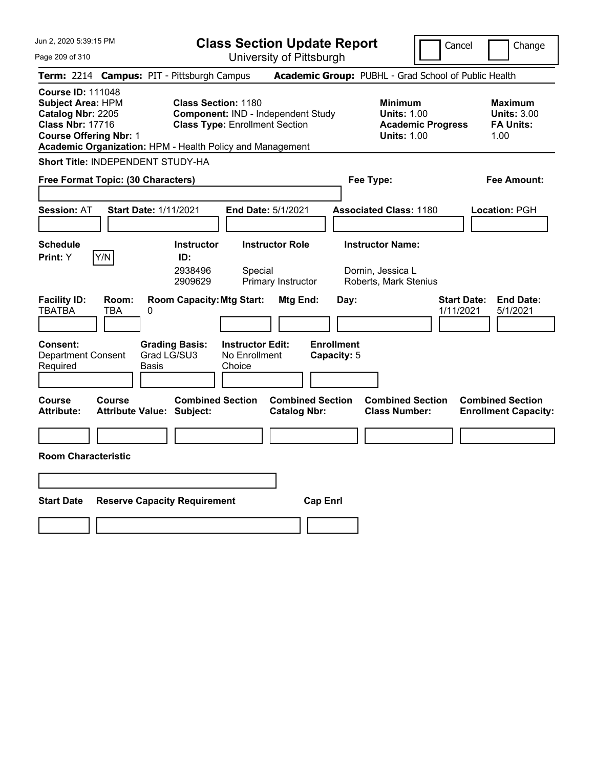University of Pittsburgh

Cancel Change

| Page 209 of 310 |
|-----------------|
|-----------------|

| Term: 2214 Campus: PIT - Pittsburgh Campus                                                                                                                                                         |                                            |                             |                                                                                                           |                                                    |                                                |                 |                                  | Academic Group: PUBHL - Grad School of Public Health                  |                                                                      |                                 |                                                                  |
|----------------------------------------------------------------------------------------------------------------------------------------------------------------------------------------------------|--------------------------------------------|-----------------------------|-----------------------------------------------------------------------------------------------------------|----------------------------------------------------|------------------------------------------------|-----------------|----------------------------------|-----------------------------------------------------------------------|----------------------------------------------------------------------|---------------------------------|------------------------------------------------------------------|
| <b>Course ID: 111048</b><br><b>Subject Area: HPM</b><br>Catalog Nbr: 2205<br><b>Class Nbr: 17716</b><br><b>Course Offering Nbr: 1</b><br>Academic Organization: HPM - Health Policy and Management |                                            |                             | <b>Class Section: 1180</b><br>Component: IND - Independent Study<br><b>Class Type: Enrollment Section</b> |                                                    |                                                |                 |                                  | <b>Minimum</b>                                                        | <b>Units: 1.00</b><br><b>Academic Progress</b><br><b>Units: 1.00</b> |                                 | <b>Maximum</b><br><b>Units: 3.00</b><br><b>FA Units:</b><br>1.00 |
| <b>Short Title: INDEPENDENT STUDY-HA</b>                                                                                                                                                           |                                            |                             |                                                                                                           |                                                    |                                                |                 |                                  |                                                                       |                                                                      |                                 |                                                                  |
| Free Format Topic: (30 Characters)                                                                                                                                                                 |                                            |                             |                                                                                                           |                                                    |                                                |                 |                                  | Fee Type:                                                             |                                                                      |                                 | Fee Amount:                                                      |
| <b>Session: AT</b>                                                                                                                                                                                 | <b>Start Date: 1/11/2021</b>               |                             |                                                                                                           | End Date: 5/1/2021                                 |                                                |                 |                                  | <b>Associated Class: 1180</b>                                         |                                                                      |                                 | Location: PGH                                                    |
| <b>Schedule</b><br>Print: Y                                                                                                                                                                        | Y/N                                        |                             | <b>Instructor</b><br>ID:<br>2938496<br>2909629                                                            | Special                                            | <b>Instructor Role</b><br>Primary Instructor   |                 |                                  | <b>Instructor Name:</b><br>Dornin, Jessica L<br>Roberts, Mark Stenius |                                                                      |                                 |                                                                  |
| <b>Facility ID:</b><br>TBATBA                                                                                                                                                                      | Room:<br>TBA                               | 0                           | <b>Room Capacity: Mtg Start:</b>                                                                          |                                                    | Mtg End:                                       |                 | Day:                             |                                                                       |                                                                      | <b>Start Date:</b><br>1/11/2021 | <b>End Date:</b><br>5/1/2021                                     |
| Consent:<br><b>Department Consent</b><br>Required                                                                                                                                                  |                                            | Grad LG/SU3<br><b>Basis</b> | <b>Grading Basis:</b>                                                                                     | <b>Instructor Edit:</b><br>No Enrollment<br>Choice |                                                |                 | <b>Enrollment</b><br>Capacity: 5 |                                                                       |                                                                      |                                 |                                                                  |
| Course<br><b>Attribute:</b>                                                                                                                                                                        | Course<br><b>Attribute Value: Subject:</b> |                             | <b>Combined Section</b>                                                                                   |                                                    | <b>Combined Section</b><br><b>Catalog Nbr:</b> |                 |                                  | <b>Combined Section</b><br><b>Class Number:</b>                       |                                                                      |                                 | <b>Combined Section</b><br><b>Enrollment Capacity:</b>           |
| <b>Room Characteristic</b>                                                                                                                                                                         |                                            |                             |                                                                                                           |                                                    |                                                |                 |                                  |                                                                       |                                                                      |                                 |                                                                  |
| <b>Start Date</b>                                                                                                                                                                                  |                                            |                             | <b>Reserve Capacity Requirement</b>                                                                       |                                                    |                                                | <b>Cap Enrl</b> |                                  |                                                                       |                                                                      |                                 |                                                                  |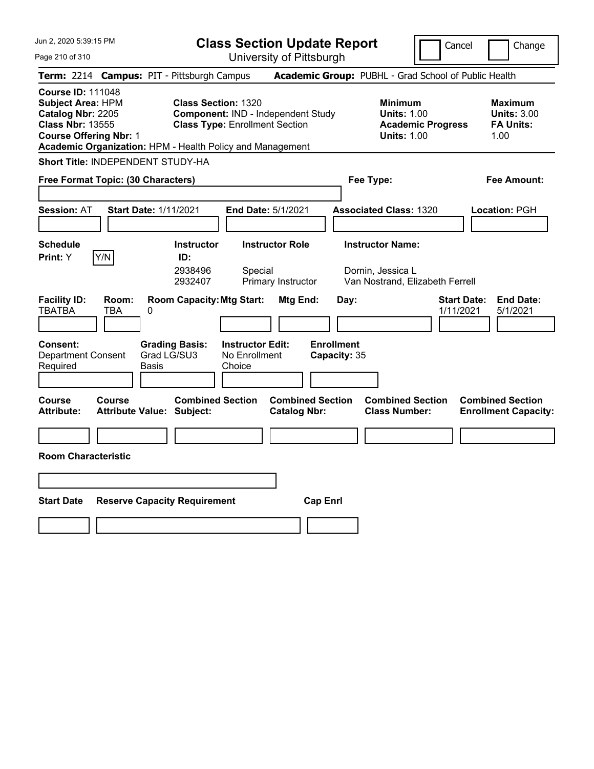Jun 2, 2020 5:39:15 PM Page 210 of 310 **Class Section Update Report** University of Pittsburgh Cancel | Change **Term:** 2214 **Campus:** PIT - Pittsburgh Campus **Academic Group:** PUBHL - Grad School of Public Health **Course ID:** 111048 **Subject Area:** HPM **Class Section:** 1320 **Minimum Maximum Catalog Nbr:** 2205 **Component:** IND - Independent Study **Units:** 1.00 **Units:** 3.00 **Class Nbr:** 13555 **Class Type:** Enrollment Section **Academic Progress FA Units: Course Offering Nbr: 1 Units: 1.00** 1.00 **Academic Organization:** HPM - Health Policy and Management **Short Title:** INDEPENDENT STUDY-HA **Free Format Topic: (30 Characters) Fee Type: Fee Amount: Session:** AT **Start Date:** 1/11/2021 **End Date:** 5/1/2021 **Associated Class:** 1320 **Location:** PGH **Schedule Instructor Instructor Role Instructor Name: Print:**  $Y$   $|Y/N|$  **ID:** 2938496 Special Dornin, Jessica L 2932407 Primary Instructor Van Nostrand, Elizabeth Ferrell **Facility ID: Room: Room Capacity:Mtg Start: Mtg End: Day: Start Date: End Date:** TBATBA TBA 0 1/11/2021 5/1/2021 **Consent: Grading Basis: Instructor Edit: Enrollment** Department Consent Required Grad LG/SU3 Basis No Enrollment **Choice Capacity:** 35 **Course Course Combined Section Combined Section Combined Section Combined Section**  Attribute: Attribute Value: Subject: Catalog Nbr: Class Number: Enrollment Capacity: **Room Characteristic Start Date Reserve Capacity Requirement Cap Enrl**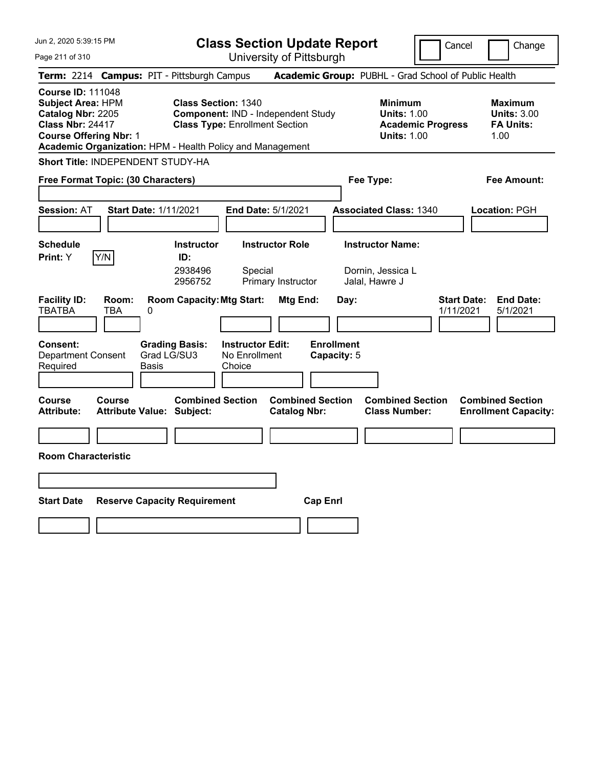|  |  |  | Jun 2, 2020 5:39:15 PM |  |  |
|--|--|--|------------------------|--|--|
|--|--|--|------------------------|--|--|

University of Pittsburgh

Cancel **Change** 

Page 211 of 310

|                                                                                                                                       |              | Term: 2214 Campus: PIT - Pittsburgh Campus                                                                                                                                    |                                                         |                                                                                        |                                  | Academic Group: PUBHL - Grad School of Public Health             |                                 |                                                        |
|---------------------------------------------------------------------------------------------------------------------------------------|--------------|-------------------------------------------------------------------------------------------------------------------------------------------------------------------------------|---------------------------------------------------------|----------------------------------------------------------------------------------------|----------------------------------|------------------------------------------------------------------|---------------------------------|--------------------------------------------------------|
| <b>Course ID: 111048</b><br><b>Subject Area: HPM</b><br>Catalog Nbr: 2205<br><b>Class Nbr: 24417</b><br><b>Course Offering Nbr: 1</b> |              | <b>Class Section: 1340</b><br><b>Component: IND - Independent Study</b><br><b>Class Type: Enrollment Section</b><br>Academic Organization: HPM - Health Policy and Management |                                                         | <b>Minimum</b><br><b>Units: 1.00</b><br><b>Academic Progress</b><br><b>Units: 1.00</b> |                                  | <b>Maximum</b><br><b>Units: 3.00</b><br><b>FA Units:</b><br>1.00 |                                 |                                                        |
|                                                                                                                                       |              | Short Title: INDEPENDENT STUDY-HA                                                                                                                                             |                                                         |                                                                                        |                                  |                                                                  |                                 |                                                        |
| Free Format Topic: (30 Characters)                                                                                                    |              |                                                                                                                                                                               |                                                         |                                                                                        |                                  | Fee Type:                                                        |                                 | <b>Fee Amount:</b>                                     |
| <b>Session: AT</b>                                                                                                                    |              | <b>Start Date: 1/11/2021</b>                                                                                                                                                  | <b>End Date: 5/1/2021</b>                               |                                                                                        |                                  | <b>Associated Class: 1340</b>                                    |                                 | Location: PGH                                          |
| <b>Schedule</b><br><b>Print:</b> Y                                                                                                    | Y/N          | <b>Instructor</b><br>ID:<br>2938496<br>2956752                                                                                                                                | <b>Instructor Role</b><br>Special<br>Primary Instructor |                                                                                        |                                  | <b>Instructor Name:</b><br>Dornin, Jessica L<br>Jalal, Hawre J   |                                 |                                                        |
| <b>Facility ID:</b><br><b>TBATBA</b>                                                                                                  | Room:<br>TBA | <b>Room Capacity: Mtg Start:</b><br>0                                                                                                                                         |                                                         | Mtg End:                                                                               | Day:                             |                                                                  | <b>Start Date:</b><br>1/11/2021 | <b>End Date:</b><br>5/1/2021                           |
| <b>Consent:</b><br>Department Consent<br>Required                                                                                     |              | <b>Grading Basis:</b><br>Grad LG/SU3<br>Basis                                                                                                                                 | <b>Instructor Edit:</b><br>No Enrollment<br>Choice      |                                                                                        | <b>Enrollment</b><br>Capacity: 5 |                                                                  |                                 |                                                        |
| Course<br><b>Attribute:</b>                                                                                                           | Course       | <b>Combined Section</b><br><b>Attribute Value: Subject:</b>                                                                                                                   |                                                         | <b>Combined Section</b><br><b>Catalog Nbr:</b>                                         |                                  | <b>Combined Section</b><br><b>Class Number:</b>                  |                                 | <b>Combined Section</b><br><b>Enrollment Capacity:</b> |
| <b>Room Characteristic</b>                                                                                                            |              |                                                                                                                                                                               |                                                         |                                                                                        |                                  |                                                                  |                                 |                                                        |
|                                                                                                                                       |              |                                                                                                                                                                               |                                                         |                                                                                        |                                  |                                                                  |                                 |                                                        |
| Start Date                                                                                                                            |              | <b>Reserve Capacity Requirement</b>                                                                                                                                           |                                                         | <b>Cap Enri</b>                                                                        |                                  |                                                                  |                                 |                                                        |
|                                                                                                                                       |              |                                                                                                                                                                               |                                                         |                                                                                        |                                  |                                                                  |                                 |                                                        |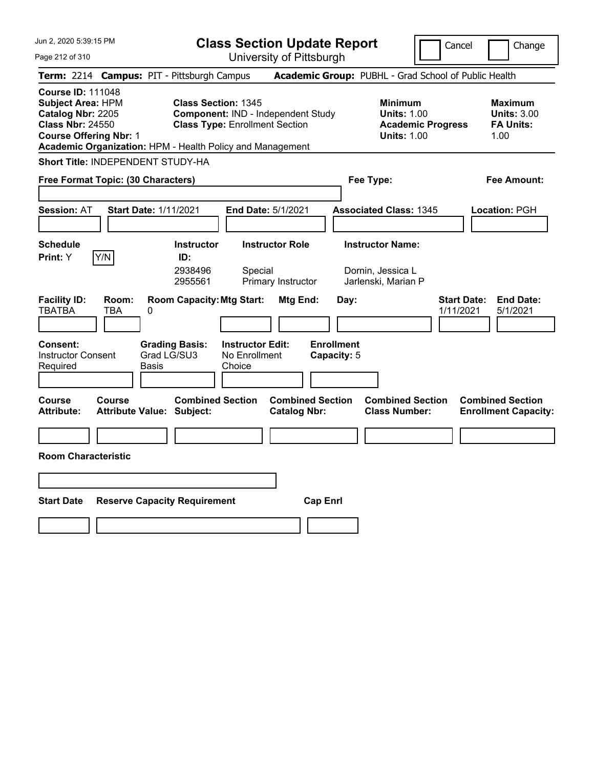University of Pittsburgh

Cancel **Change** 

Page 212 of 310

| Term: 2214 Campus: PIT - Pittsburgh Campus                                                                                                                                                         |                                            |                           |                                                                                                           |                                                    |                                                                                        |                                          | Academic Group: PUBHL - Grad School of Public Health                |                                 |                                                        |
|----------------------------------------------------------------------------------------------------------------------------------------------------------------------------------------------------|--------------------------------------------|---------------------------|-----------------------------------------------------------------------------------------------------------|----------------------------------------------------|----------------------------------------------------------------------------------------|------------------------------------------|---------------------------------------------------------------------|---------------------------------|--------------------------------------------------------|
| <b>Course ID: 111048</b><br><b>Subject Area: HPM</b><br>Catalog Nbr: 2205<br><b>Class Nbr: 24550</b><br><b>Course Offering Nbr: 1</b><br>Academic Organization: HPM - Health Policy and Management |                                            |                           | <b>Class Section: 1345</b><br>Component: IND - Independent Study<br><b>Class Type: Enrollment Section</b> |                                                    | <b>Minimum</b><br><b>Units: 1.00</b><br><b>Academic Progress</b><br><b>Units: 1.00</b> |                                          | <b>Maximum</b><br><b>Units: 3.00</b><br><b>FA Units:</b><br>1.00    |                                 |                                                        |
| Short Title: INDEPENDENT STUDY-HA                                                                                                                                                                  |                                            |                           |                                                                                                           |                                                    |                                                                                        |                                          |                                                                     |                                 |                                                        |
| Free Format Topic: (30 Characters)                                                                                                                                                                 |                                            |                           |                                                                                                           |                                                    |                                                                                        |                                          | Fee Type:                                                           |                                 | <b>Fee Amount:</b>                                     |
| Session: AT                                                                                                                                                                                        | <b>Start Date: 1/11/2021</b>               |                           |                                                                                                           |                                                    | End Date: 5/1/2021                                                                     |                                          | <b>Associated Class: 1345</b>                                       |                                 | Location: PGH                                          |
| <b>Schedule</b><br>Print: Y                                                                                                                                                                        | Y/N                                        |                           | <b>Instructor</b><br>ID:<br>2938496<br>2955561                                                            | Special                                            | <b>Instructor Role</b><br>Primary Instructor                                           |                                          | <b>Instructor Name:</b><br>Dornin, Jessica L<br>Jarlenski, Marian P |                                 |                                                        |
| <b>Facility ID:</b><br><b>TBATBA</b><br>Consent:<br><b>Instructor Consent</b><br>Required                                                                                                          | Room:<br>TBA                               | 0<br>Grad LG/SU3<br>Basis | <b>Room Capacity: Mtg Start:</b><br><b>Grading Basis:</b>                                                 | <b>Instructor Edit:</b><br>No Enrollment<br>Choice | Mtg End:                                                                               | Day:<br><b>Enrollment</b><br>Capacity: 5 |                                                                     | <b>Start Date:</b><br>1/11/2021 | <b>End Date:</b><br>5/1/2021                           |
| Course<br><b>Attribute:</b>                                                                                                                                                                        | Course<br><b>Attribute Value: Subject:</b> |                           | <b>Combined Section</b>                                                                                   |                                                    | <b>Combined Section</b><br><b>Catalog Nbr:</b>                                         |                                          | <b>Combined Section</b><br><b>Class Number:</b>                     |                                 | <b>Combined Section</b><br><b>Enrollment Capacity:</b> |
| <b>Room Characteristic</b>                                                                                                                                                                         |                                            |                           |                                                                                                           |                                                    |                                                                                        |                                          |                                                                     |                                 |                                                        |
| <b>Start Date</b>                                                                                                                                                                                  |                                            |                           | <b>Reserve Capacity Requirement</b>                                                                       |                                                    |                                                                                        | <b>Cap Enrl</b>                          |                                                                     |                                 |                                                        |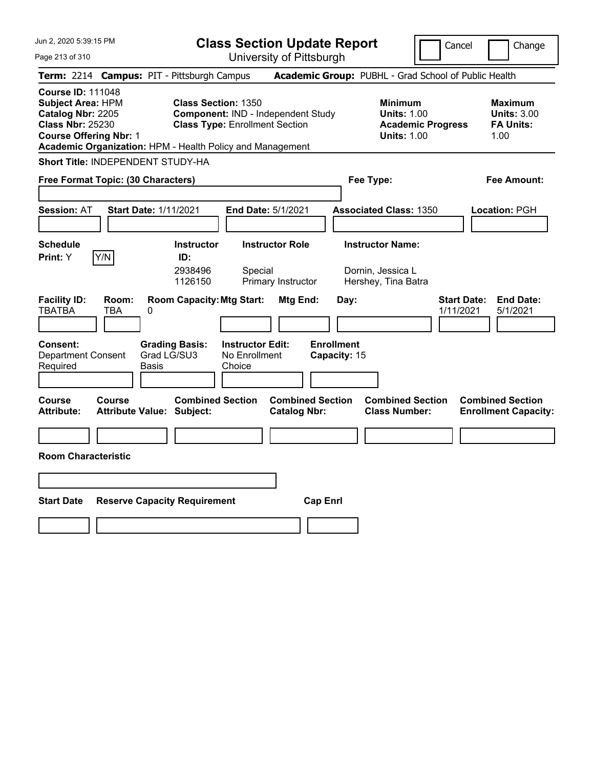Cancel **Change** 

Page 213 of 310

| Page 213 of 310                                                                                                                       |               |                                                                                         |                                                    | University of Pittsburgh                       |                                   |                                                                                        |                                 |                                                                  |
|---------------------------------------------------------------------------------------------------------------------------------------|---------------|-----------------------------------------------------------------------------------------|----------------------------------------------------|------------------------------------------------|-----------------------------------|----------------------------------------------------------------------------------------|---------------------------------|------------------------------------------------------------------|
|                                                                                                                                       |               | Term: 2214 Campus: PIT - Pittsburgh Campus                                              |                                                    |                                                |                                   | Academic Group: PUBHL - Grad School of Public Health                                   |                                 |                                                                  |
| <b>Course ID: 111048</b><br><b>Subject Area: HPM</b><br>Catalog Nbr: 2205<br><b>Class Nbr: 25230</b><br><b>Course Offering Nbr: 1</b> |               | <b>Class Section: 1350</b><br>Academic Organization: HPM - Health Policy and Management | <b>Class Type: Enrollment Section</b>              | <b>Component: IND - Independent Study</b>      |                                   | <b>Minimum</b><br><b>Units: 1.00</b><br><b>Academic Progress</b><br><b>Units: 1.00</b> |                                 | <b>Maximum</b><br><b>Units: 3.00</b><br><b>FA Units:</b><br>1.00 |
|                                                                                                                                       |               | Short Title: INDEPENDENT STUDY-HA                                                       |                                                    |                                                |                                   |                                                                                        |                                 |                                                                  |
| Free Format Topic: (30 Characters)                                                                                                    |               |                                                                                         |                                                    |                                                |                                   | Fee Type:                                                                              |                                 | Fee Amount:                                                      |
| <b>Session: AT</b>                                                                                                                    |               | <b>Start Date: 1/11/2021</b>                                                            | <b>End Date: 5/1/2021</b>                          |                                                |                                   | <b>Associated Class: 1350</b>                                                          |                                 | Location: PGH                                                    |
| <b>Schedule</b><br>Print: Y                                                                                                           | Y/N           | Instructor<br>ID:<br>2938496<br>1126150                                                 | Special                                            | <b>Instructor Role</b><br>Primary Instructor   |                                   | <b>Instructor Name:</b><br>Dornin, Jessica L<br>Hershey, Tina Batra                    |                                 |                                                                  |
| <b>Facility ID:</b><br><b>TBATBA</b>                                                                                                  | Room:<br>TBA  | <b>Room Capacity: Mtg Start:</b><br>0                                                   |                                                    | Mtg End:                                       | Day:                              |                                                                                        | <b>Start Date:</b><br>1/11/2021 | <b>End Date:</b><br>5/1/2021                                     |
| <b>Consent:</b><br><b>Department Consent</b><br>Required                                                                              |               | <b>Grading Basis:</b><br>Grad LG/SU3<br>Basis                                           | <b>Instructor Edit:</b><br>No Enrollment<br>Choice |                                                | <b>Enrollment</b><br>Capacity: 15 |                                                                                        |                                 |                                                                  |
| Course<br><b>Attribute:</b>                                                                                                           | <b>Course</b> | <b>Combined Section</b><br><b>Attribute Value: Subject:</b>                             |                                                    | <b>Combined Section</b><br><b>Catalog Nbr:</b> |                                   | <b>Combined Section</b><br><b>Class Number:</b>                                        |                                 | <b>Combined Section</b><br><b>Enrollment Capacity:</b>           |
| <b>Room Characteristic</b>                                                                                                            |               |                                                                                         |                                                    |                                                |                                   |                                                                                        |                                 |                                                                  |
| <b>Start Date</b>                                                                                                                     |               | <b>Reserve Capacity Requirement</b>                                                     |                                                    | <b>Cap Enrl</b>                                |                                   |                                                                                        |                                 |                                                                  |
|                                                                                                                                       |               |                                                                                         |                                                    |                                                |                                   |                                                                                        |                                 |                                                                  |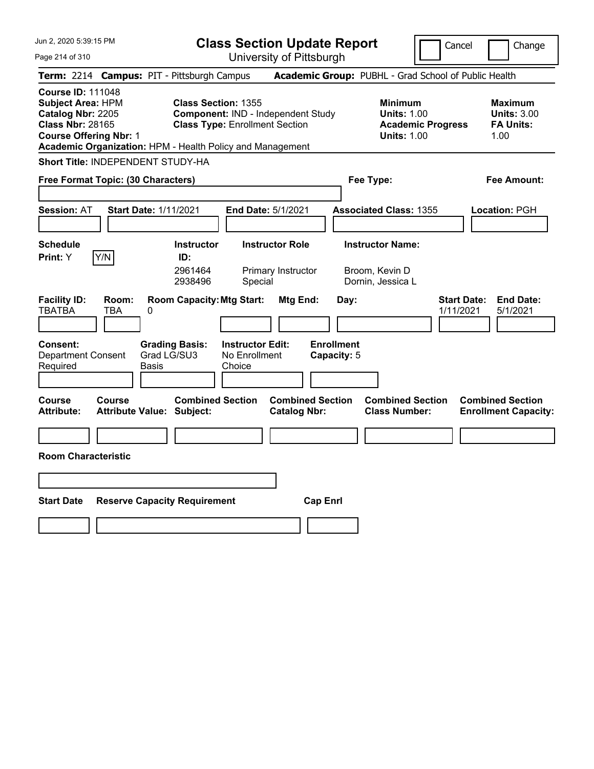Cancel Change

Page 214 of 310

| Page 214 of 310                                                                                                                                                                                    |            |                                                                          |                                          | University of Pittsburgh                       |                                          |                                                                                 |                                                                  |
|----------------------------------------------------------------------------------------------------------------------------------------------------------------------------------------------------|------------|--------------------------------------------------------------------------|------------------------------------------|------------------------------------------------|------------------------------------------|---------------------------------------------------------------------------------|------------------------------------------------------------------|
| Term: 2214 Campus: PIT - Pittsburgh Campus                                                                                                                                                         |            |                                                                          |                                          |                                                |                                          | Academic Group: PUBHL - Grad School of Public Health                            |                                                                  |
| <b>Course ID: 111048</b><br><b>Subject Area: HPM</b><br>Catalog Nbr: 2205<br><b>Class Nbr: 28165</b><br><b>Course Offering Nbr: 1</b><br>Academic Organization: HPM - Health Policy and Management |            | <b>Class Section: 1355</b><br><b>Class Type: Enrollment Section</b>      |                                          | <b>Component: IND - Independent Study</b>      |                                          | Minimum<br><b>Units: 1.00</b><br><b>Academic Progress</b><br><b>Units: 1.00</b> | <b>Maximum</b><br><b>Units: 3.00</b><br><b>FA Units:</b><br>1.00 |
| Short Title: INDEPENDENT STUDY-HA                                                                                                                                                                  |            |                                                                          |                                          |                                                |                                          |                                                                                 |                                                                  |
| Free Format Topic: (30 Characters)                                                                                                                                                                 |            |                                                                          |                                          |                                                | Fee Type:                                |                                                                                 | Fee Amount:                                                      |
| Session: AT                                                                                                                                                                                        |            | <b>Start Date: 1/11/2021</b>                                             |                                          | End Date: 5/1/2021                             |                                          | <b>Associated Class: 1355</b>                                                   | Location: PGH                                                    |
| <b>Schedule</b><br>Y/N<br>Print: Y                                                                                                                                                                 |            | <b>Instructor</b><br>ID:<br>2961464<br>2938496                           | Special                                  | <b>Instructor Role</b><br>Primary Instructor   |                                          | <b>Instructor Name:</b><br>Broom, Kevin D<br>Dornin, Jessica L                  |                                                                  |
| <b>Facility ID:</b><br><b>TBATBA</b><br>TBA<br>Consent:<br><b>Department Consent</b>                                                                                                               | Room:<br>0 | <b>Room Capacity: Mtg Start:</b><br><b>Grading Basis:</b><br>Grad LG/SU3 | <b>Instructor Edit:</b><br>No Enrollment | Mtg End:                                       | Day:<br><b>Enrollment</b><br>Capacity: 5 |                                                                                 | <b>Start Date:</b><br><b>End Date:</b><br>1/11/2021<br>5/1/2021  |
| Required                                                                                                                                                                                           | Basis      |                                                                          | Choice                                   |                                                |                                          |                                                                                 |                                                                  |
| <b>Course</b><br>Course<br>Attribute:                                                                                                                                                              |            | <b>Combined Section</b><br><b>Attribute Value: Subject:</b>              |                                          | <b>Combined Section</b><br><b>Catalog Nbr:</b> |                                          | <b>Combined Section</b><br><b>Class Number:</b>                                 | <b>Combined Section</b><br><b>Enrollment Capacity:</b>           |
| <b>Room Characteristic</b>                                                                                                                                                                         |            |                                                                          |                                          |                                                |                                          |                                                                                 |                                                                  |
|                                                                                                                                                                                                    |            |                                                                          |                                          |                                                |                                          |                                                                                 |                                                                  |
| <b>Start Date</b>                                                                                                                                                                                  |            | <b>Reserve Capacity Requirement</b>                                      |                                          | <b>Cap Enrl</b>                                |                                          |                                                                                 |                                                                  |
|                                                                                                                                                                                                    |            |                                                                          |                                          |                                                |                                          |                                                                                 |                                                                  |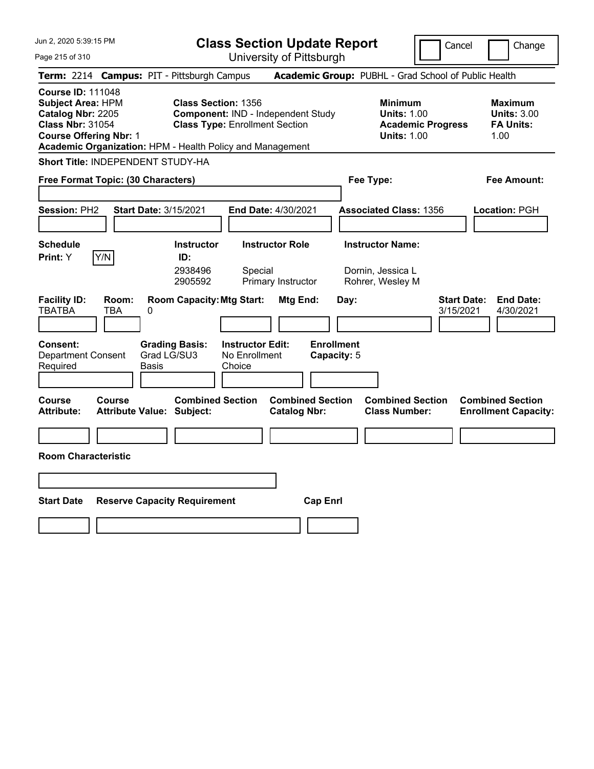| <b>Class Section Update Report</b> |
|------------------------------------|
|------------------------------------|

Cancel **Change** 

Page 215 of 310

| Page 215 of 310                                                                                                                |              |                                                      | University of Pittsburgh                                                                                                                 |                                                |                                                                                        |                                                                  |
|--------------------------------------------------------------------------------------------------------------------------------|--------------|------------------------------------------------------|------------------------------------------------------------------------------------------------------------------------------------------|------------------------------------------------|----------------------------------------------------------------------------------------|------------------------------------------------------------------|
|                                                                                                                                |              | Term: 2214 Campus: PIT - Pittsburgh Campus           |                                                                                                                                          |                                                | Academic Group: PUBHL - Grad School of Public Health                                   |                                                                  |
| <b>Course ID: 111048</b><br>Subject Area: HPM<br>Catalog Nbr: 2205<br><b>Class Nbr: 31054</b><br><b>Course Offering Nbr: 1</b> |              | <b>Class Section: 1356</b>                           | Component: IND - Independent Study<br><b>Class Type: Enrollment Section</b><br>Academic Organization: HPM - Health Policy and Management |                                                | <b>Minimum</b><br><b>Units: 1.00</b><br><b>Academic Progress</b><br><b>Units: 1.00</b> | <b>Maximum</b><br><b>Units: 3.00</b><br><b>FA Units:</b><br>1.00 |
|                                                                                                                                |              | <b>Short Title: INDEPENDENT STUDY-HA</b>             |                                                                                                                                          |                                                |                                                                                        |                                                                  |
| Free Format Topic: (30 Characters)                                                                                             |              |                                                      |                                                                                                                                          |                                                | Fee Type:                                                                              | Fee Amount:                                                      |
| Session: PH2                                                                                                                   |              | <b>Start Date: 3/15/2021</b>                         | End Date: 4/30/2021                                                                                                                      |                                                | <b>Associated Class: 1356</b>                                                          | Location: PGH                                                    |
| <b>Schedule</b><br>Print: Y                                                                                                    | Y/N          | <b>Instructor</b><br>ID:<br>2938496<br>2905592       | <b>Instructor Role</b><br>Special<br>Primary Instructor                                                                                  |                                                | <b>Instructor Name:</b><br>Dornin, Jessica L<br>Rohrer, Wesley M                       |                                                                  |
| <b>Facility ID:</b><br><b>TBATBA</b>                                                                                           | Room:<br>TBA | <b>Room Capacity: Mtg Start:</b><br>0                |                                                                                                                                          | Mtg End:<br>Day:                               |                                                                                        | <b>End Date:</b><br><b>Start Date:</b><br>4/30/2021<br>3/15/2021 |
| <b>Consent:</b><br><b>Department Consent</b><br>Required                                                                       |              | <b>Grading Basis:</b><br>Grad LG/SU3<br>Basis        | <b>Instructor Edit:</b><br>No Enrollment<br>Choice                                                                                       | <b>Enrollment</b><br>Capacity: 5               |                                                                                        |                                                                  |
| Course<br><b>Attribute:</b>                                                                                                    | Course       | <b>Combined Section</b><br>Attribute Value: Subject: |                                                                                                                                          | <b>Combined Section</b><br><b>Catalog Nbr:</b> | <b>Combined Section</b><br><b>Class Number:</b>                                        | <b>Combined Section</b><br><b>Enrollment Capacity:</b>           |
|                                                                                                                                |              |                                                      |                                                                                                                                          |                                                |                                                                                        |                                                                  |
| <b>Room Characteristic</b>                                                                                                     |              |                                                      |                                                                                                                                          |                                                |                                                                                        |                                                                  |
|                                                                                                                                |              |                                                      |                                                                                                                                          |                                                |                                                                                        |                                                                  |
| <b>Start Date</b>                                                                                                              |              | <b>Reserve Capacity Requirement</b>                  |                                                                                                                                          | <b>Cap Enrl</b>                                |                                                                                        |                                                                  |
|                                                                                                                                |              |                                                      |                                                                                                                                          |                                                |                                                                                        |                                                                  |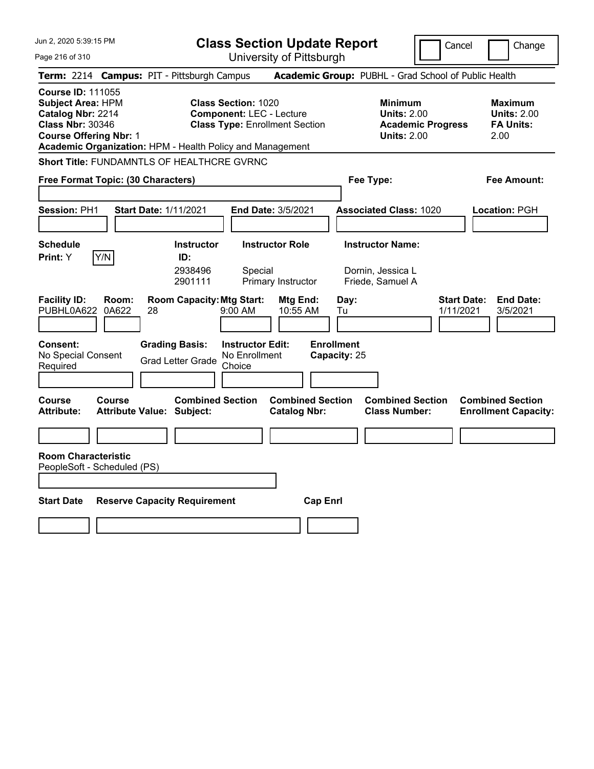Jun 2, 2020 5:39:15 PM Page 216 of 310 **Class Section Update Report** University of Pittsburgh Cancel Change **Term:** 2214 **Campus:** PIT - Pittsburgh Campus **Academic Group:** PUBHL - Grad School of Public Health **Course ID:** 111055 **Subject Area:** HPM **Class Section:** 1020 **Minimum Maximum Catalog Nbr:** 2214 **Component:** LEC - Lecture **Units:** 2.00 **Units:** 2.00 **Class Nbr:** 30346 **Class Type:** Enrollment Section **Academic Progress FA Units: Course Offering Nbr:** 1 **Units:** 2.00 2.00 **Academic Organization:** HPM - Health Policy and Management **Short Title:** FUNDAMNTLS OF HEALTHCRE GVRNC **Free Format Topic: (30 Characters) Fee Type: Fee Amount: Session:** PH1 **Start Date:** 1/11/2021 **End Date:** 3/5/2021 **Associated Class:** 1020 **Location:** PGH **Schedule Instructor Instructor Role Instructor Name: Print:**  $Y$   $|Y/N|$  **ID:** 2938496 Special Dornin, Jessica L 2901111 Primary Instructor Friede, Samuel A **Facility ID: Room: Room Capacity: Mtg Start: Mtg End: Day: Start Date: End Date:<br>PUBHL0A622 0A622 28 9:00 AM 10:55 AM Tu 1/11/2021 3/5/2021** PUBHL0A622 0A622 28 9:00 AM 10:55 AM Tu 1/11/2021 3/5/2021 **Consent: Grading Basis: Instructor Edit: Enrollment** No Special Consent No Special Consent Grad Letter Grade No Enrollment<br>Required Choice Choice **Capacity:** 25 **Course Course Combined Section Combined Section Combined Section Combined Section**  Attribute: Attribute Value: Subject: Catalog Nbr: Class Number: Enrollment Capacity: **Room Characteristic** PeopleSoft - Scheduled (PS) **Start Date Reserve Capacity Requirement Cap Enrl**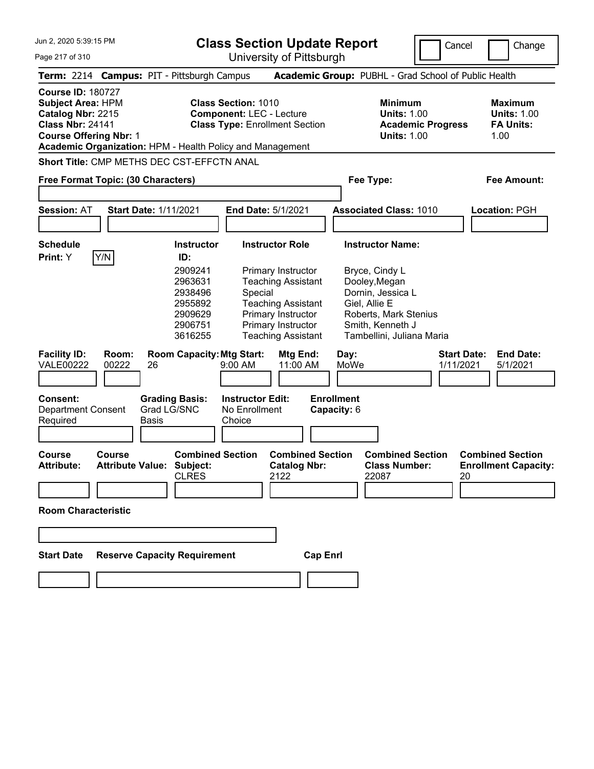**Class Section Update Report** University of Pittsburgh

Cancel **Change** 

Page 217 of 310

| Term: 2214 Campus: PIT - Pittsburgh Campus                                                                                                                                                         |                                            |              |                                                                                 |                                                                                                 |                                                                                                                              |                 |                                  | Academic Group: PUBHL - Grad School of Public Health                                                                      |           |                                                                  |
|----------------------------------------------------------------------------------------------------------------------------------------------------------------------------------------------------|--------------------------------------------|--------------|---------------------------------------------------------------------------------|-------------------------------------------------------------------------------------------------|------------------------------------------------------------------------------------------------------------------------------|-----------------|----------------------------------|---------------------------------------------------------------------------------------------------------------------------|-----------|------------------------------------------------------------------|
| <b>Course ID: 180727</b><br><b>Subject Area: HPM</b><br>Catalog Nbr: 2215<br><b>Class Nbr: 24141</b><br><b>Course Offering Nbr: 1</b><br>Academic Organization: HPM - Health Policy and Management |                                            |              |                                                                                 | Class Section: 1010<br><b>Component: LEC - Lecture</b><br><b>Class Type: Enrollment Section</b> |                                                                                                                              |                 |                                  | <b>Minimum</b><br><b>Units: 1.00</b><br><b>Academic Progress</b><br><b>Units: 1.00</b>                                    |           | <b>Maximum</b><br><b>Units: 1.00</b><br><b>FA Units:</b><br>1.00 |
|                                                                                                                                                                                                    | Short Title: CMP METHS DEC CST-EFFCTN ANAL |              |                                                                                 |                                                                                                 |                                                                                                                              |                 |                                  |                                                                                                                           |           |                                                                  |
| Free Format Topic: (30 Characters)                                                                                                                                                                 |                                            |              |                                                                                 |                                                                                                 |                                                                                                                              |                 |                                  | Fee Type:                                                                                                                 |           | <b>Fee Amount:</b>                                               |
| <b>Session: AT</b>                                                                                                                                                                                 | <b>Start Date: 1/11/2021</b>               |              |                                                                                 | <b>End Date: 5/1/2021</b>                                                                       |                                                                                                                              |                 |                                  | <b>Associated Class: 1010</b>                                                                                             |           | Location: PGH                                                    |
| <b>Schedule</b><br>Print: Y                                                                                                                                                                        | Y/N                                        |              | <b>Instructor</b><br>ID:<br>2909241<br>2963631<br>2938496<br>2955892<br>2909629 | Special                                                                                         | <b>Instructor Role</b><br>Primary Instructor<br><b>Teaching Assistant</b><br><b>Teaching Assistant</b><br>Primary Instructor |                 |                                  | <b>Instructor Name:</b><br>Bryce, Cindy L<br>Dooley, Megan<br>Dornin, Jessica L<br>Giel, Allie E<br>Roberts, Mark Stenius |           |                                                                  |
| <b>Facility ID:</b><br><b>VALE00222</b>                                                                                                                                                            | Room:<br>00222                             | 26           | 2906751<br>3616255<br><b>Room Capacity: Mtg Start:</b>                          | 9:00 AM                                                                                         | Primary Instructor<br><b>Teaching Assistant</b><br>Mtg End:<br>11:00 AM                                                      |                 | Day:<br>MoWe                     | Smith, Kenneth J<br>Tambellini, Juliana Maria                                                                             | 1/11/2021 | <b>Start Date:</b><br><b>End Date:</b><br>5/1/2021               |
| <b>Consent:</b><br><b>Department Consent</b><br>Required                                                                                                                                           |                                            | <b>Basis</b> | <b>Grading Basis:</b><br>Grad LG/SNC                                            | <b>Instructor Edit:</b><br>No Enrollment<br>Choice                                              |                                                                                                                              |                 | <b>Enrollment</b><br>Capacity: 6 |                                                                                                                           |           |                                                                  |
| <b>Course</b><br><b>Attribute:</b>                                                                                                                                                                 | Course<br><b>Attribute Value: Subject:</b> |              | <b>Combined Section</b><br><b>CLRES</b>                                         |                                                                                                 | <b>Combined Section</b><br><b>Catalog Nbr:</b><br>2122                                                                       |                 |                                  | <b>Combined Section</b><br><b>Class Number:</b><br>22087                                                                  |           | <b>Combined Section</b><br><b>Enrollment Capacity:</b><br>20     |
| <b>Room Characteristic</b>                                                                                                                                                                         |                                            |              |                                                                                 |                                                                                                 |                                                                                                                              |                 |                                  |                                                                                                                           |           |                                                                  |
|                                                                                                                                                                                                    |                                            |              |                                                                                 |                                                                                                 |                                                                                                                              |                 |                                  |                                                                                                                           |           |                                                                  |
| <b>Start Date</b>                                                                                                                                                                                  |                                            |              | <b>Reserve Capacity Requirement</b>                                             |                                                                                                 |                                                                                                                              | <b>Cap Enrl</b> |                                  |                                                                                                                           |           |                                                                  |
|                                                                                                                                                                                                    |                                            |              |                                                                                 |                                                                                                 |                                                                                                                              |                 |                                  |                                                                                                                           |           |                                                                  |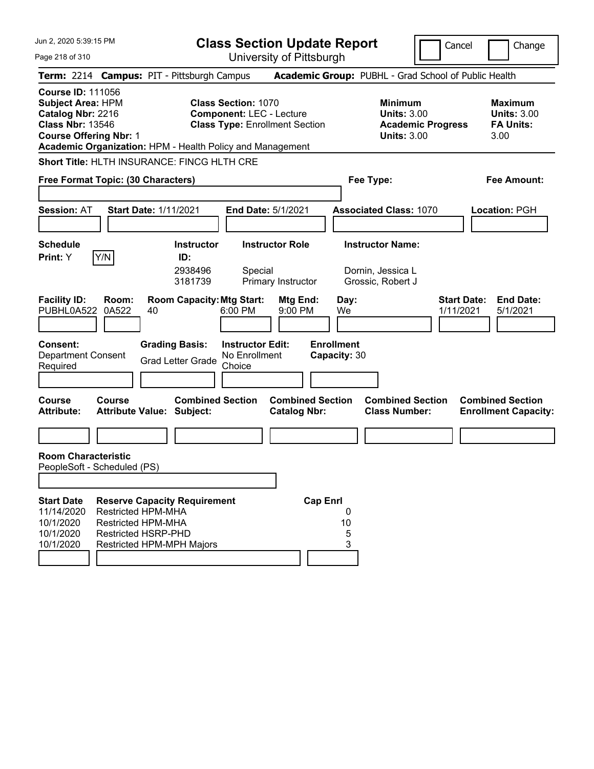| Jun 2, 2020 5:39:15 PM                                                                                                                |                                                                                      |                                                                                             |                                                               | <b>Class Section Update Report</b>                                       |                                                 |                                                                   |                          | Cancel<br>Change                                                 |  |
|---------------------------------------------------------------------------------------------------------------------------------------|--------------------------------------------------------------------------------------|---------------------------------------------------------------------------------------------|---------------------------------------------------------------|--------------------------------------------------------------------------|-------------------------------------------------|-------------------------------------------------------------------|--------------------------|------------------------------------------------------------------|--|
| Page 218 of 310                                                                                                                       |                                                                                      |                                                                                             |                                                               | University of Pittsburgh                                                 |                                                 |                                                                   |                          |                                                                  |  |
|                                                                                                                                       |                                                                                      | Term: 2214 Campus: PIT - Pittsburgh Campus                                                  |                                                               |                                                                          |                                                 |                                                                   |                          | Academic Group: PUBHL - Grad School of Public Health             |  |
| <b>Course ID: 111056</b><br><b>Subject Area: HPM</b><br>Catalog Nbr: 2216<br><b>Class Nbr: 13546</b><br><b>Course Offering Nbr: 1</b> |                                                                                      | Academic Organization: HPM - Health Policy and Management                                   | <b>Class Section: 1070</b>                                    | <b>Component: LEC - Lecture</b><br><b>Class Type: Enrollment Section</b> |                                                 | <b>Minimum</b><br><b>Units: 3.00</b><br><b>Units: 3.00</b>        | <b>Academic Progress</b> | <b>Maximum</b><br><b>Units: 3.00</b><br><b>FA Units:</b><br>3.00 |  |
|                                                                                                                                       |                                                                                      | Short Title: HLTH INSURANCE: FINCG HLTH CRE                                                 |                                                               |                                                                          |                                                 |                                                                   |                          |                                                                  |  |
| Free Format Topic: (30 Characters)                                                                                                    |                                                                                      |                                                                                             |                                                               |                                                                          |                                                 | Fee Type:                                                         |                          | <b>Fee Amount:</b>                                               |  |
| <b>Session: AT</b>                                                                                                                    |                                                                                      | <b>Start Date: 1/11/2021</b>                                                                |                                                               | <b>End Date: 5/1/2021</b>                                                |                                                 | <b>Associated Class: 1070</b>                                     |                          | Location: PGH                                                    |  |
| <b>Schedule</b><br>Print: Y                                                                                                           | Y/N                                                                                  | <b>Instructor</b><br>ID:<br>2938496<br>3181739                                              | Special                                                       | <b>Instructor Role</b><br>Primary Instructor                             |                                                 | <b>Instructor Name:</b><br>Dornin, Jessica L<br>Grossic, Robert J |                          |                                                                  |  |
| <b>Facility ID:</b><br>PUBHL0A522<br>Consent:<br><b>Department Consent</b><br>Required                                                | Room:<br>0A522                                                                       | <b>Room Capacity: Mtg Start:</b><br>40<br><b>Grading Basis:</b><br><b>Grad Letter Grade</b> | 6:00 PM<br><b>Instructor Edit:</b><br>No Enrollment<br>Choice | Mtg End:<br>9:00 PM                                                      | Day:<br>We<br><b>Enrollment</b><br>Capacity: 30 |                                                                   |                          | <b>Start Date:</b><br><b>End Date:</b><br>1/11/2021<br>5/1/2021  |  |
| Course<br><b>Attribute:</b>                                                                                                           | Course                                                                               | <b>Combined Section</b><br><b>Attribute Value: Subject:</b>                                 |                                                               | <b>Combined Section</b><br><b>Catalog Nbr:</b>                           |                                                 | <b>Combined Section</b><br><b>Class Number:</b>                   |                          | <b>Combined Section</b><br><b>Enrollment Capacity:</b>           |  |
| <b>Room Characteristic</b><br>PeopleSoft - Scheduled (PS)<br><b>Start Date</b>                                                        |                                                                                      | <b>Reserve Capacity Requirement</b>                                                         |                                                               |                                                                          | <b>Cap Enrl</b>                                 |                                                                   |                          |                                                                  |  |
| 11/14/2020<br>10/1/2020<br>10/1/2020<br>10/1/2020                                                                                     | <b>Restricted HPM-MHA</b><br><b>Restricted HPM-MHA</b><br><b>Restricted HSRP-PHD</b> | Restricted HPM-MPH Majors                                                                   |                                                               |                                                                          | 0<br>10<br>5<br>3                               |                                                                   |                          |                                                                  |  |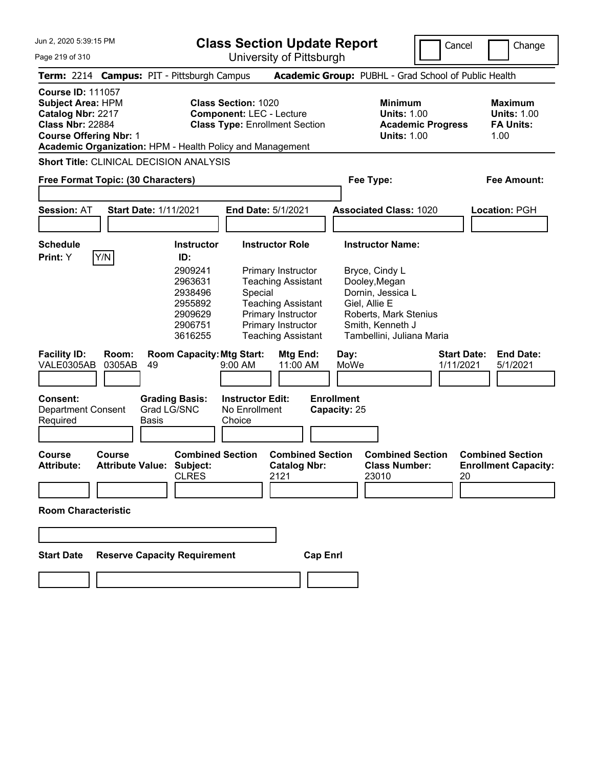**Class Section Update Report** University of Pittsburgh

Cancel **Change** 

Page 219 of 310

| Term: 2214 Campus: PIT - Pittsburgh Campus                                                                                                                                                         |                                                                                                       |                                                                                                                                                                                            | Academic Group: PUBHL - Grad School of Public Health                                                                                                                       |                                                                  |
|----------------------------------------------------------------------------------------------------------------------------------------------------------------------------------------------------|-------------------------------------------------------------------------------------------------------|--------------------------------------------------------------------------------------------------------------------------------------------------------------------------------------------|----------------------------------------------------------------------------------------------------------------------------------------------------------------------------|------------------------------------------------------------------|
| <b>Course ID: 111057</b><br><b>Subject Area: HPM</b><br>Catalog Nbr: 2217<br><b>Class Nbr: 22884</b><br><b>Course Offering Nbr: 1</b><br>Academic Organization: HPM - Health Policy and Management |                                                                                                       | <b>Class Section: 1020</b><br><b>Component: LEC - Lecture</b><br><b>Class Type: Enrollment Section</b>                                                                                     | <b>Minimum</b><br><b>Units: 1.00</b><br><b>Academic Progress</b><br><b>Units: 1.00</b>                                                                                     | <b>Maximum</b><br><b>Units: 1.00</b><br><b>FA Units:</b><br>1.00 |
| <b>Short Title: CLINICAL DECISION ANALYSIS</b>                                                                                                                                                     |                                                                                                       |                                                                                                                                                                                            |                                                                                                                                                                            |                                                                  |
| Free Format Topic: (30 Characters)                                                                                                                                                                 |                                                                                                       |                                                                                                                                                                                            | Fee Type:                                                                                                                                                                  | <b>Fee Amount:</b>                                               |
| <b>Session: AT</b><br><b>Start Date: 1/11/2021</b>                                                                                                                                                 |                                                                                                       | <b>End Date: 5/1/2021</b>                                                                                                                                                                  | <b>Associated Class: 1020</b>                                                                                                                                              | Location: PGH                                                    |
| <b>Schedule</b><br>Y/N<br>Print: Y                                                                                                                                                                 | <b>Instructor</b><br>ID:<br>2909241<br>2963631<br>2938496<br>2955892<br>2909629<br>2906751<br>3616255 | <b>Instructor Role</b><br>Primary Instructor<br><b>Teaching Assistant</b><br>Special<br><b>Teaching Assistant</b><br>Primary Instructor<br>Primary Instructor<br><b>Teaching Assistant</b> | <b>Instructor Name:</b><br>Bryce, Cindy L<br>Dooley, Megan<br>Dornin, Jessica L<br>Giel, Allie E<br>Roberts, Mark Stenius<br>Smith, Kenneth J<br>Tambellini, Juliana Maria |                                                                  |
| <b>Facility ID:</b><br>Room:<br>VALE0305AB<br>0305AB<br>49<br><b>Consent:</b><br><b>Department Consent</b><br>Required<br><b>Basis</b>                                                             | <b>Room Capacity: Mtg Start:</b><br><b>Grading Basis:</b><br>Grad LG/SNC                              | Mtg End:<br>9:00 AM<br>11:00 AM<br><b>Instructor Edit:</b><br>No Enrollment<br>Choice                                                                                                      | <b>Start Date:</b><br>Day:<br>MoWe<br>1/11/2021<br><b>Enrollment</b><br>Capacity: 25                                                                                       | <b>End Date:</b><br>5/1/2021                                     |
| <b>Course</b><br>Course<br><b>Attribute Value:</b><br><b>Attribute:</b><br><b>Room Characteristic</b>                                                                                              | <b>Combined Section</b><br>Subject:<br><b>CLRES</b>                                                   | <b>Combined Section</b><br><b>Catalog Nbr:</b><br>2121                                                                                                                                     | <b>Combined Section</b><br><b>Class Number:</b><br>23010<br>20                                                                                                             | <b>Combined Section</b><br><b>Enrollment Capacity:</b>           |
| <b>Start Date</b>                                                                                                                                                                                  | <b>Reserve Capacity Requirement</b>                                                                   | <b>Cap Enrl</b>                                                                                                                                                                            |                                                                                                                                                                            |                                                                  |
|                                                                                                                                                                                                    |                                                                                                       |                                                                                                                                                                                            |                                                                                                                                                                            |                                                                  |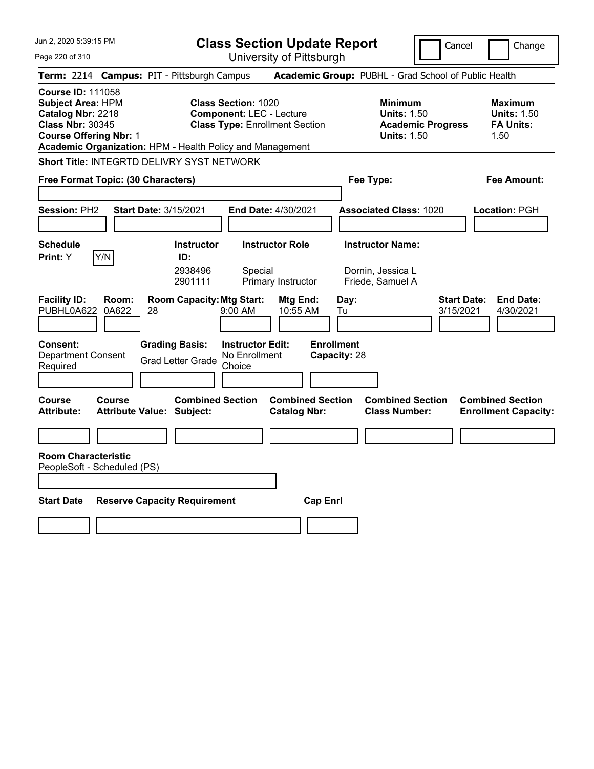Page 220 of 310

**Class Section Update Report**

Cancel Change

University of Pittsburgh

|                                                                                                                                       |                | Term: 2214 Campus: PIT - Pittsburgh Campus                  |                                                               |                                                |                                   | Academic Group: PUBHL - Grad School of Public Health                            |                                 |                                                                  |
|---------------------------------------------------------------------------------------------------------------------------------------|----------------|-------------------------------------------------------------|---------------------------------------------------------------|------------------------------------------------|-----------------------------------|---------------------------------------------------------------------------------|---------------------------------|------------------------------------------------------------------|
| <b>Course ID: 111058</b><br><b>Subject Area: HPM</b><br>Catalog Nbr: 2218<br><b>Class Nbr: 30345</b><br><b>Course Offering Nbr: 1</b> |                | Academic Organization: HPM - Health Policy and Management   | <b>Class Section: 1020</b><br><b>Component: LEC - Lecture</b> | <b>Class Type: Enrollment Section</b>          |                                   | Minimum<br><b>Units: 1.50</b><br><b>Academic Progress</b><br><b>Units: 1.50</b> |                                 | <b>Maximum</b><br><b>Units: 1.50</b><br><b>FA Units:</b><br>1.50 |
|                                                                                                                                       |                | <b>Short Title: INTEGRTD DELIVRY SYST NETWORK</b>           |                                                               |                                                |                                   |                                                                                 |                                 |                                                                  |
| Free Format Topic: (30 Characters)                                                                                                    |                |                                                             |                                                               |                                                |                                   | Fee Type:                                                                       |                                 | Fee Amount:                                                      |
| Session: PH2                                                                                                                          |                | <b>Start Date: 3/15/2021</b>                                |                                                               | End Date: 4/30/2021                            |                                   | <b>Associated Class: 1020</b>                                                   |                                 | Location: PGH                                                    |
| <b>Schedule</b><br>Print: Y                                                                                                           | Y/N            | <b>Instructor</b><br>ID:<br>2938496<br>2901111              | Special                                                       | <b>Instructor Role</b><br>Primary Instructor   |                                   | <b>Instructor Name:</b><br>Dornin, Jessica L<br>Friede, Samuel A                |                                 |                                                                  |
| <b>Facility ID:</b><br>PUBHL0A622                                                                                                     | Room:<br>0A622 | <b>Room Capacity: Mtg Start:</b><br>28                      | 9:00 AM                                                       | Mtg End:<br>10:55 AM                           | Day:<br>Tu                        |                                                                                 | <b>Start Date:</b><br>3/15/2021 | <b>End Date:</b><br>4/30/2021                                    |
| <b>Consent:</b><br><b>Department Consent</b><br>Required                                                                              |                | <b>Grading Basis:</b><br><b>Grad Letter Grade</b>           | <b>Instructor Edit:</b><br>No Enrollment<br>Choice            |                                                | <b>Enrollment</b><br>Capacity: 28 |                                                                                 |                                 |                                                                  |
| Course<br><b>Attribute:</b>                                                                                                           | Course         | <b>Combined Section</b><br><b>Attribute Value: Subject:</b> |                                                               | <b>Combined Section</b><br><b>Catalog Nbr:</b> |                                   | <b>Combined Section</b><br><b>Class Number:</b>                                 |                                 | <b>Combined Section</b><br><b>Enrollment Capacity:</b>           |
| <b>Room Characteristic</b><br>PeopleSoft - Scheduled (PS)                                                                             |                |                                                             |                                                               |                                                |                                   |                                                                                 |                                 |                                                                  |
| <b>Start Date</b>                                                                                                                     |                | <b>Reserve Capacity Requirement</b>                         |                                                               | <b>Cap Enrl</b>                                |                                   |                                                                                 |                                 |                                                                  |
|                                                                                                                                       |                |                                                             |                                                               |                                                |                                   |                                                                                 |                                 |                                                                  |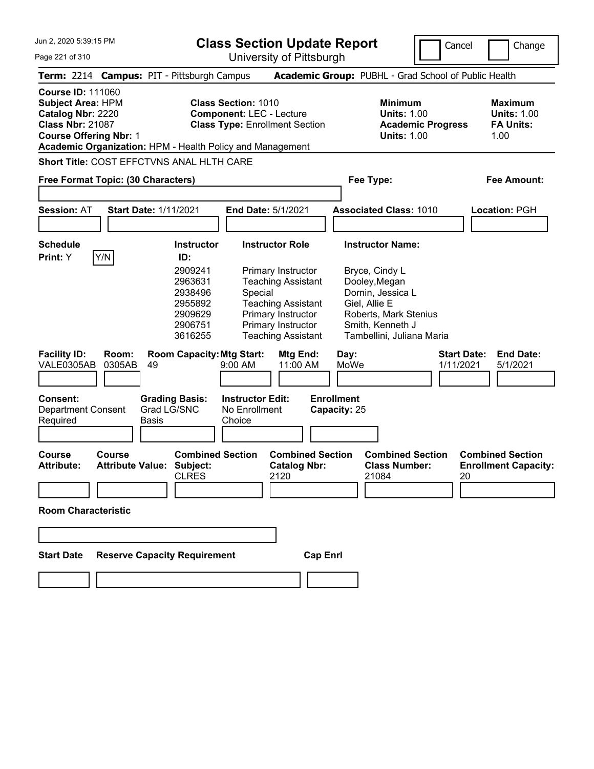**Class Section Update Report**

University of Pittsburgh

Cancel **Change** 

Page 221 of 310

|                                                                                                                                       | Term: 2214 Campus: PIT - Pittsburgh Campus                                                            |                                                                                                                                                                                            | Academic Group: PUBHL - Grad School of Public Health                                                                                                                       |                                                                  |
|---------------------------------------------------------------------------------------------------------------------------------------|-------------------------------------------------------------------------------------------------------|--------------------------------------------------------------------------------------------------------------------------------------------------------------------------------------------|----------------------------------------------------------------------------------------------------------------------------------------------------------------------------|------------------------------------------------------------------|
| <b>Course ID: 111060</b><br><b>Subject Area: HPM</b><br>Catalog Nbr: 2220<br><b>Class Nbr: 21087</b><br><b>Course Offering Nbr: 1</b> | Academic Organization: HPM - Health Policy and Management                                             | <b>Class Section: 1010</b><br><b>Component: LEC - Lecture</b><br><b>Class Type: Enrollment Section</b>                                                                                     | <b>Minimum</b><br><b>Units: 1.00</b><br><b>Academic Progress</b><br><b>Units: 1.00</b>                                                                                     | <b>Maximum</b><br><b>Units: 1.00</b><br><b>FA Units:</b><br>1.00 |
| Free Format Topic: (30 Characters)                                                                                                    | Short Title: COST EFFCTVNS ANAL HLTH CARE                                                             |                                                                                                                                                                                            | Fee Type:                                                                                                                                                                  | <b>Fee Amount:</b>                                               |
| Session: AT                                                                                                                           | <b>Start Date: 1/11/2021</b>                                                                          | End Date: 5/1/2021                                                                                                                                                                         | <b>Associated Class: 1010</b>                                                                                                                                              | Location: PGH                                                    |
| <b>Schedule</b><br>Y/N<br>Print: Y                                                                                                    | <b>Instructor</b><br>ID:<br>2909241<br>2963631<br>2938496<br>2955892<br>2909629<br>2906751<br>3616255 | <b>Instructor Role</b><br>Primary Instructor<br><b>Teaching Assistant</b><br>Special<br><b>Teaching Assistant</b><br>Primary Instructor<br>Primary Instructor<br><b>Teaching Assistant</b> | <b>Instructor Name:</b><br>Bryce, Cindy L<br>Dooley, Megan<br>Dornin, Jessica L<br>Giel, Allie E<br>Roberts, Mark Stenius<br>Smith, Kenneth J<br>Tambellini, Juliana Maria |                                                                  |
| <b>Facility ID:</b><br>Room:<br>VALE0305AB<br>0305AB                                                                                  | <b>Room Capacity: Mtg Start:</b><br>49                                                                | <b>Mtg End:</b><br>9:00 AM<br>11:00 AM                                                                                                                                                     | <b>Start Date:</b><br>Day:<br>MoWe<br>1/11/2021                                                                                                                            | <b>End Date:</b><br>5/1/2021                                     |
| Consent:<br><b>Department Consent</b><br>Required                                                                                     | <b>Grading Basis:</b><br>Grad LG/SNC<br><b>Basis</b>                                                  | <b>Instructor Edit:</b><br>No Enrollment<br>Choice                                                                                                                                         | <b>Enrollment</b><br>Capacity: 25                                                                                                                                          |                                                                  |
| <b>Course</b><br>Course<br><b>Attribute:</b>                                                                                          | <b>Combined Section</b><br><b>Attribute Value: Subject:</b><br><b>CLRES</b>                           | <b>Combined Section</b><br><b>Catalog Nbr:</b><br>2120                                                                                                                                     | <b>Combined Section</b><br><b>Class Number:</b><br>21084                                                                                                                   | <b>Combined Section</b><br><b>Enrollment Capacity:</b><br>20     |
| <b>Room Characteristic</b>                                                                                                            |                                                                                                       |                                                                                                                                                                                            |                                                                                                                                                                            |                                                                  |
| <b>Start Date</b>                                                                                                                     | <b>Reserve Capacity Requirement</b>                                                                   | <b>Cap Enrl</b>                                                                                                                                                                            |                                                                                                                                                                            |                                                                  |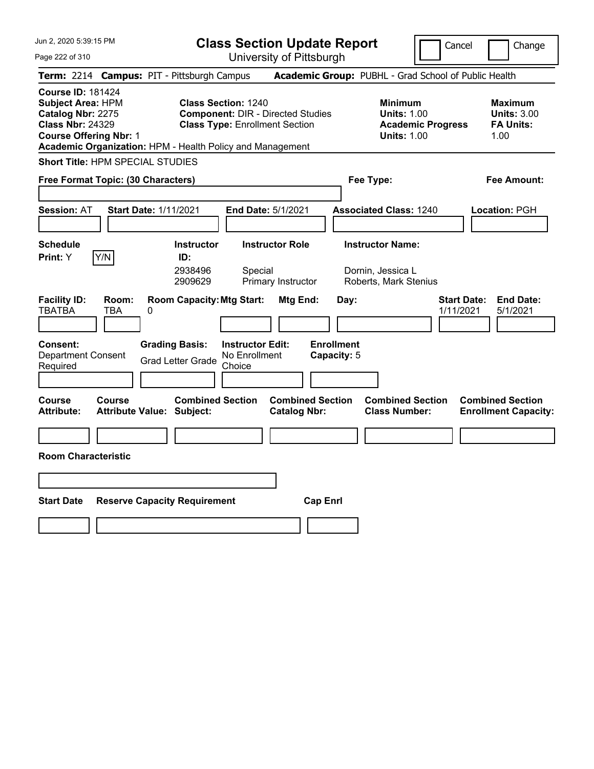**Class Section Update Report** University of Pittsburgh

Cancel Change

Page 222 of 310

|                                                                                                                                       |                     | Term: 2214 Campus: PIT - Pittsburgh Campus                  |                                                                                                                 |                                                | Academic Group: PUBHL - Grad School of Public Health                                   |                                                                  |
|---------------------------------------------------------------------------------------------------------------------------------------|---------------------|-------------------------------------------------------------|-----------------------------------------------------------------------------------------------------------------|------------------------------------------------|----------------------------------------------------------------------------------------|------------------------------------------------------------------|
| <b>Course ID: 181424</b><br><b>Subject Area: HPM</b><br>Catalog Nbr: 2275<br><b>Class Nbr: 24329</b><br><b>Course Offering Nbr: 1</b> |                     | Academic Organization: HPM - Health Policy and Management   | <b>Class Section: 1240</b><br><b>Component: DIR - Directed Studies</b><br><b>Class Type: Enrollment Section</b> |                                                | <b>Minimum</b><br><b>Units: 1.00</b><br><b>Academic Progress</b><br><b>Units: 1.00</b> | <b>Maximum</b><br><b>Units: 3.00</b><br><b>FA Units:</b><br>1.00 |
| <b>Short Title: HPM SPECIAL STUDIES</b>                                                                                               |                     |                                                             |                                                                                                                 |                                                |                                                                                        |                                                                  |
| Free Format Topic: (30 Characters)                                                                                                    |                     |                                                             |                                                                                                                 |                                                | Fee Type:                                                                              | Fee Amount:                                                      |
| <b>Session: AT</b>                                                                                                                    |                     | <b>Start Date: 1/11/2021</b>                                | End Date: 5/1/2021                                                                                              |                                                | <b>Associated Class: 1240</b>                                                          | Location: PGH                                                    |
| <b>Schedule</b><br>Print: Y                                                                                                           | Y/N                 | <b>Instructor</b><br>ID:<br>2938496<br>2909629              | <b>Instructor Role</b><br>Special<br>Primary Instructor                                                         |                                                | <b>Instructor Name:</b><br>Dornin, Jessica L<br>Roberts, Mark Stenius                  |                                                                  |
| <b>Facility ID:</b><br><b>TBATBA</b>                                                                                                  | Room:<br><b>TBA</b> | <b>Room Capacity: Mtg Start:</b><br>0                       |                                                                                                                 | Mtg End:<br>Day:                               |                                                                                        | <b>End Date:</b><br><b>Start Date:</b><br>1/11/2021<br>5/1/2021  |
| <b>Consent:</b><br><b>Department Consent</b><br>Required                                                                              |                     | <b>Grading Basis:</b><br><b>Grad Letter Grade</b>           | <b>Instructor Edit:</b><br>No Enrollment<br>Choice                                                              | <b>Enrollment</b><br>Capacity: 5               |                                                                                        |                                                                  |
| <b>Course</b><br><b>Attribute:</b>                                                                                                    | <b>Course</b>       | <b>Combined Section</b><br><b>Attribute Value: Subject:</b> |                                                                                                                 | <b>Combined Section</b><br><b>Catalog Nbr:</b> | <b>Combined Section</b><br><b>Class Number:</b>                                        | <b>Combined Section</b><br><b>Enrollment Capacity:</b>           |
|                                                                                                                                       |                     |                                                             |                                                                                                                 |                                                |                                                                                        |                                                                  |
| <b>Room Characteristic</b>                                                                                                            |                     |                                                             |                                                                                                                 |                                                |                                                                                        |                                                                  |
|                                                                                                                                       |                     |                                                             |                                                                                                                 |                                                |                                                                                        |                                                                  |
| <b>Start Date</b>                                                                                                                     |                     | <b>Reserve Capacity Requirement</b>                         |                                                                                                                 | <b>Cap Enrl</b>                                |                                                                                        |                                                                  |
|                                                                                                                                       |                     |                                                             |                                                                                                                 |                                                |                                                                                        |                                                                  |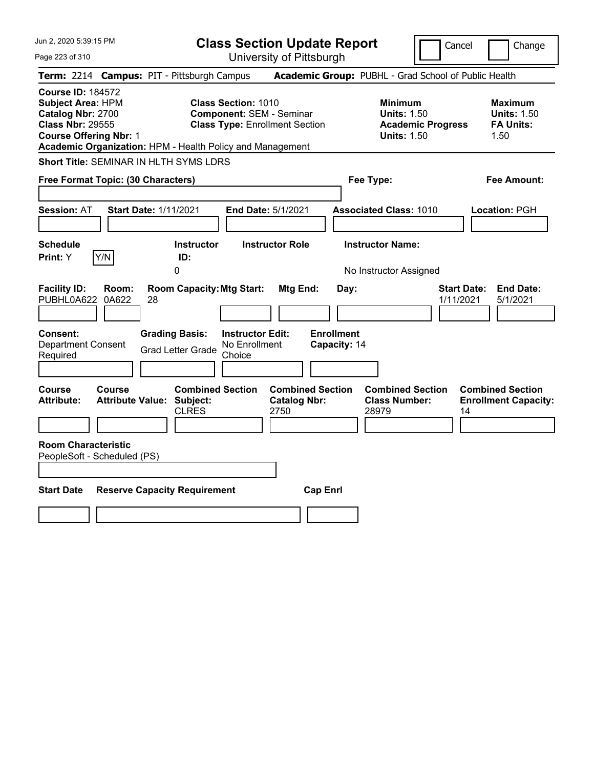| Jun 2, 2020 5:39:15 PM                                                                                                                                                                             | <b>Class Section Update Report</b>                                                                | Cancel                                                                                 | Change                                                           |
|----------------------------------------------------------------------------------------------------------------------------------------------------------------------------------------------------|---------------------------------------------------------------------------------------------------|----------------------------------------------------------------------------------------|------------------------------------------------------------------|
| Page 223 of 310                                                                                                                                                                                    | University of Pittsburgh                                                                          |                                                                                        |                                                                  |
| Term: 2214 Campus: PIT - Pittsburgh Campus                                                                                                                                                         |                                                                                                   | Academic Group: PUBHL - Grad School of Public Health                                   |                                                                  |
| <b>Course ID: 184572</b><br><b>Subject Area: HPM</b><br>Catalog Nbr: 2700<br><b>Class Nbr: 29555</b><br><b>Course Offering Nbr: 1</b><br>Academic Organization: HPM - Health Policy and Management | Class Section: 1010<br><b>Component: SEM - Seminar</b><br><b>Class Type: Enrollment Section</b>   | <b>Minimum</b><br><b>Units: 1.50</b><br><b>Academic Progress</b><br><b>Units: 1.50</b> | <b>Maximum</b><br><b>Units: 1.50</b><br><b>FA Units:</b><br>1.50 |
| <b>Short Title: SEMINAR IN HLTH SYMS LDRS</b>                                                                                                                                                      |                                                                                                   |                                                                                        |                                                                  |
| Free Format Topic: (30 Characters)                                                                                                                                                                 |                                                                                                   | Fee Type:                                                                              | Fee Amount:                                                      |
| <b>Session: AT</b><br><b>Start Date: 1/11/2021</b>                                                                                                                                                 | End Date: 5/1/2021                                                                                | <b>Associated Class: 1010</b>                                                          | Location: PGH                                                    |
| <b>Schedule</b><br>Y/N<br>Print: Y<br>0                                                                                                                                                            | <b>Instructor Role</b><br><b>Instructor</b><br>ID:                                                | <b>Instructor Name:</b><br>No Instructor Assigned                                      |                                                                  |
| <b>Facility ID:</b><br>Room:<br>PUBHL0A622<br>0A622<br>28                                                                                                                                          | <b>Room Capacity: Mtg Start:</b><br>Mtg End:                                                      | Day:<br>1/11/2021                                                                      | <b>Start Date:</b><br><b>End Date:</b><br>5/1/2021               |
| <b>Grading Basis:</b><br><b>Consent:</b><br><b>Department Consent</b><br><b>Grad Letter Grade</b><br>Required                                                                                      | <b>Enrollment</b><br><b>Instructor Edit:</b><br>No Enrollment<br>Choice                           | Capacity: 14                                                                           |                                                                  |
| <b>Course</b><br><b>Course</b><br><b>Attribute Value: Subject:</b><br><b>Attribute:</b>                                                                                                            | <b>Combined Section</b><br><b>Combined Section</b><br><b>Catalog Nbr:</b><br><b>CLRES</b><br>2750 | <b>Combined Section</b><br><b>Class Number:</b><br>28979                               | <b>Combined Section</b><br><b>Enrollment Capacity:</b><br>14     |
| <b>Room Characteristic</b><br>PeopleSoft - Scheduled (PS)                                                                                                                                          |                                                                                                   |                                                                                        |                                                                  |
| <b>Start Date</b><br><b>Reserve Capacity Requirement</b>                                                                                                                                           | <b>Cap Enrl</b>                                                                                   |                                                                                        |                                                                  |
|                                                                                                                                                                                                    |                                                                                                   |                                                                                        |                                                                  |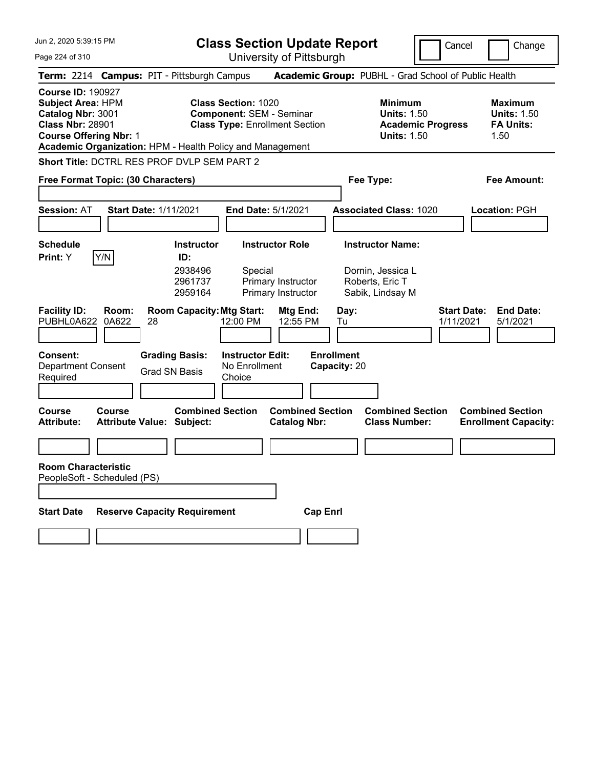Jun 2, 2020 5:39:15 PM Page 224 of 310 **Class Section Update Report** University of Pittsburgh Cancel Change **Term:** 2214 **Campus:** PIT - Pittsburgh Campus **Academic Group:** PUBHL - Grad School of Public Health **Course ID:** 190927 **Subject Area:** HPM **Class Section:** 1020 **Minimum Maximum Catalog Nbr:** 3001 **Component:** SEM - Seminar **Units:** 1.50 **Units:** 1.50 **Class Nbr:** 28901 **Class Type:** Enrollment Section **Academic Progress FA Units: Course Offering Nbr: 1 Course Offering Nbr: 1 1.50 1.50 Academic Organization:** HPM - Health Policy and Management **Short Title:** DCTRL RES PROF DVLP SEM PART 2 **Free Format Topic: (30 Characters) Fee Type: Fee Amount: Session:** AT **Start Date:** 1/11/2021 **End Date:** 5/1/2021 **Associated Class:** 1020 **Location:** PGH **Schedule Instructor Instructor Role Instructor Name: Print:**  $Y$   $|Y/N|$  **ID:** 2938496 Special Dornin, Jessica L 2961737 Primary Instructor Roberts, Eric T 2959164 Primary Instructor Sabik, Lindsay M **Facility ID: Room: Room Capacity:Mtg Start: Mtg End: Day: Start Date: End Date:** PUBHL0A622 0A622 28 12:00 PM 12:55 PM Tu 1/11/2021 5/1/2021 **Consent: Grading Basis: Instructor Edit: Enrollment** Department Consent Required Grad SN Basis No Enrollment **Choice Capacity:** 20 **Course Course Combined Section Combined Section Combined Section Combined Section**  Attribute Value: Subject: Catalog Nbr: Class Number: Enrollment Capacity: **Room Characteristic** PeopleSoft - Scheduled (PS) **Start Date Reserve Capacity Requirement Cap Enrl**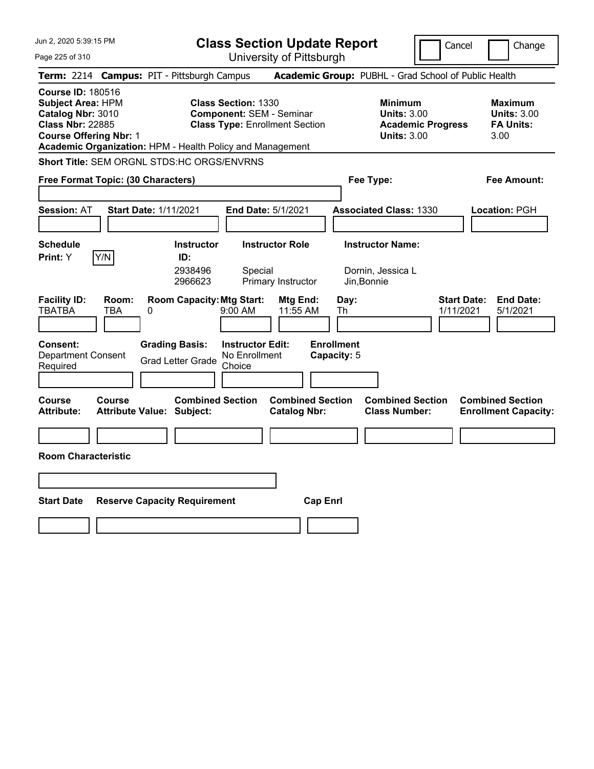| Jun 2, 2020 5:39:15 PM                                                                                                                                                                             | <b>Class Section Update Report</b>                                                                        |                                                                        | Cancel                          | Change                                                           |
|----------------------------------------------------------------------------------------------------------------------------------------------------------------------------------------------------|-----------------------------------------------------------------------------------------------------------|------------------------------------------------------------------------|---------------------------------|------------------------------------------------------------------|
| Page 225 of 310                                                                                                                                                                                    | University of Pittsburgh                                                                                  |                                                                        |                                 |                                                                  |
| Term: 2214 Campus: PIT - Pittsburgh Campus                                                                                                                                                         |                                                                                                           | Academic Group: PUBHL - Grad School of Public Health                   |                                 |                                                                  |
| <b>Course ID: 180516</b><br><b>Subject Area: HPM</b><br>Catalog Nbr: 3010<br><b>Class Nbr: 22885</b><br><b>Course Offering Nbr: 1</b><br>Academic Organization: HPM - Health Policy and Management | <b>Class Section: 1330</b><br><b>Component: SEM - Seminar</b><br><b>Class Type: Enrollment Section</b>    | <b>Minimum</b><br><b>Units: 3.00</b><br><b>Units: 3.00</b>             | <b>Academic Progress</b>        | <b>Maximum</b><br><b>Units: 3.00</b><br><b>FA Units:</b><br>3.00 |
| Short Title: SEM ORGNL STDS:HC ORGS/ENVRNS                                                                                                                                                         |                                                                                                           |                                                                        |                                 |                                                                  |
| Free Format Topic: (30 Characters)                                                                                                                                                                 |                                                                                                           | Fee Type:                                                              |                                 | Fee Amount:                                                      |
| <b>Session: AT</b><br>Start Date: 1/11/2021                                                                                                                                                        | End Date: 5/1/2021                                                                                        | <b>Associated Class: 1330</b>                                          |                                 | Location: PGH                                                    |
| <b>Schedule</b><br>Y/N<br><b>Print:</b> Y                                                                                                                                                          | <b>Instructor Role</b><br><b>Instructor</b><br>ID:<br>2938496<br>Special<br>2966623<br>Primary Instructor | <b>Instructor Name:</b><br>Dornin, Jessica L<br>Jin, Bonnie            |                                 |                                                                  |
| <b>Facility ID:</b><br>Room:<br><b>TBATBA</b><br>TBA<br>0                                                                                                                                          | <b>Room Capacity: Mtg Start:</b><br>9:00 AM                                                               | Mtg End:<br>Day:<br>11:55 AM<br>Th                                     | <b>Start Date:</b><br>1/11/2021 | <b>End Date:</b><br>5/1/2021                                     |
| <b>Grading Basis:</b><br><b>Consent:</b><br><b>Department Consent</b><br>Required                                                                                                                  | <b>Instructor Edit:</b><br>No Enrollment<br><b>Grad Letter Grade</b><br>Choice                            | <b>Enrollment</b><br>Capacity: 5                                       |                                 |                                                                  |
| Course<br>Course<br><b>Attribute:</b><br><b>Attribute Value: Subject:</b>                                                                                                                          | <b>Combined Section</b>                                                                                   | <b>Combined Section</b><br><b>Catalog Nbr:</b><br><b>Class Number:</b> | <b>Combined Section</b>         | <b>Combined Section</b><br><b>Enrollment Capacity:</b>           |
|                                                                                                                                                                                                    |                                                                                                           |                                                                        |                                 |                                                                  |
| <b>Room Characteristic</b>                                                                                                                                                                         |                                                                                                           |                                                                        |                                 |                                                                  |
|                                                                                                                                                                                                    |                                                                                                           |                                                                        |                                 |                                                                  |
| <b>Start Date</b><br><b>Reserve Capacity Requirement</b>                                                                                                                                           |                                                                                                           | <b>Cap Enrl</b>                                                        |                                 |                                                                  |
|                                                                                                                                                                                                    |                                                                                                           |                                                                        |                                 |                                                                  |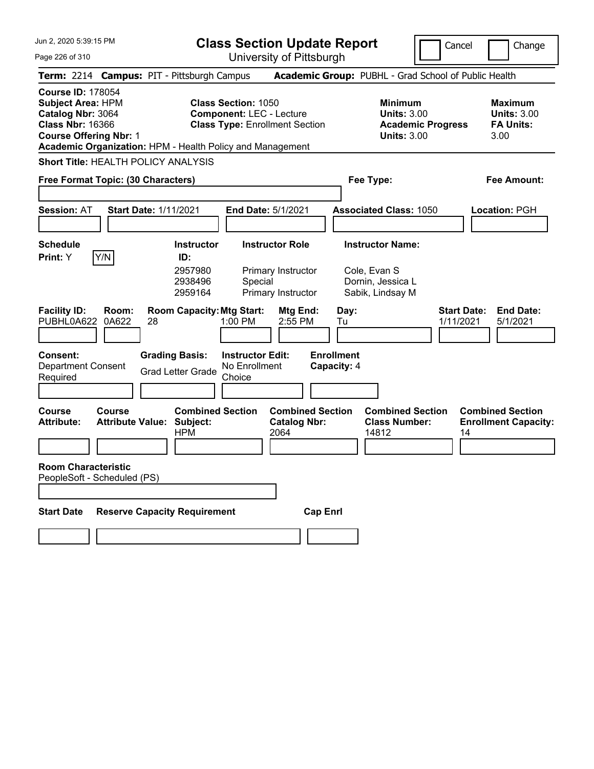**Class Section Update Report**

Cancel **Change** 

| Page 226 of 310                                                                                                                                                                                    |                                                                           | University of Pittsburgh                                                                               |                                                                                        |                                                                  |
|----------------------------------------------------------------------------------------------------------------------------------------------------------------------------------------------------|---------------------------------------------------------------------------|--------------------------------------------------------------------------------------------------------|----------------------------------------------------------------------------------------|------------------------------------------------------------------|
| Term: 2214 Campus: PIT - Pittsburgh Campus                                                                                                                                                         |                                                                           |                                                                                                        | Academic Group: PUBHL - Grad School of Public Health                                   |                                                                  |
| <b>Course ID: 178054</b><br><b>Subject Area: HPM</b><br>Catalog Nbr: 3064<br><b>Class Nbr: 16366</b><br><b>Course Offering Nbr: 1</b><br>Academic Organization: HPM - Health Policy and Management |                                                                           | <b>Class Section: 1050</b><br><b>Component: LEC - Lecture</b><br><b>Class Type: Enrollment Section</b> | <b>Minimum</b><br><b>Units: 3.00</b><br><b>Academic Progress</b><br><b>Units: 3.00</b> | <b>Maximum</b><br><b>Units: 3.00</b><br><b>FA Units:</b><br>3.00 |
| Short Title: HEALTH POLICY ANALYSIS                                                                                                                                                                |                                                                           |                                                                                                        |                                                                                        |                                                                  |
| <b>Free Format Topic: (30 Characters)</b>                                                                                                                                                          |                                                                           |                                                                                                        | Fee Type:                                                                              | Fee Amount:                                                      |
| <b>Session: AT</b>                                                                                                                                                                                 | <b>Start Date: 1/11/2021</b>                                              | <b>End Date: 5/1/2021</b>                                                                              | <b>Associated Class: 1050</b>                                                          | <b>Location: PGH</b>                                             |
| <b>Schedule</b><br>Print: Y<br>Y/N                                                                                                                                                                 | <b>Instructor</b><br>ID:<br>2957980<br>2938496<br>2959164                 | <b>Instructor Role</b><br>Primary Instructor<br>Special<br>Primary Instructor                          | <b>Instructor Name:</b><br>Cole, Evan S<br>Dornin, Jessica L<br>Sabik, Lindsay M       |                                                                  |
| <b>Facility ID:</b><br>Room:<br>PUBHL0A622<br>0A622                                                                                                                                                | <b>Room Capacity: Mtg Start:</b><br>28                                    | Mtg End:<br>1:00 PM<br>2:55 PM                                                                         | Day:<br>Tu<br>1/11/2021                                                                | <b>Start Date:</b><br><b>End Date:</b><br>5/1/2021               |
| <b>Consent:</b><br><b>Department Consent</b><br>Required                                                                                                                                           | <b>Grading Basis:</b><br><b>Grad Letter Grade</b>                         | <b>Instructor Edit:</b><br>No Enrollment<br>Choice                                                     | <b>Enrollment</b><br>Capacity: 4                                                       |                                                                  |
| <b>Course</b><br>Course<br>Attribute:                                                                                                                                                              | <b>Combined Section</b><br><b>Attribute Value: Subject:</b><br><b>HPM</b> | <b>Combined Section</b><br><b>Catalog Nbr:</b><br>2064                                                 | <b>Combined Section</b><br><b>Class Number:</b><br>14812                               | <b>Combined Section</b><br><b>Enrollment Capacity:</b><br>14     |
| <b>Room Characteristic</b><br>PeopleSoft - Scheduled (PS)                                                                                                                                          |                                                                           |                                                                                                        |                                                                                        |                                                                  |
| <b>Start Date</b>                                                                                                                                                                                  | <b>Reserve Capacity Requirement</b>                                       | <b>Cap Enri</b>                                                                                        |                                                                                        |                                                                  |
|                                                                                                                                                                                                    |                                                                           |                                                                                                        |                                                                                        |                                                                  |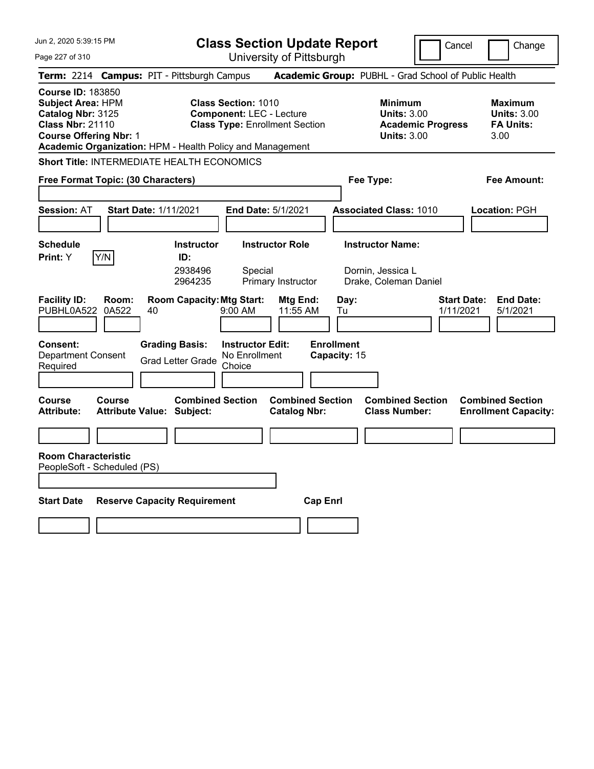Jun 2, 2020 5:39:15 PM Page 227 of 310 **Class Section Update Report** University of Pittsburgh Cancel Change **Term:** 2214 **Campus:** PIT - Pittsburgh Campus **Academic Group:** PUBHL - Grad School of Public Health **Course ID:** 183850 **Subject Area:** HPM **Class Section:** 1010 **Minimum Maximum Catalog Nbr:** 3125 **Component:** LEC - Lecture **Units:** 3.00 **Units:** 3.00 **Class Nbr:** 21110 **Class Type:** Enrollment Section **Academic Progress FA Units: Course Offering Nbr:** 1 **Units:** 3.00 3.00 **Academic Organization:** HPM - Health Policy and Management **Short Title:** INTERMEDIATE HEALTH ECONOMICS **Free Format Topic: (30 Characters) Fee Type: Fee Amount: Session:** AT **Start Date:** 1/11/2021 **End Date:** 5/1/2021 **Associated Class:** 1010 **Location:** PGH **Schedule Instructor Instructor Role Instructor Name: Print:**  $Y$   $|Y/N|$  **ID:** 2938496 Special Dornin, Jessica L 2964235 Primary Instructor Drake, Coleman Daniel **Facility ID: Room: Room Capacity:Mtg Start: Mtg End: Day: Start Date: End Date:** PUBHL0A522 0A522 40 9:00 AM 11:55 AM Tu 1/11/2021 5/1/2021 **Consent: Grading Basis: Instructor Edit: Enrollment** Department Consent Required Grad Letter Grade No Enrollment Choice **Capacity:** 15 **Course Course Combined Section Combined Section Combined Section Combined Section**  Attribute: Attribute Value: Subject: Catalog Nbr: Class Number: Enrollment Capacity: **Room Characteristic** PeopleSoft - Scheduled (PS) **Start Date Reserve Capacity Requirement Cap Enrl**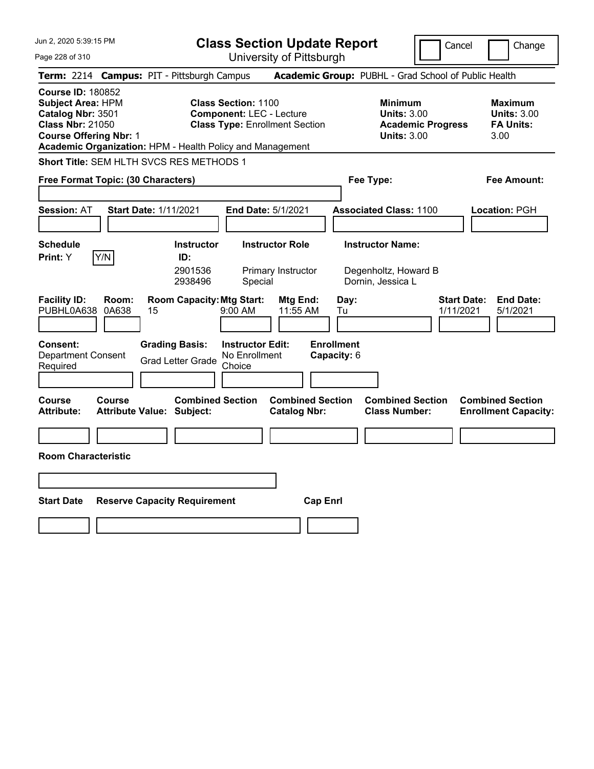Page 228 of 310

**Class Section Update Report**

Cancel **Change** 

University of Pittsburgh

|                                                                                                                                                                                                    |                                                                                             | UNIVUUTIY UITTILUUUIYN                                                                                 |                                                                                        |                                                                  |  |  |  |  |
|----------------------------------------------------------------------------------------------------------------------------------------------------------------------------------------------------|---------------------------------------------------------------------------------------------|--------------------------------------------------------------------------------------------------------|----------------------------------------------------------------------------------------|------------------------------------------------------------------|--|--|--|--|
| Term: 2214 Campus: PIT - Pittsburgh Campus                                                                                                                                                         |                                                                                             |                                                                                                        | Academic Group: PUBHL - Grad School of Public Health                                   |                                                                  |  |  |  |  |
| <b>Course ID: 180852</b><br><b>Subject Area: HPM</b><br>Catalog Nbr: 3501<br><b>Class Nbr: 21050</b><br><b>Course Offering Nbr: 1</b><br>Academic Organization: HPM - Health Policy and Management |                                                                                             | <b>Class Section: 1100</b><br><b>Component: LEC - Lecture</b><br><b>Class Type: Enrollment Section</b> | <b>Minimum</b><br><b>Units: 3.00</b><br><b>Academic Progress</b><br><b>Units: 3.00</b> | <b>Maximum</b><br><b>Units: 3.00</b><br><b>FA Units:</b><br>3.00 |  |  |  |  |
| Short Title: SEM HLTH SVCS RES METHODS 1                                                                                                                                                           |                                                                                             |                                                                                                        |                                                                                        |                                                                  |  |  |  |  |
| Free Format Topic: (30 Characters)                                                                                                                                                                 |                                                                                             |                                                                                                        | Fee Type:                                                                              | Fee Amount:                                                      |  |  |  |  |
| <b>Session: AT</b>                                                                                                                                                                                 | Start Date: 1/11/2021                                                                       | End Date: 5/1/2021                                                                                     | <b>Associated Class: 1100</b>                                                          | Location: PGH                                                    |  |  |  |  |
| <b>Schedule</b><br>Y/N<br><b>Print:</b> Y                                                                                                                                                          | <b>Instructor</b><br>ID:<br>2901536<br>2938496                                              | <b>Instructor Role</b><br>Primary Instructor<br>Special                                                | <b>Instructor Name:</b><br>Degenholtz, Howard B<br>Dornin, Jessica L                   |                                                                  |  |  |  |  |
| <b>Facility ID:</b><br>Room:<br>PUBHL0A638<br>0A638<br><b>Consent:</b><br><b>Department Consent</b><br>Required                                                                                    | <b>Room Capacity: Mtg Start:</b><br>15<br><b>Grading Basis:</b><br><b>Grad Letter Grade</b> | Mtg End:<br>$9:00 \, \text{AM}$<br>11:55 AM<br><b>Instructor Edit:</b><br>No Enrollment<br>Choice      | Day:<br>Tu<br><b>Enrollment</b><br>Capacity: 6                                         | <b>Start Date:</b><br><b>End Date:</b><br>1/11/2021<br>5/1/2021  |  |  |  |  |
| <b>Course</b><br>Course<br>Attribute:                                                                                                                                                              | <b>Combined Section</b><br><b>Attribute Value: Subject:</b>                                 | <b>Combined Section</b><br><b>Catalog Nbr:</b>                                                         | <b>Combined Section</b><br><b>Class Number:</b>                                        | <b>Combined Section</b><br><b>Enrollment Capacity:</b>           |  |  |  |  |
|                                                                                                                                                                                                    |                                                                                             |                                                                                                        |                                                                                        |                                                                  |  |  |  |  |
| <b>Room Characteristic</b>                                                                                                                                                                         |                                                                                             |                                                                                                        |                                                                                        |                                                                  |  |  |  |  |
|                                                                                                                                                                                                    |                                                                                             |                                                                                                        |                                                                                        |                                                                  |  |  |  |  |
| <b>Start Date</b><br><b>Reserve Capacity Requirement</b><br><b>Cap Enri</b>                                                                                                                        |                                                                                             |                                                                                                        |                                                                                        |                                                                  |  |  |  |  |
|                                                                                                                                                                                                    |                                                                                             |                                                                                                        |                                                                                        |                                                                  |  |  |  |  |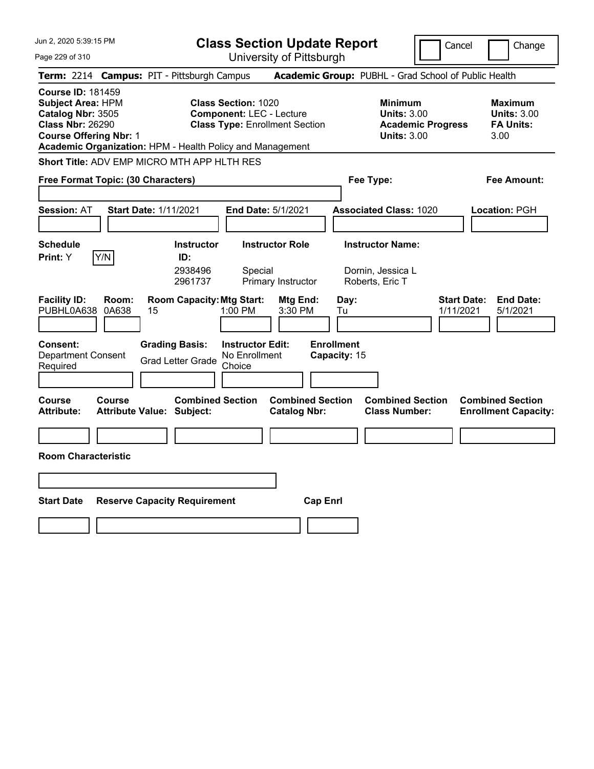Jun 2, 2020 5:39:15 PM Page 229 of 310 **Class Section Update Report** University of Pittsburgh Cancel Change **Term:** 2214 **Campus:** PIT - Pittsburgh Campus **Academic Group:** PUBHL - Grad School of Public Health **Course ID:** 181459 **Subject Area:** HPM **Class Section:** 1020 **Minimum Maximum Catalog Nbr:** 3505 **Component:** LEC - Lecture **Units:** 3.00 **Units:** 3.00 **Class Nbr:** 26290 **Class Type:** Enrollment Section **Academic Progress FA Units: Course Offering Nbr:** 1 **Units:** 3.00 3.00 **Academic Organization:** HPM - Health Policy and Management **Short Title:** ADV EMP MICRO MTH APP HLTH RES **Free Format Topic: (30 Characters) Fee Type: Fee Amount: Session:** AT **Start Date:** 1/11/2021 **End Date:** 5/1/2021 **Associated Class:** 1020 **Location:** PGH **Schedule Instructor Instructor Role Instructor Name: Print:**  $Y$   $|Y/N|$  **ID:** 2938496 Special Dornin, Jessica L 2961737 Primary Instructor Roberts, Eric T **Facility ID: Room: Room Capacity:Mtg Start: Mtg End: Day: Start Date: End Date:** PUBHL0A638 0A638 15 1:00 PM 3:30 PM Tu 1/11/2021 5/1/2021 **Consent: Grading Basis: Instructor Edit: Enrollment** Department Consent Required Grad Letter Grade No Enrollment Choice **Capacity:** 15 **Course Course Combined Section Combined Section Combined Section Combined Section**  Attribute: Attribute Value: Subject: Catalog Nbr: Class Number: Enrollment Capacity: **Room Characteristic Start Date Reserve Capacity Requirement Cap Enrl**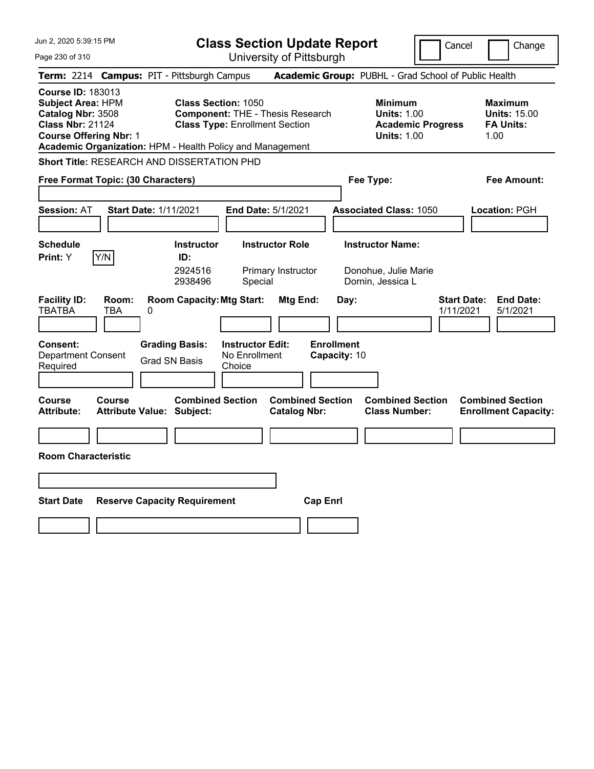**Class Section Update Report** University of Pittsburgh

Cancel Change

Page 230 of 310

|                                                                                                                                       |                     | Term: 2214 Campus: PIT - Pittsburgh Campus                  |                                                                                                                |                                                |                                   | Academic Group: PUBHL - Grad School of Public Health                                   |                                 |                                                                   |
|---------------------------------------------------------------------------------------------------------------------------------------|---------------------|-------------------------------------------------------------|----------------------------------------------------------------------------------------------------------------|------------------------------------------------|-----------------------------------|----------------------------------------------------------------------------------------|---------------------------------|-------------------------------------------------------------------|
| <b>Course ID: 183013</b><br><b>Subject Area: HPM</b><br>Catalog Nbr: 3508<br><b>Class Nbr: 21124</b><br><b>Course Offering Nbr: 1</b> |                     | Academic Organization: HPM - Health Policy and Management   | <b>Class Section: 1050</b><br><b>Component: THE - Thesis Research</b><br><b>Class Type: Enrollment Section</b> |                                                |                                   | <b>Minimum</b><br><b>Units: 1.00</b><br><b>Academic Progress</b><br><b>Units: 1.00</b> |                                 | <b>Maximum</b><br><b>Units: 15.00</b><br><b>FA Units:</b><br>1.00 |
|                                                                                                                                       |                     | <b>Short Title: RESEARCH AND DISSERTATION PHD</b>           |                                                                                                                |                                                |                                   |                                                                                        |                                 |                                                                   |
| Free Format Topic: (30 Characters)                                                                                                    |                     |                                                             |                                                                                                                |                                                |                                   | Fee Type:                                                                              |                                 | Fee Amount:                                                       |
| <b>Session: AT</b>                                                                                                                    |                     | <b>Start Date: 1/11/2021</b>                                | End Date: 5/1/2021                                                                                             |                                                |                                   | <b>Associated Class: 1050</b>                                                          |                                 | Location: PGH                                                     |
| <b>Schedule</b><br>Print: Y                                                                                                           | Y/N                 | <b>Instructor</b><br>ID:<br>2924516<br>2938496              | <b>Instructor Role</b><br>Special                                                                              | Primary Instructor                             |                                   | <b>Instructor Name:</b><br>Donohue, Julie Marie<br>Dornin, Jessica L                   |                                 |                                                                   |
| <b>Facility ID:</b><br><b>TBATBA</b>                                                                                                  | Room:<br><b>TBA</b> | <b>Room Capacity: Mtg Start:</b><br>0                       |                                                                                                                | Mtg End:                                       | Day:                              |                                                                                        | <b>Start Date:</b><br>1/11/2021 | <b>End Date:</b><br>5/1/2021                                      |
| Consent:<br><b>Department Consent</b><br>Required                                                                                     |                     | <b>Grading Basis:</b><br><b>Grad SN Basis</b>               | <b>Instructor Edit:</b><br>No Enrollment<br>Choice                                                             |                                                | <b>Enrollment</b><br>Capacity: 10 |                                                                                        |                                 |                                                                   |
| Course<br><b>Attribute:</b>                                                                                                           | Course              | <b>Combined Section</b><br><b>Attribute Value: Subject:</b> |                                                                                                                | <b>Combined Section</b><br><b>Catalog Nbr:</b> |                                   | <b>Combined Section</b><br><b>Class Number:</b>                                        |                                 | <b>Combined Section</b><br><b>Enrollment Capacity:</b>            |
| <b>Room Characteristic</b>                                                                                                            |                     |                                                             |                                                                                                                |                                                |                                   |                                                                                        |                                 |                                                                   |
| <b>Start Date</b>                                                                                                                     |                     | <b>Reserve Capacity Requirement</b>                         |                                                                                                                | <b>Cap Enrl</b>                                |                                   |                                                                                        |                                 |                                                                   |
|                                                                                                                                       |                     |                                                             |                                                                                                                |                                                |                                   |                                                                                        |                                 |                                                                   |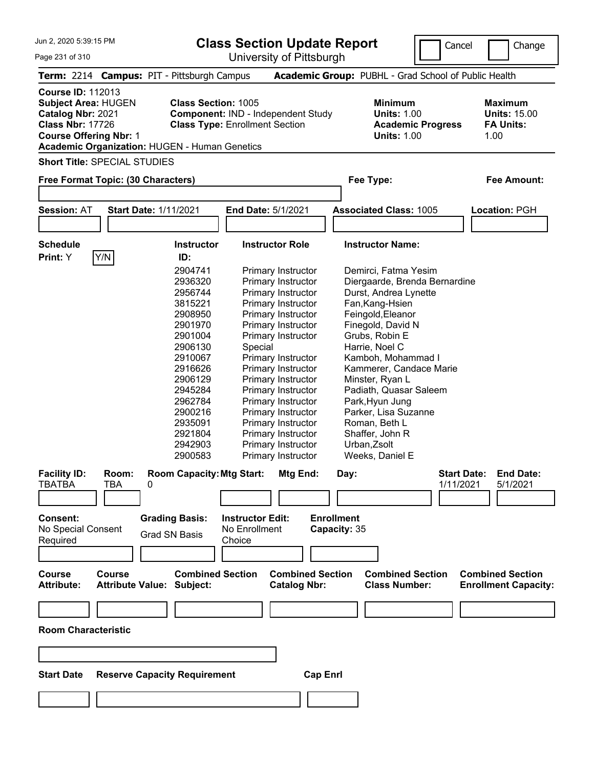| Jun 2, 2020 5:39:15 PM<br>Page 231 of 310                                                                                               |            |                                                                             | <b>Class Section Update Report</b><br>University of Pittsburgh              |                   |                                                                                        | Cancel<br>Change                                                  |
|-----------------------------------------------------------------------------------------------------------------------------------------|------------|-----------------------------------------------------------------------------|-----------------------------------------------------------------------------|-------------------|----------------------------------------------------------------------------------------|-------------------------------------------------------------------|
|                                                                                                                                         |            | Term: 2214 Campus: PIT - Pittsburgh Campus                                  |                                                                             |                   | Academic Group: PUBHL - Grad School of Public Health                                   |                                                                   |
| <b>Course ID: 112013</b><br><b>Subject Area: HUGEN</b><br>Catalog Nbr: 2021<br><b>Class Nbr: 17726</b><br><b>Course Offering Nbr: 1</b> |            | <b>Class Section: 1005</b><br>Academic Organization: HUGEN - Human Genetics | Component: IND - Independent Study<br><b>Class Type: Enrollment Section</b> |                   | <b>Minimum</b><br><b>Units: 1.00</b><br><b>Academic Progress</b><br><b>Units: 1.00</b> | <b>Maximum</b><br><b>Units: 15.00</b><br><b>FA Units:</b><br>1.00 |
| <b>Short Title: SPECIAL STUDIES</b>                                                                                                     |            |                                                                             |                                                                             |                   |                                                                                        |                                                                   |
| Free Format Topic: (30 Characters)                                                                                                      |            |                                                                             |                                                                             |                   | Fee Type:                                                                              | <b>Fee Amount:</b>                                                |
| <b>Session: AT</b>                                                                                                                      |            | <b>Start Date: 1/11/2021</b>                                                | End Date: 5/1/2021                                                          |                   | <b>Associated Class: 1005</b>                                                          | Location: PGH                                                     |
|                                                                                                                                         |            |                                                                             |                                                                             |                   |                                                                                        |                                                                   |
| <b>Schedule</b>                                                                                                                         |            | <b>Instructor</b>                                                           | <b>Instructor Role</b>                                                      |                   | <b>Instructor Name:</b>                                                                |                                                                   |
| Print: Y                                                                                                                                | Y/N        | ID:                                                                         |                                                                             |                   |                                                                                        |                                                                   |
|                                                                                                                                         |            |                                                                             |                                                                             |                   |                                                                                        |                                                                   |
|                                                                                                                                         |            | 2904741                                                                     | Primary Instructor                                                          |                   | Demirci, Fatma Yesim                                                                   |                                                                   |
|                                                                                                                                         |            | 2936320                                                                     | Primary Instructor                                                          |                   | Diergaarde, Brenda Bernardine                                                          |                                                                   |
|                                                                                                                                         |            | 2956744                                                                     | Primary Instructor                                                          |                   | Durst, Andrea Lynette                                                                  |                                                                   |
|                                                                                                                                         |            | 3815221                                                                     | Primary Instructor                                                          |                   | Fan, Kang-Hsien                                                                        |                                                                   |
|                                                                                                                                         |            | 2908950                                                                     | Primary Instructor                                                          |                   | Feingold, Eleanor                                                                      |                                                                   |
|                                                                                                                                         |            | 2901970                                                                     | Primary Instructor                                                          |                   | Finegold, David N                                                                      |                                                                   |
|                                                                                                                                         |            | 2901004                                                                     | Primary Instructor                                                          |                   | Grubs, Robin E                                                                         |                                                                   |
|                                                                                                                                         |            | 2906130                                                                     | Special                                                                     |                   | Harrie, Noel C                                                                         |                                                                   |
|                                                                                                                                         |            | 2910067                                                                     | Primary Instructor                                                          |                   | Kamboh, Mohammad I                                                                     |                                                                   |
|                                                                                                                                         |            | 2916626                                                                     | Primary Instructor                                                          |                   | Kammerer, Candace Marie                                                                |                                                                   |
|                                                                                                                                         |            | 2906129                                                                     | Primary Instructor                                                          |                   | Minster, Ryan L                                                                        |                                                                   |
|                                                                                                                                         |            | 2945284                                                                     | Primary Instructor                                                          |                   | Padiath, Quasar Saleem                                                                 |                                                                   |
|                                                                                                                                         |            | 2962784                                                                     | Primary Instructor                                                          |                   | Park, Hyun Jung                                                                        |                                                                   |
|                                                                                                                                         |            | 2900216                                                                     | Primary Instructor                                                          |                   | Parker, Lisa Suzanne                                                                   |                                                                   |
|                                                                                                                                         |            | 2935091                                                                     | Primary Instructor                                                          |                   | Roman, Beth L                                                                          |                                                                   |
|                                                                                                                                         |            | 2921804                                                                     | Primary Instructor                                                          |                   | Shaffer, John R                                                                        |                                                                   |
|                                                                                                                                         |            | 2942903                                                                     | Primary Instructor                                                          |                   | Urban, Zsolt                                                                           |                                                                   |
|                                                                                                                                         |            | 2900583                                                                     | Primary Instructor                                                          |                   | Weeks, Daniel E                                                                        |                                                                   |
| <b>Facility ID:</b>                                                                                                                     | Room:      | <b>Room Capacity: Mtg Start:</b>                                            | Mtg End:                                                                    | Day:              |                                                                                        | <b>Start Date:</b><br><b>End Date:</b>                            |
| <b>TBATBA</b>                                                                                                                           | <b>TBA</b> | 0                                                                           |                                                                             |                   |                                                                                        | 1/11/2021<br>5/1/2021                                             |
|                                                                                                                                         |            |                                                                             |                                                                             |                   |                                                                                        |                                                                   |
|                                                                                                                                         |            |                                                                             |                                                                             |                   |                                                                                        |                                                                   |
| <b>Consent:</b>                                                                                                                         |            | <b>Grading Basis:</b>                                                       | <b>Instructor Edit:</b>                                                     | <b>Enrollment</b> |                                                                                        |                                                                   |
| No Special Consent                                                                                                                      |            |                                                                             | No Enrollment                                                               | Capacity: 35      |                                                                                        |                                                                   |
| Required                                                                                                                                |            | <b>Grad SN Basis</b>                                                        | Choice                                                                      |                   |                                                                                        |                                                                   |
|                                                                                                                                         |            |                                                                             |                                                                             |                   |                                                                                        |                                                                   |
|                                                                                                                                         |            |                                                                             |                                                                             |                   |                                                                                        |                                                                   |
|                                                                                                                                         |            |                                                                             |                                                                             |                   |                                                                                        |                                                                   |

**Room Characteristic**

| <b>Start Date Reserve Capacity Requirement</b> | <b>Cap Enrl</b> |
|------------------------------------------------|-----------------|
|                                                |                 |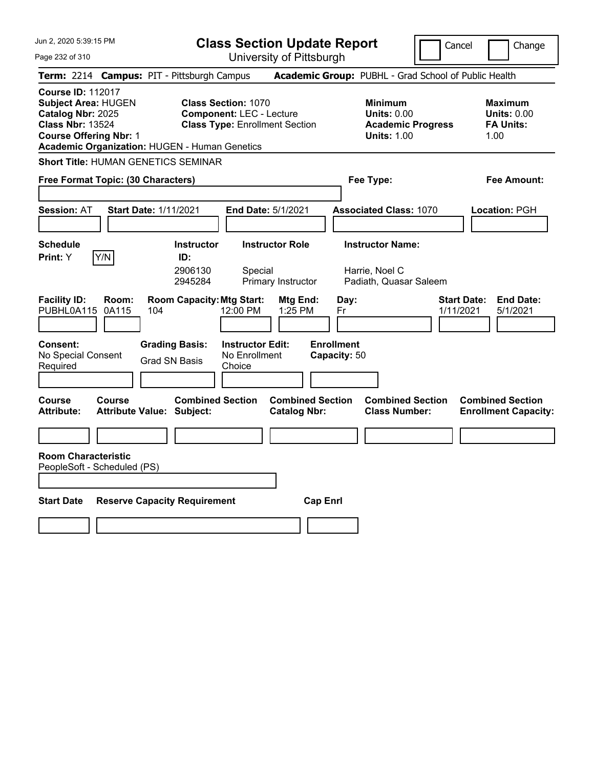| Jun 2, 2020 5:39:15 PM<br>Page 232 of 310                                                                                                                                                       | <b>Class Section Update Report</b><br>University of Pittsburgh                                         |                                                                                        | Cancel<br>Change                                                 |
|-------------------------------------------------------------------------------------------------------------------------------------------------------------------------------------------------|--------------------------------------------------------------------------------------------------------|----------------------------------------------------------------------------------------|------------------------------------------------------------------|
| Term: 2214 Campus: PIT - Pittsburgh Campus                                                                                                                                                      |                                                                                                        | Academic Group: PUBHL - Grad School of Public Health                                   |                                                                  |
| <b>Course ID: 112017</b><br><b>Subject Area: HUGEN</b><br>Catalog Nbr: 2025<br><b>Class Nbr: 13524</b><br><b>Course Offering Nbr: 1</b><br><b>Academic Organization: HUGEN - Human Genetics</b> | <b>Class Section: 1070</b><br><b>Component: LEC - Lecture</b><br><b>Class Type: Enrollment Section</b> | <b>Minimum</b><br><b>Units: 0.00</b><br><b>Academic Progress</b><br><b>Units: 1.00</b> | <b>Maximum</b><br><b>Units: 0.00</b><br><b>FA Units:</b><br>1.00 |
| <b>Short Title: HUMAN GENETICS SEMINAR</b>                                                                                                                                                      |                                                                                                        |                                                                                        |                                                                  |
| Free Format Topic: (30 Characters)                                                                                                                                                              |                                                                                                        | Fee Type:                                                                              | Fee Amount:                                                      |
| <b>Session: AT</b><br><b>Start Date: 1/11/2021</b>                                                                                                                                              | <b>End Date: 5/1/2021</b>                                                                              | <b>Associated Class: 1070</b>                                                          | Location: PGH                                                    |
| <b>Schedule</b><br><b>Instructor</b><br>Y/N<br>Print: Y<br>ID:<br>2906130<br>2945284                                                                                                            | <b>Instructor Role</b><br>Special<br>Primary Instructor                                                | <b>Instructor Name:</b><br>Harrie, Noel C<br>Padiath, Quasar Saleem                    |                                                                  |
| <b>Room Capacity: Mtg Start:</b><br><b>Facility ID:</b><br>Room:<br>PUBHL0A115<br>0A115<br>104                                                                                                  | Mtg End:<br>12:00 PM<br>1:25 PM                                                                        | Day:<br>Fr                                                                             | <b>End Date:</b><br><b>Start Date:</b><br>1/11/2021<br>5/1/2021  |
| <b>Consent:</b><br><b>Grading Basis:</b><br>No Special Consent<br><b>Grad SN Basis</b><br>Required                                                                                              | <b>Instructor Edit:</b><br>No Enrollment<br>Choice                                                     | <b>Enrollment</b><br>Capacity: 50                                                      |                                                                  |
| <b>Course</b><br><b>Course</b><br><b>Attribute:</b><br><b>Attribute Value: Subject:</b>                                                                                                         | <b>Combined Section</b><br><b>Combined Section</b><br><b>Catalog Nbr:</b>                              | <b>Combined Section</b><br><b>Class Number:</b>                                        | <b>Combined Section</b><br><b>Enrollment Capacity:</b>           |
|                                                                                                                                                                                                 |                                                                                                        |                                                                                        |                                                                  |
| <b>Room Characteristic</b><br>PeopleSoft - Scheduled (PS)                                                                                                                                       |                                                                                                        |                                                                                        |                                                                  |
| <b>Reserve Capacity Requirement</b><br><b>Start Date</b>                                                                                                                                        | <b>Cap Enrl</b>                                                                                        |                                                                                        |                                                                  |
|                                                                                                                                                                                                 |                                                                                                        |                                                                                        |                                                                  |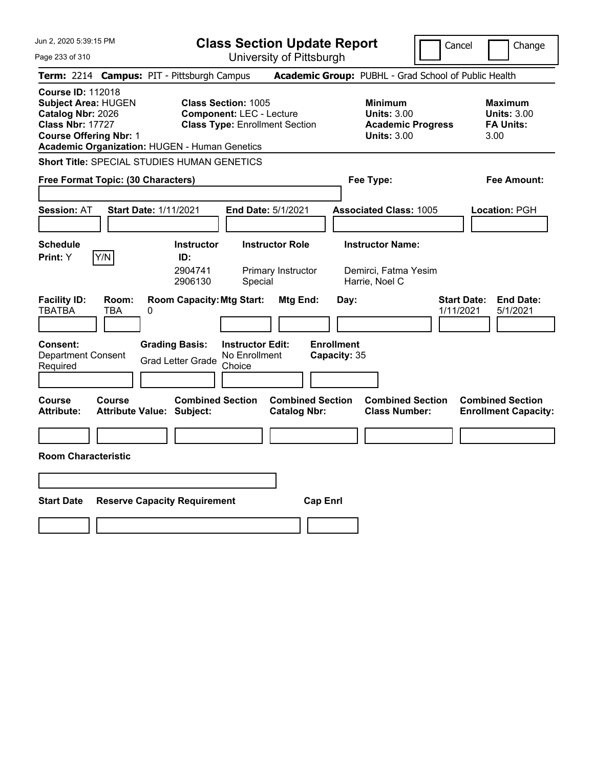| Jun 2, 2020 5:39:15 PM                                                                                                                                                                   | <b>Class Section Update Report</b>                                                                                                          |                                                                                                   | Change<br>Cancel                                                 |
|------------------------------------------------------------------------------------------------------------------------------------------------------------------------------------------|---------------------------------------------------------------------------------------------------------------------------------------------|---------------------------------------------------------------------------------------------------|------------------------------------------------------------------|
| Page 233 of 310                                                                                                                                                                          | University of Pittsburgh                                                                                                                    |                                                                                                   |                                                                  |
| Term: 2214 Campus: PIT - Pittsburgh Campus                                                                                                                                               |                                                                                                                                             | Academic Group: PUBHL - Grad School of Public Health                                              |                                                                  |
| <b>Course ID: 112018</b><br><b>Subject Area: HUGEN</b><br>Catalog Nbr: 2026<br><b>Class Nbr: 17727</b><br><b>Course Offering Nbr: 1</b><br>Academic Organization: HUGEN - Human Genetics | <b>Class Section: 1005</b><br><b>Component: LEC - Lecture</b><br><b>Class Type: Enrollment Section</b>                                      | <b>Minimum</b><br><b>Units: 3.00</b><br><b>Academic Progress</b><br><b>Units: 3.00</b>            | <b>Maximum</b><br><b>Units: 3.00</b><br><b>FA Units:</b><br>3.00 |
| <b>Short Title: SPECIAL STUDIES HUMAN GENETICS</b>                                                                                                                                       |                                                                                                                                             |                                                                                                   |                                                                  |
| Free Format Topic: (30 Characters)                                                                                                                                                       |                                                                                                                                             | Fee Type:                                                                                         | Fee Amount:                                                      |
| <b>Session: AT</b><br><b>Start Date: 1/11/2021</b>                                                                                                                                       | End Date: 5/1/2021                                                                                                                          | <b>Associated Class: 1005</b>                                                                     | Location: PGH                                                    |
| <b>Schedule</b><br>Y/N<br>Print: Y                                                                                                                                                       | <b>Instructor Role</b><br><b>Instructor</b><br>ID:<br>2904741<br>Primary Instructor<br>2906130<br>Special                                   | <b>Instructor Name:</b><br>Demirci, Fatma Yesim<br>Harrie, Noel C                                 |                                                                  |
| <b>Facility ID:</b><br>Room:<br><b>TBATBA</b><br>TBA<br>0<br>Consent:<br>Department Consent<br>Required                                                                                  | <b>Room Capacity: Mtg Start:</b><br><b>Instructor Edit:</b><br><b>Grading Basis:</b><br>No Enrollment<br><b>Grad Letter Grade</b><br>Choice | Mtg End:<br>Day:<br><b>Enrollment</b><br>Capacity: 35                                             | <b>Start Date:</b><br><b>End Date:</b><br>1/11/2021<br>5/1/2021  |
| Course<br><b>Course</b><br><b>Attribute:</b><br><b>Attribute Value: Subject:</b>                                                                                                         | <b>Combined Section</b>                                                                                                                     | <b>Combined Section</b><br><b>Combined Section</b><br><b>Catalog Nbr:</b><br><b>Class Number:</b> | <b>Combined Section</b><br><b>Enrollment Capacity:</b>           |
|                                                                                                                                                                                          |                                                                                                                                             |                                                                                                   |                                                                  |
| <b>Room Characteristic</b>                                                                                                                                                               |                                                                                                                                             |                                                                                                   |                                                                  |
|                                                                                                                                                                                          |                                                                                                                                             |                                                                                                   |                                                                  |
| <b>Start Date</b><br><b>Reserve Capacity Requirement</b>                                                                                                                                 |                                                                                                                                             | <b>Cap Enrl</b>                                                                                   |                                                                  |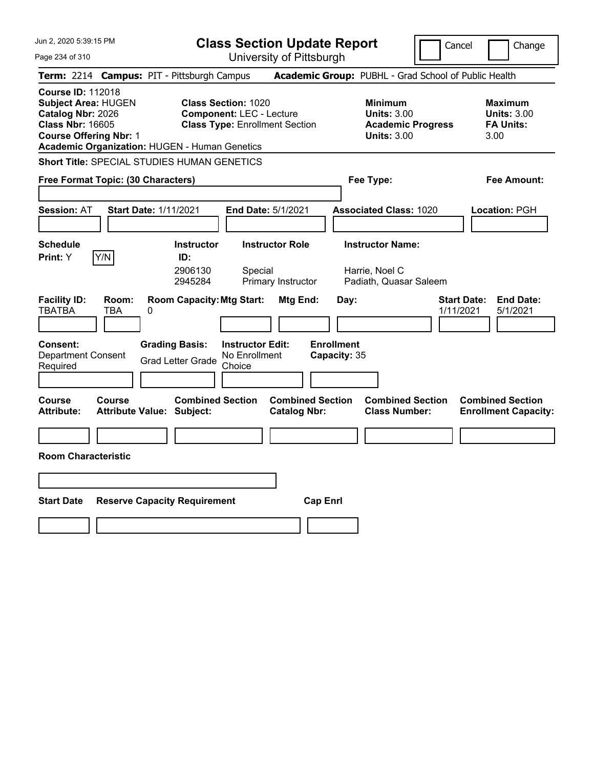Jun 2, 2020 5:39:15 PM Page 234 of 310 **Class Section Update Report** University of Pittsburgh Cancel Change **Term:** 2214 **Campus:** PIT - Pittsburgh Campus **Academic Group:** PUBHL - Grad School of Public Health **Course ID:** 112018 **Subject Area:** HUGEN **Class Section:** 1020 **Minimum Maximum Catalog Nbr:** 2026 **Component:** LEC - Lecture **Units:** 3.00 **Units:** 3.00 **Class Nbr:** 16605 **Class Type:** Enrollment Section **Academic Progress FA Units: Course Offering Nbr:** 1 **Units:** 3.00 3.00 **Academic Organization:** HUGEN - Human Genetics **Short Title:** SPECIAL STUDIES HUMAN GENETICS **Free Format Topic: (30 Characters) Fee Type: Fee Amount: Session:** AT **Start Date:** 1/11/2021 **End Date:** 5/1/2021 **Associated Class:** 1020 **Location:** PGH **Schedule Instructor Instructor Role Instructor Name: Print:**  $Y$   $|Y/N|$  **ID:** 2906130 Special Harrie, Noel C 2945284 Primary Instructor Padiath, Quasar Saleem **Facility ID: Room: Room Capacity:Mtg Start: Mtg End: Day: Start Date: End Date:** TBATBA TBA 0 1/11/2021 5/1/2021 **Consent: Grading Basis: Instructor Edit: Enrollment** Department Consent Required Grad Letter Grade No Enrollment Choice **Capacity:** 35 **Course Course Combined Section Combined Section Combined Section Combined Section**  Attribute: Attribute Value: Subject: Catalog Nbr: Class Number: Enrollment Capacity: **Room Characteristic Start Date Reserve Capacity Requirement Cap Enrl**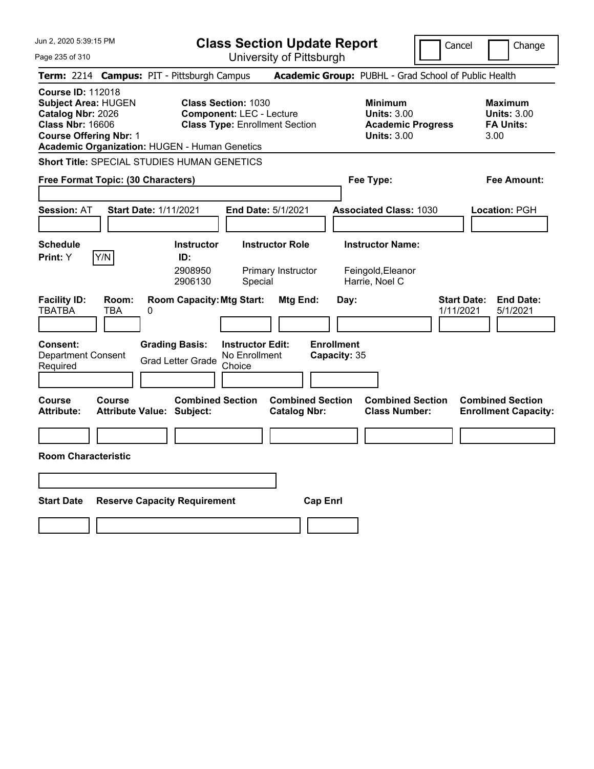Jun 2, 2020 5:39:15 PM Page 235 of 310 **Class Section Update Report** University of Pittsburgh Cancel Change **Term:** 2214 **Campus:** PIT - Pittsburgh Campus **Academic Group:** PUBHL - Grad School of Public Health **Course ID:** 112018 **Subject Area:** HUGEN **Class Section:** 1030 **Minimum Maximum Catalog Nbr:** 2026 **Component:** LEC - Lecture **Units:** 3.00 **Units:** 3.00 **Class Nbr:** 16606 **Class Type:** Enrollment Section **Academic Progress FA Units: Course Offering Nbr:** 1 **Units:** 3.00 3.00 **Academic Organization:** HUGEN - Human Genetics **Short Title:** SPECIAL STUDIES HUMAN GENETICS **Free Format Topic: (30 Characters) Fee Type: Fee Amount: Session:** AT **Start Date:** 1/11/2021 **End Date:** 5/1/2021 **Associated Class:** 1030 **Location:** PGH **Schedule Instructor Instructor Role Instructor Name: Print:**  $Y$   $|Y/N|$  **ID:** 2908950 Primary Instructor Feingold,Eleanor 2906130 Special Harrie, Noel C **Facility ID: Room: Room Capacity: Mtg Start: Mtg End: Day: Start Date: End Date: End Date: TBA 0<br>TBATBA TBA 0** TBATBA TBA 0 1/11/2021 5/1/2021 **Consent: Grading Basis: Instructor Edit: Enrollment** Department Consent Required Grad Letter Grade No Enrollment Choice **Capacity:** 35 **Course Course Combined Section Combined Section Combined Section Combined Section**  Attribute: Attribute Value: Subject: Catalog Nbr: Class Number: Enrollment Capacity: **Room Characteristic Start Date Reserve Capacity Requirement Cap Enrl**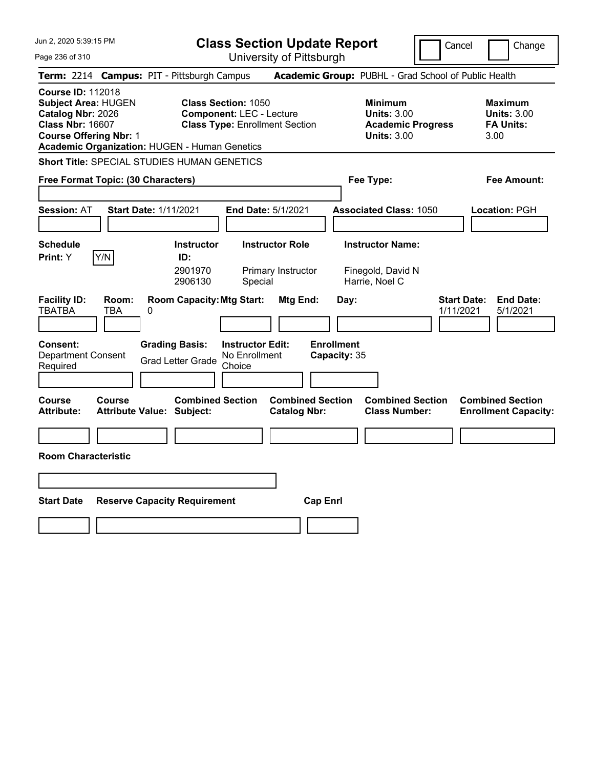Jun 2, 2020 5:39:15 PM Page 236 of 310 **Class Section Update Report** University of Pittsburgh Cancel Change **Term:** 2214 **Campus:** PIT - Pittsburgh Campus **Academic Group:** PUBHL - Grad School of Public Health **Course ID:** 112018 **Subject Area:** HUGEN **Class Section:** 1050 **Minimum Maximum Catalog Nbr:** 2026 **Component:** LEC - Lecture **Units:** 3.00 **Units:** 3.00 **Class Nbr:** 16607 **Class Type:** Enrollment Section **Academic Progress FA Units: Course Offering Nbr:** 1 **Units:** 3.00 3.00 **Academic Organization:** HUGEN - Human Genetics **Short Title:** SPECIAL STUDIES HUMAN GENETICS **Free Format Topic: (30 Characters) Fee Type: Fee Amount: Session:** AT **Start Date:** 1/11/2021 **End Date:** 5/1/2021 **Associated Class:** 1050 **Location:** PGH **Schedule Instructor Instructor Role Instructor Name: Print:**  $Y$   $|Y/N|$  **ID:** 2901970 Primary Instructor Finegold, David N 2906130 Special Harrie, Noel C **Facility ID: Room: Room Capacity: Mtg Start: Mtg End: Day: Start Date: End Date: End Date: TBA 0<br>TBATBA TBA 0** TBATBA TBA 0 1/11/2021 5/1/2021 **Consent: Grading Basis: Instructor Edit: Enrollment** Department Consent Required Grad Letter Grade No Enrollment Choice **Capacity:** 35 **Course Course Combined Section Combined Section Combined Section Combined Section**  Attribute: Attribute Value: Subject: Catalog Nbr: Class Number: Enrollment Capacity: **Room Characteristic Start Date Reserve Capacity Requirement Cap Enrl**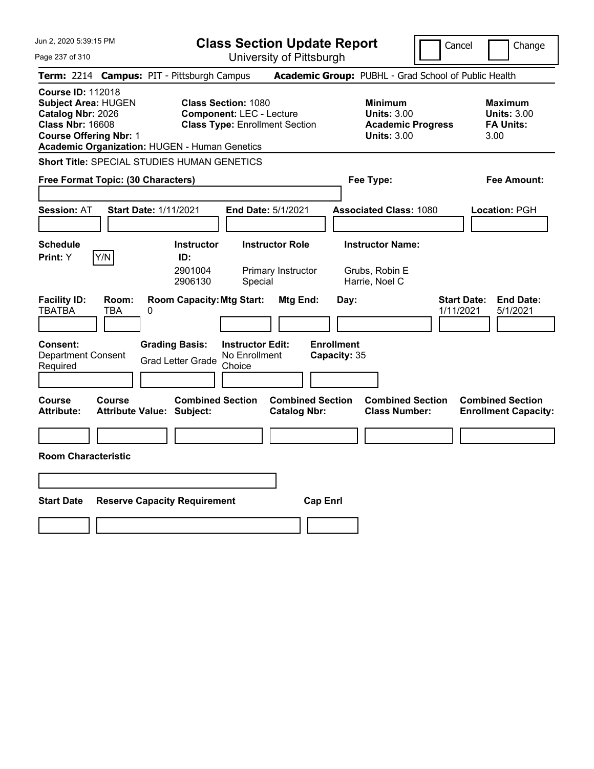Jun 2, 2020 5:39:15 PM Page 237 of 310 **Class Section Update Report** University of Pittsburgh Cancel Change **Term:** 2214 **Campus:** PIT - Pittsburgh Campus **Academic Group:** PUBHL - Grad School of Public Health **Course ID:** 112018 **Subject Area:** HUGEN **Class Section:** 1080 **Minimum Maximum Catalog Nbr:** 2026 **Component:** LEC - Lecture **Units:** 3.00 **Units:** 3.00 **Class Nbr:** 16608 **Class Type:** Enrollment Section **Academic Progress FA Units: Course Offering Nbr:** 1 **Units:** 3.00 3.00 **Academic Organization:** HUGEN - Human Genetics **Short Title:** SPECIAL STUDIES HUMAN GENETICS **Free Format Topic: (30 Characters) Fee Type: Fee Amount: Session:** AT **Start Date:** 1/11/2021 **End Date:** 5/1/2021 **Associated Class:** 1080 **Location:** PGH **Schedule Instructor Instructor Role Instructor Name: Print:**  $Y$   $|Y/N|$  **ID:** 2901004 Primary Instructor Grubs, Robin E 2906130 Special Harrie, Noel C **Facility ID: Room: Room Capacity: Mtg Start: Mtg End: Day: Start Date: End Date: End Date: TBA 0<br>TBATBA TBA 0** TBATBA TBA 0 1/11/2021 5/1/2021 **Consent: Grading Basis: Instructor Edit: Enrollment** Department Consent Required Grad Letter Grade No Enrollment Choice **Capacity:** 35 **Course Course Combined Section Combined Section Combined Section Combined Section**  Attribute: Attribute Value: Subject: Catalog Nbr: Class Number: Enrollment Capacity: **Room Characteristic Start Date Reserve Capacity Requirement Cap Enrl**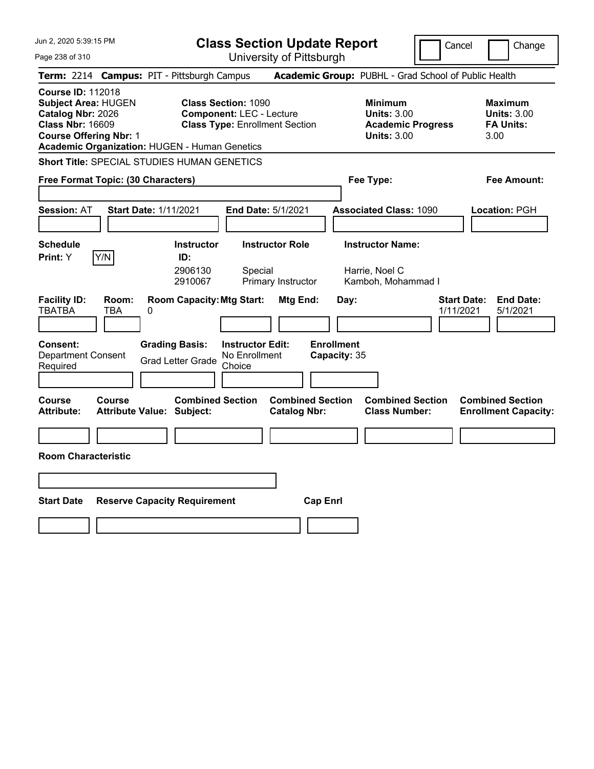Jun 2, 2020 5:39:15 PM Page 238 of 310 **Class Section Update Report** University of Pittsburgh Cancel Change **Term:** 2214 **Campus:** PIT - Pittsburgh Campus **Academic Group:** PUBHL - Grad School of Public Health **Course ID:** 112018 **Subject Area:** HUGEN **Class Section:** 1090 **Minimum Maximum Catalog Nbr:** 2026 **Component:** LEC - Lecture **Units:** 3.00 **Units:** 3.00 **Class Nbr:** 16609 **Class Type:** Enrollment Section **Academic Progress FA Units: Course Offering Nbr:** 1 **Units:** 3.00 3.00 **Academic Organization:** HUGEN - Human Genetics **Short Title:** SPECIAL STUDIES HUMAN GENETICS **Free Format Topic: (30 Characters) Fee Type: Fee Amount: Session:** AT **Start Date:** 1/11/2021 **End Date:** 5/1/2021 **Associated Class:** 1090 **Location:** PGH **Schedule Instructor Instructor Role Instructor Name: Print:**  $Y$   $|Y/N|$  **ID:** 2906130 Special Harrie, Noel C 2910067 Primary Instructor Kamboh, Mohammad I **Facility ID: Room: Room Capacity:Mtg Start: Mtg End: Day: Start Date: End Date:** TBATBA TBA 0 1/11/2021 5/1/2021 **Consent: Grading Basis: Instructor Edit: Enrollment** Department Consent Required Grad Letter Grade No Enrollment Choice **Capacity:** 35 **Course Course Combined Section Combined Section Combined Section Combined Section**  Attribute: Attribute Value: Subject: Catalog Nbr: Class Number: Enrollment Capacity: **Room Characteristic Start Date Reserve Capacity Requirement Cap Enrl**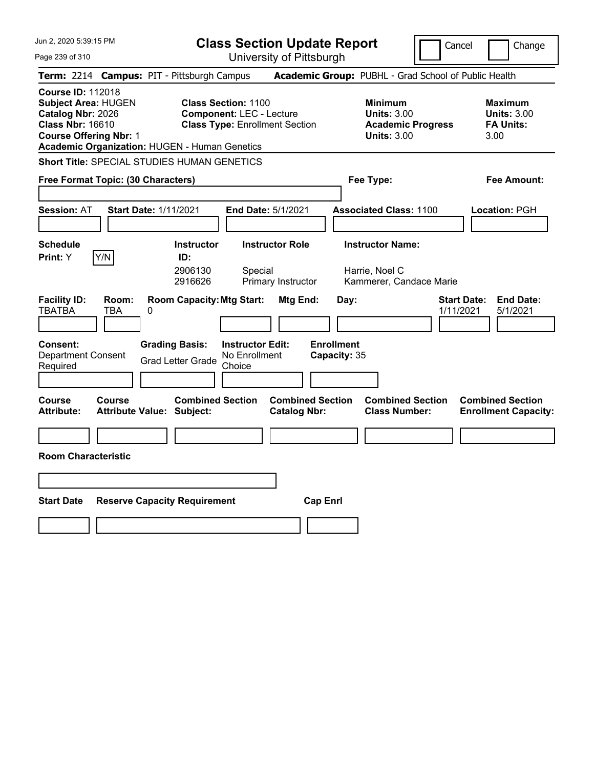Jun 2, 2020 5:39:15 PM Page 239 of 310 **Class Section Update Report** University of Pittsburgh Cancel Change **Term:** 2214 **Campus:** PIT - Pittsburgh Campus **Academic Group:** PUBHL - Grad School of Public Health **Course ID:** 112018 **Subject Area:** HUGEN **Class Section:** 1100 **Minimum Maximum Catalog Nbr:** 2026 **Component:** LEC - Lecture **Units:** 3.00 **Units:** 3.00 **Class Nbr:** 16610 **Class Type:** Enrollment Section **Academic Progress FA Units: Course Offering Nbr:** 1 **Units:** 3.00 3.00 **Academic Organization:** HUGEN - Human Genetics **Short Title:** SPECIAL STUDIES HUMAN GENETICS **Free Format Topic: (30 Characters) Fee Type: Fee Amount: Session:** AT **Start Date:** 1/11/2021 **End Date:** 5/1/2021 **Associated Class:** 1100 **Location:** PGH **Schedule Instructor Instructor Role Instructor Name: Print:**  $Y$   $|Y/N|$  **ID:** 2906130 Special Harrie, Noel C 2916626 Primary Instructor Kammerer, Candace Marie **Facility ID: Room: Room Capacity:Mtg Start: Mtg End: Day: Start Date: End Date:** TBATBA TBA 0 1/11/2021 5/1/2021 **Consent: Grading Basis: Instructor Edit: Enrollment** Department Consent Required Grad Letter Grade No Enrollment Choice **Capacity:** 35 **Course Course Combined Section Combined Section Combined Section Combined Section**  Attribute: Attribute Value: Subject: Catalog Nbr: Class Number: Enrollment Capacity: **Room Characteristic Start Date Reserve Capacity Requirement Cap Enrl**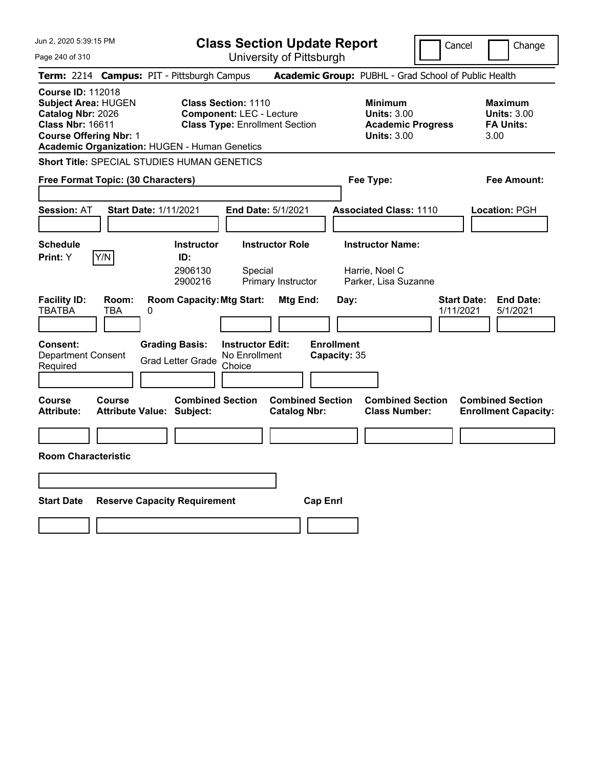Jun 2, 2020 5:39:15 PM Page 240 of 310 **Class Section Update Report** University of Pittsburgh Cancel Change **Term:** 2214 **Campus:** PIT - Pittsburgh Campus **Academic Group:** PUBHL - Grad School of Public Health **Course ID:** 112018 **Subject Area:** HUGEN **Class Section:** 1110 **Minimum Maximum Catalog Nbr:** 2026 **Component:** LEC - Lecture **Units:** 3.00 **Units:** 3.00 **Class Nbr:** 16611 **Class Type:** Enrollment Section **Academic Progress FA Units: Course Offering Nbr:** 1 **Units:** 3.00 3.00 **Academic Organization:** HUGEN - Human Genetics **Short Title:** SPECIAL STUDIES HUMAN GENETICS **Free Format Topic: (30 Characters) Fee Type: Fee Amount: Session:** AT **Start Date:** 1/11/2021 **End Date:** 5/1/2021 **Associated Class:** 1110 **Location:** PGH **Schedule Instructor Instructor Role Instructor Name: Print:**  $Y$   $|Y/N|$  **ID:** 2906130 Special Harrie, Noel C 2900216 Primary Instructor Parker, Lisa Suzanne **Facility ID: Room: Room Capacity:Mtg Start: Mtg End: Day: Start Date: End Date:** TBATBA TBA 0 1/11/2021 5/1/2021 **Consent: Grading Basis: Instructor Edit: Enrollment** Department Consent Required Grad Letter Grade No Enrollment Choice **Capacity:** 35 **Course Course Combined Section Combined Section Combined Section Combined Section**  Attribute: Attribute Value: Subject: Catalog Nbr: Class Number: Enrollment Capacity: **Room Characteristic Start Date Reserve Capacity Requirement Cap Enrl**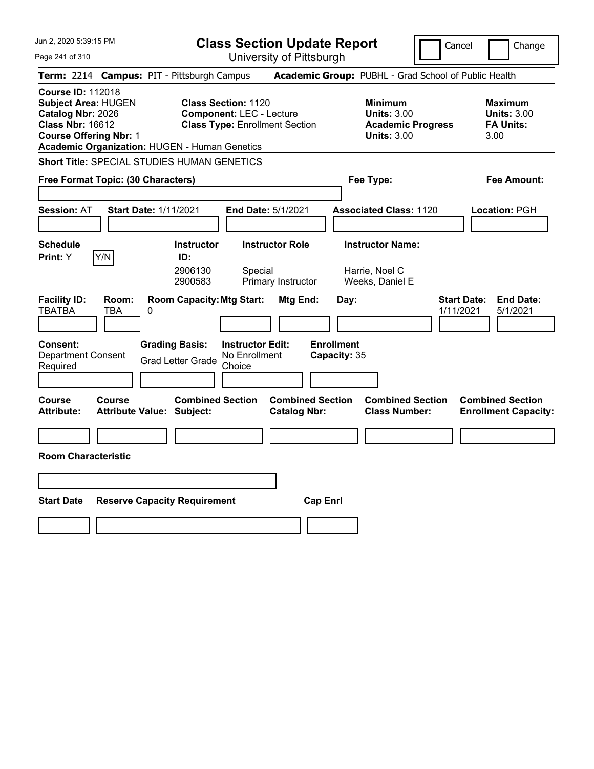Jun 2, 2020 5:39:15 PM Page 241 of 310 **Class Section Update Report** University of Pittsburgh Cancel Change **Term:** 2214 **Campus:** PIT - Pittsburgh Campus **Academic Group:** PUBHL - Grad School of Public Health **Course ID:** 112018 **Subject Area:** HUGEN **Class Section:** 1120 **Minimum Maximum Catalog Nbr:** 2026 **Component:** LEC - Lecture **Units:** 3.00 **Units:** 3.00 **Class Nbr:** 16612 **Class Type:** Enrollment Section **Academic Progress FA Units: Course Offering Nbr:** 1 **Units:** 3.00 3.00 **Academic Organization:** HUGEN - Human Genetics **Short Title:** SPECIAL STUDIES HUMAN GENETICS **Free Format Topic: (30 Characters) Fee Type: Fee Amount: Session:** AT **Start Date:** 1/11/2021 **End Date:** 5/1/2021 **Associated Class:** 1120 **Location:** PGH **Schedule Instructor Instructor Role Instructor Name: Print:**  $Y$   $|Y/N|$  **ID:** 2906130 Special Harrie, Noel C 2900583 Primary Instructor Weeks, Daniel E **Facility ID: Room: Room Capacity: Mtg Start: Mtg End: Day: Start Date: End Date: End Date: TBA 0<br>TBATBA TBA 0** TBATBA TBA 0 1/11/2021 5/1/2021 **Consent: Grading Basis: Instructor Edit: Enrollment** Department Consent Required Grad Letter Grade No Enrollment Choice **Capacity:** 35 **Course Course Combined Section Combined Section Combined Section Combined Section**  Attribute: Attribute Value: Subject: Catalog Nbr: Class Number: Enrollment Capacity: **Room Characteristic Start Date Reserve Capacity Requirement Cap Enrl**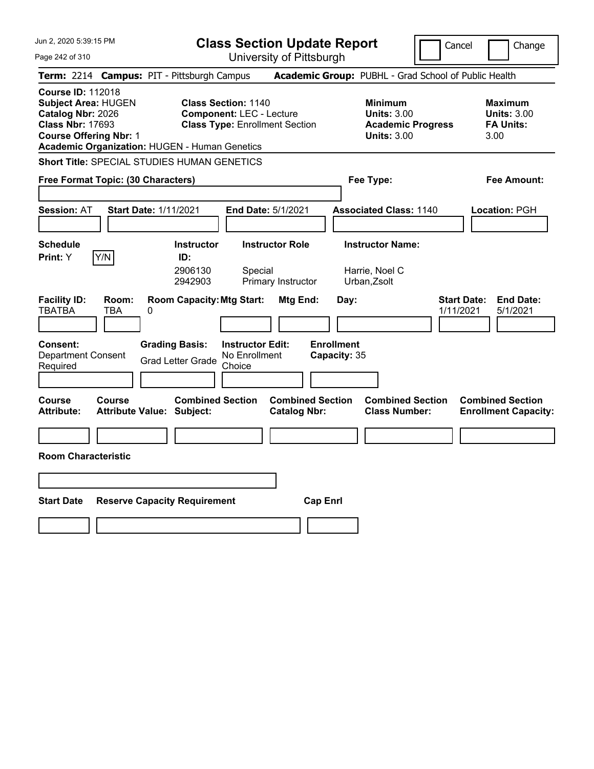Jun 2, 2020 5:39:15 PM Page 242 of 310 **Class Section Update Report** University of Pittsburgh Cancel Change **Term:** 2214 **Campus:** PIT - Pittsburgh Campus **Academic Group:** PUBHL - Grad School of Public Health **Course ID:** 112018 **Subject Area:** HUGEN **Class Section:** 1140 **Minimum Maximum Catalog Nbr:** 2026 **Component:** LEC - Lecture **Units:** 3.00 **Units:** 3.00 **Class Nbr:** 17693 **Class Type:** Enrollment Section **Academic Progress FA Units: Course Offering Nbr:** 1 **Units:** 3.00 3.00 **Academic Organization:** HUGEN - Human Genetics **Short Title:** SPECIAL STUDIES HUMAN GENETICS **Free Format Topic: (30 Characters) Fee Type: Fee Amount: Session:** AT **Start Date:** 1/11/2021 **End Date:** 5/1/2021 **Associated Class:** 1140 **Location:** PGH **Schedule Instructor Instructor Role Instructor Name: Print:**  $Y$   $|Y/N|$  **ID:** 2906130 Special Harrie, Noel C 2942903 Primary Instructor Urban,Zsolt **Facility ID: Room: Room Capacity:Mtg Start: Mtg End: Day: Start Date: End Date:** TBATBA TBA 0 1/11/2021 5/1/2021 **Consent: Grading Basis: Instructor Edit: Enrollment** Department Consent Required Grad Letter Grade No Enrollment Choice **Capacity:** 35 **Course Course Combined Section Combined Section Combined Section Combined Section**  Attribute: Attribute Value: Subject: Catalog Nbr: Class Number: Enrollment Capacity: **Room Characteristic Start Date Reserve Capacity Requirement Cap Enrl**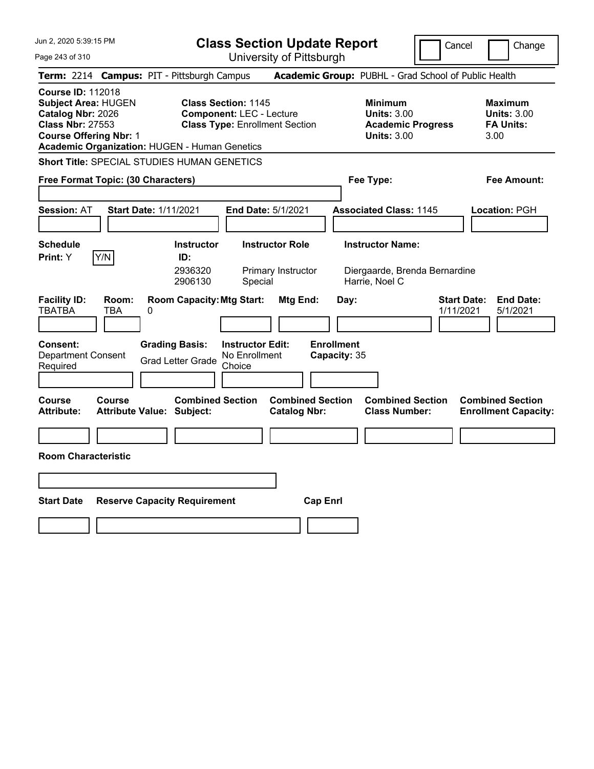Jun 2, 2020 5:39:15 PM Page 243 of 310 **Class Section Update Report** University of Pittsburgh Cancel Change **Term:** 2214 **Campus:** PIT - Pittsburgh Campus **Academic Group:** PUBHL - Grad School of Public Health **Course ID:** 112018 **Subject Area:** HUGEN **Class Section:** 1145 **Minimum Maximum Catalog Nbr:** 2026 **Component:** LEC - Lecture **Units:** 3.00 **Units:** 3.00 **Class Nbr:** 27553 **Class Type:** Enrollment Section **Academic Progress FA Units: Course Offering Nbr:** 1 **Units:** 3.00 3.00 **Academic Organization:** HUGEN - Human Genetics **Short Title:** SPECIAL STUDIES HUMAN GENETICS **Free Format Topic: (30 Characters) Fee Type: Fee Amount: Session:** AT **Start Date:** 1/11/2021 **End Date:** 5/1/2021 **Associated Class:** 1145 **Location:** PGH **Schedule Instructor Instructor Role Instructor Name: Print:**  $Y$   $|Y/N|$  **ID:** 2936320 Primary Instructor Diergaarde, Brenda Bernardine 2906130 Special Harrie, Noel C **Facility ID: Room: Room Capacity:Mtg Start: Mtg End: Day: Start Date: End Date:** TBATBA TBA 0 1/11/2021 5/1/2021 **Consent: Grading Basis: Instructor Edit: Enrollment** Department Consent Required Grad Letter Grade No Enrollment Choice **Capacity:** 35 **Course Course Combined Section Combined Section Combined Section Combined Section**  Attribute: Attribute Value: Subject: Catalog Nbr: Class Number: Enrollment Capacity: **Room Characteristic Start Date Reserve Capacity Requirement Cap Enrl**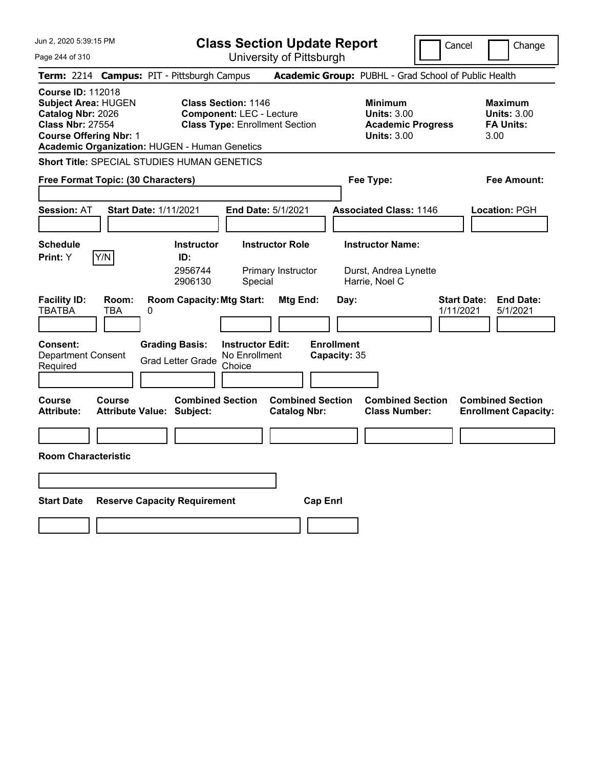Jun 2, 2020 5:39:15 PM Page 244 of 310 **Class Section Update Report** University of Pittsburgh Cancel Change **Term:** 2214 **Campus:** PIT - Pittsburgh Campus **Academic Group:** PUBHL - Grad School of Public Health **Course ID:** 112018 **Subject Area:** HUGEN **Class Section:** 1146 **Minimum Maximum Catalog Nbr:** 2026 **Component:** LEC - Lecture **Units:** 3.00 **Units:** 3.00 **Class Nbr:** 27554 **Class Type:** Enrollment Section **Academic Progress FA Units: Course Offering Nbr:** 1 **Units:** 3.00 3.00 **Academic Organization:** HUGEN - Human Genetics **Short Title:** SPECIAL STUDIES HUMAN GENETICS **Free Format Topic: (30 Characters) Fee Type: Fee Amount: Session:** AT **Start Date:** 1/11/2021 **End Date:** 5/1/2021 **Associated Class:** 1146 **Location:** PGH **Schedule Instructor Instructor Role Instructor Name: Print:**  $Y$   $|Y/N|$  **ID:** 2956744 Primary Instructor Durst, Andrea Lynette 2906130 Special Harrie, Noel C **Facility ID: Room: Room Capacity:Mtg Start: Mtg End: Day: Start Date: End Date:** TBATBA TBA 0 1/11/2021 5/1/2021 **Consent: Grading Basis: Instructor Edit: Enrollment** Department Consent Required Grad Letter Grade No Enrollment Choice **Capacity:** 35 **Course Course Combined Section Combined Section Combined Section Combined Section**  Attribute: Attribute Value: Subject: Catalog Nbr: Class Number: Enrollment Capacity: **Room Characteristic Start Date Reserve Capacity Requirement Cap Enrl**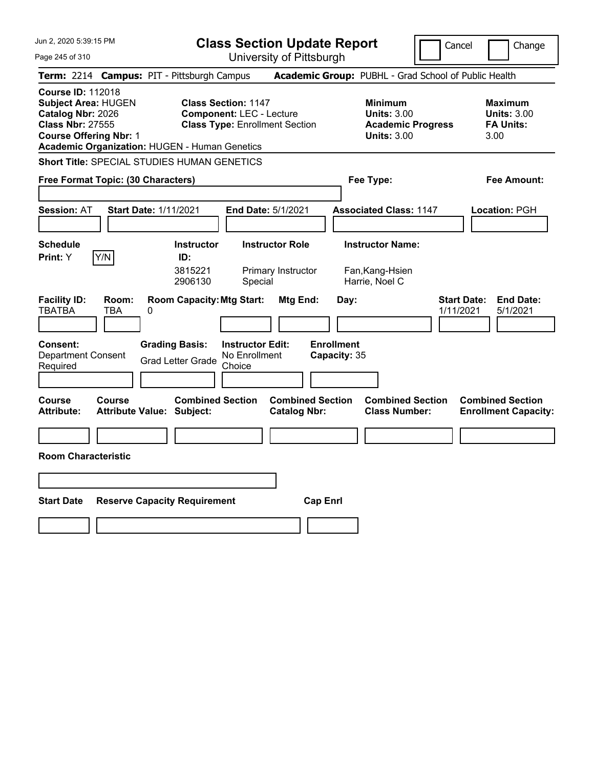| Jun 2, 2020 5:39:15 PM                                                                                                                                                                   | <b>Class Section Update Report</b>                                                                                                          |                                                       |                                                                                        | Cancel<br>Change                                                 |
|------------------------------------------------------------------------------------------------------------------------------------------------------------------------------------------|---------------------------------------------------------------------------------------------------------------------------------------------|-------------------------------------------------------|----------------------------------------------------------------------------------------|------------------------------------------------------------------|
| Page 245 of 310                                                                                                                                                                          |                                                                                                                                             | University of Pittsburgh                              |                                                                                        |                                                                  |
| Term: 2214 Campus: PIT - Pittsburgh Campus                                                                                                                                               |                                                                                                                                             |                                                       | Academic Group: PUBHL - Grad School of Public Health                                   |                                                                  |
| <b>Course ID: 112018</b><br><b>Subject Area: HUGEN</b><br>Catalog Nbr: 2026<br><b>Class Nbr: 27555</b><br><b>Course Offering Nbr: 1</b><br>Academic Organization: HUGEN - Human Genetics | <b>Class Section: 1147</b><br><b>Component: LEC - Lecture</b><br><b>Class Type: Enrollment Section</b>                                      |                                                       | <b>Minimum</b><br><b>Units: 3.00</b><br><b>Academic Progress</b><br><b>Units: 3.00</b> | <b>Maximum</b><br><b>Units: 3.00</b><br><b>FA Units:</b><br>3.00 |
| Short Title: SPECIAL STUDIES HUMAN GENETICS                                                                                                                                              |                                                                                                                                             |                                                       |                                                                                        |                                                                  |
| Free Format Topic: (30 Characters)                                                                                                                                                       |                                                                                                                                             |                                                       | Fee Type:                                                                              | Fee Amount:                                                      |
| <b>Start Date: 1/11/2021</b><br><b>Session: AT</b>                                                                                                                                       | <b>End Date: 5/1/2021</b>                                                                                                                   |                                                       | <b>Associated Class: 1147</b>                                                          | Location: PGH                                                    |
| <b>Schedule</b><br>Y/N<br>Print: Y                                                                                                                                                       | <b>Instructor</b><br><b>Instructor Role</b><br>ID:<br>3815221<br>2906130<br>Special                                                         | Primary Instructor                                    | <b>Instructor Name:</b><br>Fan, Kang-Hsien<br>Harrie, Noel C                           |                                                                  |
| <b>Facility ID:</b><br>Room:<br><b>TBATBA</b><br><b>TBA</b><br>0<br><b>Consent:</b><br><b>Department Consent</b><br>Required                                                             | <b>Room Capacity: Mtg Start:</b><br><b>Grading Basis:</b><br><b>Instructor Edit:</b><br>No Enrollment<br><b>Grad Letter Grade</b><br>Choice | Mtg End:<br>Day:<br><b>Enrollment</b><br>Capacity: 35 |                                                                                        | <b>Start Date:</b><br><b>End Date:</b><br>1/11/2021<br>5/1/2021  |
| <b>Course</b><br><b>Course</b><br><b>Attribute:</b><br><b>Attribute Value: Subject:</b>                                                                                                  | <b>Combined Section</b>                                                                                                                     | <b>Combined Section</b><br><b>Catalog Nbr:</b>        | <b>Combined Section</b><br><b>Class Number:</b>                                        | <b>Combined Section</b><br><b>Enrollment Capacity:</b>           |
|                                                                                                                                                                                          |                                                                                                                                             |                                                       |                                                                                        |                                                                  |
| <b>Room Characteristic</b>                                                                                                                                                               |                                                                                                                                             |                                                       |                                                                                        |                                                                  |
|                                                                                                                                                                                          |                                                                                                                                             |                                                       |                                                                                        |                                                                  |
| <b>Start Date</b>                                                                                                                                                                        | <b>Reserve Capacity Requirement</b>                                                                                                         | <b>Cap Enri</b>                                       |                                                                                        |                                                                  |
|                                                                                                                                                                                          |                                                                                                                                             |                                                       |                                                                                        |                                                                  |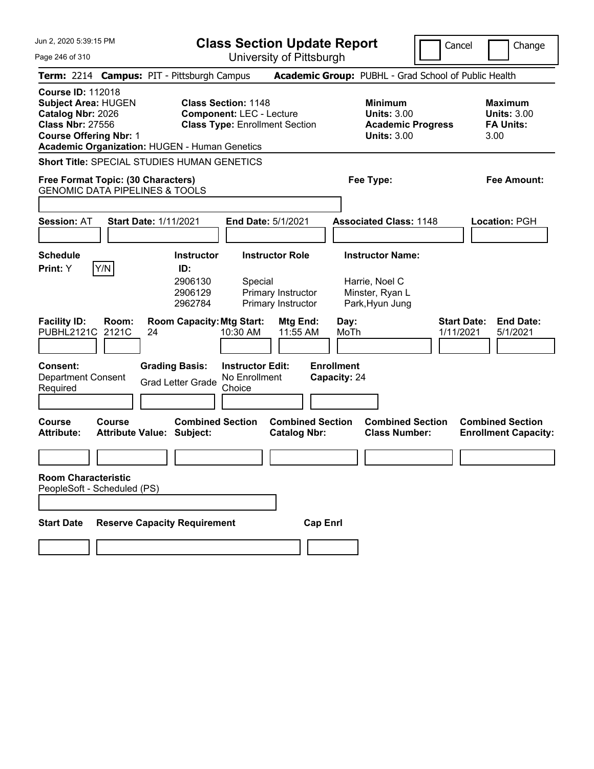Jun 2, 2020 5:39:15 PM Page 246 of 310 **Class Section Update Report** University of Pittsburgh Cancel Change **Term:** 2214 **Campus:** PIT - Pittsburgh Campus **Academic Group:** PUBHL - Grad School of Public Health **Course ID:** 112018 **Subject Area:** HUGEN **Class Section:** 1148 **Minimum Maximum Catalog Nbr:** 2026 **Component:** LEC - Lecture **Units:** 3.00 **Units:** 3.00 **Class Nbr:** 27556 **Class Type:** Enrollment Section **Academic Progress FA Units: Course Offering Nbr:** 1 **Units:** 3.00 3.00 **Academic Organization:** HUGEN - Human Genetics **Short Title:** SPECIAL STUDIES HUMAN GENETICS **Free Format Topic: (30 Characters) Fee Type: Fee Amount:**  GENOMIC DATA PIPELINES & TOOLS **Session:** AT **Start Date:** 1/11/2021 **End Date:** 5/1/2021 **Associated Class:** 1148 **Location:** PGH **Schedule Instructor Instructor Role Instructor Name: Print:**  $Y$   $|Y/N|$  **ID:** 2906130 Special Harrie, Noel C 2906129 Primary Instructor Minster, Ryan L 2962784 Primary Instructor Park,Hyun Jung **Facility ID: Room: Room Capacity:Mtg Start: Mtg End: Day: Start Date: End Date:** PUBHL2121C 2121C 24 10:30 AM 11:55 AM MoTh 1/11/2021 5/1/2021 **Consent: Grading Basis: Instructor Edit: Enrollment** Department Consent Required Grad Letter Grade No Enrollment **Choice Capacity:** 24 **Course Course Combined Section Combined Section Combined Section Combined Section Attribute: Attribute Value: Subject: Catalog Nbr: Class Number: Enrollment Capacity: Room Characteristic** PeopleSoft - Scheduled (PS) **Start Date Reserve Capacity Requirement Cap Enrl**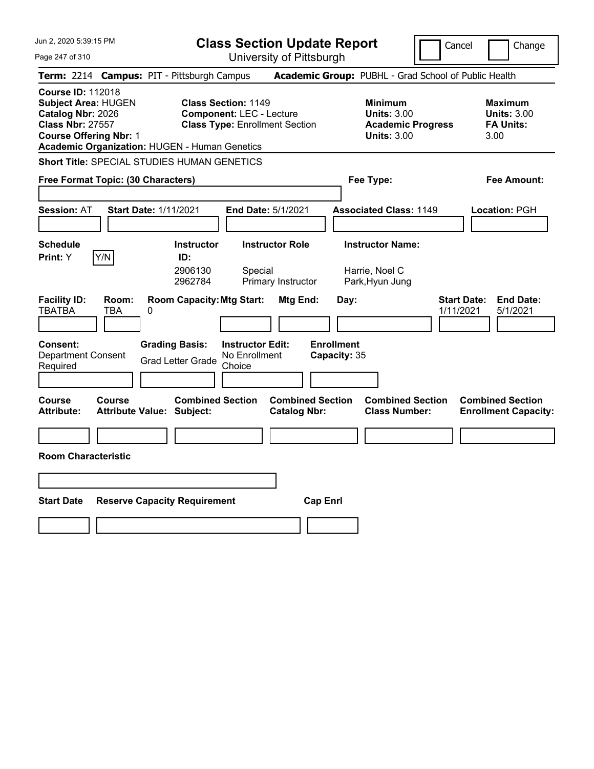Jun 2, 2020 5:39:15 PM Page 247 of 310 **Class Section Update Report** University of Pittsburgh Cancel Change **Term:** 2214 **Campus:** PIT - Pittsburgh Campus **Academic Group:** PUBHL - Grad School of Public Health **Course ID:** 112018 **Subject Area:** HUGEN **Class Section:** 1149 **Minimum Maximum Catalog Nbr:** 2026 **Component:** LEC - Lecture **Units:** 3.00 **Units:** 3.00 **Class Nbr:** 27557 **Class Type:** Enrollment Section **Academic Progress FA Units: Course Offering Nbr:** 1 **Units:** 3.00 3.00 **Academic Organization:** HUGEN - Human Genetics **Short Title:** SPECIAL STUDIES HUMAN GENETICS **Free Format Topic: (30 Characters) Fee Type: Fee Amount: Session:** AT **Start Date:** 1/11/2021 **End Date:** 5/1/2021 **Associated Class:** 1149 **Location:** PGH **Schedule Instructor Instructor Role Instructor Name: Print:**  $Y$   $|Y/N|$  **ID:** 2906130 Special Harrie, Noel C 2962784 Primary Instructor Park,Hyun Jung **Facility ID: Room: Room Capacity:Mtg Start: Mtg End: Day: Start Date: End Date:** TBATBA TBA 0 1/11/2021 5/1/2021 **Consent: Grading Basis: Instructor Edit: Enrollment** Department Consent Required Grad Letter Grade No Enrollment Choice **Capacity:** 35 **Course Course Combined Section Combined Section Combined Section Combined Section**  Attribute: Attribute Value: Subject: Catalog Nbr: Class Number: Enrollment Capacity: **Room Characteristic Start Date Reserve Capacity Requirement Cap Enrl**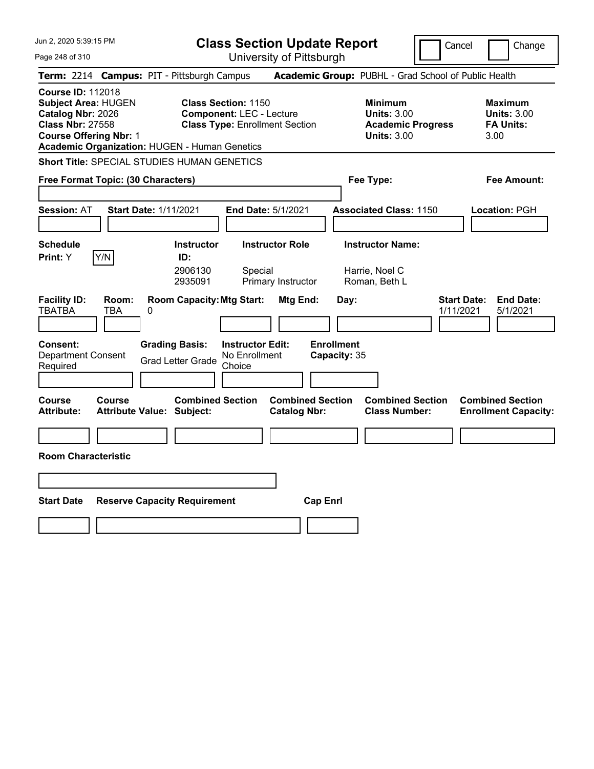Jun 2, 2020 5:39:15 PM Page 248 of 310 **Class Section Update Report** University of Pittsburgh Cancel Change **Term:** 2214 **Campus:** PIT - Pittsburgh Campus **Academic Group:** PUBHL - Grad School of Public Health **Course ID:** 112018 **Subject Area:** HUGEN **Class Section:** 1150 **Minimum Maximum Catalog Nbr:** 2026 **Component:** LEC - Lecture **Units:** 3.00 **Units:** 3.00 **Class Nbr:** 27558 **Class Type:** Enrollment Section **Academic Progress FA Units: Course Offering Nbr:** 1 **Units:** 3.00 3.00 **Academic Organization:** HUGEN - Human Genetics **Short Title:** SPECIAL STUDIES HUMAN GENETICS **Free Format Topic: (30 Characters) Fee Type: Fee Amount: Session:** AT **Start Date:** 1/11/2021 **End Date:** 5/1/2021 **Associated Class:** 1150 **Location:** PGH **Schedule Instructor Instructor Role Instructor Name: Print:**  $Y$   $|Y/N|$  **ID:** 2906130 Special Harrie, Noel C 2935091 Primary Instructor Roman, Beth L **Facility ID: Room: Room Capacity:Mtg Start: Mtg End: Day: Start Date: End Date:** TBATBA TBA 0 1/11/2021 5/1/2021 **Consent: Grading Basis: Instructor Edit: Enrollment** Department Consent Required Grad Letter Grade No Enrollment Choice **Capacity:** 35 **Course Course Combined Section Combined Section Combined Section Combined Section**  Attribute: Attribute Value: Subject: Catalog Nbr: Class Number: Enrollment Capacity: **Room Characteristic Start Date Reserve Capacity Requirement Cap Enrl**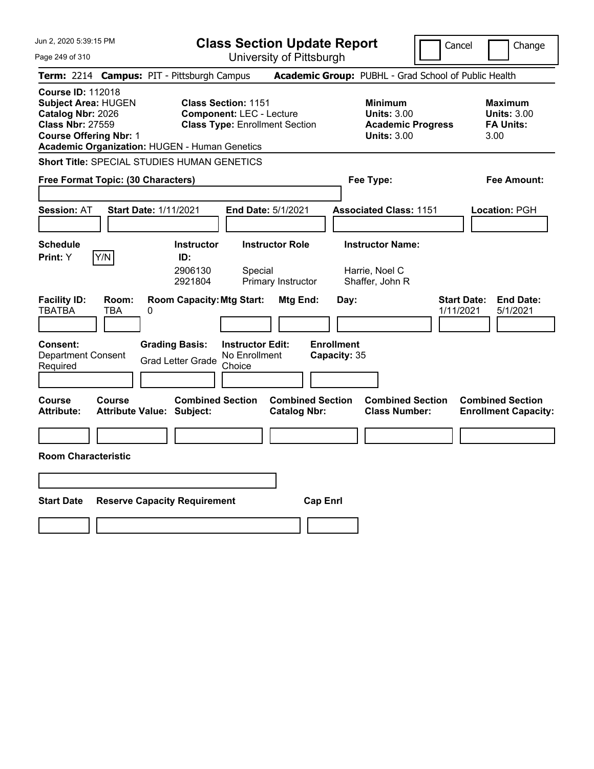| Jun 2, 2020 5:39:15 PM                                                                                                                                                                   | <b>Class Section Update Report</b>                                                                                                                      |                                                                                        | Cancel<br>Change                                                 |  |
|------------------------------------------------------------------------------------------------------------------------------------------------------------------------------------------|---------------------------------------------------------------------------------------------------------------------------------------------------------|----------------------------------------------------------------------------------------|------------------------------------------------------------------|--|
| Page 249 of 310                                                                                                                                                                          | University of Pittsburgh                                                                                                                                |                                                                                        |                                                                  |  |
| Term: 2214 Campus: PIT - Pittsburgh Campus                                                                                                                                               |                                                                                                                                                         | Academic Group: PUBHL - Grad School of Public Health                                   |                                                                  |  |
| <b>Course ID: 112018</b><br><b>Subject Area: HUGEN</b><br>Catalog Nbr: 2026<br><b>Class Nbr: 27559</b><br><b>Course Offering Nbr: 1</b><br>Academic Organization: HUGEN - Human Genetics | <b>Class Section: 1151</b><br><b>Component: LEC - Lecture</b><br><b>Class Type: Enrollment Section</b>                                                  | <b>Minimum</b><br><b>Units: 3.00</b><br><b>Academic Progress</b><br><b>Units: 3.00</b> | <b>Maximum</b><br><b>Units: 3.00</b><br><b>FA Units:</b><br>3.00 |  |
| <b>Short Title: SPECIAL STUDIES HUMAN GENETICS</b>                                                                                                                                       |                                                                                                                                                         |                                                                                        |                                                                  |  |
| Free Format Topic: (30 Characters)                                                                                                                                                       |                                                                                                                                                         | Fee Type:                                                                              | Fee Amount:                                                      |  |
| <b>Session: AT</b><br><b>Start Date: 1/11/2021</b>                                                                                                                                       | <b>End Date: 5/1/2021</b>                                                                                                                               | <b>Associated Class: 1151</b>                                                          | Location: PGH                                                    |  |
| <b>Schedule</b><br>Y/N<br><b>Print:</b> Y                                                                                                                                                | <b>Instructor Role</b><br><b>Instructor</b><br>ID:<br>2906130<br>Special<br>2921804<br>Primary Instructor                                               | <b>Instructor Name:</b><br>Harrie, Noel C<br>Shaffer, John R                           |                                                                  |  |
| <b>Facility ID:</b><br>Room:<br>TBATBA<br>TBA<br>0<br><b>Consent:</b><br><b>Department Consent</b><br>Required                                                                           | <b>Room Capacity: Mtg Start:</b><br>Mtg End:<br><b>Grading Basis:</b><br><b>Instructor Edit:</b><br>No Enrollment<br><b>Grad Letter Grade</b><br>Choice | Day:<br><b>Enrollment</b><br>Capacity: 35                                              | <b>Start Date:</b><br><b>End Date:</b><br>1/11/2021<br>5/1/2021  |  |
| <b>Course</b><br>Course<br><b>Attribute:</b><br>Attribute Value: Subject:                                                                                                                | <b>Combined Section</b><br><b>Combined Section</b><br><b>Catalog Nbr:</b>                                                                               | <b>Combined Section</b><br><b>Class Number:</b>                                        | <b>Combined Section</b><br><b>Enrollment Capacity:</b>           |  |
|                                                                                                                                                                                          |                                                                                                                                                         |                                                                                        |                                                                  |  |
| <b>Room Characteristic</b>                                                                                                                                                               |                                                                                                                                                         |                                                                                        |                                                                  |  |
|                                                                                                                                                                                          |                                                                                                                                                         |                                                                                        |                                                                  |  |
| <b>Start Date</b><br><b>Reserve Capacity Requirement</b>                                                                                                                                 |                                                                                                                                                         | <b>Cap Enri</b>                                                                        |                                                                  |  |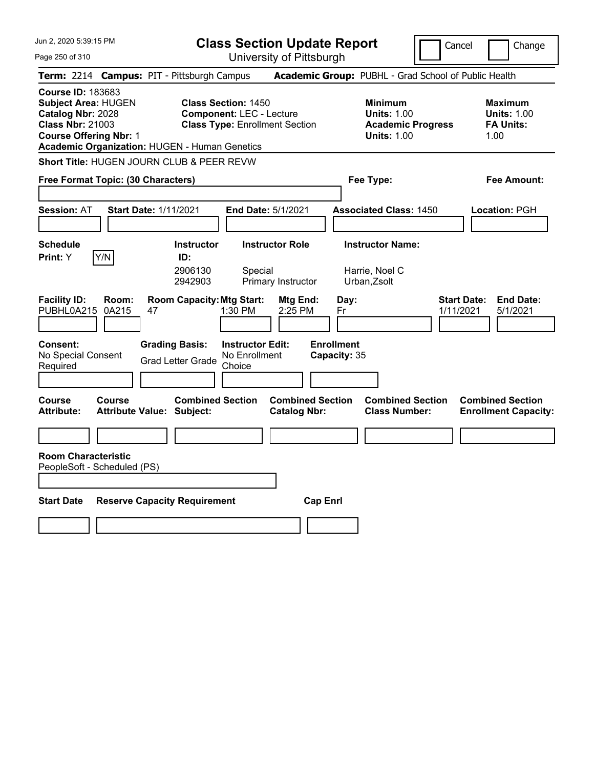**Class Section Update Report** University of Pittsburgh

Cancel Change

Page 250 of 310

|                                                                                                                                         |                | Term: 2214 Campus: PIT - Pittsburgh Campus                                                  |                                                                                                        | Academic Group: PUBHL - Grad School of Public Health                                   |                                                                  |
|-----------------------------------------------------------------------------------------------------------------------------------------|----------------|---------------------------------------------------------------------------------------------|--------------------------------------------------------------------------------------------------------|----------------------------------------------------------------------------------------|------------------------------------------------------------------|
| <b>Course ID: 183683</b><br><b>Subject Area: HUGEN</b><br>Catalog Nbr: 2028<br><b>Class Nbr: 21003</b><br><b>Course Offering Nbr: 1</b> |                | Academic Organization: HUGEN - Human Genetics                                               | <b>Class Section: 1450</b><br><b>Component: LEC - Lecture</b><br><b>Class Type: Enrollment Section</b> | <b>Minimum</b><br><b>Units: 1.00</b><br><b>Academic Progress</b><br><b>Units: 1.00</b> | <b>Maximum</b><br><b>Units: 1.00</b><br><b>FA Units:</b><br>1.00 |
|                                                                                                                                         |                | Short Title: HUGEN JOURN CLUB & PEER REVW                                                   |                                                                                                        |                                                                                        |                                                                  |
| Free Format Topic: (30 Characters)                                                                                                      |                |                                                                                             |                                                                                                        | Fee Type:                                                                              | Fee Amount:                                                      |
| <b>Session: AT</b>                                                                                                                      |                | <b>Start Date: 1/11/2021</b>                                                                | End Date: 5/1/2021                                                                                     | <b>Associated Class: 1450</b>                                                          | Location: PGH                                                    |
| <b>Schedule</b><br>Print: Y                                                                                                             | Y/N            | <b>Instructor</b><br>ID:<br>2906130<br>2942903                                              | <b>Instructor Role</b><br>Special<br>Primary Instructor                                                | <b>Instructor Name:</b><br>Harrie, Noel C<br>Urban, Zsolt                              |                                                                  |
| <b>Facility ID:</b><br>PUBHL0A215<br>Consent:<br>No Special Consent<br>Required                                                         | Room:<br>0A215 | <b>Room Capacity: Mtg Start:</b><br>47<br><b>Grading Basis:</b><br><b>Grad Letter Grade</b> | Mtg End:<br>1:30 PM<br>2:25 PM<br><b>Instructor Edit:</b><br>No Enrollment<br>Choice                   | Day:<br>Fr<br>1/11/2021<br><b>Enrollment</b><br>Capacity: 35                           | <b>End Date:</b><br><b>Start Date:</b><br>5/1/2021               |
| Course<br><b>Attribute:</b>                                                                                                             | <b>Course</b>  | <b>Combined Section</b><br><b>Attribute Value: Subject:</b>                                 | <b>Combined Section</b><br><b>Catalog Nbr:</b>                                                         | <b>Combined Section</b><br><b>Class Number:</b>                                        | <b>Combined Section</b><br><b>Enrollment Capacity:</b>           |
|                                                                                                                                         |                |                                                                                             |                                                                                                        |                                                                                        |                                                                  |
| <b>Room Characteristic</b><br>PeopleSoft - Scheduled (PS)<br><b>Start Date</b>                                                          |                | <b>Reserve Capacity Requirement</b>                                                         |                                                                                                        | <b>Cap Enrl</b>                                                                        |                                                                  |
|                                                                                                                                         |                |                                                                                             |                                                                                                        |                                                                                        |                                                                  |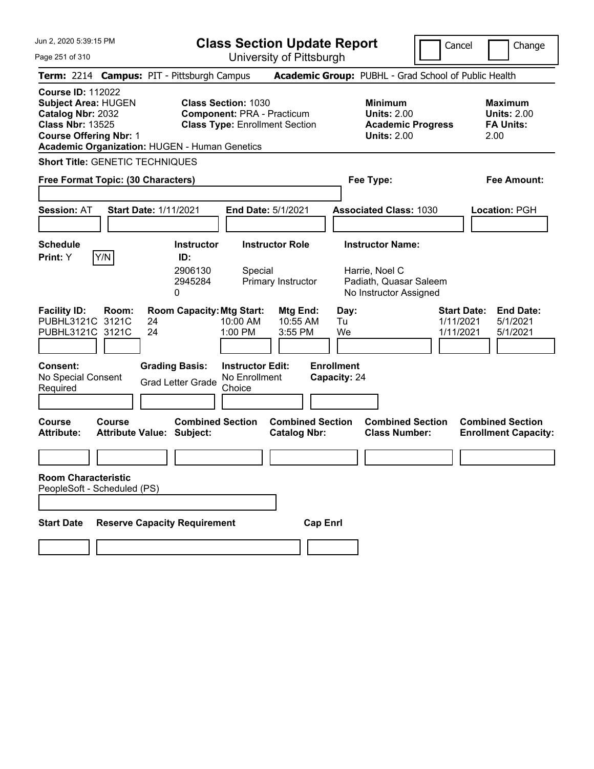**Class Section Update Report**

Cancel **Change** 

Page 251 of 310

| Page 251 of 310                                                                                                                                                                                 |                                                                                                          | University of Pittsburgh                       |                                                                                        |                                                                                          |
|-------------------------------------------------------------------------------------------------------------------------------------------------------------------------------------------------|----------------------------------------------------------------------------------------------------------|------------------------------------------------|----------------------------------------------------------------------------------------|------------------------------------------------------------------------------------------|
| Term: 2214 Campus: PIT - Pittsburgh Campus                                                                                                                                                      |                                                                                                          |                                                | Academic Group: PUBHL - Grad School of Public Health                                   |                                                                                          |
| <b>Course ID: 112022</b><br><b>Subject Area: HUGEN</b><br>Catalog Nbr: 2032<br><b>Class Nbr: 13525</b><br><b>Course Offering Nbr: 1</b><br><b>Academic Organization: HUGEN - Human Genetics</b> | <b>Class Section: 1030</b><br><b>Component: PRA - Practicum</b><br><b>Class Type: Enrollment Section</b> |                                                | <b>Minimum</b><br><b>Units: 2.00</b><br><b>Academic Progress</b><br><b>Units: 2.00</b> | <b>Maximum</b><br><b>Units: 2.00</b><br><b>FA Units:</b><br>2.00                         |
| <b>Short Title: GENETIC TECHNIQUES</b>                                                                                                                                                          |                                                                                                          |                                                |                                                                                        |                                                                                          |
| Free Format Topic: (30 Characters)                                                                                                                                                              |                                                                                                          |                                                | Fee Type:                                                                              | Fee Amount:                                                                              |
| <b>Session: AT</b><br><b>Start Date: 1/11/2021</b>                                                                                                                                              |                                                                                                          | <b>End Date: 5/1/2021</b>                      | <b>Associated Class: 1030</b>                                                          | Location: PGH                                                                            |
| <b>Schedule</b>                                                                                                                                                                                 | <b>Instructor</b>                                                                                        | <b>Instructor Role</b>                         | <b>Instructor Name:</b>                                                                |                                                                                          |
| Y/N<br>Print: Y                                                                                                                                                                                 | ID:<br>2906130<br>Special<br>2945284<br>0                                                                | Primary Instructor                             | Harrie, Noel C<br>Padiath, Quasar Saleem<br>No Instructor Assigned                     |                                                                                          |
| <b>Facility ID:</b><br>Room:<br>PUBHL3121C 3121C<br>24<br>PUBHL3121C 3121C<br>24                                                                                                                | <b>Room Capacity: Mtg Start:</b><br>10:00 AM<br>1:00 PM                                                  | Mtg End:<br>10:55 AM<br>3:55 PM                | Day:<br>Tu<br>We                                                                       | <b>Start Date:</b><br><b>End Date:</b><br>1/11/2021<br>5/1/2021<br>1/11/2021<br>5/1/2021 |
| <b>Consent:</b><br>No Special Consent<br>Required                                                                                                                                               | <b>Grading Basis:</b><br><b>Instructor Edit:</b><br>No Enrollment<br><b>Grad Letter Grade</b><br>Choice  |                                                | <b>Enrollment</b><br>Capacity: 24                                                      |                                                                                          |
| <b>Course</b><br><b>Course</b><br><b>Attribute:</b><br><b>Attribute Value: Subject:</b>                                                                                                         | <b>Combined Section</b>                                                                                  | <b>Combined Section</b><br><b>Catalog Nbr:</b> | <b>Combined Section</b><br><b>Class Number:</b>                                        | <b>Combined Section</b><br><b>Enrollment Capacity:</b>                                   |
|                                                                                                                                                                                                 |                                                                                                          |                                                |                                                                                        |                                                                                          |
| <b>Room Characteristic</b><br>PeopleSoft - Scheduled (PS)                                                                                                                                       |                                                                                                          |                                                |                                                                                        |                                                                                          |
| <b>Start Date</b>                                                                                                                                                                               | <b>Reserve Capacity Requirement</b>                                                                      | <b>Cap Enrl</b>                                |                                                                                        |                                                                                          |
|                                                                                                                                                                                                 |                                                                                                          |                                                |                                                                                        |                                                                                          |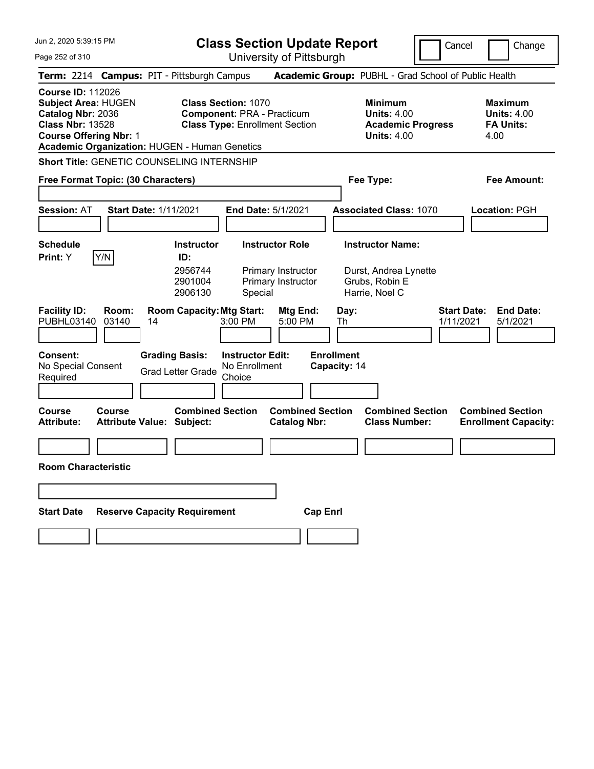Jun 2, 2020 5:39:15 PM Page 252 of 310 **Class Section Update Report** University of Pittsburgh Cancel Change **Term:** 2214 **Campus:** PIT - Pittsburgh Campus **Academic Group:** PUBHL - Grad School of Public Health **Course ID:** 112026 **Subject Area:** HUGEN **Class Section:** 1070 **Minimum Maximum Catalog Nbr:** 2036 **Component:** PRA - Practicum **Units:** 4.00 **Units:** 4.00 **Class Nbr:** 13528 **Class Type:** Enrollment Section **Academic Progress FA Units: Course Offering Nbr:** 1 **Units:** 4.00 4.00 **Academic Organization:** HUGEN - Human Genetics **Short Title:** GENETIC COUNSELING INTERNSHIP **Free Format Topic: (30 Characters) Fee Type: Fee Amount: Session:** AT **Start Date:** 1/11/2021 **End Date:** 5/1/2021 **Associated Class:** 1070 **Location:** PGH **Schedule Instructor Instructor Role Instructor Name: Print:**  $Y$   $|Y/N|$  **ID:** 2956744 Primary Instructor Durst, Andrea Lynette 2901004 Primary Instructor Grubs, Robin E 2906130 Special Harrie, Noel C **Facility ID: Room: Room Capacity:Mtg Start: Mtg End: Day: Start Date: End Date:** PUBHL03140 03140 14 3:00 PM 5:00 PM Th 1/11/2021 5/1/2021 **Consent: Grading Basis: Instructor Edit: Enrollment** No Special Consent Required Grad Letter Grade No Enrollment **Choice Capacity:** 14 **Course Course Combined Section Combined Section Combined Section Combined Section Attribute: Attribute Value: Subject: Catalog Nbr: Class Number: Enrollment Capacity: Room Characteristic Start Date Reserve Capacity Requirement Cap Enrl**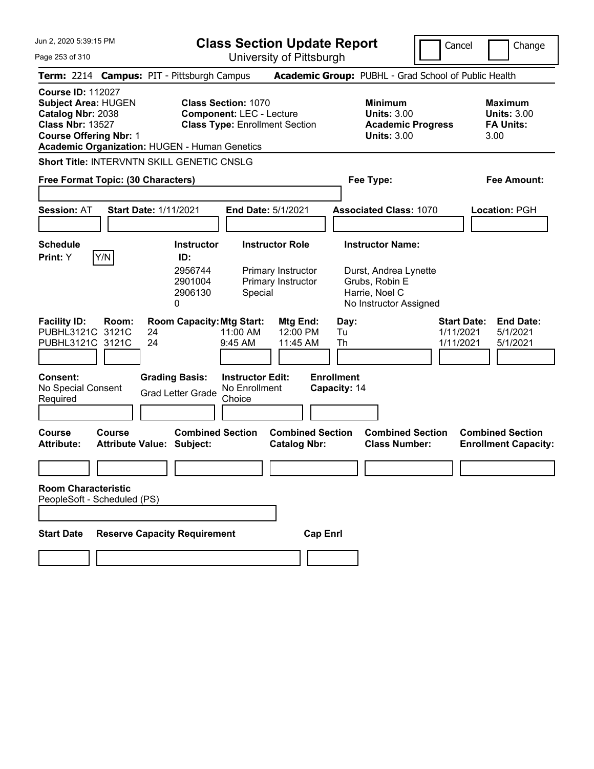**Class Section Update Report**

University of Pittsburgh

Cancel **Change** 

Page 253 of 310

| Academic Group: PUBHL - Grad School of Public Health             |
|------------------------------------------------------------------|
| <b>Maximum</b><br><b>Units: 3.00</b><br><b>FA Units:</b><br>3.00 |
|                                                                  |
| <b>Fee Amount:</b>                                               |
| Location: PGH                                                    |
|                                                                  |
| <b>End Date:</b><br>5/1/2021<br>5/1/2021                         |
| <b>Combined Section</b><br><b>Enrollment Capacity:</b>           |
|                                                                  |
|                                                                  |
|                                                                  |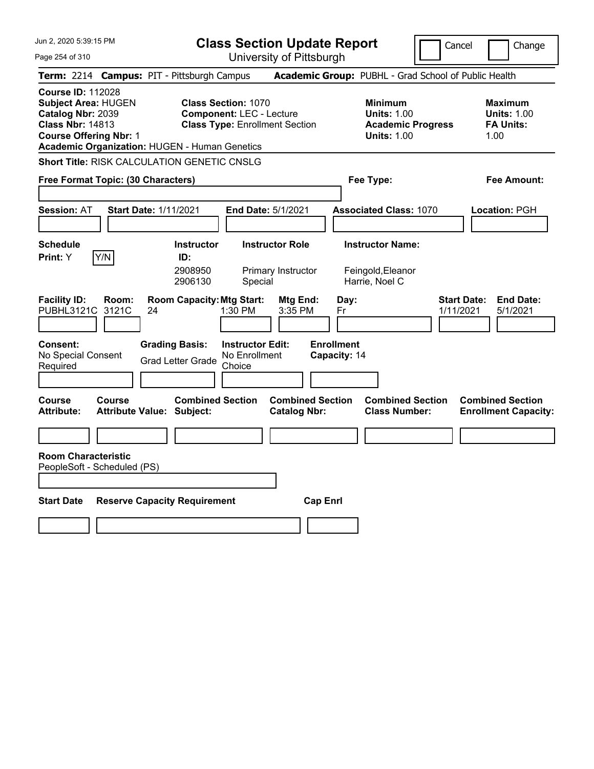Jun 2, 2020 5:39:15 PM Page 254 of 310 **Class Section Update Report** University of Pittsburgh Cancel Change **Term:** 2214 **Campus:** PIT - Pittsburgh Campus **Academic Group:** PUBHL - Grad School of Public Health **Course ID:** 112028 **Subject Area:** HUGEN **Class Section:** 1070 **Minimum Maximum Catalog Nbr:** 2039 **Component:** LEC - Lecture **Units:** 1.00 **Units:** 1.00 **Class Nbr:** 14813 **Class Type:** Enrollment Section **Academic Progress FA Units: Course Offering Nbr:** 1 **Units:** 1.00 1.00 **Academic Organization:** HUGEN - Human Genetics **Short Title:** RISK CALCULATION GENETIC CNSLG **Free Format Topic: (30 Characters) Fee Type: Fee Amount: Session:** AT **Start Date:** 1/11/2021 **End Date:** 5/1/2021 **Associated Class:** 1070 **Location:** PGH **Schedule Instructor Instructor Role Instructor Name: Print:**  $Y$   $|Y/N|$  **ID:** 2908950 Primary Instructor Feingold,Eleanor 2906130 Special Harrie, Noel C **Facility ID: Room: Room Capacity:Mtg Start: Mtg End: Day: Start Date: End Date:** PUBHL3121C 3121C 24 1:30 PM 3:35 PM Fr 1/11/2021 5/1/2021 **Consent: Grading Basis: Instructor Edit: Enrollment** No Special Consent No Special Consent Grad Letter Grade No Enrollment<br>Required Choice Choice **Capacity:** 14 **Course Course Combined Section Combined Section Combined Section Combined Section**  Attribute: Attribute Value: Subject: Catalog Nbr: Class Number: Enrollment Capacity: **Room Characteristic** PeopleSoft - Scheduled (PS) **Start Date Reserve Capacity Requirement Cap Enrl**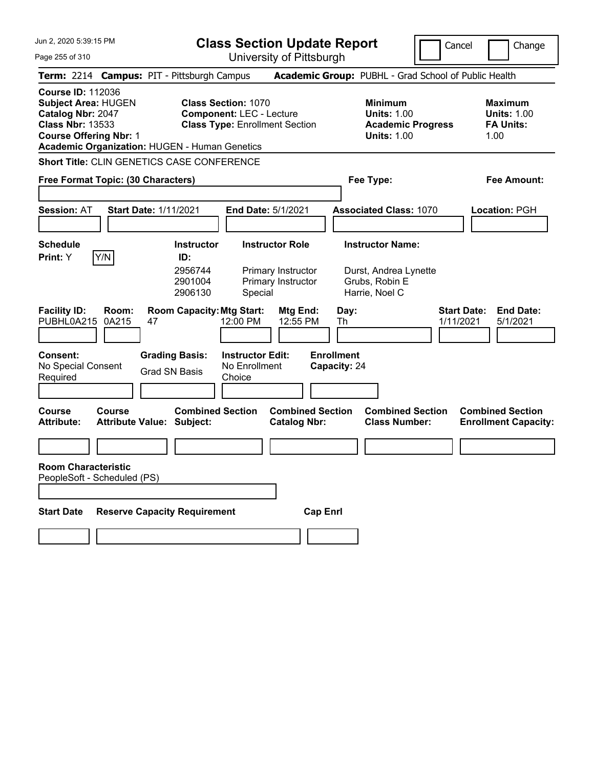Jun 2, 2020 5:39:15 PM Page 255 of 310 **Class Section Update Report** University of Pittsburgh Cancel Change **Term:** 2214 **Campus:** PIT - Pittsburgh Campus **Academic Group:** PUBHL - Grad School of Public Health **Course ID:** 112036 **Subject Area:** HUGEN **Class Section:** 1070 **Minimum Maximum Catalog Nbr:** 2047 **Component:** LEC - Lecture **Units:** 1.00 **Units:** 1.00 **Class Nbr:** 13533 **Class Type:** Enrollment Section **Academic Progress FA Units: Course Offering Nbr:** 1 **Units:** 1.00 1.00 **Academic Organization:** HUGEN - Human Genetics **Short Title:** CLIN GENETICS CASE CONFERENCE **Free Format Topic: (30 Characters) Fee Type: Fee Amount: Session:** AT **Start Date:** 1/11/2021 **End Date:** 5/1/2021 **Associated Class:** 1070 **Location:** PGH **Schedule Instructor Instructor Role Instructor Name: Print:**  $Y$   $|Y/N|$  **ID:** 2956744 Primary Instructor Durst, Andrea Lynette 2901004 Primary Instructor Grubs, Robin E 2906130 Special Harrie, Noel C **Facility ID: Room: Room Capacity:Mtg Start: Mtg End: Day: Start Date: End Date:** PUBHL0A215 0A215 47 12:00 PM 12:55 PM Th 1/11/2021 5/1/2021 **Consent: Grading Basis: Instructor Edit: Enrollment** No Special Consent Grad SN Basis No Enrollment<br>Required Grad SN Basis Choice **Choice Capacity:** 24 **Course Course Combined Section Combined Section Combined Section Combined Section**  Attribute Value: Subject: Catalog Nbr: Class Number: Enrollment Capacity: **Room Characteristic** PeopleSoft - Scheduled (PS) **Start Date Reserve Capacity Requirement Cap Enrl**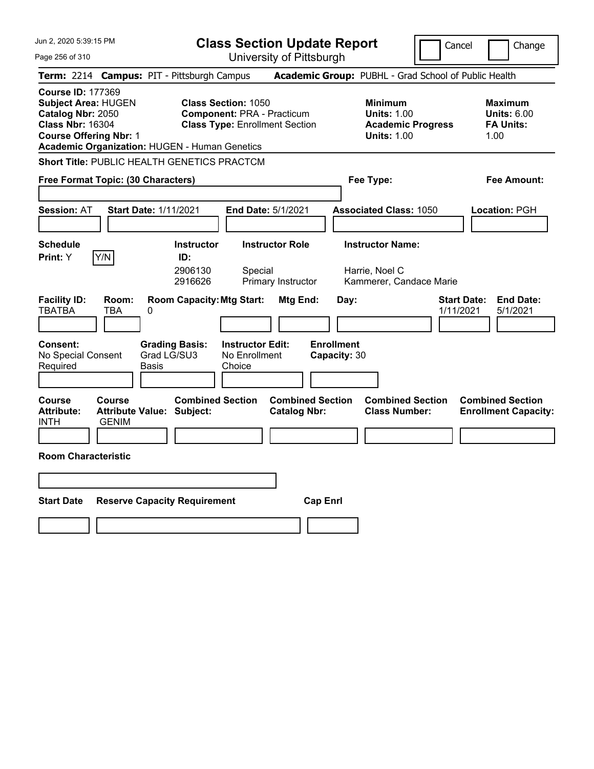Jun 2, 2020 5:39:15 PM Page 256 of 310 **Class Section Update Report** University of Pittsburgh Cancel | Change **Term:** 2214 **Campus:** PIT - Pittsburgh Campus **Academic Group:** PUBHL - Grad School of Public Health **Course ID:** 177369 **Subject Area:** HUGEN **Class Section:** 1050 **Minimum Maximum Catalog Nbr:** 2050 **Component:** PRA - Practicum **Units:** 1.00 **Units:** 6.00 **Class Nbr:** 16304 **Class Type:** Enrollment Section **Academic Progress FA Units: Course Offering Nbr:** 1 **Units:** 1.00 1.00 **Academic Organization:** HUGEN - Human Genetics **Short Title:** PUBLIC HEALTH GENETICS PRACTCM **Free Format Topic: (30 Characters) Fee Type: Fee Amount: Session:** AT **Start Date:** 1/11/2021 **End Date:** 5/1/2021 **Associated Class:** 1050 **Location:** PGH **Schedule Instructor Instructor Role Instructor Name: Print:**  $Y$   $|Y/N|$  **ID:** 2906130 Special Harrie, Noel C 2916626 Primary Instructor Kammerer, Candace Marie **Facility ID: Room: Room Capacity:Mtg Start: Mtg End: Day: Start Date: End Date:** TBATBA TBA 0 1/11/2021 5/1/2021 **Consent: Grading Basis: Instructor Edit: Enrollment** No Special Consent Required Grad LG/SU3 Basis No Enrollment **Choice Capacity:** 30 **Course Course Combined Section Combined Section Combined Section Combined Section**  Attribute: Attribute Value: Subject: Catalog Nbr: Class Number: Enrollment Capacity: INTH GENIM **Room Characteristic Start Date Reserve Capacity Requirement Cap Enrl**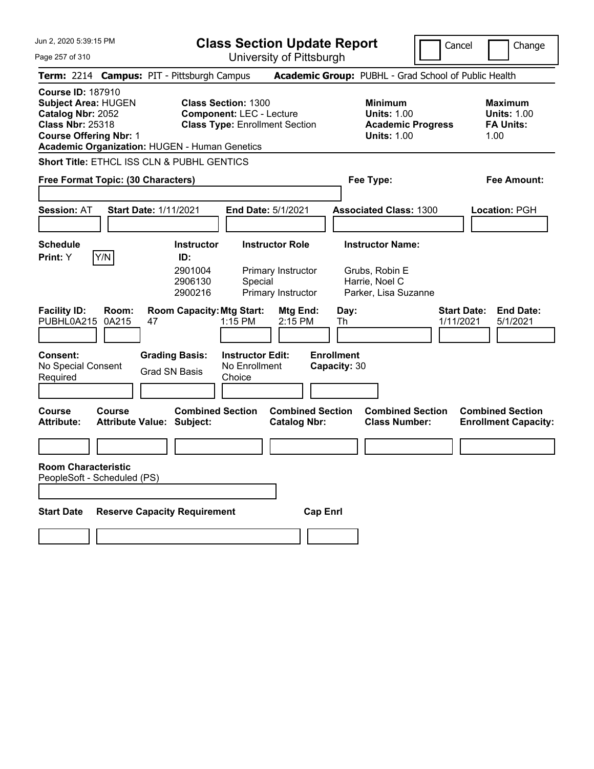**Class Section Update Report**

Cancel **Change** 

| Page 257 of 310                                                                                                                                                                          | University of Pittsburgh                                                                               |                                                                                        |                                                                  |
|------------------------------------------------------------------------------------------------------------------------------------------------------------------------------------------|--------------------------------------------------------------------------------------------------------|----------------------------------------------------------------------------------------|------------------------------------------------------------------|
| Term: 2214 Campus: PIT - Pittsburgh Campus                                                                                                                                               |                                                                                                        | Academic Group: PUBHL - Grad School of Public Health                                   |                                                                  |
| <b>Course ID: 187910</b><br><b>Subject Area: HUGEN</b><br>Catalog Nbr: 2052<br><b>Class Nbr: 25318</b><br><b>Course Offering Nbr: 1</b><br>Academic Organization: HUGEN - Human Genetics | <b>Class Section: 1300</b><br><b>Component: LEC - Lecture</b><br><b>Class Type: Enrollment Section</b> | <b>Minimum</b><br><b>Units: 1.00</b><br><b>Academic Progress</b><br><b>Units: 1.00</b> | <b>Maximum</b><br><b>Units: 1.00</b><br><b>FA Units:</b><br>1.00 |
| <b>Short Title: ETHCL ISS CLN &amp; PUBHL GENTICS</b>                                                                                                                                    |                                                                                                        |                                                                                        |                                                                  |
| Free Format Topic: (30 Characters)                                                                                                                                                       |                                                                                                        | Fee Type:                                                                              | Fee Amount:                                                      |
| <b>Start Date: 1/11/2021</b><br><b>Session: AT</b>                                                                                                                                       | <b>End Date: 5/1/2021</b>                                                                              | <b>Associated Class: 1300</b>                                                          | Location: PGH                                                    |
| <b>Schedule</b>                                                                                                                                                                          | <b>Instructor Role</b><br><b>Instructor</b>                                                            | <b>Instructor Name:</b>                                                                |                                                                  |
| Print: Y<br>Y/N<br>ID:                                                                                                                                                                   |                                                                                                        |                                                                                        |                                                                  |
| 2901004<br>2906130<br>2900216                                                                                                                                                            | Primary Instructor<br>Special<br>Primary Instructor                                                    | Grubs, Robin E<br>Harrie, Noel C<br>Parker, Lisa Suzanne                               |                                                                  |
| <b>Facility ID:</b><br>Room:<br>PUBHL0A215<br>0A215<br>47                                                                                                                                | <b>Room Capacity: Mtg Start:</b><br>Mtg End:<br>1:15 PM<br>2:15 PM                                     | Day:<br>1/11/2021<br>Th                                                                | <b>Start Date:</b><br><b>End Date:</b><br>5/1/2021               |
| <b>Consent:</b><br><b>Grading Basis:</b><br>No Special Consent<br>Grad SN Basis<br>Required                                                                                              | <b>Instructor Edit:</b><br>No Enrollment<br>Choice                                                     | <b>Enrollment</b><br>Capacity: 30                                                      |                                                                  |
| <b>Course</b><br>Course<br><b>Attribute:</b><br><b>Attribute Value: Subject:</b>                                                                                                         | <b>Combined Section</b><br><b>Combined Section</b><br><b>Catalog Nbr:</b>                              | <b>Combined Section</b><br><b>Class Number:</b>                                        | <b>Combined Section</b><br><b>Enrollment Capacity:</b>           |
|                                                                                                                                                                                          |                                                                                                        |                                                                                        |                                                                  |
| <b>Room Characteristic</b><br>PeopleSoft - Scheduled (PS)                                                                                                                                |                                                                                                        |                                                                                        |                                                                  |
| <b>Start Date</b><br><b>Reserve Capacity Requirement</b>                                                                                                                                 | <b>Cap Enrl</b>                                                                                        |                                                                                        |                                                                  |
|                                                                                                                                                                                          |                                                                                                        |                                                                                        |                                                                  |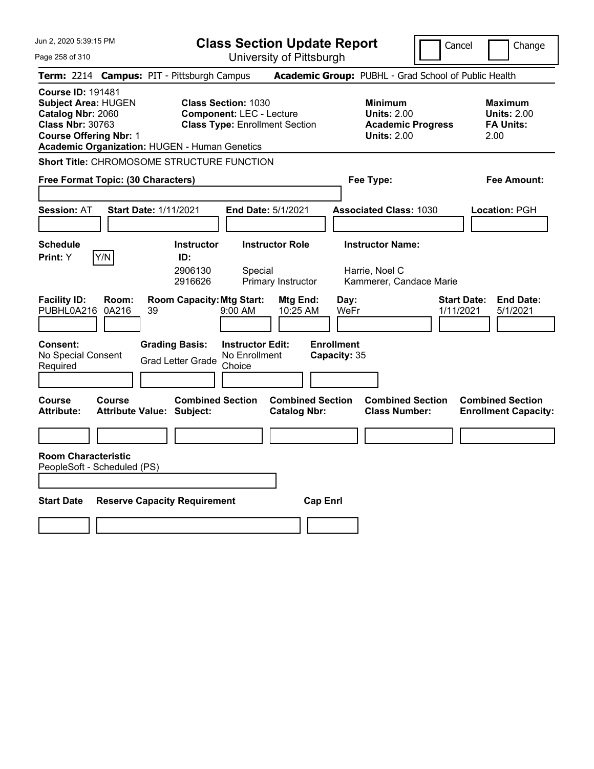Jun 2, 2020 5:39:15 PM Page 258 of 310 **Class Section Update Report** University of Pittsburgh Cancel Change **Term:** 2214 **Campus:** PIT - Pittsburgh Campus **Academic Group:** PUBHL - Grad School of Public Health **Course ID:** 191481 **Subject Area:** HUGEN **Class Section:** 1030 **Minimum Maximum Catalog Nbr:** 2060 **Component:** LEC - Lecture **Units:** 2.00 **Units:** 2.00 **Class Nbr:** 30763 **Class Type:** Enrollment Section **Academic Progress FA Units: Course Offering Nbr:** 1 **Units:** 2.00 2.00 **Academic Organization:** HUGEN - Human Genetics **Short Title:** CHROMOSOME STRUCTURE FUNCTION **Free Format Topic: (30 Characters) Fee Type: Fee Amount: Session:** AT **Start Date:** 1/11/2021 **End Date:** 5/1/2021 **Associated Class:** 1030 **Location:** PGH **Schedule Instructor Instructor Role Instructor Name: Print:**  $Y$   $|Y/N|$  **ID:** 2906130 Special Harrie, Noel C 2916626 Primary Instructor Kammerer, Candace Marie **Facility ID: Room: Room Capacity:Mtg Start: Mtg End: Day: Start Date: End Date:** PUBHL0A216 0A216 39 9:00 AM 10:25 AM WeFr 1/11/2021 5/1/2021 **Consent: Grading Basis: Instructor Edit: Enrollment** No Special Consent No Special Consent Grad Letter Grade No Enrollment<br>Required Choice Choice **Capacity:** 35 **Course Course Combined Section Combined Section Combined Section Combined Section**  Attribute: Attribute Value: Subject: Catalog Nbr: Class Number: Enrollment Capacity: **Room Characteristic** PeopleSoft - Scheduled (PS) **Start Date Reserve Capacity Requirement Cap Enrl**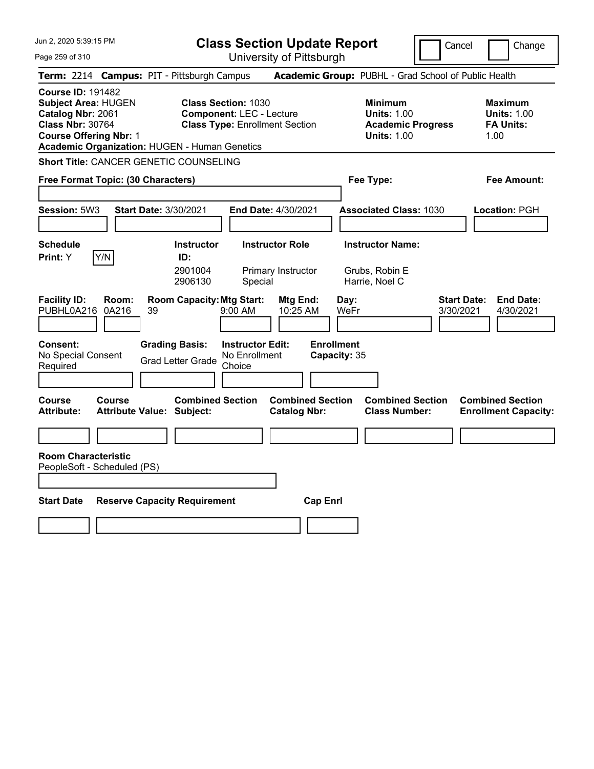**Class Section Update Report**

Cancel **Change** 

Page 259 of 310

| Page 259 of 310                                                                                                                         |                |                                                                                                                  |                                                    | University of Pittsburgh                       |                                                             |                                                                                        |                                                                  |
|-----------------------------------------------------------------------------------------------------------------------------------------|----------------|------------------------------------------------------------------------------------------------------------------|----------------------------------------------------|------------------------------------------------|-------------------------------------------------------------|----------------------------------------------------------------------------------------|------------------------------------------------------------------|
|                                                                                                                                         |                | Term: 2214 Campus: PIT - Pittsburgh Campus                                                                       |                                                    |                                                |                                                             | Academic Group: PUBHL - Grad School of Public Health                                   |                                                                  |
| <b>Course ID: 191482</b><br><b>Subject Area: HUGEN</b><br>Catalog Nbr: 2061<br><b>Class Nbr: 30764</b><br><b>Course Offering Nbr: 1</b> |                | <b>Class Section: 1030</b><br><b>Component: LEC - Lecture</b><br>Academic Organization: HUGEN - Human Genetics   |                                                    | <b>Class Type: Enrollment Section</b>          |                                                             | <b>Minimum</b><br><b>Units: 1.00</b><br><b>Academic Progress</b><br><b>Units: 1.00</b> | <b>Maximum</b><br><b>Units: 1.00</b><br><b>FA Units:</b><br>1.00 |
|                                                                                                                                         |                | <b>Short Title: CANCER GENETIC COUNSELING</b>                                                                    |                                                    |                                                |                                                             |                                                                                        |                                                                  |
| Free Format Topic: (30 Characters)                                                                                                      |                |                                                                                                                  |                                                    |                                                | Fee Type:                                                   |                                                                                        | Fee Amount:                                                      |
| Session: 5W3                                                                                                                            |                | Start Date: 3/30/2021                                                                                            |                                                    | End Date: 4/30/2021                            |                                                             | <b>Associated Class: 1030</b>                                                          | Location: PGH                                                    |
| <b>Schedule</b><br><b>Print:</b> Y                                                                                                      | Y/N            | <b>Instructor</b><br>ID:<br>2901004<br>2906130                                                                   | Special                                            | <b>Instructor Role</b><br>Primary Instructor   | <b>Instructor Name:</b><br>Grubs, Robin E<br>Harrie, Noel C |                                                                                        |                                                                  |
| <b>Facility ID:</b><br>PUBHL0A216                                                                                                       | Room:<br>0A216 | <b>Room Capacity: Mtg Start:</b><br>39                                                                           | $9:00 \, \text{AM}$                                | Mtg End:<br>10:25 AM                           | Day:<br>WeFr                                                |                                                                                        | <b>Start Date:</b><br><b>End Date:</b><br>3/30/2021<br>4/30/2021 |
| <b>Consent:</b><br>No Special Consent<br>Required<br>Course<br><b>Attribute:</b>                                                        | <b>Course</b>  | <b>Grading Basis:</b><br><b>Grad Letter Grade</b><br><b>Combined Section</b><br><b>Attribute Value: Subject:</b> | <b>Instructor Edit:</b><br>No Enrollment<br>Choice | <b>Combined Section</b><br><b>Catalog Nbr:</b> | <b>Enrollment</b><br>Capacity: 35                           | <b>Combined Section</b><br><b>Class Number:</b>                                        | <b>Combined Section</b><br><b>Enrollment Capacity:</b>           |
| <b>Room Characteristic</b><br>PeopleSoft - Scheduled (PS)<br><b>Start Date</b>                                                          |                | <b>Reserve Capacity Requirement</b>                                                                              |                                                    | <b>Cap Enrl</b>                                |                                                             |                                                                                        |                                                                  |
|                                                                                                                                         |                |                                                                                                                  |                                                    |                                                |                                                             |                                                                                        |                                                                  |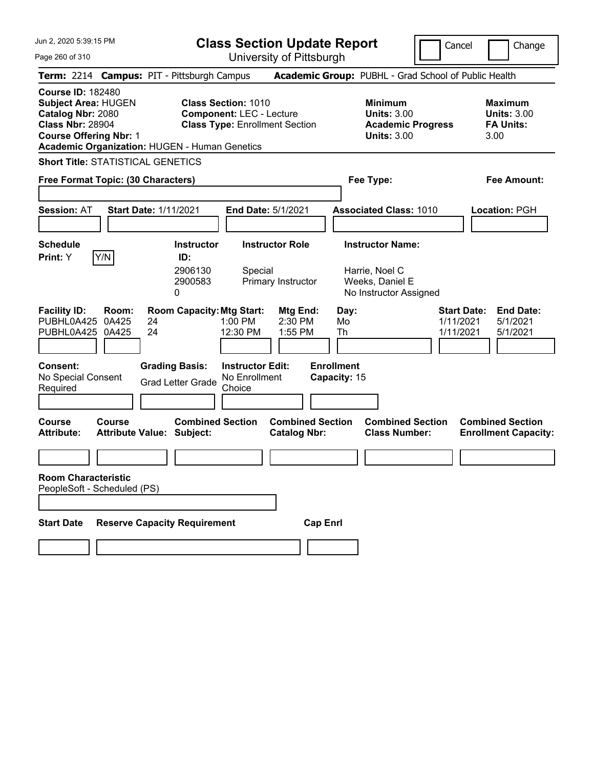**Class Section Update Report**

Page 260 of 310

| Jun 2, 2020 5:39:15 PM<br>Page 260 of 310                                                                                                                                                       |                                                                                                         | <b>Class Section Update Report</b><br>University of Pittsburgh | Cancel                                                                                 | Change                                                           |
|-------------------------------------------------------------------------------------------------------------------------------------------------------------------------------------------------|---------------------------------------------------------------------------------------------------------|----------------------------------------------------------------|----------------------------------------------------------------------------------------|------------------------------------------------------------------|
| Term: 2214 Campus: PIT - Pittsburgh Campus                                                                                                                                                      |                                                                                                         |                                                                | Academic Group: PUBHL - Grad School of Public Health                                   |                                                                  |
| <b>Course ID: 182480</b><br><b>Subject Area: HUGEN</b><br>Catalog Nbr: 2080<br><b>Class Nbr: 28904</b><br><b>Course Offering Nbr: 1</b><br><b>Academic Organization: HUGEN - Human Genetics</b> | <b>Class Section: 1010</b><br><b>Component: LEC - Lecture</b><br><b>Class Type: Enrollment Section</b>  |                                                                | <b>Minimum</b><br><b>Units: 3.00</b><br><b>Academic Progress</b><br><b>Units: 3.00</b> | <b>Maximum</b><br><b>Units: 3.00</b><br><b>FA Units:</b><br>3.00 |
| <b>Short Title: STATISTICAL GENETICS</b>                                                                                                                                                        |                                                                                                         |                                                                |                                                                                        |                                                                  |
| Free Format Topic: (30 Characters)                                                                                                                                                              |                                                                                                         |                                                                | Fee Type:                                                                              | <b>Fee Amount:</b>                                               |
| <b>Start Date: 1/11/2021</b><br><b>Session: AT</b>                                                                                                                                              |                                                                                                         | End Date: 5/1/2021                                             | <b>Associated Class: 1010</b>                                                          | Location: PGH                                                    |
| <b>Schedule</b><br>Y/N<br>Print: Y                                                                                                                                                              | <b>Instructor</b><br>ID:<br>2906130<br>Special<br>2900583<br>0                                          | <b>Instructor Role</b><br>Primary Instructor                   | <b>Instructor Name:</b><br>Harrie, Noel C<br>Weeks, Daniel E<br>No Instructor Assigned |                                                                  |
| <b>Facility ID:</b><br>Room:<br>PUBHL0A425 0A425<br>24<br>24<br>PUBHL0A425 0A425                                                                                                                | <b>Room Capacity: Mtg Start:</b><br>1:00 PM<br>12:30 PM                                                 | Mtg End:<br>2:30 PM<br>1:55 PM                                 | <b>Start Date:</b><br>Day:<br>Mo<br>1/11/2021<br>Th<br>1/11/2021                       | <b>End Date:</b><br>5/1/2021<br>5/1/2021                         |
| Consent:<br>No Special Consent<br>Required                                                                                                                                                      | <b>Grading Basis:</b><br><b>Instructor Edit:</b><br>No Enrollment<br><b>Grad Letter Grade</b><br>Choice |                                                                | <b>Enrollment</b><br>Capacity: 15                                                      |                                                                  |
| <b>Course</b><br><b>Course</b><br><b>Attribute:</b>                                                                                                                                             | <b>Combined Section</b><br><b>Attribute Value: Subject:</b>                                             | <b>Combined Section</b><br><b>Catalog Nbr:</b>                 | <b>Combined Section</b><br><b>Class Number:</b>                                        | <b>Combined Section</b><br><b>Enrollment Capacity:</b>           |
| <b>Room Characteristic</b><br>PeopleSoft - Scheduled (PS)                                                                                                                                       |                                                                                                         |                                                                |                                                                                        |                                                                  |
| <b>Start Date</b>                                                                                                                                                                               | <b>Reserve Capacity Requirement</b>                                                                     | <b>Cap Enrl</b>                                                |                                                                                        |                                                                  |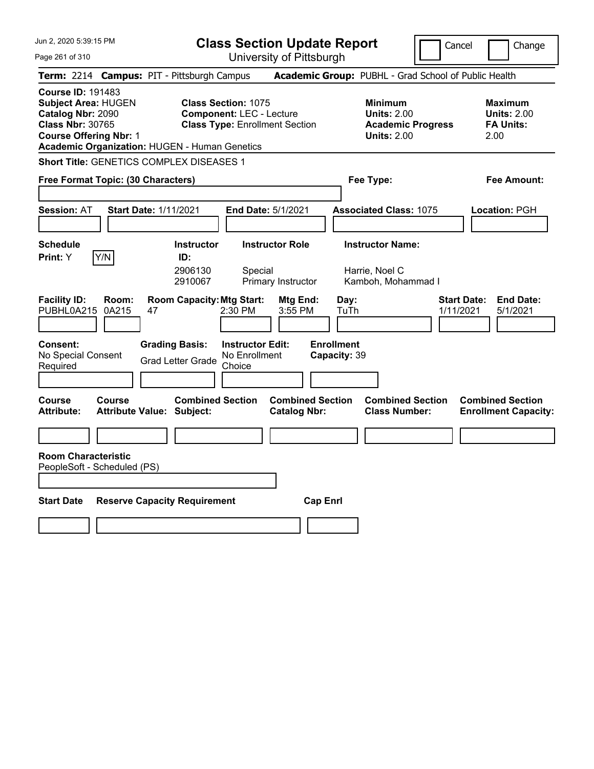| Jun 2, 2020 5:39:15 PM<br>Page 261 of 310                                                                                                                                                | <b>Class Section Update Report</b><br>University of Pittsburgh                                            |                                                                                        | Cancel<br>Change                                                 |
|------------------------------------------------------------------------------------------------------------------------------------------------------------------------------------------|-----------------------------------------------------------------------------------------------------------|----------------------------------------------------------------------------------------|------------------------------------------------------------------|
| Term: 2214 Campus: PIT - Pittsburgh Campus                                                                                                                                               |                                                                                                           | Academic Group: PUBHL - Grad School of Public Health                                   |                                                                  |
| <b>Course ID: 191483</b><br><b>Subject Area: HUGEN</b><br>Catalog Nbr: 2090<br><b>Class Nbr: 30765</b><br><b>Course Offering Nbr: 1</b><br>Academic Organization: HUGEN - Human Genetics | <b>Class Section: 1075</b><br><b>Component: LEC - Lecture</b><br><b>Class Type: Enrollment Section</b>    | <b>Minimum</b><br><b>Units: 2.00</b><br><b>Academic Progress</b><br><b>Units: 2.00</b> | <b>Maximum</b><br><b>Units: 2.00</b><br><b>FA Units:</b><br>2.00 |
| <b>Short Title: GENETICS COMPLEX DISEASES 1</b>                                                                                                                                          |                                                                                                           |                                                                                        |                                                                  |
| Free Format Topic: (30 Characters)                                                                                                                                                       |                                                                                                           | Fee Type:                                                                              | Fee Amount:                                                      |
| <b>Session: AT</b><br><b>Start Date: 1/11/2021</b>                                                                                                                                       | End Date: 5/1/2021                                                                                        | <b>Associated Class: 1075</b>                                                          | Location: PGH                                                    |
| <b>Schedule</b><br>Y/N<br>Print: Y                                                                                                                                                       | <b>Instructor Role</b><br><b>Instructor</b><br>ID:<br>2906130<br>Special<br>2910067<br>Primary Instructor | <b>Instructor Name:</b><br>Harrie, Noel C<br>Kamboh, Mohammad I                        |                                                                  |
| <b>Facility ID:</b><br>Room:<br>PUBHL0A215<br>0A215<br>47                                                                                                                                | <b>Room Capacity: Mtg Start:</b><br>Mtg End:<br>2:30 PM<br>3:55 PM                                        | Day:<br>TuTh                                                                           | <b>End Date:</b><br><b>Start Date:</b><br>1/11/2021<br>5/1/2021  |
| <b>Consent:</b><br>No Special Consent<br>Required                                                                                                                                        | <b>Grading Basis:</b><br><b>Instructor Edit:</b><br>No Enrollment<br><b>Grad Letter Grade</b><br>Choice   | <b>Enrollment</b><br>Capacity: 39                                                      |                                                                  |
| <b>Course</b><br><b>Course</b><br><b>Attribute:</b><br><b>Attribute Value: Subject:</b>                                                                                                  | <b>Combined Section</b><br><b>Combined Section</b><br><b>Catalog Nbr:</b>                                 | <b>Combined Section</b><br><b>Class Number:</b>                                        | <b>Combined Section</b><br><b>Enrollment Capacity:</b>           |
|                                                                                                                                                                                          |                                                                                                           |                                                                                        |                                                                  |
| <b>Room Characteristic</b><br>PeopleSoft - Scheduled (PS)                                                                                                                                |                                                                                                           |                                                                                        |                                                                  |
| <b>Start Date</b>                                                                                                                                                                        | <b>Reserve Capacity Requirement</b>                                                                       | <b>Cap Enrl</b>                                                                        |                                                                  |
|                                                                                                                                                                                          |                                                                                                           |                                                                                        |                                                                  |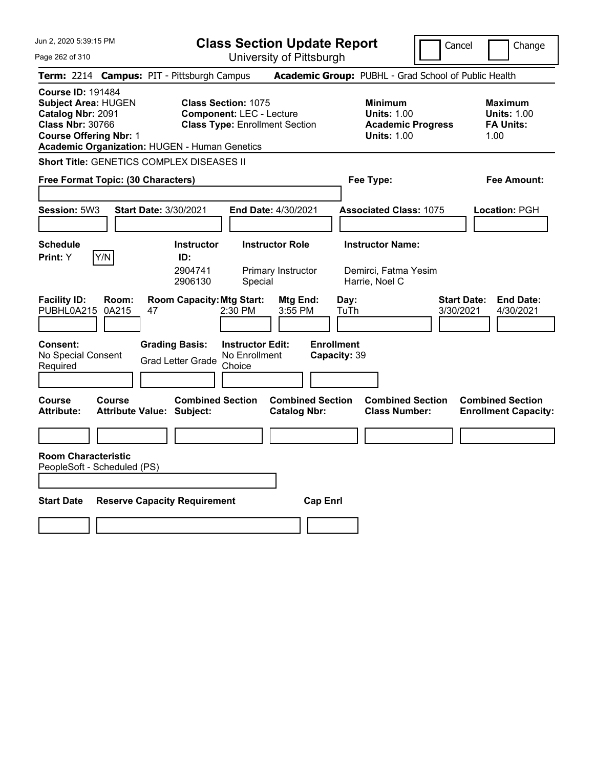**Class Section Update Report** University of Pittsburgh

Cancel **Change** 

Page 262 of 310

| uyu LuL ui u iu<br>UTIIVERSILY ULT ILLSDUIYIT                                                                                                                                                                                                                                                                                                                                                                                                                           |
|-------------------------------------------------------------------------------------------------------------------------------------------------------------------------------------------------------------------------------------------------------------------------------------------------------------------------------------------------------------------------------------------------------------------------------------------------------------------------|
| Term: 2214 Campus: PIT - Pittsburgh Campus<br>Academic Group: PUBHL - Grad School of Public Health                                                                                                                                                                                                                                                                                                                                                                      |
| <b>Course ID: 191484</b><br><b>Subject Area: HUGEN</b><br><b>Class Section: 1075</b><br><b>Minimum</b><br><b>Maximum</b><br>Catalog Nbr: 2091<br><b>Component: LEC - Lecture</b><br><b>Units: 1.00</b><br><b>Units: 1.00</b><br><b>Class Nbr: 30766</b><br><b>Class Type: Enrollment Section</b><br><b>Academic Progress</b><br><b>FA Units:</b><br><b>Course Offering Nbr: 1</b><br><b>Units: 1.00</b><br>1.00<br><b>Academic Organization: HUGEN - Human Genetics</b> |
| Short Title: GENETICS COMPLEX DISEASES II                                                                                                                                                                                                                                                                                                                                                                                                                               |
| <b>Fee Amount:</b><br>Free Format Topic: (30 Characters)<br>Fee Type:                                                                                                                                                                                                                                                                                                                                                                                                   |
| Session: 5W3<br><b>Start Date: 3/30/2021</b><br>End Date: 4/30/2021<br><b>Associated Class: 1075</b><br>Location: PGH                                                                                                                                                                                                                                                                                                                                                   |
| <b>Instructor Name:</b><br><b>Schedule</b><br><b>Instructor</b><br><b>Instructor Role</b>                                                                                                                                                                                                                                                                                                                                                                               |
| Y/N<br>Print: Y<br>ID:                                                                                                                                                                                                                                                                                                                                                                                                                                                  |
| 2904741<br>Primary Instructor<br>Demirci, Fatma Yesim<br>2906130<br>Harrie, Noel C<br>Special                                                                                                                                                                                                                                                                                                                                                                           |
| <b>Start Date:</b><br><b>End Date:</b><br><b>Facility ID:</b><br>Room:<br><b>Room Capacity: Mtg Start:</b><br>Mtg End:<br>Day:<br>PUBHL0A215<br>2:30 PM<br>3:55 PM<br>3/30/2021<br>4/30/2021<br>0A215<br>47<br>TuTh                                                                                                                                                                                                                                                     |
| <b>Enrollment</b><br><b>Grading Basis:</b><br><b>Instructor Edit:</b><br>Consent:<br>No Special Consent<br>No Enrollment<br>Capacity: 39<br><b>Grad Letter Grade</b><br>Required<br>Choice                                                                                                                                                                                                                                                                              |
| <b>Combined Section</b><br><b>Combined Section</b><br><b>Combined Section</b><br>Course<br>Course<br><b>Combined Section</b><br>Attribute:<br><b>Attribute Value: Subject:</b><br><b>Catalog Nbr:</b><br><b>Class Number:</b><br><b>Enrollment Capacity:</b>                                                                                                                                                                                                            |
| <b>Room Characteristic</b><br>PeopleSoft - Scheduled (PS)                                                                                                                                                                                                                                                                                                                                                                                                               |
| <b>Start Date</b><br><b>Reserve Capacity Requirement</b><br><b>Cap Enrl</b>                                                                                                                                                                                                                                                                                                                                                                                             |
|                                                                                                                                                                                                                                                                                                                                                                                                                                                                         |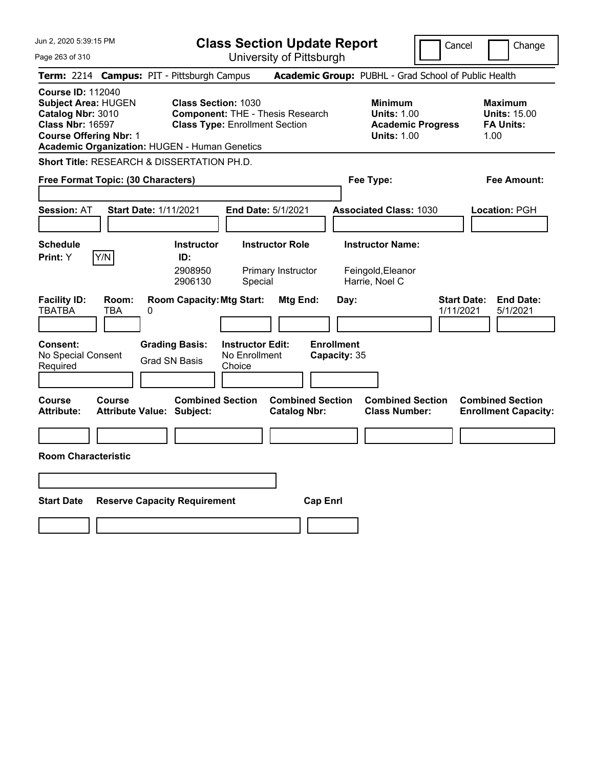| Jun 2, 2020 5:39:15 PM                                                                                                                                                                   | <b>Class Section Update Report</b>                                                                                            |                                                |                                                                | Cancel                          | Change                                                            |
|------------------------------------------------------------------------------------------------------------------------------------------------------------------------------------------|-------------------------------------------------------------------------------------------------------------------------------|------------------------------------------------|----------------------------------------------------------------|---------------------------------|-------------------------------------------------------------------|
| Page 263 of 310                                                                                                                                                                          |                                                                                                                               | University of Pittsburgh                       |                                                                |                                 |                                                                   |
| Term: 2214 Campus: PIT - Pittsburgh Campus                                                                                                                                               |                                                                                                                               |                                                | Academic Group: PUBHL - Grad School of Public Health           |                                 |                                                                   |
| <b>Course ID: 112040</b><br><b>Subject Area: HUGEN</b><br>Catalog Nbr: 3010<br><b>Class Nbr: 16597</b><br><b>Course Offering Nbr: 1</b><br>Academic Organization: HUGEN - Human Genetics | <b>Class Section: 1030</b><br><b>Component: THE - Thesis Research</b><br><b>Class Type: Enrollment Section</b>                |                                                | <b>Minimum</b><br><b>Units: 1.00</b><br><b>Units: 1.00</b>     | <b>Academic Progress</b>        | <b>Maximum</b><br><b>Units: 15.00</b><br><b>FA Units:</b><br>1.00 |
| Short Title: RESEARCH & DISSERTATION PH.D.                                                                                                                                               |                                                                                                                               |                                                |                                                                |                                 |                                                                   |
| Free Format Topic: (30 Characters)                                                                                                                                                       |                                                                                                                               |                                                | Fee Type:                                                      |                                 | Fee Amount:                                                       |
| <b>Session: AT</b><br>Start Date: 1/11/2021                                                                                                                                              | End Date: 5/1/2021                                                                                                            |                                                | <b>Associated Class: 1030</b>                                  |                                 | Location: PGH                                                     |
| <b>Schedule</b><br>Y/N<br>Print: Y                                                                                                                                                       | <b>Instructor</b><br>ID:<br>2908950<br>2906130<br>Special                                                                     | <b>Instructor Role</b><br>Primary Instructor   | <b>Instructor Name:</b><br>Feingold, Eleanor<br>Harrie, Noel C |                                 |                                                                   |
| <b>Facility ID:</b><br>Room:<br><b>TBATBA</b><br>TBA<br>0<br><b>Consent:</b><br>No Special Consent                                                                                       | <b>Room Capacity: Mtg Start:</b><br><b>Instructor Edit:</b><br><b>Grading Basis:</b><br>No Enrollment<br><b>Grad SN Basis</b> | Mtg End:                                       | Day:<br><b>Enrollment</b><br>Capacity: 35                      | <b>Start Date:</b><br>1/11/2021 | <b>End Date:</b><br>5/1/2021                                      |
| Required                                                                                                                                                                                 | Choice                                                                                                                        |                                                |                                                                |                                 |                                                                   |
| Course<br>Course<br><b>Attribute:</b><br><b>Attribute Value: Subject:</b>                                                                                                                | <b>Combined Section</b>                                                                                                       | <b>Combined Section</b><br><b>Catalog Nbr:</b> | <b>Combined Section</b><br><b>Class Number:</b>                |                                 | <b>Combined Section</b><br><b>Enrollment Capacity:</b>            |
| <b>Room Characteristic</b>                                                                                                                                                               |                                                                                                                               |                                                |                                                                |                                 |                                                                   |
|                                                                                                                                                                                          |                                                                                                                               |                                                |                                                                |                                 |                                                                   |
|                                                                                                                                                                                          |                                                                                                                               |                                                |                                                                |                                 |                                                                   |
| <b>Start Date</b>                                                                                                                                                                        | <b>Reserve Capacity Requirement</b>                                                                                           | <b>Cap Enrl</b>                                |                                                                |                                 |                                                                   |
|                                                                                                                                                                                          |                                                                                                                               |                                                |                                                                |                                 |                                                                   |
|                                                                                                                                                                                          |                                                                                                                               |                                                |                                                                |                                 |                                                                   |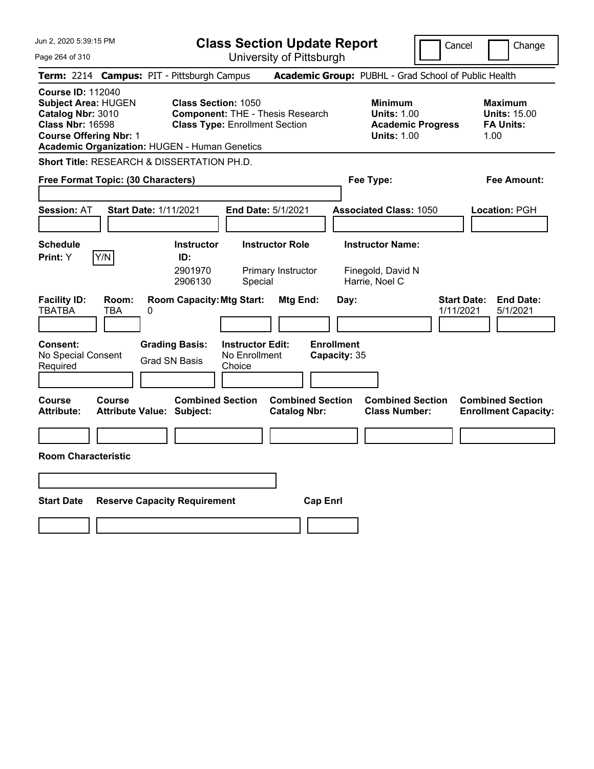|                                                           |                                                                                                                                                                                                                                                                                                                                                                                                  |                                                                                                                                                                                                                                                                                    | Cancel<br>Change                                                                                                                                                                                                                                        |
|-----------------------------------------------------------|--------------------------------------------------------------------------------------------------------------------------------------------------------------------------------------------------------------------------------------------------------------------------------------------------------------------------------------------------------------------------------------------------|------------------------------------------------------------------------------------------------------------------------------------------------------------------------------------------------------------------------------------------------------------------------------------|---------------------------------------------------------------------------------------------------------------------------------------------------------------------------------------------------------------------------------------------------------|
|                                                           |                                                                                                                                                                                                                                                                                                                                                                                                  |                                                                                                                                                                                                                                                                                    |                                                                                                                                                                                                                                                         |
|                                                           |                                                                                                                                                                                                                                                                                                                                                                                                  |                                                                                                                                                                                                                                                                                    |                                                                                                                                                                                                                                                         |
| <b>Class Section: 1050</b>                                |                                                                                                                                                                                                                                                                                                                                                                                                  | <b>Minimum</b><br><b>Units: 1.00</b><br><b>Academic Progress</b><br><b>Units: 1.00</b>                                                                                                                                                                                             | <b>Maximum</b><br><b>Units: 15.00</b><br><b>FA Units:</b><br>1.00                                                                                                                                                                                       |
|                                                           |                                                                                                                                                                                                                                                                                                                                                                                                  |                                                                                                                                                                                                                                                                                    |                                                                                                                                                                                                                                                         |
|                                                           |                                                                                                                                                                                                                                                                                                                                                                                                  |                                                                                                                                                                                                                                                                                    | Fee Amount:                                                                                                                                                                                                                                             |
|                                                           |                                                                                                                                                                                                                                                                                                                                                                                                  |                                                                                                                                                                                                                                                                                    | Location: PGH                                                                                                                                                                                                                                           |
| <b>Instructor</b><br>ID:<br>2901970<br>2906130<br>Special |                                                                                                                                                                                                                                                                                                                                                                                                  |                                                                                                                                                                                                                                                                                    |                                                                                                                                                                                                                                                         |
| Choice                                                    |                                                                                                                                                                                                                                                                                                                                                                                                  |                                                                                                                                                                                                                                                                                    | <b>Start Date:</b><br><b>End Date:</b><br>1/11/2021<br>5/1/2021                                                                                                                                                                                         |
| <b>Combined Section</b>                                   |                                                                                                                                                                                                                                                                                                                                                                                                  | <b>Combined Section</b><br><b>Class Number:</b>                                                                                                                                                                                                                                    | <b>Combined Section</b><br><b>Enrollment Capacity:</b>                                                                                                                                                                                                  |
|                                                           |                                                                                                                                                                                                                                                                                                                                                                                                  |                                                                                                                                                                                                                                                                                    |                                                                                                                                                                                                                                                         |
|                                                           | <b>Cap Enri</b>                                                                                                                                                                                                                                                                                                                                                                                  |                                                                                                                                                                                                                                                                                    |                                                                                                                                                                                                                                                         |
|                                                           | Term: 2214 Campus: PIT - Pittsburgh Campus<br>Academic Organization: HUGEN - Human Genetics<br>Short Title: RESEARCH & DISSERTATION PH.D.<br>Free Format Topic: (30 Characters)<br><b>Start Date: 1/11/2021</b><br><b>Room Capacity: Mtg Start:</b><br><b>Grading Basis:</b><br>No Enrollment<br><b>Grad SN Basis</b><br><b>Attribute Value: Subject:</b><br><b>Reserve Capacity Requirement</b> | University of Pittsburgh<br><b>Component: THE - Thesis Research</b><br><b>Class Type: Enrollment Section</b><br><b>End Date: 5/1/2021</b><br><b>Instructor Role</b><br>Primary Instructor<br>Mtg End:<br><b>Instructor Edit:</b><br><b>Combined Section</b><br><b>Catalog Nbr:</b> | <b>Class Section Update Report</b><br>Academic Group: PUBHL - Grad School of Public Health<br>Fee Type:<br><b>Associated Class: 1050</b><br><b>Instructor Name:</b><br>Finegold, David N<br>Harrie, Noel C<br>Day:<br><b>Enrollment</b><br>Capacity: 35 |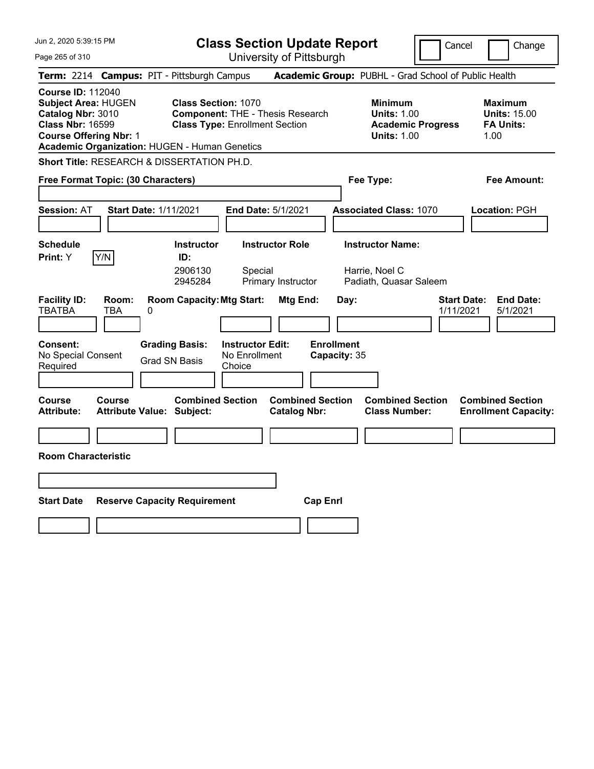| Jun 2, 2020 5:39:15 PM                                                                                                                                                                   |                                                                                                                | <b>Class Section Update Report</b>                      |                                           |                                                                                        | Cancel                          | Change                                                            |
|------------------------------------------------------------------------------------------------------------------------------------------------------------------------------------------|----------------------------------------------------------------------------------------------------------------|---------------------------------------------------------|-------------------------------------------|----------------------------------------------------------------------------------------|---------------------------------|-------------------------------------------------------------------|
| Page 265 of 310                                                                                                                                                                          |                                                                                                                | University of Pittsburgh                                |                                           |                                                                                        |                                 |                                                                   |
| Term: 2214 Campus: PIT - Pittsburgh Campus                                                                                                                                               |                                                                                                                |                                                         |                                           | Academic Group: PUBHL - Grad School of Public Health                                   |                                 |                                                                   |
| <b>Course ID: 112040</b><br><b>Subject Area: HUGEN</b><br>Catalog Nbr: 3010<br><b>Class Nbr: 16599</b><br><b>Course Offering Nbr: 1</b><br>Academic Organization: HUGEN - Human Genetics | <b>Class Section: 1070</b><br><b>Component: THE - Thesis Research</b><br><b>Class Type: Enrollment Section</b> |                                                         |                                           | <b>Minimum</b><br><b>Units: 1.00</b><br><b>Academic Progress</b><br><b>Units: 1.00</b> |                                 | <b>Maximum</b><br><b>Units: 15.00</b><br><b>FA Units:</b><br>1.00 |
| Short Title: RESEARCH & DISSERTATION PH.D.                                                                                                                                               |                                                                                                                |                                                         |                                           |                                                                                        |                                 |                                                                   |
| Free Format Topic: (30 Characters)                                                                                                                                                       |                                                                                                                |                                                         |                                           | Fee Type:                                                                              |                                 | Fee Amount:                                                       |
| <b>Start Date: 1/11/2021</b><br><b>Session: AT</b>                                                                                                                                       |                                                                                                                | <b>End Date: 5/1/2021</b>                               |                                           | <b>Associated Class: 1070</b>                                                          |                                 | Location: PGH                                                     |
| <b>Schedule</b><br>Y/N<br>Print: Y                                                                                                                                                       | <b>Instructor</b><br>ID:<br>2906130<br>2945284                                                                 | <b>Instructor Role</b><br>Special<br>Primary Instructor |                                           | <b>Instructor Name:</b><br>Harrie, Noel C<br>Padiath, Quasar Saleem                    |                                 |                                                                   |
| <b>Facility ID:</b><br>Room:<br><b>TBATBA</b><br>TBA<br>0<br><b>Consent:</b><br>No Special Consent<br>Required                                                                           | <b>Room Capacity: Mtg Start:</b><br><b>Grading Basis:</b><br><b>Grad SN Basis</b><br>Choice                    | Mtg End:<br><b>Instructor Edit:</b><br>No Enrollment    | Day:<br><b>Enrollment</b><br>Capacity: 35 |                                                                                        | <b>Start Date:</b><br>1/11/2021 | <b>End Date:</b><br>5/1/2021                                      |
| Course<br>Course<br><b>Attribute Value: Subject:</b><br>Attribute:                                                                                                                       | <b>Combined Section</b>                                                                                        | <b>Catalog Nbr:</b>                                     | <b>Combined Section</b>                   | <b>Combined Section</b><br><b>Class Number:</b>                                        |                                 | <b>Combined Section</b><br><b>Enrollment Capacity:</b>            |
|                                                                                                                                                                                          |                                                                                                                |                                                         |                                           |                                                                                        |                                 |                                                                   |
| <b>Room Characteristic</b>                                                                                                                                                               |                                                                                                                |                                                         |                                           |                                                                                        |                                 |                                                                   |
|                                                                                                                                                                                          |                                                                                                                |                                                         |                                           |                                                                                        |                                 |                                                                   |
| <b>Start Date</b>                                                                                                                                                                        | <b>Reserve Capacity Requirement</b>                                                                            |                                                         | <b>Cap Enrl</b>                           |                                                                                        |                                 |                                                                   |
|                                                                                                                                                                                          |                                                                                                                |                                                         |                                           |                                                                                        |                                 |                                                                   |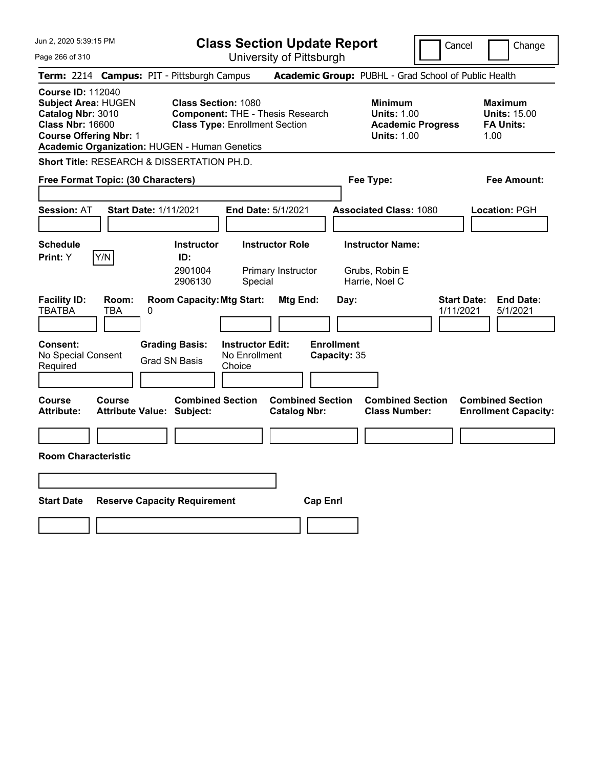| Jun 2, 2020 5:39:15 PM                                                                                                                                                                   | <b>Class Section Update Report</b>                                                                                                      |                                                       |                                                                                        | Cancel<br>Change                                                  |
|------------------------------------------------------------------------------------------------------------------------------------------------------------------------------------------|-----------------------------------------------------------------------------------------------------------------------------------------|-------------------------------------------------------|----------------------------------------------------------------------------------------|-------------------------------------------------------------------|
| Page 266 of 310                                                                                                                                                                          |                                                                                                                                         | University of Pittsburgh                              |                                                                                        |                                                                   |
| <b>Term:</b> 2214                                                                                                                                                                        | <b>Campus: PIT - Pittsburgh Campus</b>                                                                                                  |                                                       | Academic Group: PUBHL - Grad School of Public Health                                   |                                                                   |
| <b>Course ID: 112040</b><br><b>Subject Area: HUGEN</b><br>Catalog Nbr: 3010<br><b>Class Nbr: 16600</b><br><b>Course Offering Nbr: 1</b><br>Academic Organization: HUGEN - Human Genetics | <b>Class Section: 1080</b><br><b>Component: THE - Thesis Research</b><br><b>Class Type: Enrollment Section</b>                          |                                                       | <b>Minimum</b><br><b>Units: 1.00</b><br><b>Academic Progress</b><br><b>Units: 1.00</b> | <b>Maximum</b><br><b>Units: 15.00</b><br><b>FA Units:</b><br>1.00 |
| Short Title: RESEARCH & DISSERTATION PH.D.                                                                                                                                               |                                                                                                                                         |                                                       |                                                                                        |                                                                   |
| Free Format Topic: (30 Characters)                                                                                                                                                       |                                                                                                                                         |                                                       | Fee Type:                                                                              | Fee Amount:                                                       |
| <b>Session: AT</b><br><b>Start Date: 1/11/2021</b>                                                                                                                                       | <b>End Date: 5/1/2021</b>                                                                                                               |                                                       | <b>Associated Class: 1080</b>                                                          | Location: PGH                                                     |
| <b>Schedule</b><br>Y/N<br>Print: Y                                                                                                                                                       | <b>Instructor Role</b><br><b>Instructor</b><br>ID:<br>2901004<br>Primary Instructor<br>2906130<br>Special                               |                                                       | <b>Instructor Name:</b><br>Grubs, Robin E<br>Harrie, Noel C                            |                                                                   |
| <b>Facility ID:</b><br>Room:<br><b>TBATBA</b><br>TBA<br>0<br><b>Consent:</b><br>No Special Consent<br>Required                                                                           | <b>Room Capacity: Mtg Start:</b><br><b>Grading Basis:</b><br><b>Instructor Edit:</b><br>No Enrollment<br><b>Grad SN Basis</b><br>Choice | Mtg End:<br>Day:<br><b>Enrollment</b><br>Capacity: 35 |                                                                                        | <b>Start Date:</b><br><b>End Date:</b><br>1/11/2021<br>5/1/2021   |
| Course<br>Course<br><b>Attribute:</b><br><b>Attribute Value: Subject:</b><br><b>Room Characteristic</b>                                                                                  | <b>Combined Section</b>                                                                                                                 | <b>Combined Section</b><br><b>Catalog Nbr:</b>        | <b>Combined Section</b><br><b>Class Number:</b>                                        | <b>Combined Section</b><br><b>Enrollment Capacity:</b>            |
|                                                                                                                                                                                          |                                                                                                                                         |                                                       |                                                                                        |                                                                   |
| <b>Start Date</b>                                                                                                                                                                        | <b>Reserve Capacity Requirement</b>                                                                                                     | <b>Cap Enri</b>                                       |                                                                                        |                                                                   |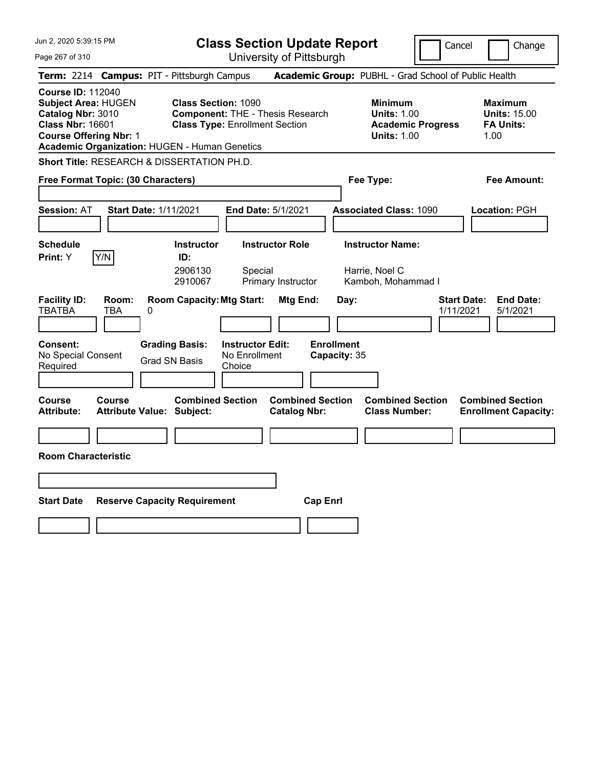| Jun 2, 2020 5:39:15 PM                                                                                                                                                                   | <b>Class Section Update Report</b>                                                                                                      |                                                |                                                                                        | Cancel                          | Change                                                            |
|------------------------------------------------------------------------------------------------------------------------------------------------------------------------------------------|-----------------------------------------------------------------------------------------------------------------------------------------|------------------------------------------------|----------------------------------------------------------------------------------------|---------------------------------|-------------------------------------------------------------------|
| Page 267 of 310                                                                                                                                                                          |                                                                                                                                         | University of Pittsburgh                       |                                                                                        |                                 |                                                                   |
| Term: 2214 Campus: PIT - Pittsburgh Campus                                                                                                                                               |                                                                                                                                         |                                                | Academic Group: PUBHL - Grad School of Public Health                                   |                                 |                                                                   |
| <b>Course ID: 112040</b><br><b>Subject Area: HUGEN</b><br>Catalog Nbr: 3010<br><b>Class Nbr: 16601</b><br><b>Course Offering Nbr: 1</b><br>Academic Organization: HUGEN - Human Genetics | <b>Class Section: 1090</b><br><b>Component: THE - Thesis Research</b><br><b>Class Type: Enrollment Section</b>                          |                                                | <b>Minimum</b><br><b>Units: 1.00</b><br><b>Academic Progress</b><br><b>Units: 1.00</b> |                                 | <b>Maximum</b><br><b>Units: 15.00</b><br><b>FA Units:</b><br>1.00 |
| Short Title: RESEARCH & DISSERTATION PH.D.                                                                                                                                               |                                                                                                                                         |                                                |                                                                                        |                                 |                                                                   |
| Free Format Topic: (30 Characters)                                                                                                                                                       |                                                                                                                                         |                                                | Fee Type:                                                                              |                                 | Fee Amount:                                                       |
| <b>Start Date: 1/11/2021</b><br><b>Session: AT</b>                                                                                                                                       | <b>End Date: 5/1/2021</b>                                                                                                               |                                                | <b>Associated Class: 1090</b>                                                          |                                 | Location: PGH                                                     |
| <b>Schedule</b><br>Y/N<br>Print: Y                                                                                                                                                       | <b>Instructor</b><br>ID:<br>2906130<br>Special<br>2910067                                                                               | <b>Instructor Role</b><br>Primary Instructor   | <b>Instructor Name:</b><br>Harrie, Noel C<br>Kamboh, Mohammad I                        |                                 |                                                                   |
| <b>Facility ID:</b><br>Room:<br><b>TBATBA</b><br>TBA<br>0<br><b>Consent:</b><br>No Special Consent<br>Required                                                                           | <b>Room Capacity: Mtg Start:</b><br><b>Instructor Edit:</b><br><b>Grading Basis:</b><br>No Enrollment<br><b>Grad SN Basis</b><br>Choice | Mtg End:                                       | Day:<br><b>Enrollment</b><br>Capacity: 35                                              | <b>Start Date:</b><br>1/11/2021 | <b>End Date:</b><br>5/1/2021                                      |
| Course<br><b>Course</b><br><b>Attribute Value: Subject:</b><br>Attribute:                                                                                                                | <b>Combined Section</b>                                                                                                                 | <b>Combined Section</b><br><b>Catalog Nbr:</b> | <b>Combined Section</b><br><b>Class Number:</b>                                        |                                 | <b>Combined Section</b><br><b>Enrollment Capacity:</b>            |
|                                                                                                                                                                                          |                                                                                                                                         |                                                |                                                                                        |                                 |                                                                   |
| <b>Room Characteristic</b>                                                                                                                                                               |                                                                                                                                         |                                                |                                                                                        |                                 |                                                                   |
|                                                                                                                                                                                          |                                                                                                                                         |                                                |                                                                                        |                                 |                                                                   |
| <b>Start Date</b>                                                                                                                                                                        | <b>Reserve Capacity Requirement</b>                                                                                                     | <b>Cap Enrl</b>                                |                                                                                        |                                 |                                                                   |
|                                                                                                                                                                                          |                                                                                                                                         |                                                |                                                                                        |                                 |                                                                   |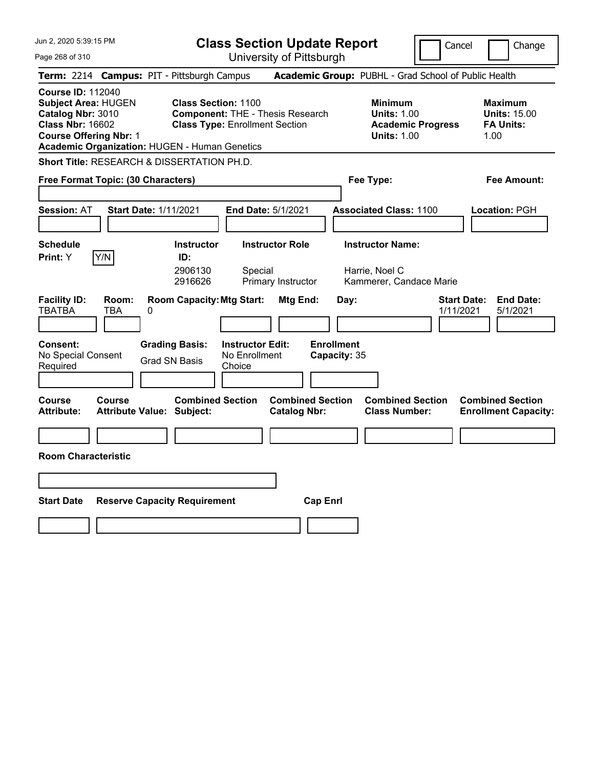| Jun 2, 2020 5:39:15 PM                                                                                                                                                                   | <b>Class Section Update Report</b>                                                                                                      |                                                       |                                                                                        | Cancel<br>Change                                                  |
|------------------------------------------------------------------------------------------------------------------------------------------------------------------------------------------|-----------------------------------------------------------------------------------------------------------------------------------------|-------------------------------------------------------|----------------------------------------------------------------------------------------|-------------------------------------------------------------------|
| Page 268 of 310                                                                                                                                                                          |                                                                                                                                         | University of Pittsburgh                              |                                                                                        |                                                                   |
| Term: 2214 Campus: PIT - Pittsburgh Campus                                                                                                                                               |                                                                                                                                         |                                                       | Academic Group: PUBHL - Grad School of Public Health                                   |                                                                   |
| <b>Course ID: 112040</b><br><b>Subject Area: HUGEN</b><br>Catalog Nbr: 3010<br><b>Class Nbr: 16602</b><br><b>Course Offering Nbr: 1</b><br>Academic Organization: HUGEN - Human Genetics | <b>Class Section: 1100</b><br><b>Component: THE - Thesis Research</b><br><b>Class Type: Enrollment Section</b>                          |                                                       | <b>Minimum</b><br><b>Units: 1.00</b><br><b>Academic Progress</b><br><b>Units: 1.00</b> | <b>Maximum</b><br><b>Units: 15.00</b><br><b>FA Units:</b><br>1.00 |
| Short Title: RESEARCH & DISSERTATION PH.D.                                                                                                                                               |                                                                                                                                         |                                                       |                                                                                        |                                                                   |
| Free Format Topic: (30 Characters)                                                                                                                                                       |                                                                                                                                         |                                                       | Fee Type:                                                                              | Fee Amount:                                                       |
| <b>Start Date: 1/11/2021</b><br><b>Session: AT</b>                                                                                                                                       | <b>End Date: 5/1/2021</b>                                                                                                               |                                                       | <b>Associated Class: 1100</b>                                                          | Location: PGH                                                     |
| <b>Schedule</b><br>Y/N<br>Print: Y                                                                                                                                                       | <b>Instructor Role</b><br><b>Instructor</b><br>ID:<br>2906130<br>Special<br>2916626                                                     | Primary Instructor                                    | <b>Instructor Name:</b><br>Harrie, Noel C<br>Kammerer, Candace Marie                   |                                                                   |
| <b>Facility ID:</b><br>Room:<br><b>TBATBA</b><br>TBA<br>0<br><b>Consent:</b><br>No Special Consent<br>Required                                                                           | <b>Room Capacity: Mtg Start:</b><br><b>Instructor Edit:</b><br><b>Grading Basis:</b><br>No Enrollment<br><b>Grad SN Basis</b><br>Choice | Mtg End:<br>Day:<br><b>Enrollment</b><br>Capacity: 35 |                                                                                        | <b>End Date:</b><br><b>Start Date:</b><br>1/11/2021<br>5/1/2021   |
| Course<br><b>Course</b><br><b>Attribute Value: Subject:</b><br>Attribute:                                                                                                                | <b>Combined Section</b>                                                                                                                 | <b>Combined Section</b><br><b>Catalog Nbr:</b>        | <b>Combined Section</b><br><b>Class Number:</b>                                        | <b>Combined Section</b><br><b>Enrollment Capacity:</b>            |
|                                                                                                                                                                                          |                                                                                                                                         |                                                       |                                                                                        |                                                                   |
| <b>Room Characteristic</b>                                                                                                                                                               |                                                                                                                                         |                                                       |                                                                                        |                                                                   |
|                                                                                                                                                                                          |                                                                                                                                         |                                                       |                                                                                        |                                                                   |
| <b>Start Date</b>                                                                                                                                                                        | <b>Reserve Capacity Requirement</b>                                                                                                     | <b>Cap Enrl</b>                                       |                                                                                        |                                                                   |
|                                                                                                                                                                                          |                                                                                                                                         |                                                       |                                                                                        |                                                                   |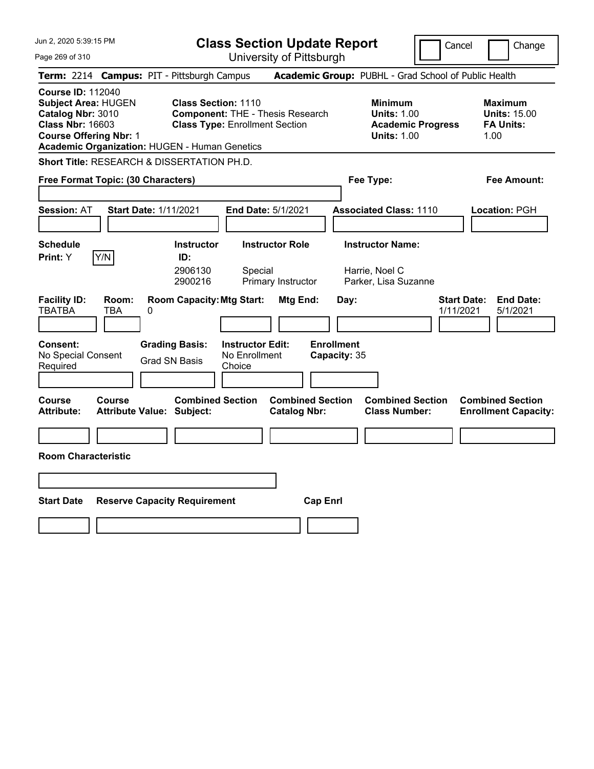| Jun 2, 2020 5:39:15 PM                                                                                                                                                                   | <b>Class Section Update Report</b>                                                                                                      |                                                |                                                                   | Cancel                          | Change                                                            |
|------------------------------------------------------------------------------------------------------------------------------------------------------------------------------------------|-----------------------------------------------------------------------------------------------------------------------------------------|------------------------------------------------|-------------------------------------------------------------------|---------------------------------|-------------------------------------------------------------------|
| Page 269 of 310                                                                                                                                                                          |                                                                                                                                         | University of Pittsburgh                       |                                                                   |                                 |                                                                   |
| <b>Term:</b> 2214                                                                                                                                                                        | <b>Campus: PIT - Pittsburgh Campus</b>                                                                                                  |                                                | Academic Group: PUBHL - Grad School of Public Health              |                                 |                                                                   |
| <b>Course ID: 112040</b><br><b>Subject Area: HUGEN</b><br>Catalog Nbr: 3010<br><b>Class Nbr: 16603</b><br><b>Course Offering Nbr: 1</b><br>Academic Organization: HUGEN - Human Genetics | <b>Class Section: 1110</b><br><b>Component: THE - Thesis Research</b><br><b>Class Type: Enrollment Section</b>                          |                                                | <b>Minimum</b><br><b>Units: 1.00</b><br><b>Units: 1.00</b>        | <b>Academic Progress</b>        | <b>Maximum</b><br><b>Units: 15.00</b><br><b>FA Units:</b><br>1.00 |
| Short Title: RESEARCH & DISSERTATION PH.D.                                                                                                                                               |                                                                                                                                         |                                                |                                                                   |                                 |                                                                   |
| Free Format Topic: (30 Characters)                                                                                                                                                       |                                                                                                                                         |                                                | Fee Type:                                                         |                                 | Fee Amount:                                                       |
| <b>Start Date: 1/11/2021</b><br><b>Session: AT</b>                                                                                                                                       | <b>End Date: 5/1/2021</b>                                                                                                               |                                                | <b>Associated Class: 1110</b>                                     |                                 | <b>Location: PGH</b>                                              |
| <b>Schedule</b><br>Y/N<br>Print: Y                                                                                                                                                       | <b>Instructor</b><br>ID:<br>2906130<br>Special<br>2900216                                                                               | <b>Instructor Role</b><br>Primary Instructor   | <b>Instructor Name:</b><br>Harrie, Noel C<br>Parker, Lisa Suzanne |                                 |                                                                   |
| <b>Facility ID:</b><br>Room:<br><b>TBATBA</b><br>TBA<br>0<br><b>Consent:</b><br>No Special Consent<br>Required                                                                           | <b>Room Capacity: Mtg Start:</b><br><b>Grading Basis:</b><br><b>Instructor Edit:</b><br>No Enrollment<br><b>Grad SN Basis</b><br>Choice | Mtg End:                                       | Day:<br><b>Enrollment</b><br>Capacity: 35                         | <b>Start Date:</b><br>1/11/2021 | <b>End Date:</b><br>5/1/2021                                      |
|                                                                                                                                                                                          |                                                                                                                                         |                                                |                                                                   |                                 |                                                                   |
| Course<br>Course<br><b>Attribute:</b><br><b>Attribute Value: Subject:</b>                                                                                                                | <b>Combined Section</b>                                                                                                                 | <b>Combined Section</b><br><b>Catalog Nbr:</b> | <b>Combined Section</b><br><b>Class Number:</b>                   |                                 | <b>Combined Section</b><br><b>Enrollment Capacity:</b>            |
|                                                                                                                                                                                          |                                                                                                                                         |                                                |                                                                   |                                 |                                                                   |
| <b>Room Characteristic</b>                                                                                                                                                               |                                                                                                                                         |                                                |                                                                   |                                 |                                                                   |
|                                                                                                                                                                                          |                                                                                                                                         |                                                |                                                                   |                                 |                                                                   |
| <b>Start Date</b>                                                                                                                                                                        | <b>Reserve Capacity Requirement</b>                                                                                                     | <b>Cap Enri</b>                                |                                                                   |                                 |                                                                   |
|                                                                                                                                                                                          |                                                                                                                                         |                                                |                                                                   |                                 |                                                                   |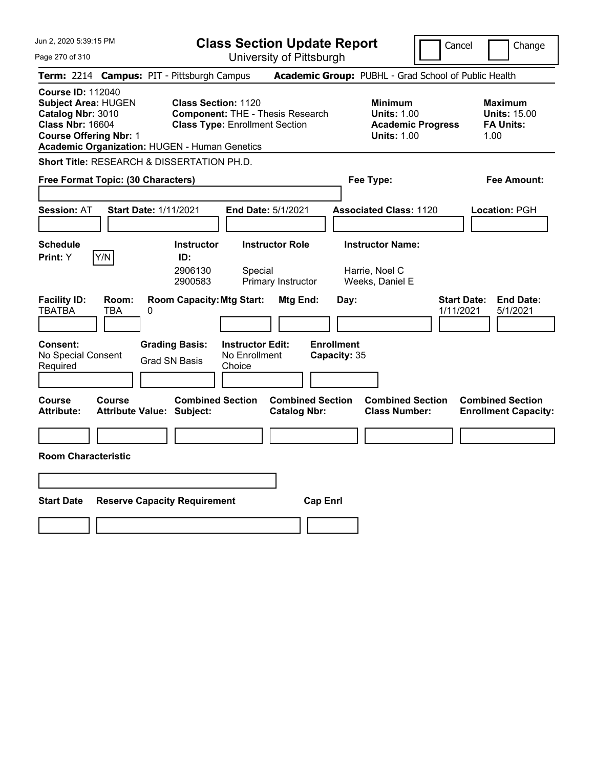| Jun 2, 2020 5:39:15 PM                                                                                                                                                                   | <b>Class Section Update Report</b>                                                                                                      |                                                |                                                              | Cancel                          | Change                                                            |
|------------------------------------------------------------------------------------------------------------------------------------------------------------------------------------------|-----------------------------------------------------------------------------------------------------------------------------------------|------------------------------------------------|--------------------------------------------------------------|---------------------------------|-------------------------------------------------------------------|
| Page 270 of 310                                                                                                                                                                          |                                                                                                                                         | University of Pittsburgh                       |                                                              |                                 |                                                                   |
| Term: 2214 Campus: PIT - Pittsburgh Campus                                                                                                                                               |                                                                                                                                         |                                                | Academic Group: PUBHL - Grad School of Public Health         |                                 |                                                                   |
| <b>Course ID: 112040</b><br><b>Subject Area: HUGEN</b><br>Catalog Nbr: 3010<br><b>Class Nbr: 16604</b><br><b>Course Offering Nbr: 1</b><br>Academic Organization: HUGEN - Human Genetics | <b>Class Section: 1120</b><br><b>Component: THE - Thesis Research</b><br><b>Class Type: Enrollment Section</b>                          |                                                | <b>Minimum</b><br><b>Units: 1.00</b><br><b>Units: 1.00</b>   | <b>Academic Progress</b>        | <b>Maximum</b><br><b>Units: 15.00</b><br><b>FA Units:</b><br>1.00 |
| <b>Short Title: RESEARCH &amp; DISSERTATION PH.D.</b>                                                                                                                                    |                                                                                                                                         |                                                |                                                              |                                 |                                                                   |
| Free Format Topic: (30 Characters)                                                                                                                                                       |                                                                                                                                         |                                                | Fee Type:                                                    |                                 | Fee Amount:                                                       |
| <b>Start Date: 1/11/2021</b><br><b>Session: AT</b>                                                                                                                                       | End Date: 5/1/2021                                                                                                                      |                                                | <b>Associated Class: 1120</b>                                |                                 | Location: PGH                                                     |
| <b>Schedule</b><br>Y/N<br>Print: Y                                                                                                                                                       | <b>Instructor Role</b><br><b>Instructor</b><br>ID:<br>2906130<br>Special<br>2900583                                                     | Primary Instructor                             | <b>Instructor Name:</b><br>Harrie, Noel C<br>Weeks, Daniel E |                                 |                                                                   |
| <b>Facility ID:</b><br>Room:<br><b>TBATBA</b><br>TBA<br>0<br><b>Consent:</b><br>No Special Consent<br>Required                                                                           | <b>Room Capacity: Mtg Start:</b><br><b>Grading Basis:</b><br><b>Instructor Edit:</b><br>No Enrollment<br><b>Grad SN Basis</b><br>Choice | Mtg End:<br><b>Enrollment</b>                  | Day:<br>Capacity: 35                                         | <b>Start Date:</b><br>1/11/2021 | <b>End Date:</b><br>5/1/2021                                      |
| <b>Course</b><br>Course<br><b>Attribute:</b><br><b>Attribute Value: Subject:</b>                                                                                                         | <b>Combined Section</b>                                                                                                                 | <b>Combined Section</b><br><b>Catalog Nbr:</b> | <b>Combined Section</b><br><b>Class Number:</b>              |                                 | <b>Combined Section</b><br><b>Enrollment Capacity:</b>            |
|                                                                                                                                                                                          |                                                                                                                                         |                                                |                                                              |                                 |                                                                   |
| <b>Room Characteristic</b>                                                                                                                                                               |                                                                                                                                         |                                                |                                                              |                                 |                                                                   |
|                                                                                                                                                                                          |                                                                                                                                         |                                                |                                                              |                                 |                                                                   |
| <b>Start Date</b><br><b>Reserve Capacity Requirement</b>                                                                                                                                 |                                                                                                                                         | <b>Cap Enrl</b>                                |                                                              |                                 |                                                                   |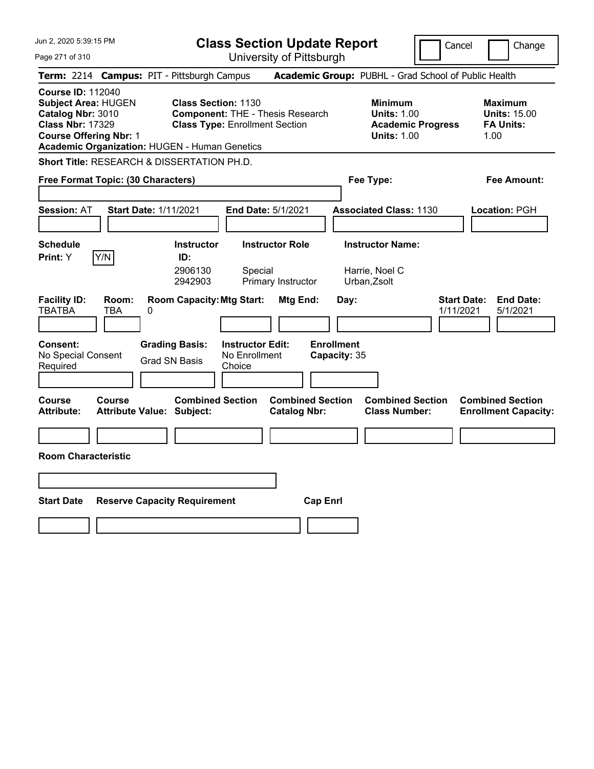| Jun 2, 2020 5:39:15 PM                                                                                                                                                                   | <b>Class Section Update Report</b>                                                                                                      |                                                |                                                            | Cancel                          | Change                                                            |
|------------------------------------------------------------------------------------------------------------------------------------------------------------------------------------------|-----------------------------------------------------------------------------------------------------------------------------------------|------------------------------------------------|------------------------------------------------------------|---------------------------------|-------------------------------------------------------------------|
| Page 271 of 310                                                                                                                                                                          |                                                                                                                                         | University of Pittsburgh                       |                                                            |                                 |                                                                   |
| Term: 2214 Campus: PIT - Pittsburgh Campus                                                                                                                                               |                                                                                                                                         |                                                | Academic Group: PUBHL - Grad School of Public Health       |                                 |                                                                   |
| <b>Course ID: 112040</b><br><b>Subject Area: HUGEN</b><br>Catalog Nbr: 3010<br><b>Class Nbr: 17329</b><br><b>Course Offering Nbr: 1</b><br>Academic Organization: HUGEN - Human Genetics | <b>Class Section: 1130</b><br><b>Component: THE - Thesis Research</b><br><b>Class Type: Enrollment Section</b>                          |                                                | <b>Minimum</b><br><b>Units: 1.00</b><br><b>Units: 1.00</b> | <b>Academic Progress</b>        | <b>Maximum</b><br><b>Units: 15.00</b><br><b>FA Units:</b><br>1.00 |
| Short Title: RESEARCH & DISSERTATION PH.D.                                                                                                                                               |                                                                                                                                         |                                                |                                                            |                                 |                                                                   |
| Free Format Topic: (30 Characters)                                                                                                                                                       |                                                                                                                                         |                                                | Fee Type:                                                  |                                 | Fee Amount:                                                       |
| <b>Start Date: 1/11/2021</b><br><b>Session: AT</b>                                                                                                                                       |                                                                                                                                         | <b>End Date: 5/1/2021</b>                      | <b>Associated Class: 1130</b>                              |                                 | Location: PGH                                                     |
| <b>Schedule</b><br>Y/N<br>Print: Y                                                                                                                                                       | <b>Instructor</b><br>ID:<br>2906130<br>Special<br>2942903                                                                               | <b>Instructor Role</b><br>Primary Instructor   | <b>Instructor Name:</b><br>Harrie, Noel C<br>Urban, Zsolt  |                                 |                                                                   |
| <b>Facility ID:</b><br>Room:<br><b>TBATBA</b><br>TBA<br>0<br><b>Consent:</b><br>No Special Consent<br>Required                                                                           | <b>Room Capacity: Mtg Start:</b><br><b>Instructor Edit:</b><br><b>Grading Basis:</b><br>No Enrollment<br><b>Grad SN Basis</b><br>Choice | Mtg End:                                       | Day:<br><b>Enrollment</b><br>Capacity: 35                  | <b>Start Date:</b><br>1/11/2021 | <b>End Date:</b><br>5/1/2021                                      |
| Course<br>Course<br><b>Attribute Value: Subject:</b><br>Attribute:                                                                                                                       | <b>Combined Section</b>                                                                                                                 | <b>Combined Section</b><br><b>Catalog Nbr:</b> | <b>Combined Section</b><br><b>Class Number:</b>            |                                 | <b>Combined Section</b><br><b>Enrollment Capacity:</b>            |
|                                                                                                                                                                                          |                                                                                                                                         |                                                |                                                            |                                 |                                                                   |
| <b>Room Characteristic</b>                                                                                                                                                               |                                                                                                                                         |                                                |                                                            |                                 |                                                                   |
|                                                                                                                                                                                          |                                                                                                                                         |                                                |                                                            |                                 |                                                                   |
| <b>Start Date</b>                                                                                                                                                                        | <b>Reserve Capacity Requirement</b>                                                                                                     | <b>Cap Enrl</b>                                |                                                            |                                 |                                                                   |
|                                                                                                                                                                                          |                                                                                                                                         |                                                |                                                            |                                 |                                                                   |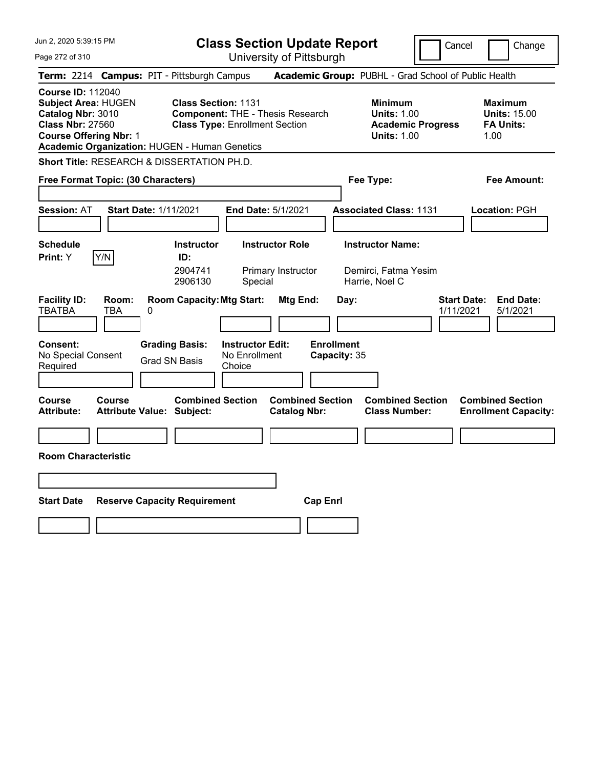| Jun 2, 2020 5:39:15 PM                                                                                                                                                                   |                                                                                                                | <b>Class Section Update Report</b>                      |                                                |                                           |                                                                   | Cancel                                               | Change                                                            |
|------------------------------------------------------------------------------------------------------------------------------------------------------------------------------------------|----------------------------------------------------------------------------------------------------------------|---------------------------------------------------------|------------------------------------------------|-------------------------------------------|-------------------------------------------------------------------|------------------------------------------------------|-------------------------------------------------------------------|
| Page 272 of 310                                                                                                                                                                          |                                                                                                                | University of Pittsburgh                                |                                                |                                           |                                                                   |                                                      |                                                                   |
| Term: 2214 Campus: PIT - Pittsburgh Campus                                                                                                                                               |                                                                                                                |                                                         |                                                |                                           |                                                                   | Academic Group: PUBHL - Grad School of Public Health |                                                                   |
| <b>Course ID: 112040</b><br><b>Subject Area: HUGEN</b><br>Catalog Nbr: 3010<br><b>Class Nbr: 27560</b><br><b>Course Offering Nbr: 1</b><br>Academic Organization: HUGEN - Human Genetics | <b>Class Section: 1131</b><br><b>Component: THE - Thesis Research</b><br><b>Class Type: Enrollment Section</b> |                                                         |                                                |                                           | <b>Minimum</b><br><b>Units: 1.00</b><br><b>Units: 1.00</b>        | <b>Academic Progress</b>                             | <b>Maximum</b><br><b>Units: 15.00</b><br><b>FA Units:</b><br>1.00 |
| Short Title: RESEARCH & DISSERTATION PH.D.                                                                                                                                               |                                                                                                                |                                                         |                                                |                                           |                                                                   |                                                      |                                                                   |
| Free Format Topic: (30 Characters)                                                                                                                                                       |                                                                                                                |                                                         |                                                |                                           | Fee Type:                                                         |                                                      | Fee Amount:                                                       |
| <b>Start Date: 1/11/2021</b><br><b>Session: AT</b>                                                                                                                                       |                                                                                                                | <b>End Date: 5/1/2021</b>                               |                                                |                                           | <b>Associated Class: 1131</b>                                     |                                                      | Location: PGH                                                     |
| <b>Schedule</b><br>Y/N<br>Print: Y                                                                                                                                                       | <b>Instructor</b><br>ID:<br>2904741<br>2906130                                                                 | <b>Instructor Role</b><br>Primary Instructor<br>Special |                                                |                                           | <b>Instructor Name:</b><br>Demirci, Fatma Yesim<br>Harrie, Noel C |                                                      |                                                                   |
| <b>Facility ID:</b><br>Room:<br><b>TBATBA</b><br>TBA<br>0<br><b>Consent:</b><br>No Special Consent<br>Required                                                                           | <b>Room Capacity: Mtg Start:</b><br><b>Grading Basis:</b><br><b>Grad SN Basis</b>                              | <b>Instructor Edit:</b><br>No Enrollment<br>Choice      | Mtg End:                                       | Day:<br><b>Enrollment</b><br>Capacity: 35 |                                                                   | <b>Start Date:</b><br>1/11/2021                      | <b>End Date:</b><br>5/1/2021                                      |
| Course<br>Course<br><b>Attribute Value: Subject:</b><br>Attribute:                                                                                                                       | <b>Combined Section</b>                                                                                        |                                                         | <b>Combined Section</b><br><b>Catalog Nbr:</b> |                                           | <b>Combined Section</b><br><b>Class Number:</b>                   |                                                      | <b>Combined Section</b><br><b>Enrollment Capacity:</b>            |
|                                                                                                                                                                                          |                                                                                                                |                                                         |                                                |                                           |                                                                   |                                                      |                                                                   |
| <b>Room Characteristic</b>                                                                                                                                                               |                                                                                                                |                                                         |                                                |                                           |                                                                   |                                                      |                                                                   |
|                                                                                                                                                                                          |                                                                                                                |                                                         |                                                |                                           |                                                                   |                                                      |                                                                   |
| <b>Start Date</b><br><b>Reserve Capacity Requirement</b>                                                                                                                                 |                                                                                                                |                                                         | <b>Cap Enrl</b>                                |                                           |                                                                   |                                                      |                                                                   |
|                                                                                                                                                                                          |                                                                                                                |                                                         |                                                |                                           |                                                                   |                                                      |                                                                   |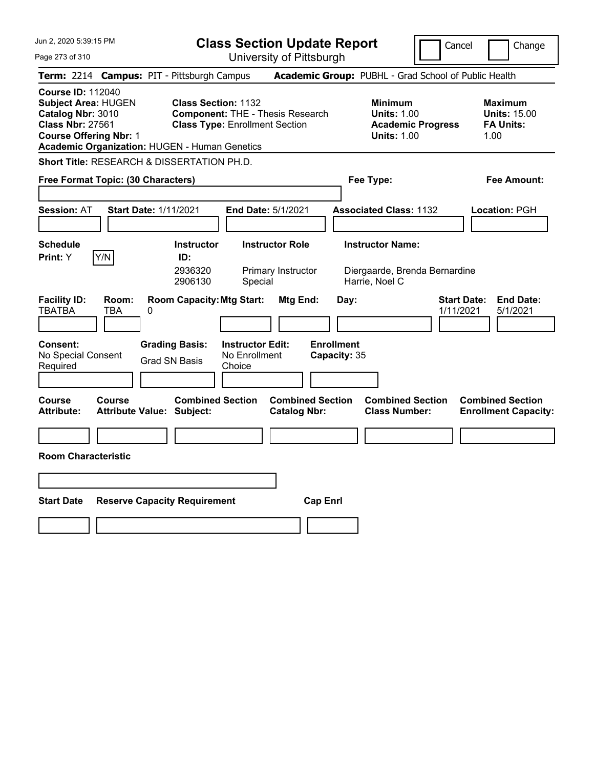| Jun 2, 2020 5:39:15 PM                                                                                                                                                                   |                                                                                                                |                                                    | <b>Class Section Update Report</b>                   |                                           |                                                            | Cancel                          | Change                                                            |
|------------------------------------------------------------------------------------------------------------------------------------------------------------------------------------------|----------------------------------------------------------------------------------------------------------------|----------------------------------------------------|------------------------------------------------------|-------------------------------------------|------------------------------------------------------------|---------------------------------|-------------------------------------------------------------------|
| Page 273 of 310                                                                                                                                                                          |                                                                                                                |                                                    | University of Pittsburgh                             |                                           |                                                            |                                 |                                                                   |
| Term: 2214 Campus: PIT - Pittsburgh Campus                                                                                                                                               |                                                                                                                |                                                    | Academic Group: PUBHL - Grad School of Public Health |                                           |                                                            |                                 |                                                                   |
| <b>Course ID: 112040</b><br><b>Subject Area: HUGEN</b><br>Catalog Nbr: 3010<br><b>Class Nbr: 27561</b><br><b>Course Offering Nbr: 1</b><br>Academic Organization: HUGEN - Human Genetics | <b>Class Section: 1132</b><br><b>Component: THE - Thesis Research</b><br><b>Class Type: Enrollment Section</b> |                                                    |                                                      |                                           | <b>Minimum</b><br><b>Units: 1.00</b><br><b>Units: 1.00</b> | <b>Academic Progress</b>        | <b>Maximum</b><br><b>Units: 15.00</b><br><b>FA Units:</b><br>1.00 |
| <b>Short Title: RESEARCH &amp; DISSERTATION PH.D.</b>                                                                                                                                    |                                                                                                                |                                                    |                                                      |                                           |                                                            |                                 |                                                                   |
| Free Format Topic: (30 Characters)                                                                                                                                                       |                                                                                                                |                                                    |                                                      |                                           | Fee Type:                                                  |                                 | Fee Amount:                                                       |
| <b>Session: AT</b><br><b>Start Date: 1/11/2021</b>                                                                                                                                       |                                                                                                                | End Date: 5/1/2021                                 |                                                      |                                           | <b>Associated Class: 1132</b>                              |                                 | <b>Location: PGH</b>                                              |
| <b>Schedule</b><br>Y/N<br>Print: Y                                                                                                                                                       | <b>Instructor</b><br>ID:<br>2936320<br>2906130                                                                 | Special                                            | <b>Instructor Role</b><br>Primary Instructor         |                                           | <b>Instructor Name:</b><br>Harrie, Noel C                  | Diergaarde, Brenda Bernardine   |                                                                   |
| <b>Facility ID:</b><br>Room:<br><b>TBATBA</b><br><b>TBA</b><br>0<br>Consent:<br>No Special Consent<br>Required                                                                           | <b>Room Capacity: Mtg Start:</b><br><b>Grading Basis:</b><br><b>Grad SN Basis</b>                              | <b>Instructor Edit:</b><br>No Enrollment<br>Choice | Mtg End:                                             | Day:<br><b>Enrollment</b><br>Capacity: 35 |                                                            | <b>Start Date:</b><br>1/11/2021 | <b>End Date:</b><br>5/1/2021                                      |
| Course<br>Course<br><b>Attribute:</b><br><b>Attribute Value: Subject:</b>                                                                                                                | <b>Combined Section</b>                                                                                        |                                                    | <b>Combined Section</b><br><b>Catalog Nbr:</b>       |                                           | <b>Combined Section</b><br><b>Class Number:</b>            |                                 | <b>Combined Section</b><br><b>Enrollment Capacity:</b>            |
|                                                                                                                                                                                          |                                                                                                                |                                                    |                                                      |                                           |                                                            |                                 |                                                                   |
| <b>Room Characteristic</b>                                                                                                                                                               |                                                                                                                |                                                    |                                                      |                                           |                                                            |                                 |                                                                   |
|                                                                                                                                                                                          |                                                                                                                |                                                    |                                                      |                                           |                                                            |                                 |                                                                   |
| <b>Start Date</b>                                                                                                                                                                        | <b>Reserve Capacity Requirement</b>                                                                            |                                                    | <b>Cap Enri</b>                                      |                                           |                                                            |                                 |                                                                   |
|                                                                                                                                                                                          |                                                                                                                |                                                    |                                                      |                                           |                                                            |                                 |                                                                   |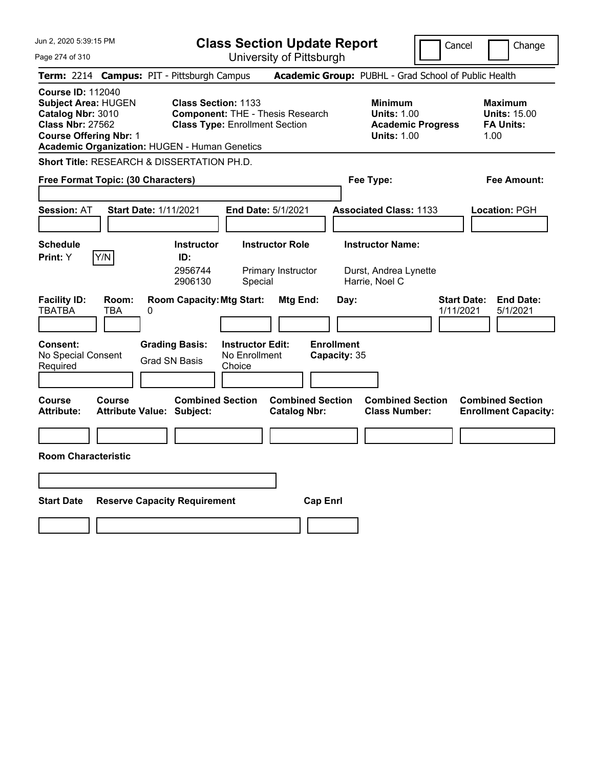| Jun 2, 2020 5:39:15 PM                                                                                                                                                                          | <b>Class Section Update Report</b>                                                                                                      |                                                |                                                                    | Cancel                          | Change                                                            |
|-------------------------------------------------------------------------------------------------------------------------------------------------------------------------------------------------|-----------------------------------------------------------------------------------------------------------------------------------------|------------------------------------------------|--------------------------------------------------------------------|---------------------------------|-------------------------------------------------------------------|
| Page 274 of 310                                                                                                                                                                                 |                                                                                                                                         | University of Pittsburgh                       |                                                                    |                                 |                                                                   |
| Term: 2214 Campus: PIT - Pittsburgh Campus                                                                                                                                                      |                                                                                                                                         |                                                | Academic Group: PUBHL - Grad School of Public Health               |                                 |                                                                   |
| <b>Course ID: 112040</b><br><b>Subject Area: HUGEN</b><br>Catalog Nbr: 3010<br><b>Class Nbr: 27562</b><br><b>Course Offering Nbr: 1</b><br><b>Academic Organization: HUGEN - Human Genetics</b> | <b>Class Section: 1133</b><br><b>Component: THE - Thesis Research</b><br><b>Class Type: Enrollment Section</b>                          |                                                | <b>Minimum</b><br><b>Units: 1.00</b><br><b>Units: 1.00</b>         | <b>Academic Progress</b>        | <b>Maximum</b><br><b>Units: 15.00</b><br><b>FA Units:</b><br>1.00 |
| <b>Short Title: RESEARCH &amp; DISSERTATION PH.D.</b>                                                                                                                                           |                                                                                                                                         |                                                |                                                                    |                                 |                                                                   |
| Free Format Topic: (30 Characters)                                                                                                                                                              |                                                                                                                                         |                                                | Fee Type:                                                          |                                 | Fee Amount:                                                       |
| <b>Start Date: 1/11/2021</b><br><b>Session: AT</b>                                                                                                                                              | <b>End Date: 5/1/2021</b>                                                                                                               |                                                | <b>Associated Class: 1133</b>                                      |                                 | Location: PGH                                                     |
| <b>Schedule</b><br>Y/N<br>Print: Y                                                                                                                                                              | <b>Instructor</b><br>ID:<br>2956744<br>2906130<br>Special                                                                               | <b>Instructor Role</b><br>Primary Instructor   | <b>Instructor Name:</b><br>Durst, Andrea Lynette<br>Harrie, Noel C |                                 |                                                                   |
| <b>Facility ID:</b><br>Room:<br><b>TBATBA</b><br>TBA<br>0<br><b>Consent:</b><br>No Special Consent<br>Required                                                                                  | <b>Room Capacity: Mtg Start:</b><br><b>Grading Basis:</b><br><b>Instructor Edit:</b><br>No Enrollment<br><b>Grad SN Basis</b><br>Choice | Mtg End:<br><b>Enrollment</b>                  | Day:<br>Capacity: 35                                               | <b>Start Date:</b><br>1/11/2021 | <b>End Date:</b><br>5/1/2021                                      |
| <b>Course</b><br>Course<br><b>Attribute:</b><br><b>Attribute Value: Subject:</b>                                                                                                                | <b>Combined Section</b>                                                                                                                 | <b>Combined Section</b><br><b>Catalog Nbr:</b> | <b>Combined Section</b><br><b>Class Number:</b>                    |                                 | <b>Combined Section</b><br><b>Enrollment Capacity:</b>            |
| <b>Room Characteristic</b>                                                                                                                                                                      |                                                                                                                                         |                                                |                                                                    |                                 |                                                                   |
|                                                                                                                                                                                                 |                                                                                                                                         |                                                |                                                                    |                                 |                                                                   |
| <b>Start Date</b>                                                                                                                                                                               | <b>Reserve Capacity Requirement</b>                                                                                                     | <b>Cap Enrl</b>                                |                                                                    |                                 |                                                                   |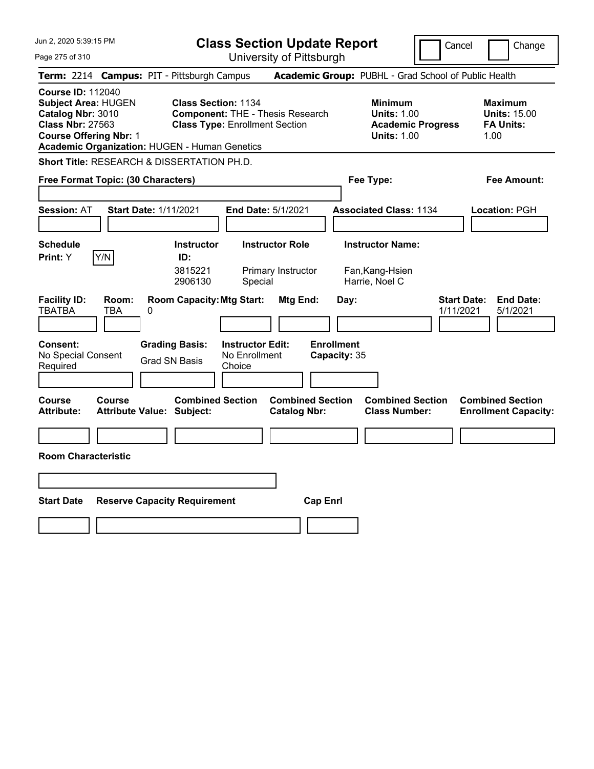| Jun 2, 2020 5:39:15 PM                                                                                                                                                                   | <b>Class Section Update Report</b>                                                                                                      |                                                |                                                              | Cancel                          | Change                                                            |
|------------------------------------------------------------------------------------------------------------------------------------------------------------------------------------------|-----------------------------------------------------------------------------------------------------------------------------------------|------------------------------------------------|--------------------------------------------------------------|---------------------------------|-------------------------------------------------------------------|
| Page 275 of 310                                                                                                                                                                          |                                                                                                                                         | University of Pittsburgh                       |                                                              |                                 |                                                                   |
| Term: 2214 Campus: PIT - Pittsburgh Campus                                                                                                                                               |                                                                                                                                         |                                                | Academic Group: PUBHL - Grad School of Public Health         |                                 |                                                                   |
| <b>Course ID: 112040</b><br><b>Subject Area: HUGEN</b><br>Catalog Nbr: 3010<br><b>Class Nbr: 27563</b><br><b>Course Offering Nbr: 1</b><br>Academic Organization: HUGEN - Human Genetics | <b>Class Section: 1134</b><br><b>Component: THE - Thesis Research</b><br><b>Class Type: Enrollment Section</b>                          |                                                | <b>Minimum</b><br><b>Units: 1.00</b><br><b>Units: 1.00</b>   | <b>Academic Progress</b>        | <b>Maximum</b><br><b>Units: 15.00</b><br><b>FA Units:</b><br>1.00 |
| <b>Short Title: RESEARCH &amp; DISSERTATION PH.D.</b>                                                                                                                                    |                                                                                                                                         |                                                |                                                              |                                 |                                                                   |
| Free Format Topic: (30 Characters)                                                                                                                                                       |                                                                                                                                         |                                                | Fee Type:                                                    |                                 | Fee Amount:                                                       |
| <b>Start Date: 1/11/2021</b><br><b>Session: AT</b>                                                                                                                                       | <b>End Date: 5/1/2021</b>                                                                                                               |                                                | <b>Associated Class: 1134</b>                                |                                 | Location: PGH                                                     |
| <b>Schedule</b><br>Y/N<br>Print: Y                                                                                                                                                       | <b>Instructor</b><br>ID:<br>3815221<br>2906130<br>Special                                                                               | <b>Instructor Role</b><br>Primary Instructor   | <b>Instructor Name:</b><br>Fan, Kang-Hsien<br>Harrie, Noel C |                                 |                                                                   |
| <b>Facility ID:</b><br>Room:<br><b>TBATBA</b><br>TBA<br>0<br><b>Consent:</b><br>No Special Consent<br>Required                                                                           | <b>Room Capacity: Mtg Start:</b><br><b>Grading Basis:</b><br><b>Instructor Edit:</b><br>No Enrollment<br><b>Grad SN Basis</b><br>Choice | Mtg End:                                       | Day:<br><b>Enrollment</b><br>Capacity: 35                    | <b>Start Date:</b><br>1/11/2021 | <b>End Date:</b><br>5/1/2021                                      |
| <b>Course</b><br>Course<br><b>Attribute:</b><br><b>Attribute Value: Subject:</b>                                                                                                         | <b>Combined Section</b>                                                                                                                 | <b>Combined Section</b><br><b>Catalog Nbr:</b> | <b>Combined Section</b><br><b>Class Number:</b>              |                                 | <b>Combined Section</b><br><b>Enrollment Capacity:</b>            |
|                                                                                                                                                                                          |                                                                                                                                         |                                                |                                                              |                                 |                                                                   |
| <b>Room Characteristic</b>                                                                                                                                                               |                                                                                                                                         |                                                |                                                              |                                 |                                                                   |
|                                                                                                                                                                                          |                                                                                                                                         |                                                |                                                              |                                 |                                                                   |
| <b>Start Date</b><br><b>Reserve Capacity Requirement</b>                                                                                                                                 |                                                                                                                                         | <b>Cap Enrl</b>                                |                                                              |                                 |                                                                   |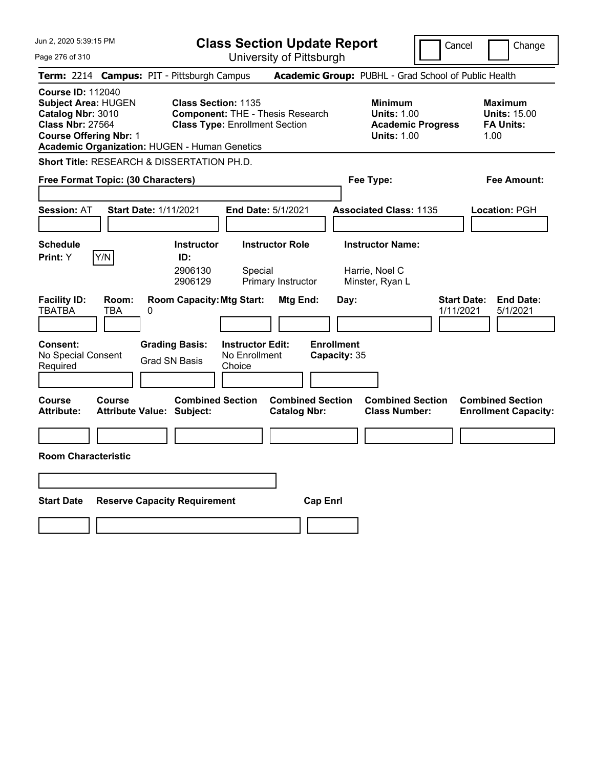| Jun 2, 2020 5:39:15 PM                                                                                                                                                                   | <b>Class Section Update Report</b>                                                                                                      |                                                |                                                              | Cancel                          | Change                                                            |
|------------------------------------------------------------------------------------------------------------------------------------------------------------------------------------------|-----------------------------------------------------------------------------------------------------------------------------------------|------------------------------------------------|--------------------------------------------------------------|---------------------------------|-------------------------------------------------------------------|
| Page 276 of 310                                                                                                                                                                          |                                                                                                                                         | University of Pittsburgh                       |                                                              |                                 |                                                                   |
| Term: 2214 Campus: PIT - Pittsburgh Campus                                                                                                                                               |                                                                                                                                         |                                                | Academic Group: PUBHL - Grad School of Public Health         |                                 |                                                                   |
| <b>Course ID: 112040</b><br><b>Subject Area: HUGEN</b><br>Catalog Nbr: 3010<br><b>Class Nbr: 27564</b><br><b>Course Offering Nbr: 1</b><br>Academic Organization: HUGEN - Human Genetics | <b>Class Section: 1135</b><br><b>Component: THE - Thesis Research</b><br><b>Class Type: Enrollment Section</b>                          |                                                | <b>Minimum</b><br><b>Units: 1.00</b><br><b>Units: 1.00</b>   | <b>Academic Progress</b>        | <b>Maximum</b><br><b>Units: 15.00</b><br><b>FA Units:</b><br>1.00 |
| <b>Short Title: RESEARCH &amp; DISSERTATION PH.D.</b>                                                                                                                                    |                                                                                                                                         |                                                |                                                              |                                 |                                                                   |
| Free Format Topic: (30 Characters)                                                                                                                                                       |                                                                                                                                         |                                                | Fee Type:                                                    |                                 | Fee Amount:                                                       |
| <b>Start Date: 1/11/2021</b><br><b>Session: AT</b>                                                                                                                                       | <b>End Date: 5/1/2021</b>                                                                                                               |                                                | <b>Associated Class: 1135</b>                                |                                 | Location: PGH                                                     |
| <b>Schedule</b><br>Y/N<br>Print: Y                                                                                                                                                       | <b>Instructor</b><br>ID:<br>2906130<br>Special<br>2906129                                                                               | <b>Instructor Role</b><br>Primary Instructor   | <b>Instructor Name:</b><br>Harrie, Noel C<br>Minster, Ryan L |                                 |                                                                   |
| <b>Facility ID:</b><br>Room:<br><b>TBATBA</b><br>TBA<br>0<br><b>Consent:</b><br>No Special Consent<br>Required                                                                           | <b>Room Capacity: Mtg Start:</b><br><b>Grading Basis:</b><br><b>Instructor Edit:</b><br>No Enrollment<br><b>Grad SN Basis</b><br>Choice | Mtg End:                                       | Day:<br><b>Enrollment</b><br>Capacity: 35                    | <b>Start Date:</b><br>1/11/2021 | <b>End Date:</b><br>5/1/2021                                      |
| <b>Course</b><br>Course<br><b>Attribute:</b><br><b>Attribute Value: Subject:</b>                                                                                                         | <b>Combined Section</b>                                                                                                                 | <b>Combined Section</b><br><b>Catalog Nbr:</b> | <b>Combined Section</b><br><b>Class Number:</b>              |                                 | <b>Combined Section</b><br><b>Enrollment Capacity:</b>            |
| <b>Room Characteristic</b>                                                                                                                                                               |                                                                                                                                         |                                                |                                                              |                                 |                                                                   |
| <b>Start Date</b>                                                                                                                                                                        | <b>Reserve Capacity Requirement</b>                                                                                                     | <b>Cap Enrl</b>                                |                                                              |                                 |                                                                   |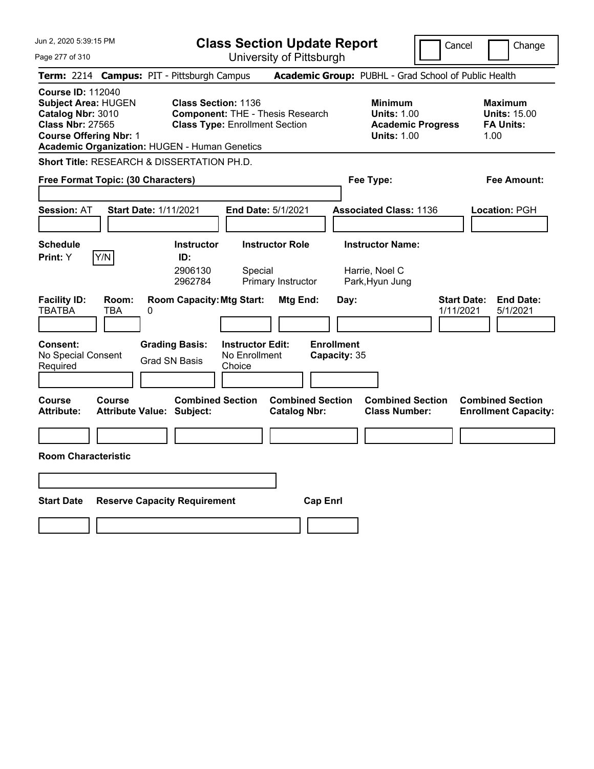| Jun 2, 2020 5:39:15 PM                                                                                                                                                                   | <b>Class Section Update Report</b>                                                                                                      |                                                |                                                              | Cancel                          | Change                                                            |
|------------------------------------------------------------------------------------------------------------------------------------------------------------------------------------------|-----------------------------------------------------------------------------------------------------------------------------------------|------------------------------------------------|--------------------------------------------------------------|---------------------------------|-------------------------------------------------------------------|
| Page 277 of 310                                                                                                                                                                          |                                                                                                                                         | University of Pittsburgh                       |                                                              |                                 |                                                                   |
| Term: 2214 Campus: PIT - Pittsburgh Campus                                                                                                                                               |                                                                                                                                         |                                                | Academic Group: PUBHL - Grad School of Public Health         |                                 |                                                                   |
| <b>Course ID: 112040</b><br><b>Subject Area: HUGEN</b><br>Catalog Nbr: 3010<br><b>Class Nbr: 27565</b><br><b>Course Offering Nbr: 1</b><br>Academic Organization: HUGEN - Human Genetics | <b>Class Section: 1136</b><br><b>Component: THE - Thesis Research</b><br><b>Class Type: Enrollment Section</b>                          |                                                | <b>Minimum</b><br><b>Units: 1.00</b><br><b>Units: 1.00</b>   | <b>Academic Progress</b>        | <b>Maximum</b><br><b>Units: 15.00</b><br><b>FA Units:</b><br>1.00 |
| <b>Short Title: RESEARCH &amp; DISSERTATION PH.D.</b>                                                                                                                                    |                                                                                                                                         |                                                |                                                              |                                 |                                                                   |
| Free Format Topic: (30 Characters)                                                                                                                                                       |                                                                                                                                         |                                                | Fee Type:                                                    |                                 | Fee Amount:                                                       |
| <b>Start Date: 1/11/2021</b><br><b>Session: AT</b>                                                                                                                                       | <b>End Date: 5/1/2021</b>                                                                                                               |                                                | <b>Associated Class: 1136</b>                                |                                 | Location: PGH                                                     |
| <b>Schedule</b><br>Y/N<br>Print: Y                                                                                                                                                       | <b>Instructor</b><br>ID:<br>2906130<br>Special<br>2962784                                                                               | <b>Instructor Role</b><br>Primary Instructor   | <b>Instructor Name:</b><br>Harrie, Noel C<br>Park, Hyun Jung |                                 |                                                                   |
| <b>Facility ID:</b><br>Room:<br><b>TBATBA</b><br>TBA<br>0<br><b>Consent:</b><br>No Special Consent<br>Required                                                                           | <b>Room Capacity: Mtg Start:</b><br><b>Grading Basis:</b><br><b>Instructor Edit:</b><br>No Enrollment<br><b>Grad SN Basis</b><br>Choice | Mtg End:                                       | Day:<br><b>Enrollment</b><br>Capacity: 35                    | <b>Start Date:</b><br>1/11/2021 | <b>End Date:</b><br>5/1/2021                                      |
| <b>Course</b><br>Course<br><b>Attribute:</b><br><b>Attribute Value: Subject:</b>                                                                                                         | <b>Combined Section</b>                                                                                                                 | <b>Combined Section</b><br><b>Catalog Nbr:</b> | <b>Combined Section</b><br><b>Class Number:</b>              |                                 | <b>Combined Section</b><br><b>Enrollment Capacity:</b>            |
|                                                                                                                                                                                          |                                                                                                                                         |                                                |                                                              |                                 |                                                                   |
| <b>Room Characteristic</b>                                                                                                                                                               |                                                                                                                                         |                                                |                                                              |                                 |                                                                   |
|                                                                                                                                                                                          |                                                                                                                                         |                                                |                                                              |                                 |                                                                   |
| <b>Start Date</b>                                                                                                                                                                        | <b>Reserve Capacity Requirement</b>                                                                                                     | <b>Cap Enrl</b>                                |                                                              |                                 |                                                                   |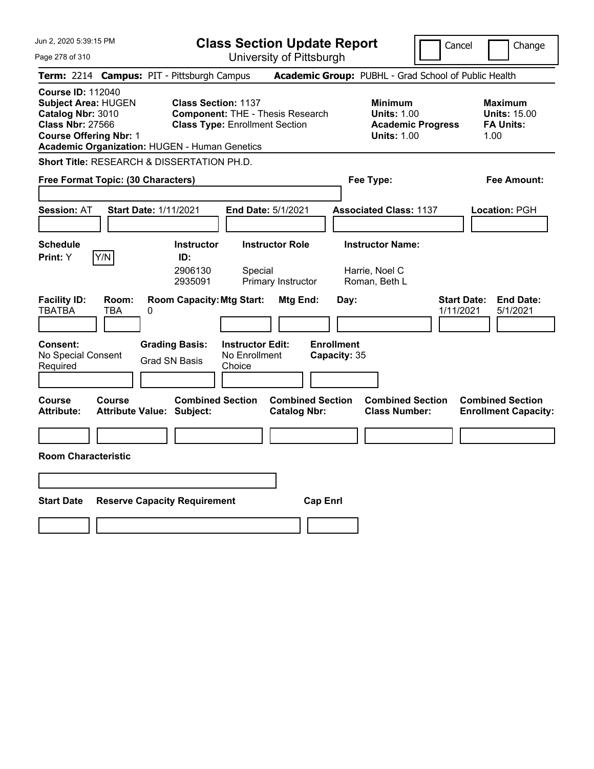| Jun 2, 2020 5:39:15 PM                                                                                                                                                            |                                                                                                                                         | <b>Class Section Update Report</b>             |                                                            | Cancel                          | Change                                                            |
|-----------------------------------------------------------------------------------------------------------------------------------------------------------------------------------|-----------------------------------------------------------------------------------------------------------------------------------------|------------------------------------------------|------------------------------------------------------------|---------------------------------|-------------------------------------------------------------------|
| Page 278 of 310                                                                                                                                                                   |                                                                                                                                         | University of Pittsburgh                       |                                                            |                                 |                                                                   |
| <b>Term: 2214</b>                                                                                                                                                                 | <b>Campus: PIT - Pittsburgh Campus</b>                                                                                                  |                                                | Academic Group: PUBHL - Grad School of Public Health       |                                 |                                                                   |
| <b>Course ID: 112040</b><br>Subject Area: HUGEN<br>Catalog Nbr: 3010<br><b>Class Nbr: 27566</b><br><b>Course Offering Nbr: 1</b><br>Academic Organization: HUGEN - Human Genetics | <b>Class Section: 1137</b><br><b>Component: THE - Thesis Research</b><br><b>Class Type: Enrollment Section</b>                          |                                                | <b>Minimum</b><br><b>Units: 1.00</b><br><b>Units: 1.00</b> | <b>Academic Progress</b>        | <b>Maximum</b><br><b>Units: 15.00</b><br><b>FA Units:</b><br>1.00 |
| <b>Short Title: RESEARCH &amp; DISSERTATION PH.D.</b>                                                                                                                             |                                                                                                                                         |                                                |                                                            |                                 |                                                                   |
| Free Format Topic: (30 Characters)                                                                                                                                                |                                                                                                                                         |                                                | Fee Type:                                                  |                                 | Fee Amount:                                                       |
| <b>Session: AT</b><br><b>Start Date: 1/11/2021</b>                                                                                                                                |                                                                                                                                         | End Date: 5/1/2021                             | <b>Associated Class: 1137</b>                              |                                 | <b>Location: PGH</b>                                              |
| <b>Schedule</b><br>Y/N<br><b>Print:</b> Y                                                                                                                                         | <b>Instructor</b><br>ID:<br>2906130<br>Special<br>2935091                                                                               | <b>Instructor Role</b><br>Primary Instructor   | <b>Instructor Name:</b><br>Harrie, Noel C<br>Roman, Beth L |                                 |                                                                   |
| <b>Facility ID:</b><br>Room:<br><b>TBATBA</b><br>TBA<br>0<br><b>Consent:</b><br>No Special Consent<br>Required                                                                    | <b>Room Capacity: Mtg Start:</b><br><b>Grading Basis:</b><br><b>Instructor Edit:</b><br>No Enrollment<br><b>Grad SN Basis</b><br>Choice | Mtg End:                                       | Day:<br><b>Enrollment</b><br>Capacity: 35                  | <b>Start Date:</b><br>1/11/2021 | <b>End Date:</b><br>5/1/2021                                      |
| <b>Course</b><br>Course<br><b>Attribute:</b><br><b>Attribute Value: Subject:</b>                                                                                                  | <b>Combined Section</b>                                                                                                                 | <b>Combined Section</b><br><b>Catalog Nbr:</b> | <b>Combined Section</b><br><b>Class Number:</b>            |                                 | <b>Combined Section</b><br><b>Enrollment Capacity:</b>            |
|                                                                                                                                                                                   |                                                                                                                                         |                                                |                                                            |                                 |                                                                   |
| <b>Room Characteristic</b>                                                                                                                                                        |                                                                                                                                         |                                                |                                                            |                                 |                                                                   |
|                                                                                                                                                                                   |                                                                                                                                         |                                                |                                                            |                                 |                                                                   |
| <b>Start Date</b>                                                                                                                                                                 | <b>Reserve Capacity Requirement</b>                                                                                                     | <b>Cap Enrl</b>                                |                                                            |                                 |                                                                   |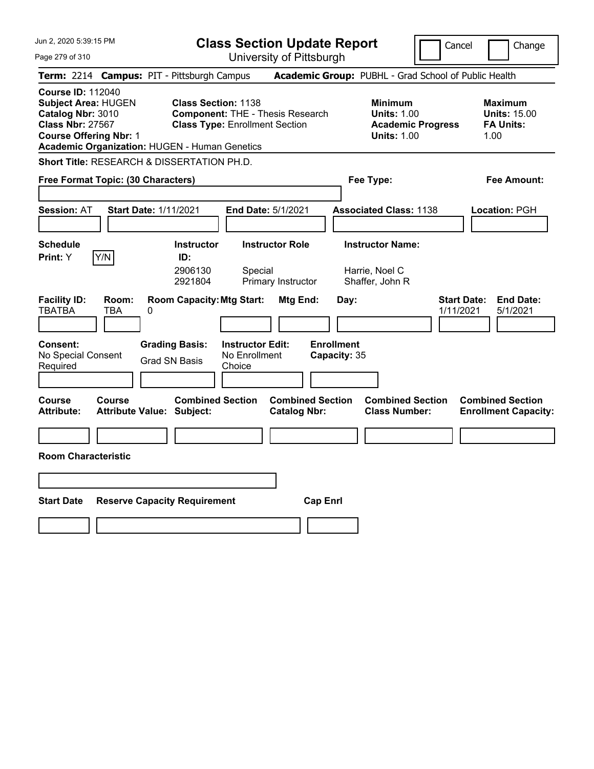|                                                                                                              |                           |                                                                                                                                                                                                                                                                                    | Cancel<br>Change                                                                                                                                                                                                         |
|--------------------------------------------------------------------------------------------------------------|---------------------------|------------------------------------------------------------------------------------------------------------------------------------------------------------------------------------------------------------------------------------------------------------------------------------|--------------------------------------------------------------------------------------------------------------------------------------------------------------------------------------------------------------------------|
|                                                                                                              |                           |                                                                                                                                                                                                                                                                                    |                                                                                                                                                                                                                          |
| Term: 2214 Campus: PIT - Pittsburgh Campus                                                                   |                           |                                                                                                                                                                                                                                                                                    |                                                                                                                                                                                                                          |
| <b>Class Section: 1138</b><br>Academic Organization: HUGEN - Human Genetics                                  |                           | <b>Minimum</b><br><b>Units: 1.00</b><br><b>Academic Progress</b><br><b>Units: 1.00</b>                                                                                                                                                                                             | <b>Maximum</b><br><b>Units: 15.00</b><br><b>FA Units:</b><br>1.00                                                                                                                                                        |
| <b>Short Title: RESEARCH &amp; DISSERTATION PH.D.</b>                                                        |                           |                                                                                                                                                                                                                                                                                    |                                                                                                                                                                                                                          |
| Free Format Topic: (30 Characters)                                                                           |                           |                                                                                                                                                                                                                                                                                    | Fee Amount:                                                                                                                                                                                                              |
| <b>Start Date: 1/11/2021</b>                                                                                 |                           |                                                                                                                                                                                                                                                                                    | Location: PGH                                                                                                                                                                                                            |
| <b>Instructor</b><br>ID:<br>2906130<br>Special<br>2921804                                                    |                           |                                                                                                                                                                                                                                                                                    |                                                                                                                                                                                                                          |
| <b>Room Capacity: Mtg Start:</b><br><b>Grading Basis:</b><br>No Enrollment<br><b>Grad SN Basis</b><br>Choice | Day:<br><b>Enrollment</b> |                                                                                                                                                                                                                                                                                    | <b>Start Date:</b><br><b>End Date:</b><br>5/1/2021<br>1/11/2021                                                                                                                                                          |
| <b>Combined Section</b><br><b>Attribute Value: Subject:</b>                                                  |                           | <b>Combined Section</b><br><b>Class Number:</b>                                                                                                                                                                                                                                    | <b>Combined Section</b><br><b>Enrollment Capacity:</b>                                                                                                                                                                   |
|                                                                                                              |                           |                                                                                                                                                                                                                                                                                    |                                                                                                                                                                                                                          |
|                                                                                                              |                           |                                                                                                                                                                                                                                                                                    |                                                                                                                                                                                                                          |
| <b>Reserve Capacity Requirement</b>                                                                          | <b>Cap Enrl</b>           |                                                                                                                                                                                                                                                                                    |                                                                                                                                                                                                                          |
|                                                                                                              |                           | University of Pittsburgh<br><b>Component: THE - Thesis Research</b><br><b>Class Type: Enrollment Section</b><br><b>End Date: 5/1/2021</b><br><b>Instructor Role</b><br>Primary Instructor<br>Mtg End:<br><b>Instructor Edit:</b><br><b>Combined Section</b><br><b>Catalog Nbr:</b> | <b>Class Section Update Report</b><br>Academic Group: PUBHL - Grad School of Public Health<br>Fee Type:<br><b>Associated Class: 1138</b><br><b>Instructor Name:</b><br>Harrie, Noel C<br>Shaffer, John R<br>Capacity: 35 |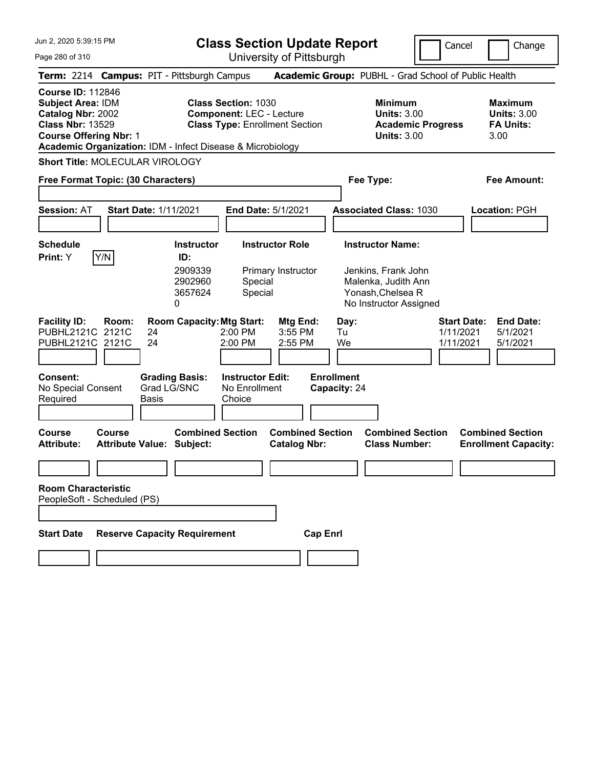**Class Section Update Report** University of Pittsburgh

Cancel Change

Page 280 of 310

| Term: 2214 Campus: PIT - Pittsburgh Campus                                                                                                                                                          |                                                                                      |                                                                                                        | Academic Group: PUBHL - Grad School of Public Health                                                                 |                                                                                          |
|-----------------------------------------------------------------------------------------------------------------------------------------------------------------------------------------------------|--------------------------------------------------------------------------------------|--------------------------------------------------------------------------------------------------------|----------------------------------------------------------------------------------------------------------------------|------------------------------------------------------------------------------------------|
| <b>Course ID: 112846</b><br><b>Subject Area: IDM</b><br>Catalog Nbr: 2002<br><b>Class Nbr: 13529</b><br><b>Course Offering Nbr: 1</b><br>Academic Organization: IDM - Infect Disease & Microbiology |                                                                                      | <b>Class Section: 1030</b><br><b>Component: LEC - Lecture</b><br><b>Class Type: Enrollment Section</b> | <b>Minimum</b><br><b>Units: 3.00</b><br><b>Academic Progress</b><br><b>Units: 3.00</b>                               | <b>Maximum</b><br><b>Units: 3.00</b><br><b>FA Units:</b><br>3.00                         |
| Short Title: MOLECULAR VIROLOGY                                                                                                                                                                     |                                                                                      |                                                                                                        |                                                                                                                      |                                                                                          |
| Free Format Topic: (30 Characters)                                                                                                                                                                  |                                                                                      |                                                                                                        | Fee Type:                                                                                                            | <b>Fee Amount:</b>                                                                       |
| <b>Session: AT</b>                                                                                                                                                                                  | <b>Start Date: 1/11/2021</b>                                                         | End Date: 5/1/2021                                                                                     | <b>Associated Class: 1030</b>                                                                                        | Location: PGH                                                                            |
| <b>Schedule</b><br>Y/N<br><b>Print:</b> Y                                                                                                                                                           | <b>Instructor</b><br>ID:<br>2909339<br>2902960<br>3657624<br>0                       | <b>Instructor Role</b><br>Primary Instructor<br>Special<br>Special                                     | <b>Instructor Name:</b><br>Jenkins, Frank John<br>Malenka, Judith Ann<br>Yonash, Chelsea R<br>No Instructor Assigned |                                                                                          |
| <b>Facility ID:</b><br>Room:<br>PUBHL2121C 2121C<br>PUBHL2121C 2121C<br>Consent:<br>No Special Consent                                                                                              | <b>Room Capacity: Mtg Start:</b><br>24<br>24<br><b>Grading Basis:</b><br>Grad LG/SNC | Mtg End:<br>2:00 PM<br>3:55 PM<br>2:00 PM<br>2:55 PM<br><b>Instructor Edit:</b><br>No Enrollment       | Day:<br>Tu<br>We<br><b>Enrollment</b><br>Capacity: 24                                                                | <b>Start Date:</b><br><b>End Date:</b><br>1/11/2021<br>5/1/2021<br>1/11/2021<br>5/1/2021 |
| Required                                                                                                                                                                                            | Basis                                                                                | Choice                                                                                                 |                                                                                                                      |                                                                                          |
| <b>Course</b><br>Course<br><b>Attribute:</b>                                                                                                                                                        | <b>Combined Section</b><br><b>Attribute Value: Subject:</b>                          | <b>Combined Section</b><br><b>Catalog Nbr:</b>                                                         | <b>Combined Section</b><br><b>Class Number:</b>                                                                      | <b>Combined Section</b><br><b>Enrollment Capacity:</b>                                   |
| <b>Room Characteristic</b><br>PeopleSoft - Scheduled (PS)                                                                                                                                           |                                                                                      |                                                                                                        |                                                                                                                      |                                                                                          |
| <b>Start Date</b>                                                                                                                                                                                   | <b>Reserve Capacity Requirement</b>                                                  |                                                                                                        | <b>Cap Enrl</b>                                                                                                      |                                                                                          |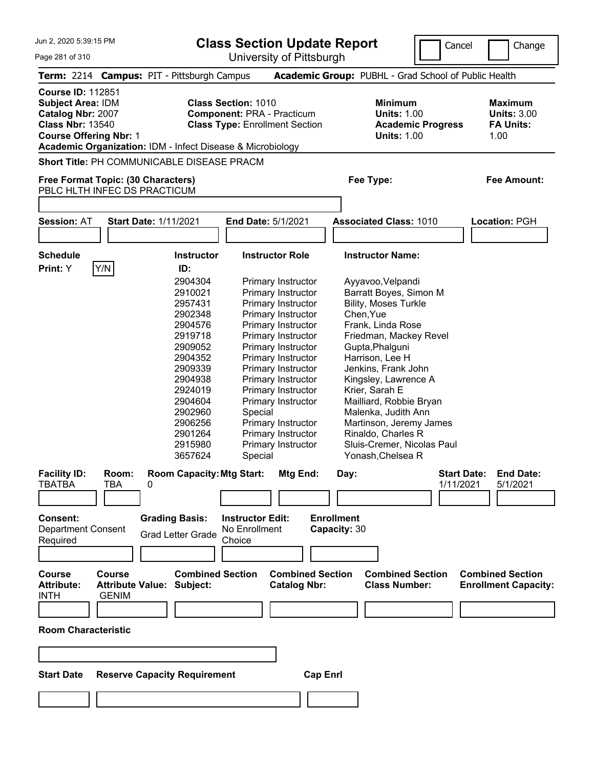Page 281 of 310

**Class Section Update Report**

University of Pittsburgh

Cancel **Change** 

|                                                                                                                                       |                        | Term: 2214 Campus: PIT - Pittsburgh Campus                                                                                                                                                                                       |                                                                                                                                                                                                                                                                                                                                                              |                                                |                                                                                                                                                                                                                                                                     | Academic Group: PUBHL - Grad School of Public Health                                                                                 |                                                                  |
|---------------------------------------------------------------------------------------------------------------------------------------|------------------------|----------------------------------------------------------------------------------------------------------------------------------------------------------------------------------------------------------------------------------|--------------------------------------------------------------------------------------------------------------------------------------------------------------------------------------------------------------------------------------------------------------------------------------------------------------------------------------------------------------|------------------------------------------------|---------------------------------------------------------------------------------------------------------------------------------------------------------------------------------------------------------------------------------------------------------------------|--------------------------------------------------------------------------------------------------------------------------------------|------------------------------------------------------------------|
| <b>Course ID: 112851</b><br><b>Subject Area: IDM</b><br>Catalog Nbr: 2007<br><b>Class Nbr: 13540</b><br><b>Course Offering Nbr: 1</b> |                        | Academic Organization: IDM - Infect Disease & Microbiology                                                                                                                                                                       | <b>Class Section: 1010</b><br><b>Component: PRA - Practicum</b><br><b>Class Type: Enrollment Section</b>                                                                                                                                                                                                                                                     |                                                |                                                                                                                                                                                                                                                                     | <b>Minimum</b><br><b>Units: 1.00</b><br><b>Academic Progress</b><br><b>Units: 1.00</b>                                               | <b>Maximum</b><br><b>Units: 3.00</b><br><b>FA Units:</b><br>1.00 |
|                                                                                                                                       |                        | <b>Short Title: PH COMMUNICABLE DISEASE PRACM</b>                                                                                                                                                                                |                                                                                                                                                                                                                                                                                                                                                              |                                                |                                                                                                                                                                                                                                                                     |                                                                                                                                      |                                                                  |
|                                                                                                                                       |                        | Free Format Topic: (30 Characters)<br>PBLC HLTH INFEC DS PRACTICUM                                                                                                                                                               |                                                                                                                                                                                                                                                                                                                                                              |                                                | Fee Type:                                                                                                                                                                                                                                                           |                                                                                                                                      | Fee Amount:                                                      |
| <b>Session: AT</b>                                                                                                                    |                        | <b>Start Date: 1/11/2021</b>                                                                                                                                                                                                     | <b>End Date: 5/1/2021</b>                                                                                                                                                                                                                                                                                                                                    |                                                | <b>Associated Class: 1010</b>                                                                                                                                                                                                                                       |                                                                                                                                      | <b>Location: PGH</b>                                             |
|                                                                                                                                       |                        |                                                                                                                                                                                                                                  |                                                                                                                                                                                                                                                                                                                                                              |                                                |                                                                                                                                                                                                                                                                     |                                                                                                                                      |                                                                  |
| <b>Schedule</b><br>Print: Y                                                                                                           | Y/N                    | <b>Instructor</b><br>ID:                                                                                                                                                                                                         | <b>Instructor Role</b>                                                                                                                                                                                                                                                                                                                                       |                                                | <b>Instructor Name:</b>                                                                                                                                                                                                                                             |                                                                                                                                      |                                                                  |
| <b>Facility ID:</b><br>TBATBA                                                                                                         | Room:<br>TBA           | 2904304<br>2910021<br>2957431<br>2902348<br>2904576<br>2919718<br>2909052<br>2904352<br>2909339<br>2904938<br>2924019<br>2904604<br>2902960<br>2906256<br>2901264<br>2915980<br>3657624<br><b>Room Capacity: Mtg Start:</b><br>0 | Primary Instructor<br>Primary Instructor<br>Primary Instructor<br>Primary Instructor<br>Primary Instructor<br>Primary Instructor<br>Primary Instructor<br>Primary Instructor<br>Primary Instructor<br>Primary Instructor<br>Primary Instructor<br>Primary Instructor<br>Special<br>Primary Instructor<br>Primary Instructor<br>Primary Instructor<br>Special | Mtg End:                                       | Ayyavoo, Velpandi<br><b>Bility, Moses Turkle</b><br>Chen, Yue<br>Frank, Linda Rose<br>Gupta, Phalguni<br>Harrison, Lee H<br>Jenkins, Frank John<br>Kingsley, Lawrence A<br>Krier, Sarah E<br>Malenka, Judith Ann<br>Rinaldo, Charles R<br>Yonash, Chelsea R<br>Day: | Barratt Boyes, Simon M<br>Friedman, Mackey Revel<br>Mailliard, Robbie Bryan<br>Martinson, Jeremy James<br>Sluis-Cremer, Nicolas Paul | <b>Start Date:</b><br><b>End Date:</b><br>1/11/2021<br>5/1/2021  |
| Consent:<br><b>Department Consent</b><br>Required                                                                                     |                        | <b>Grading Basis:</b><br><b>Grad Letter Grade</b>                                                                                                                                                                                | <b>Instructor Edit:</b><br>No Enrollment<br>Choice                                                                                                                                                                                                                                                                                                           | <b>Enrollment</b>                              | Capacity: 30                                                                                                                                                                                                                                                        |                                                                                                                                      |                                                                  |
| <b>Course</b><br><b>Attribute:</b><br><b>INTH</b>                                                                                     | Course<br><b>GENIM</b> | <b>Combined Section</b><br><b>Attribute Value: Subject:</b>                                                                                                                                                                      |                                                                                                                                                                                                                                                                                                                                                              | <b>Combined Section</b><br><b>Catalog Nbr:</b> |                                                                                                                                                                                                                                                                     | <b>Combined Section</b><br><b>Class Number:</b>                                                                                      | <b>Combined Section</b><br><b>Enrollment Capacity:</b>           |
| <b>Room Characteristic</b>                                                                                                            |                        |                                                                                                                                                                                                                                  |                                                                                                                                                                                                                                                                                                                                                              |                                                |                                                                                                                                                                                                                                                                     |                                                                                                                                      |                                                                  |
|                                                                                                                                       |                        |                                                                                                                                                                                                                                  |                                                                                                                                                                                                                                                                                                                                                              |                                                |                                                                                                                                                                                                                                                                     |                                                                                                                                      |                                                                  |
|                                                                                                                                       |                        |                                                                                                                                                                                                                                  |                                                                                                                                                                                                                                                                                                                                                              |                                                |                                                                                                                                                                                                                                                                     |                                                                                                                                      |                                                                  |
| <b>Start Date</b>                                                                                                                     |                        | <b>Reserve Capacity Requirement</b>                                                                                                                                                                                              |                                                                                                                                                                                                                                                                                                                                                              | <b>Cap Enrl</b>                                |                                                                                                                                                                                                                                                                     |                                                                                                                                      |                                                                  |
|                                                                                                                                       |                        |                                                                                                                                                                                                                                  |                                                                                                                                                                                                                                                                                                                                                              |                                                |                                                                                                                                                                                                                                                                     |                                                                                                                                      |                                                                  |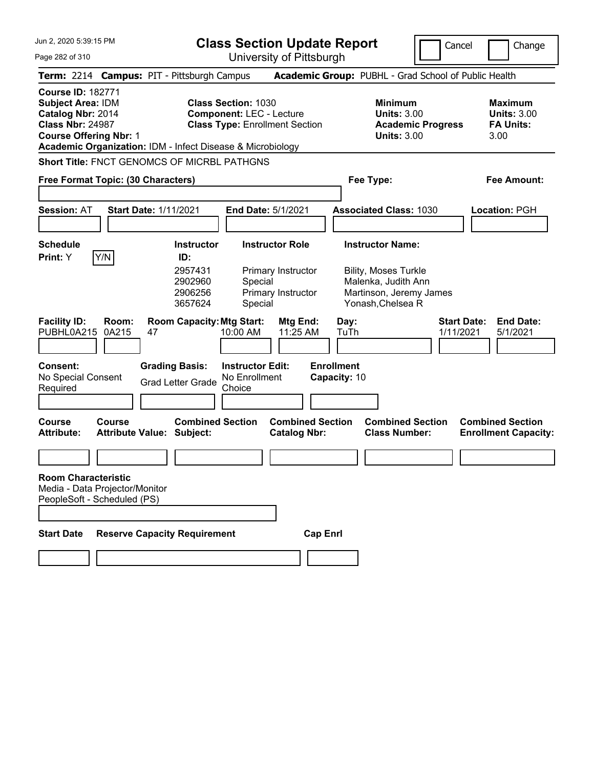**Class Section Update Report**

Cancel **Change** 

| Page 282 of 310                                                                                                                       |                       |                                                                                           |                                                               | University of Pittsburgh                                         |                                   |                                                                                                    |                                 |                                                                  |
|---------------------------------------------------------------------------------------------------------------------------------------|-----------------------|-------------------------------------------------------------------------------------------|---------------------------------------------------------------|------------------------------------------------------------------|-----------------------------------|----------------------------------------------------------------------------------------------------|---------------------------------|------------------------------------------------------------------|
|                                                                                                                                       |                       | Term: 2214 Campus: PIT - Pittsburgh Campus                                                |                                                               |                                                                  |                                   | Academic Group: PUBHL - Grad School of Public Health                                               |                                 |                                                                  |
| <b>Course ID: 182771</b><br><b>Subject Area: IDM</b><br>Catalog Nbr: 2014<br><b>Class Nbr: 24987</b><br><b>Course Offering Nbr: 1</b> |                       | Academic Organization: IDM - Infect Disease & Microbiology                                | <b>Class Section: 1030</b><br><b>Component: LEC - Lecture</b> | <b>Class Type: Enrollment Section</b>                            |                                   | <b>Minimum</b><br><b>Units: 3.00</b><br><b>Academic Progress</b><br><b>Units: 3.00</b>             |                                 | <b>Maximum</b><br><b>Units: 3.00</b><br><b>FA Units:</b><br>3.00 |
|                                                                                                                                       |                       | <b>Short Title: FNCT GENOMCS OF MICRBL PATHGNS</b>                                        |                                                               |                                                                  |                                   |                                                                                                    |                                 |                                                                  |
| Free Format Topic: (30 Characters)                                                                                                    |                       |                                                                                           |                                                               |                                                                  |                                   | Fee Type:                                                                                          |                                 | Fee Amount:                                                      |
| <b>Session: AT</b>                                                                                                                    |                       | <b>Start Date: 1/11/2021</b>                                                              | <b>End Date: 5/1/2021</b>                                     |                                                                  |                                   | <b>Associated Class: 1030</b>                                                                      |                                 | Location: PGH                                                    |
| <b>Schedule</b>                                                                                                                       |                       | Instructor                                                                                |                                                               | <b>Instructor Role</b>                                           |                                   | <b>Instructor Name:</b>                                                                            |                                 |                                                                  |
| Print: Y<br><b>Facility ID:</b><br>PUBHL0A215                                                                                         | Y/N<br>Room:<br>0A215 | ID:<br>2957431<br>2902960<br>2906256<br>3657624<br><b>Room Capacity: Mtg Start:</b><br>47 | Special<br>Special<br>10:00 AM                                | Primary Instructor<br>Primary Instructor<br>Mtg End:<br>11:25 AM | Day:<br>TuTh                      | <b>Bility, Moses Turkle</b><br>Malenka, Judith Ann<br>Martinson, Jeremy James<br>Yonash, Chelsea R | <b>Start Date:</b><br>1/11/2021 | <b>End Date:</b><br>5/1/2021                                     |
| Consent:<br>No Special Consent<br>Required                                                                                            |                       | <b>Grading Basis:</b><br><b>Grad Letter Grade</b>                                         | <b>Instructor Edit:</b><br>No Enrollment<br>Choice            |                                                                  | <b>Enrollment</b><br>Capacity: 10 |                                                                                                    |                                 |                                                                  |
| <b>Course</b><br><b>Attribute:</b>                                                                                                    | <b>Course</b>         | <b>Combined Section</b><br><b>Attribute Value: Subject:</b>                               |                                                               | <b>Combined Section</b><br><b>Catalog Nbr:</b>                   |                                   | <b>Combined Section</b><br><b>Class Number:</b>                                                    |                                 | <b>Combined Section</b><br><b>Enrollment Capacity:</b>           |
|                                                                                                                                       |                       |                                                                                           |                                                               |                                                                  |                                   |                                                                                                    |                                 |                                                                  |
| <b>Room Characteristic</b><br>Media - Data Projector/Monitor<br>PeopleSoft - Scheduled (PS)<br><b>Start Date</b>                      |                       | <b>Reserve Capacity Requirement</b>                                                       |                                                               | <b>Cap Enrl</b>                                                  |                                   |                                                                                                    |                                 |                                                                  |
|                                                                                                                                       |                       |                                                                                           |                                                               |                                                                  |                                   |                                                                                                    |                                 |                                                                  |
|                                                                                                                                       |                       |                                                                                           |                                                               |                                                                  |                                   |                                                                                                    |                                 |                                                                  |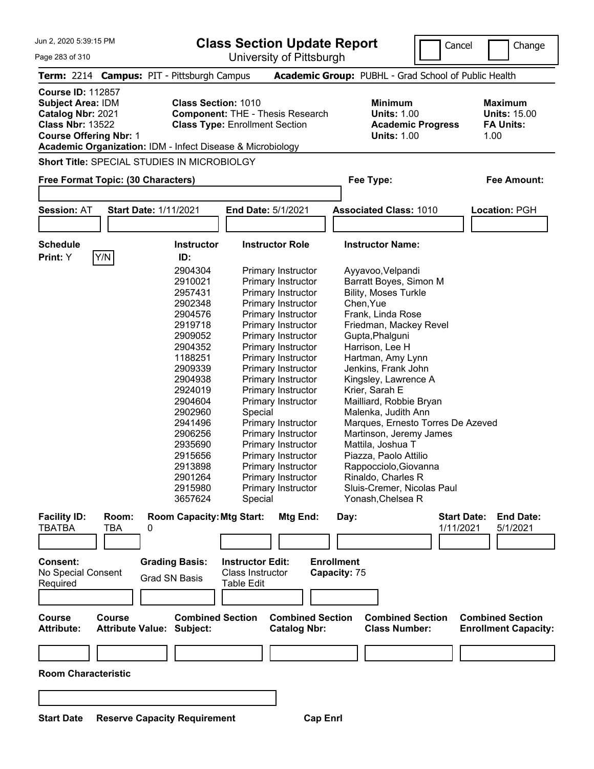**Class Section Update Report**

University of Pittsburgh

Cancel | Change

Page 283 of 310

|                                                                                                                                       |               | Term: 2214 Campus: PIT - Pittsburgh Campus                                               |                                                                                  | Academic Group: PUBHL - Grad School of Public Health                                   |                                                                   |
|---------------------------------------------------------------------------------------------------------------------------------------|---------------|------------------------------------------------------------------------------------------|----------------------------------------------------------------------------------|----------------------------------------------------------------------------------------|-------------------------------------------------------------------|
| <b>Course ID: 112857</b><br><b>Subject Area: IDM</b><br>Catalog Nbr: 2021<br><b>Class Nbr: 13522</b><br><b>Course Offering Nbr: 1</b> |               | <b>Class Section: 1010</b><br>Academic Organization: IDM - Infect Disease & Microbiology | <b>Component: THE - Thesis Research</b><br><b>Class Type: Enrollment Section</b> | <b>Minimum</b><br><b>Units: 1.00</b><br><b>Academic Progress</b><br><b>Units: 1.00</b> | <b>Maximum</b><br><b>Units: 15.00</b><br><b>FA Units:</b><br>1.00 |
|                                                                                                                                       |               | <b>Short Title: SPECIAL STUDIES IN MICROBIOLGY</b>                                       |                                                                                  |                                                                                        |                                                                   |
|                                                                                                                                       |               |                                                                                          |                                                                                  |                                                                                        |                                                                   |
|                                                                                                                                       |               | Free Format Topic: (30 Characters)                                                       |                                                                                  | Fee Type:                                                                              | Fee Amount:                                                       |
|                                                                                                                                       |               |                                                                                          |                                                                                  |                                                                                        |                                                                   |
| <b>Session: AT</b>                                                                                                                    |               | <b>Start Date: 1/11/2021</b>                                                             | End Date: 5/1/2021                                                               | <b>Associated Class: 1010</b>                                                          | Location: PGH                                                     |
|                                                                                                                                       |               |                                                                                          |                                                                                  |                                                                                        |                                                                   |
|                                                                                                                                       |               |                                                                                          |                                                                                  |                                                                                        |                                                                   |
| <b>Schedule</b>                                                                                                                       |               | <b>Instructor</b>                                                                        | <b>Instructor Role</b>                                                           | <b>Instructor Name:</b>                                                                |                                                                   |
| Print: Y                                                                                                                              | Y/N           | ID:                                                                                      |                                                                                  |                                                                                        |                                                                   |
|                                                                                                                                       |               | 2904304                                                                                  | Primary Instructor                                                               | Ayyavoo, Velpandi                                                                      |                                                                   |
|                                                                                                                                       |               | 2910021                                                                                  | Primary Instructor                                                               | Barratt Boyes, Simon M                                                                 |                                                                   |
|                                                                                                                                       |               | 2957431                                                                                  | Primary Instructor                                                               | <b>Bility, Moses Turkle</b>                                                            |                                                                   |
|                                                                                                                                       |               | 2902348                                                                                  | Primary Instructor                                                               | Chen, Yue                                                                              |                                                                   |
|                                                                                                                                       |               | 2904576                                                                                  | <b>Primary Instructor</b>                                                        | Frank, Linda Rose                                                                      |                                                                   |
|                                                                                                                                       |               | 2919718                                                                                  | <b>Primary Instructor</b>                                                        | Friedman, Mackey Revel                                                                 |                                                                   |
|                                                                                                                                       |               | 2909052                                                                                  | Primary Instructor                                                               | Gupta, Phalguni                                                                        |                                                                   |
|                                                                                                                                       |               | 2904352                                                                                  | Primary Instructor                                                               | Harrison, Lee H                                                                        |                                                                   |
|                                                                                                                                       |               | 1188251                                                                                  | Primary Instructor                                                               | Hartman, Amy Lynn                                                                      |                                                                   |
|                                                                                                                                       |               | 2909339                                                                                  | Primary Instructor                                                               | Jenkins, Frank John                                                                    |                                                                   |
|                                                                                                                                       |               | 2904938                                                                                  | <b>Primary Instructor</b>                                                        | Kingsley, Lawrence A                                                                   |                                                                   |
|                                                                                                                                       |               | 2924019                                                                                  | Primary Instructor                                                               | Krier, Sarah E                                                                         |                                                                   |
|                                                                                                                                       |               | 2904604                                                                                  | Primary Instructor                                                               | Mailliard, Robbie Bryan                                                                |                                                                   |
|                                                                                                                                       |               | 2902960                                                                                  | Special                                                                          | Malenka, Judith Ann                                                                    |                                                                   |
|                                                                                                                                       |               | 2941496                                                                                  | Primary Instructor                                                               | Marques, Ernesto Torres De Azeved                                                      |                                                                   |
|                                                                                                                                       |               | 2906256                                                                                  | Primary Instructor                                                               | Martinson, Jeremy James                                                                |                                                                   |
|                                                                                                                                       |               | 2935690                                                                                  | Primary Instructor                                                               | Mattila, Joshua T                                                                      |                                                                   |
|                                                                                                                                       |               | 2915656                                                                                  | <b>Primary Instructor</b>                                                        | Piazza, Paolo Attilio                                                                  |                                                                   |
|                                                                                                                                       |               | 2913898                                                                                  | Primary Instructor                                                               | Rappocciolo, Giovanna                                                                  |                                                                   |
|                                                                                                                                       |               | 2901264                                                                                  | Primary Instructor                                                               | Rinaldo, Charles R                                                                     |                                                                   |
|                                                                                                                                       |               | 2915980                                                                                  | Primary Instructor                                                               | Sluis-Cremer, Nicolas Paul                                                             |                                                                   |
|                                                                                                                                       |               | 3657624                                                                                  | Special                                                                          | Yonash, Chelsea R                                                                      |                                                                   |
|                                                                                                                                       |               |                                                                                          |                                                                                  |                                                                                        |                                                                   |
| <b>Facility ID:</b>                                                                                                                   | Room:         | <b>Room Capacity: Mtg Start:</b>                                                         | Mtg End:                                                                         | Day:                                                                                   | <b>End Date:</b><br><b>Start Date:</b>                            |
| <b>TBATBA</b>                                                                                                                         | TBA           | 0                                                                                        |                                                                                  |                                                                                        | 1/11/2021<br>5/1/2021                                             |
|                                                                                                                                       |               |                                                                                          |                                                                                  |                                                                                        |                                                                   |
|                                                                                                                                       |               |                                                                                          |                                                                                  |                                                                                        |                                                                   |
| Consent:                                                                                                                              |               | <b>Grading Basis:</b>                                                                    | <b>Instructor Edit:</b>                                                          | <b>Enrollment</b>                                                                      |                                                                   |
| No Special Consent                                                                                                                    |               | <b>Grad SN Basis</b>                                                                     | Class Instructor                                                                 | Capacity: 75                                                                           |                                                                   |
| Required                                                                                                                              |               |                                                                                          | Table Edit                                                                       |                                                                                        |                                                                   |
|                                                                                                                                       |               |                                                                                          |                                                                                  |                                                                                        |                                                                   |
|                                                                                                                                       |               |                                                                                          |                                                                                  |                                                                                        |                                                                   |
| <b>Course</b><br><b>Attribute:</b>                                                                                                    | <b>Course</b> | <b>Combined Section</b><br><b>Attribute Value: Subject:</b>                              | <b>Combined Section</b><br><b>Catalog Nbr:</b>                                   | <b>Combined Section</b><br><b>Class Number:</b>                                        | <b>Combined Section</b><br><b>Enrollment Capacity:</b>            |
|                                                                                                                                       |               |                                                                                          |                                                                                  |                                                                                        |                                                                   |
|                                                                                                                                       |               |                                                                                          |                                                                                  |                                                                                        |                                                                   |
| <b>Room Characteristic</b>                                                                                                            |               |                                                                                          |                                                                                  |                                                                                        |                                                                   |
|                                                                                                                                       |               |                                                                                          |                                                                                  |                                                                                        |                                                                   |
|                                                                                                                                       |               |                                                                                          |                                                                                  |                                                                                        |                                                                   |
|                                                                                                                                       |               |                                                                                          |                                                                                  |                                                                                        |                                                                   |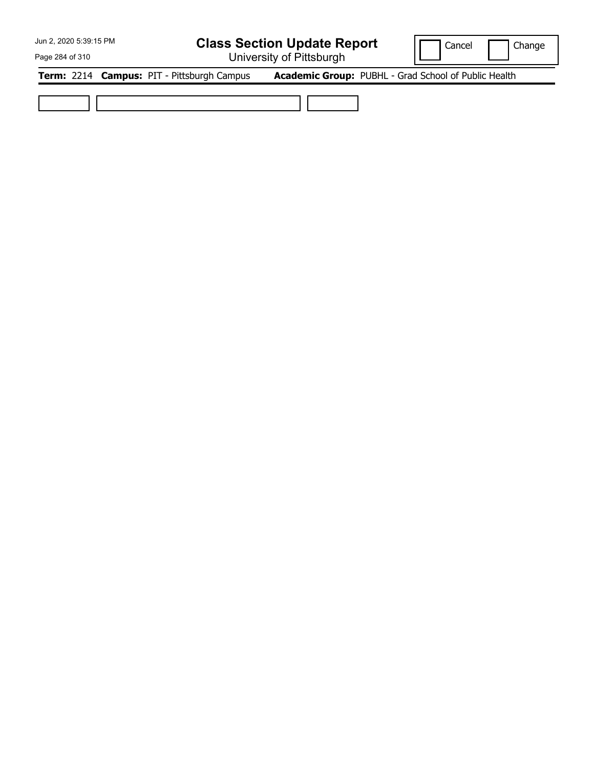## **Class Section Update Report**

University of Pittsburgh

Cancel | Change

Page 284 of 310

**Term:** 2214 **Campus:** PIT - Pittsburgh Campus **Academic Group:** PUBHL - Grad School of Public Health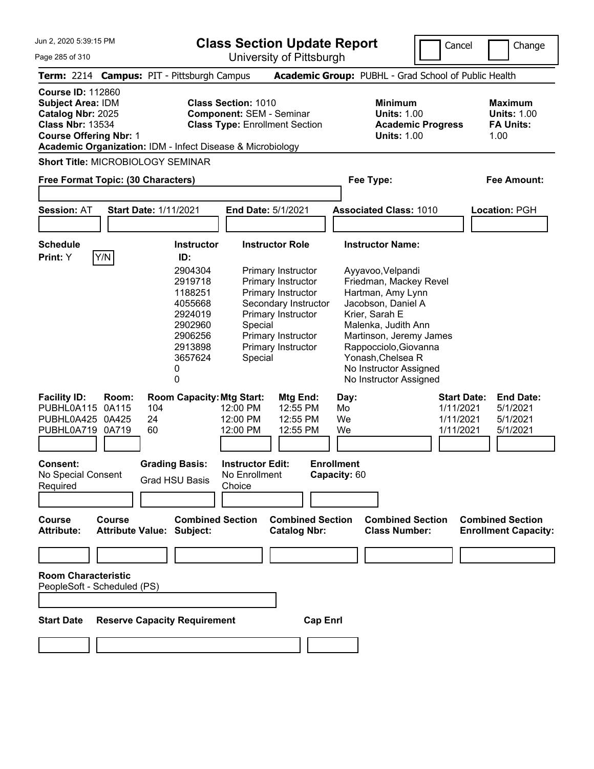**Class Section Update Report**

University of Pittsburgh

Cancel Change

Page 285 of 310

| Term: 2214 Campus: PIT - Pittsburgh Campus                                                                                                                                                          |                                                                                                           |                                                                                                                                                                                | Academic Group: PUBHL - Grad School of Public Health                                                                                                                                                                                                         |                                                                                                                   |
|-----------------------------------------------------------------------------------------------------------------------------------------------------------------------------------------------------|-----------------------------------------------------------------------------------------------------------|--------------------------------------------------------------------------------------------------------------------------------------------------------------------------------|--------------------------------------------------------------------------------------------------------------------------------------------------------------------------------------------------------------------------------------------------------------|-------------------------------------------------------------------------------------------------------------------|
| <b>Course ID: 112860</b><br><b>Subject Area: IDM</b><br>Catalog Nbr: 2025<br><b>Class Nbr: 13534</b><br><b>Course Offering Nbr: 1</b><br>Academic Organization: IDM - Infect Disease & Microbiology |                                                                                                           | <b>Class Section: 1010</b><br><b>Component: SEM - Seminar</b><br><b>Class Type: Enrollment Section</b>                                                                         | <b>Minimum</b><br><b>Units: 1.00</b><br><b>Academic Progress</b><br><b>Units: 1.00</b>                                                                                                                                                                       | <b>Maximum</b><br><b>Units: 1.00</b><br><b>FA Units:</b><br>1.00                                                  |
| <b>Short Title: MICROBIOLOGY SEMINAR</b>                                                                                                                                                            |                                                                                                           |                                                                                                                                                                                |                                                                                                                                                                                                                                                              |                                                                                                                   |
| Free Format Topic: (30 Characters)                                                                                                                                                                  |                                                                                                           |                                                                                                                                                                                | Fee Type:                                                                                                                                                                                                                                                    | <b>Fee Amount:</b>                                                                                                |
| <b>Session: AT</b>                                                                                                                                                                                  | <b>Start Date: 1/11/2021</b>                                                                              | End Date: 5/1/2021                                                                                                                                                             | <b>Associated Class: 1010</b>                                                                                                                                                                                                                                | Location: PGH                                                                                                     |
| <b>Schedule</b><br>Y/N<br><b>Print:</b> Y                                                                                                                                                           | <b>Instructor</b><br>ID:                                                                                  | <b>Instructor Role</b>                                                                                                                                                         | <b>Instructor Name:</b>                                                                                                                                                                                                                                      |                                                                                                                   |
|                                                                                                                                                                                                     | 2904304<br>2919718<br>1188251<br>4055668<br>2924019<br>2902960<br>2906256<br>2913898<br>3657624<br>0<br>0 | Primary Instructor<br>Primary Instructor<br>Primary Instructor<br>Secondary Instructor<br>Primary Instructor<br>Special<br>Primary Instructor<br>Primary Instructor<br>Special | Ayyavoo, Velpandi<br>Friedman, Mackey Revel<br>Hartman, Amy Lynn<br>Jacobson, Daniel A<br>Krier, Sarah E<br>Malenka, Judith Ann<br>Martinson, Jeremy James<br>Rappocciolo, Giovanna<br>Yonash, Chelsea R<br>No Instructor Assigned<br>No Instructor Assigned |                                                                                                                   |
| <b>Facility ID:</b><br>Room:<br>PUBHL0A115 0A115<br>PUBHL0A425 0A425<br>PUBHL0A719 0A719                                                                                                            | <b>Room Capacity: Mtg Start:</b><br>104<br>24<br>60                                                       | Mtg End:<br>12:00 PM<br>12:55 PM<br>12:55 PM<br>12:00 PM<br>12:00 PM<br>12:55 PM                                                                                               | Day:<br>Mo<br>We<br>We                                                                                                                                                                                                                                       | <b>End Date:</b><br><b>Start Date:</b><br>1/11/2021<br>5/1/2021<br>1/11/2021<br>5/1/2021<br>1/11/2021<br>5/1/2021 |
| <b>Consent:</b><br>No Special Consent<br>Required                                                                                                                                                   | <b>Grading Basis:</b><br><b>Grad HSU Basis</b>                                                            | <b>Instructor Edit:</b><br>No Enrollment<br>Choice                                                                                                                             | <b>Enrollment</b><br>Capacity: 60                                                                                                                                                                                                                            |                                                                                                                   |
| <b>Course</b><br><b>Course</b><br><b>Attribute:</b>                                                                                                                                                 | <b>Combined Section</b><br><b>Attribute Value: Subject:</b>                                               | <b>Combined Section</b><br><b>Catalog Nbr:</b>                                                                                                                                 | <b>Combined Section</b><br><b>Class Number:</b>                                                                                                                                                                                                              | <b>Combined Section</b><br><b>Enrollment Capacity:</b>                                                            |
|                                                                                                                                                                                                     |                                                                                                           |                                                                                                                                                                                |                                                                                                                                                                                                                                                              |                                                                                                                   |
| <b>Room Characteristic</b><br>PeopleSoft - Scheduled (PS)                                                                                                                                           |                                                                                                           |                                                                                                                                                                                |                                                                                                                                                                                                                                                              |                                                                                                                   |
| <b>Start Date</b>                                                                                                                                                                                   | <b>Reserve Capacity Requirement</b>                                                                       | <b>Cap Enrl</b>                                                                                                                                                                |                                                                                                                                                                                                                                                              |                                                                                                                   |
|                                                                                                                                                                                                     |                                                                                                           |                                                                                                                                                                                |                                                                                                                                                                                                                                                              |                                                                                                                   |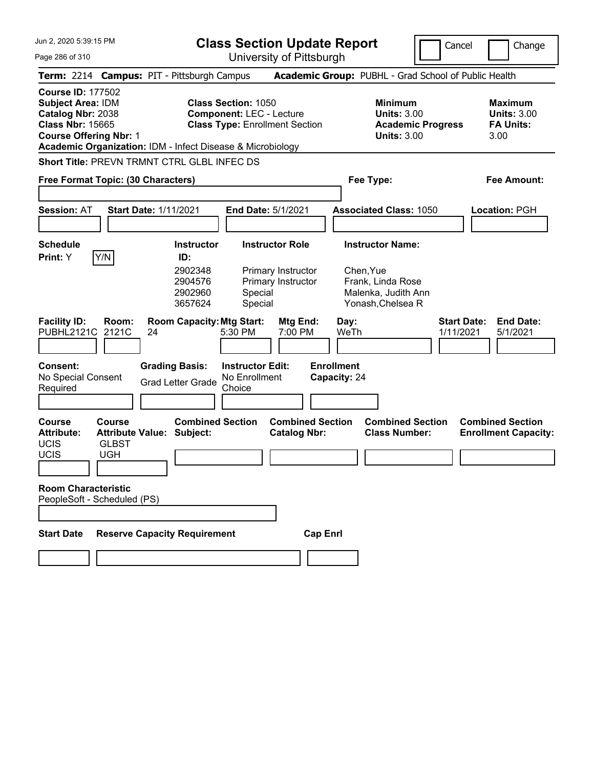Page 286 of 310

**Class Section Update Report**

Cancel **Change** 

|                                                                                                                                        |                                                                                             | $5.11$ , $0.01$ , $0.11$ , $0.000$ , $0.11$                                                            |                                                                                                       |                                                                  |
|----------------------------------------------------------------------------------------------------------------------------------------|---------------------------------------------------------------------------------------------|--------------------------------------------------------------------------------------------------------|-------------------------------------------------------------------------------------------------------|------------------------------------------------------------------|
|                                                                                                                                        | Term: 2214 Campus: PIT - Pittsburgh Campus                                                  |                                                                                                        | Academic Group: PUBHL - Grad School of Public Health                                                  |                                                                  |
| <b>Course ID: 177502</b><br><b>Subject Area: IDM</b><br>Catalog Nbr: 2038<br><b>Class Nbr: 15665</b><br><b>Course Offering Nbr: 1</b>  | Academic Organization: IDM - Infect Disease & Microbiology                                  | <b>Class Section: 1050</b><br><b>Component: LEC - Lecture</b><br><b>Class Type: Enrollment Section</b> | <b>Minimum</b><br><b>Units: 3.00</b><br><b>Academic Progress</b><br><b>Units: 3.00</b>                | <b>Maximum</b><br><b>Units: 3.00</b><br><b>FA Units:</b><br>3.00 |
|                                                                                                                                        | Short Title: PREVN TRMNT CTRL GLBL INFEC DS                                                 |                                                                                                        |                                                                                                       |                                                                  |
| Free Format Topic: (30 Characters)                                                                                                     |                                                                                             |                                                                                                        | Fee Type:                                                                                             | <b>Fee Amount:</b>                                               |
| <b>Session: AT</b>                                                                                                                     | <b>Start Date: 1/11/2021</b>                                                                | End Date: 5/1/2021                                                                                     | <b>Associated Class: 1050</b>                                                                         | Location: PGH                                                    |
| <b>Schedule</b><br>Y/N<br>Print: Y                                                                                                     | <b>Instructor</b><br>ID:<br>2902348<br>2904576<br>2902960<br>3657624                        | <b>Instructor Role</b><br>Primary Instructor<br>Primary Instructor<br>Special<br>Special               | <b>Instructor Name:</b><br>Chen, Yue<br>Frank, Linda Rose<br>Malenka, Judith Ann<br>Yonash, Chelsea R |                                                                  |
| <b>Facility ID:</b><br>Room:<br><b>PUBHL2121C</b><br>2121C<br>Consent:<br>No Special Consent<br>Required                               | <b>Room Capacity: Mtg Start:</b><br>24<br><b>Grading Basis:</b><br><b>Grad Letter Grade</b> | Mtg End:<br>5:30 PM<br>7:00 PM<br><b>Instructor Edit:</b><br>No Enrollment<br>Choice                   | Day:<br>WeTh<br><b>Enrollment</b><br>Capacity: 24                                                     | <b>Start Date:</b><br><b>End Date:</b><br>1/11/2021<br>5/1/2021  |
| <b>Course</b><br><b>Course</b><br><b>Attribute:</b><br><b>UCIS</b><br><b>GLBST</b><br>UCIS<br><b>UGH</b><br><b>Room Characteristic</b> | <b>Combined Section</b><br><b>Attribute Value: Subject:</b>                                 | <b>Combined Section</b><br><b>Catalog Nbr:</b>                                                         | <b>Combined Section</b><br><b>Class Number:</b>                                                       | <b>Combined Section</b><br><b>Enrollment Capacity:</b>           |
| PeopleSoft - Scheduled (PS)                                                                                                            |                                                                                             |                                                                                                        |                                                                                                       |                                                                  |
| <b>Start Date</b>                                                                                                                      | <b>Reserve Capacity Requirement</b>                                                         | <b>Cap Enrl</b>                                                                                        |                                                                                                       |                                                                  |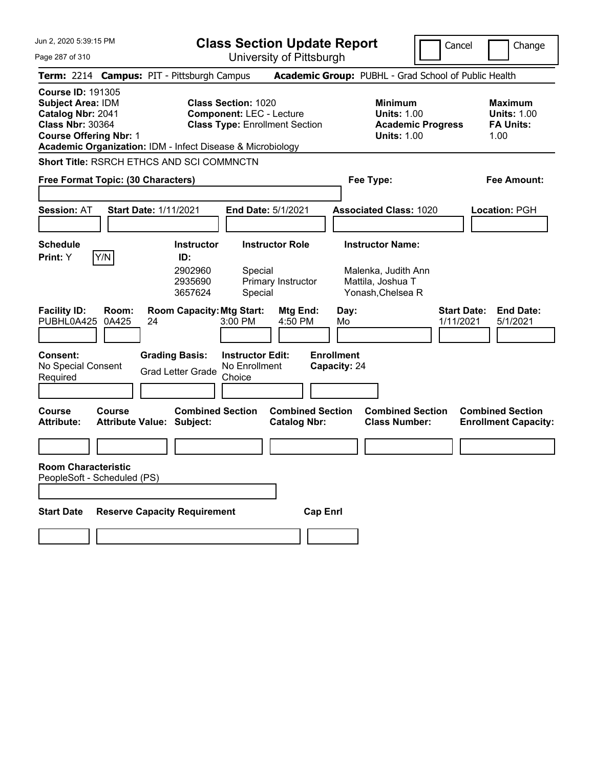Page 287 of 310

**Class Section Update Report**

Cancel Change

|                                                                                                                                       | University of Fittoparyn                                                                                                                                             |                                                                                          |                                                                  |
|---------------------------------------------------------------------------------------------------------------------------------------|----------------------------------------------------------------------------------------------------------------------------------------------------------------------|------------------------------------------------------------------------------------------|------------------------------------------------------------------|
| Term: 2214 Campus: PIT - Pittsburgh Campus                                                                                            |                                                                                                                                                                      | Academic Group: PUBHL - Grad School of Public Health                                     |                                                                  |
| <b>Course ID: 191305</b><br><b>Subject Area: IDM</b><br>Catalog Nbr: 2041<br><b>Class Nbr: 30364</b><br><b>Course Offering Nbr: 1</b> | <b>Class Section: 1020</b><br><b>Component: LEC - Lecture</b><br><b>Class Type: Enrollment Section</b><br>Academic Organization: IDM - Infect Disease & Microbiology | <b>Minimum</b><br><b>Units: 1.00</b><br><b>Academic Progress</b><br><b>Units: 1.00</b>   | <b>Maximum</b><br><b>Units: 1.00</b><br><b>FA Units:</b><br>1.00 |
| Short Title: RSRCH ETHCS AND SCI COMMNCTN                                                                                             |                                                                                                                                                                      |                                                                                          |                                                                  |
| Free Format Topic: (30 Characters)                                                                                                    |                                                                                                                                                                      | Fee Type:                                                                                | Fee Amount:                                                      |
| Session: AT<br><b>Start Date: 1/11/2021</b>                                                                                           | End Date: 5/1/2021                                                                                                                                                   | <b>Associated Class: 1020</b>                                                            | Location: PGH                                                    |
| <b>Schedule</b><br>Y/N<br>Print: Y                                                                                                    | <b>Instructor Role</b><br><b>Instructor</b><br>ID:<br>2902960<br>Special<br>2935690<br>Primary Instructor<br>3657624<br>Special                                      | <b>Instructor Name:</b><br>Malenka, Judith Ann<br>Mattila, Joshua T<br>Yonash, Chelsea R |                                                                  |
| <b>Facility ID:</b><br>Room:<br>PUBHL0A425<br>0A425<br>24                                                                             | <b>Room Capacity: Mtg Start:</b><br>Mtg End:<br>$3:00$ PM<br>4:50 PM                                                                                                 | <b>Start Date:</b><br>Day:<br>1/11/2021<br>Mo                                            | <b>End Date:</b><br>5/1/2021                                     |
| Consent:<br>No Special Consent<br>Required                                                                                            | <b>Grading Basis:</b><br><b>Instructor Edit:</b><br>No Enrollment<br><b>Grad Letter Grade</b><br>Choice                                                              | <b>Enrollment</b><br>Capacity: 24                                                        |                                                                  |
| <b>Course</b><br><b>Course</b><br><b>Attribute:</b><br><b>Attribute Value: Subject:</b>                                               | <b>Combined Section</b><br><b>Combined Section</b><br><b>Catalog Nbr:</b>                                                                                            | <b>Combined Section</b><br><b>Class Number:</b>                                          | <b>Combined Section</b><br><b>Enrollment Capacity:</b>           |
| <b>Room Characteristic</b><br>PeopleSoft - Scheduled (PS)                                                                             |                                                                                                                                                                      |                                                                                          |                                                                  |
| <b>Start Date</b>                                                                                                                     | <b>Reserve Capacity Requirement</b>                                                                                                                                  | <b>Cap Enrl</b>                                                                          |                                                                  |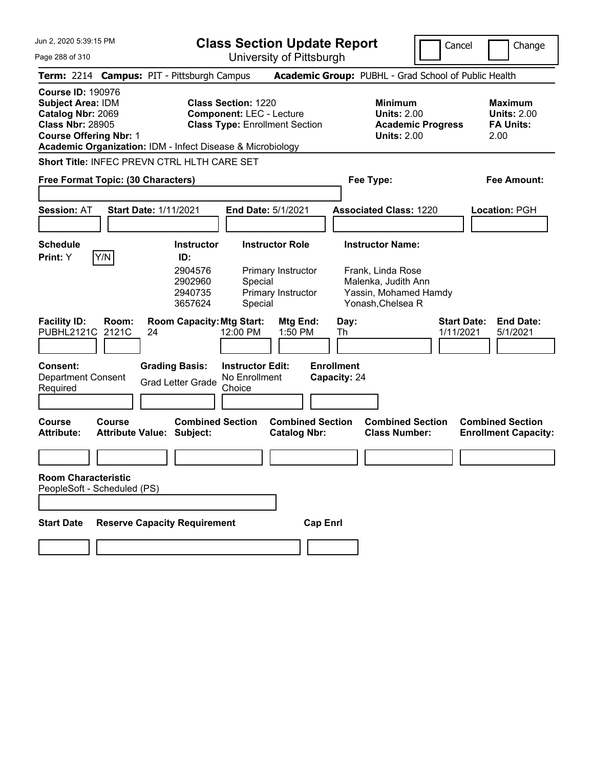**Class Section Update Report**

Cancel **Change** 

| Page 288 of 310                                                                                                                       |                                                                                                                                                                      | University of Pittsburgh                                                                 |                                                                                                                   |                                                                  |
|---------------------------------------------------------------------------------------------------------------------------------------|----------------------------------------------------------------------------------------------------------------------------------------------------------------------|------------------------------------------------------------------------------------------|-------------------------------------------------------------------------------------------------------------------|------------------------------------------------------------------|
|                                                                                                                                       | Term: 2214 Campus: PIT - Pittsburgh Campus                                                                                                                           |                                                                                          | Academic Group: PUBHL - Grad School of Public Health                                                              |                                                                  |
| <b>Course ID: 190976</b><br><b>Subject Area: IDM</b><br>Catalog Nbr: 2069<br><b>Class Nbr: 28905</b><br><b>Course Offering Nbr: 1</b> | <b>Class Section: 1220</b><br><b>Component: LEC - Lecture</b><br><b>Class Type: Enrollment Section</b><br>Academic Organization: IDM - Infect Disease & Microbiology |                                                                                          | <b>Minimum</b><br><b>Units: 2.00</b><br><b>Academic Progress</b><br><b>Units: 2.00</b>                            | <b>Maximum</b><br><b>Units: 2.00</b><br><b>FA Units:</b><br>2.00 |
|                                                                                                                                       | Short Title: INFEC PREVN CTRL HLTH CARE SET                                                                                                                          |                                                                                          |                                                                                                                   |                                                                  |
| Free Format Topic: (30 Characters)                                                                                                    |                                                                                                                                                                      |                                                                                          | Fee Type:                                                                                                         | Fee Amount:                                                      |
| <b>Session: AT</b>                                                                                                                    | <b>Start Date: 1/11/2021</b>                                                                                                                                         | End Date: 5/1/2021                                                                       | <b>Associated Class: 1220</b>                                                                                     | <b>Location: PGH</b>                                             |
| <b>Schedule</b><br>Y/N<br>Print: Y                                                                                                    | <b>Instructor</b><br>ID:<br>2904576<br>2902960<br>2940735<br>3657624                                                                                                 | <b>Instructor Role</b><br>Primary Instructor<br>Special<br>Primary Instructor<br>Special | <b>Instructor Name:</b><br>Frank, Linda Rose<br>Malenka, Judith Ann<br>Yassin, Mohamed Hamdy<br>Yonash, Chelsea R |                                                                  |
| <b>Facility ID:</b><br>Room:<br>PUBHL2121C 2121C<br>Consent:<br><b>Department Consent</b><br>Required                                 | <b>Room Capacity: Mtg Start:</b><br>12:00 PM<br>24<br><b>Grading Basis:</b><br>No Enrollment<br><b>Grad Letter Grade</b><br>Choice                                   | Mtg End:<br>1:50 PM<br><b>Instructor Edit:</b>                                           | Day:<br>Th<br><b>Enrollment</b><br>Capacity: 24                                                                   | <b>Start Date:</b><br><b>End Date:</b><br>1/11/2021<br>5/1/2021  |
| <b>Course</b><br><b>Course</b><br><b>Attribute:</b>                                                                                   | <b>Combined Section</b><br><b>Attribute Value: Subject:</b>                                                                                                          | <b>Combined Section</b><br><b>Catalog Nbr:</b>                                           | <b>Combined Section</b><br><b>Class Number:</b>                                                                   | <b>Combined Section</b><br><b>Enrollment Capacity:</b>           |
|                                                                                                                                       |                                                                                                                                                                      |                                                                                          |                                                                                                                   |                                                                  |
| <b>Room Characteristic</b><br>PeopleSoft - Scheduled (PS)<br><b>Start Date</b>                                                        | <b>Reserve Capacity Requirement</b>                                                                                                                                  | <b>Cap Enrl</b>                                                                          |                                                                                                                   |                                                                  |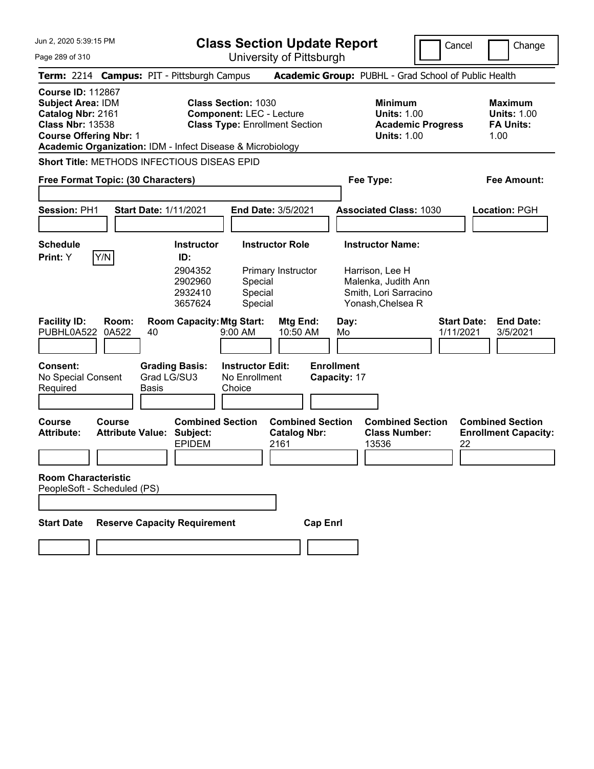Page 289 of 310

**Class Section Update Report**

Cancel Change

University of Pittsburgh

|                                                                                                                                                                                                     |                                                   |                                          | University ULT ittsburght                                                |                                                                                        |                                                                  |
|-----------------------------------------------------------------------------------------------------------------------------------------------------------------------------------------------------|---------------------------------------------------|------------------------------------------|--------------------------------------------------------------------------|----------------------------------------------------------------------------------------|------------------------------------------------------------------|
| Term: 2214 Campus: PIT - Pittsburgh Campus                                                                                                                                                          |                                                   |                                          |                                                                          | Academic Group: PUBHL - Grad School of Public Health                                   |                                                                  |
| <b>Course ID: 112867</b><br><b>Subject Area: IDM</b><br>Catalog Nbr: 2161<br><b>Class Nbr: 13538</b><br><b>Course Offering Nbr: 1</b><br>Academic Organization: IDM - Infect Disease & Microbiology |                                                   | <b>Class Section: 1030</b>               | <b>Component: LEC - Lecture</b><br><b>Class Type: Enrollment Section</b> | <b>Minimum</b><br><b>Units: 1.00</b><br><b>Academic Progress</b><br><b>Units: 1.00</b> | <b>Maximum</b><br><b>Units: 1.00</b><br><b>FA Units:</b><br>1.00 |
| Short Title: METHODS INFECTIOUS DISEAS EPID                                                                                                                                                         |                                                   |                                          |                                                                          |                                                                                        |                                                                  |
| Free Format Topic: (30 Characters)                                                                                                                                                                  |                                                   |                                          |                                                                          | Fee Type:                                                                              | Fee Amount:                                                      |
| <b>Session: PH1</b>                                                                                                                                                                                 | <b>Start Date: 1/11/2021</b>                      |                                          | <b>End Date: 3/5/2021</b>                                                | <b>Associated Class: 1030</b>                                                          | Location: PGH                                                    |
| <b>Schedule</b><br>Print: Y<br>Y/N                                                                                                                                                                  |                                                   | <b>Instructor</b><br>ID:                 | <b>Instructor Role</b>                                                   | <b>Instructor Name:</b>                                                                |                                                                  |
|                                                                                                                                                                                                     |                                                   | 2904352<br>2902960<br>2932410<br>3657624 | Primary Instructor<br>Special<br>Special<br>Special                      | Harrison, Lee H<br>Malenka, Judith Ann<br>Smith, Lori Sarracino<br>Yonash, Chelsea R   |                                                                  |
| <b>Facility ID:</b><br>PUBHL0A522                                                                                                                                                                   | Room:<br>0A522<br>40                              | <b>Room Capacity: Mtg Start:</b>         | Mtg End:<br>9:00 AM<br>10:50 AM                                          | Day:<br>Mo                                                                             | <b>Start Date:</b><br><b>End Date:</b><br>1/11/2021<br>3/5/2021  |
| <b>Consent:</b><br>No Special Consent<br>Required                                                                                                                                                   | Grad LG/SU3<br>Basis                              | <b>Grading Basis:</b>                    | <b>Instructor Edit:</b><br>No Enrollment<br>Choice                       | <b>Enrollment</b><br>Capacity: 17                                                      |                                                                  |
| <b>Course</b><br>Attribute:                                                                                                                                                                         | <b>Course</b><br><b>Attribute Value: Subject:</b> | <b>Combined Section</b><br><b>EPIDEM</b> | <b>Combined Section</b><br><b>Catalog Nbr:</b><br>2161                   | <b>Combined Section</b><br><b>Class Number:</b><br>13536                               | <b>Combined Section</b><br><b>Enrollment Capacity:</b><br>22     |
| <b>Room Characteristic</b><br>PeopleSoft - Scheduled (PS)                                                                                                                                           |                                                   |                                          |                                                                          |                                                                                        |                                                                  |
| <b>Start Date</b>                                                                                                                                                                                   |                                                   | <b>Reserve Capacity Requirement</b>      | <b>Cap Enrl</b>                                                          |                                                                                        |                                                                  |
|                                                                                                                                                                                                     |                                                   |                                          |                                                                          |                                                                                        |                                                                  |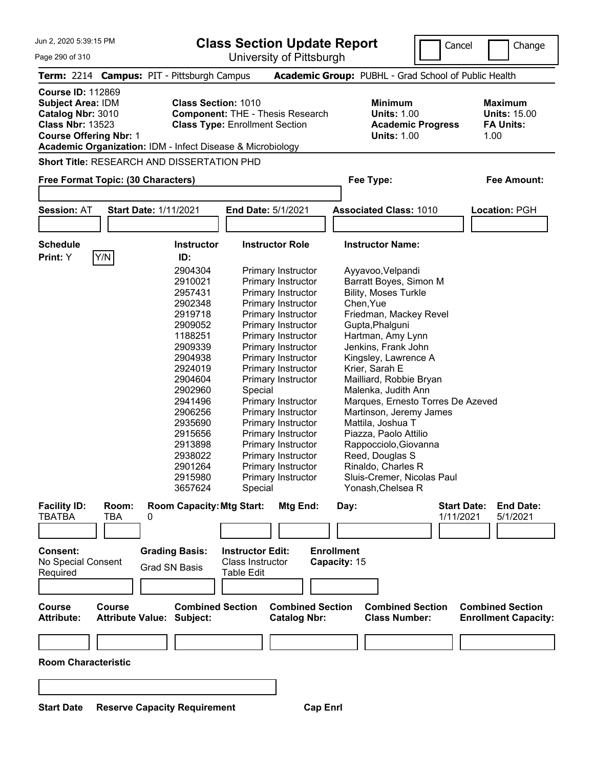**Class Section Update Report**

University of Pittsburgh

Cancel Change

| Page 290 of 310 |
|-----------------|
|-----------------|

| Term: 2214 Campus: PIT - Pittsburgh Campus                                                                                                                                                          |               |                                  |                                     |                                                                                  |                                                |                 |                   | <b>Academic Group: PUBHL - Grad School of Public Health</b>                            |                                 |                                                                   |
|-----------------------------------------------------------------------------------------------------------------------------------------------------------------------------------------------------|---------------|----------------------------------|-------------------------------------|----------------------------------------------------------------------------------|------------------------------------------------|-----------------|-------------------|----------------------------------------------------------------------------------------|---------------------------------|-------------------------------------------------------------------|
| <b>Course ID: 112869</b><br><b>Subject Area: IDM</b><br>Catalog Nbr: 3010<br><b>Class Nbr: 13523</b><br><b>Course Offering Nbr: 1</b><br>Academic Organization: IDM - Infect Disease & Microbiology |               |                                  | <b>Class Section: 1010</b>          | <b>Component: THE - Thesis Research</b><br><b>Class Type: Enrollment Section</b> |                                                |                 |                   | <b>Minimum</b><br><b>Units: 1.00</b><br><b>Academic Progress</b><br><b>Units: 1.00</b> |                                 | <b>Maximum</b><br><b>Units: 15.00</b><br><b>FA Units:</b><br>1.00 |
| <b>Short Title: RESEARCH AND DISSERTATION PHD</b>                                                                                                                                                   |               |                                  |                                     |                                                                                  |                                                |                 |                   |                                                                                        |                                 |                                                                   |
| Free Format Topic: (30 Characters)                                                                                                                                                                  |               |                                  |                                     |                                                                                  |                                                |                 |                   | Fee Type:                                                                              |                                 | <b>Fee Amount:</b>                                                |
|                                                                                                                                                                                                     |               |                                  |                                     |                                                                                  |                                                |                 |                   |                                                                                        |                                 |                                                                   |
| <b>Session: AT</b>                                                                                                                                                                                  |               | <b>Start Date: 1/11/2021</b>     |                                     | <b>End Date: 5/1/2021</b>                                                        |                                                |                 |                   | <b>Associated Class: 1010</b>                                                          |                                 | Location: PGH                                                     |
|                                                                                                                                                                                                     |               |                                  |                                     |                                                                                  |                                                |                 |                   |                                                                                        |                                 |                                                                   |
| <b>Schedule</b>                                                                                                                                                                                     |               |                                  | <b>Instructor</b>                   |                                                                                  | <b>Instructor Role</b>                         |                 |                   | <b>Instructor Name:</b>                                                                |                                 |                                                                   |
| Print: Y                                                                                                                                                                                            | Y/N           |                                  | ID:                                 |                                                                                  |                                                |                 |                   |                                                                                        |                                 |                                                                   |
|                                                                                                                                                                                                     |               |                                  | 2904304                             |                                                                                  | Primary Instructor                             |                 |                   | Ayyavoo, Velpandi                                                                      |                                 |                                                                   |
|                                                                                                                                                                                                     |               |                                  | 2910021                             |                                                                                  | Primary Instructor                             |                 |                   | Barratt Boyes, Simon M                                                                 |                                 |                                                                   |
|                                                                                                                                                                                                     |               |                                  | 2957431                             |                                                                                  | Primary Instructor                             |                 |                   | <b>Bility, Moses Turkle</b>                                                            |                                 |                                                                   |
|                                                                                                                                                                                                     |               |                                  | 2902348                             |                                                                                  | Primary Instructor                             |                 |                   | Chen, Yue                                                                              |                                 |                                                                   |
|                                                                                                                                                                                                     |               |                                  | 2919718                             |                                                                                  | Primary Instructor                             |                 |                   | Friedman, Mackey Revel                                                                 |                                 |                                                                   |
|                                                                                                                                                                                                     |               |                                  | 2909052                             |                                                                                  | Primary Instructor                             |                 |                   | Gupta, Phalguni                                                                        |                                 |                                                                   |
|                                                                                                                                                                                                     |               |                                  | 1188251                             |                                                                                  | Primary Instructor                             |                 |                   | Hartman, Amy Lynn                                                                      |                                 |                                                                   |
|                                                                                                                                                                                                     |               |                                  | 2909339                             |                                                                                  | Primary Instructor                             |                 |                   | Jenkins, Frank John                                                                    |                                 |                                                                   |
|                                                                                                                                                                                                     |               |                                  | 2904938                             |                                                                                  | Primary Instructor                             |                 |                   | Kingsley, Lawrence A                                                                   |                                 |                                                                   |
|                                                                                                                                                                                                     |               |                                  | 2924019                             |                                                                                  | Primary Instructor                             |                 |                   | Krier, Sarah E                                                                         |                                 |                                                                   |
|                                                                                                                                                                                                     |               |                                  | 2904604                             |                                                                                  | Primary Instructor                             |                 |                   | Mailliard, Robbie Bryan                                                                |                                 |                                                                   |
|                                                                                                                                                                                                     |               |                                  | 2902960                             | Special                                                                          |                                                |                 |                   | Malenka, Judith Ann                                                                    |                                 |                                                                   |
|                                                                                                                                                                                                     |               |                                  | 2941496                             |                                                                                  | Primary Instructor                             |                 |                   | Marques, Ernesto Torres De Azeved                                                      |                                 |                                                                   |
|                                                                                                                                                                                                     |               |                                  | 2906256                             |                                                                                  | Primary Instructor                             |                 |                   | Martinson, Jeremy James                                                                |                                 |                                                                   |
|                                                                                                                                                                                                     |               |                                  | 2935690                             |                                                                                  | Primary Instructor                             |                 |                   | Mattila, Joshua T                                                                      |                                 |                                                                   |
|                                                                                                                                                                                                     |               |                                  | 2915656                             |                                                                                  | Primary Instructor                             |                 |                   | Piazza, Paolo Attilio                                                                  |                                 |                                                                   |
|                                                                                                                                                                                                     |               |                                  | 2913898                             |                                                                                  | Primary Instructor                             |                 |                   | Rappocciolo, Giovanna                                                                  |                                 |                                                                   |
|                                                                                                                                                                                                     |               |                                  | 2938022                             |                                                                                  | Primary Instructor                             |                 |                   | Reed, Douglas S                                                                        |                                 |                                                                   |
|                                                                                                                                                                                                     |               |                                  | 2901264                             |                                                                                  |                                                |                 |                   |                                                                                        |                                 |                                                                   |
|                                                                                                                                                                                                     |               |                                  |                                     |                                                                                  | Primary Instructor                             |                 |                   | Rinaldo, Charles R                                                                     |                                 |                                                                   |
|                                                                                                                                                                                                     |               |                                  | 2915980                             |                                                                                  | Primary Instructor                             |                 |                   | Sluis-Cremer, Nicolas Paul                                                             |                                 |                                                                   |
|                                                                                                                                                                                                     |               |                                  | 3657624                             | Special                                                                          |                                                |                 |                   | Yonash, Chelsea R                                                                      |                                 |                                                                   |
| <b>Facility ID:</b><br><b>TBATBA</b>                                                                                                                                                                | Room:<br>TBA  | 0                                | <b>Room Capacity: Mtg Start:</b>    |                                                                                  | Mtg End:                                       |                 | Day:              |                                                                                        | <b>Start Date:</b><br>1/11/2021 | <b>End Date:</b><br>5/1/2021                                      |
|                                                                                                                                                                                                     |               |                                  |                                     |                                                                                  |                                                |                 |                   |                                                                                        |                                 |                                                                   |
|                                                                                                                                                                                                     |               |                                  |                                     |                                                                                  |                                                |                 |                   |                                                                                        |                                 |                                                                   |
| Consent:                                                                                                                                                                                            |               | <b>Grading Basis:</b>            |                                     | <b>Instructor Edit:</b>                                                          |                                                |                 | <b>Enrollment</b> |                                                                                        |                                 |                                                                   |
| No Special Consent                                                                                                                                                                                  |               |                                  |                                     | <b>Class Instructor</b>                                                          |                                                |                 | Capacity: 15      |                                                                                        |                                 |                                                                   |
| Required                                                                                                                                                                                            |               | <b>Grad SN Basis</b>             |                                     | <b>Table Edit</b>                                                                |                                                |                 |                   |                                                                                        |                                 |                                                                   |
|                                                                                                                                                                                                     |               |                                  |                                     |                                                                                  |                                                |                 |                   |                                                                                        |                                 |                                                                   |
|                                                                                                                                                                                                     |               |                                  |                                     |                                                                                  |                                                |                 |                   |                                                                                        |                                 |                                                                   |
| <b>Course</b><br><b>Attribute:</b>                                                                                                                                                                  | <b>Course</b> | <b>Attribute Value: Subject:</b> | <b>Combined Section</b>             |                                                                                  | <b>Combined Section</b><br><b>Catalog Nbr:</b> |                 |                   | <b>Combined Section</b><br><b>Class Number:</b>                                        |                                 | <b>Combined Section</b><br><b>Enrollment Capacity:</b>            |
|                                                                                                                                                                                                     |               |                                  |                                     |                                                                                  |                                                |                 |                   |                                                                                        |                                 |                                                                   |
|                                                                                                                                                                                                     |               |                                  |                                     |                                                                                  |                                                |                 |                   |                                                                                        |                                 |                                                                   |
| <b>Room Characteristic</b>                                                                                                                                                                          |               |                                  |                                     |                                                                                  |                                                |                 |                   |                                                                                        |                                 |                                                                   |
|                                                                                                                                                                                                     |               |                                  |                                     |                                                                                  |                                                |                 |                   |                                                                                        |                                 |                                                                   |
|                                                                                                                                                                                                     |               |                                  |                                     |                                                                                  |                                                |                 |                   |                                                                                        |                                 |                                                                   |
| <b>Start Date</b>                                                                                                                                                                                   |               |                                  | <b>Reserve Capacity Requirement</b> |                                                                                  |                                                | <b>Cap Enrl</b> |                   |                                                                                        |                                 |                                                                   |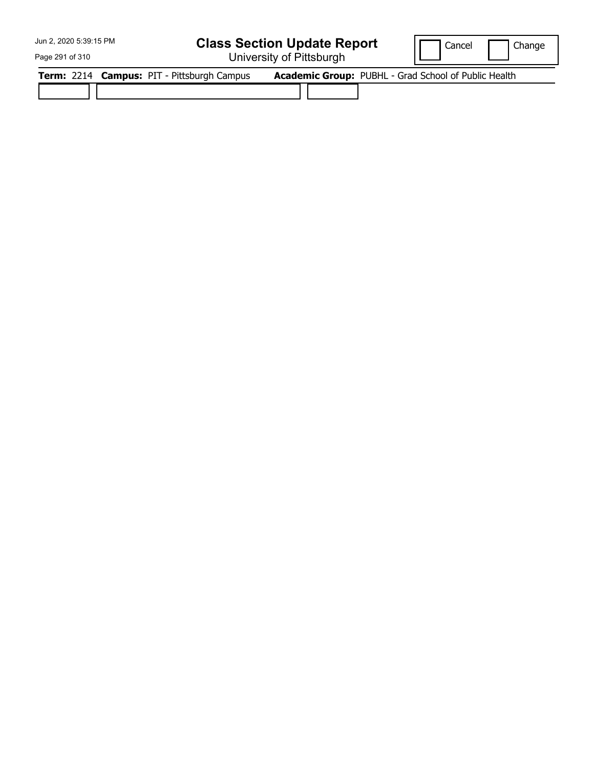## **Class Section Update Report**

University of Pittsburgh

Cancel Change

Page 291 of 310

|  | Term: 2214 Campus: PIT - Pittsburgh Campus |  | <b>Academic Group: PUBHL - Grad School of Public Health</b> |
|--|--------------------------------------------|--|-------------------------------------------------------------|
|  |                                            |  |                                                             |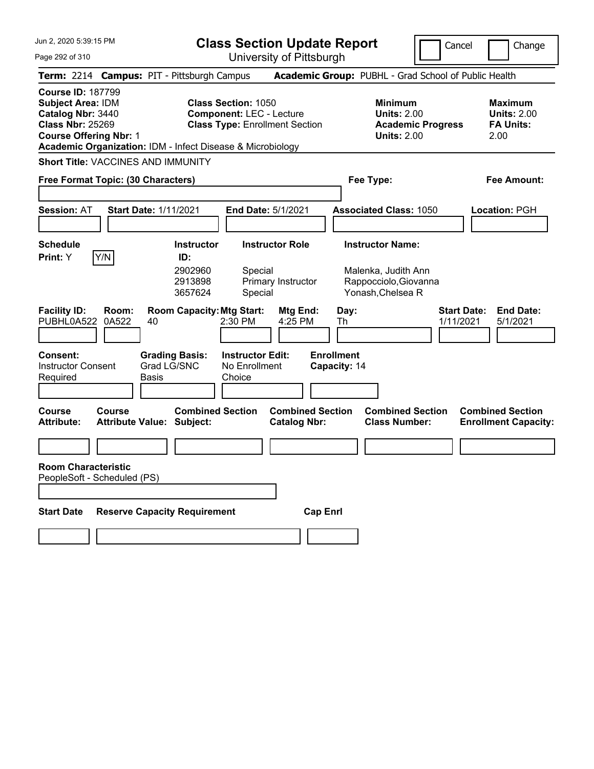**Class Section Update Report**

Cancel **Change** 

| Page 292 of 310                                                                                                                                                                                                                                                                                        |                                                                                | University of Pittsburgh                            |                                                |                                                                                        |                                                                 |
|--------------------------------------------------------------------------------------------------------------------------------------------------------------------------------------------------------------------------------------------------------------------------------------------------------|--------------------------------------------------------------------------------|-----------------------------------------------------|------------------------------------------------|----------------------------------------------------------------------------------------|-----------------------------------------------------------------|
| Term: 2214 Campus: PIT - Pittsburgh Campus                                                                                                                                                                                                                                                             |                                                                                |                                                     |                                                | Academic Group: PUBHL - Grad School of Public Health                                   |                                                                 |
| <b>Course ID: 187799</b><br>Subject Area: IDM<br><b>Class Section: 1050</b><br>Catalog Nbr: 3440<br><b>Component: LEC - Lecture</b><br><b>Class Nbr: 25269</b><br><b>Class Type: Enrollment Section</b><br><b>Course Offering Nbr: 1</b><br>Academic Organization: IDM - Infect Disease & Microbiology |                                                                                |                                                     |                                                | <b>Minimum</b><br><b>Units: 2.00</b><br><b>Academic Progress</b><br><b>Units: 2.00</b> | Maximum<br><b>Units: 2.00</b><br><b>FA Units:</b><br>2.00       |
| Short Title: VACCINES AND IMMUNITY                                                                                                                                                                                                                                                                     |                                                                                |                                                     |                                                |                                                                                        |                                                                 |
| Free Format Topic: (30 Characters)                                                                                                                                                                                                                                                                     |                                                                                |                                                     |                                                | Fee Type:                                                                              | Fee Amount:                                                     |
| <b>Session: AT</b>                                                                                                                                                                                                                                                                                     | <b>Start Date: 1/11/2021</b>                                                   | <b>End Date: 5/1/2021</b>                           |                                                | <b>Associated Class: 1050</b>                                                          | Location: PGH                                                   |
| <b>Schedule</b>                                                                                                                                                                                                                                                                                        | <b>Instructor</b>                                                              | <b>Instructor Role</b>                              |                                                | <b>Instructor Name:</b>                                                                |                                                                 |
| Y/N<br>Print: Y<br><b>Facility ID:</b><br>Room:<br>PUBHL0A522<br>0A522                                                                                                                                                                                                                                 | ID:<br>2902960<br>2913898<br>3657624<br><b>Room Capacity: Mtg Start:</b><br>40 | Special<br>Primary Instructor<br>Special<br>2:30 PM | Mtg End:<br>Day:<br>4:25 PM<br>Th              | Malenka, Judith Ann<br>Rappocciolo, Giovanna<br>Yonash, Chelsea R                      | <b>Start Date:</b><br><b>End Date:</b><br>1/11/2021<br>5/1/2021 |
| Consent:<br><b>Instructor Consent</b><br>Required                                                                                                                                                                                                                                                      | <b>Grading Basis:</b><br>Grad LG/SNC<br>Basis                                  | <b>Instructor Edit:</b><br>No Enrollment<br>Choice  | <b>Enrollment</b><br>Capacity: 14              |                                                                                        |                                                                 |
| Course<br>Course<br><b>Attribute:</b>                                                                                                                                                                                                                                                                  | <b>Combined Section</b><br><b>Attribute Value: Subject:</b>                    |                                                     | <b>Combined Section</b><br><b>Catalog Nbr:</b> | <b>Combined Section</b><br><b>Class Number:</b>                                        | <b>Combined Section</b><br><b>Enrollment Capacity:</b>          |
|                                                                                                                                                                                                                                                                                                        |                                                                                |                                                     |                                                |                                                                                        |                                                                 |
| <b>Room Characteristic</b><br>PeopleSoft - Scheduled (PS)                                                                                                                                                                                                                                              |                                                                                |                                                     |                                                |                                                                                        |                                                                 |
| <b>Start Date</b>                                                                                                                                                                                                                                                                                      | <b>Reserve Capacity Requirement</b>                                            |                                                     | <b>Cap Enri</b>                                |                                                                                        |                                                                 |
|                                                                                                                                                                                                                                                                                                        |                                                                                |                                                     |                                                |                                                                                        |                                                                 |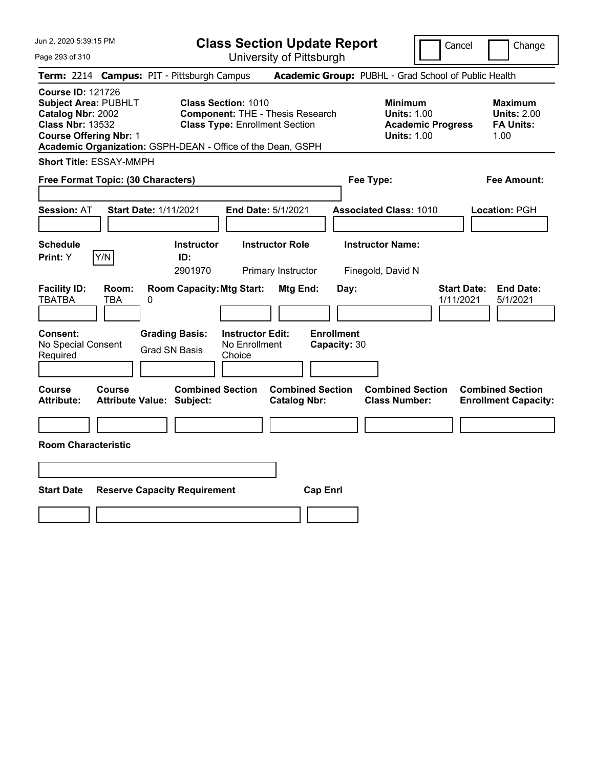| Jun 2, 2020 5:39:15 PM<br>Page 293 of 310                                                                                                                                                               | <b>Class Section Update Report</b><br>University of Pittsburgh                                                 | Cancel<br>Change                                                                                                                                           |
|---------------------------------------------------------------------------------------------------------------------------------------------------------------------------------------------------------|----------------------------------------------------------------------------------------------------------------|------------------------------------------------------------------------------------------------------------------------------------------------------------|
| Term: 2214 Campus: PIT - Pittsburgh Campus                                                                                                                                                              |                                                                                                                | Academic Group: PUBHL - Grad School of Public Health                                                                                                       |
| <b>Course ID: 121726</b><br><b>Subject Area: PUBHLT</b><br>Catalog Nbr: 2002<br><b>Class Nbr: 13532</b><br><b>Course Offering Nbr: 1</b><br>Academic Organization: GSPH-DEAN - Office of the Dean, GSPH | <b>Class Section: 1010</b><br><b>Component: THE - Thesis Research</b><br><b>Class Type: Enrollment Section</b> | <b>Minimum</b><br><b>Maximum</b><br><b>Units: 1.00</b><br><b>Units: 2.00</b><br><b>Academic Progress</b><br><b>FA Units:</b><br><b>Units: 1.00</b><br>1.00 |
| <b>Short Title: ESSAY-MMPH</b>                                                                                                                                                                          |                                                                                                                |                                                                                                                                                            |
| Free Format Topic: (30 Characters)                                                                                                                                                                      | Fee Type:                                                                                                      | <b>Fee Amount:</b>                                                                                                                                         |
| <b>Start Date: 1/11/2021</b><br><b>Session: AT</b>                                                                                                                                                      | End Date: 5/1/2021                                                                                             | <b>Associated Class: 1010</b><br>Location: PGH                                                                                                             |
| <b>Schedule</b><br>Y/N<br>Print: Y                                                                                                                                                                      | <b>Instructor Role</b><br><b>Instructor</b><br>ID:<br>2901970<br>Primary Instructor                            | <b>Instructor Name:</b><br>Finegold, David N                                                                                                               |
| <b>Facility ID:</b><br>Room:<br><b>TBATBA</b><br>TBA<br>0                                                                                                                                               | <b>Room Capacity: Mtg Start:</b><br>Mtg End:<br>Day:                                                           | <b>Start Date:</b><br><b>End Date:</b><br>1/11/2021<br>5/1/2021                                                                                            |
| <b>Grading Basis:</b><br><b>Consent:</b><br>No Special Consent<br><b>Grad SN Basis</b><br>Required                                                                                                      | <b>Instructor Edit:</b><br><b>Enrollment</b><br>No Enrollment<br>Capacity: 30<br>Choice                        |                                                                                                                                                            |
| <b>Course</b><br><b>Course</b><br><b>Attribute:</b><br><b>Attribute Value: Subject:</b>                                                                                                                 | <b>Combined Section</b><br><b>Combined Section</b><br><b>Catalog Nbr:</b>                                      | <b>Combined Section</b><br><b>Combined Section</b><br><b>Class Number:</b><br><b>Enrollment Capacity:</b>                                                  |
| <b>Room Characteristic</b>                                                                                                                                                                              |                                                                                                                |                                                                                                                                                            |
|                                                                                                                                                                                                         |                                                                                                                |                                                                                                                                                            |
|                                                                                                                                                                                                         |                                                                                                                |                                                                                                                                                            |
| <b>Start Date</b><br><b>Reserve Capacity Requirement</b>                                                                                                                                                | <b>Cap Enrl</b>                                                                                                |                                                                                                                                                            |
|                                                                                                                                                                                                         |                                                                                                                |                                                                                                                                                            |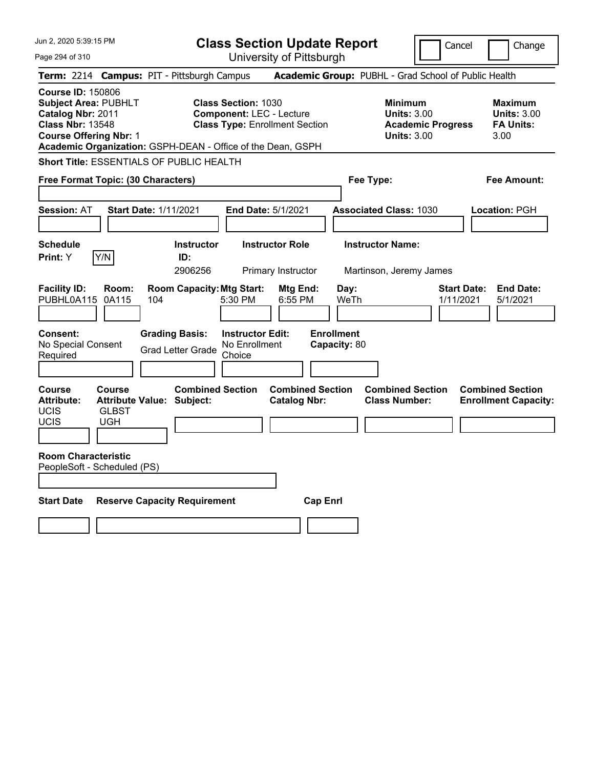| Jun 2, 2020 5:39:15 PM<br>Page 294 of 310                                                                                                |                                             |                                                             |                                                               | <b>Class Section Update Report</b>             |                                   |                                                                                        | Cancel                          | Change                                                           |
|------------------------------------------------------------------------------------------------------------------------------------------|---------------------------------------------|-------------------------------------------------------------|---------------------------------------------------------------|------------------------------------------------|-----------------------------------|----------------------------------------------------------------------------------------|---------------------------------|------------------------------------------------------------------|
|                                                                                                                                          |                                             |                                                             |                                                               | University of Pittsburgh                       |                                   |                                                                                        |                                 |                                                                  |
|                                                                                                                                          |                                             | Term: 2214 Campus: PIT - Pittsburgh Campus                  |                                                               |                                                |                                   | Academic Group: PUBHL - Grad School of Public Health                                   |                                 |                                                                  |
| <b>Course ID: 150806</b><br><b>Subject Area: PUBHLT</b><br>Catalog Nbr: 2011<br><b>Class Nbr: 13548</b><br><b>Course Offering Nbr: 1</b> |                                             | Academic Organization: GSPH-DEAN - Office of the Dean, GSPH | <b>Class Section: 1030</b><br><b>Component: LEC - Lecture</b> | <b>Class Type: Enrollment Section</b>          |                                   | <b>Minimum</b><br><b>Units: 3.00</b><br><b>Academic Progress</b><br><b>Units: 3.00</b> |                                 | <b>Maximum</b><br><b>Units: 3.00</b><br><b>FA Units:</b><br>3.00 |
|                                                                                                                                          |                                             | Short Title: ESSENTIALS OF PUBLIC HEALTH                    |                                                               |                                                |                                   |                                                                                        |                                 |                                                                  |
| Free Format Topic: (30 Characters)                                                                                                       |                                             |                                                             |                                                               |                                                | Fee Type:                         |                                                                                        |                                 | Fee Amount:                                                      |
| <b>Session: AT</b>                                                                                                                       |                                             | <b>Start Date: 1/11/2021</b>                                | End Date: 5/1/2021                                            |                                                |                                   | <b>Associated Class: 1030</b>                                                          |                                 | Location: PGH                                                    |
| <b>Schedule</b>                                                                                                                          |                                             | <b>Instructor</b>                                           |                                                               | <b>Instructor Role</b>                         |                                   | <b>Instructor Name:</b>                                                                |                                 |                                                                  |
| <b>Print:</b> Y                                                                                                                          | Y/N                                         | ID:                                                         |                                                               |                                                |                                   |                                                                                        |                                 |                                                                  |
|                                                                                                                                          |                                             | 2906256                                                     |                                                               | Primary Instructor                             |                                   | Martinson, Jeremy James                                                                |                                 |                                                                  |
| <b>Facility ID:</b><br>PUBHL0A115                                                                                                        | Room:<br>0A115                              | <b>Room Capacity: Mtg Start:</b><br>104                     | 5:30 PM                                                       | Mtg End:<br>6:55 PM                            | Day:<br>WeTh                      |                                                                                        | <b>Start Date:</b><br>1/11/2021 | <b>End Date:</b><br>5/1/2021                                     |
| <b>Consent:</b><br>No Special Consent<br>Required                                                                                        |                                             | <b>Grading Basis:</b><br><b>Grad Letter Grade</b>           | <b>Instructor Edit:</b><br>No Enrollment<br>Choice            |                                                | <b>Enrollment</b><br>Capacity: 80 |                                                                                        |                                 |                                                                  |
| Course<br><b>Attribute:</b><br>UCIS<br><b>UCIS</b>                                                                                       | <b>Course</b><br><b>GLBST</b><br><b>UGH</b> | <b>Combined Section</b><br><b>Attribute Value: Subject:</b> |                                                               | <b>Combined Section</b><br><b>Catalog Nbr:</b> |                                   | <b>Combined Section</b><br><b>Class Number:</b>                                        |                                 | <b>Combined Section</b><br><b>Enrollment Capacity:</b>           |
| <b>Room Characteristic</b><br>PeopleSoft - Scheduled (PS)                                                                                |                                             |                                                             |                                                               |                                                |                                   |                                                                                        |                                 |                                                                  |
| <b>Start Date</b>                                                                                                                        |                                             | <b>Reserve Capacity Requirement</b>                         |                                                               | <b>Cap Enrl</b>                                |                                   |                                                                                        |                                 |                                                                  |
|                                                                                                                                          |                                             |                                                             |                                                               |                                                |                                   |                                                                                        |                                 |                                                                  |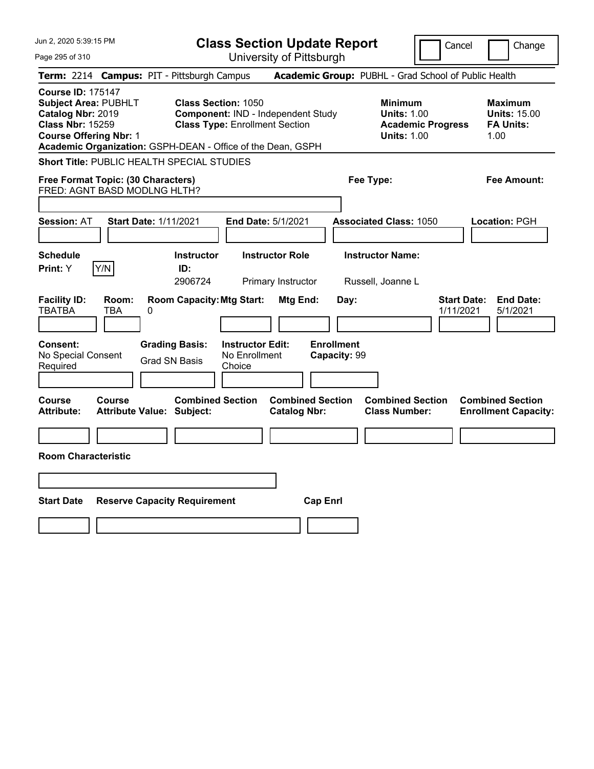| Jun 2, 2020 5:39:15 PM                                                                                                                                                                                  | <b>Class Section Update Report</b><br>Cancel                                                                                                                                                        | Change                                                            |
|---------------------------------------------------------------------------------------------------------------------------------------------------------------------------------------------------------|-----------------------------------------------------------------------------------------------------------------------------------------------------------------------------------------------------|-------------------------------------------------------------------|
| Page 295 of 310                                                                                                                                                                                         | University of Pittsburgh                                                                                                                                                                            |                                                                   |
| Term: 2214 Campus: PIT - Pittsburgh Campus                                                                                                                                                              | Academic Group: PUBHL - Grad School of Public Health                                                                                                                                                |                                                                   |
| <b>Course ID: 175147</b><br><b>Subject Area: PUBHLT</b><br>Catalog Nbr: 2019<br><b>Class Nbr: 15259</b><br><b>Course Offering Nbr: 1</b><br>Academic Organization: GSPH-DEAN - Office of the Dean, GSPH | <b>Class Section: 1050</b><br><b>Minimum</b><br>Component: IND - Independent Study<br><b>Units: 1.00</b><br><b>Class Type: Enrollment Section</b><br><b>Academic Progress</b><br><b>Units: 1.00</b> | <b>Maximum</b><br><b>Units: 15.00</b><br><b>FA Units:</b><br>1.00 |
| Short Title: PUBLIC HEALTH SPECIAL STUDIES                                                                                                                                                              |                                                                                                                                                                                                     |                                                                   |
| Free Format Topic: (30 Characters)<br>FRED: AGNT BASD MODLNG HLTH?                                                                                                                                      | Fee Type:                                                                                                                                                                                           | <b>Fee Amount:</b>                                                |
|                                                                                                                                                                                                         |                                                                                                                                                                                                     |                                                                   |
| <b>Session: AT</b><br><b>Start Date: 1/11/2021</b>                                                                                                                                                      | End Date: 5/1/2021<br><b>Associated Class: 1050</b>                                                                                                                                                 | <b>Location: PGH</b>                                              |
| <b>Schedule</b><br>Print: Y<br>Y/N<br>ID:                                                                                                                                                               | <b>Instructor Role</b><br><b>Instructor Name:</b><br><b>Instructor</b><br>2906724<br>Primary Instructor<br>Russell, Joanne L                                                                        |                                                                   |
| <b>Facility ID:</b><br>Room:<br><b>TBATBA</b><br>TBA<br>0                                                                                                                                               | <b>Room Capacity: Mtg Start:</b><br><b>Start Date:</b><br>Mtg End:<br>Day:<br>1/11/2021                                                                                                             | <b>End Date:</b><br>5/1/2021                                      |
| <b>Grading Basis:</b><br>Consent:<br>No Special Consent<br>Grad SN Basis<br>Required                                                                                                                    | <b>Instructor Edit:</b><br><b>Enrollment</b><br>No Enrollment<br>Capacity: 99<br>Choice                                                                                                             |                                                                   |
| Course<br>Course<br><b>Attribute:</b><br><b>Attribute Value: Subject:</b>                                                                                                                               | <b>Combined Section</b><br><b>Combined Section</b><br><b>Combined Section</b><br><b>Catalog Nbr:</b><br><b>Class Number:</b>                                                                        | <b>Combined Section</b><br><b>Enrollment Capacity:</b>            |
|                                                                                                                                                                                                         |                                                                                                                                                                                                     |                                                                   |
| <b>Room Characteristic</b>                                                                                                                                                                              |                                                                                                                                                                                                     |                                                                   |
|                                                                                                                                                                                                         |                                                                                                                                                                                                     |                                                                   |
| <b>Start Date</b><br><b>Reserve Capacity Requirement</b>                                                                                                                                                | <b>Cap Enrl</b>                                                                                                                                                                                     |                                                                   |
|                                                                                                                                                                                                         |                                                                                                                                                                                                     |                                                                   |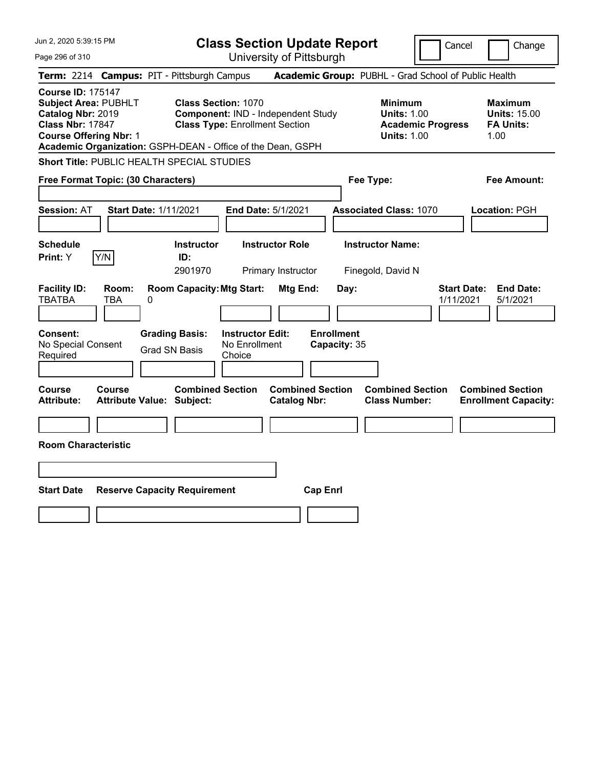| Jun 2, 2020 5:39:15 PM                                                                                                                   | <b>Class Section Update Report</b><br>Cancel                                                                                                                                                                                                                       | Change                                                            |
|------------------------------------------------------------------------------------------------------------------------------------------|--------------------------------------------------------------------------------------------------------------------------------------------------------------------------------------------------------------------------------------------------------------------|-------------------------------------------------------------------|
| Page 296 of 310                                                                                                                          | University of Pittsburgh                                                                                                                                                                                                                                           |                                                                   |
| Term: 2214 Campus: PIT - Pittsburgh Campus                                                                                               | Academic Group: PUBHL - Grad School of Public Health                                                                                                                                                                                                               |                                                                   |
| <b>Course ID: 175147</b><br><b>Subject Area: PUBHLT</b><br>Catalog Nbr: 2019<br><b>Class Nbr: 17847</b><br><b>Course Offering Nbr: 1</b> | <b>Class Section: 1070</b><br><b>Minimum</b><br><b>Units: 1.00</b><br>Component: IND - Independent Study<br><b>Class Type: Enrollment Section</b><br><b>Academic Progress</b><br><b>Units: 1.00</b><br>Academic Organization: GSPH-DEAN - Office of the Dean, GSPH | <b>Maximum</b><br><b>Units: 15.00</b><br><b>FA Units:</b><br>1.00 |
| Short Title: PUBLIC HEALTH SPECIAL STUDIES                                                                                               |                                                                                                                                                                                                                                                                    |                                                                   |
| Free Format Topic: (30 Characters)                                                                                                       | Fee Type:                                                                                                                                                                                                                                                          | Fee Amount:                                                       |
| Session: AT<br><b>Start Date: 1/11/2021</b>                                                                                              | End Date: 5/1/2021<br><b>Associated Class: 1070</b>                                                                                                                                                                                                                | Location: PGH                                                     |
| <b>Schedule</b><br>Y/N<br>Print: Y                                                                                                       | <b>Instructor Role</b><br><b>Instructor Name:</b><br><b>Instructor</b><br>ID:<br>2901970<br>Primary Instructor<br>Finegold, David N                                                                                                                                |                                                                   |
| <b>Facility ID:</b><br>Room:<br><b>TBATBA</b><br>0<br>TBA                                                                                | <b>Room Capacity: Mtg Start:</b><br><b>Start Date:</b><br>Mtg End:<br>Day:<br>1/11/2021                                                                                                                                                                            | <b>End Date:</b><br>5/1/2021                                      |
| Consent:<br>No Special Consent<br>Required                                                                                               | <b>Enrollment</b><br><b>Grading Basis:</b><br><b>Instructor Edit:</b><br>No Enrollment<br>Capacity: 35<br><b>Grad SN Basis</b><br>Choice                                                                                                                           |                                                                   |
| <b>Course</b><br>Course<br><b>Attribute:</b><br><b>Attribute Value: Subject:</b>                                                         | <b>Combined Section</b><br><b>Combined Section</b><br><b>Combined Section</b><br><b>Catalog Nbr:</b><br><b>Class Number:</b>                                                                                                                                       | <b>Combined Section</b><br><b>Enrollment Capacity:</b>            |
|                                                                                                                                          |                                                                                                                                                                                                                                                                    |                                                                   |
| <b>Room Characteristic</b>                                                                                                               |                                                                                                                                                                                                                                                                    |                                                                   |
|                                                                                                                                          |                                                                                                                                                                                                                                                                    |                                                                   |
| <b>Start Date</b><br><b>Reserve Capacity Requirement</b>                                                                                 | <b>Cap Enrl</b>                                                                                                                                                                                                                                                    |                                                                   |
|                                                                                                                                          |                                                                                                                                                                                                                                                                    |                                                                   |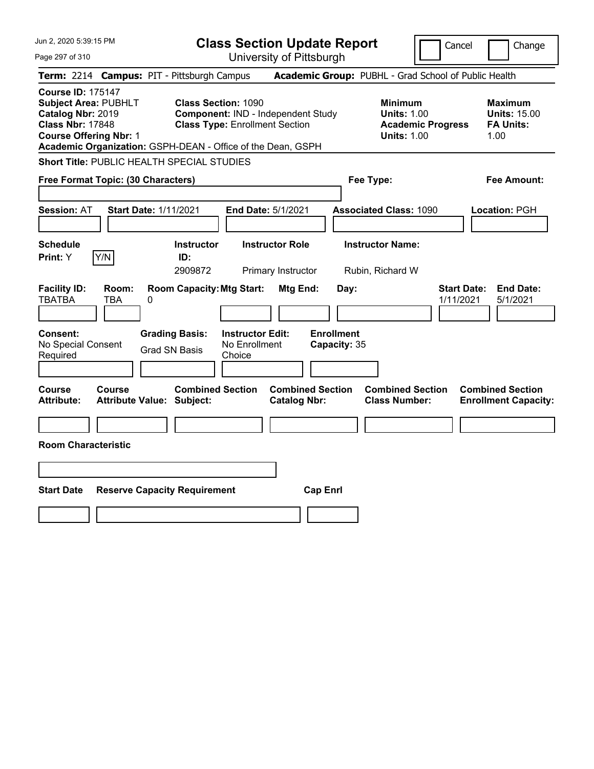| Jun 2, 2020 5:39:15 PM                                                                                                                   | <b>Class Section Update Report</b><br>Cancel                                                                                                                                                                                                                       | Change                                                            |
|------------------------------------------------------------------------------------------------------------------------------------------|--------------------------------------------------------------------------------------------------------------------------------------------------------------------------------------------------------------------------------------------------------------------|-------------------------------------------------------------------|
| Page 297 of 310                                                                                                                          | University of Pittsburgh                                                                                                                                                                                                                                           |                                                                   |
| Term: 2214 Campus: PIT - Pittsburgh Campus                                                                                               | Academic Group: PUBHL - Grad School of Public Health                                                                                                                                                                                                               |                                                                   |
| <b>Course ID: 175147</b><br><b>Subject Area: PUBHLT</b><br>Catalog Nbr: 2019<br><b>Class Nbr: 17848</b><br><b>Course Offering Nbr: 1</b> | <b>Class Section: 1090</b><br><b>Minimum</b><br><b>Units: 1.00</b><br>Component: IND - Independent Study<br><b>Class Type: Enrollment Section</b><br><b>Academic Progress</b><br><b>Units: 1.00</b><br>Academic Organization: GSPH-DEAN - Office of the Dean, GSPH | <b>Maximum</b><br><b>Units: 15.00</b><br><b>FA Units:</b><br>1.00 |
| Short Title: PUBLIC HEALTH SPECIAL STUDIES                                                                                               |                                                                                                                                                                                                                                                                    |                                                                   |
| Free Format Topic: (30 Characters)                                                                                                       | Fee Type:                                                                                                                                                                                                                                                          | Fee Amount:                                                       |
| <b>Start Date: 1/11/2021</b><br><b>Session: AT</b>                                                                                       | End Date: 5/1/2021<br><b>Associated Class: 1090</b>                                                                                                                                                                                                                | Location: PGH                                                     |
| <b>Schedule</b><br>Y/N<br>Print: Y                                                                                                       | <b>Instructor Role</b><br><b>Instructor Name:</b><br><b>Instructor</b><br>ID:<br>2909872<br>Primary Instructor<br>Rubin, Richard W                                                                                                                                 |                                                                   |
| <b>Facility ID:</b><br>Room:<br><b>TBATBA</b><br>0<br>TBA                                                                                | <b>Room Capacity: Mtg Start:</b><br><b>Start Date:</b><br>Mtg End:<br>Day:<br>1/11/2021                                                                                                                                                                            | <b>End Date:</b><br>5/1/2021                                      |
| Consent:<br>No Special Consent<br>Required                                                                                               | <b>Enrollment</b><br><b>Grading Basis:</b><br><b>Instructor Edit:</b><br>No Enrollment<br>Capacity: 35<br><b>Grad SN Basis</b><br>Choice                                                                                                                           |                                                                   |
| <b>Course</b><br>Course<br><b>Attribute:</b><br><b>Attribute Value: Subject:</b>                                                         | <b>Combined Section</b><br><b>Combined Section</b><br><b>Combined Section</b><br><b>Catalog Nbr:</b><br><b>Class Number:</b>                                                                                                                                       | <b>Combined Section</b><br><b>Enrollment Capacity:</b>            |
|                                                                                                                                          |                                                                                                                                                                                                                                                                    |                                                                   |
| <b>Room Characteristic</b>                                                                                                               |                                                                                                                                                                                                                                                                    |                                                                   |
|                                                                                                                                          |                                                                                                                                                                                                                                                                    |                                                                   |
| <b>Start Date</b><br><b>Reserve Capacity Requirement</b>                                                                                 | <b>Cap Enrl</b>                                                                                                                                                                                                                                                    |                                                                   |
|                                                                                                                                          |                                                                                                                                                                                                                                                                    |                                                                   |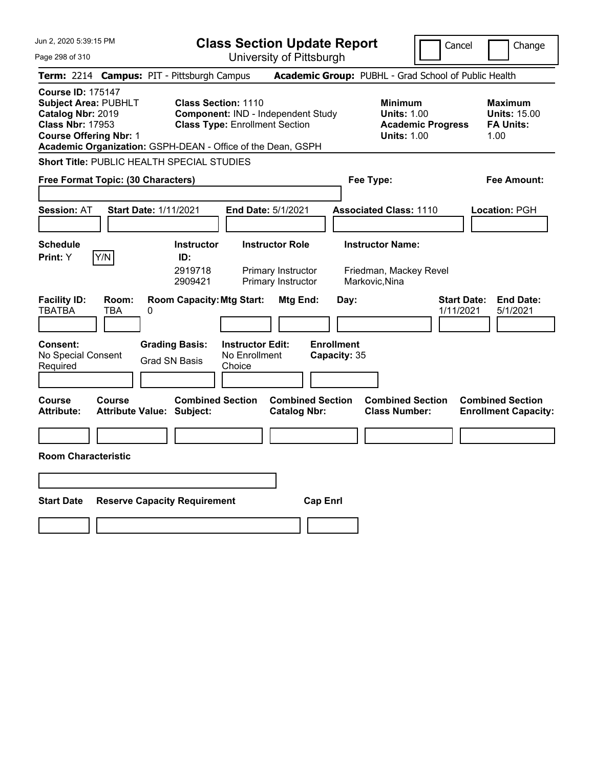| Jun 2, 2020 5:39:15 PM                                                                                                                                                                                  | <b>Class Section Update Report</b><br>Cancel<br>Change                                                                                  |                                                                    |                                                                     |                                 |                                                                   |  |
|---------------------------------------------------------------------------------------------------------------------------------------------------------------------------------------------------------|-----------------------------------------------------------------------------------------------------------------------------------------|--------------------------------------------------------------------|---------------------------------------------------------------------|---------------------------------|-------------------------------------------------------------------|--|
| Page 298 of 310                                                                                                                                                                                         |                                                                                                                                         | University of Pittsburgh                                           |                                                                     |                                 |                                                                   |  |
| <b>Term:</b> 2214                                                                                                                                                                                       | <b>Campus: PIT - Pittsburgh Campus</b>                                                                                                  |                                                                    | Academic Group: PUBHL - Grad School of Public Health                |                                 |                                                                   |  |
| <b>Course ID: 175147</b><br><b>Subject Area: PUBHLT</b><br>Catalog Nbr: 2019<br><b>Class Nbr: 17953</b><br><b>Course Offering Nbr: 1</b><br>Academic Organization: GSPH-DEAN - Office of the Dean, GSPH | <b>Class Section: 1110</b><br>Component: IND - Independent Study<br><b>Class Type: Enrollment Section</b>                               |                                                                    | <b>Minimum</b><br><b>Units: 1.00</b><br><b>Units: 1.00</b>          | <b>Academic Progress</b>        | <b>Maximum</b><br><b>Units: 15.00</b><br><b>FA Units:</b><br>1.00 |  |
| Short Title: PUBLIC HEALTH SPECIAL STUDIES                                                                                                                                                              |                                                                                                                                         |                                                                    |                                                                     |                                 |                                                                   |  |
| Free Format Topic: (30 Characters)                                                                                                                                                                      |                                                                                                                                         |                                                                    | Fee Type:                                                           |                                 | Fee Amount:                                                       |  |
| <b>Session: AT</b><br>Start Date: 1/11/2021                                                                                                                                                             |                                                                                                                                         | End Date: 5/1/2021                                                 | <b>Associated Class: 1110</b>                                       |                                 | Location: PGH                                                     |  |
| <b>Schedule</b><br>Y/N<br><b>Print:</b> Y                                                                                                                                                               | <b>Instructor</b><br>ID:<br>2919718<br>2909421                                                                                          | <b>Instructor Role</b><br>Primary Instructor<br>Primary Instructor | <b>Instructor Name:</b><br>Friedman, Mackey Revel<br>Markovic, Nina |                                 |                                                                   |  |
| <b>Facility ID:</b><br>Room:<br><b>TBATBA</b><br>TBA<br>0<br><b>Consent:</b><br>No Special Consent<br>Required                                                                                          | <b>Room Capacity: Mtg Start:</b><br><b>Instructor Edit:</b><br><b>Grading Basis:</b><br>No Enrollment<br><b>Grad SN Basis</b><br>Choice | Mtg End:                                                           | Day:<br><b>Enrollment</b><br>Capacity: 35                           | <b>Start Date:</b><br>1/11/2021 | <b>End Date:</b><br>5/1/2021                                      |  |
| Course<br>Course<br><b>Attribute:</b><br><b>Attribute Value: Subject:</b>                                                                                                                               | <b>Combined Section</b>                                                                                                                 | <b>Combined Section</b><br><b>Catalog Nbr:</b>                     | <b>Combined Section</b><br><b>Class Number:</b>                     |                                 | <b>Combined Section</b><br><b>Enrollment Capacity:</b>            |  |
| <b>Room Characteristic</b>                                                                                                                                                                              |                                                                                                                                         |                                                                    |                                                                     |                                 |                                                                   |  |
|                                                                                                                                                                                                         |                                                                                                                                         |                                                                    |                                                                     |                                 |                                                                   |  |
| <b>Start Date</b><br><b>Reserve Capacity Requirement</b>                                                                                                                                                |                                                                                                                                         | <b>Cap Enrl</b>                                                    |                                                                     |                                 |                                                                   |  |
|                                                                                                                                                                                                         |                                                                                                                                         |                                                                    |                                                                     |                                 |                                                                   |  |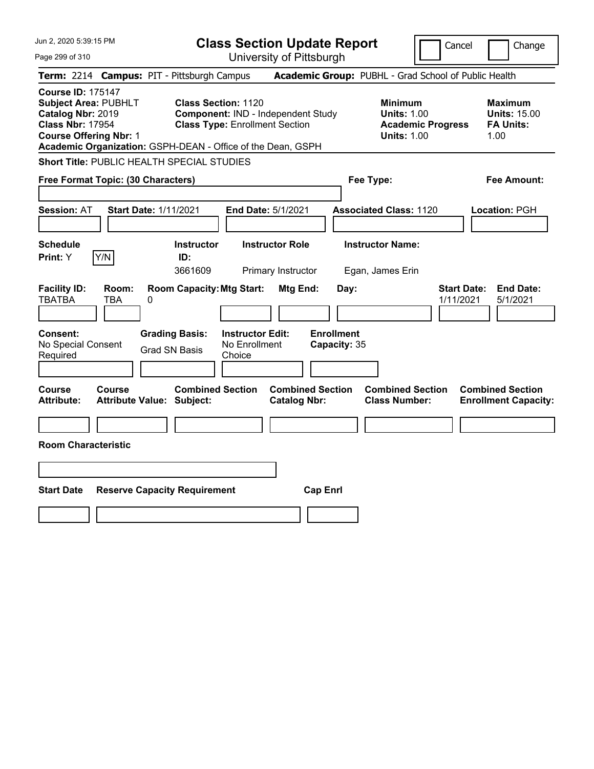| Jun 2, 2020 5:39:15 PM                                                                                                                                                                                  |                                                                                                           | <b>Class Section Update Report</b>             |                                                                                        | Cancel<br>Change                                                  |
|---------------------------------------------------------------------------------------------------------------------------------------------------------------------------------------------------------|-----------------------------------------------------------------------------------------------------------|------------------------------------------------|----------------------------------------------------------------------------------------|-------------------------------------------------------------------|
| Page 299 of 310                                                                                                                                                                                         |                                                                                                           | University of Pittsburgh                       |                                                                                        |                                                                   |
| Term: 2214 Campus: PIT - Pittsburgh Campus                                                                                                                                                              |                                                                                                           |                                                | Academic Group: PUBHL - Grad School of Public Health                                   |                                                                   |
| <b>Course ID: 175147</b><br><b>Subject Area: PUBHLT</b><br>Catalog Nbr: 2019<br><b>Class Nbr: 17954</b><br><b>Course Offering Nbr: 1</b><br>Academic Organization: GSPH-DEAN - Office of the Dean, GSPH | <b>Class Section: 1120</b><br>Component: IND - Independent Study<br><b>Class Type: Enrollment Section</b> |                                                | <b>Minimum</b><br><b>Units: 1.00</b><br><b>Academic Progress</b><br><b>Units: 1.00</b> | <b>Maximum</b><br><b>Units: 15.00</b><br><b>FA Units:</b><br>1.00 |
| Short Title: PUBLIC HEALTH SPECIAL STUDIES                                                                                                                                                              |                                                                                                           |                                                |                                                                                        |                                                                   |
| Free Format Topic: (30 Characters)                                                                                                                                                                      |                                                                                                           |                                                | Fee Type:                                                                              | Fee Amount:                                                       |
| <b>Session: AT</b>                                                                                                                                                                                      | <b>Start Date: 1/11/2021</b>                                                                              | End Date: 5/1/2021                             | <b>Associated Class: 1120</b>                                                          | Location: PGH                                                     |
| <b>Schedule</b><br>Y/N<br><b>Print:</b> Y                                                                                                                                                               | <b>Instructor</b><br>ID:<br>3661609                                                                       | <b>Instructor Role</b><br>Primary Instructor   | <b>Instructor Name:</b><br>Egan, James Erin                                            |                                                                   |
| <b>Facility ID:</b><br>Room:<br><b>TBATBA</b><br>TBA<br>0                                                                                                                                               | <b>Room Capacity: Mtg Start:</b>                                                                          | Mtg End:<br>Day:                               |                                                                                        | <b>Start Date:</b><br><b>End Date:</b><br>1/11/2021<br>5/1/2021   |
| <b>Consent:</b><br>No Special Consent<br>Required                                                                                                                                                       | <b>Instructor Edit:</b><br><b>Grading Basis:</b><br>No Enrollment<br><b>Grad SN Basis</b><br>Choice       | <b>Enrollment</b><br>Capacity: 35              |                                                                                        |                                                                   |
| Course<br>Course<br><b>Attribute:</b>                                                                                                                                                                   | <b>Combined Section</b><br><b>Attribute Value: Subject:</b>                                               | <b>Combined Section</b><br><b>Catalog Nbr:</b> | <b>Combined Section</b><br><b>Class Number:</b>                                        | <b>Combined Section</b><br><b>Enrollment Capacity:</b>            |
|                                                                                                                                                                                                         |                                                                                                           |                                                |                                                                                        |                                                                   |
| <b>Room Characteristic</b>                                                                                                                                                                              |                                                                                                           |                                                |                                                                                        |                                                                   |
|                                                                                                                                                                                                         |                                                                                                           |                                                |                                                                                        |                                                                   |
| <b>Start Date</b>                                                                                                                                                                                       | <b>Reserve Capacity Requirement</b>                                                                       | <b>Cap Enrl</b>                                |                                                                                        |                                                                   |
|                                                                                                                                                                                                         |                                                                                                           |                                                |                                                                                        |                                                                   |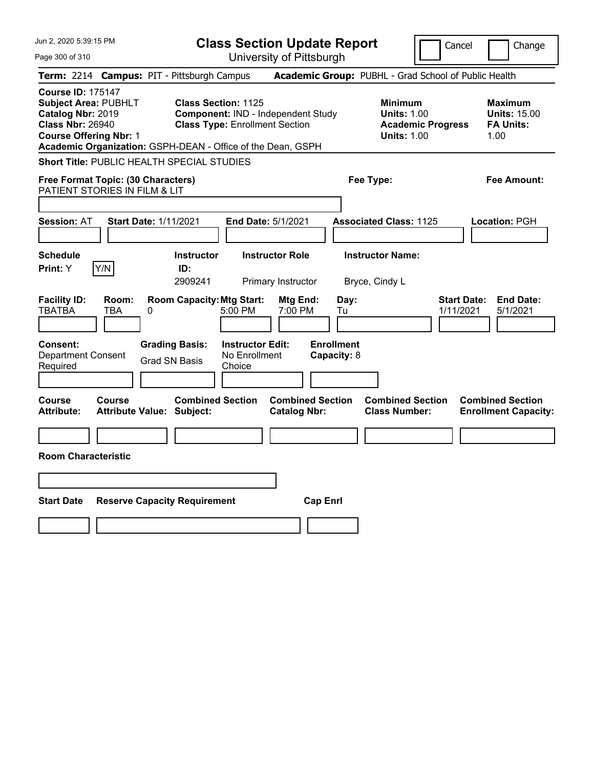| Jun 2, 2020 5:39:15 PM                                                                                                                                                                                  |                                            |                                                              |                                                    | <b>Class Section Update Report</b>             |                                  |                                                            | Cancel                          | Change                                                            |
|---------------------------------------------------------------------------------------------------------------------------------------------------------------------------------------------------------|--------------------------------------------|--------------------------------------------------------------|----------------------------------------------------|------------------------------------------------|----------------------------------|------------------------------------------------------------|---------------------------------|-------------------------------------------------------------------|
| Page 300 of 310                                                                                                                                                                                         |                                            |                                                              |                                                    | University of Pittsburgh                       |                                  |                                                            |                                 |                                                                   |
| Term: 2214 Campus: PIT - Pittsburgh Campus                                                                                                                                                              |                                            |                                                              |                                                    |                                                |                                  | Academic Group: PUBHL - Grad School of Public Health       |                                 |                                                                   |
| <b>Course ID: 175147</b><br><b>Subject Area: PUBHLT</b><br>Catalog Nbr: 2019<br><b>Class Nbr: 26940</b><br><b>Course Offering Nbr: 1</b><br>Academic Organization: GSPH-DEAN - Office of the Dean, GSPH |                                            | Class Section: 1125<br><b>Class Type: Enrollment Section</b> |                                                    | Component: IND - Independent Study             |                                  | <b>Minimum</b><br><b>Units: 1.00</b><br><b>Units: 1.00</b> | <b>Academic Progress</b>        | <b>Maximum</b><br><b>Units: 15.00</b><br><b>FA Units:</b><br>1.00 |
| <b>Short Title: PUBLIC HEALTH SPECIAL STUDIES</b>                                                                                                                                                       |                                            |                                                              |                                                    |                                                |                                  |                                                            |                                 |                                                                   |
| Free Format Topic: (30 Characters)<br>PATIENT STORIES IN FILM & LIT                                                                                                                                     |                                            |                                                              |                                                    |                                                |                                  | Fee Type:                                                  |                                 | Fee Amount:                                                       |
| <b>Session: AT</b>                                                                                                                                                                                      | <b>Start Date: 1/11/2021</b>               |                                                              | End Date: 5/1/2021                                 |                                                |                                  | <b>Associated Class: 1125</b>                              |                                 | <b>Location: PGH</b>                                              |
| <b>Schedule</b><br>Print: Y<br>Y/N                                                                                                                                                                      |                                            | <b>Instructor</b><br>ID:<br>2909241                          |                                                    | <b>Instructor Role</b><br>Primary Instructor   |                                  | <b>Instructor Name:</b><br>Bryce, Cindy L                  |                                 |                                                                   |
| <b>Facility ID:</b><br><b>TBATBA</b>                                                                                                                                                                    | Room:<br><b>TBA</b><br>0                   | <b>Room Capacity: Mtg Start:</b>                             | 5:00 PM                                            | Mtg End:<br>7:00 PM                            | Day:<br>Tu                       |                                                            | <b>Start Date:</b><br>1/11/2021 | <b>End Date:</b><br>5/1/2021                                      |
| Consent:<br><b>Department Consent</b><br>Required                                                                                                                                                       |                                            | <b>Grading Basis:</b><br>Grad SN Basis                       | <b>Instructor Edit:</b><br>No Enrollment<br>Choice |                                                | <b>Enrollment</b><br>Capacity: 8 |                                                            |                                 |                                                                   |
| Course<br><b>Attribute:</b>                                                                                                                                                                             | Course<br><b>Attribute Value: Subject:</b> | <b>Combined Section</b>                                      |                                                    | <b>Combined Section</b><br><b>Catalog Nbr:</b> |                                  | <b>Combined Section</b><br><b>Class Number:</b>            |                                 | <b>Combined Section</b><br><b>Enrollment Capacity:</b>            |
|                                                                                                                                                                                                         |                                            |                                                              |                                                    |                                                |                                  |                                                            |                                 |                                                                   |
| <b>Room Characteristic</b>                                                                                                                                                                              |                                            |                                                              |                                                    |                                                |                                  |                                                            |                                 |                                                                   |
|                                                                                                                                                                                                         |                                            |                                                              |                                                    |                                                |                                  |                                                            |                                 |                                                                   |
| <b>Start Date</b>                                                                                                                                                                                       | <b>Reserve Capacity Requirement</b>        |                                                              |                                                    | <b>Cap Enrl</b>                                |                                  |                                                            |                                 |                                                                   |
|                                                                                                                                                                                                         |                                            |                                                              |                                                    |                                                |                                  |                                                            |                                 |                                                                   |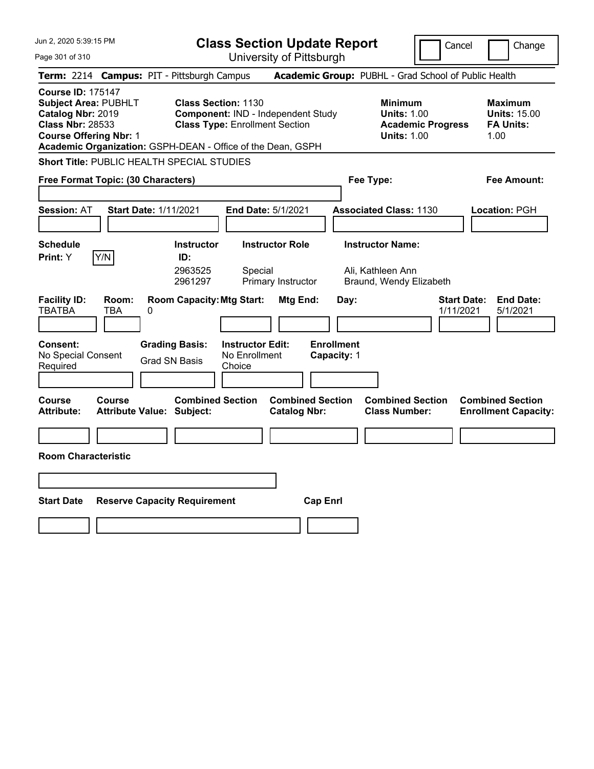| Jun 2, 2020 5:39:15 PM                                                                                                                                                                                  |                                                                                   | <b>Class Section Update Report</b><br>Cancel<br>Change |                                                      |                                          |                                                                         |                                 |                                                                   |  |
|---------------------------------------------------------------------------------------------------------------------------------------------------------------------------------------------------------|-----------------------------------------------------------------------------------|--------------------------------------------------------|------------------------------------------------------|------------------------------------------|-------------------------------------------------------------------------|---------------------------------|-------------------------------------------------------------------|--|
| Page 301 of 310                                                                                                                                                                                         |                                                                                   |                                                        | University of Pittsburgh                             |                                          |                                                                         |                                 |                                                                   |  |
| Term: 2214 Campus: PIT - Pittsburgh Campus                                                                                                                                                              |                                                                                   |                                                        | Academic Group: PUBHL - Grad School of Public Health |                                          |                                                                         |                                 |                                                                   |  |
| <b>Course ID: 175147</b><br><b>Subject Area: PUBHLT</b><br>Catalog Nbr: 2019<br><b>Class Nbr: 28533</b><br><b>Course Offering Nbr: 1</b><br>Academic Organization: GSPH-DEAN - Office of the Dean, GSPH | <b>Class Section: 1130</b>                                                        | <b>Class Type: Enrollment Section</b>                  | Component: IND - Independent Study                   |                                          | <b>Minimum</b><br><b>Units: 1.00</b><br><b>Units: 1.00</b>              | <b>Academic Progress</b>        | <b>Maximum</b><br><b>Units: 15.00</b><br><b>FA Units:</b><br>1.00 |  |
| Short Title: PUBLIC HEALTH SPECIAL STUDIES                                                                                                                                                              |                                                                                   |                                                        |                                                      |                                          |                                                                         |                                 |                                                                   |  |
| Free Format Topic: (30 Characters)                                                                                                                                                                      |                                                                                   |                                                        |                                                      | Fee Type:                                |                                                                         |                                 | Fee Amount:                                                       |  |
| <b>Start Date: 1/11/2021</b><br><b>Session: AT</b>                                                                                                                                                      |                                                                                   | <b>End Date: 5/1/2021</b>                              |                                                      |                                          | <b>Associated Class: 1130</b>                                           |                                 | Location: PGH                                                     |  |
| <b>Schedule</b><br>Y/N<br>Print: Y                                                                                                                                                                      | <b>Instructor</b><br>ID:<br>2963525<br>2961297                                    | Special                                                | <b>Instructor Role</b><br>Primary Instructor         |                                          | <b>Instructor Name:</b><br>Ali, Kathleen Ann<br>Braund, Wendy Elizabeth |                                 |                                                                   |  |
| <b>Facility ID:</b><br>Room:<br><b>TBATBA</b><br>TBA<br>0<br><b>Consent:</b><br>No Special Consent<br>Required                                                                                          | <b>Room Capacity: Mtg Start:</b><br><b>Grading Basis:</b><br><b>Grad SN Basis</b> | <b>Instructor Edit:</b><br>No Enrollment<br>Choice     | Mtg End:                                             | Day:<br><b>Enrollment</b><br>Capacity: 1 |                                                                         | <b>Start Date:</b><br>1/11/2021 | <b>End Date:</b><br>5/1/2021                                      |  |
| Course<br>Course<br><b>Attribute:</b><br><b>Attribute Value: Subject:</b>                                                                                                                               | <b>Combined Section</b>                                                           |                                                        | <b>Combined Section</b><br><b>Catalog Nbr:</b>       |                                          | <b>Combined Section</b><br><b>Class Number:</b>                         |                                 | <b>Combined Section</b><br><b>Enrollment Capacity:</b>            |  |
|                                                                                                                                                                                                         |                                                                                   |                                                        |                                                      |                                          |                                                                         |                                 |                                                                   |  |
| <b>Room Characteristic</b>                                                                                                                                                                              |                                                                                   |                                                        |                                                      |                                          |                                                                         |                                 |                                                                   |  |
|                                                                                                                                                                                                         |                                                                                   |                                                        |                                                      |                                          |                                                                         |                                 |                                                                   |  |
| <b>Start Date</b>                                                                                                                                                                                       | <b>Reserve Capacity Requirement</b>                                               |                                                        | <b>Cap Enrl</b>                                      |                                          |                                                                         |                                 |                                                                   |  |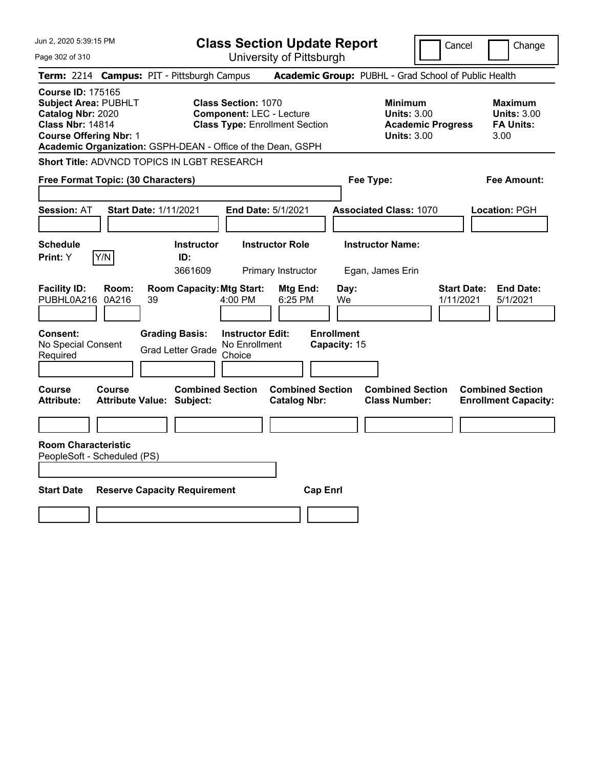| Jun 2, 2020 5:39:15 PM                                                                                                                   | <b>Class Section Update Report</b><br>Change<br>Cancel                                                                                                                |                                                |                                                                                        |                                                                  |  |
|------------------------------------------------------------------------------------------------------------------------------------------|-----------------------------------------------------------------------------------------------------------------------------------------------------------------------|------------------------------------------------|----------------------------------------------------------------------------------------|------------------------------------------------------------------|--|
| Page 302 of 310                                                                                                                          |                                                                                                                                                                       | University of Pittsburgh                       |                                                                                        |                                                                  |  |
| Term: 2214 Campus: PIT - Pittsburgh Campus                                                                                               |                                                                                                                                                                       |                                                | Academic Group: PUBHL - Grad School of Public Health                                   |                                                                  |  |
| <b>Course ID: 175165</b><br><b>Subject Area: PUBHLT</b><br>Catalog Nbr: 2020<br><b>Class Nbr: 14814</b><br><b>Course Offering Nbr: 1</b> | <b>Class Section: 1070</b><br><b>Component: LEC - Lecture</b><br><b>Class Type: Enrollment Section</b><br>Academic Organization: GSPH-DEAN - Office of the Dean, GSPH |                                                | <b>Minimum</b><br><b>Units: 3.00</b><br><b>Academic Progress</b><br><b>Units: 3.00</b> | <b>Maximum</b><br><b>Units: 3.00</b><br><b>FA Units:</b><br>3.00 |  |
|                                                                                                                                          | Short Title: ADVNCD TOPICS IN LGBT RESEARCH                                                                                                                           |                                                |                                                                                        |                                                                  |  |
| Free Format Topic: (30 Characters)                                                                                                       |                                                                                                                                                                       |                                                | Fee Type:                                                                              | Fee Amount:                                                      |  |
| Session: AT                                                                                                                              | <b>Start Date: 1/11/2021</b>                                                                                                                                          | End Date: 5/1/2021                             | <b>Associated Class: 1070</b>                                                          | Location: PGH                                                    |  |
| Schedule<br>Y/N<br>Print: Y                                                                                                              | <b>Instructor</b><br>ID:<br>3661609                                                                                                                                   | <b>Instructor Role</b><br>Primary Instructor   | <b>Instructor Name:</b><br>Egan, James Erin                                            |                                                                  |  |
| <b>Facility ID:</b><br>Room:<br>PUBHL0A216<br>0A216                                                                                      | <b>Room Capacity: Mtg Start:</b><br>$4:00$ PM<br>39                                                                                                                   | Mtg End:<br>Day:<br>6:25 PM<br>We              |                                                                                        | <b>Start Date:</b><br><b>End Date:</b><br>1/11/2021<br>5/1/2021  |  |
| Consent:<br>No Special Consent<br>Required                                                                                               | <b>Grading Basis:</b><br><b>Instructor Edit:</b><br>No Enrollment<br><b>Grad Letter Grade</b><br>Choice                                                               | <b>Enrollment</b><br>Capacity: 15              |                                                                                        |                                                                  |  |
| Course<br>Course<br>Attribute:                                                                                                           | <b>Combined Section</b><br><b>Attribute Value: Subject:</b>                                                                                                           | <b>Combined Section</b><br><b>Catalog Nbr:</b> | <b>Combined Section</b><br><b>Class Number:</b>                                        | <b>Combined Section</b><br><b>Enrollment Capacity:</b>           |  |
| <b>Room Characteristic</b><br>PeopleSoft - Scheduled (PS)                                                                                |                                                                                                                                                                       |                                                |                                                                                        |                                                                  |  |
| <b>Start Date</b>                                                                                                                        | <b>Reserve Capacity Requirement</b>                                                                                                                                   | <b>Cap Enrl</b>                                |                                                                                        |                                                                  |  |
|                                                                                                                                          |                                                                                                                                                                       |                                                |                                                                                        |                                                                  |  |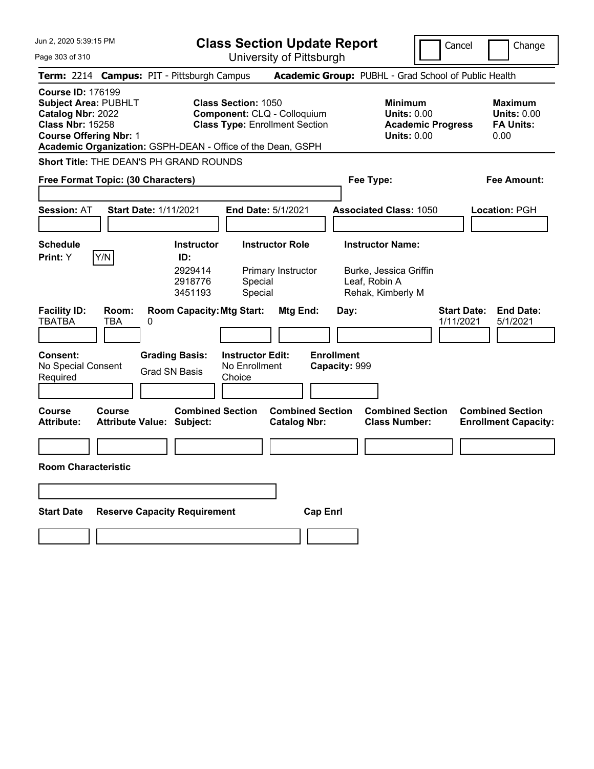| Jun 2, 2020 5:39:15 PM                                                                                                                   |                                                                                                                                                                   | <b>Class Section Update Report</b>             | Cancel                                                                                 | Change                                                           |
|------------------------------------------------------------------------------------------------------------------------------------------|-------------------------------------------------------------------------------------------------------------------------------------------------------------------|------------------------------------------------|----------------------------------------------------------------------------------------|------------------------------------------------------------------|
| Page 303 of 310                                                                                                                          |                                                                                                                                                                   | University of Pittsburgh                       |                                                                                        |                                                                  |
|                                                                                                                                          | Term: 2214 Campus: PIT - Pittsburgh Campus                                                                                                                        |                                                | Academic Group: PUBHL - Grad School of Public Health                                   |                                                                  |
| <b>Course ID: 176199</b><br><b>Subject Area: PUBHLT</b><br>Catalog Nbr: 2022<br><b>Class Nbr: 15258</b><br><b>Course Offering Nbr: 1</b> | <b>Class Section: 1050</b><br>Component: CLQ - Colloquium<br><b>Class Type: Enrollment Section</b><br>Academic Organization: GSPH-DEAN - Office of the Dean, GSPH |                                                | <b>Minimum</b><br><b>Units: 0.00</b><br><b>Academic Progress</b><br><b>Units: 0.00</b> | <b>Maximum</b><br><b>Units: 0.00</b><br><b>FA Units:</b><br>0.00 |
|                                                                                                                                          | Short Title: THE DEAN'S PH GRAND ROUNDS                                                                                                                           |                                                |                                                                                        |                                                                  |
| Free Format Topic: (30 Characters)                                                                                                       |                                                                                                                                                                   |                                                | Fee Type:                                                                              | <b>Fee Amount:</b>                                               |
| <b>Session: AT</b>                                                                                                                       | <b>Start Date: 1/11/2021</b><br><b>End Date: 5/1/2021</b>                                                                                                         |                                                | <b>Associated Class: 1050</b>                                                          | <b>Location: PGH</b>                                             |
| <b>Schedule</b>                                                                                                                          | <b>Instructor Role</b><br><b>Instructor</b>                                                                                                                       |                                                | <b>Instructor Name:</b>                                                                |                                                                  |
| Y/N<br>Print: Y<br><b>Facility ID:</b><br>Room:<br><b>TBATBA</b><br>TBA                                                                  | ID:<br>2929414<br>2918776<br>Special<br>3451193<br>Special<br><b>Room Capacity: Mtg Start:</b><br>0                                                               | Primary Instructor<br>Mtg End:<br>Day:         | Burke, Jessica Griffin<br>Leaf, Robin A<br>Rehak, Kimberly M<br>1/11/2021              | <b>End Date:</b><br><b>Start Date:</b><br>5/1/2021               |
| Consent:<br>No Special Consent<br>Required                                                                                               | <b>Grading Basis:</b><br><b>Instructor Edit:</b><br>No Enrollment<br><b>Grad SN Basis</b><br>Choice                                                               | <b>Enrollment</b><br>Capacity: 999             |                                                                                        |                                                                  |
| <b>Course</b><br><b>Course</b><br><b>Attribute:</b>                                                                                      | <b>Combined Section</b><br><b>Attribute Value: Subject:</b>                                                                                                       | <b>Combined Section</b><br><b>Catalog Nbr:</b> | <b>Combined Section</b><br><b>Class Number:</b>                                        | <b>Combined Section</b><br><b>Enrollment Capacity:</b>           |
| <b>Room Characteristic</b>                                                                                                               |                                                                                                                                                                   |                                                |                                                                                        |                                                                  |
|                                                                                                                                          |                                                                                                                                                                   |                                                |                                                                                        |                                                                  |
| <b>Start Date</b>                                                                                                                        | <b>Reserve Capacity Requirement</b>                                                                                                                               | <b>Cap Enrl</b>                                |                                                                                        |                                                                  |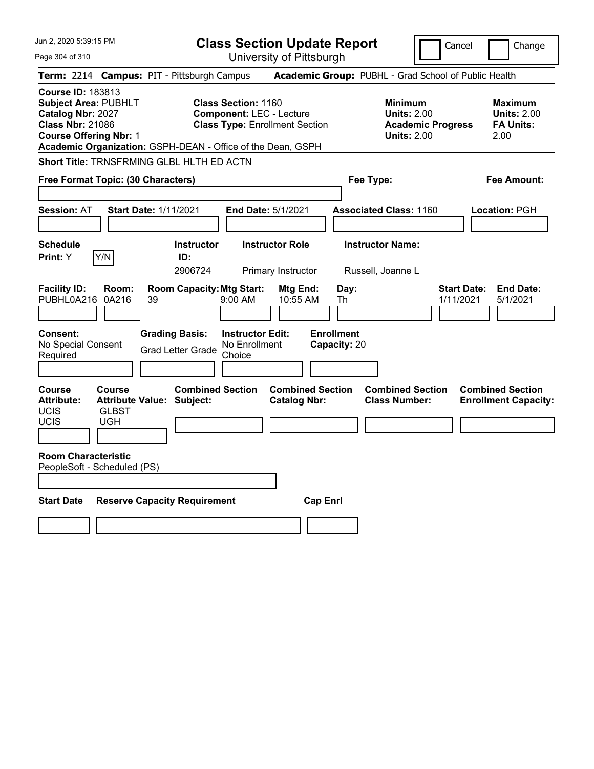| Jun 2, 2020 5:39:15 PM                                                                                                                                                                                  |                                                                                                         | Change<br>Cancel                               |                                                      |                                                                                        |                                                                 |
|---------------------------------------------------------------------------------------------------------------------------------------------------------------------------------------------------------|---------------------------------------------------------------------------------------------------------|------------------------------------------------|------------------------------------------------------|----------------------------------------------------------------------------------------|-----------------------------------------------------------------|
| Page 304 of 310                                                                                                                                                                                         |                                                                                                         | University of Pittsburgh                       |                                                      |                                                                                        |                                                                 |
| Term: 2214 Campus: PIT - Pittsburgh Campus                                                                                                                                                              |                                                                                                         |                                                | Academic Group: PUBHL - Grad School of Public Health |                                                                                        |                                                                 |
| <b>Course ID: 183813</b><br><b>Subject Area: PUBHLT</b><br>Catalog Nbr: 2027<br><b>Class Nbr: 21086</b><br><b>Course Offering Nbr: 1</b><br>Academic Organization: GSPH-DEAN - Office of the Dean, GSPH | <b>Class Section: 1160</b><br><b>Component: LEC - Lecture</b><br><b>Class Type: Enrollment Section</b>  |                                                |                                                      | <b>Minimum</b><br><b>Units: 2.00</b><br><b>Academic Progress</b><br><b>Units: 2.00</b> | Maximum<br><b>Units: 2.00</b><br><b>FA Units:</b><br>2.00       |
| Short Title: TRNSFRMING GLBL HLTH ED ACTN                                                                                                                                                               |                                                                                                         |                                                |                                                      |                                                                                        |                                                                 |
| Free Format Topic: (30 Characters)                                                                                                                                                                      |                                                                                                         |                                                | Fee Type:                                            |                                                                                        | Fee Amount:                                                     |
|                                                                                                                                                                                                         |                                                                                                         |                                                |                                                      |                                                                                        |                                                                 |
| <b>Start Date: 1/11/2021</b><br><b>Session: AT</b>                                                                                                                                                      |                                                                                                         | <b>End Date: 5/1/2021</b>                      | <b>Associated Class: 1160</b>                        |                                                                                        | Location: PGH                                                   |
| <b>Schedule</b>                                                                                                                                                                                         | <b>Instructor</b>                                                                                       | <b>Instructor Role</b>                         | <b>Instructor Name:</b>                              |                                                                                        |                                                                 |
| Y/N<br>Print: Y                                                                                                                                                                                         | ID:                                                                                                     |                                                |                                                      |                                                                                        |                                                                 |
|                                                                                                                                                                                                         | 2906724                                                                                                 | Primary Instructor                             | Russell, Joanne L                                    |                                                                                        |                                                                 |
| <b>Facility ID:</b><br>Room:<br>PUBHL0A216<br>0A216<br>39                                                                                                                                               | <b>Room Capacity: Mtg Start:</b><br>9:00 AM                                                             | Mtg End:<br>10:55 AM                           | Day:<br>Th                                           |                                                                                        | <b>Start Date:</b><br><b>End Date:</b><br>1/11/2021<br>5/1/2021 |
| <b>Consent:</b><br>No Special Consent<br>Required                                                                                                                                                       | <b>Instructor Edit:</b><br><b>Grading Basis:</b><br>No Enrollment<br><b>Grad Letter Grade</b><br>Choice |                                                | <b>Enrollment</b><br>Capacity: 20                    |                                                                                        |                                                                 |
| <b>Course</b><br><b>Course</b><br><b>Attribute:</b><br><b>Attribute Value: Subject:</b><br>UCIS<br><b>GLBST</b><br>UCIS<br><b>UGH</b>                                                                   | <b>Combined Section</b>                                                                                 | <b>Combined Section</b><br><b>Catalog Nbr:</b> |                                                      | <b>Combined Section</b><br><b>Class Number:</b>                                        | <b>Combined Section</b><br><b>Enrollment Capacity:</b>          |
| <b>Room Characteristic</b><br>PeopleSoft - Scheduled (PS)                                                                                                                                               |                                                                                                         |                                                |                                                      |                                                                                        |                                                                 |
| <b>Start Date</b><br><b>Reserve Capacity Requirement</b>                                                                                                                                                |                                                                                                         | <b>Cap Enri</b>                                |                                                      |                                                                                        |                                                                 |
|                                                                                                                                                                                                         |                                                                                                         |                                                |                                                      |                                                                                        |                                                                 |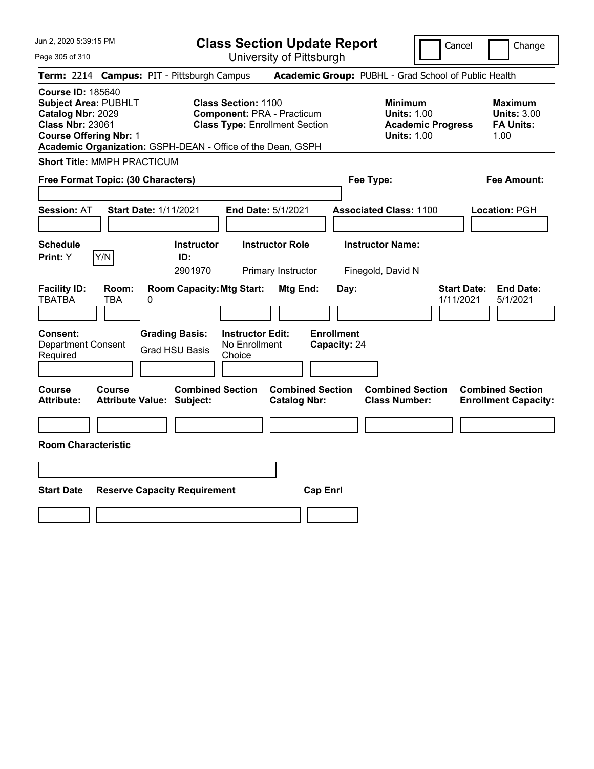| Jun 2, 2020 5:39:15 PM                                                                                                                                                                                  | <b>Class Section Update Report</b>                                                                       |                                                                                        | Cancel<br>Change                                                 |
|---------------------------------------------------------------------------------------------------------------------------------------------------------------------------------------------------------|----------------------------------------------------------------------------------------------------------|----------------------------------------------------------------------------------------|------------------------------------------------------------------|
| Page 305 of 310                                                                                                                                                                                         | University of Pittsburgh                                                                                 |                                                                                        |                                                                  |
| Term: 2214 Campus: PIT - Pittsburgh Campus                                                                                                                                                              |                                                                                                          | Academic Group: PUBHL - Grad School of Public Health                                   |                                                                  |
| <b>Course ID: 185640</b><br><b>Subject Area: PUBHLT</b><br>Catalog Nbr: 2029<br><b>Class Nbr: 23061</b><br><b>Course Offering Nbr: 1</b><br>Academic Organization: GSPH-DEAN - Office of the Dean, GSPH | <b>Class Section: 1100</b><br><b>Component: PRA - Practicum</b><br><b>Class Type: Enrollment Section</b> | <b>Minimum</b><br><b>Units: 1.00</b><br><b>Academic Progress</b><br><b>Units: 1.00</b> | <b>Maximum</b><br><b>Units: 3.00</b><br><b>FA Units:</b><br>1.00 |
| <b>Short Title: MMPH PRACTICUM</b>                                                                                                                                                                      |                                                                                                          |                                                                                        |                                                                  |
| Free Format Topic: (30 Characters)                                                                                                                                                                      |                                                                                                          | Fee Type:                                                                              | Fee Amount:                                                      |
| <b>Start Date: 1/11/2021</b><br><b>Session: AT</b>                                                                                                                                                      | End Date: 5/1/2021                                                                                       | <b>Associated Class: 1100</b>                                                          | Location: PGH                                                    |
| <b>Schedule</b><br>Y/N<br>Print: Y                                                                                                                                                                      | <b>Instructor</b><br><b>Instructor Role</b><br>ID:<br>2901970<br>Primary Instructor                      | <b>Instructor Name:</b><br>Finegold, David N                                           |                                                                  |
| <b>Facility ID:</b><br>Room:<br><b>TBATBA</b><br>TBA<br>0                                                                                                                                               | <b>Room Capacity: Mtg Start:</b><br>Mtg End:                                                             | Day:                                                                                   | <b>Start Date:</b><br><b>End Date:</b><br>1/11/2021<br>5/1/2021  |
| <b>Consent:</b><br><b>Grading Basis:</b><br><b>Department Consent</b><br><b>Grad HSU Basis</b><br>Required                                                                                              | <b>Enrollment</b><br><b>Instructor Edit:</b><br>No Enrollment<br>Capacity: 24<br>Choice                  |                                                                                        |                                                                  |
| <b>Course</b><br>Course<br><b>Attribute:</b><br><b>Attribute Value: Subject:</b>                                                                                                                        | <b>Combined Section</b><br><b>Combined Section</b><br><b>Catalog Nbr:</b>                                | <b>Combined Section</b><br><b>Class Number:</b>                                        | <b>Combined Section</b><br><b>Enrollment Capacity:</b>           |
| <b>Room Characteristic</b>                                                                                                                                                                              |                                                                                                          |                                                                                        |                                                                  |
|                                                                                                                                                                                                         |                                                                                                          |                                                                                        |                                                                  |
| <b>Start Date</b><br><b>Reserve Capacity Requirement</b>                                                                                                                                                | <b>Cap Enrl</b>                                                                                          |                                                                                        |                                                                  |
|                                                                                                                                                                                                         |                                                                                                          |                                                                                        |                                                                  |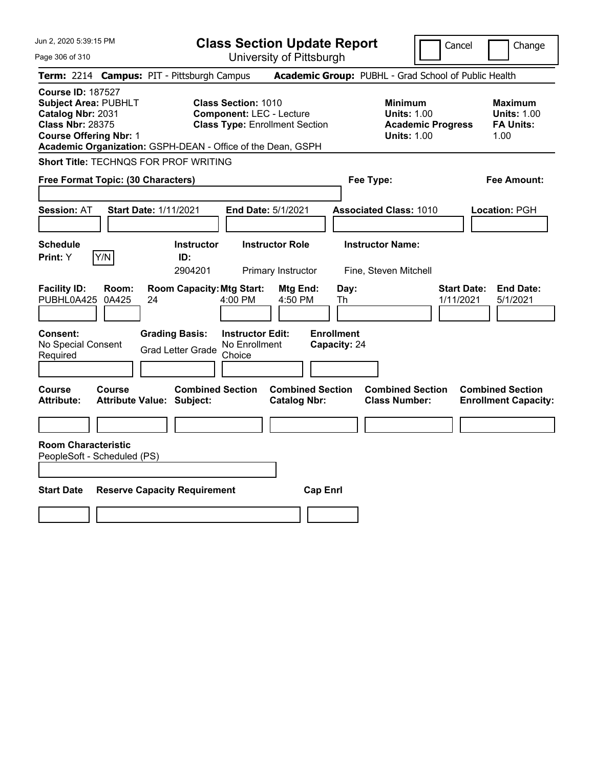| Jun 2, 2020 5:39:15 PM                                                                                                                                                                                  |                                                                                                         | <b>Class Section Update Report</b>             |                                                                                        | Cancel<br>Change                                                 |
|---------------------------------------------------------------------------------------------------------------------------------------------------------------------------------------------------------|---------------------------------------------------------------------------------------------------------|------------------------------------------------|----------------------------------------------------------------------------------------|------------------------------------------------------------------|
| Page 306 of 310                                                                                                                                                                                         |                                                                                                         | University of Pittsburgh                       |                                                                                        |                                                                  |
| Term: 2214 Campus: PIT - Pittsburgh Campus                                                                                                                                                              |                                                                                                         |                                                | Academic Group: PUBHL - Grad School of Public Health                                   |                                                                  |
| <b>Course ID: 187527</b><br><b>Subject Area: PUBHLT</b><br>Catalog Nbr: 2031<br><b>Class Nbr: 28375</b><br><b>Course Offering Nbr: 1</b><br>Academic Organization: GSPH-DEAN - Office of the Dean, GSPH | <b>Class Section: 1010</b><br><b>Component: LEC - Lecture</b><br><b>Class Type: Enrollment Section</b>  |                                                | <b>Minimum</b><br><b>Units: 1.00</b><br><b>Academic Progress</b><br><b>Units: 1.00</b> | <b>Maximum</b><br><b>Units: 1.00</b><br><b>FA Units:</b><br>1.00 |
| Short Title: TECHNQS FOR PROF WRITING                                                                                                                                                                   |                                                                                                         |                                                |                                                                                        |                                                                  |
| Free Format Topic: (30 Characters)                                                                                                                                                                      |                                                                                                         |                                                | Fee Type:                                                                              | Fee Amount:                                                      |
| <b>Session: AT</b><br><b>Start Date: 1/11/2021</b>                                                                                                                                                      | End Date: 5/1/2021                                                                                      |                                                | <b>Associated Class: 1010</b>                                                          | Location: PGH                                                    |
| <b>Schedule</b><br>Y/N<br>Print: Y                                                                                                                                                                      | <b>Instructor</b><br>ID:<br>2904201                                                                     | <b>Instructor Role</b><br>Primary Instructor   | <b>Instructor Name:</b><br>Fine, Steven Mitchell                                       |                                                                  |
| <b>Facility ID:</b><br>Room:<br>PUBHL0A425<br>0A425<br>24                                                                                                                                               | <b>Room Capacity: Mtg Start:</b><br>4:00 PM                                                             | Mtg End:<br>Day:<br>4:50 PM<br>Th              |                                                                                        | <b>End Date:</b><br><b>Start Date:</b><br>1/11/2021<br>5/1/2021  |
| Consent:<br>No Special Consent<br>Required                                                                                                                                                              | <b>Grading Basis:</b><br><b>Instructor Edit:</b><br>No Enrollment<br><b>Grad Letter Grade</b><br>Choice | <b>Enrollment</b><br>Capacity: 24              |                                                                                        |                                                                  |
| Course<br>Course<br><b>Attribute Value: Subject:</b><br>Attribute:                                                                                                                                      | <b>Combined Section</b>                                                                                 | <b>Combined Section</b><br><b>Catalog Nbr:</b> | <b>Combined Section</b><br><b>Class Number:</b>                                        | <b>Combined Section</b><br><b>Enrollment Capacity:</b>           |
| <b>Room Characteristic</b><br>PeopleSoft - Scheduled (PS)                                                                                                                                               |                                                                                                         |                                                |                                                                                        |                                                                  |
| <b>Start Date</b><br><b>Reserve Capacity Requirement</b>                                                                                                                                                |                                                                                                         | <b>Cap Enrl</b>                                |                                                                                        |                                                                  |
|                                                                                                                                                                                                         |                                                                                                         |                                                |                                                                                        |                                                                  |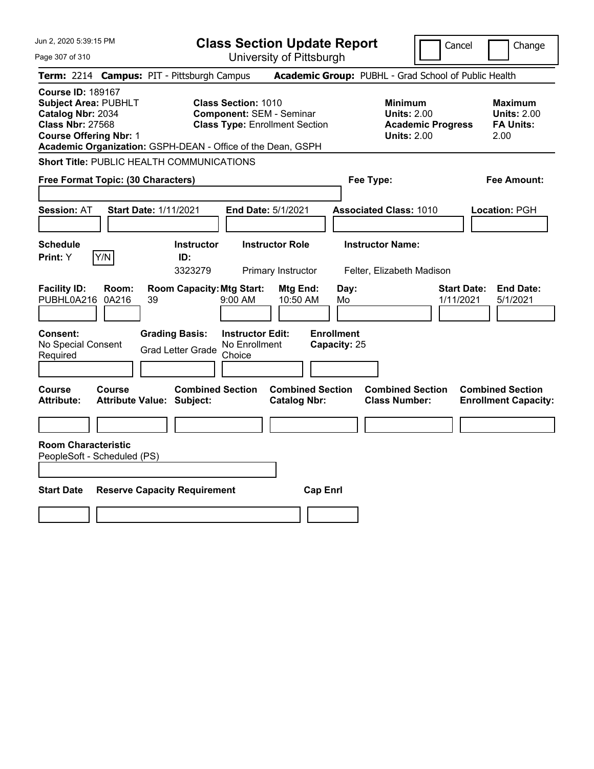| Jun 2, 2020 5:39:15 PM                                                                                                                   |                | <b>Class Section Update Report</b><br>Cancel                |                                                    |                                                                          |                                   |                                                            | Change                   |                                 |                                                                  |
|------------------------------------------------------------------------------------------------------------------------------------------|----------------|-------------------------------------------------------------|----------------------------------------------------|--------------------------------------------------------------------------|-----------------------------------|------------------------------------------------------------|--------------------------|---------------------------------|------------------------------------------------------------------|
| Page 307 of 310                                                                                                                          |                |                                                             |                                                    | University of Pittsburgh                                                 |                                   |                                                            |                          |                                 |                                                                  |
|                                                                                                                                          |                | Term: 2214 Campus: PIT - Pittsburgh Campus                  |                                                    |                                                                          |                                   | Academic Group: PUBHL - Grad School of Public Health       |                          |                                 |                                                                  |
| <b>Course ID: 189167</b><br><b>Subject Area: PUBHLT</b><br>Catalog Nbr: 2034<br><b>Class Nbr: 27568</b><br><b>Course Offering Nbr: 1</b> |                | Academic Organization: GSPH-DEAN - Office of the Dean, GSPH | <b>Class Section: 1010</b>                         | <b>Component: SEM - Seminar</b><br><b>Class Type: Enrollment Section</b> |                                   | <b>Minimum</b><br><b>Units: 2.00</b><br><b>Units: 2.00</b> | <b>Academic Progress</b> |                                 | <b>Maximum</b><br><b>Units: 2.00</b><br><b>FA Units:</b><br>2.00 |
|                                                                                                                                          |                | <b>Short Title: PUBLIC HEALTH COMMUNICATIONS</b>            |                                                    |                                                                          |                                   |                                                            |                          |                                 |                                                                  |
| Free Format Topic: (30 Characters)                                                                                                       |                |                                                             |                                                    |                                                                          |                                   | Fee Type:                                                  |                          |                                 | Fee Amount:                                                      |
| Session: AT                                                                                                                              |                | <b>Start Date: 1/11/2021</b>                                |                                                    | End Date: 5/1/2021                                                       |                                   | <b>Associated Class: 1010</b>                              |                          |                                 | Location: PGH                                                    |
| Schedule<br>Print: Y                                                                                                                     | Y/N            | <b>Instructor</b><br>ID:<br>3323279                         |                                                    | <b>Instructor Role</b><br>Primary Instructor                             |                                   | <b>Instructor Name:</b><br>Felter, Elizabeth Madison       |                          |                                 |                                                                  |
| <b>Facility ID:</b><br>PUBHL0A216                                                                                                        | Room:<br>0A216 | <b>Room Capacity: Mtg Start:</b><br>39                      | $9:00$ AM                                          | Mtg End:<br>10:50 AM                                                     | Day:<br>Mo                        |                                                            |                          | <b>Start Date:</b><br>1/11/2021 | <b>End Date:</b><br>5/1/2021                                     |
| Consent:<br>No Special Consent<br>Required                                                                                               |                | <b>Grading Basis:</b><br><b>Grad Letter Grade</b>           | <b>Instructor Edit:</b><br>No Enrollment<br>Choice |                                                                          | <b>Enrollment</b><br>Capacity: 25 |                                                            |                          |                                 |                                                                  |
| Course<br>Attribute:                                                                                                                     | Course         | <b>Combined Section</b><br><b>Attribute Value: Subject:</b> |                                                    | <b>Combined Section</b><br><b>Catalog Nbr:</b>                           |                                   | <b>Combined Section</b><br><b>Class Number:</b>            |                          |                                 | <b>Combined Section</b><br><b>Enrollment Capacity:</b>           |
| <b>Room Characteristic</b><br>PeopleSoft - Scheduled (PS)                                                                                |                |                                                             |                                                    |                                                                          |                                   |                                                            |                          |                                 |                                                                  |
| <b>Start Date</b>                                                                                                                        |                | <b>Reserve Capacity Requirement</b>                         |                                                    | <b>Cap Enrl</b>                                                          |                                   |                                                            |                          |                                 |                                                                  |
|                                                                                                                                          |                |                                                             |                                                    |                                                                          |                                   |                                                            |                          |                                 |                                                                  |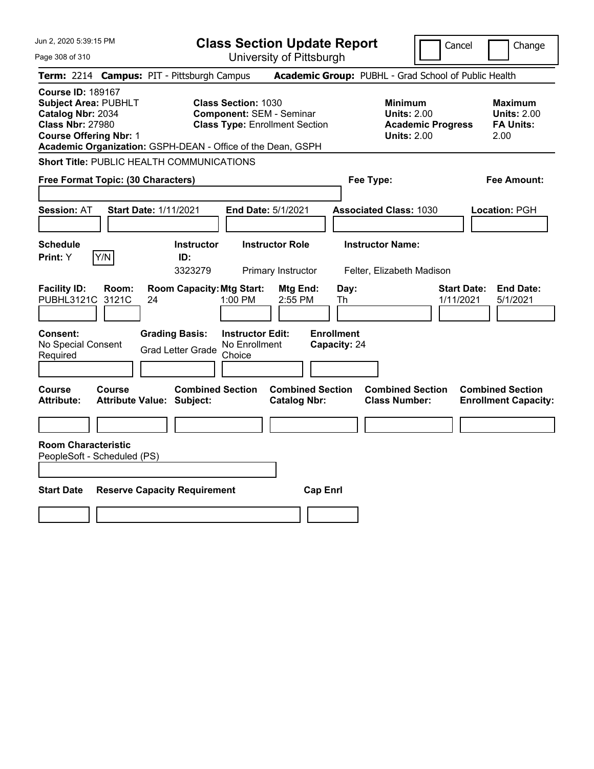| Jun 2, 2020 5:39:15 PM                                                                                                                   |        | <b>Class Section Update Report</b><br>Cancel                |                                                    |                                                                          |                                   |                                                            | Change                   |                                 |                                                                  |
|------------------------------------------------------------------------------------------------------------------------------------------|--------|-------------------------------------------------------------|----------------------------------------------------|--------------------------------------------------------------------------|-----------------------------------|------------------------------------------------------------|--------------------------|---------------------------------|------------------------------------------------------------------|
| Page 308 of 310                                                                                                                          |        |                                                             |                                                    | University of Pittsburgh                                                 |                                   |                                                            |                          |                                 |                                                                  |
|                                                                                                                                          |        | Term: 2214 Campus: PIT - Pittsburgh Campus                  |                                                    |                                                                          |                                   | Academic Group: PUBHL - Grad School of Public Health       |                          |                                 |                                                                  |
| <b>Course ID: 189167</b><br><b>Subject Area: PUBHLT</b><br>Catalog Nbr: 2034<br><b>Class Nbr: 27980</b><br><b>Course Offering Nbr: 1</b> |        | Academic Organization: GSPH-DEAN - Office of the Dean, GSPH | <b>Class Section: 1030</b>                         | <b>Component: SEM - Seminar</b><br><b>Class Type: Enrollment Section</b> |                                   | <b>Minimum</b><br><b>Units: 2.00</b><br><b>Units: 2.00</b> | <b>Academic Progress</b> |                                 | <b>Maximum</b><br><b>Units: 2.00</b><br><b>FA Units:</b><br>2.00 |
|                                                                                                                                          |        | <b>Short Title: PUBLIC HEALTH COMMUNICATIONS</b>            |                                                    |                                                                          |                                   |                                                            |                          |                                 |                                                                  |
| Free Format Topic: (30 Characters)                                                                                                       |        |                                                             |                                                    |                                                                          |                                   | Fee Type:                                                  |                          |                                 | Fee Amount:                                                      |
| Session: AT                                                                                                                              |        | <b>Start Date: 1/11/2021</b>                                |                                                    | End Date: 5/1/2021                                                       |                                   | <b>Associated Class: 1030</b>                              |                          |                                 | Location: PGH                                                    |
| Schedule<br>Print: Y                                                                                                                     | Y/N    | <b>Instructor</b><br>ID:<br>3323279                         |                                                    | <b>Instructor Role</b><br>Primary Instructor                             |                                   | <b>Instructor Name:</b><br>Felter, Elizabeth Madison       |                          |                                 |                                                                  |
| <b>Facility ID:</b><br>PUBHL3121C 3121C                                                                                                  | Room:  | <b>Room Capacity: Mtg Start:</b><br>24                      | 1:00 PM                                            | Mtg End:<br>2:55 PM                                                      | Day:<br>Th                        |                                                            |                          | <b>Start Date:</b><br>1/11/2021 | <b>End Date:</b><br>5/1/2021                                     |
| Consent:<br>No Special Consent<br>Required                                                                                               |        | <b>Grading Basis:</b><br><b>Grad Letter Grade</b>           | <b>Instructor Edit:</b><br>No Enrollment<br>Choice |                                                                          | <b>Enrollment</b><br>Capacity: 24 |                                                            |                          |                                 |                                                                  |
| Course<br>Attribute:                                                                                                                     | Course | <b>Combined Section</b><br><b>Attribute Value: Subject:</b> |                                                    | <b>Combined Section</b><br><b>Catalog Nbr:</b>                           |                                   | <b>Combined Section</b><br><b>Class Number:</b>            |                          |                                 | <b>Combined Section</b><br><b>Enrollment Capacity:</b>           |
| <b>Room Characteristic</b><br>PeopleSoft - Scheduled (PS)                                                                                |        |                                                             |                                                    |                                                                          |                                   |                                                            |                          |                                 |                                                                  |
| <b>Start Date</b>                                                                                                                        |        | <b>Reserve Capacity Requirement</b>                         |                                                    | <b>Cap Enrl</b>                                                          |                                   |                                                            |                          |                                 |                                                                  |
|                                                                                                                                          |        |                                                             |                                                    |                                                                          |                                   |                                                            |                          |                                 |                                                                  |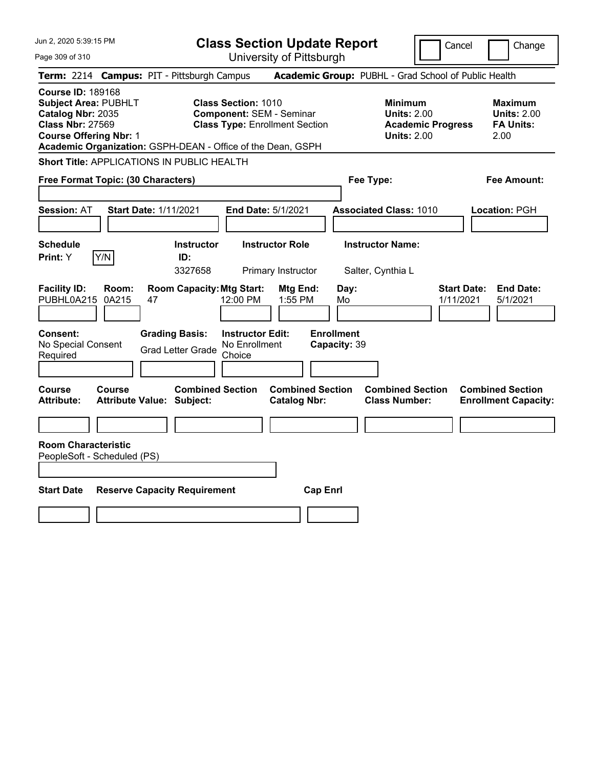| Jun 2, 2020 5:39:15 PM                                                                                                                   |                | <b>Class Section Update Report</b><br>Change<br>Cancel |                                                                                                                                                                       |                                                |                                   |                                                            |                          |                                                                  |
|------------------------------------------------------------------------------------------------------------------------------------------|----------------|--------------------------------------------------------|-----------------------------------------------------------------------------------------------------------------------------------------------------------------------|------------------------------------------------|-----------------------------------|------------------------------------------------------------|--------------------------|------------------------------------------------------------------|
| Page 309 of 310                                                                                                                          |                |                                                        |                                                                                                                                                                       | University of Pittsburgh                       |                                   |                                                            |                          |                                                                  |
| Term: 2214 Campus: PIT - Pittsburgh Campus                                                                                               |                |                                                        |                                                                                                                                                                       |                                                |                                   |                                                            |                          | Academic Group: PUBHL - Grad School of Public Health             |
| <b>Course ID: 189168</b><br><b>Subject Area: PUBHLT</b><br>Catalog Nbr: 2035<br><b>Class Nbr: 27569</b><br><b>Course Offering Nbr: 1</b> |                |                                                        | <b>Class Section: 1010</b><br><b>Component: SEM - Seminar</b><br><b>Class Type: Enrollment Section</b><br>Academic Organization: GSPH-DEAN - Office of the Dean, GSPH |                                                |                                   | <b>Minimum</b><br><b>Units: 2.00</b><br><b>Units: 2.00</b> | <b>Academic Progress</b> | <b>Maximum</b><br><b>Units: 2.00</b><br><b>FA Units:</b><br>2.00 |
| Short Title: APPLICATIONS IN PUBLIC HEALTH                                                                                               |                |                                                        |                                                                                                                                                                       |                                                |                                   |                                                            |                          |                                                                  |
| Free Format Topic: (30 Characters)                                                                                                       |                |                                                        |                                                                                                                                                                       |                                                |                                   | Fee Type:                                                  |                          | Fee Amount:                                                      |
| Session: AT                                                                                                                              |                | <b>Start Date: 1/11/2021</b>                           |                                                                                                                                                                       | End Date: 5/1/2021                             |                                   | <b>Associated Class: 1010</b>                              |                          | Location: PGH                                                    |
| Schedule<br>Print: Y                                                                                                                     | Y/N            | ID:<br>3327658                                         | <b>Instructor</b>                                                                                                                                                     | <b>Instructor Role</b><br>Primary Instructor   |                                   | <b>Instructor Name:</b><br>Salter, Cynthia L               |                          |                                                                  |
| <b>Facility ID:</b><br>PUBHL0A215                                                                                                        | Room:<br>0A215 | 47                                                     | <b>Room Capacity: Mtg Start:</b><br>12:00 PM                                                                                                                          | Mtg End:<br>1:55 PM                            | Day:<br>Mo                        |                                                            |                          | <b>Start Date:</b><br><b>End Date:</b><br>1/11/2021<br>5/1/2021  |
| Consent:<br>No Special Consent<br>Required                                                                                               |                | <b>Grading Basis:</b><br><b>Grad Letter Grade</b>      | <b>Instructor Edit:</b><br>No Enrollment<br>Choice                                                                                                                    |                                                | <b>Enrollment</b><br>Capacity: 39 |                                                            |                          |                                                                  |
| Course<br><b>Attribute:</b>                                                                                                              | Course         | <b>Attribute Value: Subject:</b>                       | <b>Combined Section</b>                                                                                                                                               | <b>Combined Section</b><br><b>Catalog Nbr:</b> |                                   | <b>Combined Section</b><br><b>Class Number:</b>            |                          | <b>Combined Section</b><br><b>Enrollment Capacity:</b>           |
| <b>Room Characteristic</b><br>PeopleSoft - Scheduled (PS)                                                                                |                |                                                        |                                                                                                                                                                       |                                                |                                   |                                                            |                          |                                                                  |
| <b>Start Date</b>                                                                                                                        |                | <b>Reserve Capacity Requirement</b>                    |                                                                                                                                                                       | <b>Cap Enrl</b>                                |                                   |                                                            |                          |                                                                  |
|                                                                                                                                          |                |                                                        |                                                                                                                                                                       |                                                |                                   |                                                            |                          |                                                                  |